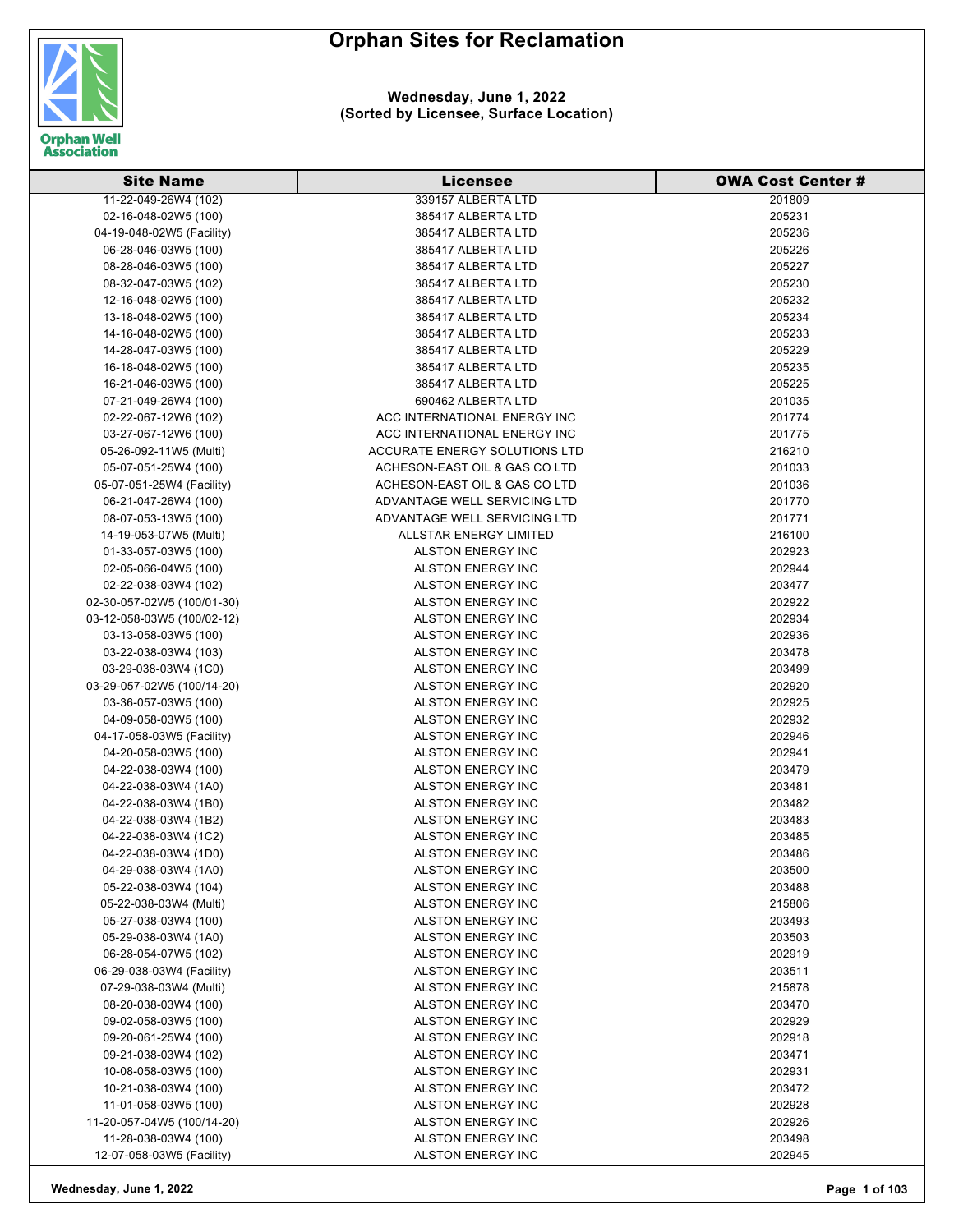

| <b>Site Name</b>           | <b>Licensee</b>               | <b>OWA Cost Center#</b> |
|----------------------------|-------------------------------|-------------------------|
| 11-22-049-26W4 (102)       | 339157 ALBERTA LTD            | 201809                  |
| 02-16-048-02W5 (100)       | 385417 ALBERTA LTD            | 205231                  |
| 04-19-048-02W5 (Facility)  | 385417 ALBERTA LTD            | 205236                  |
| 06-28-046-03W5 (100)       | 385417 ALBERTA LTD            | 205226                  |
| 08-28-046-03W5 (100)       | 385417 ALBERTA LTD            | 205227                  |
| 08-32-047-03W5 (102)       | 385417 ALBERTA LTD            | 205230                  |
| 12-16-048-02W5 (100)       | 385417 ALBERTA LTD            | 205232                  |
| 13-18-048-02W5 (100)       | 385417 ALBERTA LTD            | 205234                  |
| 14-16-048-02W5 (100)       | 385417 ALBERTA LTD            | 205233                  |
| 14-28-047-03W5 (100)       | 385417 ALBERTA LTD            | 205229                  |
| 16-18-048-02W5 (100)       | 385417 ALBERTA LTD            | 205235                  |
| 16-21-046-03W5 (100)       | 385417 ALBERTA LTD            | 205225                  |
| 07-21-049-26W4 (100)       | 690462 ALBERTA LTD            | 201035                  |
| 02-22-067-12W6 (102)       | ACC INTERNATIONAL ENERGY INC  | 201774                  |
| 03-27-067-12W6 (100)       | ACC INTERNATIONAL ENERGY INC  | 201775                  |
| 05-26-092-11W5 (Multi)     | ACCURATE ENERGY SOLUTIONS LTD | 216210                  |
| 05-07-051-25W4 (100)       | ACHESON-EAST OIL & GAS CO LTD | 201033                  |
| 05-07-051-25W4 (Facility)  | ACHESON-EAST OIL & GAS CO LTD | 201036                  |
| 06-21-047-26W4 (100)       | ADVANTAGE WELL SERVICING LTD  | 201770                  |
| 08-07-053-13W5 (100)       | ADVANTAGE WELL SERVICING LTD  | 201771                  |
| 14-19-053-07W5 (Multi)     | ALLSTAR ENERGY LIMITED        | 216100                  |
| 01-33-057-03W5 (100)       | <b>ALSTON ENERGY INC</b>      | 202923                  |
| 02-05-066-04W5 (100)       | <b>ALSTON ENERGY INC</b>      | 202944                  |
| 02-22-038-03W4 (102)       | ALSTON ENERGY INC             | 203477                  |
| 02-30-057-02W5 (100/01-30) | ALSTON ENERGY INC             | 202922                  |
| 03-12-058-03W5 (100/02-12) | ALSTON ENERGY INC             | 202934                  |
| 03-13-058-03W5 (100)       | <b>ALSTON ENERGY INC</b>      | 202936                  |
| 03-22-038-03W4 (103)       | ALSTON ENERGY INC             | 203478                  |
| 03-29-038-03W4 (1C0)       | ALSTON ENERGY INC             | 203499                  |
| 03-29-057-02W5 (100/14-20) | ALSTON ENERGY INC             | 202920                  |
| 03-36-057-03W5 (100)       | ALSTON ENERGY INC             | 202925                  |
| 04-09-058-03W5 (100)       | ALSTON ENERGY INC             | 202932                  |
| 04-17-058-03W5 (Facility)  | ALSTON ENERGY INC             | 202946                  |
| 04-20-058-03W5 (100)       | <b>ALSTON ENERGY INC</b>      | 202941                  |
| 04-22-038-03W4 (100)       | <b>ALSTON ENERGY INC</b>      | 203479                  |
| 04-22-038-03W4 (1A0)       | <b>ALSTON ENERGY INC</b>      | 203481                  |
| 04-22-038-03W4 (1B0)       | ALSTON ENERGY INC             | 203482                  |
| 04-22-038-03W4 (1B2)       | <b>ALSTON ENERGY INC</b>      | 203483                  |
| 04-22-038-03W4 (1C2)       | ALSTON ENERGY INC             | 203485                  |
| 04-22-038-03W4 (1D0)       | ALSTON ENERGY INC             | 203486                  |
| 04-29-038-03W4 (1A0)       | <b>ALSTON ENERGY INC</b>      | 203500                  |
| 05-22-038-03W4 (104)       | ALSTON ENERGY INC             | 203488                  |
| 05-22-038-03W4 (Multi)     | <b>ALSTON ENERGY INC</b>      | 215806                  |
| 05-27-038-03W4 (100)       | ALSTON ENERGY INC             | 203493                  |
| 05-29-038-03W4 (1A0)       | <b>ALSTON ENERGY INC</b>      | 203503                  |
| 06-28-054-07W5 (102)       | <b>ALSTON ENERGY INC</b>      | 202919                  |
| 06-29-038-03W4 (Facility)  | <b>ALSTON ENERGY INC</b>      | 203511                  |
| 07-29-038-03W4 (Multi)     | ALSTON ENERGY INC             | 215878                  |
| 08-20-038-03W4 (100)       | ALSTON ENERGY INC             | 203470                  |
| 09-02-058-03W5 (100)       | <b>ALSTON ENERGY INC</b>      | 202929                  |
| 09-20-061-25W4 (100)       | ALSTON ENERGY INC             | 202918                  |
| 09-21-038-03W4 (102)       | ALSTON ENERGY INC             | 203471                  |
| 10-08-058-03W5 (100)       | ALSTON ENERGY INC             | 202931                  |
| 10-21-038-03W4 (100)       | ALSTON ENERGY INC             | 203472                  |
| 11-01-058-03W5 (100)       | ALSTON ENERGY INC             | 202928                  |
| 11-20-057-04W5 (100/14-20) | ALSTON ENERGY INC             | 202926                  |
| 11-28-038-03W4 (100)       | ALSTON ENERGY INC             | 203498                  |
| 12-07-058-03W5 (Facility)  | ALSTON ENERGY INC             | 202945                  |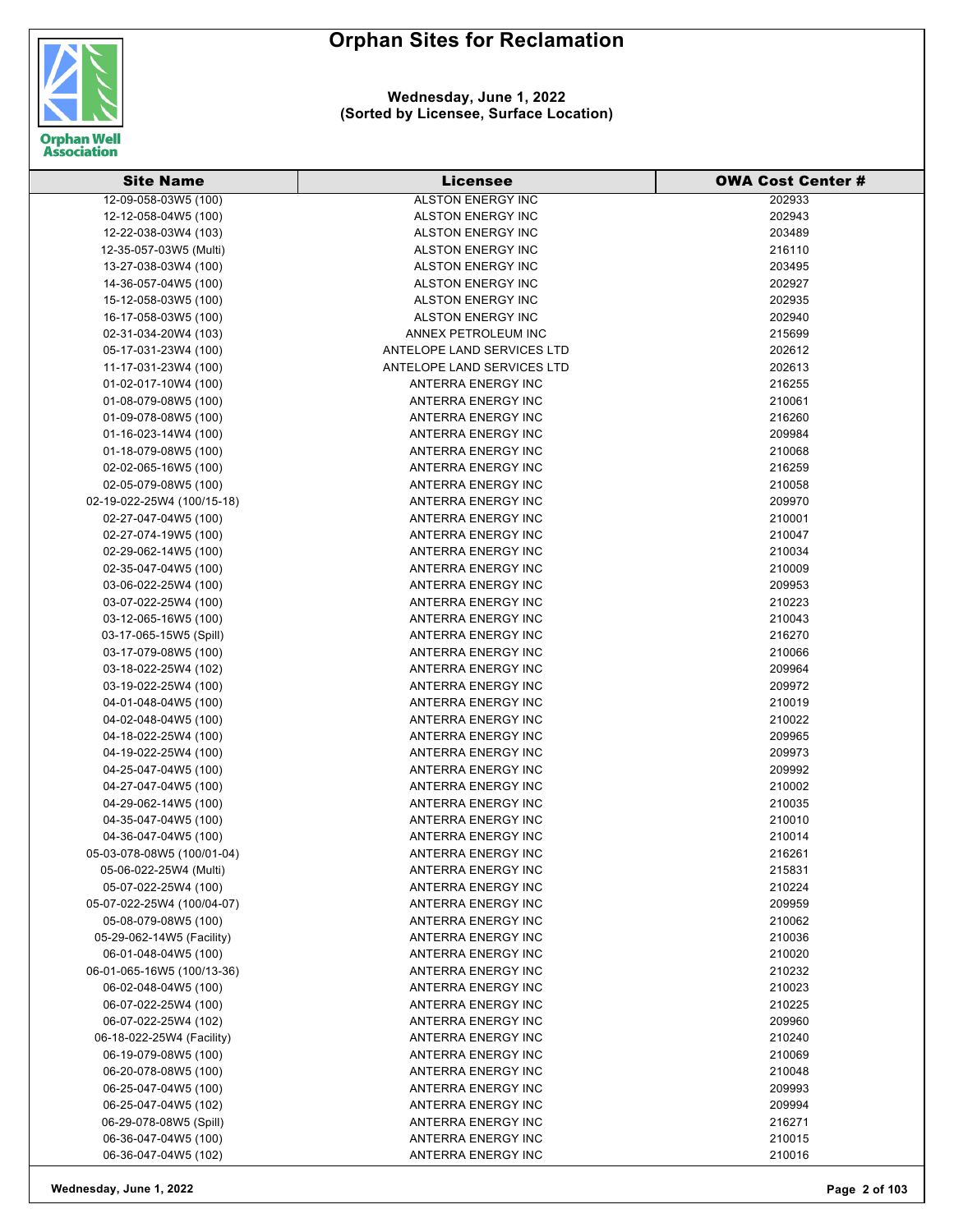

| <b>Site Name</b>                                  | <b>Licensee</b>                          | <b>OWA Cost Center #</b> |
|---------------------------------------------------|------------------------------------------|--------------------------|
| 12-09-058-03W5 (100)                              | <b>ALSTON ENERGY INC</b>                 | 202933                   |
| 12-12-058-04W5 (100)                              | ALSTON ENERGY INC                        | 202943                   |
| 12-22-038-03W4 (103)                              | ALSTON ENERGY INC                        | 203489                   |
| 12-35-057-03W5 (Multi)                            | ALSTON ENERGY INC                        | 216110                   |
| 13-27-038-03W4 (100)                              | ALSTON ENERGY INC                        | 203495                   |
| 14-36-057-04W5 (100)                              | ALSTON ENERGY INC                        | 202927                   |
| 15-12-058-03W5 (100)                              | ALSTON ENERGY INC                        | 202935                   |
| 16-17-058-03W5 (100)                              | ALSTON ENERGY INC                        | 202940                   |
| 02-31-034-20W4 (103)                              | ANNEX PETROLEUM INC                      | 215699                   |
| 05-17-031-23W4 (100)                              | ANTELOPE LAND SERVICES LTD               | 202612                   |
| 11-17-031-23W4 (100)                              | ANTELOPE LAND SERVICES LTD               | 202613                   |
| 01-02-017-10W4 (100)                              | ANTERRA ENERGY INC                       | 216255                   |
| 01-08-079-08W5 (100)                              | ANTERRA ENERGY INC                       | 210061                   |
| 01-09-078-08W5 (100)                              | ANTERRA ENERGY INC                       | 216260                   |
| 01-16-023-14W4 (100)                              | ANTERRA ENERGY INC                       | 209984                   |
| 01-18-079-08W5 (100)                              | ANTERRA ENERGY INC                       | 210068                   |
| 02-02-065-16W5 (100)                              | ANTERRA ENERGY INC                       | 216259                   |
| 02-05-079-08W5 (100)                              | ANTERRA ENERGY INC                       | 210058                   |
| 02-19-022-25W4 (100/15-18)                        | ANTERRA ENERGY INC                       | 209970                   |
| 02-27-047-04W5 (100)                              | ANTERRA ENERGY INC                       | 210001                   |
| 02-27-074-19W5 (100)                              | ANTERRA ENERGY INC                       | 210047                   |
| 02-29-062-14W5 (100)                              | ANTERRA ENERGY INC                       | 210034                   |
| 02-35-047-04W5 (100)                              | ANTERRA ENERGY INC                       | 210009                   |
| 03-06-022-25W4 (100)                              | ANTERRA ENERGY INC                       | 209953                   |
| 03-07-022-25W4 (100)                              | ANTERRA ENERGY INC                       | 210223                   |
| 03-12-065-16W5 (100)                              | ANTERRA ENERGY INC                       | 210043                   |
| 03-17-065-15W5 (Spill)                            | ANTERRA ENERGY INC                       | 216270                   |
| 03-17-079-08W5 (100)                              | ANTERRA ENERGY INC                       | 210066                   |
| 03-18-022-25W4 (102)                              | ANTERRA ENERGY INC                       | 209964                   |
| 03-19-022-25W4 (100)                              | ANTERRA ENERGY INC                       | 209972                   |
| 04-01-048-04W5 (100)                              | ANTERRA ENERGY INC                       | 210019                   |
| 04-02-048-04W5 (100)                              | ANTERRA ENERGY INC                       | 210022                   |
| 04-18-022-25W4 (100)                              | ANTERRA ENERGY INC                       | 209965                   |
| 04-19-022-25W4 (100)                              | ANTERRA ENERGY INC                       | 209973                   |
| 04-25-047-04W5 (100)                              | ANTERRA ENERGY INC                       | 209992                   |
| 04-27-047-04W5 (100)                              | ANTERRA ENERGY INC                       | 210002                   |
| 04-29-062-14W5 (100)                              | ANTERRA ENERGY INC                       | 210035                   |
| 04-35-047-04W5 (100)                              | ANTERRA ENERGY INC                       | 210010                   |
| 04-36-047-04W5 (100)                              | ANTERRA ENERGY INC                       |                          |
| 05-03-078-08W5 (100/01-04)                        | ANTERRA ENERGY INC                       | 210014<br>216261         |
| 05-06-022-25W4 (Multi)                            | ANTERRA ENERGY INC                       | 215831                   |
| 05-07-022-25W4 (100)                              | ANTERRA ENERGY INC                       | 210224                   |
| 05-07-022-25W4 (100/04-07)                        | ANTERRA ENERGY INC                       | 209959                   |
| 05-08-079-08W5 (100)                              | ANTERRA ENERGY INC                       | 210062                   |
|                                                   | ANTERRA ENERGY INC                       | 210036                   |
| 05-29-062-14W5 (Facility)                         |                                          |                          |
| 06-01-048-04W5 (100)                              | ANTERRA ENERGY INC<br>ANTERRA ENERGY INC | 210020                   |
| 06-01-065-16W5 (100/13-36)                        | ANTERRA ENERGY INC                       | 210232                   |
| 06-02-048-04W5 (100)                              |                                          | 210023                   |
| 06-07-022-25W4 (100)                              | ANTERRA ENERGY INC<br>ANTERRA ENERGY INC | 210225                   |
| 06-07-022-25W4 (102)<br>06-18-022-25W4 (Facility) | ANTERRA ENERGY INC                       | 209960<br>210240         |
|                                                   |                                          |                          |
| 06-19-079-08W5 (100)                              | ANTERRA ENERGY INC                       | 210069                   |
| 06-20-078-08W5 (100)                              | ANTERRA ENERGY INC                       | 210048                   |
| 06-25-047-04W5 (100)                              | ANTERRA ENERGY INC                       | 209993                   |
| 06-25-047-04W5 (102)                              | ANTERRA ENERGY INC                       | 209994                   |
| 06-29-078-08W5 (Spill)<br>06-36-047-04W5 (100)    | ANTERRA ENERGY INC                       | 216271                   |
|                                                   | ANTERRA ENERGY INC                       | 210015                   |
| 06-36-047-04W5 (102)                              | ANTERRA ENERGY INC                       | 210016                   |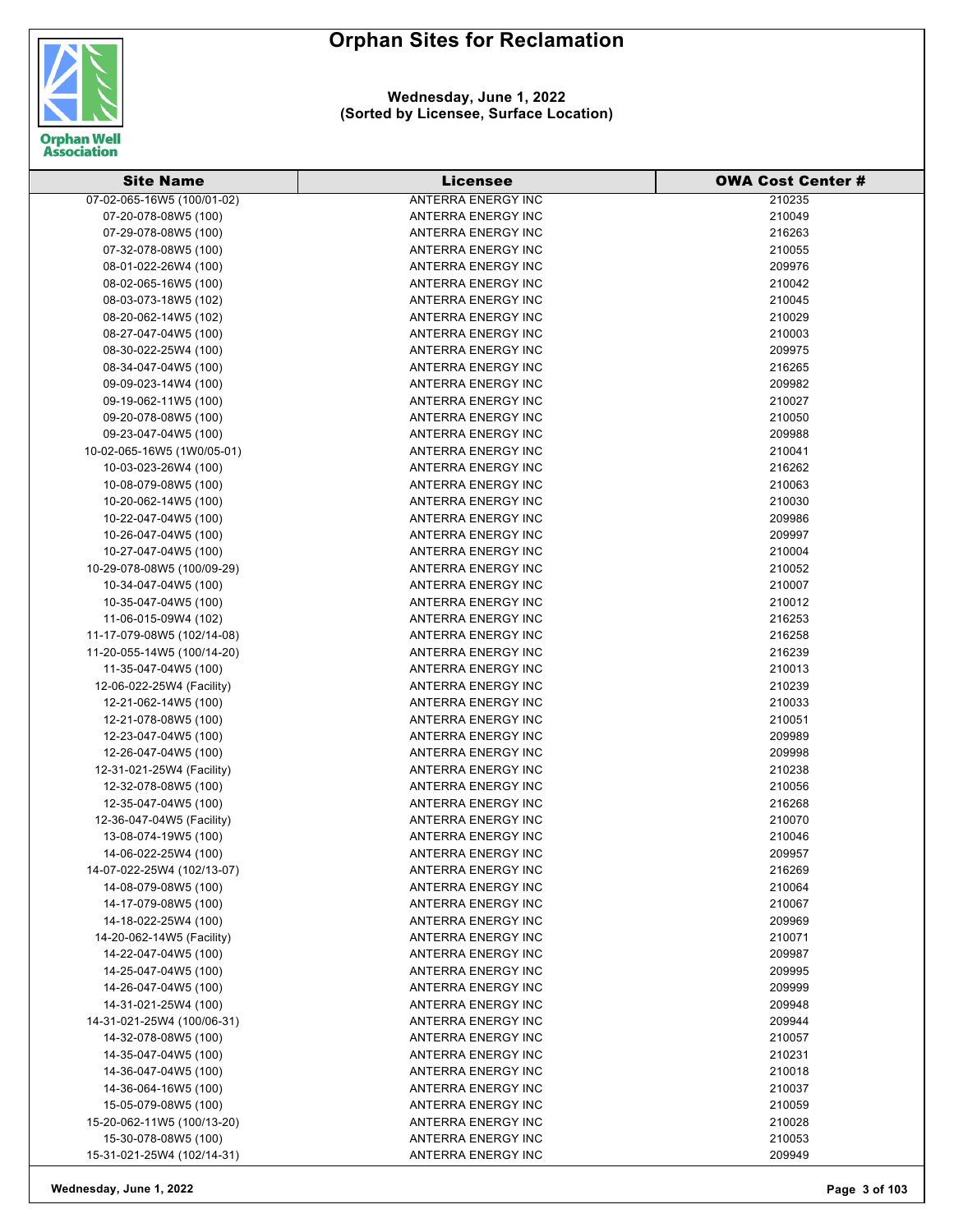

#### **Wednesday, June 1, 2022 (Sorted by Licensee, Surface Location)**

| <b>Site Name</b>                                   | <b>Licensee</b>           | <b>OWA Cost Center #</b> |
|----------------------------------------------------|---------------------------|--------------------------|
| 07-02-065-16W5 (100/01-02)                         | <b>ANTERRA ENERGY INC</b> | 210235                   |
| 07-20-078-08W5 (100)                               | ANTERRA ENERGY INC        | 210049                   |
| 07-29-078-08W5 (100)                               | ANTERRA ENERGY INC        | 216263                   |
| 07-32-078-08W5 (100)                               | ANTERRA ENERGY INC        | 210055                   |
| 08-01-022-26W4 (100)                               | ANTERRA ENERGY INC        | 209976                   |
| 08-02-065-16W5 (100)                               | ANTERRA ENERGY INC        | 210042                   |
| 08-03-073-18W5 (102)                               | ANTERRA ENERGY INC        | 210045                   |
| 08-20-062-14W5 (102)                               | ANTERRA ENERGY INC        | 210029                   |
| 08-27-047-04W5 (100)                               | ANTERRA ENERGY INC        | 210003                   |
| 08-30-022-25W4 (100)                               | ANTERRA ENERGY INC        | 209975                   |
| 08-34-047-04W5 (100)                               | ANTERRA ENERGY INC        | 216265                   |
| 09-09-023-14W4 (100)                               | ANTERRA ENERGY INC        | 209982                   |
| 09-19-062-11W5 (100)                               | ANTERRA ENERGY INC        | 210027                   |
| 09-20-078-08W5 (100)                               | ANTERRA ENERGY INC        | 210050                   |
| 09-23-047-04W5 (100)                               | ANTERRA ENERGY INC        | 209988                   |
| 10-02-065-16W5 (1W0/05-01)                         | ANTERRA ENERGY INC        | 210041                   |
| 10-03-023-26W4 (100)                               | ANTERRA ENERGY INC        | 216262                   |
| 10-08-079-08W5 (100)                               | ANTERRA ENERGY INC        | 210063                   |
| 10-20-062-14W5 (100)                               | ANTERRA ENERGY INC        | 210030                   |
| 10-22-047-04W5 (100)                               | ANTERRA ENERGY INC        | 209986                   |
| 10-26-047-04W5 (100)                               | ANTERRA ENERGY INC        | 209997                   |
| 10-27-047-04W5 (100)                               | ANTERRA ENERGY INC        | 210004                   |
| 10-29-078-08W5 (100/09-29)                         | ANTERRA ENERGY INC        | 210052                   |
|                                                    | ANTERRA ENERGY INC        | 210007                   |
| 10-34-047-04W5 (100)                               | ANTERRA ENERGY INC        |                          |
| 10-35-047-04W5 (100)                               | ANTERRA ENERGY INC        | 210012<br>216253         |
| 11-06-015-09W4 (102)<br>11-17-079-08W5 (102/14-08) | ANTERRA ENERGY INC        | 216258                   |
| 11-20-055-14W5 (100/14-20)                         | ANTERRA ENERGY INC        | 216239                   |
| 11-35-047-04W5 (100)                               | ANTERRA ENERGY INC        | 210013                   |
| 12-06-022-25W4 (Facility)                          | ANTERRA ENERGY INC        | 210239                   |
| 12-21-062-14W5 (100)                               | ANTERRA ENERGY INC        | 210033                   |
| 12-21-078-08W5 (100)                               | ANTERRA ENERGY INC        | 210051                   |
| 12-23-047-04W5 (100)                               | ANTERRA ENERGY INC        | 209989                   |
| 12-26-047-04W5 (100)                               | ANTERRA ENERGY INC        | 209998                   |
| 12-31-021-25W4 (Facility)                          | ANTERRA ENERGY INC        | 210238                   |
| 12-32-078-08W5 (100)                               | ANTERRA ENERGY INC        | 210056                   |
| 12-35-047-04W5 (100)                               | ANTERRA ENERGY INC        | 216268                   |
| 12-36-047-04W5 (Facility)                          | ANTERRA ENERGY INC        | 210070                   |
| 13-08-074-19W5 (100)                               | ANTERRA ENERGY INC        | 210046                   |
| 14-06-022-25W4 (100)                               | ANTERRA ENERGY INC        | 209957                   |
| 14-07-022-25W4 (102/13-07)                         | ANTERRA ENERGY INC        | 216269                   |
| 14-08-079-08W5 (100)                               | ANTERRA ENERGY INC        | 210064                   |
| 14-17-079-08W5 (100)                               | ANTERRA ENERGY INC        | 210067                   |
| 14-18-022-25W4 (100)                               | ANTERRA ENERGY INC        | 209969                   |
| 14-20-062-14W5 (Facility)                          | ANTERRA ENERGY INC        | 210071                   |
| 14-22-047-04W5 (100)                               | ANTERRA ENERGY INC        | 209987                   |
| 14-25-047-04W5 (100)                               | ANTERRA ENERGY INC        | 209995                   |
| 14-26-047-04W5 (100)                               | ANTERRA ENERGY INC        | 209999                   |
| 14-31-021-25W4 (100)                               | ANTERRA ENERGY INC        | 209948                   |
| 14-31-021-25W4 (100/06-31)                         | ANTERRA ENERGY INC        | 209944                   |
| 14-32-078-08W5 (100)                               | ANTERRA ENERGY INC        | 210057                   |
| 14-35-047-04W5 (100)                               | ANTERRA ENERGY INC        | 210231                   |
| 14-36-047-04W5 (100)                               | ANTERRA ENERGY INC        | 210018                   |
| 14-36-064-16W5 (100)                               | ANTERRA ENERGY INC        | 210037                   |
| 15-05-079-08W5 (100)                               | ANTERRA ENERGY INC        | 210059                   |
| 15-20-062-11W5 (100/13-20)                         | ANTERRA ENERGY INC        | 210028                   |
| 15-30-078-08W5 (100)                               | ANTERRA ENERGY INC        | 210053                   |
| 15-31-021-25W4 (102/14-31)                         | ANTERRA ENERGY INC        | 209949                   |
|                                                    |                           |                          |

**Wednesday, June 1, 2022 Page 3 of 103**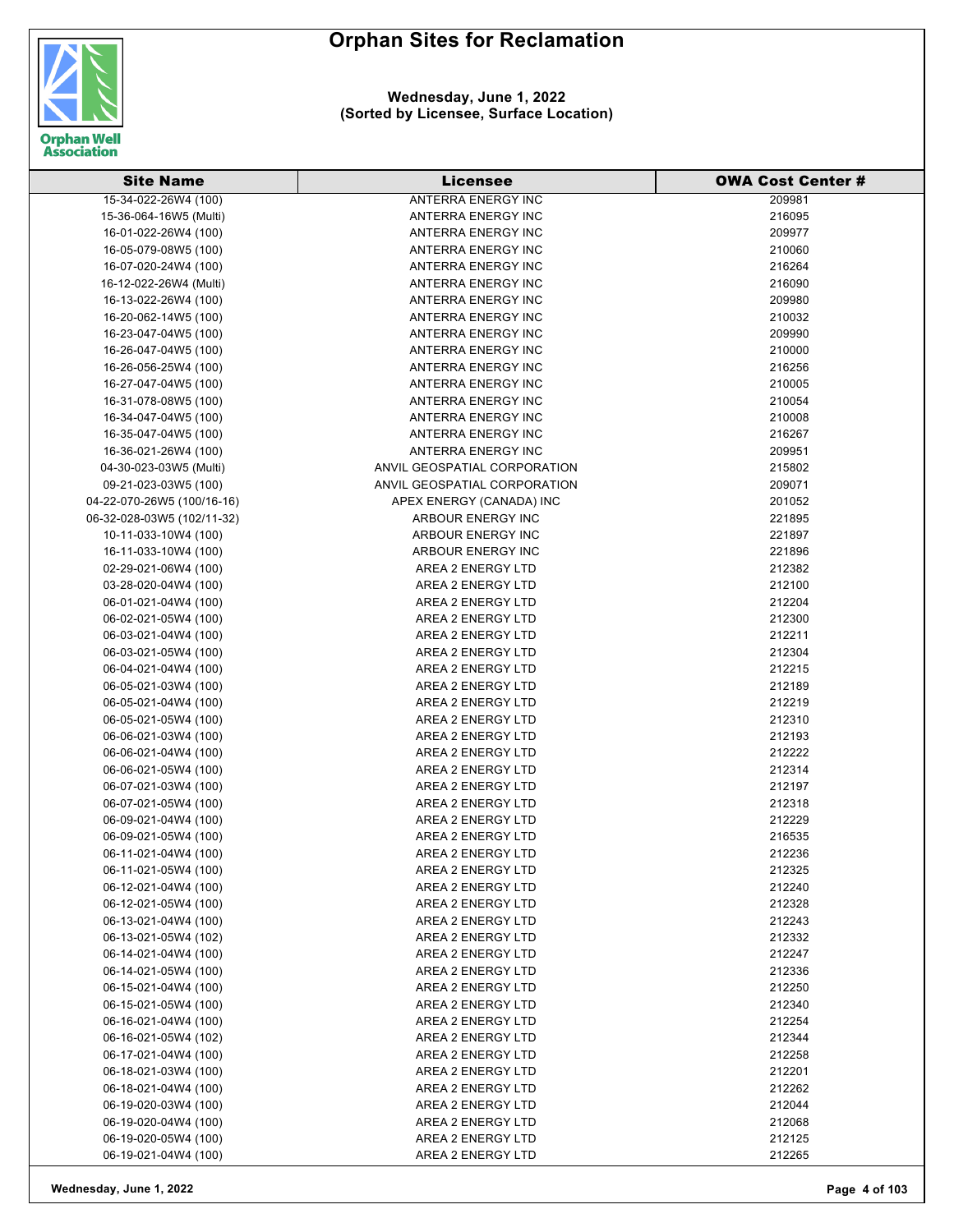

| <b>Site Name</b>           | <b>Licensee</b>              | <b>OWA Cost Center #</b> |
|----------------------------|------------------------------|--------------------------|
| 15-34-022-26W4 (100)       | <b>ANTERRA ENERGY INC</b>    | 209981                   |
| 15-36-064-16W5 (Multi)     | ANTERRA ENERGY INC           | 216095                   |
| 16-01-022-26W4 (100)       | ANTERRA ENERGY INC           | 209977                   |
| 16-05-079-08W5 (100)       | ANTERRA ENERGY INC           | 210060                   |
| 16-07-020-24W4 (100)       | <b>ANTERRA ENERGY INC</b>    | 216264                   |
| 16-12-022-26W4 (Multi)     | ANTERRA ENERGY INC           | 216090                   |
| 16-13-022-26W4 (100)       | ANTERRA ENERGY INC           | 209980                   |
| 16-20-062-14W5 (100)       | ANTERRA ENERGY INC           | 210032                   |
| 16-23-047-04W5 (100)       | ANTERRA ENERGY INC           | 209990                   |
| 16-26-047-04W5 (100)       | ANTERRA ENERGY INC           | 210000                   |
| 16-26-056-25W4 (100)       | ANTERRA ENERGY INC           | 216256                   |
| 16-27-047-04W5 (100)       | ANTERRA ENERGY INC           | 210005                   |
| 16-31-078-08W5 (100)       | ANTERRA ENERGY INC           | 210054                   |
| 16-34-047-04W5 (100)       | ANTERRA ENERGY INC           | 210008                   |
| 16-35-047-04W5 (100)       | ANTERRA ENERGY INC           | 216267                   |
| 16-36-021-26W4 (100)       | ANTERRA ENERGY INC           | 209951                   |
| 04-30-023-03W5 (Multi)     | ANVIL GEOSPATIAL CORPORATION | 215802                   |
| 09-21-023-03W5 (100)       | ANVIL GEOSPATIAL CORPORATION | 209071                   |
| 04-22-070-26W5 (100/16-16) | APEX ENERGY (CANADA) INC     | 201052                   |
| 06-32-028-03W5 (102/11-32) | ARBOUR ENERGY INC            | 221895                   |
| 10-11-033-10W4 (100)       | ARBOUR ENERGY INC            | 221897                   |
| 16-11-033-10W4 (100)       | ARBOUR ENERGY INC            | 221896                   |
| 02-29-021-06W4 (100)       | AREA 2 ENERGY LTD            | 212382                   |
| 03-28-020-04W4 (100)       | AREA 2 ENERGY LTD            | 212100                   |
| 06-01-021-04W4 (100)       | AREA 2 ENERGY LTD            | 212204                   |
| 06-02-021-05W4 (100)       | AREA 2 ENERGY LTD            | 212300                   |
| 06-03-021-04W4 (100)       | AREA 2 ENERGY LTD            | 212211                   |
| 06-03-021-05W4 (100)       | AREA 2 ENERGY LTD            | 212304                   |
| 06-04-021-04W4 (100)       | AREA 2 ENERGY LTD            | 212215                   |
| 06-05-021-03W4 (100)       | AREA 2 ENERGY LTD            | 212189                   |
| 06-05-021-04W4 (100)       | AREA 2 ENERGY LTD            | 212219                   |
| 06-05-021-05W4 (100)       | AREA 2 ENERGY LTD            | 212310                   |
| 06-06-021-03W4 (100)       | AREA 2 ENERGY LTD            | 212193                   |
| 06-06-021-04W4 (100)       | AREA 2 ENERGY LTD            | 212222                   |
| 06-06-021-05W4 (100)       | AREA 2 ENERGY LTD            | 212314                   |
| 06-07-021-03W4 (100)       | AREA 2 ENERGY LTD            | 212197                   |
| 06-07-021-05W4 (100)       | AREA 2 ENERGY LTD            | 212318                   |
| 06-09-021-04W4 (100)       | AREA 2 ENERGY LTD            | 212229                   |
| 06-09-021-05W4 (100)       | AREA 2 ENERGY LTD            | 216535                   |
| 06-11-021-04W4 (100)       | AREA 2 ENERGY LTD            | 212236                   |
| 06-11-021-05W4 (100)       | AREA 2 ENERGY LTD            | 212325                   |
| 06-12-021-04W4 (100)       | AREA 2 ENERGY LTD            | 212240                   |
| 06-12-021-05W4 (100)       | AREA 2 ENERGY LTD            | 212328                   |
| 06-13-021-04W4 (100)       | AREA 2 ENERGY LTD            | 212243                   |
| 06-13-021-05W4 (102)       | AREA 2 ENERGY LTD            | 212332                   |
| 06-14-021-04W4 (100)       | AREA 2 ENERGY LTD            | 212247                   |
| 06-14-021-05W4 (100)       | AREA 2 ENERGY LTD            | 212336                   |
| 06-15-021-04W4 (100)       | AREA 2 ENERGY LTD            | 212250                   |
| 06-15-021-05W4 (100)       | AREA 2 ENERGY LTD            | 212340                   |
| 06-16-021-04W4 (100)       | AREA 2 ENERGY LTD            | 212254                   |
| 06-16-021-05W4 (102)       | AREA 2 ENERGY LTD            | 212344                   |
| 06-17-021-04W4 (100)       | AREA 2 ENERGY LTD            | 212258                   |
| 06-18-021-03W4 (100)       | AREA 2 ENERGY LTD            | 212201                   |
| 06-18-021-04W4 (100)       | AREA 2 ENERGY LTD            | 212262                   |
| 06-19-020-03W4 (100)       | AREA 2 ENERGY LTD            | 212044                   |
| 06-19-020-04W4 (100)       | AREA 2 ENERGY LTD            | 212068                   |
| 06-19-020-05W4 (100)       | AREA 2 ENERGY LTD            | 212125                   |
| 06-19-021-04W4 (100)       | AREA 2 ENERGY LTD            | 212265                   |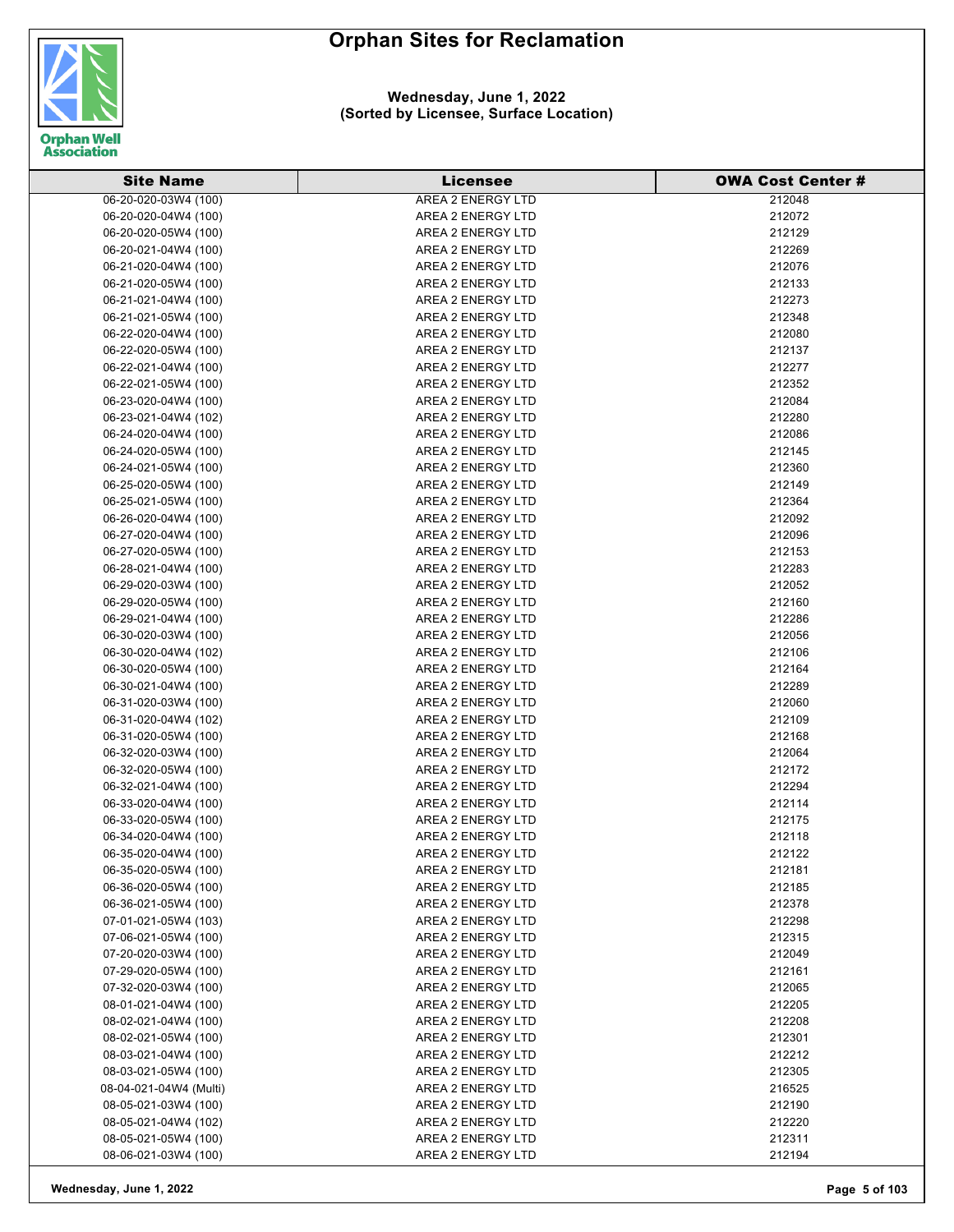

### **Wednesday, June 1, 2022 (Sorted by Licensee, Surface Location)**

| <b>Site Name</b>       | <b>Licensee</b>          | <b>OWA Cost Center#</b> |
|------------------------|--------------------------|-------------------------|
| 06-20-020-03W4 (100)   | <b>AREA 2 ENERGY LTD</b> | 212048                  |
| 06-20-020-04W4 (100)   | AREA 2 ENERGY LTD        | 212072                  |
| 06-20-020-05W4 (100)   | AREA 2 ENERGY LTD        | 212129                  |
| 06-20-021-04W4 (100)   | AREA 2 ENERGY LTD        | 212269                  |
| 06-21-020-04W4 (100)   | AREA 2 ENERGY LTD        | 212076                  |
| 06-21-020-05W4 (100)   | AREA 2 ENERGY LTD        | 212133                  |
| 06-21-021-04W4 (100)   | AREA 2 ENERGY LTD        | 212273                  |
| 06-21-021-05W4 (100)   | AREA 2 ENERGY LTD        | 212348                  |
| 06-22-020-04W4 (100)   | AREA 2 ENERGY LTD        | 212080                  |
| 06-22-020-05W4 (100)   | AREA 2 ENERGY LTD        | 212137                  |
| 06-22-021-04W4 (100)   | AREA 2 ENERGY LTD        | 212277                  |
| 06-22-021-05W4 (100)   | AREA 2 ENERGY LTD        | 212352                  |
| 06-23-020-04W4 (100)   | AREA 2 ENERGY LTD        | 212084                  |
| 06-23-021-04W4 (102)   | AREA 2 ENERGY LTD        | 212280                  |
| 06-24-020-04W4 (100)   | AREA 2 ENERGY LTD        | 212086                  |
| 06-24-020-05W4 (100)   | AREA 2 ENERGY LTD        | 212145                  |
| 06-24-021-05W4 (100)   | AREA 2 ENERGY LTD        | 212360                  |
| 06-25-020-05W4 (100)   | AREA 2 ENERGY LTD        | 212149                  |
| 06-25-021-05W4 (100)   | AREA 2 ENERGY LTD        | 212364                  |
| 06-26-020-04W4 (100)   | AREA 2 ENERGY LTD        | 212092                  |
| 06-27-020-04W4 (100)   | AREA 2 ENERGY LTD        | 212096                  |
| 06-27-020-05W4 (100)   | AREA 2 ENERGY LTD        | 212153                  |
| 06-28-021-04W4 (100)   | AREA 2 ENERGY LTD        | 212283                  |
| 06-29-020-03W4 (100)   | AREA 2 ENERGY LTD        | 212052                  |
| 06-29-020-05W4 (100)   | AREA 2 ENERGY LTD        | 212160                  |
| 06-29-021-04W4 (100)   | AREA 2 ENERGY LTD        | 212286                  |
| 06-30-020-03W4 (100)   | AREA 2 ENERGY LTD        | 212056                  |
| 06-30-020-04W4 (102)   | AREA 2 ENERGY LTD        | 212106                  |
| 06-30-020-05W4 (100)   | AREA 2 ENERGY LTD        | 212164                  |
| 06-30-021-04W4 (100)   | AREA 2 ENERGY LTD        | 212289                  |
| 06-31-020-03W4 (100)   | AREA 2 ENERGY LTD        | 212060                  |
| 06-31-020-04W4 (102)   | AREA 2 ENERGY LTD        | 212109                  |
| 06-31-020-05W4 (100)   | AREA 2 ENERGY LTD        | 212168                  |
| 06-32-020-03W4 (100)   | AREA 2 ENERGY LTD        | 212064                  |
| 06-32-020-05W4 (100)   | AREA 2 ENERGY LTD        | 212172                  |
| 06-32-021-04W4 (100)   | AREA 2 ENERGY LTD        | 212294                  |
| 06-33-020-04W4 (100)   | AREA 2 ENERGY LTD        | 212114                  |
| 06-33-020-05W4 (100)   | AREA 2 ENERGY LTD        | 212175                  |
| 06-34-020-04W4 (100)   | AREA 2 ENERGY LTD        | 212118                  |
| 06-35-020-04W4 (100)   | <b>AREA 2 ENERGY LTD</b> | 212122                  |
| 06-35-020-05W4 (100)   | AREA 2 ENERGY LTD        | 212181                  |
| 06-36-020-05W4 (100)   | AREA 2 ENERGY LTD        | 212185                  |
| 06-36-021-05W4 (100)   | AREA 2 ENERGY LTD        | 212378                  |
| 07-01-021-05W4 (103)   | AREA 2 ENERGY LTD        | 212298                  |
| 07-06-021-05W4 (100)   | AREA 2 ENERGY LTD        | 212315                  |
| 07-20-020-03W4 (100)   | AREA 2 ENERGY LTD        | 212049                  |
| 07-29-020-05W4 (100)   | AREA 2 ENERGY LTD        | 212161                  |
| 07-32-020-03W4 (100)   | AREA 2 ENERGY LTD        | 212065                  |
| 08-01-021-04W4 (100)   | AREA 2 ENERGY LTD        | 212205                  |
| 08-02-021-04W4 (100)   | AREA 2 ENERGY LTD        | 212208                  |
| 08-02-021-05W4 (100)   | AREA 2 ENERGY LTD        | 212301                  |
| 08-03-021-04W4 (100)   | AREA 2 ENERGY LTD        | 212212                  |
| 08-03-021-05W4 (100)   | AREA 2 ENERGY LTD        | 212305                  |
| 08-04-021-04W4 (Multi) | AREA 2 ENERGY LTD        | 216525                  |
| 08-05-021-03W4 (100)   | AREA 2 ENERGY LTD        | 212190                  |
| 08-05-021-04W4 (102)   | AREA 2 ENERGY LTD        | 212220                  |
| 08-05-021-05W4 (100)   | AREA 2 ENERGY LTD        | 212311                  |
| 08-06-021-03W4 (100)   | AREA 2 ENERGY LTD        | 212194                  |

**Wednesday, June 1, 2022 Page 5 of 103**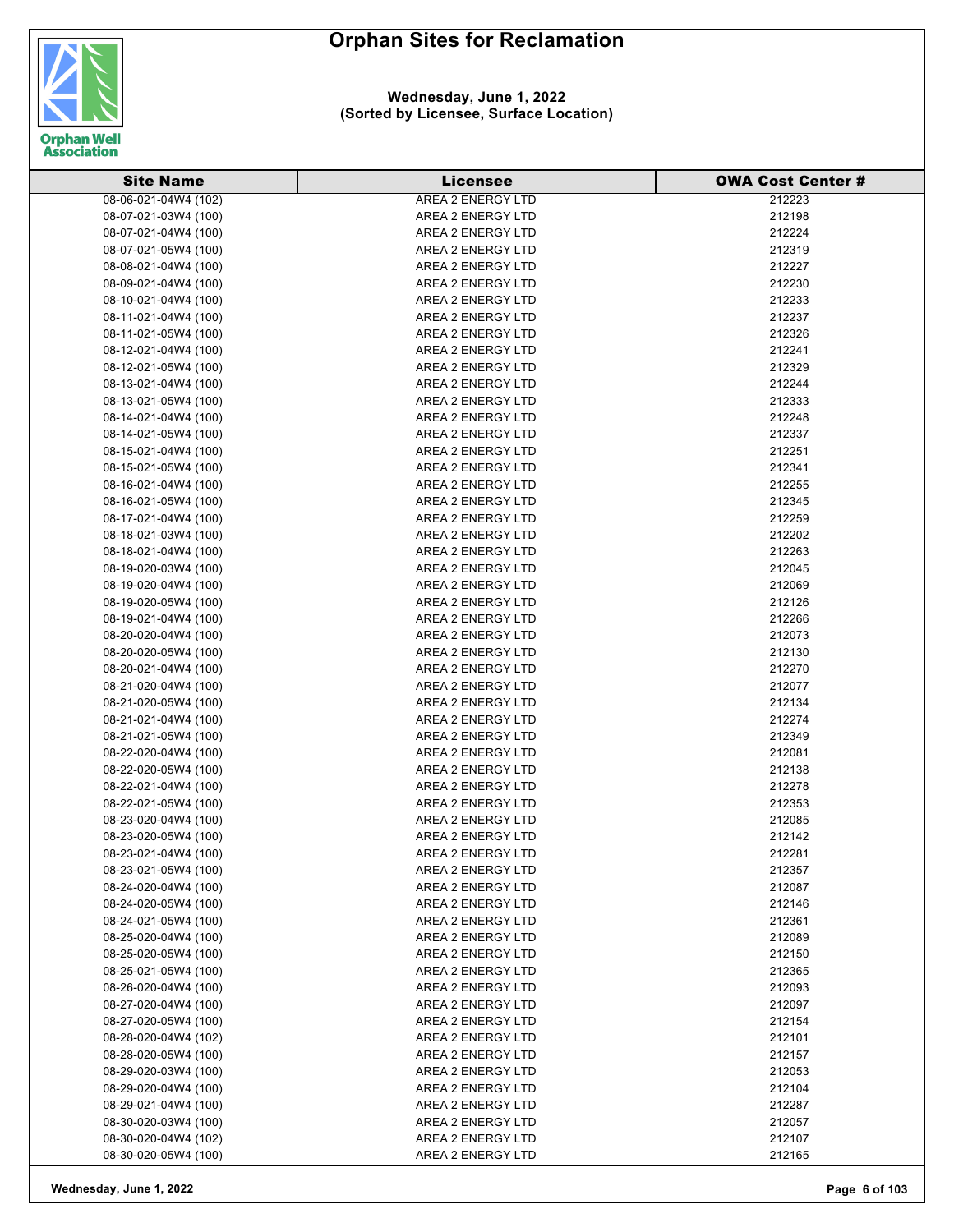

### **Wednesday, June 1, 2022 (Sorted by Licensee, Surface Location)**

| <b>Site Name</b>     | <b>Licensee</b>          | <b>OWA Cost Center#</b> |
|----------------------|--------------------------|-------------------------|
| 08-06-021-04W4 (102) | <b>AREA 2 ENERGY LTD</b> | 212223                  |
| 08-07-021-03W4 (100) | AREA 2 ENERGY LTD        | 212198                  |
| 08-07-021-04W4 (100) | AREA 2 ENERGY LTD        | 212224                  |
| 08-07-021-05W4 (100) | AREA 2 ENERGY LTD        | 212319                  |
| 08-08-021-04W4 (100) | AREA 2 ENERGY LTD        | 212227                  |
| 08-09-021-04W4 (100) | AREA 2 ENERGY LTD        | 212230                  |
| 08-10-021-04W4 (100) | AREA 2 ENERGY LTD        | 212233                  |
| 08-11-021-04W4 (100) | AREA 2 ENERGY LTD        | 212237                  |
| 08-11-021-05W4 (100) | AREA 2 ENERGY LTD        | 212326                  |
| 08-12-021-04W4 (100) | AREA 2 ENERGY LTD        | 212241                  |
| 08-12-021-05W4 (100) | AREA 2 ENERGY LTD        | 212329                  |
| 08-13-021-04W4 (100) | AREA 2 ENERGY LTD        | 212244                  |
| 08-13-021-05W4 (100) | AREA 2 ENERGY LTD        | 212333                  |
| 08-14-021-04W4 (100) | AREA 2 ENERGY LTD        | 212248                  |
| 08-14-021-05W4 (100) | AREA 2 ENERGY LTD        | 212337                  |
| 08-15-021-04W4 (100) | AREA 2 ENERGY LTD        | 212251                  |
| 08-15-021-05W4 (100) | AREA 2 ENERGY LTD        | 212341                  |
| 08-16-021-04W4 (100) | AREA 2 ENERGY LTD        | 212255                  |
| 08-16-021-05W4 (100) | AREA 2 ENERGY LTD        | 212345                  |
| 08-17-021-04W4 (100) | AREA 2 ENERGY LTD        | 212259                  |
| 08-18-021-03W4 (100) | AREA 2 ENERGY LTD        | 212202                  |
| 08-18-021-04W4 (100) | AREA 2 ENERGY LTD        | 212263                  |
| 08-19-020-03W4 (100) | AREA 2 ENERGY LTD        | 212045                  |
| 08-19-020-04W4 (100) | AREA 2 ENERGY LTD        | 212069                  |
| 08-19-020-05W4 (100) | AREA 2 ENERGY LTD        | 212126                  |
| 08-19-021-04W4 (100) | AREA 2 ENERGY LTD        | 212266                  |
| 08-20-020-04W4 (100) | AREA 2 ENERGY LTD        | 212073                  |
| 08-20-020-05W4 (100) | AREA 2 ENERGY LTD        | 212130                  |
| 08-20-021-04W4 (100) | AREA 2 ENERGY LTD        | 212270                  |
| 08-21-020-04W4 (100) | AREA 2 ENERGY LTD        | 212077                  |
| 08-21-020-05W4 (100) | AREA 2 ENERGY LTD        | 212134                  |
| 08-21-021-04W4 (100) | AREA 2 ENERGY LTD        | 212274                  |
| 08-21-021-05W4 (100) | AREA 2 ENERGY LTD        | 212349                  |
| 08-22-020-04W4 (100) | AREA 2 ENERGY LTD        | 212081                  |
| 08-22-020-05W4 (100) | AREA 2 ENERGY LTD        | 212138                  |
| 08-22-021-04W4 (100) | AREA 2 ENERGY LTD        | 212278                  |
| 08-22-021-05W4 (100) | AREA 2 ENERGY LTD        | 212353                  |
| 08-23-020-04W4 (100) | AREA 2 ENERGY LTD        | 212085                  |
| 08-23-020-05W4 (100) | AREA 2 ENERGY LTD        | 212142                  |
| 08-23-021-04W4 (100) | AREA 2 ENERGY LTD        | 212281                  |
| 08-23-021-05W4 (100) | AREA 2 ENERGY LTD        | 212357                  |
| 08-24-020-04W4 (100) | AREA 2 ENERGY LTD        | 212087                  |
| 08-24-020-05W4 (100) | AREA 2 ENERGY LTD        | 212146                  |
| 08-24-021-05W4 (100) | AREA 2 ENERGY LTD        | 212361                  |
| 08-25-020-04W4 (100) | AREA 2 ENERGY LTD        | 212089                  |
| 08-25-020-05W4 (100) | AREA 2 ENERGY LTD        | 212150                  |
| 08-25-021-05W4 (100) | AREA 2 ENERGY LTD        | 212365                  |
| 08-26-020-04W4 (100) | AREA 2 ENERGY LTD        | 212093                  |
| 08-27-020-04W4 (100) | AREA 2 ENERGY LTD        | 212097                  |
| 08-27-020-05W4 (100) | AREA 2 ENERGY LTD        | 212154                  |
| 08-28-020-04W4 (102) | AREA 2 ENERGY LTD        | 212101                  |
| 08-28-020-05W4 (100) | AREA 2 ENERGY LTD        | 212157                  |
| 08-29-020-03W4 (100) | AREA 2 ENERGY LTD        | 212053                  |
| 08-29-020-04W4 (100) | AREA 2 ENERGY LTD        | 212104                  |
| 08-29-021-04W4 (100) | AREA 2 ENERGY LTD        | 212287                  |
| 08-30-020-03W4 (100) | AREA 2 ENERGY LTD        | 212057                  |
| 08-30-020-04W4 (102) | AREA 2 ENERGY LTD        | 212107                  |
| 08-30-020-05W4 (100) | AREA 2 ENERGY LTD        | 212165                  |

**Wednesday, June 1, 2022 Page 6 of 103**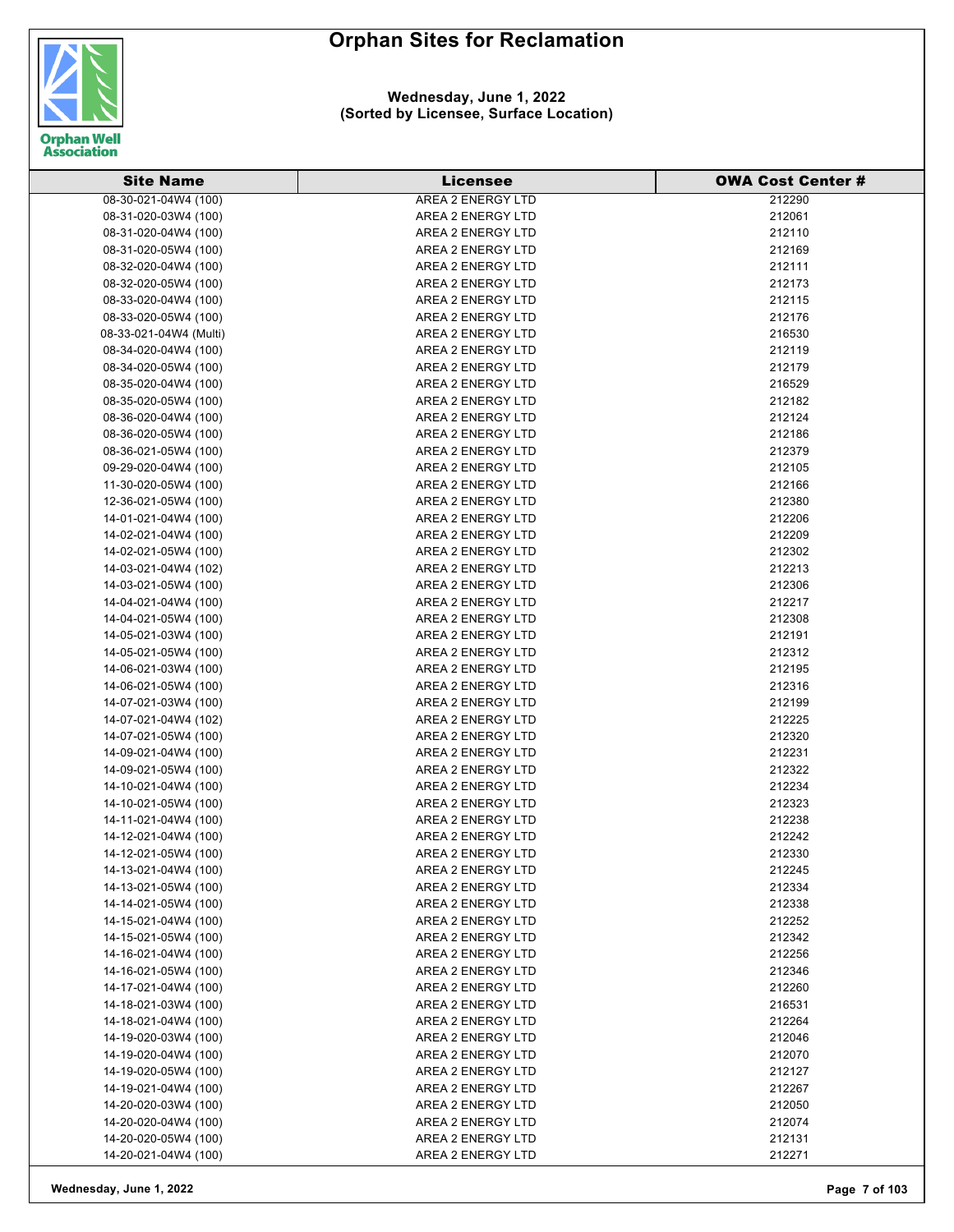

#### **Wednesday, June 1, 2022 (Sorted by Licensee, Surface Location)**

| <b>Site Name</b>       | <b>Licensee</b>          | <b>OWA Cost Center #</b> |
|------------------------|--------------------------|--------------------------|
| 08-30-021-04W4 (100)   | <b>AREA 2 ENERGY LTD</b> | 212290                   |
| 08-31-020-03W4 (100)   | AREA 2 ENERGY LTD        | 212061                   |
| 08-31-020-04W4 (100)   | AREA 2 ENERGY LTD        | 212110                   |
| 08-31-020-05W4 (100)   | AREA 2 ENERGY LTD        | 212169                   |
| 08-32-020-04W4 (100)   | AREA 2 ENERGY LTD        | 212111                   |
| 08-32-020-05W4 (100)   | AREA 2 ENERGY LTD        | 212173                   |
| 08-33-020-04W4 (100)   | AREA 2 ENERGY LTD        | 212115                   |
| 08-33-020-05W4 (100)   | AREA 2 ENERGY LTD        | 212176                   |
| 08-33-021-04W4 (Multi) | AREA 2 ENERGY LTD        | 216530                   |
| 08-34-020-04W4 (100)   | AREA 2 ENERGY LTD        | 212119                   |
| 08-34-020-05W4 (100)   | AREA 2 ENERGY LTD        | 212179                   |
| 08-35-020-04W4 (100)   | AREA 2 ENERGY LTD        | 216529                   |
| 08-35-020-05W4 (100)   | AREA 2 ENERGY LTD        | 212182                   |
| 08-36-020-04W4 (100)   | AREA 2 ENERGY LTD        | 212124                   |
| 08-36-020-05W4 (100)   | AREA 2 ENERGY LTD        | 212186                   |
| 08-36-021-05W4 (100)   | AREA 2 ENERGY LTD        | 212379                   |
| 09-29-020-04W4 (100)   | AREA 2 ENERGY LTD        | 212105                   |
| 11-30-020-05W4 (100)   | AREA 2 ENERGY LTD        | 212166                   |
| 12-36-021-05W4 (100)   | AREA 2 ENERGY LTD        | 212380                   |
| 14-01-021-04W4 (100)   | AREA 2 ENERGY LTD        | 212206                   |
| 14-02-021-04W4 (100)   | AREA 2 ENERGY LTD        | 212209                   |
| 14-02-021-05W4 (100)   | AREA 2 ENERGY LTD        | 212302                   |
| 14-03-021-04W4 (102)   | AREA 2 ENERGY LTD        | 212213                   |
| 14-03-021-05W4 (100)   | AREA 2 ENERGY LTD        | 212306                   |
| 14-04-021-04W4 (100)   | AREA 2 ENERGY LTD        | 212217                   |
| 14-04-021-05W4 (100)   | AREA 2 ENERGY LTD        | 212308                   |
| 14-05-021-03W4 (100)   | AREA 2 ENERGY LTD        | 212191                   |
| 14-05-021-05W4 (100)   | AREA 2 ENERGY LTD        | 212312                   |
| 14-06-021-03W4 (100)   | AREA 2 ENERGY LTD        | 212195                   |
| 14-06-021-05W4 (100)   | AREA 2 ENERGY LTD        | 212316                   |
| 14-07-021-03W4 (100)   | AREA 2 ENERGY LTD        | 212199                   |
| 14-07-021-04W4 (102)   | AREA 2 ENERGY LTD        | 212225                   |
| 14-07-021-05W4 (100)   | AREA 2 ENERGY LTD        | 212320                   |
| 14-09-021-04W4 (100)   | AREA 2 ENERGY LTD        | 212231                   |
| 14-09-021-05W4 (100)   | AREA 2 ENERGY LTD        | 212322                   |
| 14-10-021-04W4 (100)   | AREA 2 ENERGY LTD        | 212234                   |
| 14-10-021-05W4 (100)   | AREA 2 ENERGY LTD        | 212323                   |
| 14-11-021-04W4 (100)   | AREA 2 ENERGY LTD        | 212238                   |
| 14-12-021-04W4 (100)   | AREA 2 ENERGY LTD        | 212242                   |
| 14-12-021-05W4 (100)   | AREA 2 ENERGY LTD        | 212330                   |
| 14-13-021-04W4 (100)   | AREA 2 ENERGY LTD        | 212245                   |
| 14-13-021-05W4 (100)   | AREA 2 ENERGY LTD        | 212334                   |
| 14-14-021-05W4 (100)   | AREA 2 ENERGY LTD        | 212338                   |
| 14-15-021-04W4 (100)   | AREA 2 ENERGY LTD        | 212252                   |
| 14-15-021-05W4 (100)   | AREA 2 ENERGY LTD        | 212342                   |
| 14-16-021-04W4 (100)   | AREA 2 ENERGY LTD        | 212256                   |
| 14-16-021-05W4 (100)   | AREA 2 ENERGY LTD        | 212346                   |
| 14-17-021-04W4 (100)   | AREA 2 ENERGY LTD        | 212260                   |
| 14-18-021-03W4 (100)   | AREA 2 ENERGY LTD        | 216531                   |
| 14-18-021-04W4 (100)   | AREA 2 ENERGY LTD        | 212264                   |
| 14-19-020-03W4 (100)   | AREA 2 ENERGY LTD        | 212046                   |
| 14-19-020-04W4 (100)   | AREA 2 ENERGY LTD        | 212070                   |
| 14-19-020-05W4 (100)   | AREA 2 ENERGY LTD        | 212127                   |
| 14-19-021-04W4 (100)   | AREA 2 ENERGY LTD        | 212267                   |
| 14-20-020-03W4 (100)   | AREA 2 ENERGY LTD        | 212050                   |
| 14-20-020-04W4 (100)   | AREA 2 ENERGY LTD        | 212074                   |
| 14-20-020-05W4 (100)   | AREA 2 ENERGY LTD        | 212131                   |
| 14-20-021-04W4 (100)   | AREA 2 ENERGY LTD        | 212271                   |

**Wednesday, June 1, 2022 Page 7 of 103**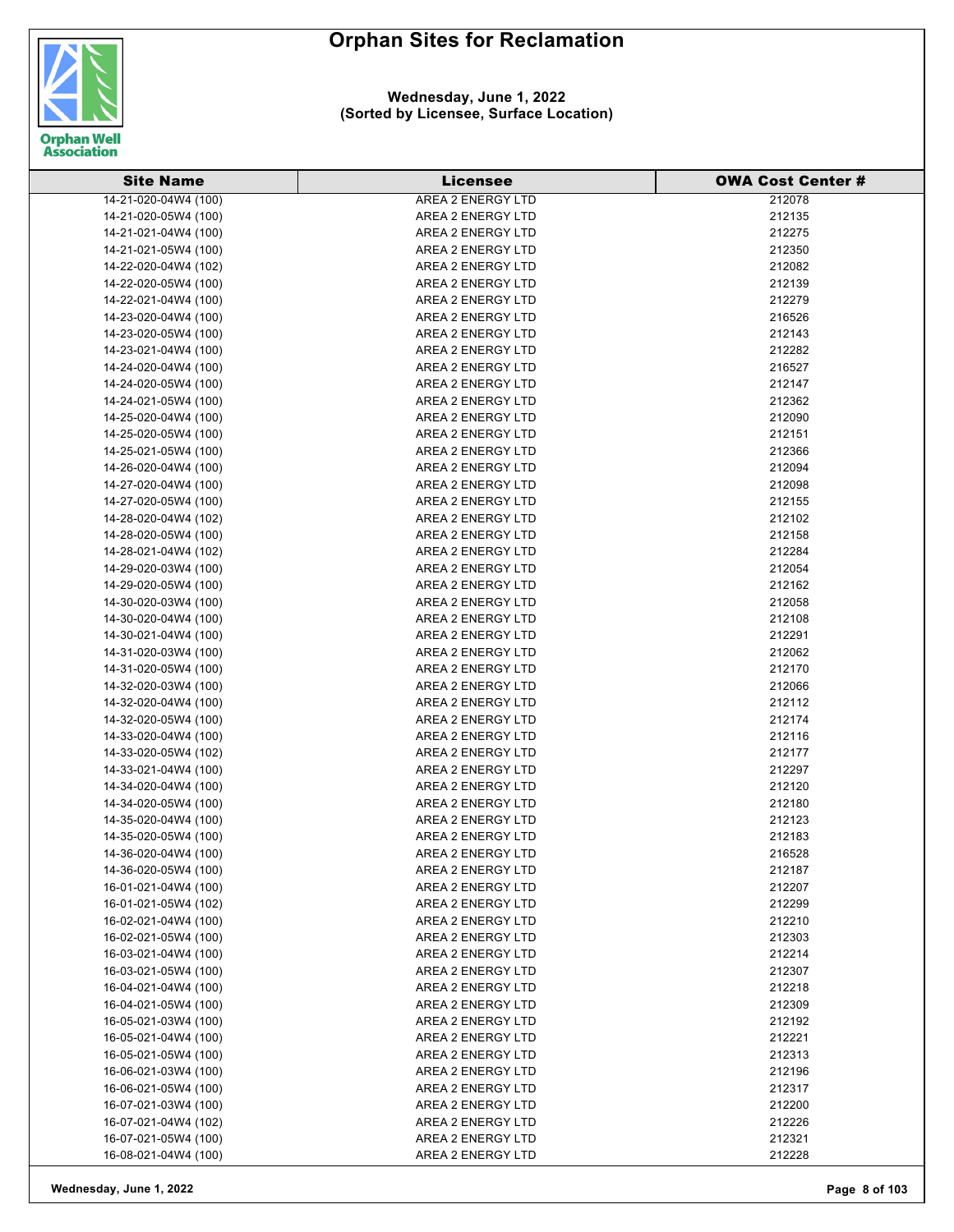

### **Wednesday, June 1, 2022 (Sorted by Licensee, Surface Location)**

| <b>Site Name</b>     | <b>Licensee</b>          | <b>OWA Cost Center #</b> |
|----------------------|--------------------------|--------------------------|
| 14-21-020-04W4 (100) | <b>AREA 2 ENERGY LTD</b> | 212078                   |
| 14-21-020-05W4 (100) | AREA 2 ENERGY LTD        | 212135                   |
| 14-21-021-04W4 (100) | AREA 2 ENERGY LTD        | 212275                   |
| 14-21-021-05W4 (100) | AREA 2 ENERGY LTD        | 212350                   |
| 14-22-020-04W4 (102) | AREA 2 ENERGY LTD        | 212082                   |
| 14-22-020-05W4 (100) | AREA 2 ENERGY LTD        | 212139                   |
| 14-22-021-04W4 (100) | AREA 2 ENERGY LTD        | 212279                   |
| 14-23-020-04W4 (100) | AREA 2 ENERGY LTD        | 216526                   |
| 14-23-020-05W4 (100) | AREA 2 ENERGY LTD        | 212143                   |
| 14-23-021-04W4 (100) | AREA 2 ENERGY LTD        | 212282                   |
| 14-24-020-04W4 (100) | AREA 2 ENERGY LTD        | 216527                   |
| 14-24-020-05W4 (100) | AREA 2 ENERGY LTD        | 212147                   |
| 14-24-021-05W4 (100) | AREA 2 ENERGY LTD        | 212362                   |
| 14-25-020-04W4 (100) | AREA 2 ENERGY LTD        | 212090                   |
| 14-25-020-05W4 (100) | AREA 2 ENERGY LTD        | 212151                   |
| 14-25-021-05W4 (100) | AREA 2 ENERGY LTD        | 212366                   |
| 14-26-020-04W4 (100) | AREA 2 ENERGY LTD        | 212094                   |
| 14-27-020-04W4 (100) | AREA 2 ENERGY LTD        | 212098                   |
| 14-27-020-05W4 (100) | AREA 2 ENERGY LTD        | 212155                   |
| 14-28-020-04W4 (102) | AREA 2 ENERGY LTD        | 212102                   |
| 14-28-020-05W4 (100) | AREA 2 ENERGY LTD        | 212158                   |
| 14-28-021-04W4 (102) | AREA 2 ENERGY LTD        | 212284                   |
| 14-29-020-03W4 (100) | AREA 2 ENERGY LTD        | 212054                   |
| 14-29-020-05W4 (100) | AREA 2 ENERGY LTD        | 212162                   |
| 14-30-020-03W4 (100) | AREA 2 ENERGY LTD        | 212058                   |
| 14-30-020-04W4 (100) | AREA 2 ENERGY LTD        | 212108                   |
| 14-30-021-04W4 (100) | AREA 2 ENERGY LTD        | 212291                   |
| 14-31-020-03W4 (100) | AREA 2 ENERGY LTD        | 212062                   |
| 14-31-020-05W4 (100) | AREA 2 ENERGY LTD        | 212170                   |
| 14-32-020-03W4 (100) | AREA 2 ENERGY LTD        | 212066                   |
| 14-32-020-04W4 (100) | AREA 2 ENERGY LTD        | 212112                   |
| 14-32-020-05W4 (100) | AREA 2 ENERGY LTD        | 212174                   |
| 14-33-020-04W4 (100) | AREA 2 ENERGY LTD        | 212116                   |
| 14-33-020-05W4 (102) | AREA 2 ENERGY LTD        | 212177                   |
| 14-33-021-04W4 (100) | AREA 2 ENERGY LTD        | 212297                   |
| 14-34-020-04W4 (100) | AREA 2 ENERGY LTD        | 212120                   |
| 14-34-020-05W4 (100) | AREA 2 ENERGY LTD        | 212180                   |
| 14-35-020-04W4 (100) | AREA 2 ENERGY LTD        | 212123                   |
| 14-35-020-05W4 (100) | AREA 2 ENERGY LTD        | 212183                   |
| 14-36-020-04W4 (100) | AREA 2 ENERGY LTD        | 216528                   |
| 14-36-020-05W4 (100) | AREA 2 ENERGY LTD        | 212187                   |
| 16-01-021-04W4 (100) | AREA 2 ENERGY LTD        | 212207                   |
| 16-01-021-05W4 (102) | AREA 2 ENERGY LTD        | 212299                   |
| 16-02-021-04W4 (100) | AREA 2 ENERGY LTD        | 212210                   |
| 16-02-021-05W4 (100) | AREA 2 ENERGY LTD        | 212303                   |
| 16-03-021-04W4 (100) | AREA 2 ENERGY LTD        | 212214                   |
| 16-03-021-05W4 (100) | AREA 2 ENERGY LTD        | 212307                   |
| 16-04-021-04W4 (100) | AREA 2 ENERGY LTD        | 212218                   |
| 16-04-021-05W4 (100) | AREA 2 ENERGY LTD        | 212309                   |
| 16-05-021-03W4 (100) | AREA 2 ENERGY LTD        | 212192                   |
| 16-05-021-04W4 (100) | AREA 2 ENERGY LTD        | 212221                   |
| 16-05-021-05W4 (100) | AREA 2 ENERGY LTD        | 212313                   |
| 16-06-021-03W4 (100) | AREA 2 ENERGY LTD        | 212196                   |
| 16-06-021-05W4 (100) | AREA 2 ENERGY LTD        | 212317                   |
| 16-07-021-03W4 (100) | AREA 2 ENERGY LTD        | 212200                   |
| 16-07-021-04W4 (102) | AREA 2 ENERGY LTD        | 212226                   |
| 16-07-021-05W4 (100) | AREA 2 ENERGY LTD        | 212321                   |
| 16-08-021-04W4 (100) | AREA 2 ENERGY LTD        | 212228                   |

**Wednesday, June 1, 2022 Page 8 of 103**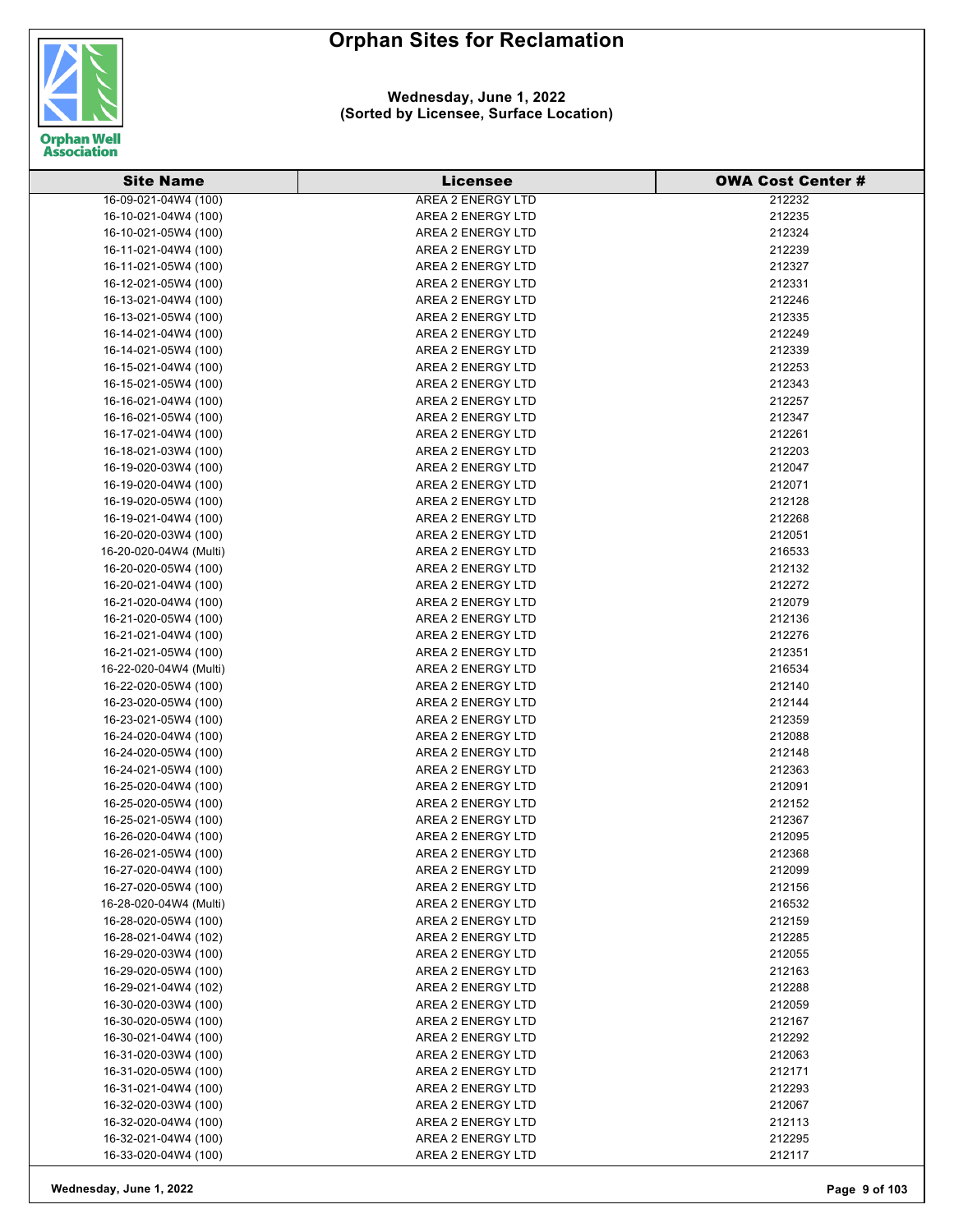

| <b>Site Name</b>       | <b>Licensee</b>          | <b>OWA Cost Center #</b> |
|------------------------|--------------------------|--------------------------|
| 16-09-021-04W4 (100)   | <b>AREA 2 ENERGY LTD</b> | 212232                   |
| 16-10-021-04W4 (100)   | AREA 2 ENERGY LTD        | 212235                   |
| 16-10-021-05W4 (100)   | AREA 2 ENERGY LTD        | 212324                   |
| 16-11-021-04W4 (100)   | AREA 2 ENERGY LTD        | 212239                   |
| 16-11-021-05W4 (100)   | AREA 2 ENERGY LTD        | 212327                   |
| 16-12-021-05W4 (100)   | AREA 2 ENERGY LTD        | 212331                   |
| 16-13-021-04W4 (100)   | AREA 2 ENERGY LTD        | 212246                   |
| 16-13-021-05W4 (100)   | AREA 2 ENERGY LTD        | 212335                   |
| 16-14-021-04W4 (100)   | AREA 2 ENERGY LTD        | 212249                   |
| 16-14-021-05W4 (100)   | AREA 2 ENERGY LTD        | 212339                   |
| 16-15-021-04W4 (100)   | AREA 2 ENERGY LTD        | 212253                   |
| 16-15-021-05W4 (100)   | AREA 2 ENERGY LTD        | 212343                   |
| 16-16-021-04W4 (100)   | AREA 2 ENERGY LTD        | 212257                   |
| 16-16-021-05W4 (100)   | AREA 2 ENERGY LTD        | 212347                   |
| 16-17-021-04W4 (100)   | AREA 2 ENERGY LTD        | 212261                   |
| 16-18-021-03W4 (100)   | AREA 2 ENERGY LTD        | 212203                   |
| 16-19-020-03W4 (100)   | AREA 2 ENERGY LTD        | 212047                   |
| 16-19-020-04W4 (100)   | AREA 2 ENERGY LTD        | 212071                   |
| 16-19-020-05W4 (100)   | AREA 2 ENERGY LTD        | 212128                   |
| 16-19-021-04W4 (100)   | AREA 2 ENERGY LTD        | 212268                   |
| 16-20-020-03W4 (100)   | AREA 2 ENERGY LTD        | 212051                   |
| 16-20-020-04W4 (Multi) | AREA 2 ENERGY LTD        | 216533                   |
| 16-20-020-05W4 (100)   | AREA 2 ENERGY LTD        | 212132                   |
| 16-20-021-04W4 (100)   | AREA 2 ENERGY LTD        | 212272                   |
| 16-21-020-04W4 (100)   | AREA 2 ENERGY LTD        | 212079                   |
| 16-21-020-05W4 (100)   | AREA 2 ENERGY LTD        | 212136                   |
| 16-21-021-04W4 (100)   | AREA 2 ENERGY LTD        | 212276                   |
| 16-21-021-05W4 (100)   | AREA 2 ENERGY LTD        | 212351                   |
| 16-22-020-04W4 (Multi) | AREA 2 ENERGY LTD        | 216534                   |
| 16-22-020-05W4 (100)   | AREA 2 ENERGY LTD        | 212140                   |
| 16-23-020-05W4 (100)   | AREA 2 ENERGY LTD        | 212144                   |
| 16-23-021-05W4 (100)   | AREA 2 ENERGY LTD        | 212359                   |
| 16-24-020-04W4 (100)   | AREA 2 ENERGY LTD        | 212088                   |
| 16-24-020-05W4 (100)   | AREA 2 ENERGY LTD        | 212148                   |
| 16-24-021-05W4 (100)   | AREA 2 ENERGY LTD        | 212363                   |
| 16-25-020-04W4 (100)   | AREA 2 ENERGY LTD        | 212091                   |
| 16-25-020-05W4 (100)   | AREA 2 ENERGY LTD        | 212152                   |
| 16-25-021-05W4 (100)   | AREA 2 ENERGY LTD        | 212367                   |
| 16-26-020-04W4 (100)   | AREA 2 ENERGY LTD        | 212095                   |
| 16-26-021-05W4 (100)   | AREA 2 ENERGY LTD        | 212368                   |
| 16-27-020-04W4 (100)   | AREA 2 ENERGY LTD        | 212099                   |
| 16-27-020-05W4 (100)   | AREA 2 ENERGY LTD        | 212156                   |
| 16-28-020-04W4 (Multi) | AREA 2 ENERGY LTD        | 216532                   |
| 16-28-020-05W4 (100)   | AREA 2 ENERGY LTD        | 212159                   |
| 16-28-021-04W4 (102)   | AREA 2 ENERGY LTD        | 212285                   |
| 16-29-020-03W4 (100)   | AREA 2 ENERGY LTD        | 212055                   |
| 16-29-020-05W4 (100)   | AREA 2 ENERGY LTD        | 212163                   |
| 16-29-021-04W4 (102)   | AREA 2 ENERGY LTD        | 212288                   |
| 16-30-020-03W4 (100)   | AREA 2 ENERGY LTD        | 212059                   |
| 16-30-020-05W4 (100)   | AREA 2 ENERGY LTD        | 212167                   |
| 16-30-021-04W4 (100)   | AREA 2 ENERGY LTD        | 212292                   |
| 16-31-020-03W4 (100)   | AREA 2 ENERGY LTD        | 212063                   |
| 16-31-020-05W4 (100)   | AREA 2 ENERGY LTD        | 212171                   |
| 16-31-021-04W4 (100)   | AREA 2 ENERGY LTD        | 212293                   |
| 16-32-020-03W4 (100)   | AREA 2 ENERGY LTD        | 212067                   |
| 16-32-020-04W4 (100)   | AREA 2 ENERGY LTD        | 212113                   |
| 16-32-021-04W4 (100)   | AREA 2 ENERGY LTD        | 212295                   |
| 16-33-020-04W4 (100)   | AREA 2 ENERGY LTD        | 212117                   |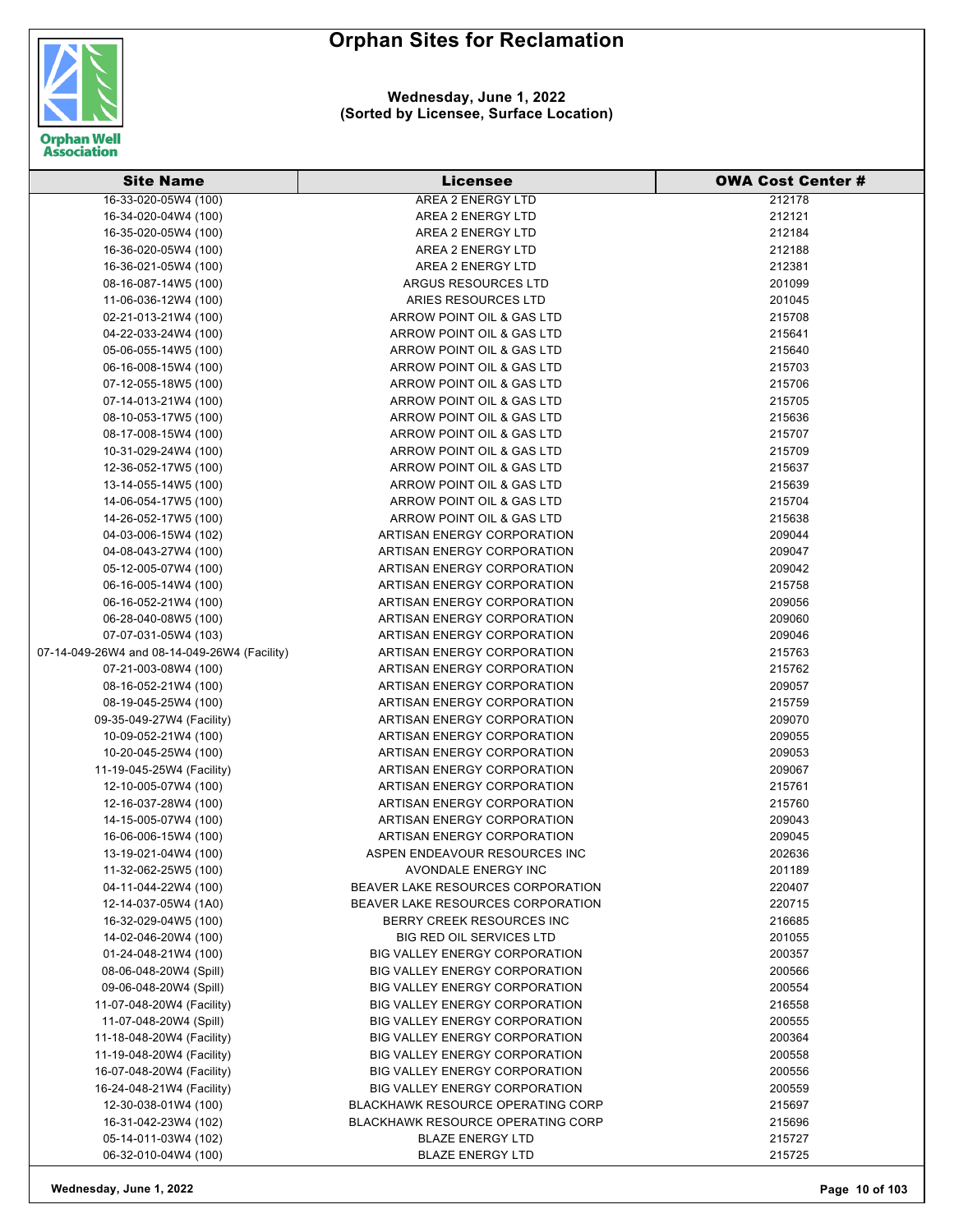

#### **Wednesday, June 1, 2022 (Sorted by Licensee, Surface Location)**

| 16-33-020-05W4 (100)<br>212178<br>AREA 2 ENERGY LTD<br>16-34-020-04W4 (100)<br>AREA 2 ENERGY LTD<br>212121<br>212184<br>16-35-020-05W4 (100)<br>AREA 2 ENERGY LTD<br>16-36-020-05W4 (100)<br>AREA 2 ENERGY LTD<br>212188<br>AREA 2 ENERGY LTD<br>212381<br>16-36-021-05W4 (100)<br>08-16-087-14W5 (100)<br>ARGUS RESOURCES LTD<br>201099<br>ARIES RESOURCES LTD<br>11-06-036-12W4 (100)<br>201045<br>02-21-013-21W4 (100)<br>ARROW POINT OIL & GAS LTD<br>215708<br>04-22-033-24W4 (100)<br>ARROW POINT OIL & GAS LTD<br>215641<br>ARROW POINT OIL & GAS LTD<br>05-06-055-14W5 (100)<br>215640<br>06-16-008-15W4 (100)<br>ARROW POINT OIL & GAS LTD<br>215703<br>ARROW POINT OIL & GAS LTD<br>215706<br>07-12-055-18W5 (100)<br>07-14-013-21W4 (100)<br>ARROW POINT OIL & GAS LTD<br>215705<br>08-10-053-17W5 (100)<br>ARROW POINT OIL & GAS LTD<br>215636<br>ARROW POINT OIL & GAS LTD<br>215707<br>08-17-008-15W4 (100)<br>10-31-029-24W4 (100)<br>ARROW POINT OIL & GAS LTD<br>215709<br>12-36-052-17W5 (100)<br>ARROW POINT OIL & GAS LTD<br>215637<br>13-14-055-14W5 (100)<br>ARROW POINT OIL & GAS LTD<br>215639<br>14-06-054-17W5 (100)<br>ARROW POINT OIL & GAS LTD<br>215704<br>ARROW POINT OIL & GAS LTD<br>215638<br>14-26-052-17W5 (100)<br>04-03-006-15W4 (102)<br>209044<br>ARTISAN ENERGY CORPORATION<br>04-08-043-27W4 (100)<br>ARTISAN ENERGY CORPORATION<br>209047<br>05-12-005-07W4 (100)<br>209042<br>ARTISAN ENERGY CORPORATION<br>06-16-005-14W4 (100)<br>215758<br>ARTISAN ENERGY CORPORATION<br>06-16-052-21W4 (100)<br>ARTISAN ENERGY CORPORATION<br>209056<br>209060<br>06-28-040-08W5 (100)<br>ARTISAN ENERGY CORPORATION<br>07-07-031-05W4 (103)<br>ARTISAN ENERGY CORPORATION<br>209046<br>07-14-049-26W4 and 08-14-049-26W4 (Facility)<br>215763<br>ARTISAN ENERGY CORPORATION<br>07-21-003-08W4 (100)<br>ARTISAN ENERGY CORPORATION<br>215762<br>08-16-052-21W4 (100)<br>ARTISAN ENERGY CORPORATION<br>209057<br>08-19-045-25W4 (100)<br>ARTISAN ENERGY CORPORATION<br>215759<br>09-35-049-27W4 (Facility)<br>ARTISAN ENERGY CORPORATION<br>209070<br>10-09-052-21W4 (100)<br>ARTISAN ENERGY CORPORATION<br>209055<br>209053<br>10-20-045-25W4 (100)<br>ARTISAN ENERGY CORPORATION<br>11-19-045-25W4 (Facility)<br>ARTISAN ENERGY CORPORATION<br>209067<br>12-10-005-07W4 (100)<br>ARTISAN ENERGY CORPORATION<br>215761<br>12-16-037-28W4 (100)<br>ARTISAN ENERGY CORPORATION<br>215760<br>14-15-005-07W4 (100)<br>ARTISAN ENERGY CORPORATION<br>209043<br>209045<br>16-06-006-15W4 (100)<br>ARTISAN ENERGY CORPORATION<br>13-19-021-04W4 (100)<br>ASPEN ENDEAVOUR RESOURCES INC<br>202636<br>201189<br>11-32-062-25W5 (100)<br>AVONDALE ENERGY INC<br>04-11-044-22W4 (100)<br>BEAVER LAKE RESOURCES CORPORATION<br>220407<br>220715<br>12-14-037-05W4 (1A0)<br>BEAVER LAKE RESOURCES CORPORATION<br>16-32-029-04W5 (100)<br>BERRY CREEK RESOURCES INC<br>216685<br><b>BIG RED OIL SERVICES LTD</b><br>14-02-046-20W4 (100)<br>201055<br>01-24-048-21W4 (100)<br><b>BIG VALLEY ENERGY CORPORATION</b><br>200357<br>08-06-048-20W4 (Spill)<br><b>BIG VALLEY ENERGY CORPORATION</b><br>200566<br>09-06-048-20W4 (Spill)<br><b>BIG VALLEY ENERGY CORPORATION</b><br>200554<br>11-07-048-20W4 (Facility)<br><b>BIG VALLEY ENERGY CORPORATION</b><br>216558<br>11-07-048-20W4 (Spill)<br><b>BIG VALLEY ENERGY CORPORATION</b><br>200555<br>11-18-048-20W4 (Facility)<br>BIG VALLEY ENERGY CORPORATION<br>200364<br>11-19-048-20W4 (Facility)<br>BIG VALLEY ENERGY CORPORATION<br>200558<br>16-07-048-20W4 (Facility)<br>BIG VALLEY ENERGY CORPORATION<br>200556<br>16-24-048-21W4 (Facility)<br><b>BIG VALLEY ENERGY CORPORATION</b><br>200559<br><b>BLACKHAWK RESOURCE OPERATING CORP</b><br>12-30-038-01W4 (100)<br>215697<br>16-31-042-23W4 (102)<br><b>BLACKHAWK RESOURCE OPERATING CORP</b><br>215696<br>05-14-011-03W4 (102)<br><b>BLAZE ENERGY LTD</b><br>215727<br>06-32-010-04W4 (100)<br><b>BLAZE ENERGY LTD</b><br>215725 | <b>Site Name</b> | <b>Licensee</b> | <b>OWA Cost Center #</b> |
|----------------------------------------------------------------------------------------------------------------------------------------------------------------------------------------------------------------------------------------------------------------------------------------------------------------------------------------------------------------------------------------------------------------------------------------------------------------------------------------------------------------------------------------------------------------------------------------------------------------------------------------------------------------------------------------------------------------------------------------------------------------------------------------------------------------------------------------------------------------------------------------------------------------------------------------------------------------------------------------------------------------------------------------------------------------------------------------------------------------------------------------------------------------------------------------------------------------------------------------------------------------------------------------------------------------------------------------------------------------------------------------------------------------------------------------------------------------------------------------------------------------------------------------------------------------------------------------------------------------------------------------------------------------------------------------------------------------------------------------------------------------------------------------------------------------------------------------------------------------------------------------------------------------------------------------------------------------------------------------------------------------------------------------------------------------------------------------------------------------------------------------------------------------------------------------------------------------------------------------------------------------------------------------------------------------------------------------------------------------------------------------------------------------------------------------------------------------------------------------------------------------------------------------------------------------------------------------------------------------------------------------------------------------------------------------------------------------------------------------------------------------------------------------------------------------------------------------------------------------------------------------------------------------------------------------------------------------------------------------------------------------------------------------------------------------------------------------------------------------------------------------------------------------------------------------------------------------------------------------------------------------------------------------------------------------------------------------------------------------------------------------------------------------------------------------------------------------------------------------------------------------------------------------------------------------------------------------------------------------------------------------------------------------------------------------------------------------------------------------------------------------------------------------------------------------------------------------------------------------------------------------------------------------------------------------------------------------|------------------|-----------------|--------------------------|
|                                                                                                                                                                                                                                                                                                                                                                                                                                                                                                                                                                                                                                                                                                                                                                                                                                                                                                                                                                                                                                                                                                                                                                                                                                                                                                                                                                                                                                                                                                                                                                                                                                                                                                                                                                                                                                                                                                                                                                                                                                                                                                                                                                                                                                                                                                                                                                                                                                                                                                                                                                                                                                                                                                                                                                                                                                                                                                                                                                                                                                                                                                                                                                                                                                                                                                                                                                                                                                                                                                                                                                                                                                                                                                                                                                                                                                                                                                                                                                |                  |                 |                          |
|                                                                                                                                                                                                                                                                                                                                                                                                                                                                                                                                                                                                                                                                                                                                                                                                                                                                                                                                                                                                                                                                                                                                                                                                                                                                                                                                                                                                                                                                                                                                                                                                                                                                                                                                                                                                                                                                                                                                                                                                                                                                                                                                                                                                                                                                                                                                                                                                                                                                                                                                                                                                                                                                                                                                                                                                                                                                                                                                                                                                                                                                                                                                                                                                                                                                                                                                                                                                                                                                                                                                                                                                                                                                                                                                                                                                                                                                                                                                                                |                  |                 |                          |
|                                                                                                                                                                                                                                                                                                                                                                                                                                                                                                                                                                                                                                                                                                                                                                                                                                                                                                                                                                                                                                                                                                                                                                                                                                                                                                                                                                                                                                                                                                                                                                                                                                                                                                                                                                                                                                                                                                                                                                                                                                                                                                                                                                                                                                                                                                                                                                                                                                                                                                                                                                                                                                                                                                                                                                                                                                                                                                                                                                                                                                                                                                                                                                                                                                                                                                                                                                                                                                                                                                                                                                                                                                                                                                                                                                                                                                                                                                                                                                |                  |                 |                          |
|                                                                                                                                                                                                                                                                                                                                                                                                                                                                                                                                                                                                                                                                                                                                                                                                                                                                                                                                                                                                                                                                                                                                                                                                                                                                                                                                                                                                                                                                                                                                                                                                                                                                                                                                                                                                                                                                                                                                                                                                                                                                                                                                                                                                                                                                                                                                                                                                                                                                                                                                                                                                                                                                                                                                                                                                                                                                                                                                                                                                                                                                                                                                                                                                                                                                                                                                                                                                                                                                                                                                                                                                                                                                                                                                                                                                                                                                                                                                                                |                  |                 |                          |
|                                                                                                                                                                                                                                                                                                                                                                                                                                                                                                                                                                                                                                                                                                                                                                                                                                                                                                                                                                                                                                                                                                                                                                                                                                                                                                                                                                                                                                                                                                                                                                                                                                                                                                                                                                                                                                                                                                                                                                                                                                                                                                                                                                                                                                                                                                                                                                                                                                                                                                                                                                                                                                                                                                                                                                                                                                                                                                                                                                                                                                                                                                                                                                                                                                                                                                                                                                                                                                                                                                                                                                                                                                                                                                                                                                                                                                                                                                                                                                |                  |                 |                          |
|                                                                                                                                                                                                                                                                                                                                                                                                                                                                                                                                                                                                                                                                                                                                                                                                                                                                                                                                                                                                                                                                                                                                                                                                                                                                                                                                                                                                                                                                                                                                                                                                                                                                                                                                                                                                                                                                                                                                                                                                                                                                                                                                                                                                                                                                                                                                                                                                                                                                                                                                                                                                                                                                                                                                                                                                                                                                                                                                                                                                                                                                                                                                                                                                                                                                                                                                                                                                                                                                                                                                                                                                                                                                                                                                                                                                                                                                                                                                                                |                  |                 |                          |
|                                                                                                                                                                                                                                                                                                                                                                                                                                                                                                                                                                                                                                                                                                                                                                                                                                                                                                                                                                                                                                                                                                                                                                                                                                                                                                                                                                                                                                                                                                                                                                                                                                                                                                                                                                                                                                                                                                                                                                                                                                                                                                                                                                                                                                                                                                                                                                                                                                                                                                                                                                                                                                                                                                                                                                                                                                                                                                                                                                                                                                                                                                                                                                                                                                                                                                                                                                                                                                                                                                                                                                                                                                                                                                                                                                                                                                                                                                                                                                |                  |                 |                          |
|                                                                                                                                                                                                                                                                                                                                                                                                                                                                                                                                                                                                                                                                                                                                                                                                                                                                                                                                                                                                                                                                                                                                                                                                                                                                                                                                                                                                                                                                                                                                                                                                                                                                                                                                                                                                                                                                                                                                                                                                                                                                                                                                                                                                                                                                                                                                                                                                                                                                                                                                                                                                                                                                                                                                                                                                                                                                                                                                                                                                                                                                                                                                                                                                                                                                                                                                                                                                                                                                                                                                                                                                                                                                                                                                                                                                                                                                                                                                                                |                  |                 |                          |
|                                                                                                                                                                                                                                                                                                                                                                                                                                                                                                                                                                                                                                                                                                                                                                                                                                                                                                                                                                                                                                                                                                                                                                                                                                                                                                                                                                                                                                                                                                                                                                                                                                                                                                                                                                                                                                                                                                                                                                                                                                                                                                                                                                                                                                                                                                                                                                                                                                                                                                                                                                                                                                                                                                                                                                                                                                                                                                                                                                                                                                                                                                                                                                                                                                                                                                                                                                                                                                                                                                                                                                                                                                                                                                                                                                                                                                                                                                                                                                |                  |                 |                          |
|                                                                                                                                                                                                                                                                                                                                                                                                                                                                                                                                                                                                                                                                                                                                                                                                                                                                                                                                                                                                                                                                                                                                                                                                                                                                                                                                                                                                                                                                                                                                                                                                                                                                                                                                                                                                                                                                                                                                                                                                                                                                                                                                                                                                                                                                                                                                                                                                                                                                                                                                                                                                                                                                                                                                                                                                                                                                                                                                                                                                                                                                                                                                                                                                                                                                                                                                                                                                                                                                                                                                                                                                                                                                                                                                                                                                                                                                                                                                                                |                  |                 |                          |
|                                                                                                                                                                                                                                                                                                                                                                                                                                                                                                                                                                                                                                                                                                                                                                                                                                                                                                                                                                                                                                                                                                                                                                                                                                                                                                                                                                                                                                                                                                                                                                                                                                                                                                                                                                                                                                                                                                                                                                                                                                                                                                                                                                                                                                                                                                                                                                                                                                                                                                                                                                                                                                                                                                                                                                                                                                                                                                                                                                                                                                                                                                                                                                                                                                                                                                                                                                                                                                                                                                                                                                                                                                                                                                                                                                                                                                                                                                                                                                |                  |                 |                          |
|                                                                                                                                                                                                                                                                                                                                                                                                                                                                                                                                                                                                                                                                                                                                                                                                                                                                                                                                                                                                                                                                                                                                                                                                                                                                                                                                                                                                                                                                                                                                                                                                                                                                                                                                                                                                                                                                                                                                                                                                                                                                                                                                                                                                                                                                                                                                                                                                                                                                                                                                                                                                                                                                                                                                                                                                                                                                                                                                                                                                                                                                                                                                                                                                                                                                                                                                                                                                                                                                                                                                                                                                                                                                                                                                                                                                                                                                                                                                                                |                  |                 |                          |
|                                                                                                                                                                                                                                                                                                                                                                                                                                                                                                                                                                                                                                                                                                                                                                                                                                                                                                                                                                                                                                                                                                                                                                                                                                                                                                                                                                                                                                                                                                                                                                                                                                                                                                                                                                                                                                                                                                                                                                                                                                                                                                                                                                                                                                                                                                                                                                                                                                                                                                                                                                                                                                                                                                                                                                                                                                                                                                                                                                                                                                                                                                                                                                                                                                                                                                                                                                                                                                                                                                                                                                                                                                                                                                                                                                                                                                                                                                                                                                |                  |                 |                          |
|                                                                                                                                                                                                                                                                                                                                                                                                                                                                                                                                                                                                                                                                                                                                                                                                                                                                                                                                                                                                                                                                                                                                                                                                                                                                                                                                                                                                                                                                                                                                                                                                                                                                                                                                                                                                                                                                                                                                                                                                                                                                                                                                                                                                                                                                                                                                                                                                                                                                                                                                                                                                                                                                                                                                                                                                                                                                                                                                                                                                                                                                                                                                                                                                                                                                                                                                                                                                                                                                                                                                                                                                                                                                                                                                                                                                                                                                                                                                                                |                  |                 |                          |
|                                                                                                                                                                                                                                                                                                                                                                                                                                                                                                                                                                                                                                                                                                                                                                                                                                                                                                                                                                                                                                                                                                                                                                                                                                                                                                                                                                                                                                                                                                                                                                                                                                                                                                                                                                                                                                                                                                                                                                                                                                                                                                                                                                                                                                                                                                                                                                                                                                                                                                                                                                                                                                                                                                                                                                                                                                                                                                                                                                                                                                                                                                                                                                                                                                                                                                                                                                                                                                                                                                                                                                                                                                                                                                                                                                                                                                                                                                                                                                |                  |                 |                          |
|                                                                                                                                                                                                                                                                                                                                                                                                                                                                                                                                                                                                                                                                                                                                                                                                                                                                                                                                                                                                                                                                                                                                                                                                                                                                                                                                                                                                                                                                                                                                                                                                                                                                                                                                                                                                                                                                                                                                                                                                                                                                                                                                                                                                                                                                                                                                                                                                                                                                                                                                                                                                                                                                                                                                                                                                                                                                                                                                                                                                                                                                                                                                                                                                                                                                                                                                                                                                                                                                                                                                                                                                                                                                                                                                                                                                                                                                                                                                                                |                  |                 |                          |
|                                                                                                                                                                                                                                                                                                                                                                                                                                                                                                                                                                                                                                                                                                                                                                                                                                                                                                                                                                                                                                                                                                                                                                                                                                                                                                                                                                                                                                                                                                                                                                                                                                                                                                                                                                                                                                                                                                                                                                                                                                                                                                                                                                                                                                                                                                                                                                                                                                                                                                                                                                                                                                                                                                                                                                                                                                                                                                                                                                                                                                                                                                                                                                                                                                                                                                                                                                                                                                                                                                                                                                                                                                                                                                                                                                                                                                                                                                                                                                |                  |                 |                          |
|                                                                                                                                                                                                                                                                                                                                                                                                                                                                                                                                                                                                                                                                                                                                                                                                                                                                                                                                                                                                                                                                                                                                                                                                                                                                                                                                                                                                                                                                                                                                                                                                                                                                                                                                                                                                                                                                                                                                                                                                                                                                                                                                                                                                                                                                                                                                                                                                                                                                                                                                                                                                                                                                                                                                                                                                                                                                                                                                                                                                                                                                                                                                                                                                                                                                                                                                                                                                                                                                                                                                                                                                                                                                                                                                                                                                                                                                                                                                                                |                  |                 |                          |
|                                                                                                                                                                                                                                                                                                                                                                                                                                                                                                                                                                                                                                                                                                                                                                                                                                                                                                                                                                                                                                                                                                                                                                                                                                                                                                                                                                                                                                                                                                                                                                                                                                                                                                                                                                                                                                                                                                                                                                                                                                                                                                                                                                                                                                                                                                                                                                                                                                                                                                                                                                                                                                                                                                                                                                                                                                                                                                                                                                                                                                                                                                                                                                                                                                                                                                                                                                                                                                                                                                                                                                                                                                                                                                                                                                                                                                                                                                                                                                |                  |                 |                          |
|                                                                                                                                                                                                                                                                                                                                                                                                                                                                                                                                                                                                                                                                                                                                                                                                                                                                                                                                                                                                                                                                                                                                                                                                                                                                                                                                                                                                                                                                                                                                                                                                                                                                                                                                                                                                                                                                                                                                                                                                                                                                                                                                                                                                                                                                                                                                                                                                                                                                                                                                                                                                                                                                                                                                                                                                                                                                                                                                                                                                                                                                                                                                                                                                                                                                                                                                                                                                                                                                                                                                                                                                                                                                                                                                                                                                                                                                                                                                                                |                  |                 |                          |
|                                                                                                                                                                                                                                                                                                                                                                                                                                                                                                                                                                                                                                                                                                                                                                                                                                                                                                                                                                                                                                                                                                                                                                                                                                                                                                                                                                                                                                                                                                                                                                                                                                                                                                                                                                                                                                                                                                                                                                                                                                                                                                                                                                                                                                                                                                                                                                                                                                                                                                                                                                                                                                                                                                                                                                                                                                                                                                                                                                                                                                                                                                                                                                                                                                                                                                                                                                                                                                                                                                                                                                                                                                                                                                                                                                                                                                                                                                                                                                |                  |                 |                          |
|                                                                                                                                                                                                                                                                                                                                                                                                                                                                                                                                                                                                                                                                                                                                                                                                                                                                                                                                                                                                                                                                                                                                                                                                                                                                                                                                                                                                                                                                                                                                                                                                                                                                                                                                                                                                                                                                                                                                                                                                                                                                                                                                                                                                                                                                                                                                                                                                                                                                                                                                                                                                                                                                                                                                                                                                                                                                                                                                                                                                                                                                                                                                                                                                                                                                                                                                                                                                                                                                                                                                                                                                                                                                                                                                                                                                                                                                                                                                                                |                  |                 |                          |
|                                                                                                                                                                                                                                                                                                                                                                                                                                                                                                                                                                                                                                                                                                                                                                                                                                                                                                                                                                                                                                                                                                                                                                                                                                                                                                                                                                                                                                                                                                                                                                                                                                                                                                                                                                                                                                                                                                                                                                                                                                                                                                                                                                                                                                                                                                                                                                                                                                                                                                                                                                                                                                                                                                                                                                                                                                                                                                                                                                                                                                                                                                                                                                                                                                                                                                                                                                                                                                                                                                                                                                                                                                                                                                                                                                                                                                                                                                                                                                |                  |                 |                          |
|                                                                                                                                                                                                                                                                                                                                                                                                                                                                                                                                                                                                                                                                                                                                                                                                                                                                                                                                                                                                                                                                                                                                                                                                                                                                                                                                                                                                                                                                                                                                                                                                                                                                                                                                                                                                                                                                                                                                                                                                                                                                                                                                                                                                                                                                                                                                                                                                                                                                                                                                                                                                                                                                                                                                                                                                                                                                                                                                                                                                                                                                                                                                                                                                                                                                                                                                                                                                                                                                                                                                                                                                                                                                                                                                                                                                                                                                                                                                                                |                  |                 |                          |
|                                                                                                                                                                                                                                                                                                                                                                                                                                                                                                                                                                                                                                                                                                                                                                                                                                                                                                                                                                                                                                                                                                                                                                                                                                                                                                                                                                                                                                                                                                                                                                                                                                                                                                                                                                                                                                                                                                                                                                                                                                                                                                                                                                                                                                                                                                                                                                                                                                                                                                                                                                                                                                                                                                                                                                                                                                                                                                                                                                                                                                                                                                                                                                                                                                                                                                                                                                                                                                                                                                                                                                                                                                                                                                                                                                                                                                                                                                                                                                |                  |                 |                          |
|                                                                                                                                                                                                                                                                                                                                                                                                                                                                                                                                                                                                                                                                                                                                                                                                                                                                                                                                                                                                                                                                                                                                                                                                                                                                                                                                                                                                                                                                                                                                                                                                                                                                                                                                                                                                                                                                                                                                                                                                                                                                                                                                                                                                                                                                                                                                                                                                                                                                                                                                                                                                                                                                                                                                                                                                                                                                                                                                                                                                                                                                                                                                                                                                                                                                                                                                                                                                                                                                                                                                                                                                                                                                                                                                                                                                                                                                                                                                                                |                  |                 |                          |
|                                                                                                                                                                                                                                                                                                                                                                                                                                                                                                                                                                                                                                                                                                                                                                                                                                                                                                                                                                                                                                                                                                                                                                                                                                                                                                                                                                                                                                                                                                                                                                                                                                                                                                                                                                                                                                                                                                                                                                                                                                                                                                                                                                                                                                                                                                                                                                                                                                                                                                                                                                                                                                                                                                                                                                                                                                                                                                                                                                                                                                                                                                                                                                                                                                                                                                                                                                                                                                                                                                                                                                                                                                                                                                                                                                                                                                                                                                                                                                |                  |                 |                          |
|                                                                                                                                                                                                                                                                                                                                                                                                                                                                                                                                                                                                                                                                                                                                                                                                                                                                                                                                                                                                                                                                                                                                                                                                                                                                                                                                                                                                                                                                                                                                                                                                                                                                                                                                                                                                                                                                                                                                                                                                                                                                                                                                                                                                                                                                                                                                                                                                                                                                                                                                                                                                                                                                                                                                                                                                                                                                                                                                                                                                                                                                                                                                                                                                                                                                                                                                                                                                                                                                                                                                                                                                                                                                                                                                                                                                                                                                                                                                                                |                  |                 |                          |
|                                                                                                                                                                                                                                                                                                                                                                                                                                                                                                                                                                                                                                                                                                                                                                                                                                                                                                                                                                                                                                                                                                                                                                                                                                                                                                                                                                                                                                                                                                                                                                                                                                                                                                                                                                                                                                                                                                                                                                                                                                                                                                                                                                                                                                                                                                                                                                                                                                                                                                                                                                                                                                                                                                                                                                                                                                                                                                                                                                                                                                                                                                                                                                                                                                                                                                                                                                                                                                                                                                                                                                                                                                                                                                                                                                                                                                                                                                                                                                |                  |                 |                          |
|                                                                                                                                                                                                                                                                                                                                                                                                                                                                                                                                                                                                                                                                                                                                                                                                                                                                                                                                                                                                                                                                                                                                                                                                                                                                                                                                                                                                                                                                                                                                                                                                                                                                                                                                                                                                                                                                                                                                                                                                                                                                                                                                                                                                                                                                                                                                                                                                                                                                                                                                                                                                                                                                                                                                                                                                                                                                                                                                                                                                                                                                                                                                                                                                                                                                                                                                                                                                                                                                                                                                                                                                                                                                                                                                                                                                                                                                                                                                                                |                  |                 |                          |
|                                                                                                                                                                                                                                                                                                                                                                                                                                                                                                                                                                                                                                                                                                                                                                                                                                                                                                                                                                                                                                                                                                                                                                                                                                                                                                                                                                                                                                                                                                                                                                                                                                                                                                                                                                                                                                                                                                                                                                                                                                                                                                                                                                                                                                                                                                                                                                                                                                                                                                                                                                                                                                                                                                                                                                                                                                                                                                                                                                                                                                                                                                                                                                                                                                                                                                                                                                                                                                                                                                                                                                                                                                                                                                                                                                                                                                                                                                                                                                |                  |                 |                          |
|                                                                                                                                                                                                                                                                                                                                                                                                                                                                                                                                                                                                                                                                                                                                                                                                                                                                                                                                                                                                                                                                                                                                                                                                                                                                                                                                                                                                                                                                                                                                                                                                                                                                                                                                                                                                                                                                                                                                                                                                                                                                                                                                                                                                                                                                                                                                                                                                                                                                                                                                                                                                                                                                                                                                                                                                                                                                                                                                                                                                                                                                                                                                                                                                                                                                                                                                                                                                                                                                                                                                                                                                                                                                                                                                                                                                                                                                                                                                                                |                  |                 |                          |
|                                                                                                                                                                                                                                                                                                                                                                                                                                                                                                                                                                                                                                                                                                                                                                                                                                                                                                                                                                                                                                                                                                                                                                                                                                                                                                                                                                                                                                                                                                                                                                                                                                                                                                                                                                                                                                                                                                                                                                                                                                                                                                                                                                                                                                                                                                                                                                                                                                                                                                                                                                                                                                                                                                                                                                                                                                                                                                                                                                                                                                                                                                                                                                                                                                                                                                                                                                                                                                                                                                                                                                                                                                                                                                                                                                                                                                                                                                                                                                |                  |                 |                          |
|                                                                                                                                                                                                                                                                                                                                                                                                                                                                                                                                                                                                                                                                                                                                                                                                                                                                                                                                                                                                                                                                                                                                                                                                                                                                                                                                                                                                                                                                                                                                                                                                                                                                                                                                                                                                                                                                                                                                                                                                                                                                                                                                                                                                                                                                                                                                                                                                                                                                                                                                                                                                                                                                                                                                                                                                                                                                                                                                                                                                                                                                                                                                                                                                                                                                                                                                                                                                                                                                                                                                                                                                                                                                                                                                                                                                                                                                                                                                                                |                  |                 |                          |
|                                                                                                                                                                                                                                                                                                                                                                                                                                                                                                                                                                                                                                                                                                                                                                                                                                                                                                                                                                                                                                                                                                                                                                                                                                                                                                                                                                                                                                                                                                                                                                                                                                                                                                                                                                                                                                                                                                                                                                                                                                                                                                                                                                                                                                                                                                                                                                                                                                                                                                                                                                                                                                                                                                                                                                                                                                                                                                                                                                                                                                                                                                                                                                                                                                                                                                                                                                                                                                                                                                                                                                                                                                                                                                                                                                                                                                                                                                                                                                |                  |                 |                          |
|                                                                                                                                                                                                                                                                                                                                                                                                                                                                                                                                                                                                                                                                                                                                                                                                                                                                                                                                                                                                                                                                                                                                                                                                                                                                                                                                                                                                                                                                                                                                                                                                                                                                                                                                                                                                                                                                                                                                                                                                                                                                                                                                                                                                                                                                                                                                                                                                                                                                                                                                                                                                                                                                                                                                                                                                                                                                                                                                                                                                                                                                                                                                                                                                                                                                                                                                                                                                                                                                                                                                                                                                                                                                                                                                                                                                                                                                                                                                                                |                  |                 |                          |
|                                                                                                                                                                                                                                                                                                                                                                                                                                                                                                                                                                                                                                                                                                                                                                                                                                                                                                                                                                                                                                                                                                                                                                                                                                                                                                                                                                                                                                                                                                                                                                                                                                                                                                                                                                                                                                                                                                                                                                                                                                                                                                                                                                                                                                                                                                                                                                                                                                                                                                                                                                                                                                                                                                                                                                                                                                                                                                                                                                                                                                                                                                                                                                                                                                                                                                                                                                                                                                                                                                                                                                                                                                                                                                                                                                                                                                                                                                                                                                |                  |                 |                          |
|                                                                                                                                                                                                                                                                                                                                                                                                                                                                                                                                                                                                                                                                                                                                                                                                                                                                                                                                                                                                                                                                                                                                                                                                                                                                                                                                                                                                                                                                                                                                                                                                                                                                                                                                                                                                                                                                                                                                                                                                                                                                                                                                                                                                                                                                                                                                                                                                                                                                                                                                                                                                                                                                                                                                                                                                                                                                                                                                                                                                                                                                                                                                                                                                                                                                                                                                                                                                                                                                                                                                                                                                                                                                                                                                                                                                                                                                                                                                                                |                  |                 |                          |
|                                                                                                                                                                                                                                                                                                                                                                                                                                                                                                                                                                                                                                                                                                                                                                                                                                                                                                                                                                                                                                                                                                                                                                                                                                                                                                                                                                                                                                                                                                                                                                                                                                                                                                                                                                                                                                                                                                                                                                                                                                                                                                                                                                                                                                                                                                                                                                                                                                                                                                                                                                                                                                                                                                                                                                                                                                                                                                                                                                                                                                                                                                                                                                                                                                                                                                                                                                                                                                                                                                                                                                                                                                                                                                                                                                                                                                                                                                                                                                |                  |                 |                          |
|                                                                                                                                                                                                                                                                                                                                                                                                                                                                                                                                                                                                                                                                                                                                                                                                                                                                                                                                                                                                                                                                                                                                                                                                                                                                                                                                                                                                                                                                                                                                                                                                                                                                                                                                                                                                                                                                                                                                                                                                                                                                                                                                                                                                                                                                                                                                                                                                                                                                                                                                                                                                                                                                                                                                                                                                                                                                                                                                                                                                                                                                                                                                                                                                                                                                                                                                                                                                                                                                                                                                                                                                                                                                                                                                                                                                                                                                                                                                                                |                  |                 |                          |
|                                                                                                                                                                                                                                                                                                                                                                                                                                                                                                                                                                                                                                                                                                                                                                                                                                                                                                                                                                                                                                                                                                                                                                                                                                                                                                                                                                                                                                                                                                                                                                                                                                                                                                                                                                                                                                                                                                                                                                                                                                                                                                                                                                                                                                                                                                                                                                                                                                                                                                                                                                                                                                                                                                                                                                                                                                                                                                                                                                                                                                                                                                                                                                                                                                                                                                                                                                                                                                                                                                                                                                                                                                                                                                                                                                                                                                                                                                                                                                |                  |                 |                          |
|                                                                                                                                                                                                                                                                                                                                                                                                                                                                                                                                                                                                                                                                                                                                                                                                                                                                                                                                                                                                                                                                                                                                                                                                                                                                                                                                                                                                                                                                                                                                                                                                                                                                                                                                                                                                                                                                                                                                                                                                                                                                                                                                                                                                                                                                                                                                                                                                                                                                                                                                                                                                                                                                                                                                                                                                                                                                                                                                                                                                                                                                                                                                                                                                                                                                                                                                                                                                                                                                                                                                                                                                                                                                                                                                                                                                                                                                                                                                                                |                  |                 |                          |
|                                                                                                                                                                                                                                                                                                                                                                                                                                                                                                                                                                                                                                                                                                                                                                                                                                                                                                                                                                                                                                                                                                                                                                                                                                                                                                                                                                                                                                                                                                                                                                                                                                                                                                                                                                                                                                                                                                                                                                                                                                                                                                                                                                                                                                                                                                                                                                                                                                                                                                                                                                                                                                                                                                                                                                                                                                                                                                                                                                                                                                                                                                                                                                                                                                                                                                                                                                                                                                                                                                                                                                                                                                                                                                                                                                                                                                                                                                                                                                |                  |                 |                          |
|                                                                                                                                                                                                                                                                                                                                                                                                                                                                                                                                                                                                                                                                                                                                                                                                                                                                                                                                                                                                                                                                                                                                                                                                                                                                                                                                                                                                                                                                                                                                                                                                                                                                                                                                                                                                                                                                                                                                                                                                                                                                                                                                                                                                                                                                                                                                                                                                                                                                                                                                                                                                                                                                                                                                                                                                                                                                                                                                                                                                                                                                                                                                                                                                                                                                                                                                                                                                                                                                                                                                                                                                                                                                                                                                                                                                                                                                                                                                                                |                  |                 |                          |
|                                                                                                                                                                                                                                                                                                                                                                                                                                                                                                                                                                                                                                                                                                                                                                                                                                                                                                                                                                                                                                                                                                                                                                                                                                                                                                                                                                                                                                                                                                                                                                                                                                                                                                                                                                                                                                                                                                                                                                                                                                                                                                                                                                                                                                                                                                                                                                                                                                                                                                                                                                                                                                                                                                                                                                                                                                                                                                                                                                                                                                                                                                                                                                                                                                                                                                                                                                                                                                                                                                                                                                                                                                                                                                                                                                                                                                                                                                                                                                |                  |                 |                          |
|                                                                                                                                                                                                                                                                                                                                                                                                                                                                                                                                                                                                                                                                                                                                                                                                                                                                                                                                                                                                                                                                                                                                                                                                                                                                                                                                                                                                                                                                                                                                                                                                                                                                                                                                                                                                                                                                                                                                                                                                                                                                                                                                                                                                                                                                                                                                                                                                                                                                                                                                                                                                                                                                                                                                                                                                                                                                                                                                                                                                                                                                                                                                                                                                                                                                                                                                                                                                                                                                                                                                                                                                                                                                                                                                                                                                                                                                                                                                                                |                  |                 |                          |
|                                                                                                                                                                                                                                                                                                                                                                                                                                                                                                                                                                                                                                                                                                                                                                                                                                                                                                                                                                                                                                                                                                                                                                                                                                                                                                                                                                                                                                                                                                                                                                                                                                                                                                                                                                                                                                                                                                                                                                                                                                                                                                                                                                                                                                                                                                                                                                                                                                                                                                                                                                                                                                                                                                                                                                                                                                                                                                                                                                                                                                                                                                                                                                                                                                                                                                                                                                                                                                                                                                                                                                                                                                                                                                                                                                                                                                                                                                                                                                |                  |                 |                          |
|                                                                                                                                                                                                                                                                                                                                                                                                                                                                                                                                                                                                                                                                                                                                                                                                                                                                                                                                                                                                                                                                                                                                                                                                                                                                                                                                                                                                                                                                                                                                                                                                                                                                                                                                                                                                                                                                                                                                                                                                                                                                                                                                                                                                                                                                                                                                                                                                                                                                                                                                                                                                                                                                                                                                                                                                                                                                                                                                                                                                                                                                                                                                                                                                                                                                                                                                                                                                                                                                                                                                                                                                                                                                                                                                                                                                                                                                                                                                                                |                  |                 |                          |
|                                                                                                                                                                                                                                                                                                                                                                                                                                                                                                                                                                                                                                                                                                                                                                                                                                                                                                                                                                                                                                                                                                                                                                                                                                                                                                                                                                                                                                                                                                                                                                                                                                                                                                                                                                                                                                                                                                                                                                                                                                                                                                                                                                                                                                                                                                                                                                                                                                                                                                                                                                                                                                                                                                                                                                                                                                                                                                                                                                                                                                                                                                                                                                                                                                                                                                                                                                                                                                                                                                                                                                                                                                                                                                                                                                                                                                                                                                                                                                |                  |                 |                          |
|                                                                                                                                                                                                                                                                                                                                                                                                                                                                                                                                                                                                                                                                                                                                                                                                                                                                                                                                                                                                                                                                                                                                                                                                                                                                                                                                                                                                                                                                                                                                                                                                                                                                                                                                                                                                                                                                                                                                                                                                                                                                                                                                                                                                                                                                                                                                                                                                                                                                                                                                                                                                                                                                                                                                                                                                                                                                                                                                                                                                                                                                                                                                                                                                                                                                                                                                                                                                                                                                                                                                                                                                                                                                                                                                                                                                                                                                                                                                                                |                  |                 |                          |
|                                                                                                                                                                                                                                                                                                                                                                                                                                                                                                                                                                                                                                                                                                                                                                                                                                                                                                                                                                                                                                                                                                                                                                                                                                                                                                                                                                                                                                                                                                                                                                                                                                                                                                                                                                                                                                                                                                                                                                                                                                                                                                                                                                                                                                                                                                                                                                                                                                                                                                                                                                                                                                                                                                                                                                                                                                                                                                                                                                                                                                                                                                                                                                                                                                                                                                                                                                                                                                                                                                                                                                                                                                                                                                                                                                                                                                                                                                                                                                |                  |                 |                          |
|                                                                                                                                                                                                                                                                                                                                                                                                                                                                                                                                                                                                                                                                                                                                                                                                                                                                                                                                                                                                                                                                                                                                                                                                                                                                                                                                                                                                                                                                                                                                                                                                                                                                                                                                                                                                                                                                                                                                                                                                                                                                                                                                                                                                                                                                                                                                                                                                                                                                                                                                                                                                                                                                                                                                                                                                                                                                                                                                                                                                                                                                                                                                                                                                                                                                                                                                                                                                                                                                                                                                                                                                                                                                                                                                                                                                                                                                                                                                                                |                  |                 |                          |
|                                                                                                                                                                                                                                                                                                                                                                                                                                                                                                                                                                                                                                                                                                                                                                                                                                                                                                                                                                                                                                                                                                                                                                                                                                                                                                                                                                                                                                                                                                                                                                                                                                                                                                                                                                                                                                                                                                                                                                                                                                                                                                                                                                                                                                                                                                                                                                                                                                                                                                                                                                                                                                                                                                                                                                                                                                                                                                                                                                                                                                                                                                                                                                                                                                                                                                                                                                                                                                                                                                                                                                                                                                                                                                                                                                                                                                                                                                                                                                |                  |                 |                          |
|                                                                                                                                                                                                                                                                                                                                                                                                                                                                                                                                                                                                                                                                                                                                                                                                                                                                                                                                                                                                                                                                                                                                                                                                                                                                                                                                                                                                                                                                                                                                                                                                                                                                                                                                                                                                                                                                                                                                                                                                                                                                                                                                                                                                                                                                                                                                                                                                                                                                                                                                                                                                                                                                                                                                                                                                                                                                                                                                                                                                                                                                                                                                                                                                                                                                                                                                                                                                                                                                                                                                                                                                                                                                                                                                                                                                                                                                                                                                                                |                  |                 |                          |
|                                                                                                                                                                                                                                                                                                                                                                                                                                                                                                                                                                                                                                                                                                                                                                                                                                                                                                                                                                                                                                                                                                                                                                                                                                                                                                                                                                                                                                                                                                                                                                                                                                                                                                                                                                                                                                                                                                                                                                                                                                                                                                                                                                                                                                                                                                                                                                                                                                                                                                                                                                                                                                                                                                                                                                                                                                                                                                                                                                                                                                                                                                                                                                                                                                                                                                                                                                                                                                                                                                                                                                                                                                                                                                                                                                                                                                                                                                                                                                |                  |                 |                          |
|                                                                                                                                                                                                                                                                                                                                                                                                                                                                                                                                                                                                                                                                                                                                                                                                                                                                                                                                                                                                                                                                                                                                                                                                                                                                                                                                                                                                                                                                                                                                                                                                                                                                                                                                                                                                                                                                                                                                                                                                                                                                                                                                                                                                                                                                                                                                                                                                                                                                                                                                                                                                                                                                                                                                                                                                                                                                                                                                                                                                                                                                                                                                                                                                                                                                                                                                                                                                                                                                                                                                                                                                                                                                                                                                                                                                                                                                                                                                                                |                  |                 |                          |
|                                                                                                                                                                                                                                                                                                                                                                                                                                                                                                                                                                                                                                                                                                                                                                                                                                                                                                                                                                                                                                                                                                                                                                                                                                                                                                                                                                                                                                                                                                                                                                                                                                                                                                                                                                                                                                                                                                                                                                                                                                                                                                                                                                                                                                                                                                                                                                                                                                                                                                                                                                                                                                                                                                                                                                                                                                                                                                                                                                                                                                                                                                                                                                                                                                                                                                                                                                                                                                                                                                                                                                                                                                                                                                                                                                                                                                                                                                                                                                |                  |                 |                          |

**Wednesday, June 1, 2022 Page 10 of 103**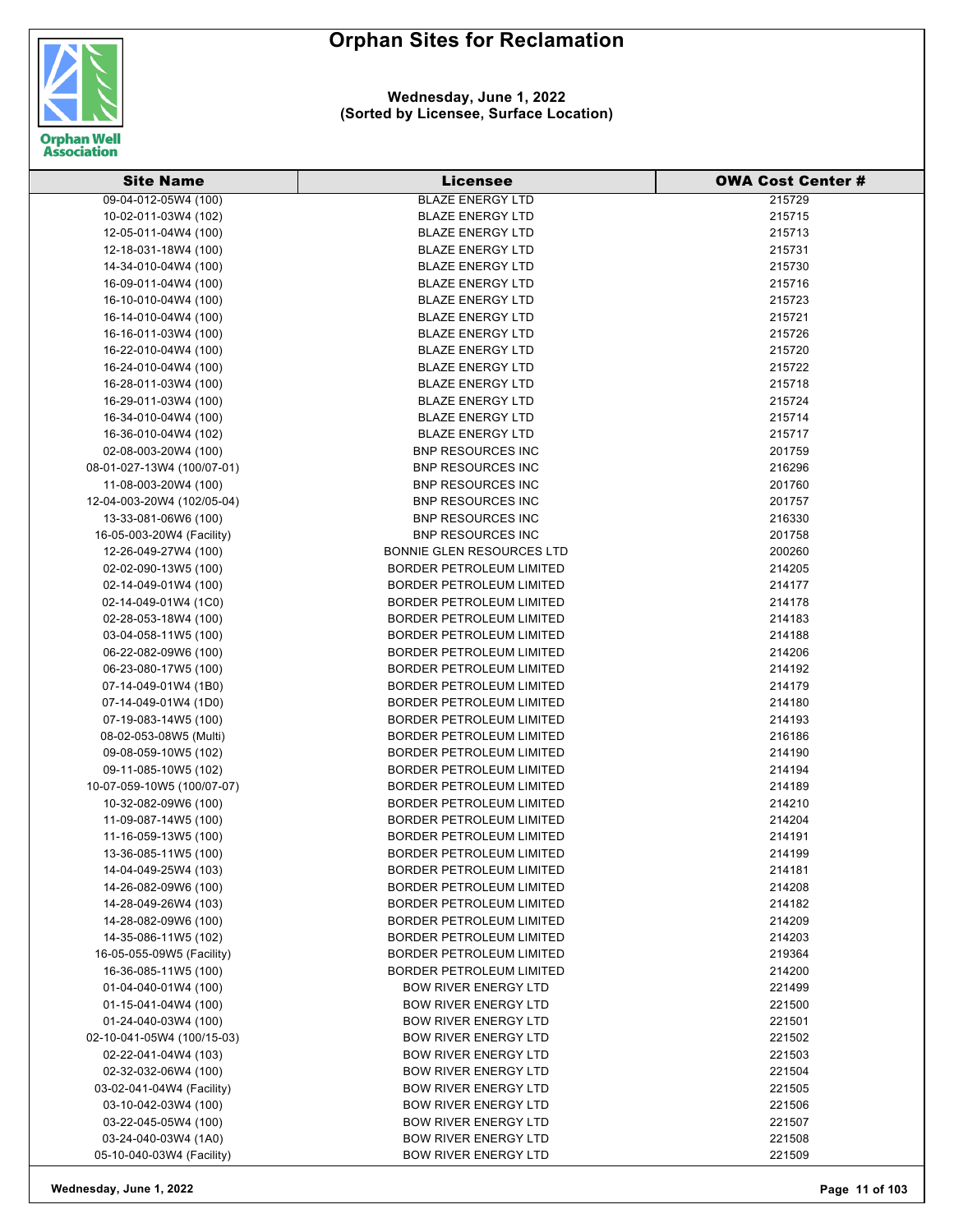

| <b>Site Name</b>                                   | Licensee                                                           | <b>OWA Cost Center #</b> |
|----------------------------------------------------|--------------------------------------------------------------------|--------------------------|
| 09-04-012-05W4 (100)                               | <b>BLAZE ENERGY LTD</b>                                            | 215729                   |
| 10-02-011-03W4 (102)                               | <b>BLAZE ENERGY LTD</b>                                            | 215715                   |
| 12-05-011-04W4 (100)                               | <b>BLAZE ENERGY LTD</b>                                            | 215713                   |
| 12-18-031-18W4 (100)                               | <b>BLAZE ENERGY LTD</b>                                            | 215731                   |
| 14-34-010-04W4 (100)                               | <b>BLAZE ENERGY LTD</b>                                            | 215730                   |
| 16-09-011-04W4 (100)                               | <b>BLAZE ENERGY LTD</b>                                            | 215716                   |
| 16-10-010-04W4 (100)                               | <b>BLAZE ENERGY LTD</b>                                            | 215723                   |
| 16-14-010-04W4 (100)                               | <b>BLAZE ENERGY LTD</b>                                            | 215721                   |
| 16-16-011-03W4 (100)                               | <b>BLAZE ENERGY LTD</b>                                            | 215726                   |
| 16-22-010-04W4 (100)                               | <b>BLAZE ENERGY LTD</b>                                            | 215720                   |
| 16-24-010-04W4 (100)                               | <b>BLAZE ENERGY LTD</b>                                            | 215722                   |
| 16-28-011-03W4 (100)                               | <b>BLAZE ENERGY LTD</b>                                            | 215718                   |
| 16-29-011-03W4 (100)                               | <b>BLAZE ENERGY LTD</b>                                            | 215724                   |
| 16-34-010-04W4 (100)                               | <b>BLAZE ENERGY LTD</b>                                            | 215714                   |
| 16-36-010-04W4 (102)                               | <b>BLAZE ENERGY LTD</b>                                            | 215717                   |
| 02-08-003-20W4 (100)                               | <b>BNP RESOURCES INC</b>                                           | 201759                   |
| 08-01-027-13W4 (100/07-01)                         | <b>BNP RESOURCES INC</b>                                           | 216296                   |
|                                                    | <b>BNP RESOURCES INC</b>                                           | 201760                   |
| 11-08-003-20W4 (100)<br>12-04-003-20W4 (102/05-04) | <b>BNP RESOURCES INC</b>                                           | 201757                   |
|                                                    |                                                                    | 216330                   |
| 13-33-081-06W6 (100)                               | <b>BNP RESOURCES INC</b>                                           |                          |
| 16-05-003-20W4 (Facility)                          | <b>BNP RESOURCES INC</b>                                           | 201758                   |
| 12-26-049-27W4 (100)                               | <b>BONNIE GLEN RESOURCES LTD</b>                                   | 200260                   |
| 02-02-090-13W5 (100)                               | <b>BORDER PETROLEUM LIMITED</b>                                    | 214205                   |
| 02-14-049-01W4 (100)                               | BORDER PETROLEUM LIMITED                                           | 214177                   |
| 02-14-049-01W4 (1C0)                               | BORDER PETROLEUM LIMITED                                           | 214178                   |
| 02-28-053-18W4 (100)                               | BORDER PETROLEUM LIMITED                                           | 214183                   |
| 03-04-058-11W5 (100)                               | <b>BORDER PETROLEUM LIMITED</b>                                    | 214188                   |
| 06-22-082-09W6 (100)                               | <b>BORDER PETROLEUM LIMITED</b>                                    | 214206                   |
| 06-23-080-17W5 (100)                               | <b>BORDER PETROLEUM LIMITED</b>                                    | 214192                   |
| 07-14-049-01W4 (1B0)                               | BORDER PETROLEUM LIMITED                                           | 214179                   |
| 07-14-049-01W4 (1D0)                               | <b>BORDER PETROLEUM LIMITED</b>                                    | 214180                   |
| 07-19-083-14W5 (100)                               | <b>BORDER PETROLEUM LIMITED</b>                                    | 214193                   |
| 08-02-053-08W5 (Multi)                             | <b>BORDER PETROLEUM LIMITED</b><br><b>BORDER PETROLEUM LIMITED</b> | 216186                   |
| 09-08-059-10W5 (102)<br>09-11-085-10W5 (102)       |                                                                    | 214190<br>214194         |
|                                                    | <b>BORDER PETROLEUM LIMITED</b>                                    |                          |
| 10-07-059-10W5 (100/07-07)<br>10-32-082-09W6 (100) | <b>BORDER PETROLEUM LIMITED</b><br><b>BORDER PETROLEUM LIMITED</b> | 214189<br>214210         |
|                                                    | <b>BORDER PETROLEUM LIMITED</b>                                    | 214204                   |
| 11-09-087-14W5 (100)                               | BORDER PETROLEUM LIMITED                                           |                          |
| 11-16-059-13W5 (100)                               | <b>BORDER PETROLEUM LIMITED</b>                                    | 214191<br>214199         |
| 13-36-085-11W5 (100)<br>14-04-049-25W4 (103)       | <b>BORDER PETROLEUM LIMITED</b>                                    |                          |
| 14-26-082-09W6 (100)                               | <b>BORDER PETROLEUM LIMITED</b>                                    | 214181<br>214208         |
| 14-28-049-26W4 (103)                               | <b>BORDER PETROLEUM LIMITED</b>                                    | 214182                   |
| 14-28-082-09W6 (100)                               | <b>BORDER PETROLEUM LIMITED</b>                                    | 214209                   |
| 14-35-086-11W5 (102)                               | <b>BORDER PETROLEUM LIMITED</b>                                    | 214203                   |
| 16-05-055-09W5 (Facility)                          | <b>BORDER PETROLEUM LIMITED</b>                                    | 219364                   |
| 16-36-085-11W5 (100)                               | <b>BORDER PETROLEUM LIMITED</b>                                    | 214200                   |
| 01-04-040-01W4 (100)                               | <b>BOW RIVER ENERGY LTD</b>                                        |                          |
|                                                    | <b>BOW RIVER ENERGY LTD</b>                                        | 221499                   |
| 01-15-041-04W4 (100)<br>01-24-040-03W4 (100)       | <b>BOW RIVER ENERGY LTD</b>                                        | 221500<br>221501         |
| 02-10-041-05W4 (100/15-03)                         | <b>BOW RIVER ENERGY LTD</b>                                        | 221502                   |
| 02-22-041-04W4 (103)                               | <b>BOW RIVER ENERGY LTD</b>                                        | 221503                   |
| 02-32-032-06W4 (100)                               | <b>BOW RIVER ENERGY LTD</b>                                        | 221504                   |
| 03-02-041-04W4 (Facility)                          | <b>BOW RIVER ENERGY LTD</b>                                        | 221505                   |
| 03-10-042-03W4 (100)                               | <b>BOW RIVER ENERGY LTD</b>                                        | 221506                   |
| 03-22-045-05W4 (100)                               | <b>BOW RIVER ENERGY LTD</b>                                        | 221507                   |
| 03-24-040-03W4 (1A0)                               |                                                                    |                          |
|                                                    | <b>BOW RIVER ENERGY LTD</b>                                        | 221508                   |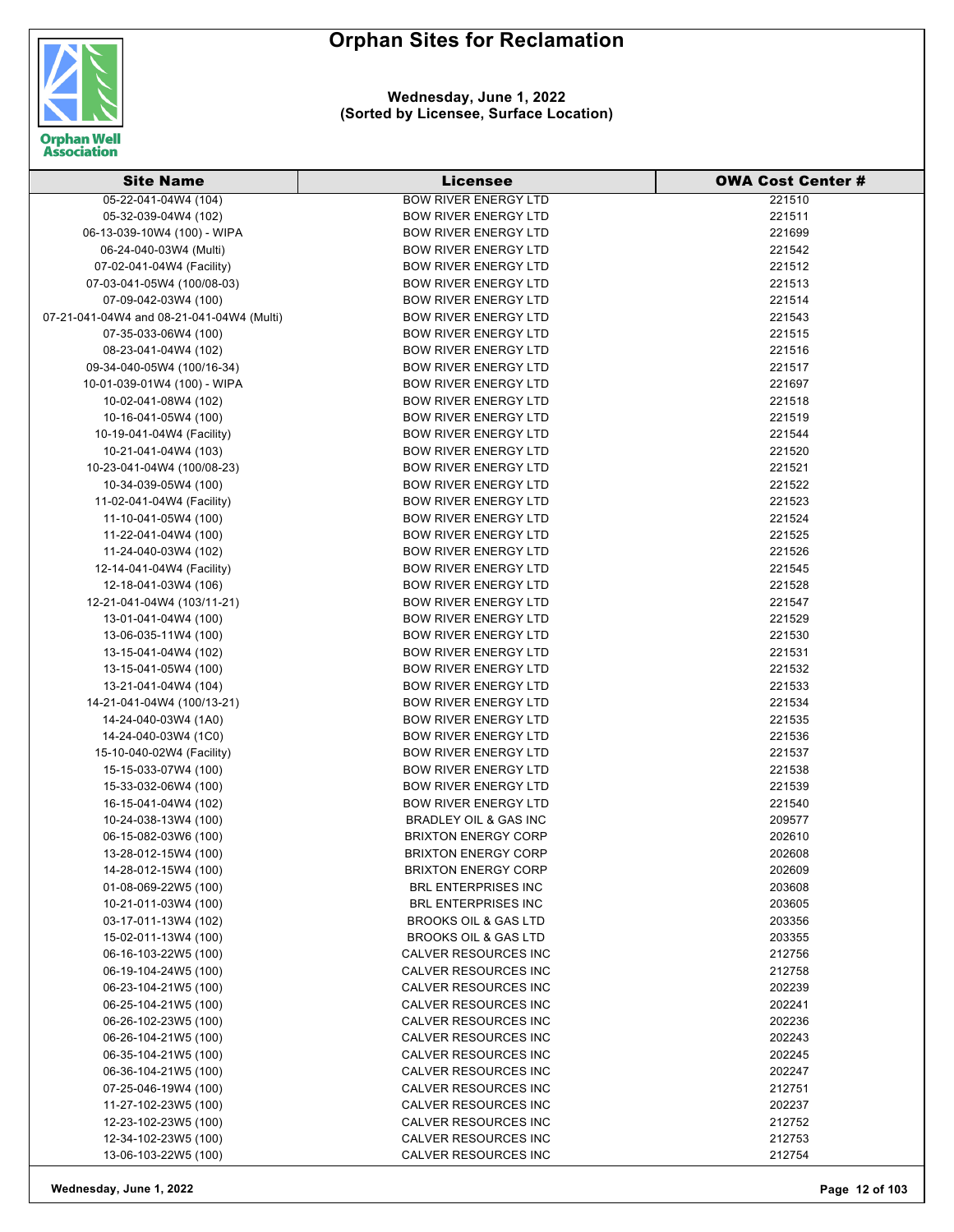

#### **Wednesday, June 1, 2022 (Sorted by Licensee, Surface Location)**

| <b>Site Name</b>                             | <b>Licensee</b>                                     | <b>OWA Cost Center #</b> |
|----------------------------------------------|-----------------------------------------------------|--------------------------|
| 05-22-041-04W4 (104)                         | <b>BOW RIVER ENERGY LTD</b>                         | 221510                   |
| 05-32-039-04W4 (102)                         | <b>BOW RIVER ENERGY LTD</b>                         | 221511                   |
| 06-13-039-10W4 (100) - WIPA                  | <b>BOW RIVER ENERGY LTD</b>                         | 221699                   |
| 06-24-040-03W4 (Multi)                       | <b>BOW RIVER ENERGY LTD</b>                         | 221542                   |
| 07-02-041-04W4 (Facility)                    | <b>BOW RIVER ENERGY LTD</b>                         | 221512                   |
| 07-03-041-05W4 (100/08-03)                   | <b>BOW RIVER ENERGY LTD</b>                         | 221513                   |
| 07-09-042-03W4 (100)                         | <b>BOW RIVER ENERGY LTD</b>                         | 221514                   |
| 07-21-041-04W4 and 08-21-041-04W4 (Multi)    | <b>BOW RIVER ENERGY LTD</b>                         | 221543                   |
| 07-35-033-06W4 (100)                         | <b>BOW RIVER ENERGY LTD</b>                         | 221515                   |
| 08-23-041-04W4 (102)                         | <b>BOW RIVER ENERGY LTD</b>                         | 221516                   |
| 09-34-040-05W4 (100/16-34)                   | <b>BOW RIVER ENERGY LTD</b>                         | 221517                   |
| 10-01-039-01W4 (100) - WIPA                  | <b>BOW RIVER ENERGY LTD</b>                         | 221697                   |
| 10-02-041-08W4 (102)                         | <b>BOW RIVER ENERGY LTD</b>                         | 221518                   |
| 10-16-041-05W4 (100)                         | <b>BOW RIVER ENERGY LTD</b>                         | 221519                   |
| 10-19-041-04W4 (Facility)                    | <b>BOW RIVER ENERGY LTD</b>                         | 221544                   |
| 10-21-041-04W4 (103)                         | <b>BOW RIVER ENERGY LTD</b>                         | 221520                   |
| 10-23-041-04W4 (100/08-23)                   | <b>BOW RIVER ENERGY LTD</b>                         | 221521                   |
| 10-34-039-05W4 (100)                         | <b>BOW RIVER ENERGY LTD</b>                         | 221522                   |
| 11-02-041-04W4 (Facility)                    | <b>BOW RIVER ENERGY LTD</b>                         | 221523                   |
| 11-10-041-05W4 (100)                         | <b>BOW RIVER ENERGY LTD</b>                         | 221524                   |
| 11-22-041-04W4 (100)                         | <b>BOW RIVER ENERGY LTD</b>                         | 221525                   |
| 11-24-040-03W4 (102)                         | <b>BOW RIVER ENERGY LTD</b>                         | 221526                   |
| 12-14-041-04W4 (Facility)                    | <b>BOW RIVER ENERGY LTD</b>                         | 221545                   |
| 12-18-041-03W4 (106)                         | <b>BOW RIVER ENERGY LTD</b>                         | 221528                   |
| 12-21-041-04W4 (103/11-21)                   | <b>BOW RIVER ENERGY LTD</b>                         | 221547                   |
| 13-01-041-04W4 (100)                         | <b>BOW RIVER ENERGY LTD</b>                         | 221529                   |
| 13-06-035-11W4 (100)                         | <b>BOW RIVER ENERGY LTD</b>                         | 221530                   |
| 13-15-041-04W4 (102)                         | <b>BOW RIVER ENERGY LTD</b>                         | 221531                   |
| 13-15-041-05W4 (100)                         | <b>BOW RIVER ENERGY LTD</b>                         | 221532                   |
| 13-21-041-04W4 (104)                         | <b>BOW RIVER ENERGY LTD</b>                         | 221533                   |
| 14-21-041-04W4 (100/13-21)                   | <b>BOW RIVER ENERGY LTD</b>                         | 221534                   |
| 14-24-040-03W4 (1A0)                         | <b>BOW RIVER ENERGY LTD</b>                         | 221535                   |
| 14-24-040-03W4 (1C0)                         | <b>BOW RIVER ENERGY LTD</b>                         | 221536                   |
| 15-10-040-02W4 (Facility)                    | <b>BOW RIVER ENERGY LTD</b>                         | 221537                   |
| 15-15-033-07W4 (100)                         | <b>BOW RIVER ENERGY LTD</b>                         | 221538                   |
| 15-33-032-06W4 (100)                         | <b>BOW RIVER ENERGY LTD</b>                         | 221539                   |
| 16-15-041-04W4 (102)                         | <b>BOW RIVER ENERGY LTD</b>                         | 221540                   |
| 10-24-038-13W4 (100)                         | BRADLEY OIL & GAS INC                               | 209577                   |
| 06-15-082-03W6 (100)                         | <b>BRIXTON ENERGY CORP</b>                          | 202610                   |
| 13-28-012-15W4 (100)                         | <b>BRIXTON ENERGY CORP</b>                          | 202608                   |
| 14-28-012-15W4 (100)                         | <b>BRIXTON ENERGY CORP</b>                          | 202609                   |
| 01-08-069-22W5 (100)                         | <b>BRL ENTERPRISES INC</b>                          | 203608                   |
| 10-21-011-03W4 (100)                         | <b>BRL ENTERPRISES INC</b>                          | 203605                   |
| 03-17-011-13W4 (102)                         | <b>BROOKS OIL &amp; GAS LTD</b>                     | 203356                   |
| 15-02-011-13W4 (100)                         | <b>BROOKS OIL &amp; GAS LTD</b>                     | 203355                   |
| 06-16-103-22W5 (100)                         | CALVER RESOURCES INC                                | 212756                   |
| 06-19-104-24W5 (100)                         | CALVER RESOURCES INC                                | 212758                   |
| 06-23-104-21W5 (100)<br>06-25-104-21W5 (100) | CALVER RESOURCES INC<br><b>CALVER RESOURCES INC</b> | 202239<br>202241         |
|                                              | <b>CALVER RESOURCES INC</b>                         |                          |
| 06-26-102-23W5 (100)<br>06-26-104-21W5 (100) | CALVER RESOURCES INC                                | 202236<br>202243         |
| 06-35-104-21W5 (100)                         | CALVER RESOURCES INC                                | 202245                   |
| 06-36-104-21W5 (100)                         | CALVER RESOURCES INC                                | 202247                   |
| 07-25-046-19W4 (100)                         | CALVER RESOURCES INC                                | 212751                   |
| 11-27-102-23W5 (100)                         | CALVER RESOURCES INC                                | 202237                   |
| 12-23-102-23W5 (100)                         | CALVER RESOURCES INC                                | 212752                   |
| 12-34-102-23W5 (100)                         | CALVER RESOURCES INC                                | 212753                   |
| 13-06-103-22W5 (100)                         | CALVER RESOURCES INC                                | 212754                   |

**Wednesday, June 1, 2022 Page 12 of 103**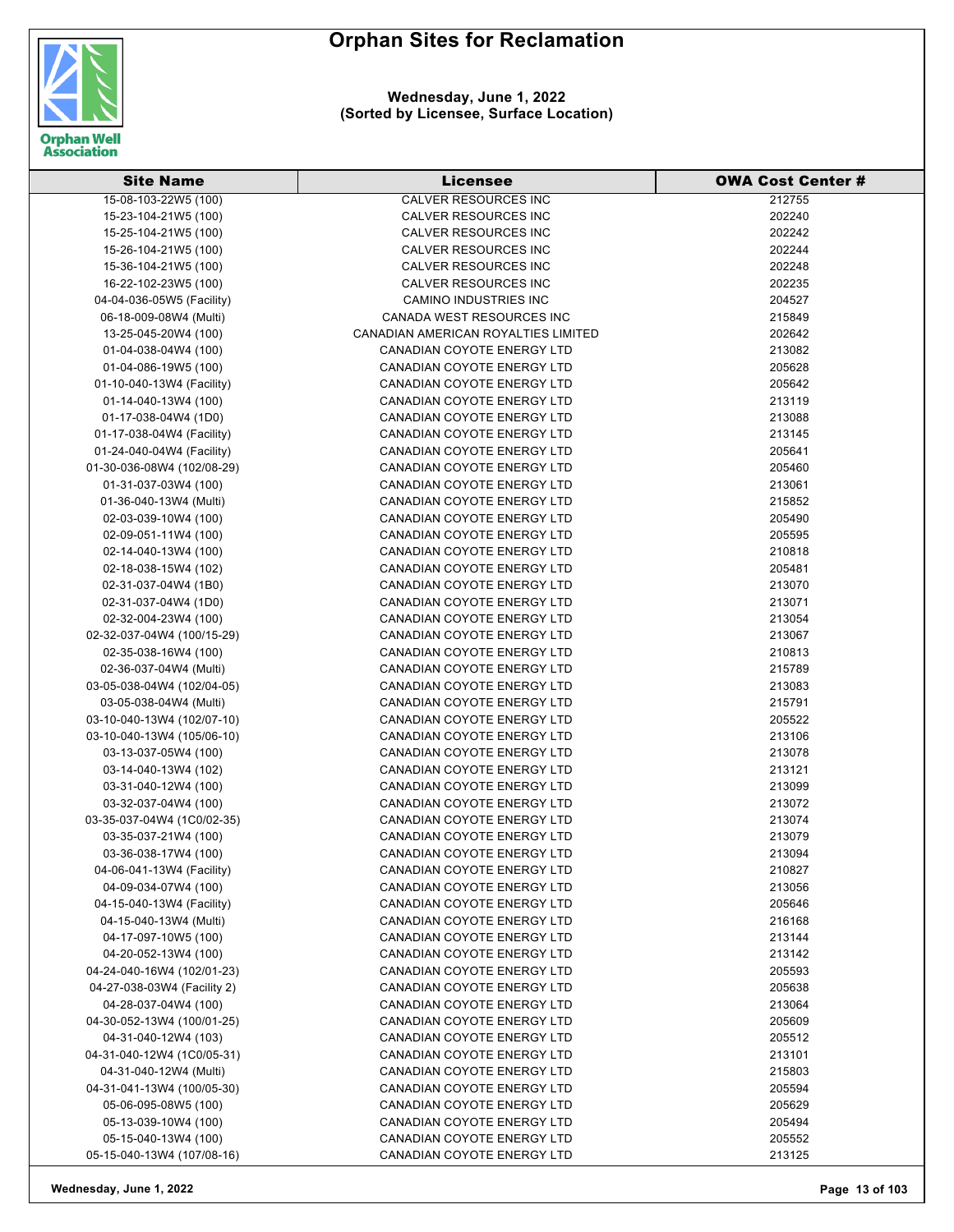

**Wednesday, June 1, 2022 (Sorted by Licensee, Surface Location)**

| <b>Site Name</b>                                   | <b>Licensee</b>                                                 | <b>OWA Cost Center #</b> |
|----------------------------------------------------|-----------------------------------------------------------------|--------------------------|
| 15-08-103-22W5 (100)                               | <b>CALVER RESOURCES INC</b>                                     | 212755                   |
| 15-23-104-21W5 (100)                               | CALVER RESOURCES INC                                            | 202240                   |
| 15-25-104-21W5 (100)                               | CALVER RESOURCES INC                                            | 202242                   |
| 15-26-104-21W5 (100)                               | <b>CALVER RESOURCES INC</b>                                     | 202244                   |
| 15-36-104-21W5 (100)                               | CALVER RESOURCES INC                                            | 202248                   |
| 16-22-102-23W5 (100)                               | CALVER RESOURCES INC                                            | 202235                   |
| 04-04-036-05W5 (Facility)                          | <b>CAMINO INDUSTRIES INC</b>                                    | 204527                   |
| 06-18-009-08W4 (Multi)                             | CANADA WEST RESOURCES INC                                       | 215849                   |
| 13-25-045-20W4 (100)                               | CANADIAN AMERICAN ROYALTIES LIMITED                             | 202642                   |
| 01-04-038-04W4 (100)                               | CANADIAN COYOTE ENERGY LTD                                      | 213082                   |
| 01-04-086-19W5 (100)                               | CANADIAN COYOTE ENERGY LTD                                      | 205628                   |
| 01-10-040-13W4 (Facility)                          | CANADIAN COYOTE ENERGY LTD                                      | 205642                   |
| 01-14-040-13W4 (100)                               | CANADIAN COYOTE ENERGY LTD                                      | 213119                   |
| 01-17-038-04W4 (1D0)                               | CANADIAN COYOTE ENERGY LTD                                      | 213088                   |
| 01-17-038-04W4 (Facility)                          | CANADIAN COYOTE ENERGY LTD                                      | 213145                   |
| 01-24-040-04W4 (Facility)                          | CANADIAN COYOTE ENERGY LTD                                      | 205641                   |
| 01-30-036-08W4 (102/08-29)                         | CANADIAN COYOTE ENERGY LTD                                      | 205460                   |
| 01-31-037-03W4 (100)                               | CANADIAN COYOTE ENERGY LTD                                      | 213061                   |
| 01-36-040-13W4 (Multi)                             | <b>CANADIAN COYOTE ENERGY LTD</b>                               | 215852                   |
| 02-03-039-10W4 (100)                               | CANADIAN COYOTE ENERGY LTD                                      | 205490                   |
| 02-09-051-11W4 (100)                               | <b>CANADIAN COYOTE ENERGY LTD</b>                               | 205595                   |
|                                                    |                                                                 |                          |
| 02-14-040-13W4 (100)                               | CANADIAN COYOTE ENERGY LTD                                      | 210818                   |
| 02-18-038-15W4 (102)                               | CANADIAN COYOTE ENERGY LTD<br><b>CANADIAN COYOTE ENERGY LTD</b> | 205481                   |
| 02-31-037-04W4 (1B0)                               |                                                                 | 213070                   |
| 02-31-037-04W4 (1D0)                               | CANADIAN COYOTE ENERGY LTD                                      | 213071                   |
| 02-32-004-23W4 (100)                               | CANADIAN COYOTE ENERGY LTD                                      | 213054                   |
| 02-32-037-04W4 (100/15-29)                         | CANADIAN COYOTE ENERGY LTD                                      | 213067                   |
| 02-35-038-16W4 (100)                               | CANADIAN COYOTE ENERGY LTD                                      | 210813                   |
| 02-36-037-04W4 (Multi)                             | CANADIAN COYOTE ENERGY LTD                                      | 215789                   |
| 03-05-038-04W4 (102/04-05)                         | CANADIAN COYOTE ENERGY LTD                                      | 213083                   |
| 03-05-038-04W4 (Multi)                             | CANADIAN COYOTE ENERGY LTD                                      | 215791                   |
| 03-10-040-13W4 (102/07-10)                         | CANADIAN COYOTE ENERGY LTD                                      | 205522                   |
| 03-10-040-13W4 (105/06-10)<br>03-13-037-05W4 (100) | CANADIAN COYOTE ENERGY LTD<br>CANADIAN COYOTE ENERGY LTD        | 213106<br>213078         |
|                                                    | CANADIAN COYOTE ENERGY LTD                                      | 213121                   |
| 03-14-040-13W4 (102)<br>03-31-040-12W4 (100)       | <b>CANADIAN COYOTE ENERGY LTD</b>                               | 213099                   |
| 03-32-037-04W4 (100)                               | <b>CANADIAN COYOTE ENERGY LTD</b>                               | 213072                   |
|                                                    | CANADIAN COYOTE ENERGY LTD                                      | 213074                   |
| 03-35-037-04W4 (1C0/02-35)<br>03-35-037-21W4 (100) | CANADIAN COYOTE ENERGY LTD                                      | 213079                   |
| 03-36-038-17W4 (100)                               | <b>CANADIAN COYOTE ENERGY LTD</b>                               | 213094                   |
| 04-06-041-13W4 (Facility)                          | CANADIAN COYOTE ENERGY LTD                                      | 210827                   |
| 04-09-034-07W4 (100)                               | CANADIAN COYOTE ENERGY LTD                                      | 213056                   |
| 04-15-040-13W4 (Facility)                          | <b>CANADIAN COYOTE ENERGY LTD</b>                               | 205646                   |
| 04-15-040-13W4 (Multi)                             | <b>CANADIAN COYOTE ENERGY LTD</b>                               | 216168                   |
| 04-17-097-10W5 (100)                               | <b>CANADIAN COYOTE ENERGY LTD</b>                               | 213144                   |
| 04-20-052-13W4 (100)                               | <b>CANADIAN COYOTE ENERGY LTD</b>                               | 213142                   |
| 04-24-040-16W4 (102/01-23)                         | CANADIAN COYOTE ENERGY LTD                                      | 205593                   |
| 04-27-038-03W4 (Facility 2)                        | CANADIAN COYOTE ENERGY LTD                                      | 205638                   |
| 04-28-037-04W4 (100)                               | CANADIAN COYOTE ENERGY LTD                                      | 213064                   |
| 04-30-052-13W4 (100/01-25)                         | <b>CANADIAN COYOTE ENERGY LTD</b>                               | 205609                   |
| 04-31-040-12W4 (103)                               | <b>CANADIAN COYOTE ENERGY LTD</b>                               | 205512                   |
| 04-31-040-12W4 (1C0/05-31)                         | <b>CANADIAN COYOTE ENERGY LTD</b>                               | 213101                   |
| 04-31-040-12W4 (Multi)                             | CANADIAN COYOTE ENERGY LTD                                      | 215803                   |
| 04-31-041-13W4 (100/05-30)                         | CANADIAN COYOTE ENERGY LTD                                      | 205594                   |
| 05-06-095-08W5 (100)                               | CANADIAN COYOTE ENERGY LTD                                      | 205629                   |
| 05-13-039-10W4 (100)                               | CANADIAN COYOTE ENERGY LTD                                      | 205494                   |
| 05-15-040-13W4 (100)                               | CANADIAN COYOTE ENERGY LTD                                      | 205552                   |
| 05-15-040-13W4 (107/08-16)                         | CANADIAN COYOTE ENERGY LTD                                      | 213125                   |
|                                                    |                                                                 |                          |

**Wednesday, June 1, 2022 Page 13 of 103**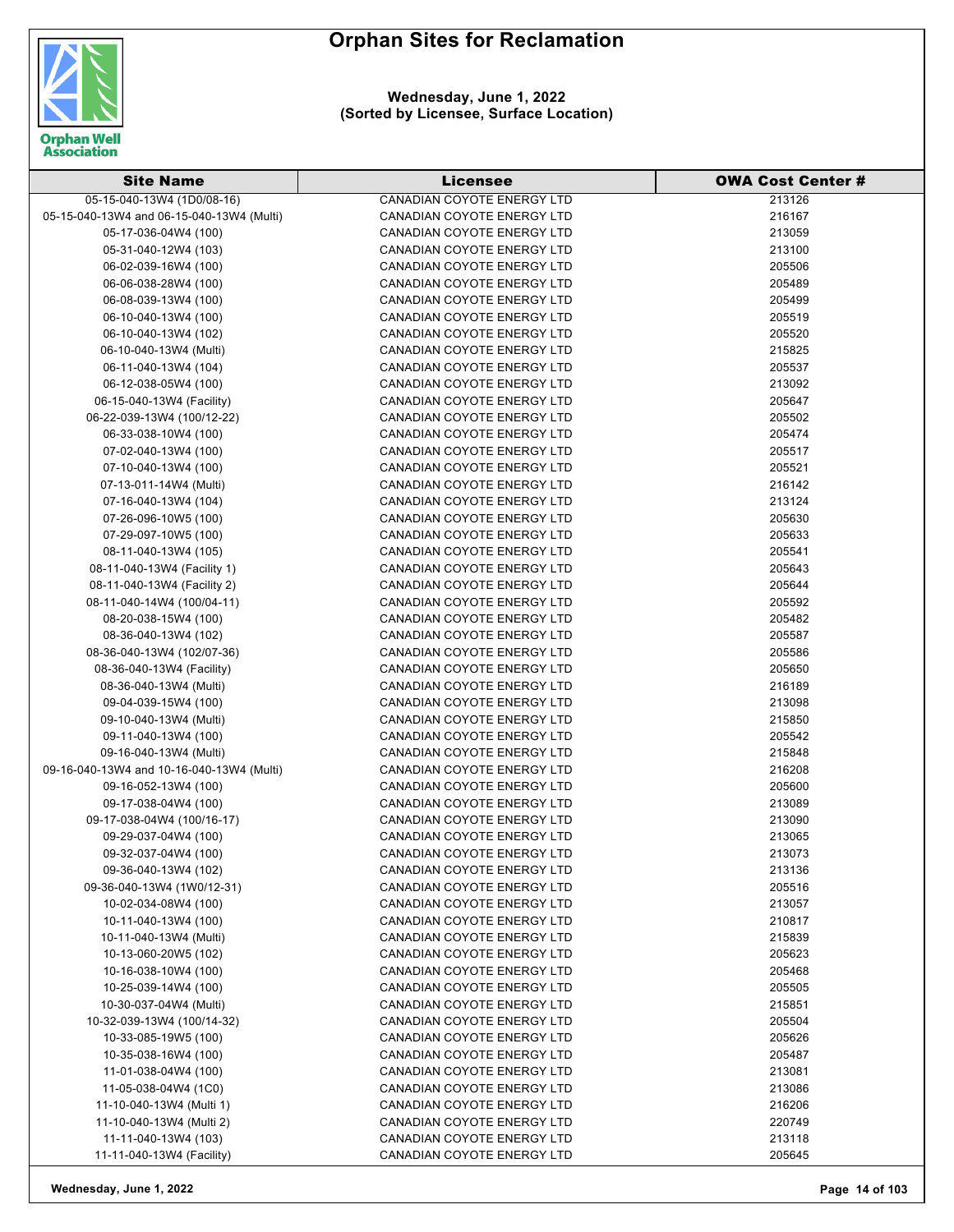



**Wednesday, June 1, 2022 (Sorted by Licensee, Surface Location)**

| 05-15-040-13W4 (1D0/08-16)<br><b>CANADIAN COYOTE ENERGY LTD</b><br>213126<br>05-15-040-13W4 and 06-15-040-13W4 (Multi)<br>216167<br>CANADIAN COYOTE ENERGY LTD<br>CANADIAN COYOTE ENERGY LTD<br>213059<br>05-17-036-04W4 (100)<br>213100<br>05-31-040-12W4 (103)<br>CANADIAN COYOTE ENERGY LTD<br><b>CANADIAN COYOTE ENERGY LTD</b><br>205506<br>06-02-039-16W4 (100)<br><b>CANADIAN COYOTE ENERGY LTD</b><br>205489<br>06-06-038-28W4 (100)<br>06-08-039-13W4 (100)<br>CANADIAN COYOTE ENERGY LTD<br>205499<br>CANADIAN COYOTE ENERGY LTD<br>205519<br>06-10-040-13W4 (100)<br>CANADIAN COYOTE ENERGY LTD<br>205520<br>06-10-040-13W4 (102)<br>06-10-040-13W4 (Multi)<br>CANADIAN COYOTE ENERGY LTD<br>215825<br>06-11-040-13W4 (104)<br>CANADIAN COYOTE ENERGY LTD<br>205537<br>CANADIAN COYOTE ENERGY LTD<br>213092<br>06-12-038-05W4 (100)<br>06-15-040-13W4 (Facility)<br>CANADIAN COYOTE ENERGY LTD<br>205647<br>CANADIAN COYOTE ENERGY LTD<br>205502<br>06-22-039-13W4 (100/12-22)<br>06-33-038-10W4 (100)<br>CANADIAN COYOTE ENERGY LTD<br>205474<br>CANADIAN COYOTE ENERGY LTD<br>205517<br>07-02-040-13W4 (100)<br>CANADIAN COYOTE ENERGY LTD<br>205521<br>07-10-040-13W4 (100)<br>CANADIAN COYOTE ENERGY LTD<br>216142<br>07-13-011-14W4 (Multi)<br>CANADIAN COYOTE ENERGY LTD<br>07-16-040-13W4 (104)<br>213124<br>CANADIAN COYOTE ENERGY LTD<br>205630<br>07-26-096-10W5 (100)<br>CANADIAN COYOTE ENERGY LTD<br>205633<br>07-29-097-10W5 (100)<br>CANADIAN COYOTE ENERGY LTD<br>205541<br>08-11-040-13W4 (105)<br>08-11-040-13W4 (Facility 1)<br>CANADIAN COYOTE ENERGY LTD<br>205643<br>08-11-040-13W4 (Facility 2)<br><b>CANADIAN COYOTE ENERGY LTD</b><br>205644<br>08-11-040-14W4 (100/04-11)<br>CANADIAN COYOTE ENERGY LTD<br>205592<br>08-20-038-15W4 (100)<br>CANADIAN COYOTE ENERGY LTD<br>205482<br>205587<br>08-36-040-13W4 (102)<br>CANADIAN COYOTE ENERGY LTD<br>205586<br>08-36-040-13W4 (102/07-36)<br>CANADIAN COYOTE ENERGY LTD<br>CANADIAN COYOTE ENERGY LTD<br>205650<br>08-36-040-13W4 (Facility)<br>08-36-040-13W4 (Multi)<br>CANADIAN COYOTE ENERGY LTD<br>216189<br>09-04-039-15W4 (100)<br>CANADIAN COYOTE ENERGY LTD<br>213098<br>CANADIAN COYOTE ENERGY LTD<br>215850<br>09-10-040-13W4 (Multi)<br>CANADIAN COYOTE ENERGY LTD<br>205542<br>09-11-040-13W4 (100)<br>CANADIAN COYOTE ENERGY LTD<br>215848<br>09-16-040-13W4 (Multi)<br>09-16-040-13W4 and 10-16-040-13W4 (Multi)<br>216208<br>CANADIAN COYOTE ENERGY LTD<br>CANADIAN COYOTE ENERGY LTD<br>205600<br>09-16-052-13W4 (100)<br>CANADIAN COYOTE ENERGY LTD<br>213089<br>09-17-038-04W4 (100)<br>09-17-038-04W4 (100/16-17)<br>CANADIAN COYOTE ENERGY LTD<br>213090<br>09-29-037-04W4 (100)<br>CANADIAN COYOTE ENERGY LTD<br>213065<br>09-32-037-04W4 (100)<br>CANADIAN COYOTE ENERGY LTD<br>213073<br>09-36-040-13W4 (102)<br>CANADIAN COYOTE ENERGY LTD<br>213136<br>09-36-040-13W4 (1W0/12-31)<br>CANADIAN COYOTE ENERGY LTD<br>205516<br>CANADIAN COYOTE ENERGY LTD<br>213057<br>10-02-034-08W4 (100)<br>10-11-040-13W4 (100)<br><b>CANADIAN COYOTE ENERGY LTD</b><br>210817<br>CANADIAN COYOTE ENERGY LTD<br>215839<br>10-11-040-13W4 (Multi)<br><b>CANADIAN COYOTE ENERGY LTD</b><br>10-13-060-20W5 (102)<br>205623<br>CANADIAN COYOTE ENERGY LTD<br>10-16-038-10W4 (100)<br>205468<br>10-25-039-14W4 (100)<br>CANADIAN COYOTE ENERGY LTD<br>205505<br>10-30-037-04W4 (Multi)<br>CANADIAN COYOTE ENERGY LTD<br>215851<br>10-32-039-13W4 (100/14-32)<br><b>CANADIAN COYOTE ENERGY LTD</b><br>205504<br>205626<br>10-33-085-19W5 (100)<br>CANADIAN COYOTE ENERGY LTD<br>205487<br>10-35-038-16W4 (100)<br>CANADIAN COYOTE ENERGY LTD<br>CANADIAN COYOTE ENERGY LTD<br>213081<br>11-01-038-04W4 (100)<br>11-05-038-04W4 (1C0)<br>CANADIAN COYOTE ENERGY LTD<br>213086 | <b>Site Name</b>         | <b>Licensee</b>            | <b>OWA Cost Center#</b> |
|-------------------------------------------------------------------------------------------------------------------------------------------------------------------------------------------------------------------------------------------------------------------------------------------------------------------------------------------------------------------------------------------------------------------------------------------------------------------------------------------------------------------------------------------------------------------------------------------------------------------------------------------------------------------------------------------------------------------------------------------------------------------------------------------------------------------------------------------------------------------------------------------------------------------------------------------------------------------------------------------------------------------------------------------------------------------------------------------------------------------------------------------------------------------------------------------------------------------------------------------------------------------------------------------------------------------------------------------------------------------------------------------------------------------------------------------------------------------------------------------------------------------------------------------------------------------------------------------------------------------------------------------------------------------------------------------------------------------------------------------------------------------------------------------------------------------------------------------------------------------------------------------------------------------------------------------------------------------------------------------------------------------------------------------------------------------------------------------------------------------------------------------------------------------------------------------------------------------------------------------------------------------------------------------------------------------------------------------------------------------------------------------------------------------------------------------------------------------------------------------------------------------------------------------------------------------------------------------------------------------------------------------------------------------------------------------------------------------------------------------------------------------------------------------------------------------------------------------------------------------------------------------------------------------------------------------------------------------------------------------------------------------------------------------------------------------------------------------------------------------------------------------------------------------------------------------------------------------------------------------------------------------------------------------------------------------------------------------------------------------------------------------------------------------------------------------------------------------------------------------------------------------------------------------------------------------------------------------------------------------------------------------------------------------------------------------------------------------------------------------------------------------------|--------------------------|----------------------------|-------------------------|
|                                                                                                                                                                                                                                                                                                                                                                                                                                                                                                                                                                                                                                                                                                                                                                                                                                                                                                                                                                                                                                                                                                                                                                                                                                                                                                                                                                                                                                                                                                                                                                                                                                                                                                                                                                                                                                                                                                                                                                                                                                                                                                                                                                                                                                                                                                                                                                                                                                                                                                                                                                                                                                                                                                                                                                                                                                                                                                                                                                                                                                                                                                                                                                                                                                                                                                                                                                                                                                                                                                                                                                                                                                                                                                                                                                         |                          |                            |                         |
|                                                                                                                                                                                                                                                                                                                                                                                                                                                                                                                                                                                                                                                                                                                                                                                                                                                                                                                                                                                                                                                                                                                                                                                                                                                                                                                                                                                                                                                                                                                                                                                                                                                                                                                                                                                                                                                                                                                                                                                                                                                                                                                                                                                                                                                                                                                                                                                                                                                                                                                                                                                                                                                                                                                                                                                                                                                                                                                                                                                                                                                                                                                                                                                                                                                                                                                                                                                                                                                                                                                                                                                                                                                                                                                                                                         |                          |                            |                         |
|                                                                                                                                                                                                                                                                                                                                                                                                                                                                                                                                                                                                                                                                                                                                                                                                                                                                                                                                                                                                                                                                                                                                                                                                                                                                                                                                                                                                                                                                                                                                                                                                                                                                                                                                                                                                                                                                                                                                                                                                                                                                                                                                                                                                                                                                                                                                                                                                                                                                                                                                                                                                                                                                                                                                                                                                                                                                                                                                                                                                                                                                                                                                                                                                                                                                                                                                                                                                                                                                                                                                                                                                                                                                                                                                                                         |                          |                            |                         |
|                                                                                                                                                                                                                                                                                                                                                                                                                                                                                                                                                                                                                                                                                                                                                                                                                                                                                                                                                                                                                                                                                                                                                                                                                                                                                                                                                                                                                                                                                                                                                                                                                                                                                                                                                                                                                                                                                                                                                                                                                                                                                                                                                                                                                                                                                                                                                                                                                                                                                                                                                                                                                                                                                                                                                                                                                                                                                                                                                                                                                                                                                                                                                                                                                                                                                                                                                                                                                                                                                                                                                                                                                                                                                                                                                                         |                          |                            |                         |
|                                                                                                                                                                                                                                                                                                                                                                                                                                                                                                                                                                                                                                                                                                                                                                                                                                                                                                                                                                                                                                                                                                                                                                                                                                                                                                                                                                                                                                                                                                                                                                                                                                                                                                                                                                                                                                                                                                                                                                                                                                                                                                                                                                                                                                                                                                                                                                                                                                                                                                                                                                                                                                                                                                                                                                                                                                                                                                                                                                                                                                                                                                                                                                                                                                                                                                                                                                                                                                                                                                                                                                                                                                                                                                                                                                         |                          |                            |                         |
|                                                                                                                                                                                                                                                                                                                                                                                                                                                                                                                                                                                                                                                                                                                                                                                                                                                                                                                                                                                                                                                                                                                                                                                                                                                                                                                                                                                                                                                                                                                                                                                                                                                                                                                                                                                                                                                                                                                                                                                                                                                                                                                                                                                                                                                                                                                                                                                                                                                                                                                                                                                                                                                                                                                                                                                                                                                                                                                                                                                                                                                                                                                                                                                                                                                                                                                                                                                                                                                                                                                                                                                                                                                                                                                                                                         |                          |                            |                         |
|                                                                                                                                                                                                                                                                                                                                                                                                                                                                                                                                                                                                                                                                                                                                                                                                                                                                                                                                                                                                                                                                                                                                                                                                                                                                                                                                                                                                                                                                                                                                                                                                                                                                                                                                                                                                                                                                                                                                                                                                                                                                                                                                                                                                                                                                                                                                                                                                                                                                                                                                                                                                                                                                                                                                                                                                                                                                                                                                                                                                                                                                                                                                                                                                                                                                                                                                                                                                                                                                                                                                                                                                                                                                                                                                                                         |                          |                            |                         |
|                                                                                                                                                                                                                                                                                                                                                                                                                                                                                                                                                                                                                                                                                                                                                                                                                                                                                                                                                                                                                                                                                                                                                                                                                                                                                                                                                                                                                                                                                                                                                                                                                                                                                                                                                                                                                                                                                                                                                                                                                                                                                                                                                                                                                                                                                                                                                                                                                                                                                                                                                                                                                                                                                                                                                                                                                                                                                                                                                                                                                                                                                                                                                                                                                                                                                                                                                                                                                                                                                                                                                                                                                                                                                                                                                                         |                          |                            |                         |
|                                                                                                                                                                                                                                                                                                                                                                                                                                                                                                                                                                                                                                                                                                                                                                                                                                                                                                                                                                                                                                                                                                                                                                                                                                                                                                                                                                                                                                                                                                                                                                                                                                                                                                                                                                                                                                                                                                                                                                                                                                                                                                                                                                                                                                                                                                                                                                                                                                                                                                                                                                                                                                                                                                                                                                                                                                                                                                                                                                                                                                                                                                                                                                                                                                                                                                                                                                                                                                                                                                                                                                                                                                                                                                                                                                         |                          |                            |                         |
|                                                                                                                                                                                                                                                                                                                                                                                                                                                                                                                                                                                                                                                                                                                                                                                                                                                                                                                                                                                                                                                                                                                                                                                                                                                                                                                                                                                                                                                                                                                                                                                                                                                                                                                                                                                                                                                                                                                                                                                                                                                                                                                                                                                                                                                                                                                                                                                                                                                                                                                                                                                                                                                                                                                                                                                                                                                                                                                                                                                                                                                                                                                                                                                                                                                                                                                                                                                                                                                                                                                                                                                                                                                                                                                                                                         |                          |                            |                         |
|                                                                                                                                                                                                                                                                                                                                                                                                                                                                                                                                                                                                                                                                                                                                                                                                                                                                                                                                                                                                                                                                                                                                                                                                                                                                                                                                                                                                                                                                                                                                                                                                                                                                                                                                                                                                                                                                                                                                                                                                                                                                                                                                                                                                                                                                                                                                                                                                                                                                                                                                                                                                                                                                                                                                                                                                                                                                                                                                                                                                                                                                                                                                                                                                                                                                                                                                                                                                                                                                                                                                                                                                                                                                                                                                                                         |                          |                            |                         |
|                                                                                                                                                                                                                                                                                                                                                                                                                                                                                                                                                                                                                                                                                                                                                                                                                                                                                                                                                                                                                                                                                                                                                                                                                                                                                                                                                                                                                                                                                                                                                                                                                                                                                                                                                                                                                                                                                                                                                                                                                                                                                                                                                                                                                                                                                                                                                                                                                                                                                                                                                                                                                                                                                                                                                                                                                                                                                                                                                                                                                                                                                                                                                                                                                                                                                                                                                                                                                                                                                                                                                                                                                                                                                                                                                                         |                          |                            |                         |
|                                                                                                                                                                                                                                                                                                                                                                                                                                                                                                                                                                                                                                                                                                                                                                                                                                                                                                                                                                                                                                                                                                                                                                                                                                                                                                                                                                                                                                                                                                                                                                                                                                                                                                                                                                                                                                                                                                                                                                                                                                                                                                                                                                                                                                                                                                                                                                                                                                                                                                                                                                                                                                                                                                                                                                                                                                                                                                                                                                                                                                                                                                                                                                                                                                                                                                                                                                                                                                                                                                                                                                                                                                                                                                                                                                         |                          |                            |                         |
|                                                                                                                                                                                                                                                                                                                                                                                                                                                                                                                                                                                                                                                                                                                                                                                                                                                                                                                                                                                                                                                                                                                                                                                                                                                                                                                                                                                                                                                                                                                                                                                                                                                                                                                                                                                                                                                                                                                                                                                                                                                                                                                                                                                                                                                                                                                                                                                                                                                                                                                                                                                                                                                                                                                                                                                                                                                                                                                                                                                                                                                                                                                                                                                                                                                                                                                                                                                                                                                                                                                                                                                                                                                                                                                                                                         |                          |                            |                         |
|                                                                                                                                                                                                                                                                                                                                                                                                                                                                                                                                                                                                                                                                                                                                                                                                                                                                                                                                                                                                                                                                                                                                                                                                                                                                                                                                                                                                                                                                                                                                                                                                                                                                                                                                                                                                                                                                                                                                                                                                                                                                                                                                                                                                                                                                                                                                                                                                                                                                                                                                                                                                                                                                                                                                                                                                                                                                                                                                                                                                                                                                                                                                                                                                                                                                                                                                                                                                                                                                                                                                                                                                                                                                                                                                                                         |                          |                            |                         |
|                                                                                                                                                                                                                                                                                                                                                                                                                                                                                                                                                                                                                                                                                                                                                                                                                                                                                                                                                                                                                                                                                                                                                                                                                                                                                                                                                                                                                                                                                                                                                                                                                                                                                                                                                                                                                                                                                                                                                                                                                                                                                                                                                                                                                                                                                                                                                                                                                                                                                                                                                                                                                                                                                                                                                                                                                                                                                                                                                                                                                                                                                                                                                                                                                                                                                                                                                                                                                                                                                                                                                                                                                                                                                                                                                                         |                          |                            |                         |
|                                                                                                                                                                                                                                                                                                                                                                                                                                                                                                                                                                                                                                                                                                                                                                                                                                                                                                                                                                                                                                                                                                                                                                                                                                                                                                                                                                                                                                                                                                                                                                                                                                                                                                                                                                                                                                                                                                                                                                                                                                                                                                                                                                                                                                                                                                                                                                                                                                                                                                                                                                                                                                                                                                                                                                                                                                                                                                                                                                                                                                                                                                                                                                                                                                                                                                                                                                                                                                                                                                                                                                                                                                                                                                                                                                         |                          |                            |                         |
|                                                                                                                                                                                                                                                                                                                                                                                                                                                                                                                                                                                                                                                                                                                                                                                                                                                                                                                                                                                                                                                                                                                                                                                                                                                                                                                                                                                                                                                                                                                                                                                                                                                                                                                                                                                                                                                                                                                                                                                                                                                                                                                                                                                                                                                                                                                                                                                                                                                                                                                                                                                                                                                                                                                                                                                                                                                                                                                                                                                                                                                                                                                                                                                                                                                                                                                                                                                                                                                                                                                                                                                                                                                                                                                                                                         |                          |                            |                         |
|                                                                                                                                                                                                                                                                                                                                                                                                                                                                                                                                                                                                                                                                                                                                                                                                                                                                                                                                                                                                                                                                                                                                                                                                                                                                                                                                                                                                                                                                                                                                                                                                                                                                                                                                                                                                                                                                                                                                                                                                                                                                                                                                                                                                                                                                                                                                                                                                                                                                                                                                                                                                                                                                                                                                                                                                                                                                                                                                                                                                                                                                                                                                                                                                                                                                                                                                                                                                                                                                                                                                                                                                                                                                                                                                                                         |                          |                            |                         |
|                                                                                                                                                                                                                                                                                                                                                                                                                                                                                                                                                                                                                                                                                                                                                                                                                                                                                                                                                                                                                                                                                                                                                                                                                                                                                                                                                                                                                                                                                                                                                                                                                                                                                                                                                                                                                                                                                                                                                                                                                                                                                                                                                                                                                                                                                                                                                                                                                                                                                                                                                                                                                                                                                                                                                                                                                                                                                                                                                                                                                                                                                                                                                                                                                                                                                                                                                                                                                                                                                                                                                                                                                                                                                                                                                                         |                          |                            |                         |
|                                                                                                                                                                                                                                                                                                                                                                                                                                                                                                                                                                                                                                                                                                                                                                                                                                                                                                                                                                                                                                                                                                                                                                                                                                                                                                                                                                                                                                                                                                                                                                                                                                                                                                                                                                                                                                                                                                                                                                                                                                                                                                                                                                                                                                                                                                                                                                                                                                                                                                                                                                                                                                                                                                                                                                                                                                                                                                                                                                                                                                                                                                                                                                                                                                                                                                                                                                                                                                                                                                                                                                                                                                                                                                                                                                         |                          |                            |                         |
|                                                                                                                                                                                                                                                                                                                                                                                                                                                                                                                                                                                                                                                                                                                                                                                                                                                                                                                                                                                                                                                                                                                                                                                                                                                                                                                                                                                                                                                                                                                                                                                                                                                                                                                                                                                                                                                                                                                                                                                                                                                                                                                                                                                                                                                                                                                                                                                                                                                                                                                                                                                                                                                                                                                                                                                                                                                                                                                                                                                                                                                                                                                                                                                                                                                                                                                                                                                                                                                                                                                                                                                                                                                                                                                                                                         |                          |                            |                         |
|                                                                                                                                                                                                                                                                                                                                                                                                                                                                                                                                                                                                                                                                                                                                                                                                                                                                                                                                                                                                                                                                                                                                                                                                                                                                                                                                                                                                                                                                                                                                                                                                                                                                                                                                                                                                                                                                                                                                                                                                                                                                                                                                                                                                                                                                                                                                                                                                                                                                                                                                                                                                                                                                                                                                                                                                                                                                                                                                                                                                                                                                                                                                                                                                                                                                                                                                                                                                                                                                                                                                                                                                                                                                                                                                                                         |                          |                            |                         |
|                                                                                                                                                                                                                                                                                                                                                                                                                                                                                                                                                                                                                                                                                                                                                                                                                                                                                                                                                                                                                                                                                                                                                                                                                                                                                                                                                                                                                                                                                                                                                                                                                                                                                                                                                                                                                                                                                                                                                                                                                                                                                                                                                                                                                                                                                                                                                                                                                                                                                                                                                                                                                                                                                                                                                                                                                                                                                                                                                                                                                                                                                                                                                                                                                                                                                                                                                                                                                                                                                                                                                                                                                                                                                                                                                                         |                          |                            |                         |
|                                                                                                                                                                                                                                                                                                                                                                                                                                                                                                                                                                                                                                                                                                                                                                                                                                                                                                                                                                                                                                                                                                                                                                                                                                                                                                                                                                                                                                                                                                                                                                                                                                                                                                                                                                                                                                                                                                                                                                                                                                                                                                                                                                                                                                                                                                                                                                                                                                                                                                                                                                                                                                                                                                                                                                                                                                                                                                                                                                                                                                                                                                                                                                                                                                                                                                                                                                                                                                                                                                                                                                                                                                                                                                                                                                         |                          |                            |                         |
|                                                                                                                                                                                                                                                                                                                                                                                                                                                                                                                                                                                                                                                                                                                                                                                                                                                                                                                                                                                                                                                                                                                                                                                                                                                                                                                                                                                                                                                                                                                                                                                                                                                                                                                                                                                                                                                                                                                                                                                                                                                                                                                                                                                                                                                                                                                                                                                                                                                                                                                                                                                                                                                                                                                                                                                                                                                                                                                                                                                                                                                                                                                                                                                                                                                                                                                                                                                                                                                                                                                                                                                                                                                                                                                                                                         |                          |                            |                         |
|                                                                                                                                                                                                                                                                                                                                                                                                                                                                                                                                                                                                                                                                                                                                                                                                                                                                                                                                                                                                                                                                                                                                                                                                                                                                                                                                                                                                                                                                                                                                                                                                                                                                                                                                                                                                                                                                                                                                                                                                                                                                                                                                                                                                                                                                                                                                                                                                                                                                                                                                                                                                                                                                                                                                                                                                                                                                                                                                                                                                                                                                                                                                                                                                                                                                                                                                                                                                                                                                                                                                                                                                                                                                                                                                                                         |                          |                            |                         |
|                                                                                                                                                                                                                                                                                                                                                                                                                                                                                                                                                                                                                                                                                                                                                                                                                                                                                                                                                                                                                                                                                                                                                                                                                                                                                                                                                                                                                                                                                                                                                                                                                                                                                                                                                                                                                                                                                                                                                                                                                                                                                                                                                                                                                                                                                                                                                                                                                                                                                                                                                                                                                                                                                                                                                                                                                                                                                                                                                                                                                                                                                                                                                                                                                                                                                                                                                                                                                                                                                                                                                                                                                                                                                                                                                                         |                          |                            |                         |
|                                                                                                                                                                                                                                                                                                                                                                                                                                                                                                                                                                                                                                                                                                                                                                                                                                                                                                                                                                                                                                                                                                                                                                                                                                                                                                                                                                                                                                                                                                                                                                                                                                                                                                                                                                                                                                                                                                                                                                                                                                                                                                                                                                                                                                                                                                                                                                                                                                                                                                                                                                                                                                                                                                                                                                                                                                                                                                                                                                                                                                                                                                                                                                                                                                                                                                                                                                                                                                                                                                                                                                                                                                                                                                                                                                         |                          |                            |                         |
|                                                                                                                                                                                                                                                                                                                                                                                                                                                                                                                                                                                                                                                                                                                                                                                                                                                                                                                                                                                                                                                                                                                                                                                                                                                                                                                                                                                                                                                                                                                                                                                                                                                                                                                                                                                                                                                                                                                                                                                                                                                                                                                                                                                                                                                                                                                                                                                                                                                                                                                                                                                                                                                                                                                                                                                                                                                                                                                                                                                                                                                                                                                                                                                                                                                                                                                                                                                                                                                                                                                                                                                                                                                                                                                                                                         |                          |                            |                         |
|                                                                                                                                                                                                                                                                                                                                                                                                                                                                                                                                                                                                                                                                                                                                                                                                                                                                                                                                                                                                                                                                                                                                                                                                                                                                                                                                                                                                                                                                                                                                                                                                                                                                                                                                                                                                                                                                                                                                                                                                                                                                                                                                                                                                                                                                                                                                                                                                                                                                                                                                                                                                                                                                                                                                                                                                                                                                                                                                                                                                                                                                                                                                                                                                                                                                                                                                                                                                                                                                                                                                                                                                                                                                                                                                                                         |                          |                            |                         |
|                                                                                                                                                                                                                                                                                                                                                                                                                                                                                                                                                                                                                                                                                                                                                                                                                                                                                                                                                                                                                                                                                                                                                                                                                                                                                                                                                                                                                                                                                                                                                                                                                                                                                                                                                                                                                                                                                                                                                                                                                                                                                                                                                                                                                                                                                                                                                                                                                                                                                                                                                                                                                                                                                                                                                                                                                                                                                                                                                                                                                                                                                                                                                                                                                                                                                                                                                                                                                                                                                                                                                                                                                                                                                                                                                                         |                          |                            |                         |
|                                                                                                                                                                                                                                                                                                                                                                                                                                                                                                                                                                                                                                                                                                                                                                                                                                                                                                                                                                                                                                                                                                                                                                                                                                                                                                                                                                                                                                                                                                                                                                                                                                                                                                                                                                                                                                                                                                                                                                                                                                                                                                                                                                                                                                                                                                                                                                                                                                                                                                                                                                                                                                                                                                                                                                                                                                                                                                                                                                                                                                                                                                                                                                                                                                                                                                                                                                                                                                                                                                                                                                                                                                                                                                                                                                         |                          |                            |                         |
|                                                                                                                                                                                                                                                                                                                                                                                                                                                                                                                                                                                                                                                                                                                                                                                                                                                                                                                                                                                                                                                                                                                                                                                                                                                                                                                                                                                                                                                                                                                                                                                                                                                                                                                                                                                                                                                                                                                                                                                                                                                                                                                                                                                                                                                                                                                                                                                                                                                                                                                                                                                                                                                                                                                                                                                                                                                                                                                                                                                                                                                                                                                                                                                                                                                                                                                                                                                                                                                                                                                                                                                                                                                                                                                                                                         |                          |                            |                         |
|                                                                                                                                                                                                                                                                                                                                                                                                                                                                                                                                                                                                                                                                                                                                                                                                                                                                                                                                                                                                                                                                                                                                                                                                                                                                                                                                                                                                                                                                                                                                                                                                                                                                                                                                                                                                                                                                                                                                                                                                                                                                                                                                                                                                                                                                                                                                                                                                                                                                                                                                                                                                                                                                                                                                                                                                                                                                                                                                                                                                                                                                                                                                                                                                                                                                                                                                                                                                                                                                                                                                                                                                                                                                                                                                                                         |                          |                            |                         |
|                                                                                                                                                                                                                                                                                                                                                                                                                                                                                                                                                                                                                                                                                                                                                                                                                                                                                                                                                                                                                                                                                                                                                                                                                                                                                                                                                                                                                                                                                                                                                                                                                                                                                                                                                                                                                                                                                                                                                                                                                                                                                                                                                                                                                                                                                                                                                                                                                                                                                                                                                                                                                                                                                                                                                                                                                                                                                                                                                                                                                                                                                                                                                                                                                                                                                                                                                                                                                                                                                                                                                                                                                                                                                                                                                                         |                          |                            |                         |
|                                                                                                                                                                                                                                                                                                                                                                                                                                                                                                                                                                                                                                                                                                                                                                                                                                                                                                                                                                                                                                                                                                                                                                                                                                                                                                                                                                                                                                                                                                                                                                                                                                                                                                                                                                                                                                                                                                                                                                                                                                                                                                                                                                                                                                                                                                                                                                                                                                                                                                                                                                                                                                                                                                                                                                                                                                                                                                                                                                                                                                                                                                                                                                                                                                                                                                                                                                                                                                                                                                                                                                                                                                                                                                                                                                         |                          |                            |                         |
|                                                                                                                                                                                                                                                                                                                                                                                                                                                                                                                                                                                                                                                                                                                                                                                                                                                                                                                                                                                                                                                                                                                                                                                                                                                                                                                                                                                                                                                                                                                                                                                                                                                                                                                                                                                                                                                                                                                                                                                                                                                                                                                                                                                                                                                                                                                                                                                                                                                                                                                                                                                                                                                                                                                                                                                                                                                                                                                                                                                                                                                                                                                                                                                                                                                                                                                                                                                                                                                                                                                                                                                                                                                                                                                                                                         |                          |                            |                         |
|                                                                                                                                                                                                                                                                                                                                                                                                                                                                                                                                                                                                                                                                                                                                                                                                                                                                                                                                                                                                                                                                                                                                                                                                                                                                                                                                                                                                                                                                                                                                                                                                                                                                                                                                                                                                                                                                                                                                                                                                                                                                                                                                                                                                                                                                                                                                                                                                                                                                                                                                                                                                                                                                                                                                                                                                                                                                                                                                                                                                                                                                                                                                                                                                                                                                                                                                                                                                                                                                                                                                                                                                                                                                                                                                                                         |                          |                            |                         |
|                                                                                                                                                                                                                                                                                                                                                                                                                                                                                                                                                                                                                                                                                                                                                                                                                                                                                                                                                                                                                                                                                                                                                                                                                                                                                                                                                                                                                                                                                                                                                                                                                                                                                                                                                                                                                                                                                                                                                                                                                                                                                                                                                                                                                                                                                                                                                                                                                                                                                                                                                                                                                                                                                                                                                                                                                                                                                                                                                                                                                                                                                                                                                                                                                                                                                                                                                                                                                                                                                                                                                                                                                                                                                                                                                                         |                          |                            |                         |
|                                                                                                                                                                                                                                                                                                                                                                                                                                                                                                                                                                                                                                                                                                                                                                                                                                                                                                                                                                                                                                                                                                                                                                                                                                                                                                                                                                                                                                                                                                                                                                                                                                                                                                                                                                                                                                                                                                                                                                                                                                                                                                                                                                                                                                                                                                                                                                                                                                                                                                                                                                                                                                                                                                                                                                                                                                                                                                                                                                                                                                                                                                                                                                                                                                                                                                                                                                                                                                                                                                                                                                                                                                                                                                                                                                         |                          |                            |                         |
|                                                                                                                                                                                                                                                                                                                                                                                                                                                                                                                                                                                                                                                                                                                                                                                                                                                                                                                                                                                                                                                                                                                                                                                                                                                                                                                                                                                                                                                                                                                                                                                                                                                                                                                                                                                                                                                                                                                                                                                                                                                                                                                                                                                                                                                                                                                                                                                                                                                                                                                                                                                                                                                                                                                                                                                                                                                                                                                                                                                                                                                                                                                                                                                                                                                                                                                                                                                                                                                                                                                                                                                                                                                                                                                                                                         |                          |                            |                         |
|                                                                                                                                                                                                                                                                                                                                                                                                                                                                                                                                                                                                                                                                                                                                                                                                                                                                                                                                                                                                                                                                                                                                                                                                                                                                                                                                                                                                                                                                                                                                                                                                                                                                                                                                                                                                                                                                                                                                                                                                                                                                                                                                                                                                                                                                                                                                                                                                                                                                                                                                                                                                                                                                                                                                                                                                                                                                                                                                                                                                                                                                                                                                                                                                                                                                                                                                                                                                                                                                                                                                                                                                                                                                                                                                                                         |                          |                            |                         |
|                                                                                                                                                                                                                                                                                                                                                                                                                                                                                                                                                                                                                                                                                                                                                                                                                                                                                                                                                                                                                                                                                                                                                                                                                                                                                                                                                                                                                                                                                                                                                                                                                                                                                                                                                                                                                                                                                                                                                                                                                                                                                                                                                                                                                                                                                                                                                                                                                                                                                                                                                                                                                                                                                                                                                                                                                                                                                                                                                                                                                                                                                                                                                                                                                                                                                                                                                                                                                                                                                                                                                                                                                                                                                                                                                                         |                          |                            |                         |
|                                                                                                                                                                                                                                                                                                                                                                                                                                                                                                                                                                                                                                                                                                                                                                                                                                                                                                                                                                                                                                                                                                                                                                                                                                                                                                                                                                                                                                                                                                                                                                                                                                                                                                                                                                                                                                                                                                                                                                                                                                                                                                                                                                                                                                                                                                                                                                                                                                                                                                                                                                                                                                                                                                                                                                                                                                                                                                                                                                                                                                                                                                                                                                                                                                                                                                                                                                                                                                                                                                                                                                                                                                                                                                                                                                         |                          |                            |                         |
|                                                                                                                                                                                                                                                                                                                                                                                                                                                                                                                                                                                                                                                                                                                                                                                                                                                                                                                                                                                                                                                                                                                                                                                                                                                                                                                                                                                                                                                                                                                                                                                                                                                                                                                                                                                                                                                                                                                                                                                                                                                                                                                                                                                                                                                                                                                                                                                                                                                                                                                                                                                                                                                                                                                                                                                                                                                                                                                                                                                                                                                                                                                                                                                                                                                                                                                                                                                                                                                                                                                                                                                                                                                                                                                                                                         |                          |                            |                         |
|                                                                                                                                                                                                                                                                                                                                                                                                                                                                                                                                                                                                                                                                                                                                                                                                                                                                                                                                                                                                                                                                                                                                                                                                                                                                                                                                                                                                                                                                                                                                                                                                                                                                                                                                                                                                                                                                                                                                                                                                                                                                                                                                                                                                                                                                                                                                                                                                                                                                                                                                                                                                                                                                                                                                                                                                                                                                                                                                                                                                                                                                                                                                                                                                                                                                                                                                                                                                                                                                                                                                                                                                                                                                                                                                                                         |                          |                            |                         |
|                                                                                                                                                                                                                                                                                                                                                                                                                                                                                                                                                                                                                                                                                                                                                                                                                                                                                                                                                                                                                                                                                                                                                                                                                                                                                                                                                                                                                                                                                                                                                                                                                                                                                                                                                                                                                                                                                                                                                                                                                                                                                                                                                                                                                                                                                                                                                                                                                                                                                                                                                                                                                                                                                                                                                                                                                                                                                                                                                                                                                                                                                                                                                                                                                                                                                                                                                                                                                                                                                                                                                                                                                                                                                                                                                                         |                          |                            |                         |
|                                                                                                                                                                                                                                                                                                                                                                                                                                                                                                                                                                                                                                                                                                                                                                                                                                                                                                                                                                                                                                                                                                                                                                                                                                                                                                                                                                                                                                                                                                                                                                                                                                                                                                                                                                                                                                                                                                                                                                                                                                                                                                                                                                                                                                                                                                                                                                                                                                                                                                                                                                                                                                                                                                                                                                                                                                                                                                                                                                                                                                                                                                                                                                                                                                                                                                                                                                                                                                                                                                                                                                                                                                                                                                                                                                         |                          |                            |                         |
|                                                                                                                                                                                                                                                                                                                                                                                                                                                                                                                                                                                                                                                                                                                                                                                                                                                                                                                                                                                                                                                                                                                                                                                                                                                                                                                                                                                                                                                                                                                                                                                                                                                                                                                                                                                                                                                                                                                                                                                                                                                                                                                                                                                                                                                                                                                                                                                                                                                                                                                                                                                                                                                                                                                                                                                                                                                                                                                                                                                                                                                                                                                                                                                                                                                                                                                                                                                                                                                                                                                                                                                                                                                                                                                                                                         |                          |                            |                         |
|                                                                                                                                                                                                                                                                                                                                                                                                                                                                                                                                                                                                                                                                                                                                                                                                                                                                                                                                                                                                                                                                                                                                                                                                                                                                                                                                                                                                                                                                                                                                                                                                                                                                                                                                                                                                                                                                                                                                                                                                                                                                                                                                                                                                                                                                                                                                                                                                                                                                                                                                                                                                                                                                                                                                                                                                                                                                                                                                                                                                                                                                                                                                                                                                                                                                                                                                                                                                                                                                                                                                                                                                                                                                                                                                                                         |                          |                            |                         |
|                                                                                                                                                                                                                                                                                                                                                                                                                                                                                                                                                                                                                                                                                                                                                                                                                                                                                                                                                                                                                                                                                                                                                                                                                                                                                                                                                                                                                                                                                                                                                                                                                                                                                                                                                                                                                                                                                                                                                                                                                                                                                                                                                                                                                                                                                                                                                                                                                                                                                                                                                                                                                                                                                                                                                                                                                                                                                                                                                                                                                                                                                                                                                                                                                                                                                                                                                                                                                                                                                                                                                                                                                                                                                                                                                                         |                          |                            |                         |
|                                                                                                                                                                                                                                                                                                                                                                                                                                                                                                                                                                                                                                                                                                                                                                                                                                                                                                                                                                                                                                                                                                                                                                                                                                                                                                                                                                                                                                                                                                                                                                                                                                                                                                                                                                                                                                                                                                                                                                                                                                                                                                                                                                                                                                                                                                                                                                                                                                                                                                                                                                                                                                                                                                                                                                                                                                                                                                                                                                                                                                                                                                                                                                                                                                                                                                                                                                                                                                                                                                                                                                                                                                                                                                                                                                         |                          |                            |                         |
|                                                                                                                                                                                                                                                                                                                                                                                                                                                                                                                                                                                                                                                                                                                                                                                                                                                                                                                                                                                                                                                                                                                                                                                                                                                                                                                                                                                                                                                                                                                                                                                                                                                                                                                                                                                                                                                                                                                                                                                                                                                                                                                                                                                                                                                                                                                                                                                                                                                                                                                                                                                                                                                                                                                                                                                                                                                                                                                                                                                                                                                                                                                                                                                                                                                                                                                                                                                                                                                                                                                                                                                                                                                                                                                                                                         |                          |                            |                         |
|                                                                                                                                                                                                                                                                                                                                                                                                                                                                                                                                                                                                                                                                                                                                                                                                                                                                                                                                                                                                                                                                                                                                                                                                                                                                                                                                                                                                                                                                                                                                                                                                                                                                                                                                                                                                                                                                                                                                                                                                                                                                                                                                                                                                                                                                                                                                                                                                                                                                                                                                                                                                                                                                                                                                                                                                                                                                                                                                                                                                                                                                                                                                                                                                                                                                                                                                                                                                                                                                                                                                                                                                                                                                                                                                                                         | 11-10-040-13W4 (Multi 1) | CANADIAN COYOTE ENERGY LTD | 216206                  |
| 11-10-040-13W4 (Multi 2)<br>CANADIAN COYOTE ENERGY LTD<br>220749                                                                                                                                                                                                                                                                                                                                                                                                                                                                                                                                                                                                                                                                                                                                                                                                                                                                                                                                                                                                                                                                                                                                                                                                                                                                                                                                                                                                                                                                                                                                                                                                                                                                                                                                                                                                                                                                                                                                                                                                                                                                                                                                                                                                                                                                                                                                                                                                                                                                                                                                                                                                                                                                                                                                                                                                                                                                                                                                                                                                                                                                                                                                                                                                                                                                                                                                                                                                                                                                                                                                                                                                                                                                                                        |                          |                            |                         |
| 11-11-040-13W4 (103)<br>CANADIAN COYOTE ENERGY LTD<br>213118                                                                                                                                                                                                                                                                                                                                                                                                                                                                                                                                                                                                                                                                                                                                                                                                                                                                                                                                                                                                                                                                                                                                                                                                                                                                                                                                                                                                                                                                                                                                                                                                                                                                                                                                                                                                                                                                                                                                                                                                                                                                                                                                                                                                                                                                                                                                                                                                                                                                                                                                                                                                                                                                                                                                                                                                                                                                                                                                                                                                                                                                                                                                                                                                                                                                                                                                                                                                                                                                                                                                                                                                                                                                                                            |                          |                            |                         |
| 11-11-040-13W4 (Facility)<br>CANADIAN COYOTE ENERGY LTD<br>205645                                                                                                                                                                                                                                                                                                                                                                                                                                                                                                                                                                                                                                                                                                                                                                                                                                                                                                                                                                                                                                                                                                                                                                                                                                                                                                                                                                                                                                                                                                                                                                                                                                                                                                                                                                                                                                                                                                                                                                                                                                                                                                                                                                                                                                                                                                                                                                                                                                                                                                                                                                                                                                                                                                                                                                                                                                                                                                                                                                                                                                                                                                                                                                                                                                                                                                                                                                                                                                                                                                                                                                                                                                                                                                       |                          |                            |                         |

**Wednesday, June 1, 2022 Page 14 of 103**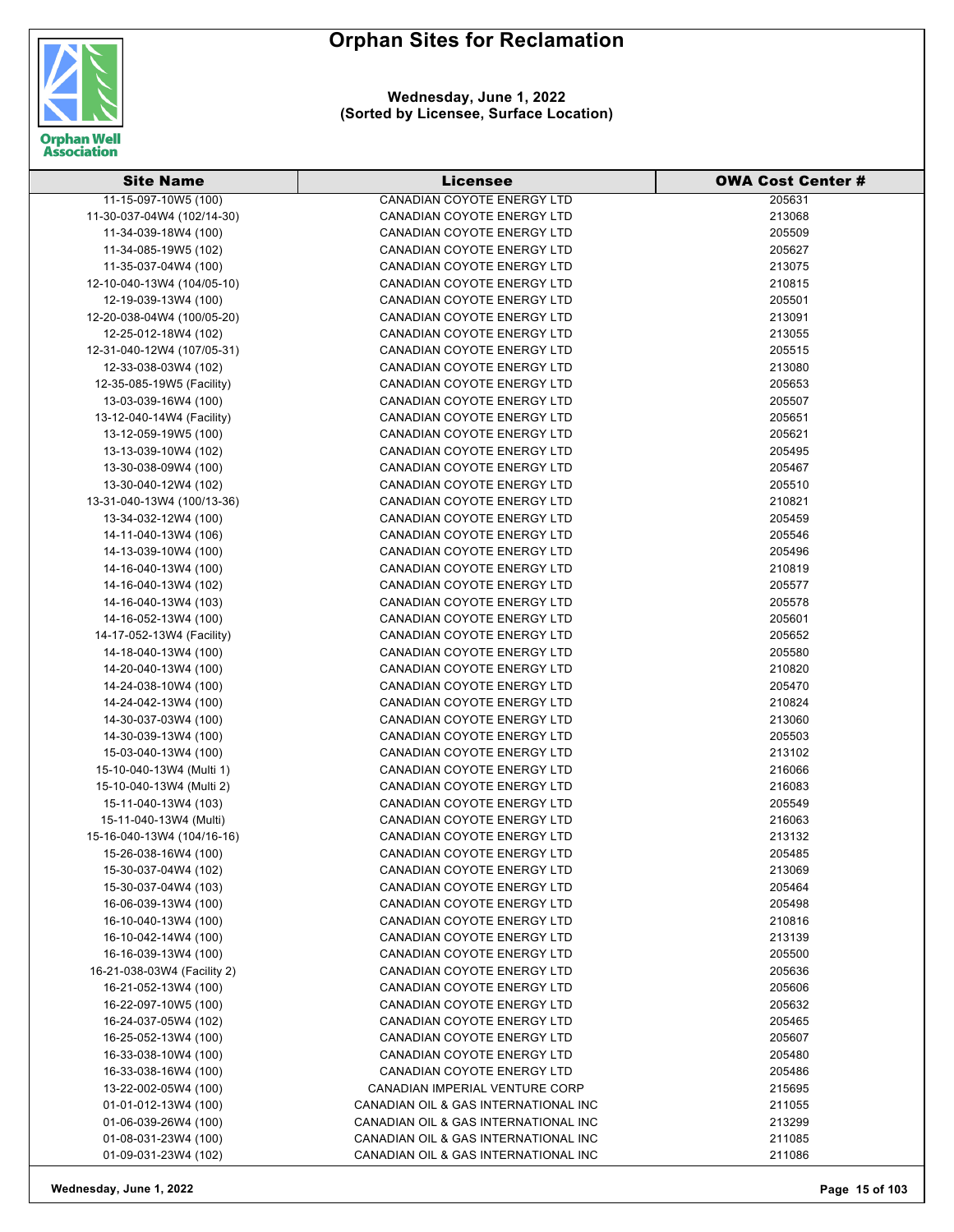

**Wednesday, June 1, 2022 (Sorted by Licensee, Surface Location)**

| <b>Site Name</b>            | <b>Licensee</b>                      | <b>OWA Cost Center #</b> |
|-----------------------------|--------------------------------------|--------------------------|
| 11-15-097-10W5 (100)        | <b>CANADIAN COYOTE ENERGY LTD</b>    | 205631                   |
| 11-30-037-04W4 (102/14-30)  | CANADIAN COYOTE ENERGY LTD           | 213068                   |
| 11-34-039-18W4 (100)        | CANADIAN COYOTE ENERGY LTD           | 205509                   |
| 11-34-085-19W5 (102)        | CANADIAN COYOTE ENERGY LTD           | 205627                   |
| 11-35-037-04W4 (100)        | <b>CANADIAN COYOTE ENERGY LTD</b>    | 213075                   |
| 12-10-040-13W4 (104/05-10)  | CANADIAN COYOTE ENERGY LTD           | 210815                   |
| 12-19-039-13W4 (100)        | CANADIAN COYOTE ENERGY LTD           | 205501                   |
| 12-20-038-04W4 (100/05-20)  | CANADIAN COYOTE ENERGY LTD           | 213091                   |
| 12-25-012-18W4 (102)        | <b>CANADIAN COYOTE ENERGY LTD</b>    | 213055                   |
| 12-31-040-12W4 (107/05-31)  | CANADIAN COYOTE ENERGY LTD           | 205515                   |
| 12-33-038-03W4 (102)        | CANADIAN COYOTE ENERGY LTD           | 213080                   |
| 12-35-085-19W5 (Facility)   | CANADIAN COYOTE ENERGY LTD           | 205653                   |
| 13-03-039-16W4 (100)        | CANADIAN COYOTE ENERGY LTD           | 205507                   |
| 13-12-040-14W4 (Facility)   | CANADIAN COYOTE ENERGY LTD           | 205651                   |
| 13-12-059-19W5 (100)        | CANADIAN COYOTE ENERGY LTD           | 205621                   |
| 13-13-039-10W4 (102)        | CANADIAN COYOTE ENERGY LTD           | 205495                   |
| 13-30-038-09W4 (100)        | CANADIAN COYOTE ENERGY LTD           | 205467                   |
| 13-30-040-12W4 (102)        | <b>CANADIAN COYOTE ENERGY LTD</b>    | 205510                   |
| 13-31-040-13W4 (100/13-36)  | CANADIAN COYOTE ENERGY LTD           | 210821                   |
| 13-34-032-12W4 (100)        | CANADIAN COYOTE ENERGY LTD           | 205459                   |
| 14-11-040-13W4 (106)        | CANADIAN COYOTE ENERGY LTD           | 205546                   |
| 14-13-039-10W4 (100)        | <b>CANADIAN COYOTE ENERGY LTD</b>    | 205496                   |
| 14-16-040-13W4 (100)        | <b>CANADIAN COYOTE ENERGY LTD</b>    | 210819                   |
| 14-16-040-13W4 (102)        | CANADIAN COYOTE ENERGY LTD           | 205577                   |
| 14-16-040-13W4 (103)        | CANADIAN COYOTE ENERGY LTD           | 205578                   |
| 14-16-052-13W4 (100)        | CANADIAN COYOTE ENERGY LTD           | 205601                   |
| 14-17-052-13W4 (Facility)   | CANADIAN COYOTE ENERGY LTD           | 205652                   |
| 14-18-040-13W4 (100)        | CANADIAN COYOTE ENERGY LTD           | 205580                   |
| 14-20-040-13W4 (100)        | CANADIAN COYOTE ENERGY LTD           | 210820                   |
| 14-24-038-10W4 (100)        | CANADIAN COYOTE ENERGY LTD           | 205470                   |
| 14-24-042-13W4 (100)        | CANADIAN COYOTE ENERGY LTD           | 210824                   |
| 14-30-037-03W4 (100)        | CANADIAN COYOTE ENERGY LTD           | 213060                   |
| 14-30-039-13W4 (100)        | CANADIAN COYOTE ENERGY LTD           | 205503                   |
| 15-03-040-13W4 (100)        | CANADIAN COYOTE ENERGY LTD           | 213102                   |
| 15-10-040-13W4 (Multi 1)    | CANADIAN COYOTE ENERGY LTD           | 216066                   |
| 15-10-040-13W4 (Multi 2)    | CANADIAN COYOTE ENERGY LTD           | 216083                   |
| 15-11-040-13W4 (103)        | CANADIAN COYOTE ENERGY LTD           | 205549                   |
| 15-11-040-13W4 (Multi)      | CANADIAN COYOTE ENERGY LTD           | 216063                   |
| 15-16-040-13W4 (104/16-16)  | CANADIAN COYOTE ENERGY LTD           | 213132                   |
| 15-26-038-16W4 (100)        | CANADIAN COYOTE ENERGY LTD           | 205485                   |
| 15-30-037-04W4 (102)        | <b>CANADIAN COYOTE ENERGY LTD</b>    | 213069                   |
| 15-30-037-04W4 (103)        | CANADIAN COYOTE ENERGY LTD           | 205464                   |
| 16-06-039-13W4 (100)        | CANADIAN COYOTE ENERGY LTD           | 205498                   |
| 16-10-040-13W4 (100)        | CANADIAN COYOTE ENERGY LTD           | 210816                   |
| 16-10-042-14W4 (100)        | CANADIAN COYOTE ENERGY LTD           | 213139                   |
| 16-16-039-13W4 (100)        | CANADIAN COYOTE ENERGY LTD           | 205500                   |
| 16-21-038-03W4 (Facility 2) | <b>CANADIAN COYOTE ENERGY LTD</b>    | 205636                   |
| 16-21-052-13W4 (100)        | <b>CANADIAN COYOTE ENERGY LTD</b>    | 205606                   |
| 16-22-097-10W5 (100)        | CANADIAN COYOTE ENERGY LTD           | 205632                   |
| 16-24-037-05W4 (102)        | CANADIAN COYOTE ENERGY LTD           | 205465                   |
| 16-25-052-13W4 (100)        | CANADIAN COYOTE ENERGY LTD           | 205607                   |
| 16-33-038-10W4 (100)        | CANADIAN COYOTE ENERGY LTD           | 205480                   |
| 16-33-038-16W4 (100)        | CANADIAN COYOTE ENERGY LTD           | 205486                   |
| 13-22-002-05W4 (100)        | CANADIAN IMPERIAL VENTURE CORP       | 215695                   |
| 01-01-012-13W4 (100)        | CANADIAN OIL & GAS INTERNATIONAL INC | 211055                   |
| 01-06-039-26W4 (100)        | CANADIAN OIL & GAS INTERNATIONAL INC | 213299                   |
| 01-08-031-23W4 (100)        | CANADIAN OIL & GAS INTERNATIONAL INC | 211085                   |
| 01-09-031-23W4 (102)        | CANADIAN OIL & GAS INTERNATIONAL INC | 211086                   |

**Wednesday, June 1, 2022 Page 15 of 103**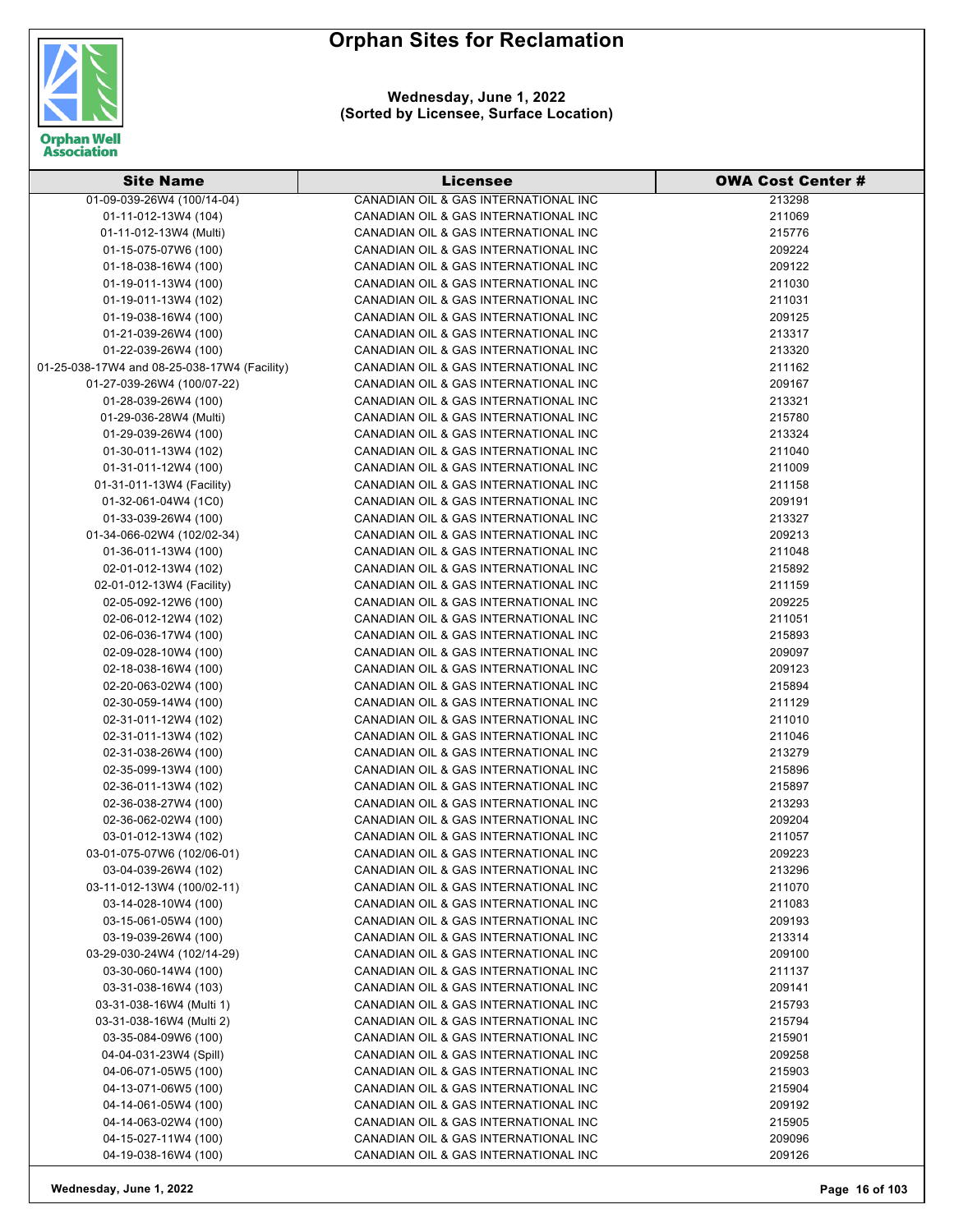

**Wednesday, June 1, 2022 (Sorted by Licensee, Surface Location)**

| <b>Site Name</b>                             | <b>Licensee</b>                                                              | <b>OWA Cost Center #</b> |
|----------------------------------------------|------------------------------------------------------------------------------|--------------------------|
| 01-09-039-26W4 (100/14-04)                   | CANADIAN OIL & GAS INTERNATIONAL INC                                         | 213298                   |
| 01-11-012-13W4 (104)                         | CANADIAN OIL & GAS INTERNATIONAL INC                                         | 211069                   |
| 01-11-012-13W4 (Multi)                       | CANADIAN OIL & GAS INTERNATIONAL INC                                         | 215776                   |
| 01-15-075-07W6 (100)                         | CANADIAN OIL & GAS INTERNATIONAL INC                                         | 209224                   |
| 01-18-038-16W4 (100)                         | CANADIAN OIL & GAS INTERNATIONAL INC                                         | 209122                   |
| 01-19-011-13W4 (100)                         | CANADIAN OIL & GAS INTERNATIONAL INC                                         | 211030                   |
| 01-19-011-13W4 (102)                         | CANADIAN OIL & GAS INTERNATIONAL INC                                         | 211031                   |
| 01-19-038-16W4 (100)                         | CANADIAN OIL & GAS INTERNATIONAL INC                                         | 209125                   |
| 01-21-039-26W4 (100)                         | CANADIAN OIL & GAS INTERNATIONAL INC                                         | 213317                   |
| 01-22-039-26W4 (100)                         | CANADIAN OIL & GAS INTERNATIONAL INC                                         | 213320                   |
| 01-25-038-17W4 and 08-25-038-17W4 (Facility) | CANADIAN OIL & GAS INTERNATIONAL INC                                         | 211162                   |
| 01-27-039-26W4 (100/07-22)                   | CANADIAN OIL & GAS INTERNATIONAL INC                                         | 209167                   |
| 01-28-039-26W4 (100)                         | CANADIAN OIL & GAS INTERNATIONAL INC                                         | 213321                   |
| 01-29-036-28W4 (Multi)                       | CANADIAN OIL & GAS INTERNATIONAL INC                                         | 215780                   |
| 01-29-039-26W4 (100)                         | CANADIAN OIL & GAS INTERNATIONAL INC                                         | 213324                   |
| 01-30-011-13W4 (102)                         | CANADIAN OIL & GAS INTERNATIONAL INC                                         | 211040                   |
| 01-31-011-12W4 (100)                         | CANADIAN OIL & GAS INTERNATIONAL INC                                         | 211009                   |
| 01-31-011-13W4 (Facility)                    | CANADIAN OIL & GAS INTERNATIONAL INC                                         | 211158                   |
| 01-32-061-04W4 (1C0)                         | CANADIAN OIL & GAS INTERNATIONAL INC                                         | 209191                   |
| 01-33-039-26W4 (100)                         | CANADIAN OIL & GAS INTERNATIONAL INC                                         | 213327                   |
| 01-34-066-02W4 (102/02-34)                   | CANADIAN OIL & GAS INTERNATIONAL INC                                         | 209213                   |
| 01-36-011-13W4 (100)                         | CANADIAN OIL & GAS INTERNATIONAL INC                                         | 211048                   |
| 02-01-012-13W4 (102)                         | CANADIAN OIL & GAS INTERNATIONAL INC                                         | 215892                   |
| 02-01-012-13W4 (Facility)                    | CANADIAN OIL & GAS INTERNATIONAL INC                                         | 211159                   |
| 02-05-092-12W6 (100)                         | CANADIAN OIL & GAS INTERNATIONAL INC                                         | 209225                   |
| 02-06-012-12W4 (102)                         | CANADIAN OIL & GAS INTERNATIONAL INC                                         | 211051                   |
| 02-06-036-17W4 (100)                         | CANADIAN OIL & GAS INTERNATIONAL INC                                         | 215893                   |
| 02-09-028-10W4 (100)                         | CANADIAN OIL & GAS INTERNATIONAL INC                                         | 209097                   |
| 02-18-038-16W4 (100)                         | CANADIAN OIL & GAS INTERNATIONAL INC                                         | 209123                   |
| 02-20-063-02W4 (100)                         | CANADIAN OIL & GAS INTERNATIONAL INC                                         | 215894                   |
| 02-30-059-14W4 (100)                         | CANADIAN OIL & GAS INTERNATIONAL INC                                         | 211129                   |
| 02-31-011-12W4 (102)                         | CANADIAN OIL & GAS INTERNATIONAL INC                                         | 211010                   |
| 02-31-011-13W4 (102)                         | CANADIAN OIL & GAS INTERNATIONAL INC                                         | 211046                   |
| 02-31-038-26W4 (100)                         | CANADIAN OIL & GAS INTERNATIONAL INC                                         | 213279                   |
| 02-35-099-13W4 (100)                         | CANADIAN OIL & GAS INTERNATIONAL INC                                         | 215896                   |
| 02-36-011-13W4 (102)                         | CANADIAN OIL & GAS INTERNATIONAL INC                                         | 215897                   |
| 02-36-038-27W4 (100)                         | CANADIAN OIL & GAS INTERNATIONAL INC                                         | 213293                   |
| 02-36-062-02W4 (100)                         | CANADIAN OIL & GAS INTERNATIONAL INC                                         | 209204                   |
| 03-01-012-13W4 (102)                         | CANADIAN OIL & GAS INTERNATIONAL INC                                         | 211057                   |
| 03-01-075-07W6 (102/06-01)                   | CANADIAN OIL & GAS INTERNATIONAL INC                                         | 209223                   |
| 03-04-039-26W4 (102)                         | CANADIAN OIL & GAS INTERNATIONAL INC                                         | 213296                   |
| 03-11-012-13W4 (100/02-11)                   | CANADIAN OIL & GAS INTERNATIONAL INC                                         | 211070                   |
| 03-14-028-10W4 (100)                         | CANADIAN OIL & GAS INTERNATIONAL INC                                         | 211083                   |
| 03-15-061-05W4 (100)                         | CANADIAN OIL & GAS INTERNATIONAL INC                                         | 209193                   |
| 03-19-039-26W4 (100)                         | CANADIAN OIL & GAS INTERNATIONAL INC                                         | 213314                   |
| 03-29-030-24W4 (102/14-29)                   | CANADIAN OIL & GAS INTERNATIONAL INC                                         | 209100                   |
| 03-30-060-14W4 (100)                         | CANADIAN OIL & GAS INTERNATIONAL INC                                         | 211137                   |
| 03-31-038-16W4 (103)                         | CANADIAN OIL & GAS INTERNATIONAL INC                                         | 209141                   |
| 03-31-038-16W4 (Multi 1)                     | CANADIAN OIL & GAS INTERNATIONAL INC                                         | 215793                   |
| 03-31-038-16W4 (Multi 2)                     | CANADIAN OIL & GAS INTERNATIONAL INC                                         | 215794                   |
| 03-35-084-09W6 (100)                         | CANADIAN OIL & GAS INTERNATIONAL INC                                         | 215901                   |
| 04-04-031-23W4 (Spill)                       | CANADIAN OIL & GAS INTERNATIONAL INC                                         | 209258                   |
| 04-06-071-05W5 (100)                         | CANADIAN OIL & GAS INTERNATIONAL INC                                         | 215903                   |
| 04-13-071-06W5 (100)                         | CANADIAN OIL & GAS INTERNATIONAL INC                                         | 215904                   |
| 04-14-061-05W4 (100)                         | CANADIAN OIL & GAS INTERNATIONAL INC                                         |                          |
|                                              |                                                                              | 209192                   |
| 04-14-063-02W4 (100)<br>04-15-027-11W4 (100) | CANADIAN OIL & GAS INTERNATIONAL INC<br>CANADIAN OIL & GAS INTERNATIONAL INC | 215905<br>209096         |
| 04-19-038-16W4 (100)                         | CANADIAN OIL & GAS INTERNATIONAL INC                                         | 209126                   |
|                                              |                                                                              |                          |

**Wednesday, June 1, 2022 Page 16 of 103**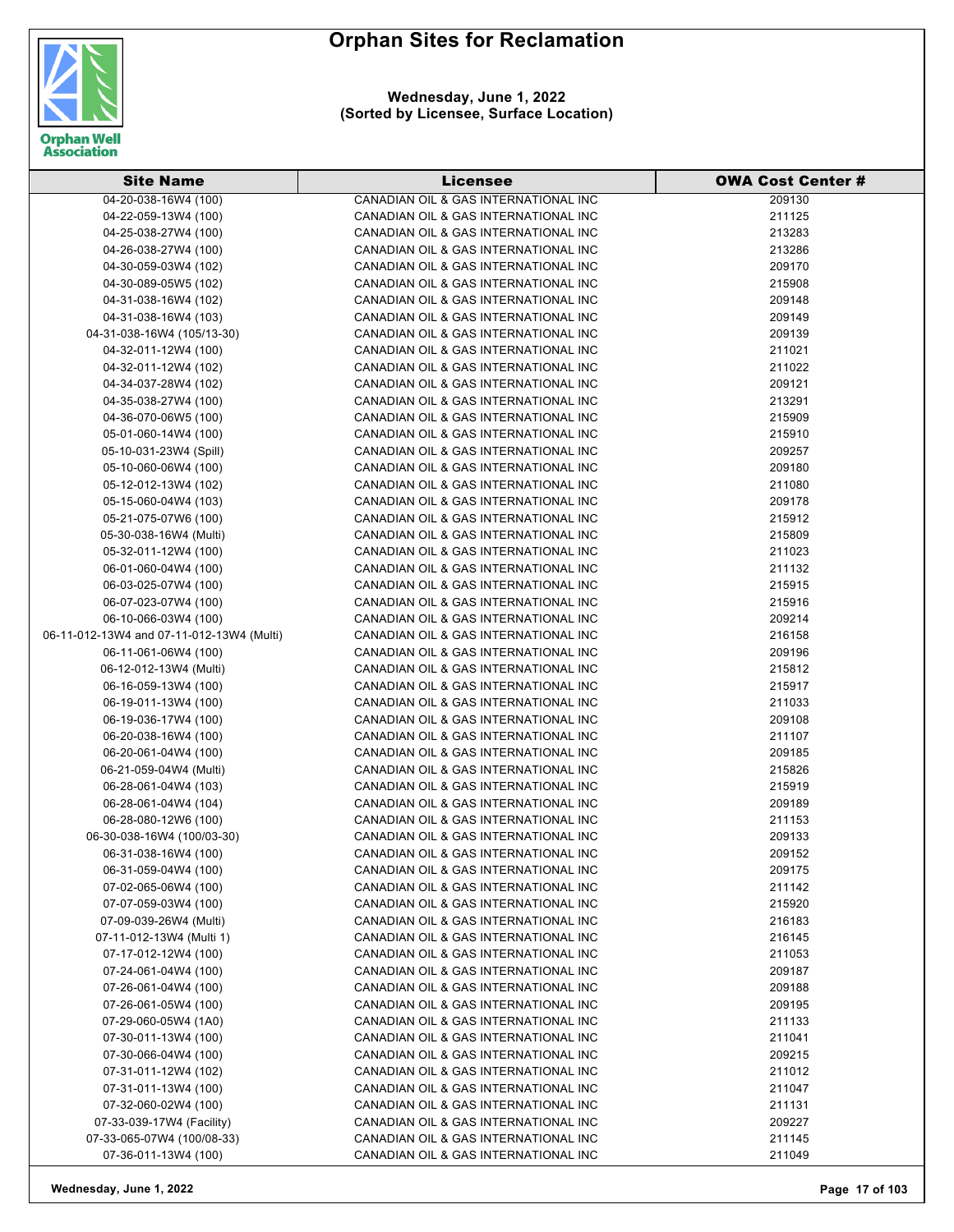



**Wednesday, June 1, 2022 (Sorted by Licensee, Surface Location)**

| <b>Site Name</b>                          | <b>Licensee</b>                      | <b>OWA Cost Center #</b> |
|-------------------------------------------|--------------------------------------|--------------------------|
| 04-20-038-16W4 (100)                      | CANADIAN OIL & GAS INTERNATIONAL INC | 209130                   |
| 04-22-059-13W4 (100)                      | CANADIAN OIL & GAS INTERNATIONAL INC | 211125                   |
| 04-25-038-27W4 (100)                      | CANADIAN OIL & GAS INTERNATIONAL INC | 213283                   |
| 04-26-038-27W4 (100)                      | CANADIAN OIL & GAS INTERNATIONAL INC | 213286                   |
| 04-30-059-03W4 (102)                      | CANADIAN OIL & GAS INTERNATIONAL INC | 209170                   |
| 04-30-089-05W5 (102)                      | CANADIAN OIL & GAS INTERNATIONAL INC | 215908                   |
| 04-31-038-16W4 (102)                      | CANADIAN OIL & GAS INTERNATIONAL INC | 209148                   |
| 04-31-038-16W4 (103)                      | CANADIAN OIL & GAS INTERNATIONAL INC | 209149                   |
| 04-31-038-16W4 (105/13-30)                | CANADIAN OIL & GAS INTERNATIONAL INC | 209139                   |
| 04-32-011-12W4 (100)                      | CANADIAN OIL & GAS INTERNATIONAL INC | 211021                   |
| 04-32-011-12W4 (102)                      | CANADIAN OIL & GAS INTERNATIONAL INC | 211022                   |
| 04-34-037-28W4 (102)                      | CANADIAN OIL & GAS INTERNATIONAL INC | 209121                   |
| 04-35-038-27W4 (100)                      | CANADIAN OIL & GAS INTERNATIONAL INC | 213291                   |
| 04-36-070-06W5 (100)                      | CANADIAN OIL & GAS INTERNATIONAL INC | 215909                   |
| 05-01-060-14W4 (100)                      | CANADIAN OIL & GAS INTERNATIONAL INC | 215910                   |
| 05-10-031-23W4 (Spill)                    | CANADIAN OIL & GAS INTERNATIONAL INC | 209257                   |
| 05-10-060-06W4 (100)                      | CANADIAN OIL & GAS INTERNATIONAL INC | 209180                   |
| 05-12-012-13W4 (102)                      | CANADIAN OIL & GAS INTERNATIONAL INC | 211080                   |
| 05-15-060-04W4 (103)                      | CANADIAN OIL & GAS INTERNATIONAL INC | 209178                   |
| 05-21-075-07W6 (100)                      | CANADIAN OIL & GAS INTERNATIONAL INC | 215912                   |
| 05-30-038-16W4 (Multi)                    | CANADIAN OIL & GAS INTERNATIONAL INC | 215809                   |
| 05-32-011-12W4 (100)                      | CANADIAN OIL & GAS INTERNATIONAL INC | 211023                   |
| 06-01-060-04W4 (100)                      | CANADIAN OIL & GAS INTERNATIONAL INC | 211132                   |
| 06-03-025-07W4 (100)                      | CANADIAN OIL & GAS INTERNATIONAL INC | 215915                   |
| 06-07-023-07W4 (100)                      | CANADIAN OIL & GAS INTERNATIONAL INC | 215916                   |
| 06-10-066-03W4 (100)                      | CANADIAN OIL & GAS INTERNATIONAL INC | 209214                   |
| 06-11-012-13W4 and 07-11-012-13W4 (Multi) | CANADIAN OIL & GAS INTERNATIONAL INC | 216158                   |
| 06-11-061-06W4 (100)                      | CANADIAN OIL & GAS INTERNATIONAL INC | 209196                   |
| 06-12-012-13W4 (Multi)                    | CANADIAN OIL & GAS INTERNATIONAL INC | 215812                   |
| 06-16-059-13W4 (100)                      | CANADIAN OIL & GAS INTERNATIONAL INC | 215917                   |
| 06-19-011-13W4 (100)                      | CANADIAN OIL & GAS INTERNATIONAL INC | 211033                   |
| 06-19-036-17W4 (100)                      | CANADIAN OIL & GAS INTERNATIONAL INC | 209108                   |
| 06-20-038-16W4 (100)                      | CANADIAN OIL & GAS INTERNATIONAL INC | 211107                   |
| 06-20-061-04W4 (100)                      | CANADIAN OIL & GAS INTERNATIONAL INC | 209185                   |
| 06-21-059-04W4 (Multi)                    | CANADIAN OIL & GAS INTERNATIONAL INC | 215826                   |
| 06-28-061-04W4 (103)                      | CANADIAN OIL & GAS INTERNATIONAL INC | 215919                   |
| 06-28-061-04W4 (104)                      | CANADIAN OIL & GAS INTERNATIONAL INC | 209189                   |
| 06-28-080-12W6 (100)                      | CANADIAN OIL & GAS INTERNATIONAL INC | 211153                   |
| 06-30-038-16W4 (100/03-30)                | CANADIAN OIL & GAS INTERNATIONAL INC | 209133                   |
| 06-31-038-16W4 (100)                      | CANADIAN OIL & GAS INTERNATIONAL INC | 209152                   |
| 06-31-059-04W4 (100)                      | CANADIAN OIL & GAS INTERNATIONAL INC | 209175                   |
| 07-02-065-06W4 (100)                      | CANADIAN OIL & GAS INTERNATIONAL INC | 211142                   |
| 07-07-059-03W4 (100)                      | CANADIAN OIL & GAS INTERNATIONAL INC | 215920                   |
| 07-09-039-26W4 (Multi)                    | CANADIAN OIL & GAS INTERNATIONAL INC | 216183                   |
| 07-11-012-13W4 (Multi 1)                  | CANADIAN OIL & GAS INTERNATIONAL INC | 216145                   |
| 07-17-012-12W4 (100)                      | CANADIAN OIL & GAS INTERNATIONAL INC | 211053                   |
| 07-24-061-04W4 (100)                      | CANADIAN OIL & GAS INTERNATIONAL INC | 209187                   |
| 07-26-061-04W4 (100)                      | CANADIAN OIL & GAS INTERNATIONAL INC | 209188                   |
| 07-26-061-05W4 (100)                      | CANADIAN OIL & GAS INTERNATIONAL INC | 209195                   |
| 07-29-060-05W4 (1A0)                      | CANADIAN OIL & GAS INTERNATIONAL INC | 211133                   |
| 07-30-011-13W4 (100)                      | CANADIAN OIL & GAS INTERNATIONAL INC | 211041                   |
| 07-30-066-04W4 (100)                      | CANADIAN OIL & GAS INTERNATIONAL INC | 209215                   |
| 07-31-011-12W4 (102)                      | CANADIAN OIL & GAS INTERNATIONAL INC | 211012                   |
| 07-31-011-13W4 (100)                      | CANADIAN OIL & GAS INTERNATIONAL INC | 211047                   |
| 07-32-060-02W4 (100)                      | CANADIAN OIL & GAS INTERNATIONAL INC | 211131                   |
| 07-33-039-17W4 (Facility)                 | CANADIAN OIL & GAS INTERNATIONAL INC | 209227                   |
| 07-33-065-07W4 (100/08-33)                | CANADIAN OIL & GAS INTERNATIONAL INC | 211145                   |
| 07-36-011-13W4 (100)                      | CANADIAN OIL & GAS INTERNATIONAL INC | 211049                   |

**Wednesday, June 1, 2022 Page 17 of 103**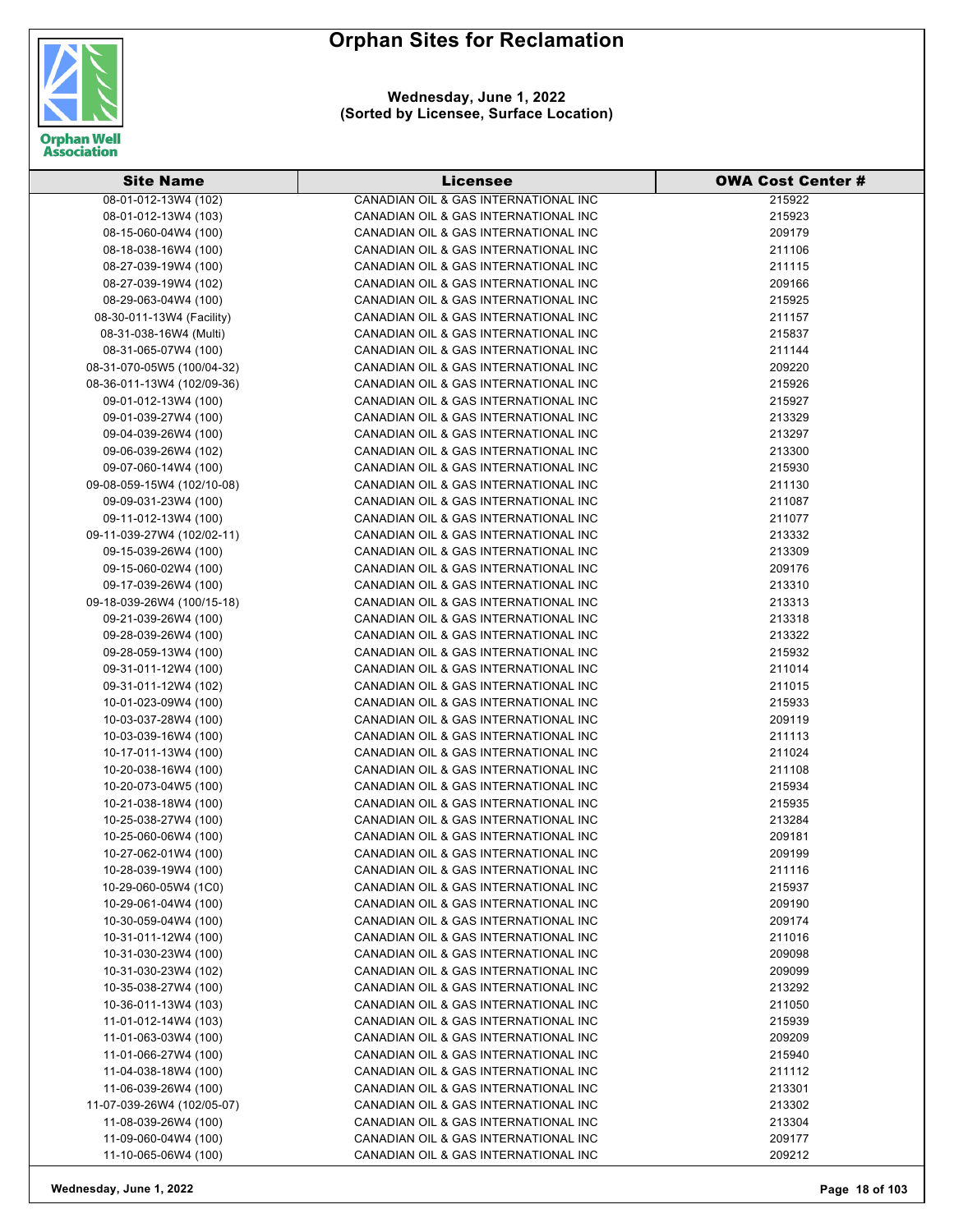



| <b>Site Name</b>           | Licensee                             | <b>OWA Cost Center #</b> |
|----------------------------|--------------------------------------|--------------------------|
| 08-01-012-13W4 (102)       | CANADIAN OIL & GAS INTERNATIONAL INC | 215922                   |
| 08-01-012-13W4 (103)       | CANADIAN OIL & GAS INTERNATIONAL INC | 215923                   |
| 08-15-060-04W4 (100)       | CANADIAN OIL & GAS INTERNATIONAL INC | 209179                   |
| 08-18-038-16W4 (100)       | CANADIAN OIL & GAS INTERNATIONAL INC | 211106                   |
| 08-27-039-19W4 (100)       | CANADIAN OIL & GAS INTERNATIONAL INC | 211115                   |
| 08-27-039-19W4 (102)       | CANADIAN OIL & GAS INTERNATIONAL INC | 209166                   |
| 08-29-063-04W4 (100)       | CANADIAN OIL & GAS INTERNATIONAL INC | 215925                   |
| 08-30-011-13W4 (Facility)  | CANADIAN OIL & GAS INTERNATIONAL INC | 211157                   |
| 08-31-038-16W4 (Multi)     | CANADIAN OIL & GAS INTERNATIONAL INC | 215837                   |
| 08-31-065-07W4 (100)       | CANADIAN OIL & GAS INTERNATIONAL INC | 211144                   |
| 08-31-070-05W5 (100/04-32) | CANADIAN OIL & GAS INTERNATIONAL INC | 209220                   |
| 08-36-011-13W4 (102/09-36) | CANADIAN OIL & GAS INTERNATIONAL INC | 215926                   |
| 09-01-012-13W4 (100)       | CANADIAN OIL & GAS INTERNATIONAL INC | 215927                   |
| 09-01-039-27W4 (100)       | CANADIAN OIL & GAS INTERNATIONAL INC | 213329                   |
| 09-04-039-26W4 (100)       | CANADIAN OIL & GAS INTERNATIONAL INC | 213297                   |
| 09-06-039-26W4 (102)       | CANADIAN OIL & GAS INTERNATIONAL INC | 213300                   |
| 09-07-060-14W4 (100)       | CANADIAN OIL & GAS INTERNATIONAL INC | 215930                   |
| 09-08-059-15W4 (102/10-08) | CANADIAN OIL & GAS INTERNATIONAL INC | 211130                   |
| 09-09-031-23W4 (100)       | CANADIAN OIL & GAS INTERNATIONAL INC | 211087                   |
| 09-11-012-13W4 (100)       | CANADIAN OIL & GAS INTERNATIONAL INC | 211077                   |
| 09-11-039-27W4 (102/02-11) | CANADIAN OIL & GAS INTERNATIONAL INC | 213332                   |
| 09-15-039-26W4 (100)       | CANADIAN OIL & GAS INTERNATIONAL INC | 213309                   |
|                            |                                      |                          |
| 09-15-060-02W4 (100)       | CANADIAN OIL & GAS INTERNATIONAL INC | 209176                   |
| 09-17-039-26W4 (100)       | CANADIAN OIL & GAS INTERNATIONAL INC | 213310                   |
| 09-18-039-26W4 (100/15-18) | CANADIAN OIL & GAS INTERNATIONAL INC | 213313                   |
| 09-21-039-26W4 (100)       | CANADIAN OIL & GAS INTERNATIONAL INC | 213318                   |
| 09-28-039-26W4 (100)       | CANADIAN OIL & GAS INTERNATIONAL INC | 213322                   |
| 09-28-059-13W4 (100)       | CANADIAN OIL & GAS INTERNATIONAL INC | 215932                   |
| 09-31-011-12W4 (100)       | CANADIAN OIL & GAS INTERNATIONAL INC | 211014                   |
| 09-31-011-12W4 (102)       | CANADIAN OIL & GAS INTERNATIONAL INC | 211015                   |
| 10-01-023-09W4 (100)       | CANADIAN OIL & GAS INTERNATIONAL INC | 215933                   |
| 10-03-037-28W4 (100)       | CANADIAN OIL & GAS INTERNATIONAL INC | 209119                   |
| 10-03-039-16W4 (100)       | CANADIAN OIL & GAS INTERNATIONAL INC | 211113                   |
| 10-17-011-13W4 (100)       | CANADIAN OIL & GAS INTERNATIONAL INC | 211024                   |
| 10-20-038-16W4 (100)       | CANADIAN OIL & GAS INTERNATIONAL INC | 211108                   |
| 10-20-073-04W5 (100)       | CANADIAN OIL & GAS INTERNATIONAL INC | 215934                   |
| 10-21-038-18W4 (100)       | CANADIAN OIL & GAS INTERNATIONAL INC | 215935                   |
| 10-25-038-27W4 (100)       | CANADIAN OIL & GAS INTERNATIONAL INC | 213284                   |
| 10-25-060-06W4 (100)       | CANADIAN OIL & GAS INTERNATIONAL INC | 209181                   |
| 10-27-062-01W4 (100)       | CANADIAN OIL & GAS INTERNATIONAL INC | 209199                   |
| 10-28-039-19W4 (100)       | CANADIAN OIL & GAS INTERNATIONAL INC | 211116                   |
| 10-29-060-05W4 (1C0)       | CANADIAN OIL & GAS INTERNATIONAL INC | 215937                   |
| 10-29-061-04W4 (100)       | CANADIAN OIL & GAS INTERNATIONAL INC | 209190                   |
| 10-30-059-04W4 (100)       | CANADIAN OIL & GAS INTERNATIONAL INC | 209174                   |
| 10-31-011-12W4 (100)       | CANADIAN OIL & GAS INTERNATIONAL INC | 211016                   |
| 10-31-030-23W4 (100)       | CANADIAN OIL & GAS INTERNATIONAL INC | 209098                   |
| 10-31-030-23W4 (102)       | CANADIAN OIL & GAS INTERNATIONAL INC | 209099                   |
| 10-35-038-27W4 (100)       | CANADIAN OIL & GAS INTERNATIONAL INC | 213292                   |
| 10-36-011-13W4 (103)       | CANADIAN OIL & GAS INTERNATIONAL INC | 211050                   |
| 11-01-012-14W4 (103)       | CANADIAN OIL & GAS INTERNATIONAL INC | 215939                   |
| 11-01-063-03W4 (100)       | CANADIAN OIL & GAS INTERNATIONAL INC | 209209                   |
| 11-01-066-27W4 (100)       | CANADIAN OIL & GAS INTERNATIONAL INC | 215940                   |
| 11-04-038-18W4 (100)       | CANADIAN OIL & GAS INTERNATIONAL INC | 211112                   |
| 11-06-039-26W4 (100)       | CANADIAN OIL & GAS INTERNATIONAL INC | 213301                   |
| 11-07-039-26W4 (102/05-07) | CANADIAN OIL & GAS INTERNATIONAL INC | 213302                   |
| 11-08-039-26W4 (100)       | CANADIAN OIL & GAS INTERNATIONAL INC | 213304                   |
| 11-09-060-04W4 (100)       | CANADIAN OIL & GAS INTERNATIONAL INC | 209177                   |
| 11-10-065-06W4 (100)       | CANADIAN OIL & GAS INTERNATIONAL INC | 209212                   |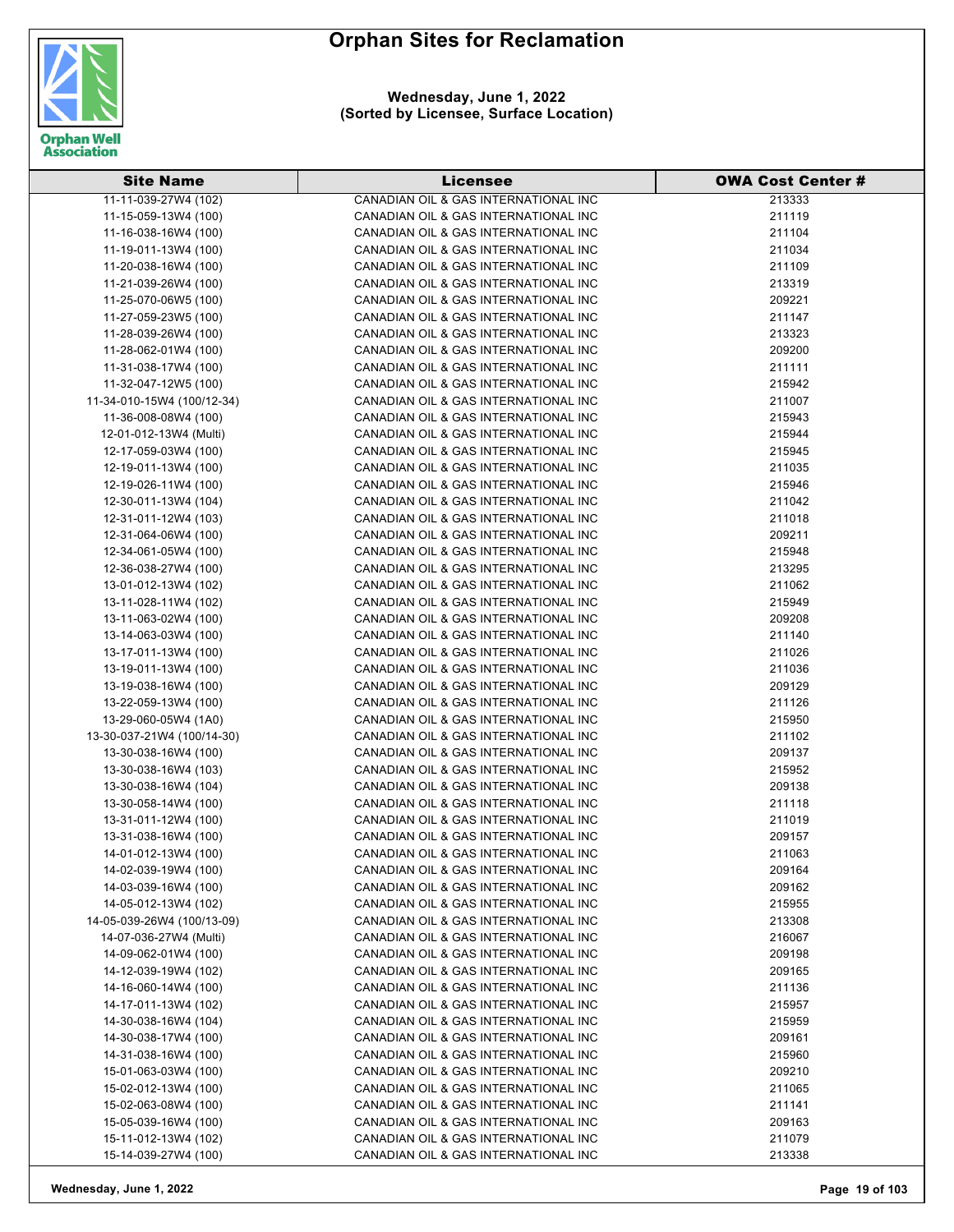

**Wednesday, June 1, 2022 (Sorted by Licensee, Surface Location)**

| <b>Site Name</b>           | <b>Licensee</b>                      | <b>OWA Cost Center #</b> |
|----------------------------|--------------------------------------|--------------------------|
| 11-11-039-27W4 (102)       | CANADIAN OIL & GAS INTERNATIONAL INC | 213333                   |
| 11-15-059-13W4 (100)       | CANADIAN OIL & GAS INTERNATIONAL INC | 211119                   |
| 11-16-038-16W4 (100)       | CANADIAN OIL & GAS INTERNATIONAL INC | 211104                   |
| 11-19-011-13W4 (100)       | CANADIAN OIL & GAS INTERNATIONAL INC | 211034                   |
| 11-20-038-16W4 (100)       | CANADIAN OIL & GAS INTERNATIONAL INC | 211109                   |
| 11-21-039-26W4 (100)       | CANADIAN OIL & GAS INTERNATIONAL INC | 213319                   |
| 11-25-070-06W5 (100)       | CANADIAN OIL & GAS INTERNATIONAL INC | 209221                   |
| 11-27-059-23W5 (100)       | CANADIAN OIL & GAS INTERNATIONAL INC | 211147                   |
| 11-28-039-26W4 (100)       | CANADIAN OIL & GAS INTERNATIONAL INC | 213323                   |
| 11-28-062-01W4 (100)       | CANADIAN OIL & GAS INTERNATIONAL INC | 209200                   |
| 11-31-038-17W4 (100)       | CANADIAN OIL & GAS INTERNATIONAL INC | 211111                   |
| 11-32-047-12W5 (100)       | CANADIAN OIL & GAS INTERNATIONAL INC | 215942                   |
| 11-34-010-15W4 (100/12-34) | CANADIAN OIL & GAS INTERNATIONAL INC | 211007                   |
| 11-36-008-08W4 (100)       | CANADIAN OIL & GAS INTERNATIONAL INC | 215943                   |
| 12-01-012-13W4 (Multi)     | CANADIAN OIL & GAS INTERNATIONAL INC | 215944                   |
| 12-17-059-03W4 (100)       | CANADIAN OIL & GAS INTERNATIONAL INC | 215945                   |
| 12-19-011-13W4 (100)       | CANADIAN OIL & GAS INTERNATIONAL INC | 211035                   |
| 12-19-026-11W4 (100)       | CANADIAN OIL & GAS INTERNATIONAL INC | 215946                   |
| 12-30-011-13W4 (104)       | CANADIAN OIL & GAS INTERNATIONAL INC | 211042                   |
| 12-31-011-12W4 (103)       | CANADIAN OIL & GAS INTERNATIONAL INC | 211018                   |
| 12-31-064-06W4 (100)       | CANADIAN OIL & GAS INTERNATIONAL INC | 209211                   |
| 12-34-061-05W4 (100)       | CANADIAN OIL & GAS INTERNATIONAL INC | 215948                   |
| 12-36-038-27W4 (100)       | CANADIAN OIL & GAS INTERNATIONAL INC | 213295                   |
| 13-01-012-13W4 (102)       | CANADIAN OIL & GAS INTERNATIONAL INC | 211062                   |
| 13-11-028-11W4 (102)       | CANADIAN OIL & GAS INTERNATIONAL INC | 215949                   |
| 13-11-063-02W4 (100)       | CANADIAN OIL & GAS INTERNATIONAL INC | 209208                   |
| 13-14-063-03W4 (100)       | CANADIAN OIL & GAS INTERNATIONAL INC | 211140                   |
| 13-17-011-13W4 (100)       | CANADIAN OIL & GAS INTERNATIONAL INC | 211026                   |
| 13-19-011-13W4 (100)       | CANADIAN OIL & GAS INTERNATIONAL INC | 211036                   |
| 13-19-038-16W4 (100)       | CANADIAN OIL & GAS INTERNATIONAL INC | 209129                   |
| 13-22-059-13W4 (100)       | CANADIAN OIL & GAS INTERNATIONAL INC | 211126                   |
| 13-29-060-05W4 (1A0)       | CANADIAN OIL & GAS INTERNATIONAL INC | 215950                   |
| 13-30-037-21W4 (100/14-30) | CANADIAN OIL & GAS INTERNATIONAL INC | 211102                   |
| 13-30-038-16W4 (100)       | CANADIAN OIL & GAS INTERNATIONAL INC | 209137                   |
| 13-30-038-16W4 (103)       | CANADIAN OIL & GAS INTERNATIONAL INC | 215952                   |
| 13-30-038-16W4 (104)       | CANADIAN OIL & GAS INTERNATIONAL INC | 209138                   |
| 13-30-058-14W4 (100)       | CANADIAN OIL & GAS INTERNATIONAL INC | 211118                   |
| 13-31-011-12W4 (100)       | CANADIAN OIL & GAS INTERNATIONAL INC | 211019                   |
| 13-31-038-16W4 (100)       | CANADIAN OIL & GAS INTERNATIONAL INC | 209157                   |
| 14-01-012-13W4 (100)       | CANADIAN OIL & GAS INTERNATIONAL INC | 211063                   |
| 14-02-039-19W4 (100)       | CANADIAN OIL & GAS INTERNATIONAL INC | 209164                   |
| 14-03-039-16W4 (100)       | CANADIAN OIL & GAS INTERNATIONAL INC | 209162                   |
| 14-05-012-13W4 (102)       | CANADIAN OIL & GAS INTERNATIONAL INC | 215955                   |
| 14-05-039-26W4 (100/13-09) | CANADIAN OIL & GAS INTERNATIONAL INC | 213308                   |
| 14-07-036-27W4 (Multi)     | CANADIAN OIL & GAS INTERNATIONAL INC | 216067                   |
| 14-09-062-01W4 (100)       | CANADIAN OIL & GAS INTERNATIONAL INC | 209198                   |
| 14-12-039-19W4 (102)       | CANADIAN OIL & GAS INTERNATIONAL INC | 209165                   |
| 14-16-060-14W4 (100)       | CANADIAN OIL & GAS INTERNATIONAL INC | 211136                   |
| 14-17-011-13W4 (102)       | CANADIAN OIL & GAS INTERNATIONAL INC | 215957                   |
| 14-30-038-16W4 (104)       | CANADIAN OIL & GAS INTERNATIONAL INC | 215959                   |
| 14-30-038-17W4 (100)       | CANADIAN OIL & GAS INTERNATIONAL INC | 209161                   |
| 14-31-038-16W4 (100)       | CANADIAN OIL & GAS INTERNATIONAL INC | 215960                   |
| 15-01-063-03W4 (100)       | CANADIAN OIL & GAS INTERNATIONAL INC | 209210                   |
| 15-02-012-13W4 (100)       | CANADIAN OIL & GAS INTERNATIONAL INC | 211065                   |
| 15-02-063-08W4 (100)       | CANADIAN OIL & GAS INTERNATIONAL INC | 211141                   |
| 15-05-039-16W4 (100)       | CANADIAN OIL & GAS INTERNATIONAL INC | 209163                   |
| 15-11-012-13W4 (102)       | CANADIAN OIL & GAS INTERNATIONAL INC | 211079                   |
| 15-14-039-27W4 (100)       | CANADIAN OIL & GAS INTERNATIONAL INC | 213338                   |

**Wednesday, June 1, 2022 Page 19 of 103**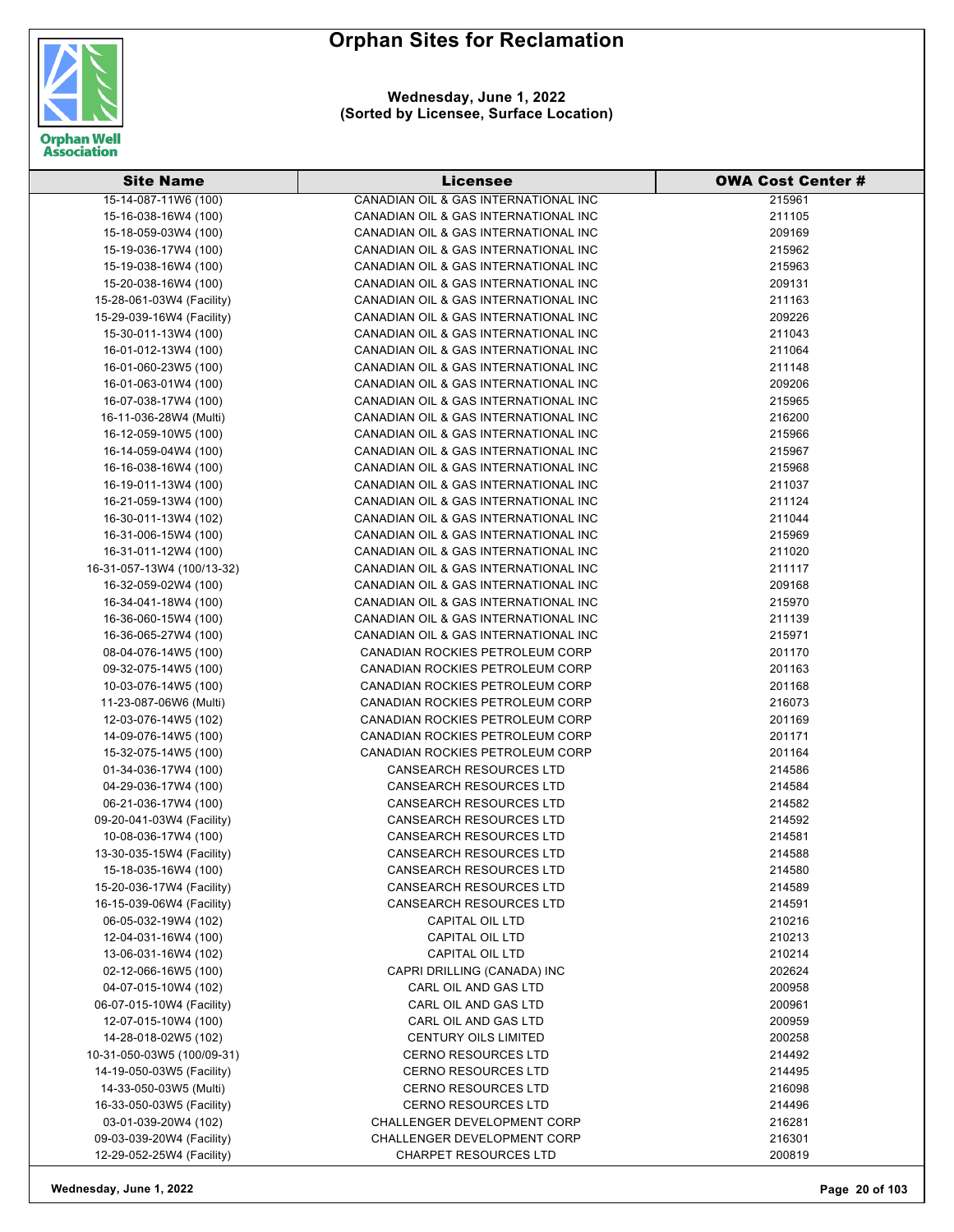

| <b>Site Name</b>           | <b>Licensee</b>                      | <b>OWA Cost Center #</b> |
|----------------------------|--------------------------------------|--------------------------|
| 15-14-087-11W6 (100)       | CANADIAN OIL & GAS INTERNATIONAL INC | 215961                   |
| 15-16-038-16W4 (100)       | CANADIAN OIL & GAS INTERNATIONAL INC | 211105                   |
| 15-18-059-03W4 (100)       | CANADIAN OIL & GAS INTERNATIONAL INC | 209169                   |
| 15-19-036-17W4 (100)       | CANADIAN OIL & GAS INTERNATIONAL INC | 215962                   |
| 15-19-038-16W4 (100)       | CANADIAN OIL & GAS INTERNATIONAL INC | 215963                   |
| 15-20-038-16W4 (100)       | CANADIAN OIL & GAS INTERNATIONAL INC | 209131                   |
| 15-28-061-03W4 (Facility)  | CANADIAN OIL & GAS INTERNATIONAL INC | 211163                   |
| 15-29-039-16W4 (Facility)  | CANADIAN OIL & GAS INTERNATIONAL INC | 209226                   |
| 15-30-011-13W4 (100)       | CANADIAN OIL & GAS INTERNATIONAL INC | 211043                   |
| 16-01-012-13W4 (100)       | CANADIAN OIL & GAS INTERNATIONAL INC | 211064                   |
| 16-01-060-23W5 (100)       | CANADIAN OIL & GAS INTERNATIONAL INC | 211148                   |
| 16-01-063-01W4 (100)       | CANADIAN OIL & GAS INTERNATIONAL INC | 209206                   |
| 16-07-038-17W4 (100)       | CANADIAN OIL & GAS INTERNATIONAL INC | 215965                   |
| 16-11-036-28W4 (Multi)     | CANADIAN OIL & GAS INTERNATIONAL INC | 216200                   |
| 16-12-059-10W5 (100)       | CANADIAN OIL & GAS INTERNATIONAL INC | 215966                   |
| 16-14-059-04W4 (100)       | CANADIAN OIL & GAS INTERNATIONAL INC | 215967                   |
| 16-16-038-16W4 (100)       | CANADIAN OIL & GAS INTERNATIONAL INC | 215968                   |
| 16-19-011-13W4 (100)       | CANADIAN OIL & GAS INTERNATIONAL INC | 211037                   |
| 16-21-059-13W4 (100)       | CANADIAN OIL & GAS INTERNATIONAL INC | 211124                   |
| 16-30-011-13W4 (102)       | CANADIAN OIL & GAS INTERNATIONAL INC | 211044                   |
| 16-31-006-15W4 (100)       | CANADIAN OIL & GAS INTERNATIONAL INC | 215969                   |
| 16-31-011-12W4 (100)       | CANADIAN OIL & GAS INTERNATIONAL INC | 211020                   |
| 16-31-057-13W4 (100/13-32) | CANADIAN OIL & GAS INTERNATIONAL INC | 211117                   |
| 16-32-059-02W4 (100)       | CANADIAN OIL & GAS INTERNATIONAL INC | 209168                   |
| 16-34-041-18W4 (100)       | CANADIAN OIL & GAS INTERNATIONAL INC | 215970                   |
| 16-36-060-15W4 (100)       | CANADIAN OIL & GAS INTERNATIONAL INC | 211139                   |
| 16-36-065-27W4 (100)       | CANADIAN OIL & GAS INTERNATIONAL INC | 215971                   |
| 08-04-076-14W5 (100)       | CANADIAN ROCKIES PETROLEUM CORP      | 201170                   |
| 09-32-075-14W5 (100)       | CANADIAN ROCKIES PETROLEUM CORP      | 201163                   |
| 10-03-076-14W5 (100)       | CANADIAN ROCKIES PETROLEUM CORP      | 201168                   |
| 11-23-087-06W6 (Multi)     | CANADIAN ROCKIES PETROLEUM CORP      | 216073                   |
| 12-03-076-14W5 (102)       | CANADIAN ROCKIES PETROLEUM CORP      | 201169                   |
| 14-09-076-14W5 (100)       | CANADIAN ROCKIES PETROLEUM CORP      | 201171                   |
| 15-32-075-14W5 (100)       | CANADIAN ROCKIES PETROLEUM CORP      | 201164                   |
| 01-34-036-17W4 (100)       | <b>CANSEARCH RESOURCES LTD</b>       | 214586                   |
| 04-29-036-17W4 (100)       | <b>CANSEARCH RESOURCES LTD</b>       | 214584                   |
| 06-21-036-17W4 (100)       | <b>CANSEARCH RESOURCES LTD</b>       | 214582                   |
| 09-20-041-03W4 (Facility)  | <b>CANSEARCH RESOURCES LTD</b>       | 214592                   |
| 10-08-036-17W4 (100)       | CANSEARCH RESOURCES LTD              | 214581                   |
| 13-30-035-15W4 (Facility)  | <b>CANSEARCH RESOURCES LTD</b>       | 214588                   |
| 15-18-035-16W4 (100)       | <b>CANSEARCH RESOURCES LTD</b>       | 214580                   |
| 15-20-036-17W4 (Facility)  | <b>CANSEARCH RESOURCES LTD</b>       | 214589                   |
| 16-15-039-06W4 (Facility)  | <b>CANSEARCH RESOURCES LTD</b>       | 214591                   |
| 06-05-032-19W4 (102)       | <b>CAPITAL OIL LTD</b>               | 210216                   |
| 12-04-031-16W4 (100)       | CAPITAL OIL LTD                      | 210213                   |
| 13-06-031-16W4 (102)       | CAPITAL OIL LTD                      | 210214                   |
| 02-12-066-16W5 (100)       | CAPRI DRILLING (CANADA) INC          | 202624                   |
| 04-07-015-10W4 (102)       | CARL OIL AND GAS LTD                 | 200958                   |
| 06-07-015-10W4 (Facility)  | CARL OIL AND GAS LTD                 | 200961                   |
| 12-07-015-10W4 (100)       | CARL OIL AND GAS LTD                 | 200959                   |
| 14-28-018-02W5 (102)       | <b>CENTURY OILS LIMITED</b>          | 200258                   |
| 10-31-050-03W5 (100/09-31) | <b>CERNO RESOURCES LTD</b>           | 214492                   |
| 14-19-050-03W5 (Facility)  | <b>CERNO RESOURCES LTD</b>           | 214495                   |
| 14-33-050-03W5 (Multi)     | <b>CERNO RESOURCES LTD</b>           | 216098                   |
| 16-33-050-03W5 (Facility)  | <b>CERNO RESOURCES LTD</b>           | 214496                   |
| 03-01-039-20W4 (102)       | CHALLENGER DEVELOPMENT CORP          | 216281                   |
| 09-03-039-20W4 (Facility)  | CHALLENGER DEVELOPMENT CORP          | 216301                   |
| 12-29-052-25W4 (Facility)  | <b>CHARPET RESOURCES LTD</b>         | 200819                   |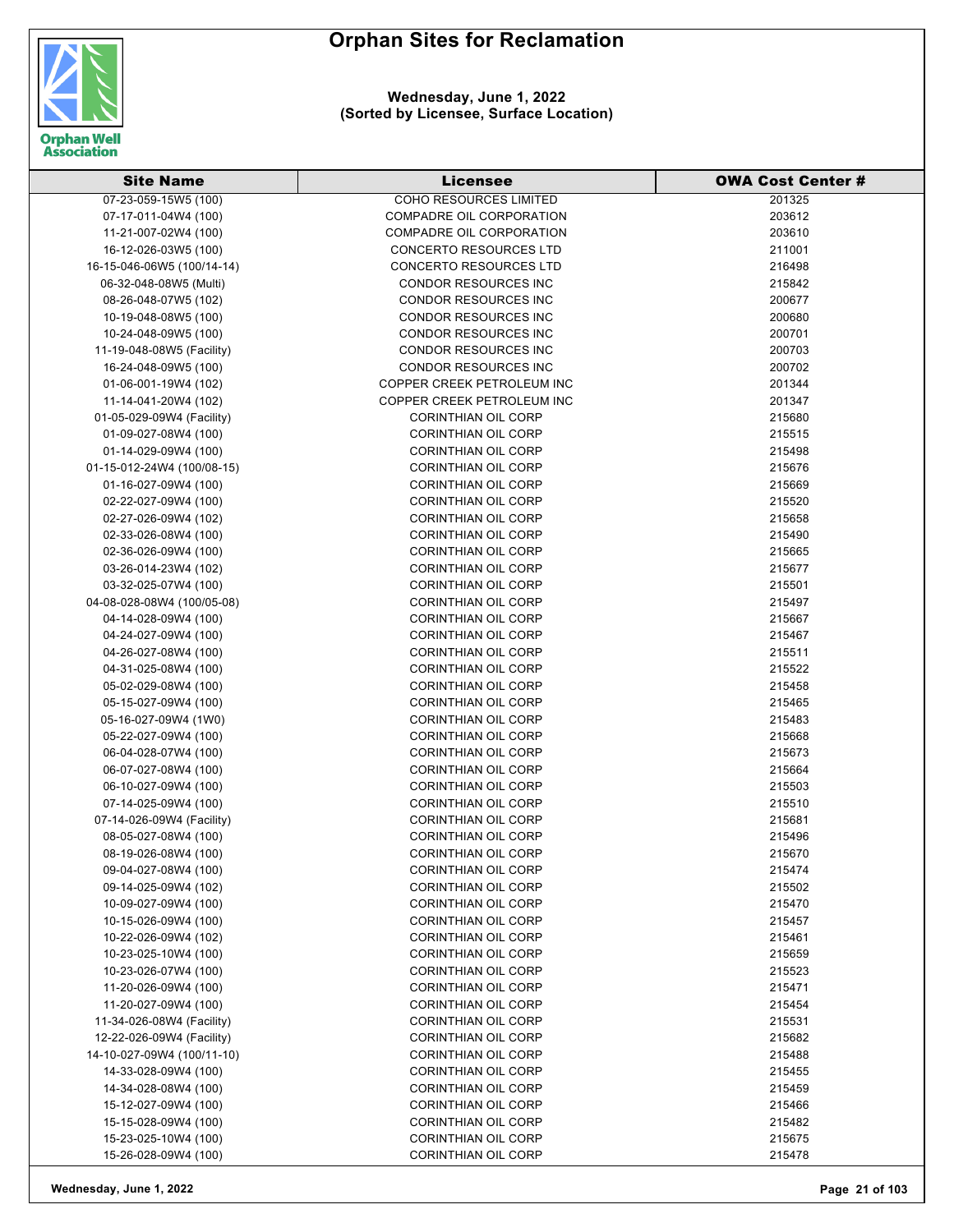



| <b>Site Name</b>           | <b>Licensee</b>               | <b>OWA Cost Center #</b> |
|----------------------------|-------------------------------|--------------------------|
| 07-23-059-15W5 (100)       | <b>COHO RESOURCES LIMITED</b> | 201325                   |
| 07-17-011-04W4 (100)       | COMPADRE OIL CORPORATION      | 203612                   |
| 11-21-007-02W4 (100)       | COMPADRE OIL CORPORATION      | 203610                   |
| 16-12-026-03W5 (100)       | <b>CONCERTO RESOURCES LTD</b> | 211001                   |
| 16-15-046-06W5 (100/14-14) | <b>CONCERTO RESOURCES LTD</b> | 216498                   |
| 06-32-048-08W5 (Multi)     | <b>CONDOR RESOURCES INC</b>   | 215842                   |
| 08-26-048-07W5 (102)       | <b>CONDOR RESOURCES INC</b>   | 200677                   |
| 10-19-048-08W5 (100)       | <b>CONDOR RESOURCES INC</b>   | 200680                   |
| 10-24-048-09W5 (100)       | <b>CONDOR RESOURCES INC</b>   | 200701                   |
| 11-19-048-08W5 (Facility)  | CONDOR RESOURCES INC          | 200703                   |
| 16-24-048-09W5 (100)       | <b>CONDOR RESOURCES INC</b>   | 200702                   |
| 01-06-001-19W4 (102)       | COPPER CREEK PETROLEUM INC    | 201344                   |
| 11-14-041-20W4 (102)       | COPPER CREEK PETROLEUM INC    | 201347                   |
| 01-05-029-09W4 (Facility)  | <b>CORINTHIAN OIL CORP</b>    | 215680                   |
| 01-09-027-08W4 (100)       | <b>CORINTHIAN OIL CORP</b>    | 215515                   |
| 01-14-029-09W4 (100)       | <b>CORINTHIAN OIL CORP</b>    | 215498                   |
| 01-15-012-24W4 (100/08-15) | <b>CORINTHIAN OIL CORP</b>    | 215676                   |
| 01-16-027-09W4 (100)       | <b>CORINTHIAN OIL CORP</b>    | 215669                   |
| 02-22-027-09W4 (100)       | <b>CORINTHIAN OIL CORP</b>    | 215520                   |
| 02-27-026-09W4 (102)       | <b>CORINTHIAN OIL CORP</b>    | 215658                   |
| 02-33-026-08W4 (100)       | <b>CORINTHIAN OIL CORP</b>    | 215490                   |
| 02-36-026-09W4 (100)       | <b>CORINTHIAN OIL CORP</b>    | 215665                   |
| 03-26-014-23W4 (102)       | <b>CORINTHIAN OIL CORP</b>    | 215677                   |
| 03-32-025-07W4 (100)       | <b>CORINTHIAN OIL CORP</b>    | 215501                   |
| 04-08-028-08W4 (100/05-08) | <b>CORINTHIAN OIL CORP</b>    | 215497                   |
| 04-14-028-09W4 (100)       | <b>CORINTHIAN OIL CORP</b>    | 215667                   |
| 04-24-027-09W4 (100)       | CORINTHIAN OIL CORP           | 215467                   |
| 04-26-027-08W4 (100)       | <b>CORINTHIAN OIL CORP</b>    | 215511                   |
| 04-31-025-08W4 (100)       | <b>CORINTHIAN OIL CORP</b>    | 215522                   |
| 05-02-029-08W4 (100)       | <b>CORINTHIAN OIL CORP</b>    | 215458                   |
| 05-15-027-09W4 (100)       | <b>CORINTHIAN OIL CORP</b>    | 215465                   |
| 05-16-027-09W4 (1W0)       | <b>CORINTHIAN OIL CORP</b>    | 215483                   |
| 05-22-027-09W4 (100)       | <b>CORINTHIAN OIL CORP</b>    | 215668                   |
| 06-04-028-07W4 (100)       | <b>CORINTHIAN OIL CORP</b>    | 215673                   |
| 06-07-027-08W4 (100)       | <b>CORINTHIAN OIL CORP</b>    | 215664                   |
| 06-10-027-09W4 (100)       | <b>CORINTHIAN OIL CORP</b>    | 215503                   |
| 07-14-025-09W4 (100)       | <b>CORINTHIAN OIL CORP</b>    | 215510                   |
| 07-14-026-09W4 (Facility)  | <b>CORINTHIAN OIL CORP</b>    | 215681                   |
| 08-05-027-08W4 (100)       | <b>CORINTHIAN OIL CORP</b>    | 215496                   |
| 08-19-026-08W4 (100)       | <b>CORINTHIAN OIL CORP</b>    | 215670                   |
| 09-04-027-08W4 (100)       | CORINTHIAN OIL CORP           | 215474                   |
| 09-14-025-09W4 (102)       | <b>CORINTHIAN OIL CORP</b>    | 215502                   |
| 10-09-027-09W4 (100)       | <b>CORINTHIAN OIL CORP</b>    | 215470                   |
| 10-15-026-09W4 (100)       | <b>CORINTHIAN OIL CORP</b>    | 215457                   |
| 10-22-026-09W4 (102)       | <b>CORINTHIAN OIL CORP</b>    | 215461                   |
| 10-23-025-10W4 (100)       | <b>CORINTHIAN OIL CORP</b>    | 215659                   |
| 10-23-026-07W4 (100)       | <b>CORINTHIAN OIL CORP</b>    | 215523                   |
| 11-20-026-09W4 (100)       | <b>CORINTHIAN OIL CORP</b>    | 215471                   |
| 11-20-027-09W4 (100)       | <b>CORINTHIAN OIL CORP</b>    | 215454                   |
| 11-34-026-08W4 (Facility)  | <b>CORINTHIAN OIL CORP</b>    | 215531                   |
| 12-22-026-09W4 (Facility)  | <b>CORINTHIAN OIL CORP</b>    | 215682                   |
| 14-10-027-09W4 (100/11-10) | <b>CORINTHIAN OIL CORP</b>    | 215488                   |
| 14-33-028-09W4 (100)       | <b>CORINTHIAN OIL CORP</b>    | 215455                   |
| 14-34-028-08W4 (100)       | <b>CORINTHIAN OIL CORP</b>    | 215459                   |
| 15-12-027-09W4 (100)       | <b>CORINTHIAN OIL CORP</b>    | 215466                   |
| 15-15-028-09W4 (100)       | <b>CORINTHIAN OIL CORP</b>    | 215482                   |
| 15-23-025-10W4 (100)       | <b>CORINTHIAN OIL CORP</b>    | 215675                   |
| 15-26-028-09W4 (100)       | <b>CORINTHIAN OIL CORP</b>    | 215478                   |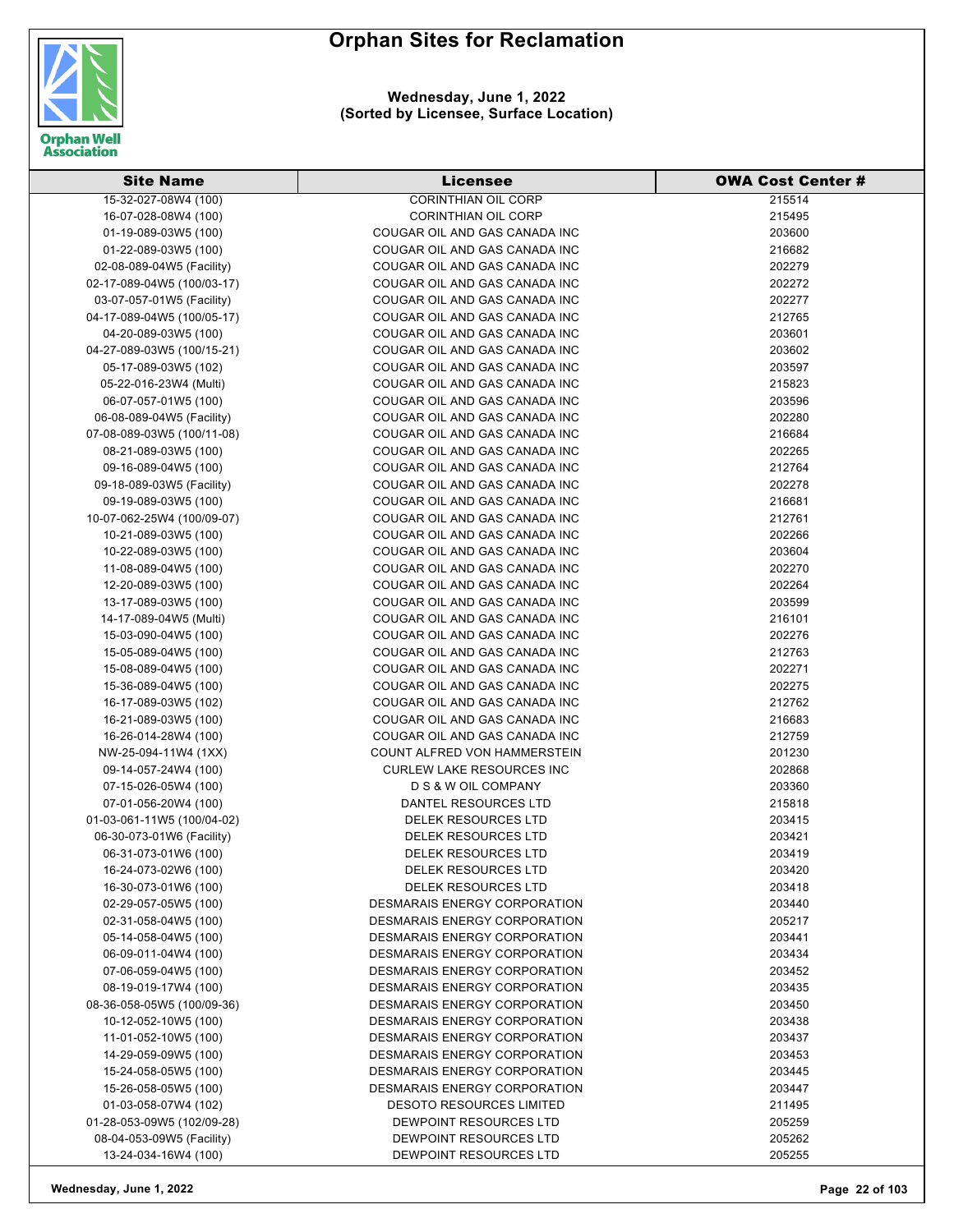

| <b>Site Name</b>           | <b>Licensee</b>                  | <b>OWA Cost Center #</b> |
|----------------------------|----------------------------------|--------------------------|
| 15-32-027-08W4 (100)       | <b>CORINTHIAN OIL CORP</b>       | 215514                   |
| 16-07-028-08W4 (100)       | <b>CORINTHIAN OIL CORP</b>       | 215495                   |
| 01-19-089-03W5 (100)       | COUGAR OIL AND GAS CANADA INC    | 203600                   |
| 01-22-089-03W5 (100)       | COUGAR OIL AND GAS CANADA INC    | 216682                   |
| 02-08-089-04W5 (Facility)  | COUGAR OIL AND GAS CANADA INC    | 202279                   |
| 02-17-089-04W5 (100/03-17) | COUGAR OIL AND GAS CANADA INC    | 202272                   |
| 03-07-057-01W5 (Facility)  | COUGAR OIL AND GAS CANADA INC    | 202277                   |
| 04-17-089-04W5 (100/05-17) | COUGAR OIL AND GAS CANADA INC    | 212765                   |
| 04-20-089-03W5 (100)       | COUGAR OIL AND GAS CANADA INC    | 203601                   |
| 04-27-089-03W5 (100/15-21) | COUGAR OIL AND GAS CANADA INC    | 203602                   |
| 05-17-089-03W5 (102)       | COUGAR OIL AND GAS CANADA INC    | 203597                   |
| 05-22-016-23W4 (Multi)     | COUGAR OIL AND GAS CANADA INC    | 215823                   |
| 06-07-057-01W5 (100)       | COUGAR OIL AND GAS CANADA INC    | 203596                   |
| 06-08-089-04W5 (Facility)  | COUGAR OIL AND GAS CANADA INC    | 202280                   |
| 07-08-089-03W5 (100/11-08) | COUGAR OIL AND GAS CANADA INC    | 216684                   |
| 08-21-089-03W5 (100)       | COUGAR OIL AND GAS CANADA INC    | 202265                   |
| 09-16-089-04W5 (100)       | COUGAR OIL AND GAS CANADA INC    | 212764                   |
| 09-18-089-03W5 (Facility)  | COUGAR OIL AND GAS CANADA INC    | 202278                   |
| 09-19-089-03W5 (100)       | COUGAR OIL AND GAS CANADA INC    | 216681                   |
| 10-07-062-25W4 (100/09-07) | COUGAR OIL AND GAS CANADA INC    | 212761                   |
| 10-21-089-03W5 (100)       | COUGAR OIL AND GAS CANADA INC    | 202266                   |
| 10-22-089-03W5 (100)       | COUGAR OIL AND GAS CANADA INC    | 203604                   |
| 11-08-089-04W5 (100)       | COUGAR OIL AND GAS CANADA INC    | 202270                   |
| 12-20-089-03W5 (100)       | COUGAR OIL AND GAS CANADA INC    | 202264                   |
| 13-17-089-03W5 (100)       | COUGAR OIL AND GAS CANADA INC    | 203599                   |
| 14-17-089-04W5 (Multi)     | COUGAR OIL AND GAS CANADA INC    | 216101                   |
| 15-03-090-04W5 (100)       | COUGAR OIL AND GAS CANADA INC    | 202276                   |
| 15-05-089-04W5 (100)       | COUGAR OIL AND GAS CANADA INC    | 212763                   |
| 15-08-089-04W5 (100)       | COUGAR OIL AND GAS CANADA INC    | 202271                   |
| 15-36-089-04W5 (100)       | COUGAR OIL AND GAS CANADA INC    | 202275                   |
| 16-17-089-03W5 (102)       | COUGAR OIL AND GAS CANADA INC    | 212762                   |
| 16-21-089-03W5 (100)       | COUGAR OIL AND GAS CANADA INC    | 216683                   |
| 16-26-014-28W4 (100)       | COUGAR OIL AND GAS CANADA INC    | 212759                   |
| NW-25-094-11W4 (1XX)       | COUNT ALFRED VON HAMMERSTEIN     | 201230                   |
| 09-14-057-24W4 (100)       | <b>CURLEW LAKE RESOURCES INC</b> | 202868                   |
| 07-15-026-05W4 (100)       | D S & W OIL COMPANY              | 203360                   |
| 07-01-056-20W4 (100)       | DANTEL RESOURCES LTD             | 215818                   |
| 01-03-061-11W5 (100/04-02) | DELEK RESOURCES LTD              | 203415                   |
| 06-30-073-01W6 (Facility)  | <b>DELEK RESOURCES LTD</b>       | 203421                   |
| 06-31-073-01W6 (100)       | DELEK RESOURCES LTD              | 203419                   |
| 16-24-073-02W6 (100)       | <b>DELEK RESOURCES LTD</b>       | 203420                   |
| 16-30-073-01W6 (100)       | DELEK RESOURCES LTD              | 203418                   |
| 02-29-057-05W5 (100)       | DESMARAIS ENERGY CORPORATION     | 203440                   |
| 02-31-058-04W5 (100)       | DESMARAIS ENERGY CORPORATION     | 205217                   |
| 05-14-058-04W5 (100)       | DESMARAIS ENERGY CORPORATION     | 203441                   |
| 06-09-011-04W4 (100)       | DESMARAIS ENERGY CORPORATION     | 203434                   |
| 07-06-059-04W5 (100)       | DESMARAIS ENERGY CORPORATION     | 203452                   |
| 08-19-019-17W4 (100)       | DESMARAIS ENERGY CORPORATION     | 203435                   |
| 08-36-058-05W5 (100/09-36) | DESMARAIS ENERGY CORPORATION     | 203450                   |
| 10-12-052-10W5 (100)       | DESMARAIS ENERGY CORPORATION     | 203438                   |
| 11-01-052-10W5 (100)       | DESMARAIS ENERGY CORPORATION     | 203437                   |
| 14-29-059-09W5 (100)       | DESMARAIS ENERGY CORPORATION     | 203453                   |
| 15-24-058-05W5 (100)       | DESMARAIS ENERGY CORPORATION     | 203445                   |
| 15-26-058-05W5 (100)       | DESMARAIS ENERGY CORPORATION     | 203447                   |
| 01-03-058-07W4 (102)       | <b>DESOTO RESOURCES LIMITED</b>  | 211495                   |
| 01-28-053-09W5 (102/09-28) | DEWPOINT RESOURCES LTD           | 205259                   |
| 08-04-053-09W5 (Facility)  | DEWPOINT RESOURCES LTD           | 205262                   |
| 13-24-034-16W4 (100)       | DEWPOINT RESOURCES LTD           | 205255                   |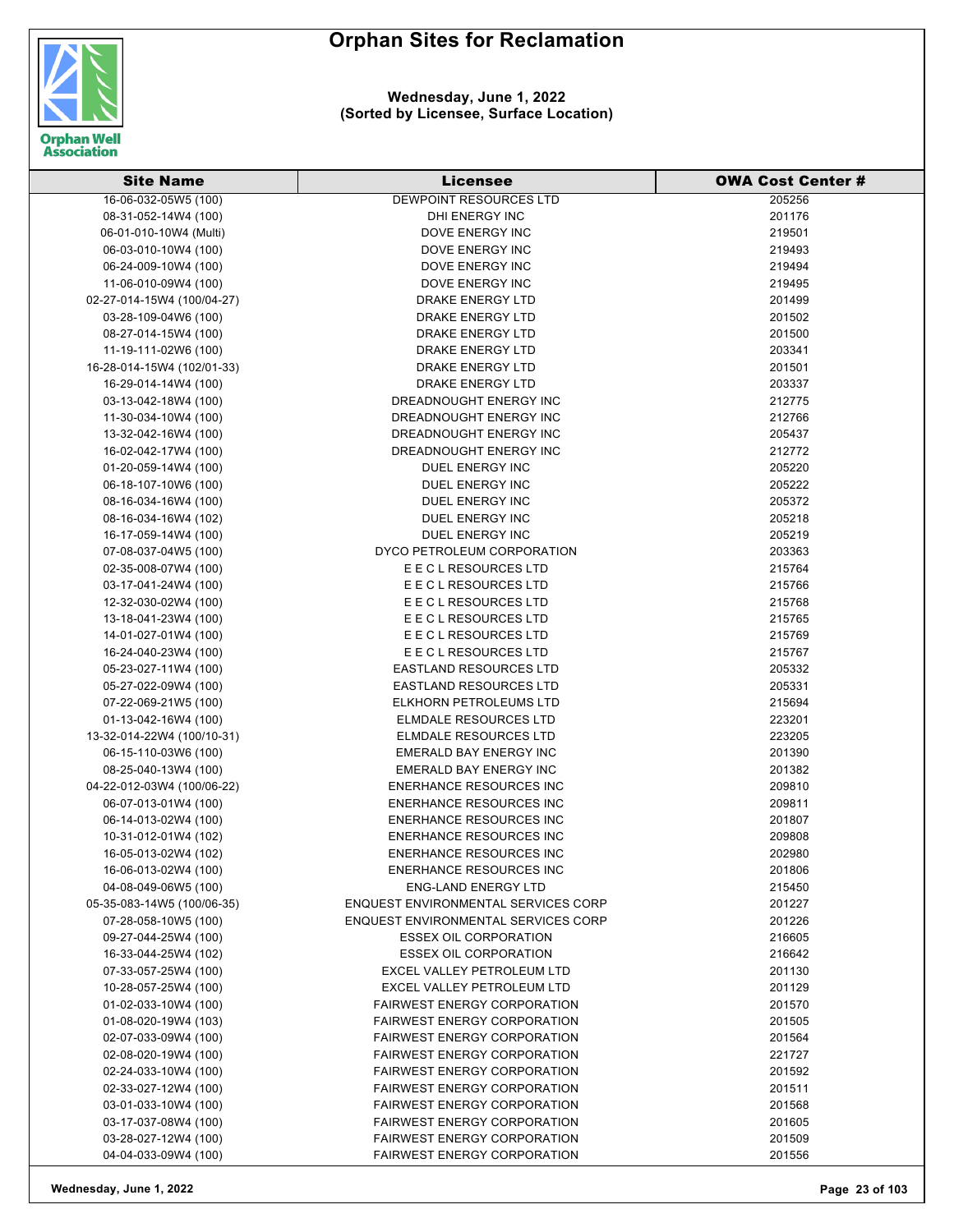

#### **Wednesday, June 1, 2022 (Sorted by Licensee, Surface Location)**

| <b>Site Name</b>           | <b>Licensee</b>                     | <b>OWA Cost Center #</b> |
|----------------------------|-------------------------------------|--------------------------|
| 16-06-032-05W5 (100)       | <b>DEWPOINT RESOURCES LTD</b>       | 205256                   |
| 08-31-052-14W4 (100)       | DHI ENERGY INC                      | 201176                   |
| 06-01-010-10W4 (Multi)     | DOVE ENERGY INC                     | 219501                   |
| 06-03-010-10W4 (100)       | DOVE ENERGY INC                     | 219493                   |
| 06-24-009-10W4 (100)       | DOVE ENERGY INC                     | 219494                   |
| 11-06-010-09W4 (100)       | DOVE ENERGY INC                     | 219495                   |
| 02-27-014-15W4 (100/04-27) | DRAKE ENERGY LTD                    | 201499                   |
| 03-28-109-04W6 (100)       | DRAKE ENERGY LTD                    | 201502                   |
| 08-27-014-15W4 (100)       | DRAKE ENERGY LTD                    | 201500                   |
| 11-19-111-02W6 (100)       | <b>DRAKE ENERGY LTD</b>             | 203341                   |
| 16-28-014-15W4 (102/01-33) | DRAKE ENERGY LTD                    | 201501                   |
| 16-29-014-14W4 (100)       | DRAKE ENERGY LTD                    | 203337                   |
| 03-13-042-18W4 (100)       | DREADNOUGHT ENERGY INC              | 212775                   |
| 11-30-034-10W4 (100)       | DREADNOUGHT ENERGY INC              | 212766                   |
| 13-32-042-16W4 (100)       | DREADNOUGHT ENERGY INC              | 205437                   |
| 16-02-042-17W4 (100)       | DREADNOUGHT ENERGY INC              | 212772                   |
| 01-20-059-14W4 (100)       | DUEL ENERGY INC                     | 205220                   |
| 06-18-107-10W6 (100)       | <b>DUEL ENERGY INC</b>              | 205222                   |
| 08-16-034-16W4 (100)       | DUEL ENERGY INC                     | 205372                   |
| 08-16-034-16W4 (102)       | DUEL ENERGY INC                     | 205218                   |
| 16-17-059-14W4 (100)       | DUEL ENERGY INC                     | 205219                   |
| 07-08-037-04W5 (100)       | DYCO PETROLEUM CORPORATION          | 203363                   |
| 02-35-008-07W4 (100)       | E E C L RESOURCES LTD               | 215764                   |
| 03-17-041-24W4 (100)       | E E C L RESOURCES LTD               | 215766                   |
| 12-32-030-02W4 (100)       | E E C L RESOURCES LTD               | 215768                   |
| 13-18-041-23W4 (100)       | E E C L RESOURCES LTD               | 215765                   |
| 14-01-027-01W4 (100)       | E E C L RESOURCES LTD               | 215769                   |
| 16-24-040-23W4 (100)       | E E C L RESOURCES LTD               | 215767                   |
| 05-23-027-11W4 (100)       | <b>EASTLAND RESOURCES LTD</b>       | 205332                   |
| 05-27-022-09W4 (100)       | <b>EASTLAND RESOURCES LTD</b>       | 205331                   |
| 07-22-069-21W5 (100)       | ELKHORN PETROLEUMS LTD              | 215694                   |
| 01-13-042-16W4 (100)       | ELMDALE RESOURCES LTD               | 223201                   |
| 13-32-014-22W4 (100/10-31) | ELMDALE RESOURCES LTD               | 223205                   |
| 06-15-110-03W6 (100)       | <b>EMERALD BAY ENERGY INC</b>       | 201390                   |
| 08-25-040-13W4 (100)       | EMERALD BAY ENERGY INC              | 201382                   |
| 04-22-012-03W4 (100/06-22) | <b>ENERHANCE RESOURCES INC</b>      | 209810                   |
| 06-07-013-01W4 (100)       | <b>ENERHANCE RESOURCES INC</b>      | 209811                   |
| 06-14-013-02W4 (100)       | <b>ENERHANCE RESOURCES INC</b>      | 201807                   |
| 10-31-012-01W4 (102)       | ENERHANCE RESOURCES INC             | 209808                   |
| 16-05-013-02W4 (102)       | <b>ENERHANCE RESOURCES INC</b>      | 202980                   |
| 16-06-013-02W4 (100)       | <b>ENERHANCE RESOURCES INC</b>      | 201806                   |
| 04-08-049-06W5 (100)       | <b>ENG-LAND ENERGY LTD</b>          | 215450                   |
| 05-35-083-14W5 (100/06-35) | ENQUEST ENVIRONMENTAL SERVICES CORP | 201227                   |
| 07-28-058-10W5 (100)       | ENQUEST ENVIRONMENTAL SERVICES CORP | 201226                   |
| 09-27-044-25W4 (100)       | <b>ESSEX OIL CORPORATION</b>        | 216605                   |
| 16-33-044-25W4 (102)       | <b>ESSEX OIL CORPORATION</b>        | 216642                   |
| 07-33-057-25W4 (100)       | EXCEL VALLEY PETROLEUM LTD          | 201130                   |
| 10-28-057-25W4 (100)       | EXCEL VALLEY PETROLEUM LTD          | 201129                   |
| 01-02-033-10W4 (100)       | <b>FAIRWEST ENERGY CORPORATION</b>  | 201570                   |
| 01-08-020-19W4 (103)       | <b>FAIRWEST ENERGY CORPORATION</b>  | 201505                   |
| 02-07-033-09W4 (100)       | <b>FAIRWEST ENERGY CORPORATION</b>  | 201564                   |
| 02-08-020-19W4 (100)       | <b>FAIRWEST ENERGY CORPORATION</b>  | 221727                   |
| 02-24-033-10W4 (100)       | <b>FAIRWEST ENERGY CORPORATION</b>  | 201592                   |
| 02-33-027-12W4 (100)       | <b>FAIRWEST ENERGY CORPORATION</b>  | 201511                   |
| 03-01-033-10W4 (100)       | <b>FAIRWEST ENERGY CORPORATION</b>  | 201568                   |
| 03-17-037-08W4 (100)       | <b>FAIRWEST ENERGY CORPORATION</b>  | 201605                   |
| 03-28-027-12W4 (100)       | <b>FAIRWEST ENERGY CORPORATION</b>  | 201509                   |
| 04-04-033-09W4 (100)       | <b>FAIRWEST ENERGY CORPORATION</b>  | 201556                   |

**Wednesday, June 1, 2022 Page 23 of 103**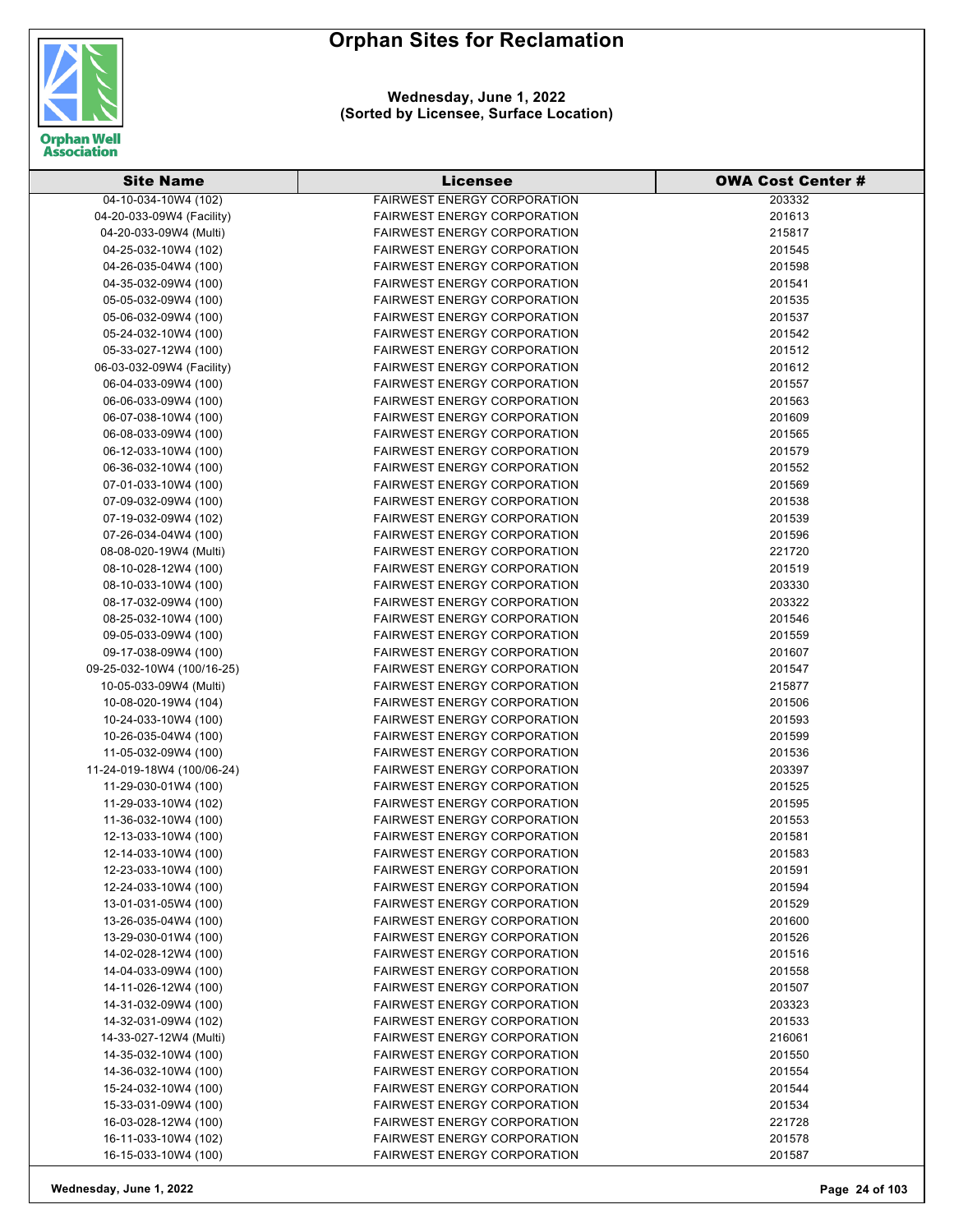

**Wednesday, June 1, 2022 (Sorted by Licensee, Surface Location)**

| <b>Site Name</b>                             | <b>Licensee</b>                                                          | <b>OWA Cost Center#</b> |
|----------------------------------------------|--------------------------------------------------------------------------|-------------------------|
| 04-10-034-10W4 (102)                         | <b>FAIRWEST ENERGY CORPORATION</b>                                       | 203332                  |
| 04-20-033-09W4 (Facility)                    | <b>FAIRWEST ENERGY CORPORATION</b>                                       | 201613                  |
| 04-20-033-09W4 (Multi)                       | <b>FAIRWEST ENERGY CORPORATION</b>                                       | 215817                  |
| 04-25-032-10W4 (102)                         | <b>FAIRWEST ENERGY CORPORATION</b>                                       | 201545                  |
| 04-26-035-04W4 (100)                         | <b>FAIRWEST ENERGY CORPORATION</b>                                       | 201598                  |
| 04-35-032-09W4 (100)                         | <b>FAIRWEST ENERGY CORPORATION</b>                                       | 201541                  |
| 05-05-032-09W4 (100)                         | <b>FAIRWEST ENERGY CORPORATION</b>                                       | 201535                  |
| 05-06-032-09W4 (100)                         | <b>FAIRWEST ENERGY CORPORATION</b>                                       | 201537                  |
| 05-24-032-10W4 (100)                         | <b>FAIRWEST ENERGY CORPORATION</b>                                       | 201542                  |
| 05-33-027-12W4 (100)                         | <b>FAIRWEST ENERGY CORPORATION</b>                                       | 201512                  |
| 06-03-032-09W4 (Facility)                    | <b>FAIRWEST ENERGY CORPORATION</b>                                       | 201612                  |
| 06-04-033-09W4 (100)                         | <b>FAIRWEST ENERGY CORPORATION</b>                                       | 201557                  |
| 06-06-033-09W4 (100)                         | <b>FAIRWEST ENERGY CORPORATION</b>                                       | 201563                  |
| 06-07-038-10W4 (100)                         | <b>FAIRWEST ENERGY CORPORATION</b>                                       | 201609                  |
| 06-08-033-09W4 (100)                         | <b>FAIRWEST ENERGY CORPORATION</b>                                       | 201565                  |
| 06-12-033-10W4 (100)                         | <b>FAIRWEST ENERGY CORPORATION</b>                                       | 201579                  |
| 06-36-032-10W4 (100)                         | <b>FAIRWEST ENERGY CORPORATION</b>                                       | 201552                  |
| 07-01-033-10W4 (100)                         | <b>FAIRWEST ENERGY CORPORATION</b>                                       | 201569                  |
| 07-09-032-09W4 (100)                         | <b>FAIRWEST ENERGY CORPORATION</b>                                       | 201538                  |
| 07-19-032-09W4 (102)                         | <b>FAIRWEST ENERGY CORPORATION</b>                                       | 201539                  |
| 07-26-034-04W4 (100)                         | <b>FAIRWEST ENERGY CORPORATION</b>                                       | 201596                  |
| 08-08-020-19W4 (Multi)                       | <b>FAIRWEST ENERGY CORPORATION</b>                                       | 221720                  |
| 08-10-028-12W4 (100)                         | <b>FAIRWEST ENERGY CORPORATION</b>                                       | 201519                  |
| 08-10-033-10W4 (100)                         | <b>FAIRWEST ENERGY CORPORATION</b>                                       | 203330                  |
| 08-17-032-09W4 (100)                         | <b>FAIRWEST ENERGY CORPORATION</b>                                       | 203322                  |
| 08-25-032-10W4 (100)                         | <b>FAIRWEST ENERGY CORPORATION</b>                                       | 201546                  |
|                                              | <b>FAIRWEST ENERGY CORPORATION</b>                                       |                         |
| 09-05-033-09W4 (100)                         | <b>FAIRWEST ENERGY CORPORATION</b>                                       | 201559                  |
| 09-17-038-09W4 (100)                         |                                                                          | 201607                  |
| 09-25-032-10W4 (100/16-25)                   | <b>FAIRWEST ENERGY CORPORATION</b><br><b>FAIRWEST ENERGY CORPORATION</b> | 201547<br>215877        |
| 10-05-033-09W4 (Multi)                       | <b>FAIRWEST ENERGY CORPORATION</b>                                       |                         |
| 10-08-020-19W4 (104)                         | <b>FAIRWEST ENERGY CORPORATION</b>                                       | 201506<br>201593        |
| 10-24-033-10W4 (100)                         | <b>FAIRWEST ENERGY CORPORATION</b>                                       |                         |
| 10-26-035-04W4 (100)<br>11-05-032-09W4 (100) | <b>FAIRWEST ENERGY CORPORATION</b>                                       | 201599<br>201536        |
| 11-24-019-18W4 (100/06-24)                   | <b>FAIRWEST ENERGY CORPORATION</b>                                       | 203397                  |
| 11-29-030-01W4 (100)                         | <b>FAIRWEST ENERGY CORPORATION</b>                                       | 201525                  |
|                                              |                                                                          |                         |
| 11-29-033-10W4 (102)<br>11-36-032-10W4 (100) | <b>FAIRWEST ENERGY CORPORATION</b><br><b>FAIRWEST ENERGY CORPORATION</b> | 201595<br>201553        |
| 12-13-033-10W4 (100)                         | <b>FAIRWEST ENERGY CORPORATION</b>                                       | 201581                  |
| 12-14-033-10W4 (100)                         | <b>FAIRWEST ENERGY CORPORATION</b>                                       | 201583                  |
| 12-23-033-10W4 (100)                         | <b>FAIRWEST ENERGY CORPORATION</b>                                       | 201591                  |
| 12-24-033-10W4 (100)                         | <b>FAIRWEST ENERGY CORPORATION</b>                                       | 201594                  |
|                                              | <b>FAIRWEST ENERGY CORPORATION</b>                                       | 201529                  |
| 13-01-031-05W4 (100)<br>13-26-035-04W4 (100) | <b>FAIRWEST ENERGY CORPORATION</b>                                       | 201600                  |
|                                              |                                                                          |                         |
| 13-29-030-01W4 (100)                         | <b>FAIRWEST ENERGY CORPORATION</b>                                       | 201526                  |
| 14-02-028-12W4 (100)                         | <b>FAIRWEST ENERGY CORPORATION</b>                                       | 201516                  |
| 14-04-033-09W4 (100)                         | <b>FAIRWEST ENERGY CORPORATION</b>                                       | 201558                  |
| 14-11-026-12W4 (100)                         | <b>FAIRWEST ENERGY CORPORATION</b>                                       | 201507                  |
| 14-31-032-09W4 (100)                         | <b>FAIRWEST ENERGY CORPORATION</b>                                       | 203323                  |
| 14-32-031-09W4 (102)                         | <b>FAIRWEST ENERGY CORPORATION</b>                                       | 201533                  |
| 14-33-027-12W4 (Multi)                       | <b>FAIRWEST ENERGY CORPORATION</b>                                       | 216061                  |
| 14-35-032-10W4 (100)                         | <b>FAIRWEST ENERGY CORPORATION</b>                                       | 201550                  |
| 14-36-032-10W4 (100)                         | <b>FAIRWEST ENERGY CORPORATION</b>                                       | 201554                  |
| 15-24-032-10W4 (100)                         | <b>FAIRWEST ENERGY CORPORATION</b>                                       | 201544                  |
| 15-33-031-09W4 (100)                         | <b>FAIRWEST ENERGY CORPORATION</b>                                       | 201534                  |
| 16-03-028-12W4 (100)                         | <b>FAIRWEST ENERGY CORPORATION</b>                                       | 221728                  |
| 16-11-033-10W4 (102)                         | <b>FAIRWEST ENERGY CORPORATION</b>                                       | 201578                  |
| 16-15-033-10W4 (100)                         | FAIRWEST ENERGY CORPORATION                                              | 201587                  |

**Wednesday, June 1, 2022 Page 24 of 103**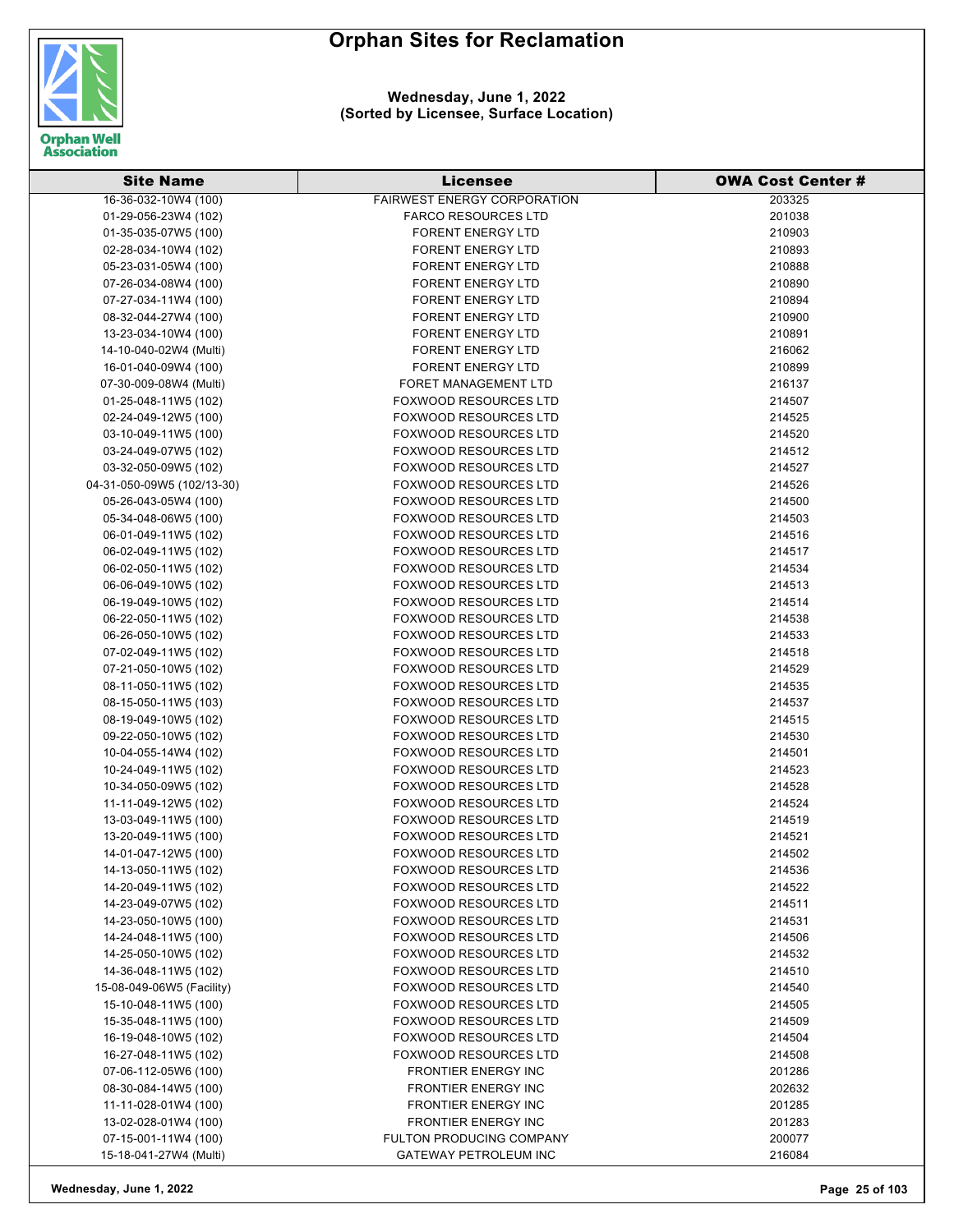

| <b>Site Name</b>                             | <b>Licensee</b>                                | <b>OWA Cost Center #</b> |
|----------------------------------------------|------------------------------------------------|--------------------------|
| 16-36-032-10W4 (100)                         | <b>FAIRWEST ENERGY CORPORATION</b>             | 203325                   |
| 01-29-056-23W4 (102)                         | <b>FARCO RESOURCES LTD</b>                     | 201038                   |
| 01-35-035-07W5 (100)                         | <b>FORENT ENERGY LTD</b>                       | 210903                   |
| 02-28-034-10W4 (102)                         | <b>FORENT ENERGY LTD</b>                       | 210893                   |
| 05-23-031-05W4 (100)                         | <b>FORENT ENERGY LTD</b>                       | 210888                   |
| 07-26-034-08W4 (100)                         | <b>FORENT ENERGY LTD</b>                       | 210890                   |
| 07-27-034-11W4 (100)                         | <b>FORENT ENERGY LTD</b>                       | 210894                   |
| 08-32-044-27W4 (100)                         | <b>FORENT ENERGY LTD</b>                       | 210900                   |
| 13-23-034-10W4 (100)                         | <b>FORENT ENERGY LTD</b>                       | 210891                   |
| 14-10-040-02W4 (Multi)                       | <b>FORENT ENERGY LTD</b>                       | 216062                   |
| 16-01-040-09W4 (100)                         | <b>FORENT ENERGY LTD</b>                       | 210899                   |
| 07-30-009-08W4 (Multi)                       | FORET MANAGEMENT LTD                           | 216137                   |
| 01-25-048-11W5 (102)                         | FOXWOOD RESOURCES LTD                          | 214507                   |
| 02-24-049-12W5 (100)                         | FOXWOOD RESOURCES LTD                          | 214525                   |
| 03-10-049-11W5 (100)                         | <b>FOXWOOD RESOURCES LTD</b>                   | 214520                   |
| 03-24-049-07W5 (102)                         | <b>FOXWOOD RESOURCES LTD</b>                   | 214512                   |
| 03-32-050-09W5 (102)                         | <b>FOXWOOD RESOURCES LTD</b>                   | 214527                   |
| 04-31-050-09W5 (102/13-30)                   | FOXWOOD RESOURCES LTD                          | 214526                   |
| 05-26-043-05W4 (100)                         | <b>FOXWOOD RESOURCES LTD</b>                   | 214500                   |
| 05-34-048-06W5 (100)                         | FOXWOOD RESOURCES LTD                          | 214503                   |
| 06-01-049-11W5 (102)                         | FOXWOOD RESOURCES LTD                          | 214516                   |
| 06-02-049-11W5 (102)                         | <b>FOXWOOD RESOURCES LTD</b>                   | 214517                   |
| 06-02-050-11W5 (102)                         | <b>FOXWOOD RESOURCES LTD</b>                   | 214534                   |
| 06-06-049-10W5 (102)                         | <b>FOXWOOD RESOURCES LTD</b>                   | 214513                   |
| 06-19-049-10W5 (102)                         | <b>FOXWOOD RESOURCES LTD</b>                   | 214514                   |
|                                              | <b>FOXWOOD RESOURCES LTD</b>                   | 214538                   |
| 06-22-050-11W5 (102)<br>06-26-050-10W5 (102) | FOXWOOD RESOURCES LTD                          | 214533                   |
|                                              |                                                |                          |
| 07-02-049-11W5 (102)                         | FOXWOOD RESOURCES LTD<br>FOXWOOD RESOURCES LTD | 214518<br>214529         |
| 07-21-050-10W5 (102)                         | <b>FOXWOOD RESOURCES LTD</b>                   | 214535                   |
| 08-11-050-11W5 (102)                         | <b>FOXWOOD RESOURCES LTD</b>                   | 214537                   |
| 08-15-050-11W5 (103)                         |                                                |                          |
| 08-19-049-10W5 (102)                         | <b>FOXWOOD RESOURCES LTD</b>                   | 214515                   |
| 09-22-050-10W5 (102)                         | <b>FOXWOOD RESOURCES LTD</b>                   | 214530                   |
| 10-04-055-14W4 (102)                         | <b>FOXWOOD RESOURCES LTD</b>                   | 214501                   |
| 10-24-049-11W5 (102)                         | <b>FOXWOOD RESOURCES LTD</b>                   | 214523                   |
| 10-34-050-09W5 (102)                         | <b>FOXWOOD RESOURCES LTD</b>                   | 214528                   |
| 11-11-049-12W5 (102)                         | FOXWOOD RESOURCES LTD                          | 214524                   |
| 13-03-049-11W5 (100)                         | <b>FOXWOOD RESOURCES LTD</b>                   | 214519                   |
| 13-20-049-11W5 (100)                         | FOXWOOD RESOURCES LTD                          | 214521                   |
| 14-01-047-12W5 (100)                         | <b>FOXWOOD RESOURCES LTD</b>                   | 214502                   |
| 14-13-050-11W5 (102)                         | <b>FOXWOOD RESOURCES LTD</b>                   | 214536                   |
| 14-20-049-11W5 (102)                         | <b>FOXWOOD RESOURCES LTD</b>                   | 214522                   |
| 14-23-049-07W5 (102)                         | <b>FOXWOOD RESOURCES LTD</b>                   | 214511                   |
| 14-23-050-10W5 (100)                         | <b>FOXWOOD RESOURCES LTD</b>                   | 214531                   |
| 14-24-048-11W5 (100)                         | <b>FOXWOOD RESOURCES LTD</b>                   | 214506                   |
| 14-25-050-10W5 (102)                         | <b>FOXWOOD RESOURCES LTD</b>                   | 214532                   |
| 14-36-048-11W5 (102)                         | <b>FOXWOOD RESOURCES LTD</b>                   | 214510                   |
| 15-08-049-06W5 (Facility)                    | <b>FOXWOOD RESOURCES LTD</b>                   | 214540                   |
| 15-10-048-11W5 (100)                         | <b>FOXWOOD RESOURCES LTD</b>                   | 214505                   |
| 15-35-048-11W5 (100)                         | <b>FOXWOOD RESOURCES LTD</b>                   | 214509                   |
| 16-19-048-10W5 (102)                         | <b>FOXWOOD RESOURCES LTD</b>                   | 214504                   |
| 16-27-048-11W5 (102)                         | <b>FOXWOOD RESOURCES LTD</b>                   | 214508                   |
| 07-06-112-05W6 (100)                         | <b>FRONTIER ENERGY INC</b>                     | 201286                   |
| 08-30-084-14W5 (100)                         | <b>FRONTIER ENERGY INC</b>                     | 202632                   |
| 11-11-028-01W4 (100)                         | <b>FRONTIER ENERGY INC</b>                     | 201285                   |
| 13-02-028-01W4 (100)                         | <b>FRONTIER ENERGY INC</b>                     | 201283                   |
| 07-15-001-11W4 (100)                         | <b>FULTON PRODUCING COMPANY</b>                | 200077                   |
| 15-18-041-27W4 (Multi)                       | <b>GATEWAY PETROLEUM INC</b>                   | 216084                   |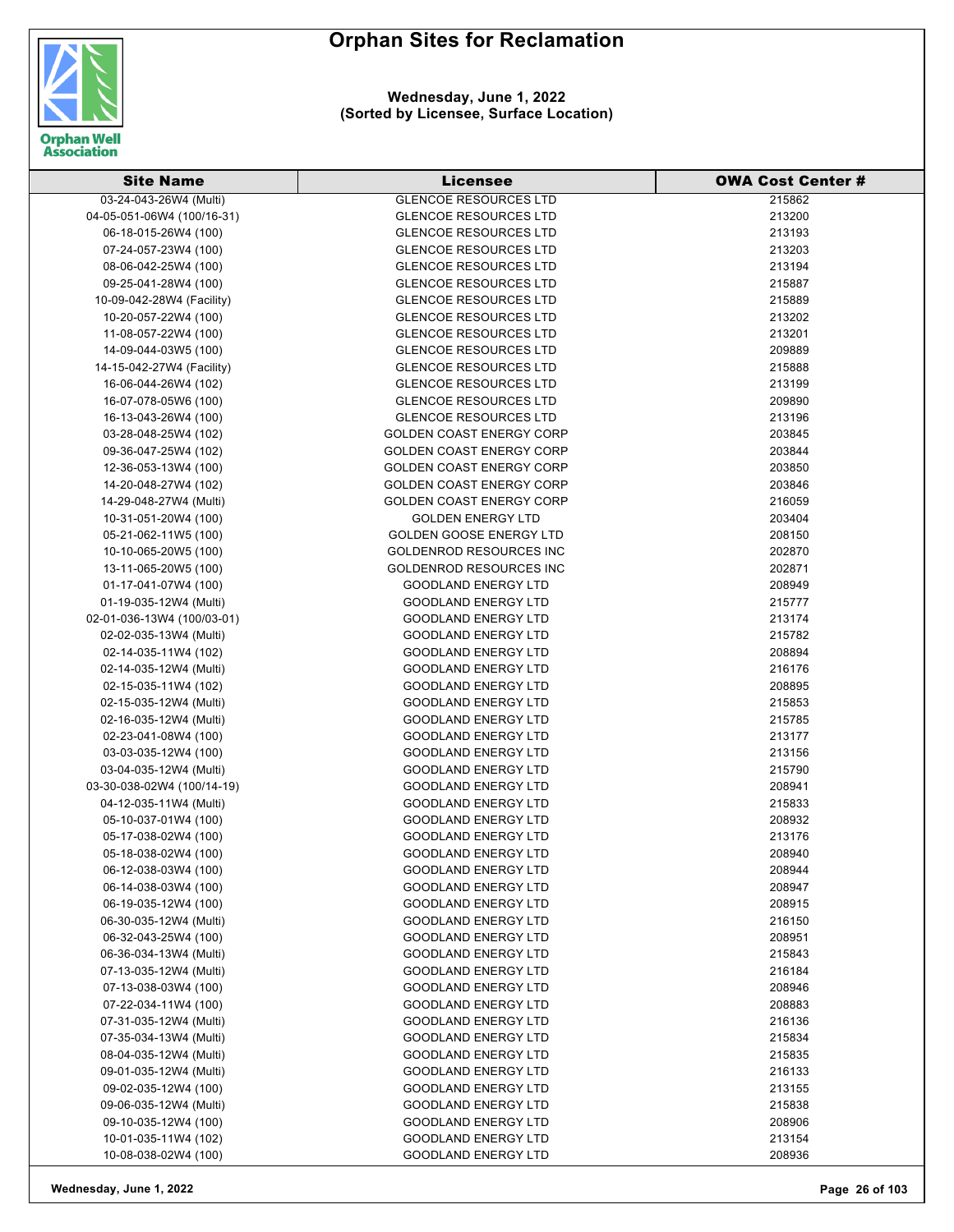

| <b>Site Name</b>                               | Licensee                        | <b>OWA Cost Center #</b> |
|------------------------------------------------|---------------------------------|--------------------------|
| 03-24-043-26W4 (Multi)                         | <b>GLENCOE RESOURCES LTD</b>    | 215862                   |
| 04-05-051-06W4 (100/16-31)                     | <b>GLENCOE RESOURCES LTD</b>    | 213200                   |
| 06-18-015-26W4 (100)                           | <b>GLENCOE RESOURCES LTD</b>    | 213193                   |
| 07-24-057-23W4 (100)                           | <b>GLENCOE RESOURCES LTD</b>    | 213203                   |
| 08-06-042-25W4 (100)                           | <b>GLENCOE RESOURCES LTD</b>    | 213194                   |
| 09-25-041-28W4 (100)                           | <b>GLENCOE RESOURCES LTD</b>    | 215887                   |
| 10-09-042-28W4 (Facility)                      | <b>GLENCOE RESOURCES LTD</b>    | 215889                   |
| 10-20-057-22W4 (100)                           | <b>GLENCOE RESOURCES LTD</b>    | 213202                   |
| 11-08-057-22W4 (100)                           | <b>GLENCOE RESOURCES LTD</b>    | 213201                   |
| 14-09-044-03W5 (100)                           | <b>GLENCOE RESOURCES LTD</b>    | 209889                   |
| 14-15-042-27W4 (Facility)                      | <b>GLENCOE RESOURCES LTD</b>    | 215888                   |
| 16-06-044-26W4 (102)                           | <b>GLENCOE RESOURCES LTD</b>    | 213199                   |
| 16-07-078-05W6 (100)                           | <b>GLENCOE RESOURCES LTD</b>    | 209890                   |
| 16-13-043-26W4 (100)                           | <b>GLENCOE RESOURCES LTD</b>    | 213196                   |
| 03-28-048-25W4 (102)                           | <b>GOLDEN COAST ENERGY CORP</b> | 203845                   |
| 09-36-047-25W4 (102)                           | <b>GOLDEN COAST ENERGY CORP</b> | 203844                   |
| 12-36-053-13W4 (100)                           | <b>GOLDEN COAST ENERGY CORP</b> | 203850                   |
| 14-20-048-27W4 (102)                           | <b>GOLDEN COAST ENERGY CORP</b> | 203846                   |
| 14-29-048-27W4 (Multi)                         | <b>GOLDEN COAST ENERGY CORP</b> | 216059                   |
| 10-31-051-20W4 (100)                           | <b>GOLDEN ENERGY LTD</b>        | 203404                   |
| 05-21-062-11W5 (100)                           | <b>GOLDEN GOOSE ENERGY LTD</b>  | 208150                   |
| 10-10-065-20W5 (100)                           | <b>GOLDENROD RESOURCES INC</b>  | 202870                   |
| 13-11-065-20W5 (100)                           | <b>GOLDENROD RESOURCES INC</b>  | 202871                   |
|                                                | <b>GOODLAND ENERGY LTD</b>      |                          |
| 01-17-041-07W4 (100)<br>01-19-035-12W4 (Multi) | <b>GOODLAND ENERGY LTD</b>      | 208949<br>215777         |
|                                                |                                 |                          |
| 02-01-036-13W4 (100/03-01)                     | <b>GOODLAND ENERGY LTD</b>      | 213174                   |
| 02-02-035-13W4 (Multi)                         | <b>GOODLAND ENERGY LTD</b>      | 215782                   |
| 02-14-035-11W4 (102)                           | <b>GOODLAND ENERGY LTD</b>      | 208894                   |
| 02-14-035-12W4 (Multi)                         | <b>GOODLAND ENERGY LTD</b>      | 216176                   |
| 02-15-035-11W4 (102)                           | <b>GOODLAND ENERGY LTD</b>      | 208895                   |
| 02-15-035-12W4 (Multi)                         | <b>GOODLAND ENERGY LTD</b>      | 215853                   |
| 02-16-035-12W4 (Multi)                         | <b>GOODLAND ENERGY LTD</b>      | 215785                   |
| 02-23-041-08W4 (100)                           | <b>GOODLAND ENERGY LTD</b>      | 213177                   |
| 03-03-035-12W4 (100)                           | <b>GOODLAND ENERGY LTD</b>      | 213156                   |
| 03-04-035-12W4 (Multi)                         | <b>GOODLAND ENERGY LTD</b>      | 215790                   |
| 03-30-038-02W4 (100/14-19)                     | <b>GOODLAND ENERGY LTD</b>      | 208941                   |
| 04-12-035-11W4 (Multi)                         | <b>GOODLAND ENERGY LTD</b>      | 215833                   |
| 05-10-037-01W4 (100)                           | <b>GOODLAND ENERGY LTD</b>      | 208932                   |
| 05-17-038-02W4 (100)                           | GOODLAND ENERGY LTD             | 213176                   |
| 05-18-038-02W4 (100)                           | <b>GOODLAND ENERGY LTD</b>      | 208940                   |
| 06-12-038-03W4 (100)                           | <b>GOODLAND ENERGY LTD</b>      | 208944                   |
| 06-14-038-03W4 (100)                           | <b>GOODLAND ENERGY LTD</b>      | 208947                   |
| 06-19-035-12W4 (100)                           | <b>GOODLAND ENERGY LTD</b>      | 208915                   |
| 06-30-035-12W4 (Multi)                         | <b>GOODLAND ENERGY LTD</b>      | 216150                   |
| 06-32-043-25W4 (100)                           | <b>GOODLAND ENERGY LTD</b>      | 208951                   |
| 06-36-034-13W4 (Multi)                         | <b>GOODLAND ENERGY LTD</b>      | 215843                   |
| 07-13-035-12W4 (Multi)                         | <b>GOODLAND ENERGY LTD</b>      | 216184                   |
| 07-13-038-03W4 (100)                           | <b>GOODLAND ENERGY LTD</b>      | 208946                   |
| 07-22-034-11W4 (100)                           | <b>GOODLAND ENERGY LTD</b>      | 208883                   |
| 07-31-035-12W4 (Multi)                         | <b>GOODLAND ENERGY LTD</b>      | 216136                   |
| 07-35-034-13W4 (Multi)                         | <b>GOODLAND ENERGY LTD</b>      | 215834                   |
| 08-04-035-12W4 (Multi)                         | <b>GOODLAND ENERGY LTD</b>      | 215835                   |
| 09-01-035-12W4 (Multi)                         | <b>GOODLAND ENERGY LTD</b>      | 216133                   |
| 09-02-035-12W4 (100)                           | <b>GOODLAND ENERGY LTD</b>      | 213155                   |
| 09-06-035-12W4 (Multi)                         | <b>GOODLAND ENERGY LTD</b>      | 215838                   |
| 09-10-035-12W4 (100)                           | <b>GOODLAND ENERGY LTD</b>      | 208906                   |
| 10-01-035-11W4 (102)                           | <b>GOODLAND ENERGY LTD</b>      | 213154                   |
| 10-08-038-02W4 (100)                           | GOODLAND ENERGY LTD             | 208936                   |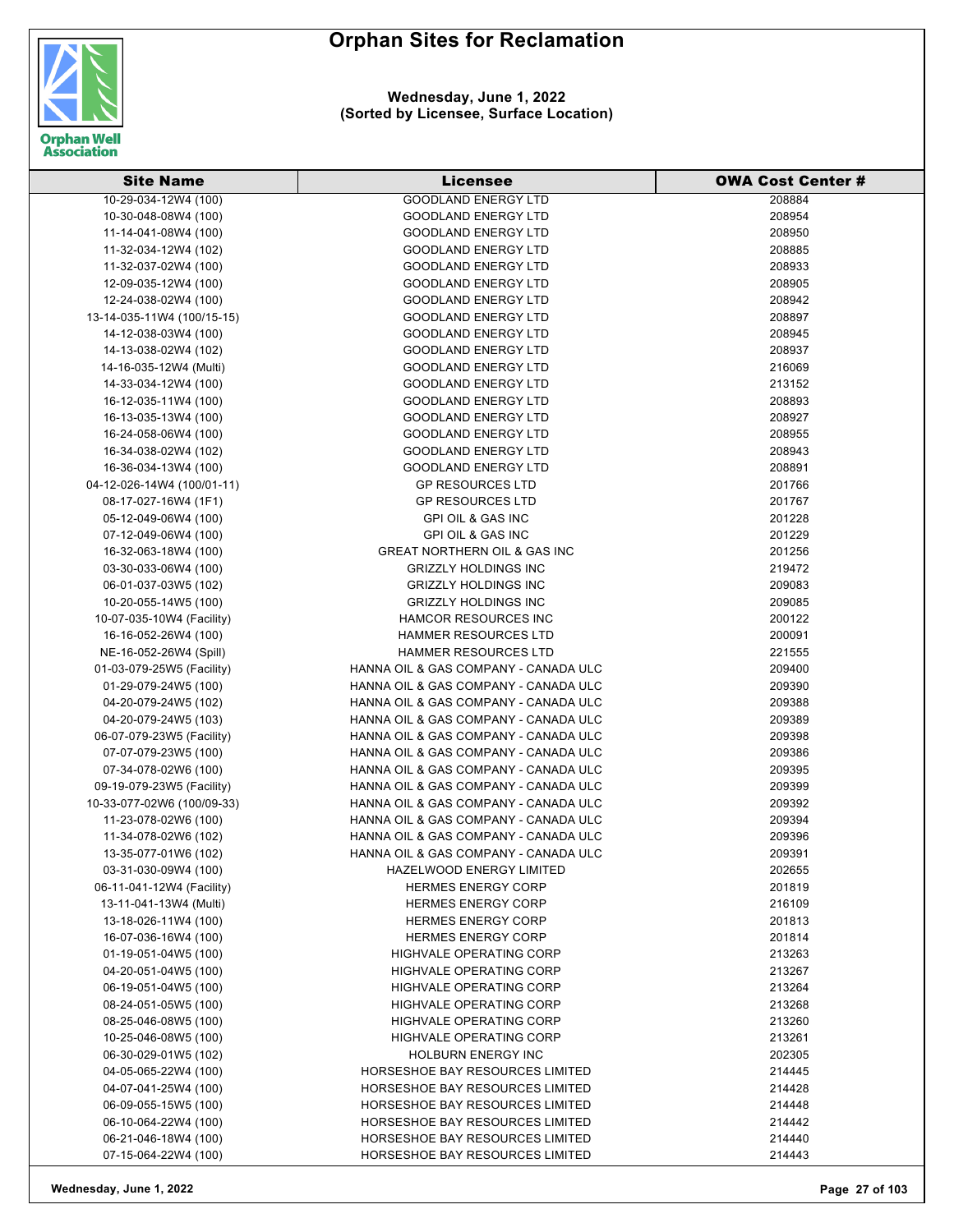

| <b>Site Name</b>           | Licensee                                | <b>OWA Cost Center #</b> |
|----------------------------|-----------------------------------------|--------------------------|
| 10-29-034-12W4 (100)       | <b>GOODLAND ENERGY LTD</b>              | 208884                   |
| 10-30-048-08W4 (100)       | <b>GOODLAND ENERGY LTD</b>              | 208954                   |
| 11-14-041-08W4 (100)       | <b>GOODLAND ENERGY LTD</b>              | 208950                   |
| 11-32-034-12W4 (102)       | <b>GOODLAND ENERGY LTD</b>              | 208885                   |
| 11-32-037-02W4 (100)       | <b>GOODLAND ENERGY LTD</b>              | 208933                   |
| 12-09-035-12W4 (100)       | <b>GOODLAND ENERGY LTD</b>              | 208905                   |
| 12-24-038-02W4 (100)       | <b>GOODLAND ENERGY LTD</b>              | 208942                   |
| 13-14-035-11W4 (100/15-15) | <b>GOODLAND ENERGY LTD</b>              | 208897                   |
| 14-12-038-03W4 (100)       | <b>GOODLAND ENERGY LTD</b>              | 208945                   |
| 14-13-038-02W4 (102)       | <b>GOODLAND ENERGY LTD</b>              | 208937                   |
| 14-16-035-12W4 (Multi)     | <b>GOODLAND ENERGY LTD</b>              | 216069                   |
| 14-33-034-12W4 (100)       | <b>GOODLAND ENERGY LTD</b>              | 213152                   |
| 16-12-035-11W4 (100)       | <b>GOODLAND ENERGY LTD</b>              | 208893                   |
| 16-13-035-13W4 (100)       | <b>GOODLAND ENERGY LTD</b>              | 208927                   |
| 16-24-058-06W4 (100)       | <b>GOODLAND ENERGY LTD</b>              | 208955                   |
|                            | <b>GOODLAND ENERGY LTD</b>              | 208943                   |
| 16-34-038-02W4 (102)       |                                         |                          |
| 16-36-034-13W4 (100)       | <b>GOODLAND ENERGY LTD</b>              | 208891                   |
| 04-12-026-14W4 (100/01-11) | <b>GP RESOURCES LTD</b>                 | 201766                   |
| 08-17-027-16W4 (1F1)       | <b>GP RESOURCES LTD</b>                 | 201767                   |
| 05-12-049-06W4 (100)       | <b>GPI OIL &amp; GAS INC</b>            | 201228                   |
| 07-12-049-06W4 (100)       | <b>GPI OIL &amp; GAS INC</b>            | 201229                   |
| 16-32-063-18W4 (100)       | <b>GREAT NORTHERN OIL &amp; GAS INC</b> | 201256                   |
| 03-30-033-06W4 (100)       | <b>GRIZZLY HOLDINGS INC</b>             | 219472                   |
| 06-01-037-03W5 (102)       | <b>GRIZZLY HOLDINGS INC</b>             | 209083                   |
| 10-20-055-14W5 (100)       | <b>GRIZZLY HOLDINGS INC</b>             | 209085                   |
| 10-07-035-10W4 (Facility)  | <b>HAMCOR RESOURCES INC</b>             | 200122                   |
| 16-16-052-26W4 (100)       | <b>HAMMER RESOURCES LTD</b>             | 200091                   |
| NE-16-052-26W4 (Spill)     | <b>HAMMER RESOURCES LTD</b>             | 221555                   |
| 01-03-079-25W5 (Facility)  | HANNA OIL & GAS COMPANY - CANADA ULC    | 209400                   |
| 01-29-079-24W5 (100)       | HANNA OIL & GAS COMPANY - CANADA ULC    | 209390                   |
| 04-20-079-24W5 (102)       | HANNA OIL & GAS COMPANY - CANADA ULC    | 209388                   |
| 04-20-079-24W5 (103)       | HANNA OIL & GAS COMPANY - CANADA ULC    | 209389                   |
| 06-07-079-23W5 (Facility)  | HANNA OIL & GAS COMPANY - CANADA ULC    | 209398                   |
| 07-07-079-23W5 (100)       | HANNA OIL & GAS COMPANY - CANADA ULC    | 209386                   |
| 07-34-078-02W6 (100)       | HANNA OIL & GAS COMPANY - CANADA ULC    | 209395                   |
| 09-19-079-23W5 (Facility)  | HANNA OIL & GAS COMPANY - CANADA ULC    | 209399                   |
| 10-33-077-02W6 (100/09-33) | HANNA OIL & GAS COMPANY - CANADA ULC    | 209392                   |
| 11-23-078-02W6 (100)       | HANNA OIL & GAS COMPANY - CANADA ULC    | 209394                   |
| 11-34-078-02W6 (102)       | HANNA OIL & GAS COMPANY - CANADA ULC    | 209396                   |
| 13-35-077-01W6 (102)       | HANNA OIL & GAS COMPANY - CANADA ULC    | 209391                   |
| 03-31-030-09W4 (100)       | HAZELWOOD ENERGY LIMITED                | 202655                   |
| 06-11-041-12W4 (Facility)  | <b>HERMES ENERGY CORP</b>               | 201819                   |
| 13-11-041-13W4 (Multi)     | <b>HERMES ENERGY CORP</b>               | 216109                   |
| 13-18-026-11W4 (100)       | <b>HERMES ENERGY CORP</b>               | 201813                   |
| 16-07-036-16W4 (100)       | <b>HERMES ENERGY CORP</b>               | 201814                   |
| 01-19-051-04W5 (100)       | <b>HIGHVALE OPERATING CORP</b>          | 213263                   |
| 04-20-051-04W5 (100)       | <b>HIGHVALE OPERATING CORP</b>          | 213267                   |
| 06-19-051-04W5 (100)       | HIGHVALE OPERATING CORP                 | 213264                   |
| 08-24-051-05W5 (100)       | <b>HIGHVALE OPERATING CORP</b>          | 213268                   |
| 08-25-046-08W5 (100)       | HIGHVALE OPERATING CORP                 | 213260                   |
| 10-25-046-08W5 (100)       | <b>HIGHVALE OPERATING CORP</b>          | 213261                   |
| 06-30-029-01W5 (102)       | <b>HOLBURN ENERGY INC</b>               | 202305                   |
| 04-05-065-22W4 (100)       | HORSESHOE BAY RESOURCES LIMITED         | 214445                   |
| 04-07-041-25W4 (100)       | HORSESHOE BAY RESOURCES LIMITED         | 214428                   |
| 06-09-055-15W5 (100)       | HORSESHOE BAY RESOURCES LIMITED         | 214448                   |
| 06-10-064-22W4 (100)       | HORSESHOE BAY RESOURCES LIMITED         | 214442                   |
| 06-21-046-18W4 (100)       | HORSESHOE BAY RESOURCES LIMITED         | 214440                   |
|                            |                                         |                          |
| 07-15-064-22W4 (100)       | HORSESHOE BAY RESOURCES LIMITED         | 214443                   |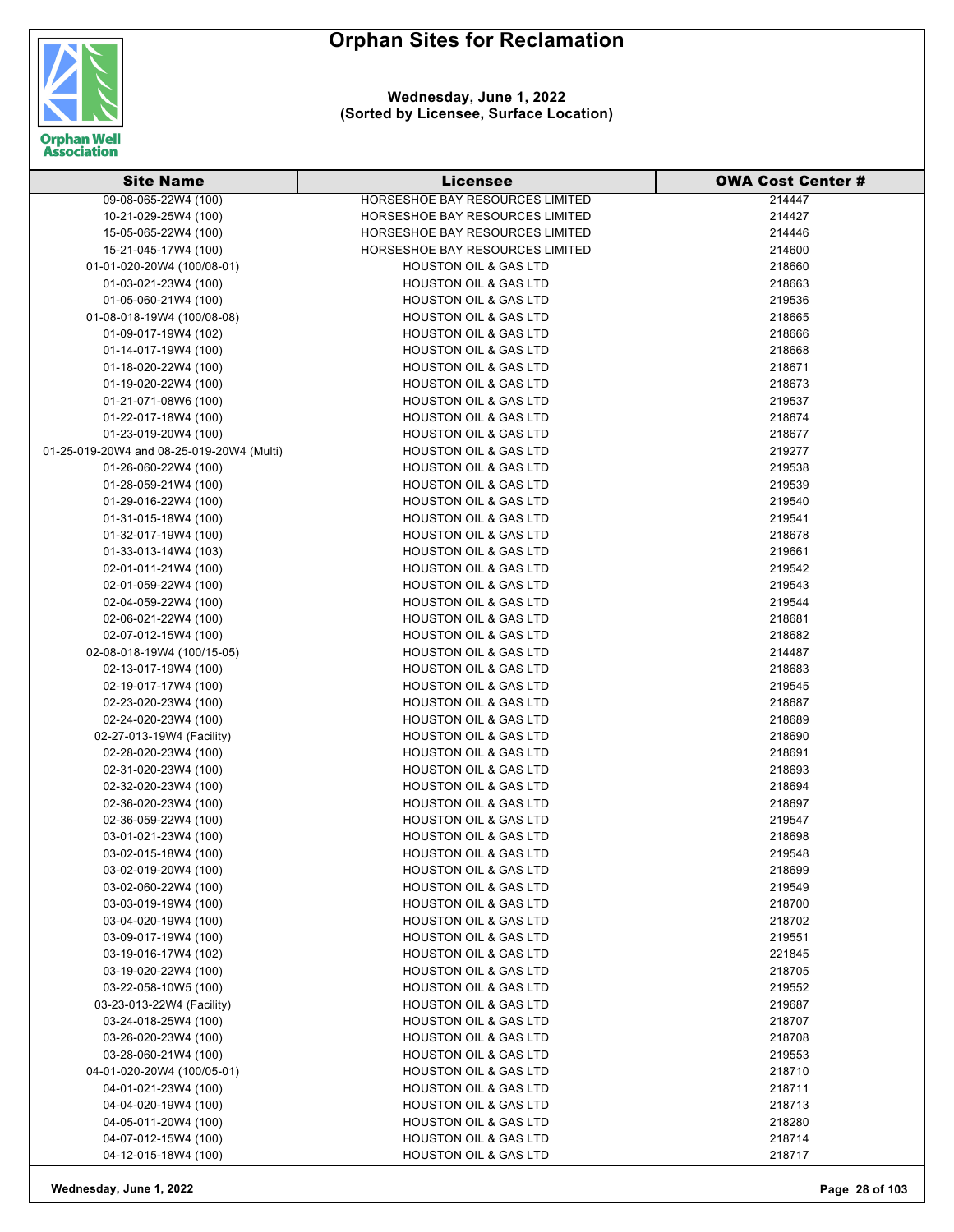



#### **Wednesday, June 1, 2022 (Sorted by Licensee, Surface Location)**

| <b>Site Name</b>                          | <b>Licensee</b>                                           | <b>OWA Cost Center #</b> |
|-------------------------------------------|-----------------------------------------------------------|--------------------------|
| 09-08-065-22W4 (100)                      | HORSESHOE BAY RESOURCES LIMITED                           | 214447                   |
| 10-21-029-25W4 (100)                      | HORSESHOE BAY RESOURCES LIMITED                           | 214427                   |
| 15-05-065-22W4 (100)                      | HORSESHOE BAY RESOURCES LIMITED                           | 214446                   |
| 15-21-045-17W4 (100)                      | HORSESHOE BAY RESOURCES LIMITED                           | 214600                   |
| 01-01-020-20W4 (100/08-01)                | <b>HOUSTON OIL &amp; GAS LTD</b>                          | 218660                   |
| 01-03-021-23W4 (100)                      | <b>HOUSTON OIL &amp; GAS LTD</b>                          | 218663                   |
| 01-05-060-21W4 (100)                      | <b>HOUSTON OIL &amp; GAS LTD</b>                          | 219536                   |
| 01-08-018-19W4 (100/08-08)                | <b>HOUSTON OIL &amp; GAS LTD</b>                          | 218665                   |
| 01-09-017-19W4 (102)                      | <b>HOUSTON OIL &amp; GAS LTD</b>                          | 218666                   |
| 01-14-017-19W4 (100)                      | <b>HOUSTON OIL &amp; GAS LTD</b>                          | 218668                   |
| 01-18-020-22W4 (100)                      | <b>HOUSTON OIL &amp; GAS LTD</b>                          | 218671                   |
| 01-19-020-22W4 (100)                      | <b>HOUSTON OIL &amp; GAS LTD</b>                          | 218673                   |
| 01-21-071-08W6 (100)                      | <b>HOUSTON OIL &amp; GAS LTD</b>                          | 219537                   |
| 01-22-017-18W4 (100)                      | <b>HOUSTON OIL &amp; GAS LTD</b>                          | 218674                   |
| 01-23-019-20W4 (100)                      | <b>HOUSTON OIL &amp; GAS LTD</b>                          | 218677                   |
| 01-25-019-20W4 and 08-25-019-20W4 (Multi) | HOUSTON OIL & GAS LTD                                     | 219277                   |
| 01-26-060-22W4 (100)                      | <b>HOUSTON OIL &amp; GAS LTD</b>                          | 219538                   |
| 01-28-059-21W4 (100)                      | <b>HOUSTON OIL &amp; GAS LTD</b>                          | 219539                   |
| 01-29-016-22W4 (100)                      | <b>HOUSTON OIL &amp; GAS LTD</b>                          | 219540                   |
| 01-31-015-18W4 (100)                      | <b>HOUSTON OIL &amp; GAS LTD</b>                          | 219541                   |
| 01-32-017-19W4 (100)                      | <b>HOUSTON OIL &amp; GAS LTD</b>                          | 218678                   |
| 01-33-013-14W4 (103)                      | <b>HOUSTON OIL &amp; GAS LTD</b>                          | 219661                   |
| 02-01-011-21W4 (100)                      | <b>HOUSTON OIL &amp; GAS LTD</b>                          | 219542                   |
| 02-01-059-22W4 (100)                      | HOUSTON OIL & GAS LTD                                     | 219543                   |
| 02-04-059-22W4 (100)                      | <b>HOUSTON OIL &amp; GAS LTD</b>                          | 219544                   |
| 02-06-021-22W4 (100)                      | <b>HOUSTON OIL &amp; GAS LTD</b>                          | 218681                   |
| 02-07-012-15W4 (100)                      | <b>HOUSTON OIL &amp; GAS LTD</b>                          | 218682                   |
| 02-08-018-19W4 (100/15-05)                | <b>HOUSTON OIL &amp; GAS LTD</b>                          | 214487                   |
| 02-13-017-19W4 (100)                      | <b>HOUSTON OIL &amp; GAS LTD</b>                          | 218683                   |
| 02-19-017-17W4 (100)                      | <b>HOUSTON OIL &amp; GAS LTD</b>                          | 219545                   |
| 02-23-020-23W4 (100)                      | <b>HOUSTON OIL &amp; GAS LTD</b>                          | 218687                   |
| 02-24-020-23W4 (100)                      | <b>HOUSTON OIL &amp; GAS LTD</b>                          | 218689                   |
| 02-27-013-19W4 (Facility)                 | <b>HOUSTON OIL &amp; GAS LTD</b>                          | 218690                   |
| 02-28-020-23W4 (100)                      | <b>HOUSTON OIL &amp; GAS LTD</b>                          | 218691                   |
| 02-31-020-23W4 (100)                      | <b>HOUSTON OIL &amp; GAS LTD</b>                          | 218693                   |
| 02-32-020-23W4 (100)                      | HOUSTON OIL & GAS LTD                                     | 218694                   |
| 02-36-020-23W4 (100)                      | <b>HOUSTON OIL &amp; GAS LTD</b>                          | 218697                   |
| 02-36-059-22W4 (100)                      | <b>HOUSTON OIL &amp; GAS LTD</b>                          | 219547                   |
| 03-01-021-23W4 (100)                      | <b>HOUSTON OIL &amp; GAS LTD</b>                          | 218698                   |
| 03-02-015-18W4 (100)                      | <b>HOUSTON OIL &amp; GAS LTD</b>                          | 219548                   |
| 03-02-019-20W4 (100)                      | <b>HOUSTON OIL &amp; GAS LTD</b>                          | 218699                   |
| 03-02-060-22W4 (100)                      | <b>HOUSTON OIL &amp; GAS LTD</b>                          | 219549                   |
| 03-03-019-19W4 (100)                      | <b>HOUSTON OIL &amp; GAS LTD</b>                          | 218700                   |
| 03-04-020-19W4 (100)                      | <b>HOUSTON OIL &amp; GAS LTD</b>                          | 218702                   |
| 03-09-017-19W4 (100)                      | <b>HOUSTON OIL &amp; GAS LTD</b>                          | 219551                   |
| 03-19-016-17W4 (102)                      | HOUSTON OIL & GAS LTD                                     | 221845                   |
| 03-19-020-22W4 (100)                      | HOUSTON OIL & GAS LTD                                     | 218705                   |
| 03-22-058-10W5 (100)                      | <b>HOUSTON OIL &amp; GAS LTD</b>                          | 219552                   |
| 03-23-013-22W4 (Facility)                 | <b>HOUSTON OIL &amp; GAS LTD</b>                          | 219687                   |
| 03-24-018-25W4 (100)                      | <b>HOUSTON OIL &amp; GAS LTD</b>                          | 218707                   |
| 03-26-020-23W4 (100)                      | <b>HOUSTON OIL &amp; GAS LTD</b>                          | 218708                   |
| 03-28-060-21W4 (100)                      | <b>HOUSTON OIL &amp; GAS LTD</b><br>HOUSTON OIL & GAS LTD | 219553                   |
| 04-01-020-20W4 (100/05-01)                | HOUSTON OIL & GAS LTD                                     | 218710                   |
| 04-01-021-23W4 (100)                      |                                                           | 218711                   |
| 04-04-020-19W4 (100)                      | HOUSTON OIL & GAS LTD                                     | 218713                   |
| 04-05-011-20W4 (100)                      | <b>HOUSTON OIL &amp; GAS LTD</b>                          | 218280                   |
| 04-07-012-15W4 (100)                      | HOUSTON OIL & GAS LTD                                     | 218714                   |
| 04-12-015-18W4 (100)                      | HOUSTON OIL & GAS LTD                                     | 218717                   |

**Wednesday, June 1, 2022 Page 28 of 103**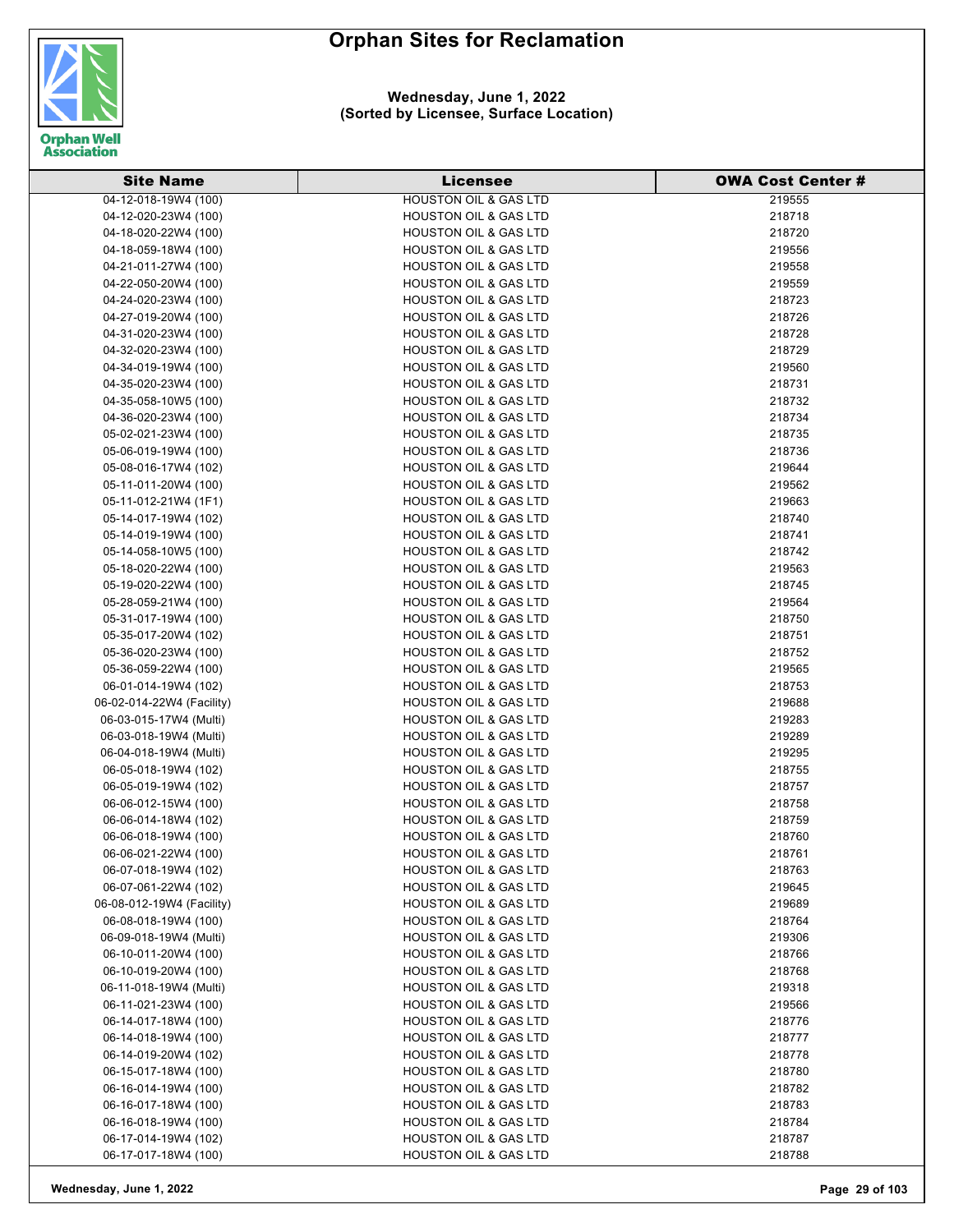

#### **Wednesday, June 1, 2022 (Sorted by Licensee, Surface Location)**

| <b>Site Name</b>                               | <b>Licensee</b>                                                      | <b>OWA Cost Center #</b> |
|------------------------------------------------|----------------------------------------------------------------------|--------------------------|
| 04-12-018-19W4 (100)                           | <b>HOUSTON OIL &amp; GAS LTD</b>                                     | 219555                   |
| 04-12-020-23W4 (100)                           | <b>HOUSTON OIL &amp; GAS LTD</b>                                     | 218718                   |
| 04-18-020-22W4 (100)                           | <b>HOUSTON OIL &amp; GAS LTD</b>                                     | 218720                   |
| 04-18-059-18W4 (100)                           | <b>HOUSTON OIL &amp; GAS LTD</b>                                     | 219556                   |
| 04-21-011-27W4 (100)                           | <b>HOUSTON OIL &amp; GAS LTD</b>                                     | 219558                   |
| 04-22-050-20W4 (100)                           | HOUSTON OIL & GAS LTD                                                | 219559                   |
| 04-24-020-23W4 (100)                           | <b>HOUSTON OIL &amp; GAS LTD</b>                                     | 218723                   |
| 04-27-019-20W4 (100)                           | <b>HOUSTON OIL &amp; GAS LTD</b>                                     | 218726                   |
| 04-31-020-23W4 (100)                           | <b>HOUSTON OIL &amp; GAS LTD</b>                                     | 218728                   |
| 04-32-020-23W4 (100)                           | <b>HOUSTON OIL &amp; GAS LTD</b>                                     | 218729                   |
| 04-34-019-19W4 (100)                           | <b>HOUSTON OIL &amp; GAS LTD</b>                                     | 219560                   |
| 04-35-020-23W4 (100)                           | <b>HOUSTON OIL &amp; GAS LTD</b>                                     | 218731                   |
| 04-35-058-10W5 (100)                           | <b>HOUSTON OIL &amp; GAS LTD</b>                                     | 218732                   |
| 04-36-020-23W4 (100)                           | <b>HOUSTON OIL &amp; GAS LTD</b>                                     | 218734                   |
| 05-02-021-23W4 (100)                           | <b>HOUSTON OIL &amp; GAS LTD</b>                                     | 218735                   |
| 05-06-019-19W4 (100)                           | <b>HOUSTON OIL &amp; GAS LTD</b>                                     | 218736                   |
| 05-08-016-17W4 (102)                           | <b>HOUSTON OIL &amp; GAS LTD</b>                                     | 219644                   |
| 05-11-011-20W4 (100)                           | <b>HOUSTON OIL &amp; GAS LTD</b>                                     | 219562                   |
| 05-11-012-21W4 (1F1)                           | <b>HOUSTON OIL &amp; GAS LTD</b>                                     | 219663                   |
| 05-14-017-19W4 (102)                           | <b>HOUSTON OIL &amp; GAS LTD</b>                                     | 218740                   |
| 05-14-019-19W4 (100)                           | <b>HOUSTON OIL &amp; GAS LTD</b>                                     | 218741                   |
| 05-14-058-10W5 (100)                           | <b>HOUSTON OIL &amp; GAS LTD</b>                                     | 218742                   |
| 05-18-020-22W4 (100)                           | <b>HOUSTON OIL &amp; GAS LTD</b>                                     | 219563                   |
| 05-19-020-22W4 (100)                           | <b>HOUSTON OIL &amp; GAS LTD</b>                                     | 218745                   |
| 05-28-059-21W4 (100)                           | <b>HOUSTON OIL &amp; GAS LTD</b>                                     | 219564                   |
| 05-31-017-19W4 (100)                           | <b>HOUSTON OIL &amp; GAS LTD</b>                                     | 218750                   |
| 05-35-017-20W4 (102)                           | <b>HOUSTON OIL &amp; GAS LTD</b>                                     | 218751                   |
| 05-36-020-23W4 (100)                           | <b>HOUSTON OIL &amp; GAS LTD</b>                                     | 218752                   |
| 05-36-059-22W4 (100)                           | <b>HOUSTON OIL &amp; GAS LTD</b>                                     | 219565                   |
| 06-01-014-19W4 (102)                           | <b>HOUSTON OIL &amp; GAS LTD</b>                                     | 218753                   |
| 06-02-014-22W4 (Facility)                      | <b>HOUSTON OIL &amp; GAS LTD</b>                                     | 219688                   |
| 06-03-015-17W4 (Multi)                         | <b>HOUSTON OIL &amp; GAS LTD</b>                                     | 219283                   |
| 06-03-018-19W4 (Multi)                         | <b>HOUSTON OIL &amp; GAS LTD</b>                                     | 219289                   |
| 06-04-018-19W4 (Multi)                         | <b>HOUSTON OIL &amp; GAS LTD</b>                                     | 219295                   |
| 06-05-018-19W4 (102)                           | <b>HOUSTON OIL &amp; GAS LTD</b>                                     | 218755                   |
| 06-05-019-19W4 (102)                           | HOUSTON OIL & GAS LTD                                                | 218757                   |
| 06-06-012-15W4 (100)                           | <b>HOUSTON OIL &amp; GAS LTD</b>                                     | 218758                   |
| 06-06-014-18W4 (102)                           | <b>HOUSTON OIL &amp; GAS LTD</b>                                     | 218759                   |
| 06-06-018-19W4 (100)                           | HOUSTON OIL & GAS LTD                                                | 218760                   |
| 06-06-021-22W4 (100)                           | <b>HOUSTON OIL &amp; GAS LTD</b>                                     | 218761                   |
| 06-07-018-19W4 (102)                           | <b>HOUSTON OIL &amp; GAS LTD</b>                                     | 218763                   |
| 06-07-061-22W4 (102)                           | <b>HOUSTON OIL &amp; GAS LTD</b>                                     | 219645                   |
| 06-08-012-19W4 (Facility)                      | <b>HOUSTON OIL &amp; GAS LTD</b>                                     | 219689                   |
| 06-08-018-19W4 (100)                           | <b>HOUSTON OIL &amp; GAS LTD</b><br><b>HOUSTON OIL &amp; GAS LTD</b> | 218764                   |
| 06-09-018-19W4 (Multi)<br>06-10-011-20W4 (100) | <b>HOUSTON OIL &amp; GAS LTD</b>                                     | 219306                   |
| 06-10-019-20W4 (100)                           | <b>HOUSTON OIL &amp; GAS LTD</b>                                     | 218766                   |
|                                                |                                                                      | 218768                   |
| 06-11-018-19W4 (Multi)<br>06-11-021-23W4 (100) | <b>HOUSTON OIL &amp; GAS LTD</b><br><b>HOUSTON OIL &amp; GAS LTD</b> | 219318<br>219566         |
| 06-14-017-18W4 (100)                           |                                                                      | 218776                   |
| 06-14-018-19W4 (100)                           | <b>HOUSTON OIL &amp; GAS LTD</b><br><b>HOUSTON OIL &amp; GAS LTD</b> | 218777                   |
| 06-14-019-20W4 (102)                           | <b>HOUSTON OIL &amp; GAS LTD</b>                                     | 218778                   |
| 06-15-017-18W4 (100)                           | <b>HOUSTON OIL &amp; GAS LTD</b>                                     | 218780                   |
| 06-16-014-19W4 (100)                           | <b>HOUSTON OIL &amp; GAS LTD</b>                                     | 218782                   |
| 06-16-017-18W4 (100)                           | <b>HOUSTON OIL &amp; GAS LTD</b>                                     | 218783                   |
| 06-16-018-19W4 (100)                           | <b>HOUSTON OIL &amp; GAS LTD</b>                                     | 218784                   |
| 06-17-014-19W4 (102)                           | <b>HOUSTON OIL &amp; GAS LTD</b>                                     | 218787                   |
| 06-17-017-18W4 (100)                           | HOUSTON OIL & GAS LTD                                                | 218788                   |

**Wednesday, June 1, 2022 Page 29 of 103**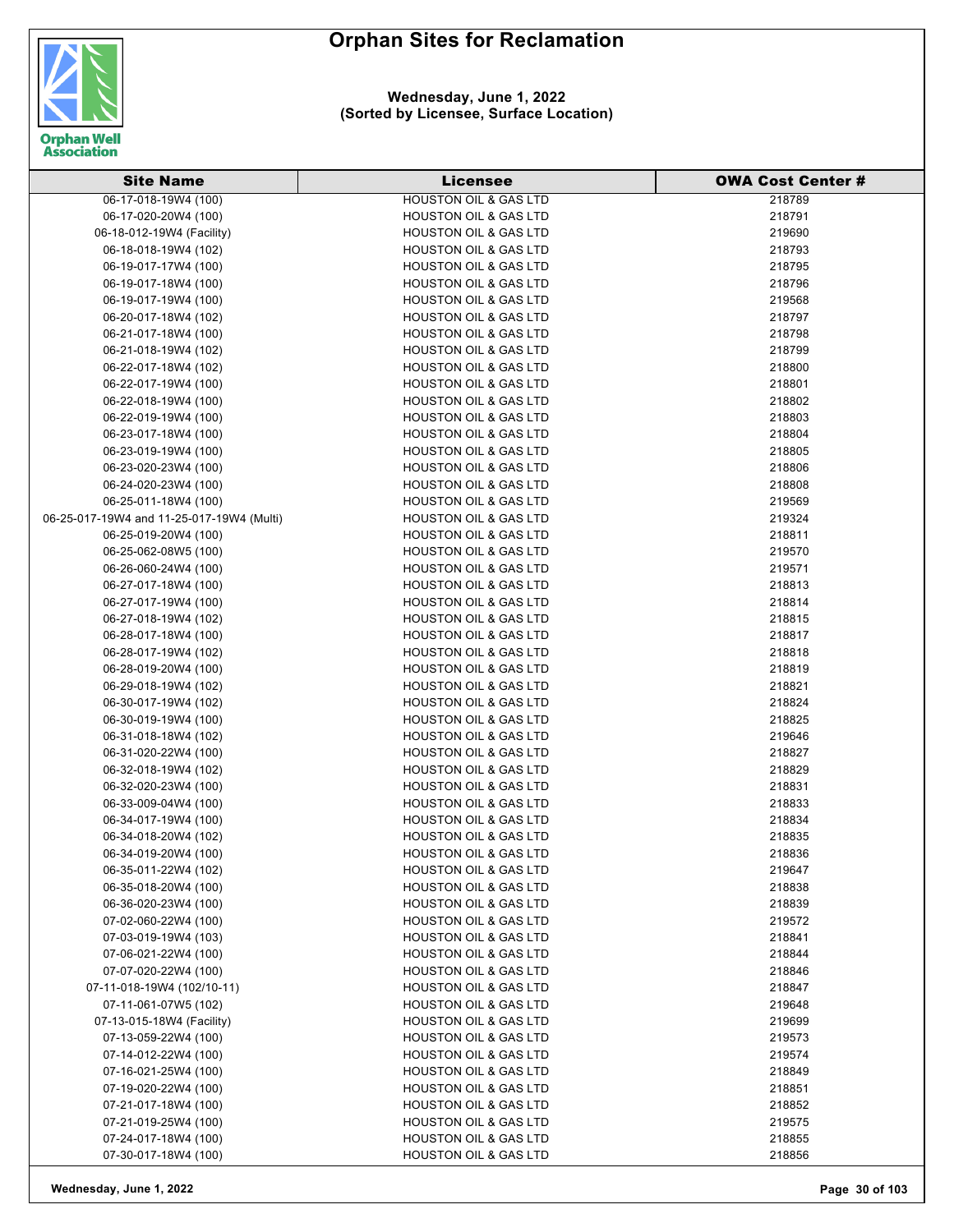

### **Wednesday, June 1, 2022 (Sorted by Licensee, Surface Location)**

| <b>HOUSTON OIL &amp; GAS LTD</b><br>218789<br>06-17-020-20W4 (100)<br>218791<br><b>HOUSTON OIL &amp; GAS LTD</b><br>219690<br>06-18-012-19W4 (Facility)<br><b>HOUSTON OIL &amp; GAS LTD</b><br><b>HOUSTON OIL &amp; GAS LTD</b><br>06-18-018-19W4 (102)<br>218793<br><b>HOUSTON OIL &amp; GAS LTD</b><br>06-19-017-17W4 (100)<br>218795<br>06-19-017-18W4 (100)<br><b>HOUSTON OIL &amp; GAS LTD</b><br>218796<br><b>HOUSTON OIL &amp; GAS LTD</b><br>06-19-017-19W4 (100)<br>219568<br>06-20-017-18W4 (102)<br><b>HOUSTON OIL &amp; GAS LTD</b><br>218797<br>218798<br>06-21-017-18W4 (100)<br><b>HOUSTON OIL &amp; GAS LTD</b><br><b>HOUSTON OIL &amp; GAS LTD</b><br>218799<br>06-21-018-19W4 (102)<br><b>HOUSTON OIL &amp; GAS LTD</b><br>218800<br>06-22-017-18W4 (102)<br>06-22-017-19W4 (100)<br><b>HOUSTON OIL &amp; GAS LTD</b><br>218801<br>06-22-018-19W4 (100)<br>HOUSTON OIL & GAS LTD<br>218802<br>06-22-019-19W4 (100)<br><b>HOUSTON OIL &amp; GAS LTD</b><br>218803<br>06-23-017-18W4 (100)<br><b>HOUSTON OIL &amp; GAS LTD</b><br>218804<br>06-23-019-19W4 (100)<br><b>HOUSTON OIL &amp; GAS LTD</b><br>218805<br>218806<br>06-23-020-23W4 (100)<br><b>HOUSTON OIL &amp; GAS LTD</b><br>06-24-020-23W4 (100)<br><b>HOUSTON OIL &amp; GAS LTD</b><br>218808<br>06-25-011-18W4 (100)<br><b>HOUSTON OIL &amp; GAS LTD</b><br>219569<br>06-25-017-19W4 and 11-25-017-19W4 (Multi)<br><b>HOUSTON OIL &amp; GAS LTD</b><br>219324<br><b>HOUSTON OIL &amp; GAS LTD</b><br>218811<br>06-25-019-20W4 (100)<br>06-25-062-08W5 (100)<br><b>HOUSTON OIL &amp; GAS LTD</b><br>219570<br>06-26-060-24W4 (100)<br><b>HOUSTON OIL &amp; GAS LTD</b><br>219571<br>06-27-017-18W4 (100)<br><b>HOUSTON OIL &amp; GAS LTD</b><br>218813<br><b>HOUSTON OIL &amp; GAS LTD</b><br>218814<br>06-27-017-19W4 (100)<br><b>HOUSTON OIL &amp; GAS LTD</b><br>06-27-018-19W4 (102)<br>218815<br>06-28-017-18W4 (100)<br><b>HOUSTON OIL &amp; GAS LTD</b><br>218817<br>06-28-017-19W4 (102)<br><b>HOUSTON OIL &amp; GAS LTD</b><br>218818<br><b>HOUSTON OIL &amp; GAS LTD</b><br>218819<br>06-28-019-20W4 (100)<br><b>HOUSTON OIL &amp; GAS LTD</b><br>218821<br>06-29-018-19W4 (102)<br><b>HOUSTON OIL &amp; GAS LTD</b><br>218824<br>06-30-017-19W4 (102)<br>218825<br>06-30-019-19W4 (100)<br><b>HOUSTON OIL &amp; GAS LTD</b><br>219646<br>06-31-018-18W4 (102)<br><b>HOUSTON OIL &amp; GAS LTD</b><br>218827<br>06-31-020-22W4 (100)<br><b>HOUSTON OIL &amp; GAS LTD</b><br>06-32-018-19W4 (102)<br><b>HOUSTON OIL &amp; GAS LTD</b><br>218829<br><b>HOUSTON OIL &amp; GAS LTD</b><br>06-32-020-23W4 (100)<br>218831<br>06-33-009-04W4 (100)<br><b>HOUSTON OIL &amp; GAS LTD</b><br>218833<br>06-34-017-19W4 (100)<br>218834<br><b>HOUSTON OIL &amp; GAS LTD</b><br>06-34-018-20W4 (102)<br>218835<br><b>HOUSTON OIL &amp; GAS LTD</b><br>06-34-019-20W4 (100)<br><b>HOUSTON OIL &amp; GAS LTD</b><br>218836<br>06-35-011-22W4 (102)<br><b>HOUSTON OIL &amp; GAS LTD</b><br>219647<br>06-35-018-20W4 (100)<br><b>HOUSTON OIL &amp; GAS LTD</b><br>218838<br>06-36-020-23W4 (100)<br><b>HOUSTON OIL &amp; GAS LTD</b><br>218839<br><b>HOUSTON OIL &amp; GAS LTD</b><br>07-02-060-22W4 (100)<br>219572<br>07-03-019-19W4 (103)<br><b>HOUSTON OIL &amp; GAS LTD</b><br>218841<br>07-06-021-22W4 (100)<br><b>HOUSTON OIL &amp; GAS LTD</b><br>218844<br>07-07-020-22W4 (100)<br><b>HOUSTON OIL &amp; GAS LTD</b><br>218846 | <b>Site Name</b>     | <b>Licensee</b> | <b>OWA Cost Center #</b> |
|---------------------------------------------------------------------------------------------------------------------------------------------------------------------------------------------------------------------------------------------------------------------------------------------------------------------------------------------------------------------------------------------------------------------------------------------------------------------------------------------------------------------------------------------------------------------------------------------------------------------------------------------------------------------------------------------------------------------------------------------------------------------------------------------------------------------------------------------------------------------------------------------------------------------------------------------------------------------------------------------------------------------------------------------------------------------------------------------------------------------------------------------------------------------------------------------------------------------------------------------------------------------------------------------------------------------------------------------------------------------------------------------------------------------------------------------------------------------------------------------------------------------------------------------------------------------------------------------------------------------------------------------------------------------------------------------------------------------------------------------------------------------------------------------------------------------------------------------------------------------------------------------------------------------------------------------------------------------------------------------------------------------------------------------------------------------------------------------------------------------------------------------------------------------------------------------------------------------------------------------------------------------------------------------------------------------------------------------------------------------------------------------------------------------------------------------------------------------------------------------------------------------------------------------------------------------------------------------------------------------------------------------------------------------------------------------------------------------------------------------------------------------------------------------------------------------------------------------------------------------------------------------------------------------------------------------------------------------------------------------------------------------------------------------------------------------------------------------------------------------------------------------------------------------------------------------------------------------------------------------------------------------------------------------------------------------------------------------------------------------------------------------------------------|----------------------|-----------------|--------------------------|
|                                                                                                                                                                                                                                                                                                                                                                                                                                                                                                                                                                                                                                                                                                                                                                                                                                                                                                                                                                                                                                                                                                                                                                                                                                                                                                                                                                                                                                                                                                                                                                                                                                                                                                                                                                                                                                                                                                                                                                                                                                                                                                                                                                                                                                                                                                                                                                                                                                                                                                                                                                                                                                                                                                                                                                                                                                                                                                                                                                                                                                                                                                                                                                                                                                                                                                                                                                                                               | 06-17-018-19W4 (100) |                 |                          |
|                                                                                                                                                                                                                                                                                                                                                                                                                                                                                                                                                                                                                                                                                                                                                                                                                                                                                                                                                                                                                                                                                                                                                                                                                                                                                                                                                                                                                                                                                                                                                                                                                                                                                                                                                                                                                                                                                                                                                                                                                                                                                                                                                                                                                                                                                                                                                                                                                                                                                                                                                                                                                                                                                                                                                                                                                                                                                                                                                                                                                                                                                                                                                                                                                                                                                                                                                                                                               |                      |                 |                          |
|                                                                                                                                                                                                                                                                                                                                                                                                                                                                                                                                                                                                                                                                                                                                                                                                                                                                                                                                                                                                                                                                                                                                                                                                                                                                                                                                                                                                                                                                                                                                                                                                                                                                                                                                                                                                                                                                                                                                                                                                                                                                                                                                                                                                                                                                                                                                                                                                                                                                                                                                                                                                                                                                                                                                                                                                                                                                                                                                                                                                                                                                                                                                                                                                                                                                                                                                                                                                               |                      |                 |                          |
|                                                                                                                                                                                                                                                                                                                                                                                                                                                                                                                                                                                                                                                                                                                                                                                                                                                                                                                                                                                                                                                                                                                                                                                                                                                                                                                                                                                                                                                                                                                                                                                                                                                                                                                                                                                                                                                                                                                                                                                                                                                                                                                                                                                                                                                                                                                                                                                                                                                                                                                                                                                                                                                                                                                                                                                                                                                                                                                                                                                                                                                                                                                                                                                                                                                                                                                                                                                                               |                      |                 |                          |
|                                                                                                                                                                                                                                                                                                                                                                                                                                                                                                                                                                                                                                                                                                                                                                                                                                                                                                                                                                                                                                                                                                                                                                                                                                                                                                                                                                                                                                                                                                                                                                                                                                                                                                                                                                                                                                                                                                                                                                                                                                                                                                                                                                                                                                                                                                                                                                                                                                                                                                                                                                                                                                                                                                                                                                                                                                                                                                                                                                                                                                                                                                                                                                                                                                                                                                                                                                                                               |                      |                 |                          |
|                                                                                                                                                                                                                                                                                                                                                                                                                                                                                                                                                                                                                                                                                                                                                                                                                                                                                                                                                                                                                                                                                                                                                                                                                                                                                                                                                                                                                                                                                                                                                                                                                                                                                                                                                                                                                                                                                                                                                                                                                                                                                                                                                                                                                                                                                                                                                                                                                                                                                                                                                                                                                                                                                                                                                                                                                                                                                                                                                                                                                                                                                                                                                                                                                                                                                                                                                                                                               |                      |                 |                          |
|                                                                                                                                                                                                                                                                                                                                                                                                                                                                                                                                                                                                                                                                                                                                                                                                                                                                                                                                                                                                                                                                                                                                                                                                                                                                                                                                                                                                                                                                                                                                                                                                                                                                                                                                                                                                                                                                                                                                                                                                                                                                                                                                                                                                                                                                                                                                                                                                                                                                                                                                                                                                                                                                                                                                                                                                                                                                                                                                                                                                                                                                                                                                                                                                                                                                                                                                                                                                               |                      |                 |                          |
|                                                                                                                                                                                                                                                                                                                                                                                                                                                                                                                                                                                                                                                                                                                                                                                                                                                                                                                                                                                                                                                                                                                                                                                                                                                                                                                                                                                                                                                                                                                                                                                                                                                                                                                                                                                                                                                                                                                                                                                                                                                                                                                                                                                                                                                                                                                                                                                                                                                                                                                                                                                                                                                                                                                                                                                                                                                                                                                                                                                                                                                                                                                                                                                                                                                                                                                                                                                                               |                      |                 |                          |
|                                                                                                                                                                                                                                                                                                                                                                                                                                                                                                                                                                                                                                                                                                                                                                                                                                                                                                                                                                                                                                                                                                                                                                                                                                                                                                                                                                                                                                                                                                                                                                                                                                                                                                                                                                                                                                                                                                                                                                                                                                                                                                                                                                                                                                                                                                                                                                                                                                                                                                                                                                                                                                                                                                                                                                                                                                                                                                                                                                                                                                                                                                                                                                                                                                                                                                                                                                                                               |                      |                 |                          |
|                                                                                                                                                                                                                                                                                                                                                                                                                                                                                                                                                                                                                                                                                                                                                                                                                                                                                                                                                                                                                                                                                                                                                                                                                                                                                                                                                                                                                                                                                                                                                                                                                                                                                                                                                                                                                                                                                                                                                                                                                                                                                                                                                                                                                                                                                                                                                                                                                                                                                                                                                                                                                                                                                                                                                                                                                                                                                                                                                                                                                                                                                                                                                                                                                                                                                                                                                                                                               |                      |                 |                          |
|                                                                                                                                                                                                                                                                                                                                                                                                                                                                                                                                                                                                                                                                                                                                                                                                                                                                                                                                                                                                                                                                                                                                                                                                                                                                                                                                                                                                                                                                                                                                                                                                                                                                                                                                                                                                                                                                                                                                                                                                                                                                                                                                                                                                                                                                                                                                                                                                                                                                                                                                                                                                                                                                                                                                                                                                                                                                                                                                                                                                                                                                                                                                                                                                                                                                                                                                                                                                               |                      |                 |                          |
|                                                                                                                                                                                                                                                                                                                                                                                                                                                                                                                                                                                                                                                                                                                                                                                                                                                                                                                                                                                                                                                                                                                                                                                                                                                                                                                                                                                                                                                                                                                                                                                                                                                                                                                                                                                                                                                                                                                                                                                                                                                                                                                                                                                                                                                                                                                                                                                                                                                                                                                                                                                                                                                                                                                                                                                                                                                                                                                                                                                                                                                                                                                                                                                                                                                                                                                                                                                                               |                      |                 |                          |
|                                                                                                                                                                                                                                                                                                                                                                                                                                                                                                                                                                                                                                                                                                                                                                                                                                                                                                                                                                                                                                                                                                                                                                                                                                                                                                                                                                                                                                                                                                                                                                                                                                                                                                                                                                                                                                                                                                                                                                                                                                                                                                                                                                                                                                                                                                                                                                                                                                                                                                                                                                                                                                                                                                                                                                                                                                                                                                                                                                                                                                                                                                                                                                                                                                                                                                                                                                                                               |                      |                 |                          |
|                                                                                                                                                                                                                                                                                                                                                                                                                                                                                                                                                                                                                                                                                                                                                                                                                                                                                                                                                                                                                                                                                                                                                                                                                                                                                                                                                                                                                                                                                                                                                                                                                                                                                                                                                                                                                                                                                                                                                                                                                                                                                                                                                                                                                                                                                                                                                                                                                                                                                                                                                                                                                                                                                                                                                                                                                                                                                                                                                                                                                                                                                                                                                                                                                                                                                                                                                                                                               |                      |                 |                          |
|                                                                                                                                                                                                                                                                                                                                                                                                                                                                                                                                                                                                                                                                                                                                                                                                                                                                                                                                                                                                                                                                                                                                                                                                                                                                                                                                                                                                                                                                                                                                                                                                                                                                                                                                                                                                                                                                                                                                                                                                                                                                                                                                                                                                                                                                                                                                                                                                                                                                                                                                                                                                                                                                                                                                                                                                                                                                                                                                                                                                                                                                                                                                                                                                                                                                                                                                                                                                               |                      |                 |                          |
|                                                                                                                                                                                                                                                                                                                                                                                                                                                                                                                                                                                                                                                                                                                                                                                                                                                                                                                                                                                                                                                                                                                                                                                                                                                                                                                                                                                                                                                                                                                                                                                                                                                                                                                                                                                                                                                                                                                                                                                                                                                                                                                                                                                                                                                                                                                                                                                                                                                                                                                                                                                                                                                                                                                                                                                                                                                                                                                                                                                                                                                                                                                                                                                                                                                                                                                                                                                                               |                      |                 |                          |
|                                                                                                                                                                                                                                                                                                                                                                                                                                                                                                                                                                                                                                                                                                                                                                                                                                                                                                                                                                                                                                                                                                                                                                                                                                                                                                                                                                                                                                                                                                                                                                                                                                                                                                                                                                                                                                                                                                                                                                                                                                                                                                                                                                                                                                                                                                                                                                                                                                                                                                                                                                                                                                                                                                                                                                                                                                                                                                                                                                                                                                                                                                                                                                                                                                                                                                                                                                                                               |                      |                 |                          |
|                                                                                                                                                                                                                                                                                                                                                                                                                                                                                                                                                                                                                                                                                                                                                                                                                                                                                                                                                                                                                                                                                                                                                                                                                                                                                                                                                                                                                                                                                                                                                                                                                                                                                                                                                                                                                                                                                                                                                                                                                                                                                                                                                                                                                                                                                                                                                                                                                                                                                                                                                                                                                                                                                                                                                                                                                                                                                                                                                                                                                                                                                                                                                                                                                                                                                                                                                                                                               |                      |                 |                          |
|                                                                                                                                                                                                                                                                                                                                                                                                                                                                                                                                                                                                                                                                                                                                                                                                                                                                                                                                                                                                                                                                                                                                                                                                                                                                                                                                                                                                                                                                                                                                                                                                                                                                                                                                                                                                                                                                                                                                                                                                                                                                                                                                                                                                                                                                                                                                                                                                                                                                                                                                                                                                                                                                                                                                                                                                                                                                                                                                                                                                                                                                                                                                                                                                                                                                                                                                                                                                               |                      |                 |                          |
|                                                                                                                                                                                                                                                                                                                                                                                                                                                                                                                                                                                                                                                                                                                                                                                                                                                                                                                                                                                                                                                                                                                                                                                                                                                                                                                                                                                                                                                                                                                                                                                                                                                                                                                                                                                                                                                                                                                                                                                                                                                                                                                                                                                                                                                                                                                                                                                                                                                                                                                                                                                                                                                                                                                                                                                                                                                                                                                                                                                                                                                                                                                                                                                                                                                                                                                                                                                                               |                      |                 |                          |
|                                                                                                                                                                                                                                                                                                                                                                                                                                                                                                                                                                                                                                                                                                                                                                                                                                                                                                                                                                                                                                                                                                                                                                                                                                                                                                                                                                                                                                                                                                                                                                                                                                                                                                                                                                                                                                                                                                                                                                                                                                                                                                                                                                                                                                                                                                                                                                                                                                                                                                                                                                                                                                                                                                                                                                                                                                                                                                                                                                                                                                                                                                                                                                                                                                                                                                                                                                                                               |                      |                 |                          |
|                                                                                                                                                                                                                                                                                                                                                                                                                                                                                                                                                                                                                                                                                                                                                                                                                                                                                                                                                                                                                                                                                                                                                                                                                                                                                                                                                                                                                                                                                                                                                                                                                                                                                                                                                                                                                                                                                                                                                                                                                                                                                                                                                                                                                                                                                                                                                                                                                                                                                                                                                                                                                                                                                                                                                                                                                                                                                                                                                                                                                                                                                                                                                                                                                                                                                                                                                                                                               |                      |                 |                          |
|                                                                                                                                                                                                                                                                                                                                                                                                                                                                                                                                                                                                                                                                                                                                                                                                                                                                                                                                                                                                                                                                                                                                                                                                                                                                                                                                                                                                                                                                                                                                                                                                                                                                                                                                                                                                                                                                                                                                                                                                                                                                                                                                                                                                                                                                                                                                                                                                                                                                                                                                                                                                                                                                                                                                                                                                                                                                                                                                                                                                                                                                                                                                                                                                                                                                                                                                                                                                               |                      |                 |                          |
|                                                                                                                                                                                                                                                                                                                                                                                                                                                                                                                                                                                                                                                                                                                                                                                                                                                                                                                                                                                                                                                                                                                                                                                                                                                                                                                                                                                                                                                                                                                                                                                                                                                                                                                                                                                                                                                                                                                                                                                                                                                                                                                                                                                                                                                                                                                                                                                                                                                                                                                                                                                                                                                                                                                                                                                                                                                                                                                                                                                                                                                                                                                                                                                                                                                                                                                                                                                                               |                      |                 |                          |
|                                                                                                                                                                                                                                                                                                                                                                                                                                                                                                                                                                                                                                                                                                                                                                                                                                                                                                                                                                                                                                                                                                                                                                                                                                                                                                                                                                                                                                                                                                                                                                                                                                                                                                                                                                                                                                                                                                                                                                                                                                                                                                                                                                                                                                                                                                                                                                                                                                                                                                                                                                                                                                                                                                                                                                                                                                                                                                                                                                                                                                                                                                                                                                                                                                                                                                                                                                                                               |                      |                 |                          |
|                                                                                                                                                                                                                                                                                                                                                                                                                                                                                                                                                                                                                                                                                                                                                                                                                                                                                                                                                                                                                                                                                                                                                                                                                                                                                                                                                                                                                                                                                                                                                                                                                                                                                                                                                                                                                                                                                                                                                                                                                                                                                                                                                                                                                                                                                                                                                                                                                                                                                                                                                                                                                                                                                                                                                                                                                                                                                                                                                                                                                                                                                                                                                                                                                                                                                                                                                                                                               |                      |                 |                          |
|                                                                                                                                                                                                                                                                                                                                                                                                                                                                                                                                                                                                                                                                                                                                                                                                                                                                                                                                                                                                                                                                                                                                                                                                                                                                                                                                                                                                                                                                                                                                                                                                                                                                                                                                                                                                                                                                                                                                                                                                                                                                                                                                                                                                                                                                                                                                                                                                                                                                                                                                                                                                                                                                                                                                                                                                                                                                                                                                                                                                                                                                                                                                                                                                                                                                                                                                                                                                               |                      |                 |                          |
|                                                                                                                                                                                                                                                                                                                                                                                                                                                                                                                                                                                                                                                                                                                                                                                                                                                                                                                                                                                                                                                                                                                                                                                                                                                                                                                                                                                                                                                                                                                                                                                                                                                                                                                                                                                                                                                                                                                                                                                                                                                                                                                                                                                                                                                                                                                                                                                                                                                                                                                                                                                                                                                                                                                                                                                                                                                                                                                                                                                                                                                                                                                                                                                                                                                                                                                                                                                                               |                      |                 |                          |
|                                                                                                                                                                                                                                                                                                                                                                                                                                                                                                                                                                                                                                                                                                                                                                                                                                                                                                                                                                                                                                                                                                                                                                                                                                                                                                                                                                                                                                                                                                                                                                                                                                                                                                                                                                                                                                                                                                                                                                                                                                                                                                                                                                                                                                                                                                                                                                                                                                                                                                                                                                                                                                                                                                                                                                                                                                                                                                                                                                                                                                                                                                                                                                                                                                                                                                                                                                                                               |                      |                 |                          |
|                                                                                                                                                                                                                                                                                                                                                                                                                                                                                                                                                                                                                                                                                                                                                                                                                                                                                                                                                                                                                                                                                                                                                                                                                                                                                                                                                                                                                                                                                                                                                                                                                                                                                                                                                                                                                                                                                                                                                                                                                                                                                                                                                                                                                                                                                                                                                                                                                                                                                                                                                                                                                                                                                                                                                                                                                                                                                                                                                                                                                                                                                                                                                                                                                                                                                                                                                                                                               |                      |                 |                          |
|                                                                                                                                                                                                                                                                                                                                                                                                                                                                                                                                                                                                                                                                                                                                                                                                                                                                                                                                                                                                                                                                                                                                                                                                                                                                                                                                                                                                                                                                                                                                                                                                                                                                                                                                                                                                                                                                                                                                                                                                                                                                                                                                                                                                                                                                                                                                                                                                                                                                                                                                                                                                                                                                                                                                                                                                                                                                                                                                                                                                                                                                                                                                                                                                                                                                                                                                                                                                               |                      |                 |                          |
|                                                                                                                                                                                                                                                                                                                                                                                                                                                                                                                                                                                                                                                                                                                                                                                                                                                                                                                                                                                                                                                                                                                                                                                                                                                                                                                                                                                                                                                                                                                                                                                                                                                                                                                                                                                                                                                                                                                                                                                                                                                                                                                                                                                                                                                                                                                                                                                                                                                                                                                                                                                                                                                                                                                                                                                                                                                                                                                                                                                                                                                                                                                                                                                                                                                                                                                                                                                                               |                      |                 |                          |
|                                                                                                                                                                                                                                                                                                                                                                                                                                                                                                                                                                                                                                                                                                                                                                                                                                                                                                                                                                                                                                                                                                                                                                                                                                                                                                                                                                                                                                                                                                                                                                                                                                                                                                                                                                                                                                                                                                                                                                                                                                                                                                                                                                                                                                                                                                                                                                                                                                                                                                                                                                                                                                                                                                                                                                                                                                                                                                                                                                                                                                                                                                                                                                                                                                                                                                                                                                                                               |                      |                 |                          |
|                                                                                                                                                                                                                                                                                                                                                                                                                                                                                                                                                                                                                                                                                                                                                                                                                                                                                                                                                                                                                                                                                                                                                                                                                                                                                                                                                                                                                                                                                                                                                                                                                                                                                                                                                                                                                                                                                                                                                                                                                                                                                                                                                                                                                                                                                                                                                                                                                                                                                                                                                                                                                                                                                                                                                                                                                                                                                                                                                                                                                                                                                                                                                                                                                                                                                                                                                                                                               |                      |                 |                          |
|                                                                                                                                                                                                                                                                                                                                                                                                                                                                                                                                                                                                                                                                                                                                                                                                                                                                                                                                                                                                                                                                                                                                                                                                                                                                                                                                                                                                                                                                                                                                                                                                                                                                                                                                                                                                                                                                                                                                                                                                                                                                                                                                                                                                                                                                                                                                                                                                                                                                                                                                                                                                                                                                                                                                                                                                                                                                                                                                                                                                                                                                                                                                                                                                                                                                                                                                                                                                               |                      |                 |                          |
|                                                                                                                                                                                                                                                                                                                                                                                                                                                                                                                                                                                                                                                                                                                                                                                                                                                                                                                                                                                                                                                                                                                                                                                                                                                                                                                                                                                                                                                                                                                                                                                                                                                                                                                                                                                                                                                                                                                                                                                                                                                                                                                                                                                                                                                                                                                                                                                                                                                                                                                                                                                                                                                                                                                                                                                                                                                                                                                                                                                                                                                                                                                                                                                                                                                                                                                                                                                                               |                      |                 |                          |
|                                                                                                                                                                                                                                                                                                                                                                                                                                                                                                                                                                                                                                                                                                                                                                                                                                                                                                                                                                                                                                                                                                                                                                                                                                                                                                                                                                                                                                                                                                                                                                                                                                                                                                                                                                                                                                                                                                                                                                                                                                                                                                                                                                                                                                                                                                                                                                                                                                                                                                                                                                                                                                                                                                                                                                                                                                                                                                                                                                                                                                                                                                                                                                                                                                                                                                                                                                                                               |                      |                 |                          |
|                                                                                                                                                                                                                                                                                                                                                                                                                                                                                                                                                                                                                                                                                                                                                                                                                                                                                                                                                                                                                                                                                                                                                                                                                                                                                                                                                                                                                                                                                                                                                                                                                                                                                                                                                                                                                                                                                                                                                                                                                                                                                                                                                                                                                                                                                                                                                                                                                                                                                                                                                                                                                                                                                                                                                                                                                                                                                                                                                                                                                                                                                                                                                                                                                                                                                                                                                                                                               |                      |                 |                          |
|                                                                                                                                                                                                                                                                                                                                                                                                                                                                                                                                                                                                                                                                                                                                                                                                                                                                                                                                                                                                                                                                                                                                                                                                                                                                                                                                                                                                                                                                                                                                                                                                                                                                                                                                                                                                                                                                                                                                                                                                                                                                                                                                                                                                                                                                                                                                                                                                                                                                                                                                                                                                                                                                                                                                                                                                                                                                                                                                                                                                                                                                                                                                                                                                                                                                                                                                                                                                               |                      |                 |                          |
|                                                                                                                                                                                                                                                                                                                                                                                                                                                                                                                                                                                                                                                                                                                                                                                                                                                                                                                                                                                                                                                                                                                                                                                                                                                                                                                                                                                                                                                                                                                                                                                                                                                                                                                                                                                                                                                                                                                                                                                                                                                                                                                                                                                                                                                                                                                                                                                                                                                                                                                                                                                                                                                                                                                                                                                                                                                                                                                                                                                                                                                                                                                                                                                                                                                                                                                                                                                                               |                      |                 |                          |
|                                                                                                                                                                                                                                                                                                                                                                                                                                                                                                                                                                                                                                                                                                                                                                                                                                                                                                                                                                                                                                                                                                                                                                                                                                                                                                                                                                                                                                                                                                                                                                                                                                                                                                                                                                                                                                                                                                                                                                                                                                                                                                                                                                                                                                                                                                                                                                                                                                                                                                                                                                                                                                                                                                                                                                                                                                                                                                                                                                                                                                                                                                                                                                                                                                                                                                                                                                                                               |                      |                 |                          |
|                                                                                                                                                                                                                                                                                                                                                                                                                                                                                                                                                                                                                                                                                                                                                                                                                                                                                                                                                                                                                                                                                                                                                                                                                                                                                                                                                                                                                                                                                                                                                                                                                                                                                                                                                                                                                                                                                                                                                                                                                                                                                                                                                                                                                                                                                                                                                                                                                                                                                                                                                                                                                                                                                                                                                                                                                                                                                                                                                                                                                                                                                                                                                                                                                                                                                                                                                                                                               |                      |                 |                          |
|                                                                                                                                                                                                                                                                                                                                                                                                                                                                                                                                                                                                                                                                                                                                                                                                                                                                                                                                                                                                                                                                                                                                                                                                                                                                                                                                                                                                                                                                                                                                                                                                                                                                                                                                                                                                                                                                                                                                                                                                                                                                                                                                                                                                                                                                                                                                                                                                                                                                                                                                                                                                                                                                                                                                                                                                                                                                                                                                                                                                                                                                                                                                                                                                                                                                                                                                                                                                               |                      |                 |                          |
|                                                                                                                                                                                                                                                                                                                                                                                                                                                                                                                                                                                                                                                                                                                                                                                                                                                                                                                                                                                                                                                                                                                                                                                                                                                                                                                                                                                                                                                                                                                                                                                                                                                                                                                                                                                                                                                                                                                                                                                                                                                                                                                                                                                                                                                                                                                                                                                                                                                                                                                                                                                                                                                                                                                                                                                                                                                                                                                                                                                                                                                                                                                                                                                                                                                                                                                                                                                                               |                      |                 |                          |
|                                                                                                                                                                                                                                                                                                                                                                                                                                                                                                                                                                                                                                                                                                                                                                                                                                                                                                                                                                                                                                                                                                                                                                                                                                                                                                                                                                                                                                                                                                                                                                                                                                                                                                                                                                                                                                                                                                                                                                                                                                                                                                                                                                                                                                                                                                                                                                                                                                                                                                                                                                                                                                                                                                                                                                                                                                                                                                                                                                                                                                                                                                                                                                                                                                                                                                                                                                                                               |                      |                 |                          |
|                                                                                                                                                                                                                                                                                                                                                                                                                                                                                                                                                                                                                                                                                                                                                                                                                                                                                                                                                                                                                                                                                                                                                                                                                                                                                                                                                                                                                                                                                                                                                                                                                                                                                                                                                                                                                                                                                                                                                                                                                                                                                                                                                                                                                                                                                                                                                                                                                                                                                                                                                                                                                                                                                                                                                                                                                                                                                                                                                                                                                                                                                                                                                                                                                                                                                                                                                                                                               |                      |                 |                          |
| 07-11-018-19W4 (102/10-11)<br><b>HOUSTON OIL &amp; GAS LTD</b><br>218847                                                                                                                                                                                                                                                                                                                                                                                                                                                                                                                                                                                                                                                                                                                                                                                                                                                                                                                                                                                                                                                                                                                                                                                                                                                                                                                                                                                                                                                                                                                                                                                                                                                                                                                                                                                                                                                                                                                                                                                                                                                                                                                                                                                                                                                                                                                                                                                                                                                                                                                                                                                                                                                                                                                                                                                                                                                                                                                                                                                                                                                                                                                                                                                                                                                                                                                                      |                      |                 |                          |
| 07-11-061-07W5 (102)<br><b>HOUSTON OIL &amp; GAS LTD</b><br>219648                                                                                                                                                                                                                                                                                                                                                                                                                                                                                                                                                                                                                                                                                                                                                                                                                                                                                                                                                                                                                                                                                                                                                                                                                                                                                                                                                                                                                                                                                                                                                                                                                                                                                                                                                                                                                                                                                                                                                                                                                                                                                                                                                                                                                                                                                                                                                                                                                                                                                                                                                                                                                                                                                                                                                                                                                                                                                                                                                                                                                                                                                                                                                                                                                                                                                                                                            |                      |                 |                          |
| 07-13-015-18W4 (Facility)<br><b>HOUSTON OIL &amp; GAS LTD</b><br>219699                                                                                                                                                                                                                                                                                                                                                                                                                                                                                                                                                                                                                                                                                                                                                                                                                                                                                                                                                                                                                                                                                                                                                                                                                                                                                                                                                                                                                                                                                                                                                                                                                                                                                                                                                                                                                                                                                                                                                                                                                                                                                                                                                                                                                                                                                                                                                                                                                                                                                                                                                                                                                                                                                                                                                                                                                                                                                                                                                                                                                                                                                                                                                                                                                                                                                                                                       |                      |                 |                          |
| 07-13-059-22W4 (100)<br>HOUSTON OIL & GAS LTD<br>219573                                                                                                                                                                                                                                                                                                                                                                                                                                                                                                                                                                                                                                                                                                                                                                                                                                                                                                                                                                                                                                                                                                                                                                                                                                                                                                                                                                                                                                                                                                                                                                                                                                                                                                                                                                                                                                                                                                                                                                                                                                                                                                                                                                                                                                                                                                                                                                                                                                                                                                                                                                                                                                                                                                                                                                                                                                                                                                                                                                                                                                                                                                                                                                                                                                                                                                                                                       |                      |                 |                          |
| 07-14-012-22W4 (100)<br><b>HOUSTON OIL &amp; GAS LTD</b><br>219574                                                                                                                                                                                                                                                                                                                                                                                                                                                                                                                                                                                                                                                                                                                                                                                                                                                                                                                                                                                                                                                                                                                                                                                                                                                                                                                                                                                                                                                                                                                                                                                                                                                                                                                                                                                                                                                                                                                                                                                                                                                                                                                                                                                                                                                                                                                                                                                                                                                                                                                                                                                                                                                                                                                                                                                                                                                                                                                                                                                                                                                                                                                                                                                                                                                                                                                                            |                      |                 |                          |
| 07-16-021-25W4 (100)<br><b>HOUSTON OIL &amp; GAS LTD</b><br>218849                                                                                                                                                                                                                                                                                                                                                                                                                                                                                                                                                                                                                                                                                                                                                                                                                                                                                                                                                                                                                                                                                                                                                                                                                                                                                                                                                                                                                                                                                                                                                                                                                                                                                                                                                                                                                                                                                                                                                                                                                                                                                                                                                                                                                                                                                                                                                                                                                                                                                                                                                                                                                                                                                                                                                                                                                                                                                                                                                                                                                                                                                                                                                                                                                                                                                                                                            |                      |                 |                          |
| 07-19-020-22W4 (100)<br><b>HOUSTON OIL &amp; GAS LTD</b><br>218851                                                                                                                                                                                                                                                                                                                                                                                                                                                                                                                                                                                                                                                                                                                                                                                                                                                                                                                                                                                                                                                                                                                                                                                                                                                                                                                                                                                                                                                                                                                                                                                                                                                                                                                                                                                                                                                                                                                                                                                                                                                                                                                                                                                                                                                                                                                                                                                                                                                                                                                                                                                                                                                                                                                                                                                                                                                                                                                                                                                                                                                                                                                                                                                                                                                                                                                                            |                      |                 |                          |
| 07-21-017-18W4 (100)<br><b>HOUSTON OIL &amp; GAS LTD</b><br>218852                                                                                                                                                                                                                                                                                                                                                                                                                                                                                                                                                                                                                                                                                                                                                                                                                                                                                                                                                                                                                                                                                                                                                                                                                                                                                                                                                                                                                                                                                                                                                                                                                                                                                                                                                                                                                                                                                                                                                                                                                                                                                                                                                                                                                                                                                                                                                                                                                                                                                                                                                                                                                                                                                                                                                                                                                                                                                                                                                                                                                                                                                                                                                                                                                                                                                                                                            |                      |                 |                          |
| <b>HOUSTON OIL &amp; GAS LTD</b><br>07-21-019-25W4 (100)<br>219575                                                                                                                                                                                                                                                                                                                                                                                                                                                                                                                                                                                                                                                                                                                                                                                                                                                                                                                                                                                                                                                                                                                                                                                                                                                                                                                                                                                                                                                                                                                                                                                                                                                                                                                                                                                                                                                                                                                                                                                                                                                                                                                                                                                                                                                                                                                                                                                                                                                                                                                                                                                                                                                                                                                                                                                                                                                                                                                                                                                                                                                                                                                                                                                                                                                                                                                                            |                      |                 |                          |
| 07-24-017-18W4 (100)<br><b>HOUSTON OIL &amp; GAS LTD</b><br>218855                                                                                                                                                                                                                                                                                                                                                                                                                                                                                                                                                                                                                                                                                                                                                                                                                                                                                                                                                                                                                                                                                                                                                                                                                                                                                                                                                                                                                                                                                                                                                                                                                                                                                                                                                                                                                                                                                                                                                                                                                                                                                                                                                                                                                                                                                                                                                                                                                                                                                                                                                                                                                                                                                                                                                                                                                                                                                                                                                                                                                                                                                                                                                                                                                                                                                                                                            |                      |                 |                          |
| 07-30-017-18W4 (100)<br><b>HOUSTON OIL &amp; GAS LTD</b><br>218856                                                                                                                                                                                                                                                                                                                                                                                                                                                                                                                                                                                                                                                                                                                                                                                                                                                                                                                                                                                                                                                                                                                                                                                                                                                                                                                                                                                                                                                                                                                                                                                                                                                                                                                                                                                                                                                                                                                                                                                                                                                                                                                                                                                                                                                                                                                                                                                                                                                                                                                                                                                                                                                                                                                                                                                                                                                                                                                                                                                                                                                                                                                                                                                                                                                                                                                                            |                      |                 |                          |

**Wednesday, June 1, 2022 Page 30 of 103**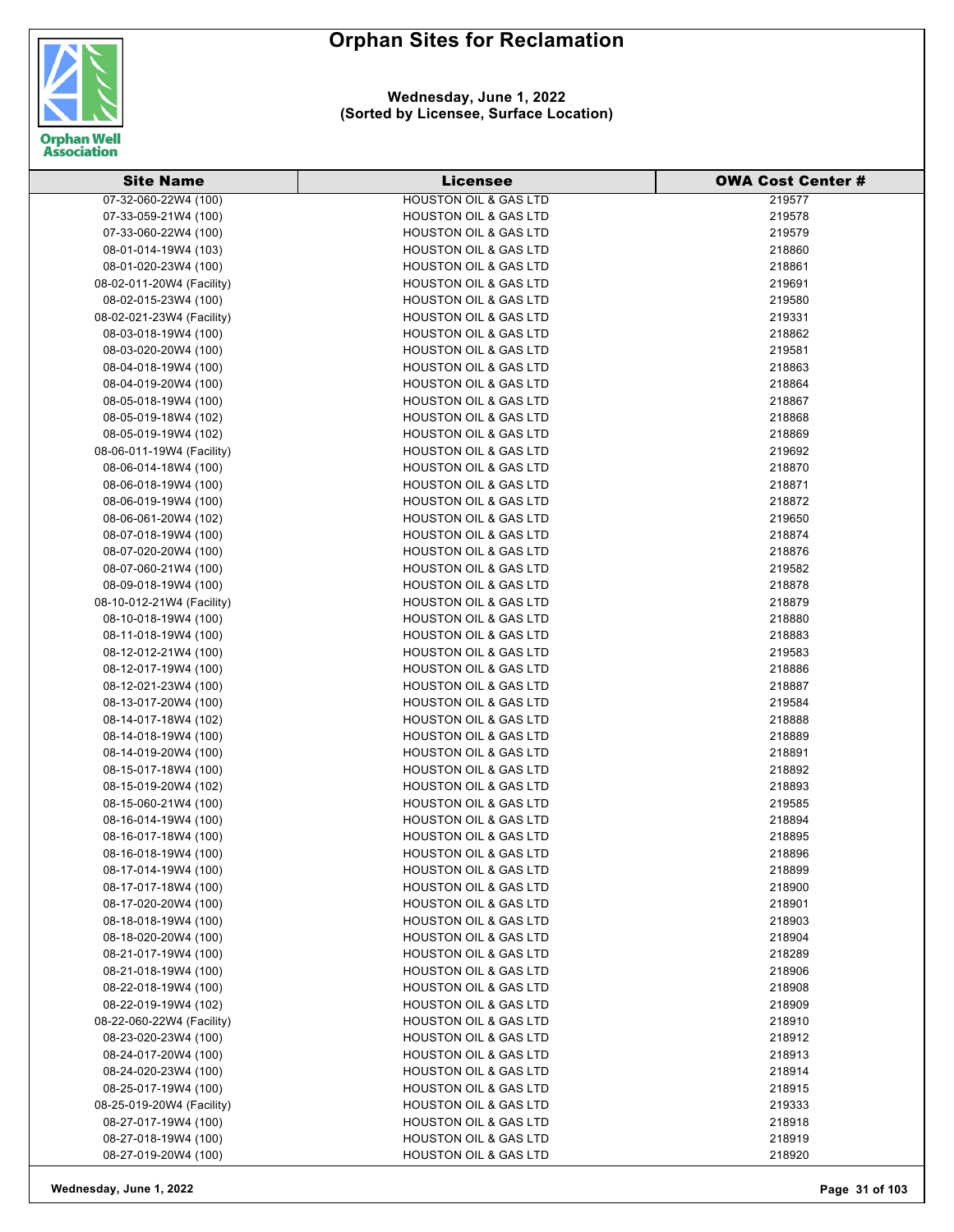

| <b>Site Name</b>          | <b>Licensee</b>                  | <b>OWA Cost Center #</b> |
|---------------------------|----------------------------------|--------------------------|
| 07-32-060-22W4 (100)      | <b>HOUSTON OIL &amp; GAS LTD</b> | 219577                   |
| 07-33-059-21W4 (100)      | <b>HOUSTON OIL &amp; GAS LTD</b> | 219578                   |
| 07-33-060-22W4 (100)      | <b>HOUSTON OIL &amp; GAS LTD</b> | 219579                   |
| 08-01-014-19W4 (103)      | <b>HOUSTON OIL &amp; GAS LTD</b> | 218860                   |
| 08-01-020-23W4 (100)      | <b>HOUSTON OIL &amp; GAS LTD</b> | 218861                   |
| 08-02-011-20W4 (Facility) | <b>HOUSTON OIL &amp; GAS LTD</b> | 219691                   |
| 08-02-015-23W4 (100)      | <b>HOUSTON OIL &amp; GAS LTD</b> | 219580                   |
| 08-02-021-23W4 (Facility) | <b>HOUSTON OIL &amp; GAS LTD</b> | 219331                   |
| 08-03-018-19W4 (100)      | <b>HOUSTON OIL &amp; GAS LTD</b> | 218862                   |
| 08-03-020-20W4 (100)      | <b>HOUSTON OIL &amp; GAS LTD</b> | 219581                   |
| 08-04-018-19W4 (100)      | <b>HOUSTON OIL &amp; GAS LTD</b> | 218863                   |
| 08-04-019-20W4 (100)      | <b>HOUSTON OIL &amp; GAS LTD</b> | 218864                   |
| 08-05-018-19W4 (100)      | <b>HOUSTON OIL &amp; GAS LTD</b> | 218867                   |
| 08-05-019-18W4 (102)      | <b>HOUSTON OIL &amp; GAS LTD</b> | 218868                   |
| 08-05-019-19W4 (102)      | <b>HOUSTON OIL &amp; GAS LTD</b> | 218869                   |
| 08-06-011-19W4 (Facility) | <b>HOUSTON OIL &amp; GAS LTD</b> | 219692                   |
| 08-06-014-18W4 (100)      | <b>HOUSTON OIL &amp; GAS LTD</b> | 218870                   |
| 08-06-018-19W4 (100)      | <b>HOUSTON OIL &amp; GAS LTD</b> | 218871                   |
| 08-06-019-19W4 (100)      | <b>HOUSTON OIL &amp; GAS LTD</b> | 218872                   |
| 08-06-061-20W4 (102)      | <b>HOUSTON OIL &amp; GAS LTD</b> | 219650                   |
| 08-07-018-19W4 (100)      | <b>HOUSTON OIL &amp; GAS LTD</b> | 218874                   |
| 08-07-020-20W4 (100)      | <b>HOUSTON OIL &amp; GAS LTD</b> | 218876                   |
| 08-07-060-21W4 (100)      | <b>HOUSTON OIL &amp; GAS LTD</b> | 219582                   |
| 08-09-018-19W4 (100)      | HOUSTON OIL & GAS LTD            | 218878                   |
| 08-10-012-21W4 (Facility) | <b>HOUSTON OIL &amp; GAS LTD</b> | 218879                   |
| 08-10-018-19W4 (100)      | <b>HOUSTON OIL &amp; GAS LTD</b> | 218880                   |
| 08-11-018-19W4 (100)      | <b>HOUSTON OIL &amp; GAS LTD</b> | 218883                   |
| 08-12-012-21W4 (100)      | <b>HOUSTON OIL &amp; GAS LTD</b> | 219583                   |
| 08-12-017-19W4 (100)      | <b>HOUSTON OIL &amp; GAS LTD</b> | 218886                   |
| 08-12-021-23W4 (100)      | <b>HOUSTON OIL &amp; GAS LTD</b> | 218887                   |
| 08-13-017-20W4 (100)      | <b>HOUSTON OIL &amp; GAS LTD</b> | 219584                   |
| 08-14-017-18W4 (102)      | <b>HOUSTON OIL &amp; GAS LTD</b> | 218888                   |
| 08-14-018-19W4 (100)      | <b>HOUSTON OIL &amp; GAS LTD</b> | 218889                   |
| 08-14-019-20W4 (100)      | <b>HOUSTON OIL &amp; GAS LTD</b> | 218891                   |
| 08-15-017-18W4 (100)      | <b>HOUSTON OIL &amp; GAS LTD</b> | 218892                   |
| 08-15-019-20W4 (102)      | <b>HOUSTON OIL &amp; GAS LTD</b> | 218893                   |
| 08-15-060-21W4 (100)      | <b>HOUSTON OIL &amp; GAS LTD</b> | 219585                   |
| 08-16-014-19W4 (100)      | <b>HOUSTON OIL &amp; GAS LTD</b> | 218894                   |
| 08-16-017-18W4 (100)      | <b>HOUSTON OIL &amp; GAS LTD</b> | 218895                   |
| 08-16-018-19W4 (100)      | <b>HOUSTON OIL &amp; GAS LTD</b> | 218896                   |
| 08-17-014-19W4 (100)      | <b>HOUSTON OIL &amp; GAS LTD</b> | 218899                   |
| 08-17-017-18W4 (100)      | <b>HOUSTON OIL &amp; GAS LTD</b> | 218900                   |
| 08-17-020-20W4 (100)      | <b>HOUSTON OIL &amp; GAS LTD</b> | 218901                   |
| 08-18-018-19W4 (100)      | <b>HOUSTON OIL &amp; GAS LTD</b> | 218903                   |
| 08-18-020-20W4 (100)      | <b>HOUSTON OIL &amp; GAS LTD</b> | 218904                   |
| 08-21-017-19W4 (100)      | <b>HOUSTON OIL &amp; GAS LTD</b> | 218289                   |
| 08-21-018-19W4 (100)      | <b>HOUSTON OIL &amp; GAS LTD</b> | 218906                   |
| 08-22-018-19W4 (100)      | <b>HOUSTON OIL &amp; GAS LTD</b> | 218908                   |
| 08-22-019-19W4 (102)      | <b>HOUSTON OIL &amp; GAS LTD</b> | 218909                   |
| 08-22-060-22W4 (Facility) | <b>HOUSTON OIL &amp; GAS LTD</b> | 218910                   |
| 08-23-020-23W4 (100)      | <b>HOUSTON OIL &amp; GAS LTD</b> | 218912                   |
| 08-24-017-20W4 (100)      | <b>HOUSTON OIL &amp; GAS LTD</b> | 218913                   |
| 08-24-020-23W4 (100)      | <b>HOUSTON OIL &amp; GAS LTD</b> | 218914                   |
| 08-25-017-19W4 (100)      | <b>HOUSTON OIL &amp; GAS LTD</b> | 218915                   |
| 08-25-019-20W4 (Facility) | HOUSTON OIL & GAS LTD            | 219333                   |
| 08-27-017-19W4 (100)      | <b>HOUSTON OIL &amp; GAS LTD</b> | 218918                   |
| 08-27-018-19W4 (100)      | <b>HOUSTON OIL &amp; GAS LTD</b> | 218919                   |
| 08-27-019-20W4 (100)      | <b>HOUSTON OIL &amp; GAS LTD</b> | 218920                   |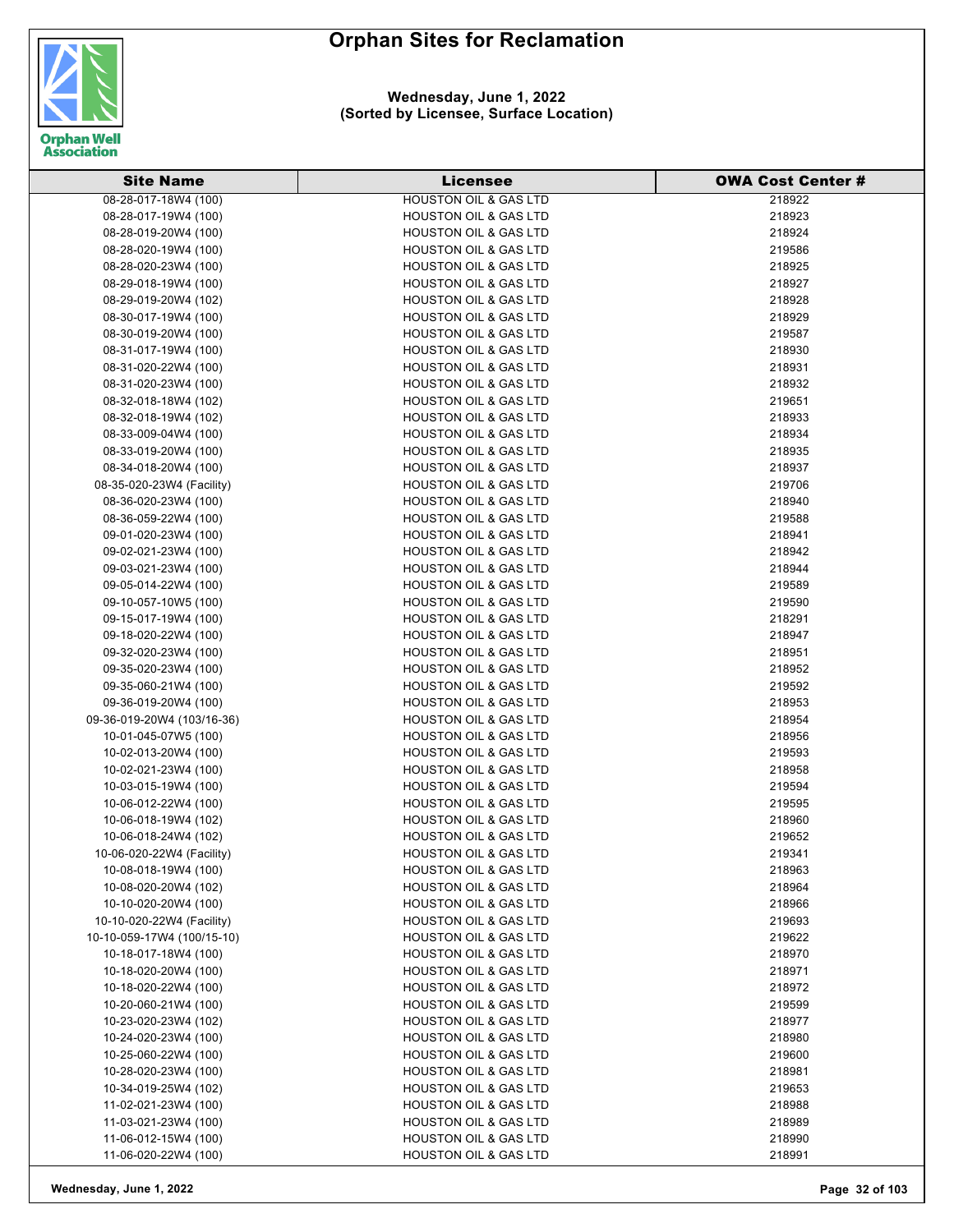

#### **Wednesday, June 1, 2022 (Sorted by Licensee, Surface Location)**

| <b>Site Name</b>           | <b>Licensee</b>                  | <b>OWA Cost Center #</b> |
|----------------------------|----------------------------------|--------------------------|
| 08-28-017-18W4 (100)       | <b>HOUSTON OIL &amp; GAS LTD</b> | 218922                   |
| 08-28-017-19W4 (100)       | <b>HOUSTON OIL &amp; GAS LTD</b> | 218923                   |
| 08-28-019-20W4 (100)       | <b>HOUSTON OIL &amp; GAS LTD</b> | 218924                   |
| 08-28-020-19W4 (100)       | <b>HOUSTON OIL &amp; GAS LTD</b> | 219586                   |
| 08-28-020-23W4 (100)       | <b>HOUSTON OIL &amp; GAS LTD</b> | 218925                   |
| 08-29-018-19W4 (100)       | <b>HOUSTON OIL &amp; GAS LTD</b> | 218927                   |
| 08-29-019-20W4 (102)       | <b>HOUSTON OIL &amp; GAS LTD</b> | 218928                   |
| 08-30-017-19W4 (100)       | <b>HOUSTON OIL &amp; GAS LTD</b> | 218929                   |
| 08-30-019-20W4 (100)       | <b>HOUSTON OIL &amp; GAS LTD</b> | 219587                   |
| 08-31-017-19W4 (100)       | <b>HOUSTON OIL &amp; GAS LTD</b> | 218930                   |
| 08-31-020-22W4 (100)       | <b>HOUSTON OIL &amp; GAS LTD</b> | 218931                   |
| 08-31-020-23W4 (100)       | <b>HOUSTON OIL &amp; GAS LTD</b> | 218932                   |
| 08-32-018-18W4 (102)       | <b>HOUSTON OIL &amp; GAS LTD</b> | 219651                   |
| 08-32-018-19W4 (102)       | <b>HOUSTON OIL &amp; GAS LTD</b> | 218933                   |
| 08-33-009-04W4 (100)       | <b>HOUSTON OIL &amp; GAS LTD</b> | 218934                   |
| 08-33-019-20W4 (100)       | <b>HOUSTON OIL &amp; GAS LTD</b> | 218935                   |
| 08-34-018-20W4 (100)       | <b>HOUSTON OIL &amp; GAS LTD</b> | 218937                   |
| 08-35-020-23W4 (Facility)  | <b>HOUSTON OIL &amp; GAS LTD</b> | 219706                   |
| 08-36-020-23W4 (100)       | <b>HOUSTON OIL &amp; GAS LTD</b> | 218940                   |
| 08-36-059-22W4 (100)       | <b>HOUSTON OIL &amp; GAS LTD</b> | 219588                   |
| 09-01-020-23W4 (100)       | <b>HOUSTON OIL &amp; GAS LTD</b> | 218941                   |
| 09-02-021-23W4 (100)       | <b>HOUSTON OIL &amp; GAS LTD</b> | 218942                   |
| 09-03-021-23W4 (100)       | <b>HOUSTON OIL &amp; GAS LTD</b> | 218944                   |
| 09-05-014-22W4 (100)       | <b>HOUSTON OIL &amp; GAS LTD</b> | 219589                   |
| 09-10-057-10W5 (100)       | <b>HOUSTON OIL &amp; GAS LTD</b> | 219590                   |
| 09-15-017-19W4 (100)       | <b>HOUSTON OIL &amp; GAS LTD</b> | 218291                   |
| 09-18-020-22W4 (100)       | <b>HOUSTON OIL &amp; GAS LTD</b> | 218947                   |
| 09-32-020-23W4 (100)       | <b>HOUSTON OIL &amp; GAS LTD</b> | 218951                   |
| 09-35-020-23W4 (100)       | <b>HOUSTON OIL &amp; GAS LTD</b> | 218952                   |
| 09-35-060-21W4 (100)       | <b>HOUSTON OIL &amp; GAS LTD</b> | 219592                   |
| 09-36-019-20W4 (100)       | <b>HOUSTON OIL &amp; GAS LTD</b> | 218953                   |
| 09-36-019-20W4 (103/16-36) | <b>HOUSTON OIL &amp; GAS LTD</b> | 218954                   |
| 10-01-045-07W5 (100)       | <b>HOUSTON OIL &amp; GAS LTD</b> | 218956                   |
| 10-02-013-20W4 (100)       | <b>HOUSTON OIL &amp; GAS LTD</b> | 219593                   |
| 10-02-021-23W4 (100)       | <b>HOUSTON OIL &amp; GAS LTD</b> | 218958                   |
| 10-03-015-19W4 (100)       | <b>HOUSTON OIL &amp; GAS LTD</b> | 219594                   |
| 10-06-012-22W4 (100)       | <b>HOUSTON OIL &amp; GAS LTD</b> | 219595                   |
| 10-06-018-19W4 (102)       | <b>HOUSTON OIL &amp; GAS LTD</b> | 218960                   |
| 10-06-018-24W4 (102)       | <b>HOUSTON OIL &amp; GAS LTD</b> | 219652                   |
| 10-06-020-22W4 (Facility)  | <b>HOUSTON OIL &amp; GAS LTD</b> | 219341                   |
| 10-08-018-19W4 (100)       | <b>HOUSTON OIL &amp; GAS LTD</b> | 218963                   |
| 10-08-020-20W4 (102)       | <b>HOUSTON OIL &amp; GAS LTD</b> | 218964                   |
| 10-10-020-20W4 (100)       | <b>HOUSTON OIL &amp; GAS LTD</b> | 218966                   |
| 10-10-020-22W4 (Facility)  | <b>HOUSTON OIL &amp; GAS LTD</b> | 219693                   |
| 10-10-059-17W4 (100/15-10) | <b>HOUSTON OIL &amp; GAS LTD</b> | 219622                   |
| 10-18-017-18W4 (100)       | <b>HOUSTON OIL &amp; GAS LTD</b> | 218970                   |
| 10-18-020-20W4 (100)       | <b>HOUSTON OIL &amp; GAS LTD</b> | 218971                   |
| 10-18-020-22W4 (100)       | <b>HOUSTON OIL &amp; GAS LTD</b> | 218972                   |
| 10-20-060-21W4 (100)       | <b>HOUSTON OIL &amp; GAS LTD</b> | 219599                   |
| 10-23-020-23W4 (102)       | <b>HOUSTON OIL &amp; GAS LTD</b> | 218977                   |
| 10-24-020-23W4 (100)       | <b>HOUSTON OIL &amp; GAS LTD</b> | 218980                   |
| 10-25-060-22W4 (100)       | <b>HOUSTON OIL &amp; GAS LTD</b> | 219600                   |
| 10-28-020-23W4 (100)       | <b>HOUSTON OIL &amp; GAS LTD</b> | 218981                   |
| 10-34-019-25W4 (102)       | <b>HOUSTON OIL &amp; GAS LTD</b> | 219653                   |
| 11-02-021-23W4 (100)       | <b>HOUSTON OIL &amp; GAS LTD</b> | 218988                   |
| 11-03-021-23W4 (100)       | <b>HOUSTON OIL &amp; GAS LTD</b> | 218989                   |
| 11-06-012-15W4 (100)       | <b>HOUSTON OIL &amp; GAS LTD</b> | 218990                   |
| 11-06-020-22W4 (100)       | <b>HOUSTON OIL &amp; GAS LTD</b> | 218991                   |

**Wednesday, June 1, 2022 Page 32 of 103**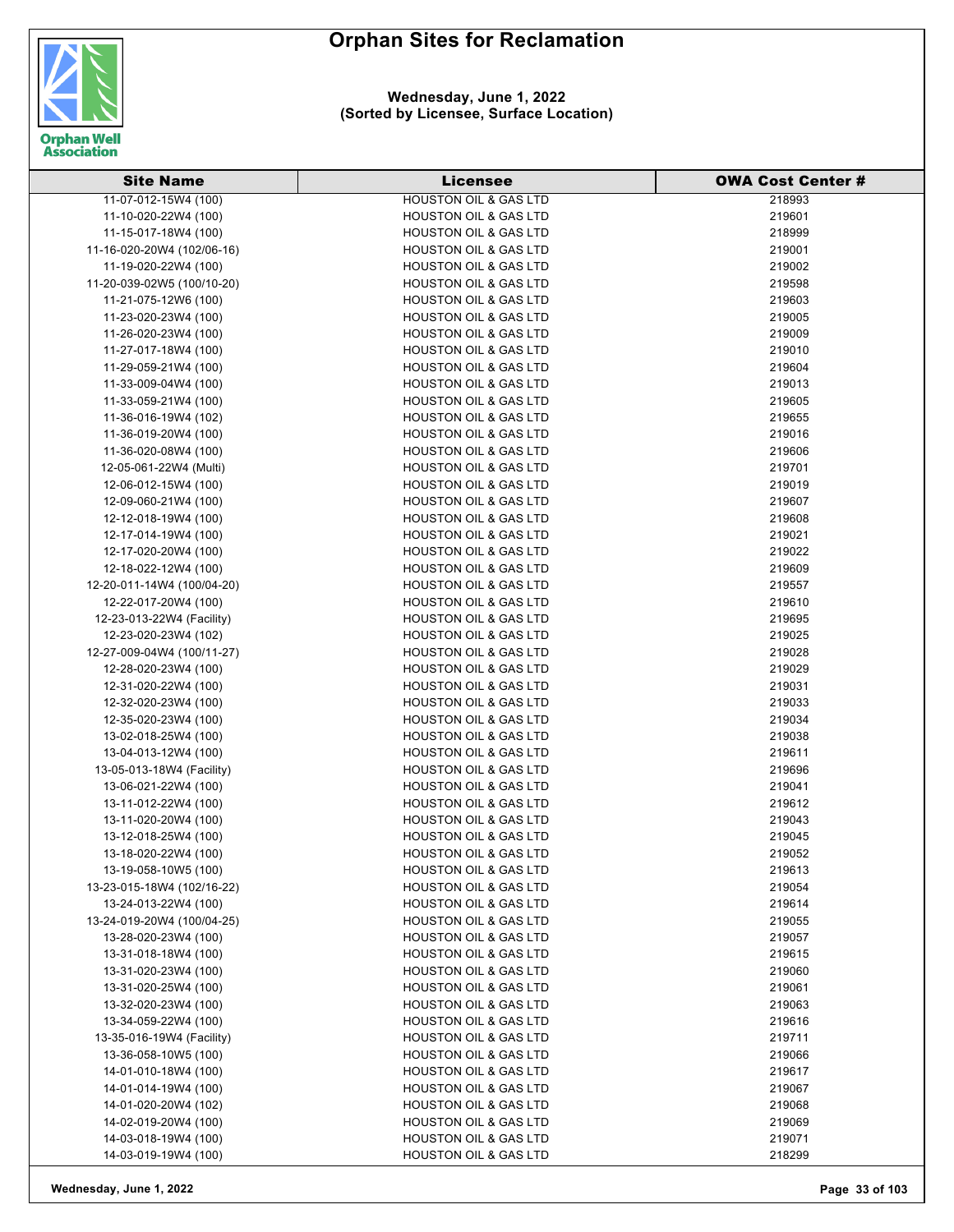

**Wednesday, June 1, 2022 (Sorted by Licensee, Surface Location)**

| <b>Site Name</b>                                   | <b>Licensee</b>                                                      | <b>OWA Cost Center #</b> |
|----------------------------------------------------|----------------------------------------------------------------------|--------------------------|
| 11-07-012-15W4 (100)                               | <b>HOUSTON OIL &amp; GAS LTD</b>                                     | 218993                   |
| 11-10-020-22W4 (100)                               | <b>HOUSTON OIL &amp; GAS LTD</b>                                     | 219601                   |
| 11-15-017-18W4 (100)                               | <b>HOUSTON OIL &amp; GAS LTD</b>                                     | 218999                   |
| 11-16-020-20W4 (102/06-16)                         | <b>HOUSTON OIL &amp; GAS LTD</b>                                     | 219001                   |
| 11-19-020-22W4 (100)                               | <b>HOUSTON OIL &amp; GAS LTD</b>                                     | 219002                   |
| 11-20-039-02W5 (100/10-20)                         | <b>HOUSTON OIL &amp; GAS LTD</b>                                     | 219598                   |
| 11-21-075-12W6 (100)                               | <b>HOUSTON OIL &amp; GAS LTD</b>                                     | 219603                   |
| 11-23-020-23W4 (100)                               | <b>HOUSTON OIL &amp; GAS LTD</b>                                     | 219005                   |
| 11-26-020-23W4 (100)                               | <b>HOUSTON OIL &amp; GAS LTD</b>                                     | 219009                   |
| 11-27-017-18W4 (100)                               | HOUSTON OIL & GAS LTD                                                | 219010                   |
| 11-29-059-21W4 (100)                               | <b>HOUSTON OIL &amp; GAS LTD</b>                                     | 219604                   |
| 11-33-009-04W4 (100)                               | <b>HOUSTON OIL &amp; GAS LTD</b>                                     | 219013                   |
| 11-33-059-21W4 (100)                               | <b>HOUSTON OIL &amp; GAS LTD</b>                                     | 219605                   |
| 11-36-016-19W4 (102)                               | <b>HOUSTON OIL &amp; GAS LTD</b>                                     | 219655                   |
| 11-36-019-20W4 (100)                               | <b>HOUSTON OIL &amp; GAS LTD</b>                                     | 219016                   |
| 11-36-020-08W4 (100)                               | <b>HOUSTON OIL &amp; GAS LTD</b>                                     | 219606                   |
| 12-05-061-22W4 (Multi)                             | <b>HOUSTON OIL &amp; GAS LTD</b>                                     | 219701                   |
| 12-06-012-15W4 (100)                               | <b>HOUSTON OIL &amp; GAS LTD</b>                                     | 219019                   |
| 12-09-060-21W4 (100)                               | <b>HOUSTON OIL &amp; GAS LTD</b>                                     | 219607                   |
| 12-12-018-19W4 (100)                               | <b>HOUSTON OIL &amp; GAS LTD</b>                                     | 219608                   |
| 12-17-014-19W4 (100)                               |                                                                      |                          |
|                                                    | <b>HOUSTON OIL &amp; GAS LTD</b>                                     | 219021                   |
| 12-17-020-20W4 (100)                               | <b>HOUSTON OIL &amp; GAS LTD</b>                                     | 219022                   |
| 12-18-022-12W4 (100)                               | <b>HOUSTON OIL &amp; GAS LTD</b>                                     | 219609                   |
| 12-20-011-14W4 (100/04-20)                         | <b>HOUSTON OIL &amp; GAS LTD</b>                                     | 219557                   |
| 12-22-017-20W4 (100)                               | <b>HOUSTON OIL &amp; GAS LTD</b><br><b>HOUSTON OIL &amp; GAS LTD</b> | 219610                   |
| 12-23-013-22W4 (Facility)<br>12-23-020-23W4 (102)  |                                                                      | 219695                   |
|                                                    | <b>HOUSTON OIL &amp; GAS LTD</b>                                     | 219025                   |
| 12-27-009-04W4 (100/11-27)                         | <b>HOUSTON OIL &amp; GAS LTD</b>                                     | 219028                   |
| 12-28-020-23W4 (100)                               | <b>HOUSTON OIL &amp; GAS LTD</b>                                     | 219029                   |
| 12-31-020-22W4 (100)                               | <b>HOUSTON OIL &amp; GAS LTD</b>                                     | 219031<br>219033         |
| 12-32-020-23W4 (100)<br>12-35-020-23W4 (100)       | <b>HOUSTON OIL &amp; GAS LTD</b><br><b>HOUSTON OIL &amp; GAS LTD</b> |                          |
|                                                    | HOUSTON OIL & GAS LTD                                                | 219034                   |
| 13-02-018-25W4 (100)<br>13-04-013-12W4 (100)       | <b>HOUSTON OIL &amp; GAS LTD</b>                                     | 219038<br>219611         |
| 13-05-013-18W4 (Facility)                          | <b>HOUSTON OIL &amp; GAS LTD</b>                                     | 219696                   |
| 13-06-021-22W4 (100)                               | <b>HOUSTON OIL &amp; GAS LTD</b>                                     | 219041                   |
| 13-11-012-22W4 (100)                               | <b>HOUSTON OIL &amp; GAS LTD</b>                                     | 219612                   |
| 13-11-020-20W4 (100)                               | <b>HOUSTON OIL &amp; GAS LTD</b>                                     | 219043                   |
|                                                    |                                                                      | 219045                   |
| 13-12-018-25W4 (100)<br>13-18-020-22W4 (100)       | <b>HOUSTON OIL &amp; GAS LTD</b><br><b>HOUSTON OIL &amp; GAS LTD</b> | 219052                   |
| 13-19-058-10W5 (100)                               | <b>HOUSTON OIL &amp; GAS LTD</b>                                     | 219613                   |
| 13-23-015-18W4 (102/16-22)                         | <b>HOUSTON OIL &amp; GAS LTD</b>                                     | 219054                   |
| 13-24-013-22W4 (100)                               |                                                                      |                          |
|                                                    | <b>HOUSTON OIL &amp; GAS LTD</b><br><b>HOUSTON OIL &amp; GAS LTD</b> | 219614                   |
| 13-24-019-20W4 (100/04-25)<br>13-28-020-23W4 (100) |                                                                      | 219055                   |
|                                                    | <b>HOUSTON OIL &amp; GAS LTD</b><br><b>HOUSTON OIL &amp; GAS LTD</b> | 219057                   |
| 13-31-018-18W4 (100)<br>13-31-020-23W4 (100)       |                                                                      | 219615                   |
|                                                    | <b>HOUSTON OIL &amp; GAS LTD</b>                                     | 219060                   |
| 13-31-020-25W4 (100)<br>13-32-020-23W4 (100)       | <b>HOUSTON OIL &amp; GAS LTD</b><br>HOUSTON OIL & GAS LTD            | 219061<br>219063         |
|                                                    | <b>HOUSTON OIL &amp; GAS LTD</b>                                     |                          |
| 13-34-059-22W4 (100)<br>13-35-016-19W4 (Facility)  | <b>HOUSTON OIL &amp; GAS LTD</b>                                     | 219616<br>219711         |
|                                                    |                                                                      |                          |
| 13-36-058-10W5 (100)<br>14-01-010-18W4 (100)       | <b>HOUSTON OIL &amp; GAS LTD</b><br><b>HOUSTON OIL &amp; GAS LTD</b> | 219066<br>219617         |
| 14-01-014-19W4 (100)                               | <b>HOUSTON OIL &amp; GAS LTD</b>                                     | 219067                   |
| 14-01-020-20W4 (102)                               | <b>HOUSTON OIL &amp; GAS LTD</b>                                     | 219068                   |
| 14-02-019-20W4 (100)                               | <b>HOUSTON OIL &amp; GAS LTD</b>                                     | 219069                   |
| 14-03-018-19W4 (100)                               | <b>HOUSTON OIL &amp; GAS LTD</b>                                     | 219071                   |
| 14-03-019-19W4 (100)                               | <b>HOUSTON OIL &amp; GAS LTD</b>                                     | 218299                   |
|                                                    |                                                                      |                          |

**Wednesday, June 1, 2022 Page 33 of 103**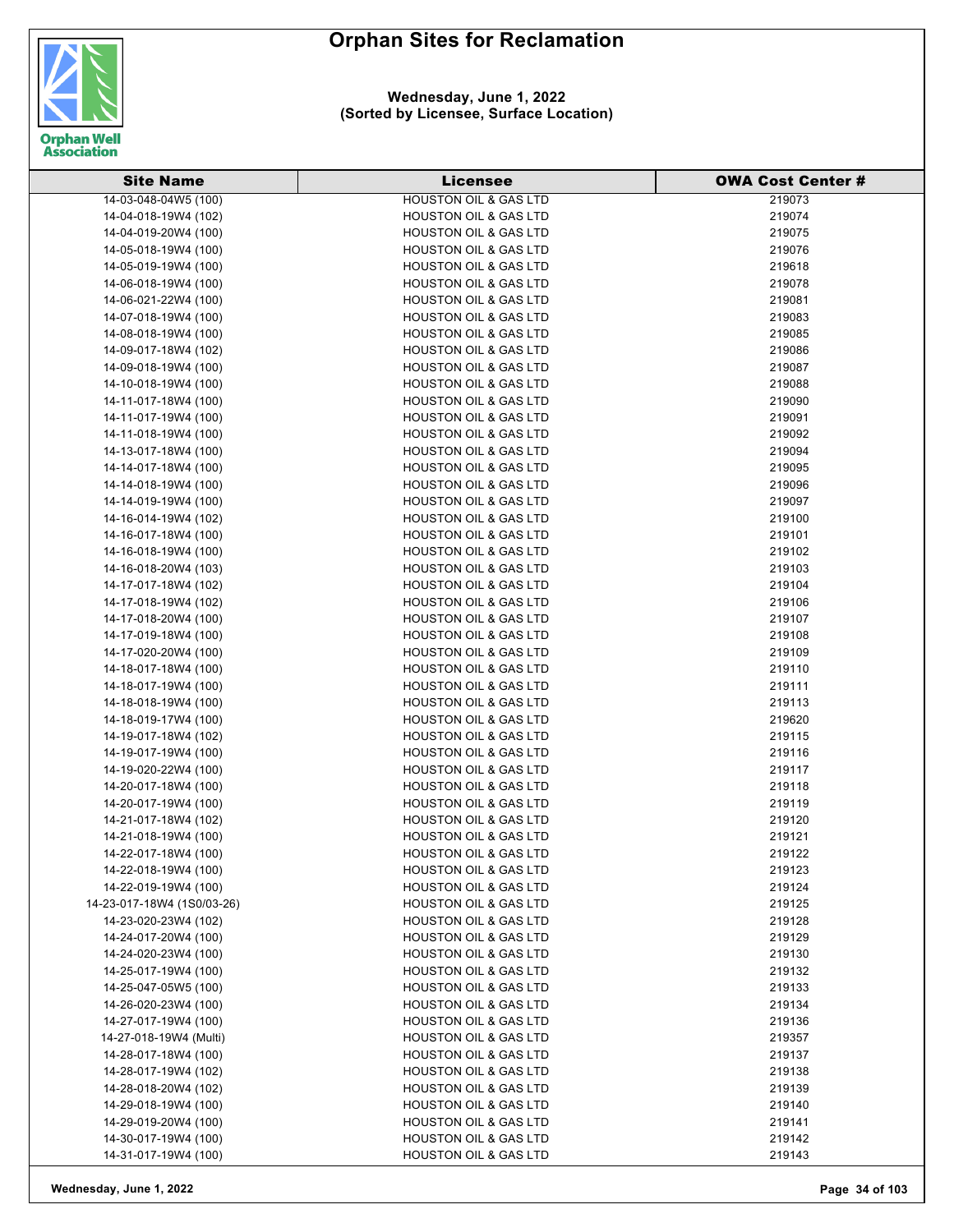

#### **Wednesday, June 1, 2022 (Sorted by Licensee, Surface Location)**

| <b>Site Name</b>           | <b>Licensee</b>                  | <b>OWA Cost Center #</b> |
|----------------------------|----------------------------------|--------------------------|
| 14-03-048-04W5 (100)       | <b>HOUSTON OIL &amp; GAS LTD</b> | 219073                   |
| 14-04-018-19W4 (102)       | <b>HOUSTON OIL &amp; GAS LTD</b> | 219074                   |
| 14-04-019-20W4 (100)       | <b>HOUSTON OIL &amp; GAS LTD</b> | 219075                   |
| 14-05-018-19W4 (100)       | <b>HOUSTON OIL &amp; GAS LTD</b> | 219076                   |
| 14-05-019-19W4 (100)       | <b>HOUSTON OIL &amp; GAS LTD</b> | 219618                   |
| 14-06-018-19W4 (100)       | <b>HOUSTON OIL &amp; GAS LTD</b> | 219078                   |
| 14-06-021-22W4 (100)       | <b>HOUSTON OIL &amp; GAS LTD</b> | 219081                   |
| 14-07-018-19W4 (100)       | <b>HOUSTON OIL &amp; GAS LTD</b> | 219083                   |
| 14-08-018-19W4 (100)       | <b>HOUSTON OIL &amp; GAS LTD</b> | 219085                   |
| 14-09-017-18W4 (102)       | <b>HOUSTON OIL &amp; GAS LTD</b> | 219086                   |
| 14-09-018-19W4 (100)       | <b>HOUSTON OIL &amp; GAS LTD</b> | 219087                   |
| 14-10-018-19W4 (100)       | <b>HOUSTON OIL &amp; GAS LTD</b> | 219088                   |
| 14-11-017-18W4 (100)       | <b>HOUSTON OIL &amp; GAS LTD</b> | 219090                   |
| 14-11-017-19W4 (100)       | <b>HOUSTON OIL &amp; GAS LTD</b> | 219091                   |
| 14-11-018-19W4 (100)       | <b>HOUSTON OIL &amp; GAS LTD</b> | 219092                   |
| 14-13-017-18W4 (100)       | <b>HOUSTON OIL &amp; GAS LTD</b> | 219094                   |
| 14-14-017-18W4 (100)       | <b>HOUSTON OIL &amp; GAS LTD</b> | 219095                   |
| 14-14-018-19W4 (100)       | <b>HOUSTON OIL &amp; GAS LTD</b> | 219096                   |
| 14-14-019-19W4 (100)       | <b>HOUSTON OIL &amp; GAS LTD</b> | 219097                   |
| 14-16-014-19W4 (102)       | <b>HOUSTON OIL &amp; GAS LTD</b> | 219100                   |
| 14-16-017-18W4 (100)       | <b>HOUSTON OIL &amp; GAS LTD</b> | 219101                   |
| 14-16-018-19W4 (100)       | <b>HOUSTON OIL &amp; GAS LTD</b> | 219102                   |
| 14-16-018-20W4 (103)       | <b>HOUSTON OIL &amp; GAS LTD</b> | 219103                   |
| 14-17-017-18W4 (102)       | <b>HOUSTON OIL &amp; GAS LTD</b> | 219104                   |
| 14-17-018-19W4 (102)       | <b>HOUSTON OIL &amp; GAS LTD</b> | 219106                   |
| 14-17-018-20W4 (100)       | <b>HOUSTON OIL &amp; GAS LTD</b> | 219107                   |
| 14-17-019-18W4 (100)       | <b>HOUSTON OIL &amp; GAS LTD</b> | 219108                   |
| 14-17-020-20W4 (100)       | <b>HOUSTON OIL &amp; GAS LTD</b> | 219109                   |
| 14-18-017-18W4 (100)       | <b>HOUSTON OIL &amp; GAS LTD</b> | 219110                   |
| 14-18-017-19W4 (100)       | <b>HOUSTON OIL &amp; GAS LTD</b> | 219111                   |
| 14-18-018-19W4 (100)       | <b>HOUSTON OIL &amp; GAS LTD</b> | 219113                   |
| 14-18-019-17W4 (100)       | <b>HOUSTON OIL &amp; GAS LTD</b> | 219620                   |
| 14-19-017-18W4 (102)       | <b>HOUSTON OIL &amp; GAS LTD</b> | 219115                   |
| 14-19-017-19W4 (100)       | <b>HOUSTON OIL &amp; GAS LTD</b> | 219116                   |
| 14-19-020-22W4 (100)       | <b>HOUSTON OIL &amp; GAS LTD</b> | 219117                   |
| 14-20-017-18W4 (100)       | HOUSTON OIL & GAS LTD            | 219118                   |
| 14-20-017-19W4 (100)       | HOUSTON OIL & GAS LTD            | 219119                   |
| 14-21-017-18W4 (102)       | <b>HOUSTON OIL &amp; GAS LTD</b> | 219120                   |
| 14-21-018-19W4 (100)       | <b>HOUSTON OIL &amp; GAS LTD</b> | 219121                   |
| 14-22-017-18W4 (100)       | HOUSTON OIL & GAS LTD            | 219122                   |
| 14-22-018-19W4 (100)       | HOUSTON OIL & GAS LTD            | 219123                   |
| 14-22-019-19W4 (100)       | <b>HOUSTON OIL &amp; GAS LTD</b> | 219124                   |
| 14-23-017-18W4 (1S0/03-26) | <b>HOUSTON OIL &amp; GAS LTD</b> | 219125                   |
| 14-23-020-23W4 (102)       | HOUSTON OIL & GAS LTD            | 219128                   |
| 14-24-017-20W4 (100)       | <b>HOUSTON OIL &amp; GAS LTD</b> | 219129                   |
| 14-24-020-23W4 (100)       | HOUSTON OIL & GAS LTD            | 219130                   |
| 14-25-017-19W4 (100)       | <b>HOUSTON OIL &amp; GAS LTD</b> | 219132                   |
| 14-25-047-05W5 (100)       | HOUSTON OIL & GAS LTD            | 219133                   |
| 14-26-020-23W4 (100)       | <b>HOUSTON OIL &amp; GAS LTD</b> | 219134                   |
| 14-27-017-19W4 (100)       | <b>HOUSTON OIL &amp; GAS LTD</b> | 219136                   |
| 14-27-018-19W4 (Multi)     | <b>HOUSTON OIL &amp; GAS LTD</b> | 219357                   |
| 14-28-017-18W4 (100)       | <b>HOUSTON OIL &amp; GAS LTD</b> | 219137                   |
| 14-28-017-19W4 (102)       | <b>HOUSTON OIL &amp; GAS LTD</b> | 219138                   |
| 14-28-018-20W4 (102)       | <b>HOUSTON OIL &amp; GAS LTD</b> | 219139                   |
| 14-29-018-19W4 (100)       | <b>HOUSTON OIL &amp; GAS LTD</b> | 219140                   |
| 14-29-019-20W4 (100)       | <b>HOUSTON OIL &amp; GAS LTD</b> | 219141                   |
| 14-30-017-19W4 (100)       | <b>HOUSTON OIL &amp; GAS LTD</b> | 219142                   |
| 14-31-017-19W4 (100)       | HOUSTON OIL & GAS LTD            | 219143                   |

**Wednesday, June 1, 2022 Page 34 of 103**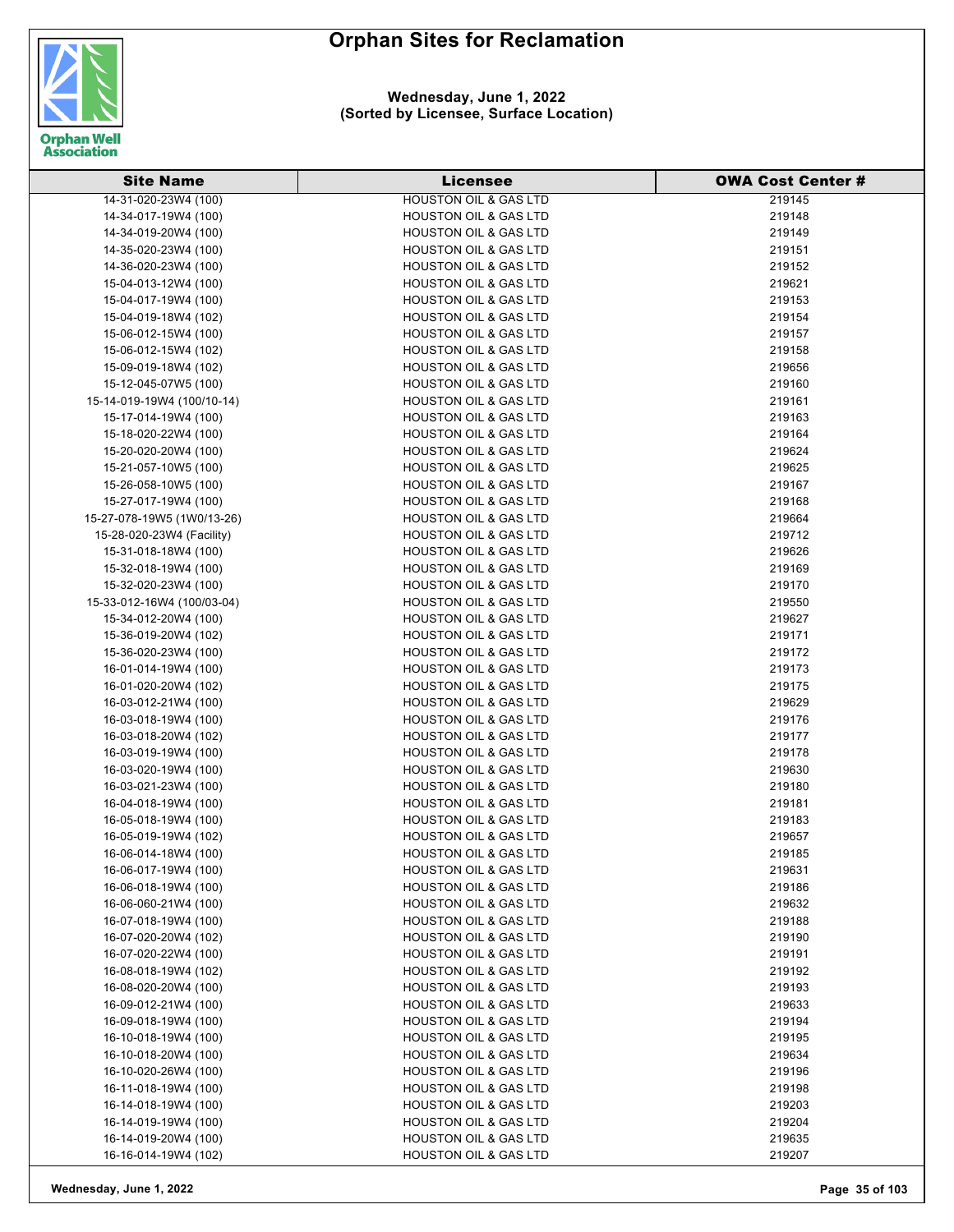

#### **Wednesday, June 1, 2022 (Sorted by Licensee, Surface Location)**

| <b>Site Name</b>           | <b>Licensee</b>                  | <b>OWA Cost Center #</b> |
|----------------------------|----------------------------------|--------------------------|
| 14-31-020-23W4 (100)       | <b>HOUSTON OIL &amp; GAS LTD</b> | 219145                   |
| 14-34-017-19W4 (100)       | <b>HOUSTON OIL &amp; GAS LTD</b> | 219148                   |
| 14-34-019-20W4 (100)       | <b>HOUSTON OIL &amp; GAS LTD</b> | 219149                   |
| 14-35-020-23W4 (100)       | <b>HOUSTON OIL &amp; GAS LTD</b> | 219151                   |
| 14-36-020-23W4 (100)       | <b>HOUSTON OIL &amp; GAS LTD</b> | 219152                   |
| 15-04-013-12W4 (100)       | <b>HOUSTON OIL &amp; GAS LTD</b> | 219621                   |
| 15-04-017-19W4 (100)       | <b>HOUSTON OIL &amp; GAS LTD</b> | 219153                   |
| 15-04-019-18W4 (102)       | <b>HOUSTON OIL &amp; GAS LTD</b> | 219154                   |
| 15-06-012-15W4 (100)       | <b>HOUSTON OIL &amp; GAS LTD</b> | 219157                   |
| 15-06-012-15W4 (102)       | <b>HOUSTON OIL &amp; GAS LTD</b> | 219158                   |
| 15-09-019-18W4 (102)       | <b>HOUSTON OIL &amp; GAS LTD</b> | 219656                   |
| 15-12-045-07W5 (100)       | <b>HOUSTON OIL &amp; GAS LTD</b> | 219160                   |
| 15-14-019-19W4 (100/10-14) | <b>HOUSTON OIL &amp; GAS LTD</b> | 219161                   |
| 15-17-014-19W4 (100)       | <b>HOUSTON OIL &amp; GAS LTD</b> | 219163                   |
| 15-18-020-22W4 (100)       | <b>HOUSTON OIL &amp; GAS LTD</b> | 219164                   |
| 15-20-020-20W4 (100)       | <b>HOUSTON OIL &amp; GAS LTD</b> | 219624                   |
| 15-21-057-10W5 (100)       | <b>HOUSTON OIL &amp; GAS LTD</b> | 219625                   |
| 15-26-058-10W5 (100)       | <b>HOUSTON OIL &amp; GAS LTD</b> | 219167                   |
| 15-27-017-19W4 (100)       | <b>HOUSTON OIL &amp; GAS LTD</b> | 219168                   |
|                            | <b>HOUSTON OIL &amp; GAS LTD</b> | 219664                   |
| 15-27-078-19W5 (1W0/13-26) | <b>HOUSTON OIL &amp; GAS LTD</b> |                          |
| 15-28-020-23W4 (Facility)  |                                  | 219712                   |
| 15-31-018-18W4 (100)       | <b>HOUSTON OIL &amp; GAS LTD</b> | 219626                   |
| 15-32-018-19W4 (100)       | <b>HOUSTON OIL &amp; GAS LTD</b> | 219169                   |
| 15-32-020-23W4 (100)       | <b>HOUSTON OIL &amp; GAS LTD</b> | 219170                   |
| 15-33-012-16W4 (100/03-04) | <b>HOUSTON OIL &amp; GAS LTD</b> | 219550                   |
| 15-34-012-20W4 (100)       | <b>HOUSTON OIL &amp; GAS LTD</b> | 219627                   |
| 15-36-019-20W4 (102)       | <b>HOUSTON OIL &amp; GAS LTD</b> | 219171                   |
| 15-36-020-23W4 (100)       | HOUSTON OIL & GAS LTD            | 219172                   |
| 16-01-014-19W4 (100)       | <b>HOUSTON OIL &amp; GAS LTD</b> | 219173                   |
| 16-01-020-20W4 (102)       | <b>HOUSTON OIL &amp; GAS LTD</b> | 219175                   |
| 16-03-012-21W4 (100)       | <b>HOUSTON OIL &amp; GAS LTD</b> | 219629                   |
| 16-03-018-19W4 (100)       | <b>HOUSTON OIL &amp; GAS LTD</b> | 219176                   |
| 16-03-018-20W4 (102)       | <b>HOUSTON OIL &amp; GAS LTD</b> | 219177                   |
| 16-03-019-19W4 (100)       | <b>HOUSTON OIL &amp; GAS LTD</b> | 219178                   |
| 16-03-020-19W4 (100)       | <b>HOUSTON OIL &amp; GAS LTD</b> | 219630                   |
| 16-03-021-23W4 (100)       | <b>HOUSTON OIL &amp; GAS LTD</b> | 219180                   |
| 16-04-018-19W4 (100)       | <b>HOUSTON OIL &amp; GAS LTD</b> | 219181                   |
| 16-05-018-19W4 (100)       | <b>HOUSTON OIL &amp; GAS LTD</b> | 219183                   |
| 16-05-019-19W4 (102)       | <b>HOUSTON OIL &amp; GAS LTD</b> | 219657                   |
| 16-06-014-18W4 (100)       | <b>HOUSTON OIL &amp; GAS LTD</b> | 219185                   |
| 16-06-017-19W4 (100)       | <b>HOUSTON OIL &amp; GAS LTD</b> | 219631                   |
| 16-06-018-19W4 (100)       | <b>HOUSTON OIL &amp; GAS LTD</b> | 219186                   |
| 16-06-060-21W4 (100)       | <b>HOUSTON OIL &amp; GAS LTD</b> | 219632                   |
| 16-07-018-19W4 (100)       | <b>HOUSTON OIL &amp; GAS LTD</b> | 219188                   |
| 16-07-020-20W4 (102)       | <b>HOUSTON OIL &amp; GAS LTD</b> | 219190                   |
| 16-07-020-22W4 (100)       | <b>HOUSTON OIL &amp; GAS LTD</b> | 219191                   |
| 16-08-018-19W4 (102)       | <b>HOUSTON OIL &amp; GAS LTD</b> | 219192                   |
| 16-08-020-20W4 (100)       | <b>HOUSTON OIL &amp; GAS LTD</b> | 219193                   |
| 16-09-012-21W4 (100)       | <b>HOUSTON OIL &amp; GAS LTD</b> | 219633                   |
| 16-09-018-19W4 (100)       | <b>HOUSTON OIL &amp; GAS LTD</b> | 219194                   |
| 16-10-018-19W4 (100)       | <b>HOUSTON OIL &amp; GAS LTD</b> | 219195                   |
| 16-10-018-20W4 (100)       | <b>HOUSTON OIL &amp; GAS LTD</b> | 219634                   |
| 16-10-020-26W4 (100)       | <b>HOUSTON OIL &amp; GAS LTD</b> | 219196                   |
| 16-11-018-19W4 (100)       | <b>HOUSTON OIL &amp; GAS LTD</b> | 219198                   |
| 16-14-018-19W4 (100)       | <b>HOUSTON OIL &amp; GAS LTD</b> | 219203                   |
| 16-14-019-19W4 (100)       | HOUSTON OIL & GAS LTD            | 219204                   |
| 16-14-019-20W4 (100)       | <b>HOUSTON OIL &amp; GAS LTD</b> | 219635                   |
| 16-16-014-19W4 (102)       | HOUSTON OIL & GAS LTD            | 219207                   |

**Wednesday, June 1, 2022 Page 35 of 103**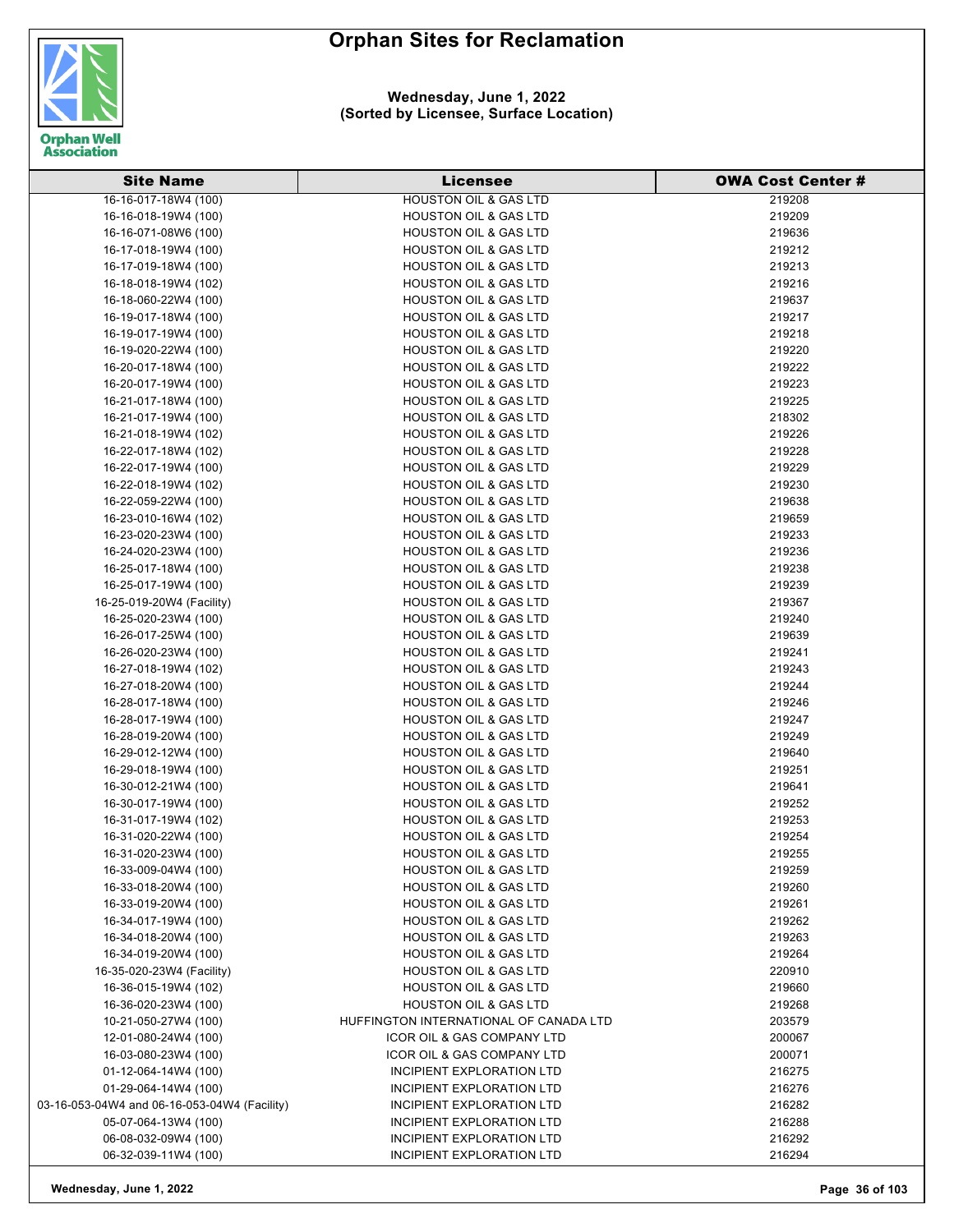

#### **Wednesday, June 1, 2022 (Sorted by Licensee, Surface Location)**

| <b>Site Name</b>                             | <b>Licensee</b>                        | <b>OWA Cost Center#</b> |
|----------------------------------------------|----------------------------------------|-------------------------|
| 16-16-017-18W4 (100)                         | <b>HOUSTON OIL &amp; GAS LTD</b>       | 219208                  |
| 16-16-018-19W4 (100)                         | <b>HOUSTON OIL &amp; GAS LTD</b>       | 219209                  |
| 16-16-071-08W6 (100)                         | <b>HOUSTON OIL &amp; GAS LTD</b>       | 219636                  |
| 16-17-018-19W4 (100)                         | HOUSTON OIL & GAS LTD                  | 219212                  |
| 16-17-019-18W4 (100)                         | <b>HOUSTON OIL &amp; GAS LTD</b>       | 219213                  |
| 16-18-018-19W4 (102)                         | <b>HOUSTON OIL &amp; GAS LTD</b>       | 219216                  |
| 16-18-060-22W4 (100)                         | <b>HOUSTON OIL &amp; GAS LTD</b>       | 219637                  |
| 16-19-017-18W4 (100)                         | <b>HOUSTON OIL &amp; GAS LTD</b>       | 219217                  |
| 16-19-017-19W4 (100)                         | <b>HOUSTON OIL &amp; GAS LTD</b>       | 219218                  |
| 16-19-020-22W4 (100)                         | <b>HOUSTON OIL &amp; GAS LTD</b>       | 219220                  |
| 16-20-017-18W4 (100)                         | <b>HOUSTON OIL &amp; GAS LTD</b>       | 219222                  |
| 16-20-017-19W4 (100)                         | HOUSTON OIL & GAS LTD                  | 219223                  |
| 16-21-017-18W4 (100)                         | <b>HOUSTON OIL &amp; GAS LTD</b>       | 219225                  |
| 16-21-017-19W4 (100)                         | <b>HOUSTON OIL &amp; GAS LTD</b>       | 218302                  |
| 16-21-018-19W4 (102)                         | <b>HOUSTON OIL &amp; GAS LTD</b>       | 219226                  |
| 16-22-017-18W4 (102)                         | <b>HOUSTON OIL &amp; GAS LTD</b>       | 219228                  |
| 16-22-017-19W4 (100)                         | <b>HOUSTON OIL &amp; GAS LTD</b>       | 219229                  |
| 16-22-018-19W4 (102)                         | <b>HOUSTON OIL &amp; GAS LTD</b>       | 219230                  |
| 16-22-059-22W4 (100)                         | <b>HOUSTON OIL &amp; GAS LTD</b>       | 219638                  |
| 16-23-010-16W4 (102)                         | <b>HOUSTON OIL &amp; GAS LTD</b>       | 219659                  |
| 16-23-020-23W4 (100)                         | <b>HOUSTON OIL &amp; GAS LTD</b>       | 219233                  |
| 16-24-020-23W4 (100)                         | <b>HOUSTON OIL &amp; GAS LTD</b>       | 219236                  |
| 16-25-017-18W4 (100)                         | <b>HOUSTON OIL &amp; GAS LTD</b>       | 219238                  |
| 16-25-017-19W4 (100)                         | <b>HOUSTON OIL &amp; GAS LTD</b>       | 219239                  |
| 16-25-019-20W4 (Facility)                    | <b>HOUSTON OIL &amp; GAS LTD</b>       | 219367                  |
| 16-25-020-23W4 (100)                         | <b>HOUSTON OIL &amp; GAS LTD</b>       | 219240                  |
| 16-26-017-25W4 (100)                         | <b>HOUSTON OIL &amp; GAS LTD</b>       | 219639                  |
| 16-26-020-23W4 (100)                         | <b>HOUSTON OIL &amp; GAS LTD</b>       | 219241                  |
| 16-27-018-19W4 (102)                         | <b>HOUSTON OIL &amp; GAS LTD</b>       | 219243                  |
| 16-27-018-20W4 (100)                         | <b>HOUSTON OIL &amp; GAS LTD</b>       | 219244                  |
| 16-28-017-18W4 (100)                         | <b>HOUSTON OIL &amp; GAS LTD</b>       | 219246                  |
| 16-28-017-19W4 (100)                         | <b>HOUSTON OIL &amp; GAS LTD</b>       | 219247                  |
| 16-28-019-20W4 (100)                         | <b>HOUSTON OIL &amp; GAS LTD</b>       | 219249                  |
| 16-29-012-12W4 (100)                         | <b>HOUSTON OIL &amp; GAS LTD</b>       | 219640                  |
| 16-29-018-19W4 (100)                         | HOUSTON OIL & GAS LTD                  | 219251                  |
| 16-30-012-21W4 (100)                         | <b>HOUSTON OIL &amp; GAS LTD</b>       | 219641                  |
| 16-30-017-19W4 (100)                         | <b>HOUSTON OIL &amp; GAS LTD</b>       | 219252                  |
| 16-31-017-19W4 (102)                         | <b>HOUSTON OIL &amp; GAS LTD</b>       | 219253                  |
| 16-31-020-22W4 (100)                         | <b>HOUSTON OIL &amp; GAS LTD</b>       | 219254                  |
| 16-31-020-23W4 (100)                         | <b>HOUSTON OIL &amp; GAS LTD</b>       | 219255                  |
| 16-33-009-04W4 (100)                         | <b>HOUSTON OIL &amp; GAS LTD</b>       | 219259                  |
| 16-33-018-20W4 (100)                         | <b>HOUSTON OIL &amp; GAS LTD</b>       | 219260                  |
| 16-33-019-20W4 (100)                         | <b>HOUSTON OIL &amp; GAS LTD</b>       | 219261                  |
| 16-34-017-19W4 (100)                         | <b>HOUSTON OIL &amp; GAS LTD</b>       | 219262                  |
| 16-34-018-20W4 (100)                         | <b>HOUSTON OIL &amp; GAS LTD</b>       | 219263                  |
| 16-34-019-20W4 (100)                         | <b>HOUSTON OIL &amp; GAS LTD</b>       | 219264                  |
| 16-35-020-23W4 (Facility)                    | <b>HOUSTON OIL &amp; GAS LTD</b>       | 220910                  |
| 16-36-015-19W4 (102)                         | <b>HOUSTON OIL &amp; GAS LTD</b>       | 219660                  |
| 16-36-020-23W4 (100)                         | <b>HOUSTON OIL &amp; GAS LTD</b>       | 219268                  |
| 10-21-050-27W4 (100)                         | HUFFINGTON INTERNATIONAL OF CANADA LTD | 203579                  |
| 12-01-080-24W4 (100)                         | ICOR OIL & GAS COMPANY LTD             | 200067                  |
| 16-03-080-23W4 (100)                         | ICOR OIL & GAS COMPANY LTD             | 200071                  |
| 01-12-064-14W4 (100)                         | INCIPIENT EXPLORATION LTD              | 216275                  |
| 01-29-064-14W4 (100)                         | INCIPIENT EXPLORATION LTD              | 216276                  |
| 03-16-053-04W4 and 06-16-053-04W4 (Facility) | INCIPIENT EXPLORATION LTD              | 216282                  |
| 05-07-064-13W4 (100)                         | INCIPIENT EXPLORATION LTD              | 216288                  |
| 06-08-032-09W4 (100)                         | INCIPIENT EXPLORATION LTD              | 216292                  |
| 06-32-039-11W4 (100)                         | INCIPIENT EXPLORATION LTD              | 216294                  |

**Wednesday, June 1, 2022 Page 36 of 103**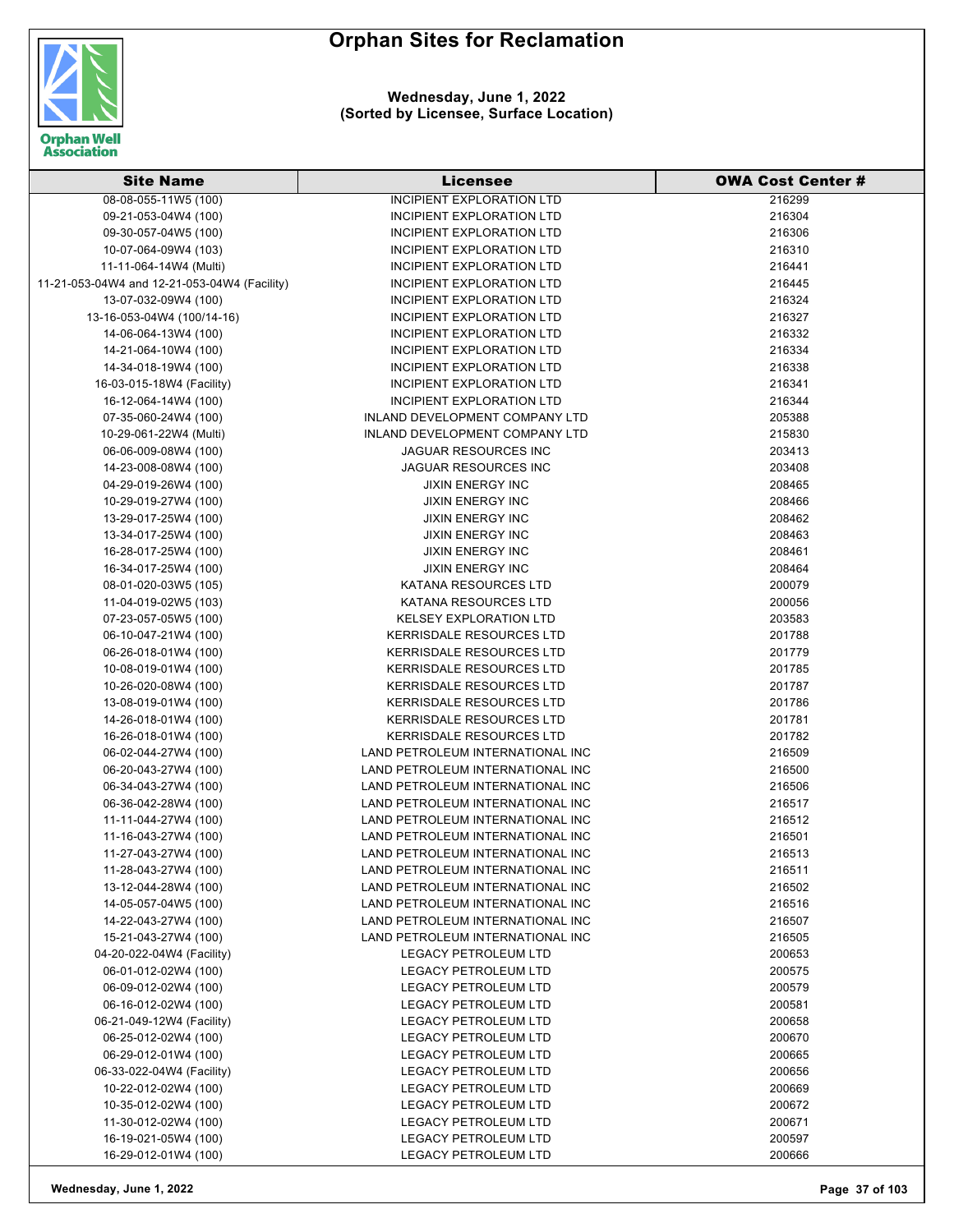**Wednesday, June 1, 2022 (Sorted by Licensee, Surface Location)**



| <b>Site Name</b>                                  | <b>Licensee</b>                                            | <b>OWA Cost Center #</b> |
|---------------------------------------------------|------------------------------------------------------------|--------------------------|
| 08-08-055-11W5 (100)                              | INCIPIENT EXPLORATION LTD                                  | 216299                   |
| 09-21-053-04W4 (100)                              | INCIPIENT EXPLORATION LTD                                  | 216304                   |
| 09-30-057-04W5 (100)                              | INCIPIENT EXPLORATION LTD                                  | 216306                   |
| 10-07-064-09W4 (103)                              | INCIPIENT EXPLORATION LTD                                  | 216310                   |
| 11-11-064-14W4 (Multi)                            | INCIPIENT EXPLORATION LTD                                  | 216441                   |
| 11-21-053-04W4 and 12-21-053-04W4 (Facility)      | INCIPIENT EXPLORATION LTD                                  | 216445                   |
| 13-07-032-09W4 (100)                              | INCIPIENT EXPLORATION LTD                                  | 216324                   |
| 13-16-053-04W4 (100/14-16)                        | INCIPIENT EXPLORATION LTD                                  | 216327                   |
| 14-06-064-13W4 (100)                              | INCIPIENT EXPLORATION LTD                                  | 216332                   |
| 14-21-064-10W4 (100)                              | INCIPIENT EXPLORATION LTD                                  | 216334                   |
| 14-34-018-19W4 (100)                              | INCIPIENT EXPLORATION LTD                                  | 216338                   |
| 16-03-015-18W4 (Facility)                         | INCIPIENT EXPLORATION LTD                                  | 216341                   |
| 16-12-064-14W4 (100)                              | INCIPIENT EXPLORATION LTD                                  | 216344                   |
| 07-35-060-24W4 (100)                              | INLAND DEVELOPMENT COMPANY LTD                             | 205388                   |
| 10-29-061-22W4 (Multi)                            | INLAND DEVELOPMENT COMPANY LTD                             | 215830                   |
| 06-06-009-08W4 (100)                              | <b>JAGUAR RESOURCES INC</b>                                | 203413                   |
| 14-23-008-08W4 (100)                              | <b>JAGUAR RESOURCES INC</b>                                | 203408                   |
| 04-29-019-26W4 (100)                              | <b>JIXIN ENERGY INC</b>                                    | 208465                   |
| 10-29-019-27W4 (100)                              | <b>JIXIN ENERGY INC</b>                                    | 208466                   |
| 13-29-017-25W4 (100)                              | <b>JIXIN ENERGY INC</b>                                    | 208462                   |
| 13-34-017-25W4 (100)                              | <b>JIXIN ENERGY INC</b>                                    | 208463                   |
| 16-28-017-25W4 (100)                              | <b>JIXIN ENERGY INC</b>                                    | 208461                   |
| 16-34-017-25W4 (100)                              | <b>JIXIN ENERGY INC</b>                                    | 208464                   |
| 08-01-020-03W5 (105)                              | KATANA RESOURCES LTD                                       | 200079                   |
| 11-04-019-02W5 (103)                              | KATANA RESOURCES LTD                                       | 200056                   |
| 07-23-057-05W5 (100)                              | <b>KELSEY EXPLORATION LTD</b>                              | 203583                   |
| 06-10-047-21W4 (100)                              | KERRISDALE RESOURCES LTD                                   | 201788                   |
| 06-26-018-01W4 (100)                              | <b>KERRISDALE RESOURCES LTD</b>                            | 201779                   |
| 10-08-019-01W4 (100)                              | <b>KERRISDALE RESOURCES LTD</b>                            | 201785                   |
| 10-26-020-08W4 (100)                              | <b>KERRISDALE RESOURCES LTD</b>                            | 201787                   |
| 13-08-019-01W4 (100)                              | KERRISDALE RESOURCES LTD                                   | 201786                   |
| 14-26-018-01W4 (100)                              | <b>KERRISDALE RESOURCES LTD</b>                            | 201781                   |
| 16-26-018-01W4 (100)                              | KERRISDALE RESOURCES LTD                                   | 201782                   |
| 06-02-044-27W4 (100)                              | LAND PETROLEUM INTERNATIONAL INC                           | 216509                   |
| 06-20-043-27W4 (100)                              | LAND PETROLEUM INTERNATIONAL INC                           | 216500                   |
| 06-34-043-27W4 (100)                              | LAND PETROLEUM INTERNATIONAL INC                           | 216506                   |
| 06-36-042-28W4 (100)                              | LAND PETROLEUM INTERNATIONAL INC                           | 216517                   |
| 11-11-044-27W4 (100)                              | LAND PETROLEUM INTERNATIONAL INC                           | 216512                   |
| 11-16-043-27W4 (100)                              | LAND PETROLEUM INTERNATIONAL INC                           | 216501                   |
| 11-27-043-27W4 (100)                              | LAND PETROLEUM INTERNATIONAL INC                           | 216513                   |
| 11-28-043-27W4 (100)                              | LAND PETROLEUM INTERNATIONAL INC                           | 216511                   |
| 13-12-044-28W4 (100)                              | LAND PETROLEUM INTERNATIONAL INC                           | 216502                   |
| 14-05-057-04W5 (100)                              | LAND PETROLEUM INTERNATIONAL INC                           | 216516                   |
| 14-22-043-27W4 (100)                              | LAND PETROLEUM INTERNATIONAL INC                           | 216507                   |
| 15-21-043-27W4 (100)                              | LAND PETROLEUM INTERNATIONAL INC                           | 216505                   |
| 04-20-022-04W4 (Facility)                         | <b>LEGACY PETROLEUM LTD</b>                                | 200653                   |
| 06-01-012-02W4 (100)                              | LEGACY PETROLEUM LTD<br><b>LEGACY PETROLEUM LTD</b>        | 200575                   |
| 06-09-012-02W4 (100)                              |                                                            | 200579                   |
| 06-16-012-02W4 (100)                              | <b>LEGACY PETROLEUM LTD</b><br><b>LEGACY PETROLEUM LTD</b> | 200581                   |
| 06-21-049-12W4 (Facility)<br>06-25-012-02W4 (100) | <b>LEGACY PETROLEUM LTD</b>                                | 200658<br>200670         |
| 06-29-012-01W4 (100)                              | LEGACY PETROLEUM LTD                                       | 200665                   |
| 06-33-022-04W4 (Facility)                         | LEGACY PETROLEUM LTD                                       | 200656                   |
| 10-22-012-02W4 (100)                              | <b>LEGACY PETROLEUM LTD</b>                                | 200669                   |
|                                                   | LEGACY PETROLEUM LTD                                       |                          |
| 10-35-012-02W4 (100)                              | <b>LEGACY PETROLEUM LTD</b>                                | 200672                   |
| 11-30-012-02W4 (100)<br>16-19-021-05W4 (100)      | LEGACY PETROLEUM LTD                                       | 200671<br>200597         |
| 16-29-012-01W4 (100)                              | <b>LEGACY PETROLEUM LTD</b>                                | 200666                   |
|                                                   |                                                            |                          |

**Wednesday, June 1, 2022 Page 37 of 103**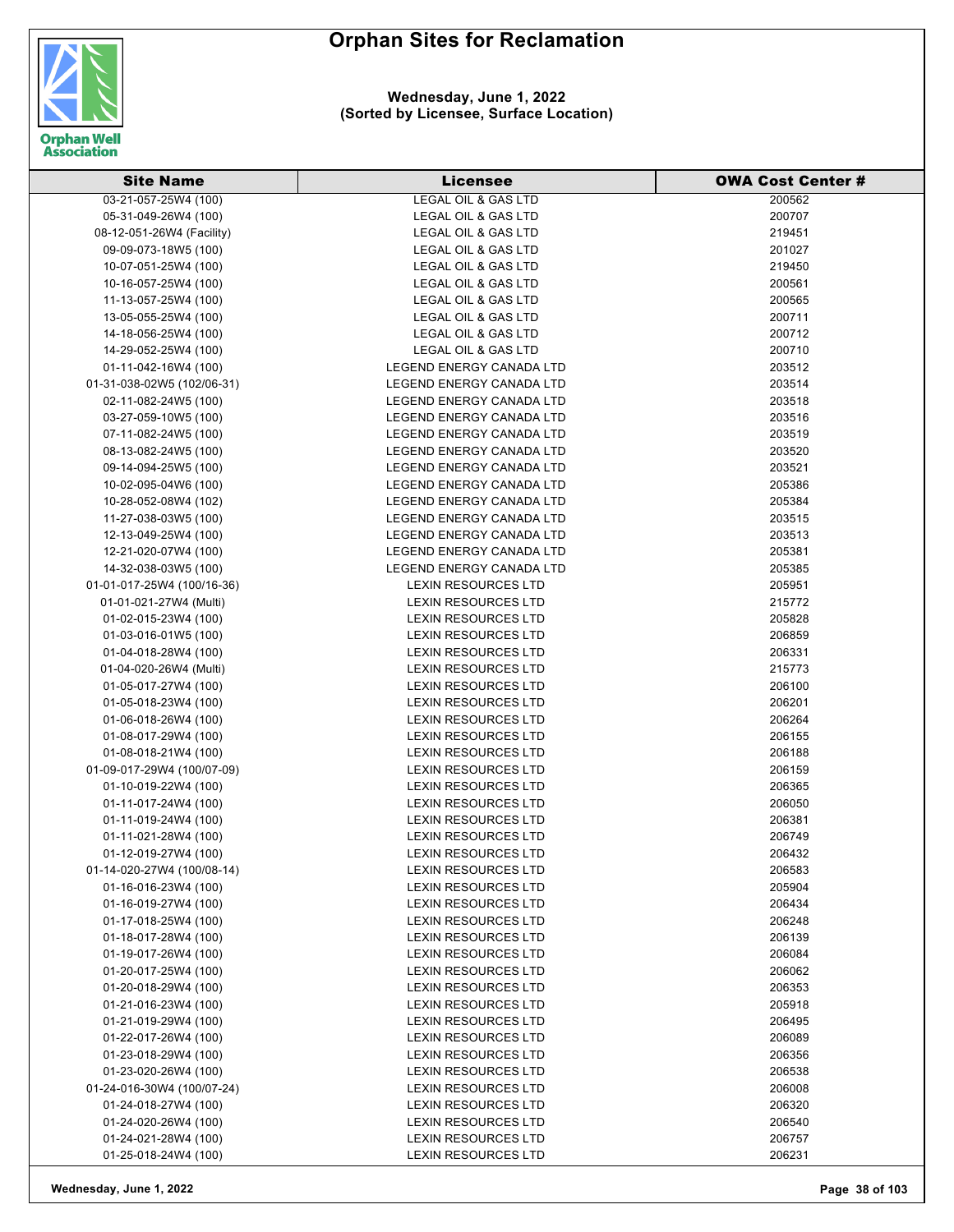

| <b>Site Name</b>           | <b>Licensee</b>                 | <b>OWA Cost Center #</b> |
|----------------------------|---------------------------------|--------------------------|
| 03-21-057-25W4 (100)       | <b>LEGAL OIL &amp; GAS LTD</b>  | 200562                   |
| 05-31-049-26W4 (100)       | <b>LEGAL OIL &amp; GAS LTD</b>  | 200707                   |
| 08-12-051-26W4 (Facility)  | LEGAL OIL & GAS LTD             | 219451                   |
| 09-09-073-18W5 (100)       | LEGAL OIL & GAS LTD             | 201027                   |
| 10-07-051-25W4 (100)       | LEGAL OIL & GAS LTD             | 219450                   |
| 10-16-057-25W4 (100)       | LEGAL OIL & GAS LTD             | 200561                   |
| 11-13-057-25W4 (100)       | LEGAL OIL & GAS LTD             | 200565                   |
| 13-05-055-25W4 (100)       | LEGAL OIL & GAS LTD             | 200711                   |
| 14-18-056-25W4 (100)       | LEGAL OIL & GAS LTD             | 200712                   |
| 14-29-052-25W4 (100)       | LEGAL OIL & GAS LTD             | 200710                   |
| 01-11-042-16W4 (100)       | LEGEND ENERGY CANADA LTD        | 203512                   |
| 01-31-038-02W5 (102/06-31) | LEGEND ENERGY CANADA LTD        | 203514                   |
| 02-11-082-24W5 (100)       | LEGEND ENERGY CANADA LTD        | 203518                   |
| 03-27-059-10W5 (100)       | LEGEND ENERGY CANADA LTD        | 203516                   |
| 07-11-082-24W5 (100)       | LEGEND ENERGY CANADA LTD        | 203519                   |
| 08-13-082-24W5 (100)       | LEGEND ENERGY CANADA LTD        | 203520                   |
| 09-14-094-25W5 (100)       | LEGEND ENERGY CANADA LTD        | 203521                   |
| 10-02-095-04W6 (100)       | LEGEND ENERGY CANADA LTD        | 205386                   |
| 10-28-052-08W4 (102)       | <b>LEGEND ENERGY CANADA LTD</b> | 205384                   |
| 11-27-038-03W5 (100)       | LEGEND ENERGY CANADA LTD        | 203515                   |
| 12-13-049-25W4 (100)       | <b>LEGEND ENERGY CANADA LTD</b> | 203513                   |
| 12-21-020-07W4 (100)       | LEGEND ENERGY CANADA LTD        | 205381                   |
| 14-32-038-03W5 (100)       | LEGEND ENERGY CANADA LTD        | 205385                   |
| 01-01-017-25W4 (100/16-36) | <b>LEXIN RESOURCES LTD</b>      | 205951                   |
| 01-01-021-27W4 (Multi)     | <b>LEXIN RESOURCES LTD</b>      | 215772                   |
| 01-02-015-23W4 (100)       | LEXIN RESOURCES LTD             | 205828                   |
| 01-03-016-01W5 (100)       | LEXIN RESOURCES LTD             | 206859                   |
| 01-04-018-28W4 (100)       | LEXIN RESOURCES LTD             | 206331                   |
| 01-04-020-26W4 (Multi)     | LEXIN RESOURCES LTD             | 215773                   |
| 01-05-017-27W4 (100)       | LEXIN RESOURCES LTD             | 206100                   |
| 01-05-018-23W4 (100)       | LEXIN RESOURCES LTD             | 206201                   |
| 01-06-018-26W4 (100)       | LEXIN RESOURCES LTD             | 206264                   |
| 01-08-017-29W4 (100)       | LEXIN RESOURCES LTD             | 206155                   |
| 01-08-018-21W4 (100)       | LEXIN RESOURCES LTD             | 206188                   |
| 01-09-017-29W4 (100/07-09) | LEXIN RESOURCES LTD             | 206159                   |
| 01-10-019-22W4 (100)       | LEXIN RESOURCES LTD             | 206365                   |
| 01-11-017-24W4 (100)       | <b>LEXIN RESOURCES LTD</b>      | 206050                   |
| 01-11-019-24W4 (100)       | LEXIN RESOURCES LTD             | 206381                   |
| 01-11-021-28W4 (100)       | LEXIN RESOURCES LTD             | 206749                   |
| 01-12-019-27W4 (100)       | <b>LEXIN RESOURCES LTD</b>      | 206432                   |
| 01-14-020-27W4 (100/08-14) | LEXIN RESOURCES LTD             | 206583                   |
| 01-16-016-23W4 (100)       | <b>LEXIN RESOURCES LTD</b>      | 205904                   |
| 01-16-019-27W4 (100)       | LEXIN RESOURCES LTD             | 206434                   |
| 01-17-018-25W4 (100)       | LEXIN RESOURCES LTD             | 206248                   |
| 01-18-017-28W4 (100)       | LEXIN RESOURCES LTD             | 206139                   |
| 01-19-017-26W4 (100)       | <b>LEXIN RESOURCES LTD</b>      | 206084                   |
| 01-20-017-25W4 (100)       | <b>LEXIN RESOURCES LTD</b>      | 206062                   |
| 01-20-018-29W4 (100)       | <b>LEXIN RESOURCES LTD</b>      | 206353                   |
| 01-21-016-23W4 (100)       | LEXIN RESOURCES LTD             | 205918                   |
| 01-21-019-29W4 (100)       | <b>LEXIN RESOURCES LTD</b>      | 206495                   |
| 01-22-017-26W4 (100)       | <b>LEXIN RESOURCES LTD</b>      | 206089                   |
| 01-23-018-29W4 (100)       | LEXIN RESOURCES LTD             | 206356                   |
| 01-23-020-26W4 (100)       | LEXIN RESOURCES LTD             | 206538                   |
| 01-24-016-30W4 (100/07-24) | LEXIN RESOURCES LTD             | 206008                   |
| 01-24-018-27W4 (100)       | LEXIN RESOURCES LTD             | 206320                   |
| 01-24-020-26W4 (100)       | LEXIN RESOURCES LTD             | 206540                   |
| 01-24-021-28W4 (100)       | <b>LEXIN RESOURCES LTD</b>      | 206757                   |
| 01-25-018-24W4 (100)       | <b>LEXIN RESOURCES LTD</b>      | 206231                   |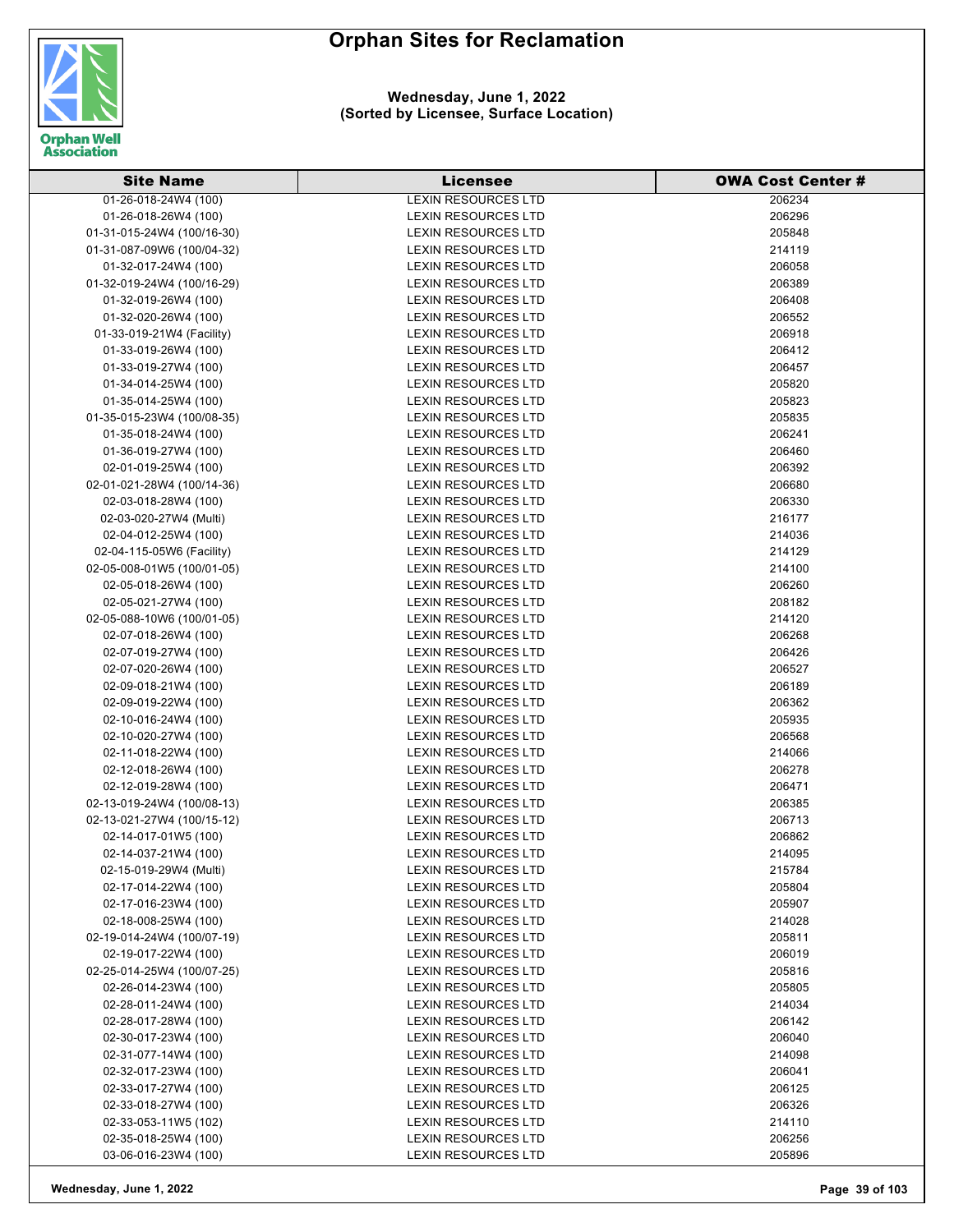

| <b>Site Name</b>                             | <b>Licensee</b>                                          | <b>OWA Cost Center #</b> |
|----------------------------------------------|----------------------------------------------------------|--------------------------|
| 01-26-018-24W4 (100)                         | <b>LEXIN RESOURCES LTD</b>                               | 206234                   |
| 01-26-018-26W4 (100)                         | <b>LEXIN RESOURCES LTD</b>                               | 206296                   |
| 01-31-015-24W4 (100/16-30)                   | LEXIN RESOURCES LTD                                      | 205848                   |
| 01-31-087-09W6 (100/04-32)                   | LEXIN RESOURCES LTD                                      | 214119                   |
| 01-32-017-24W4 (100)                         | <b>LEXIN RESOURCES LTD</b>                               | 206058                   |
| 01-32-019-24W4 (100/16-29)                   | <b>LEXIN RESOURCES LTD</b>                               | 206389                   |
| 01-32-019-26W4 (100)                         | <b>LEXIN RESOURCES LTD</b>                               | 206408                   |
| 01-32-020-26W4 (100)                         | <b>LEXIN RESOURCES LTD</b>                               | 206552                   |
| 01-33-019-21W4 (Facility)                    | <b>LEXIN RESOURCES LTD</b>                               | 206918                   |
| 01-33-019-26W4 (100)                         | <b>LEXIN RESOURCES LTD</b>                               | 206412                   |
| 01-33-019-27W4 (100)                         | <b>LEXIN RESOURCES LTD</b>                               | 206457                   |
| 01-34-014-25W4 (100)                         | <b>LEXIN RESOURCES LTD</b>                               | 205820                   |
| 01-35-014-25W4 (100)                         | <b>LEXIN RESOURCES LTD</b>                               | 205823                   |
| 01-35-015-23W4 (100/08-35)                   | <b>LEXIN RESOURCES LTD</b>                               | 205835                   |
| 01-35-018-24W4 (100)                         | LEXIN RESOURCES LTD                                      | 206241                   |
| 01-36-019-27W4 (100)                         | LEXIN RESOURCES LTD                                      | 206460                   |
| 02-01-019-25W4 (100)                         | <b>LEXIN RESOURCES LTD</b>                               | 206392                   |
| 02-01-021-28W4 (100/14-36)                   | <b>LEXIN RESOURCES LTD</b>                               | 206680                   |
| 02-03-018-28W4 (100)                         | <b>LEXIN RESOURCES LTD</b>                               | 206330                   |
| 02-03-020-27W4 (Multi)                       | LEXIN RESOURCES LTD                                      | 216177                   |
| 02-04-012-25W4 (100)                         | <b>LEXIN RESOURCES LTD</b>                               | 214036                   |
| 02-04-115-05W6 (Facility)                    | <b>LEXIN RESOURCES LTD</b>                               | 214129                   |
| 02-05-008-01W5 (100/01-05)                   | <b>LEXIN RESOURCES LTD</b>                               | 214100                   |
| 02-05-018-26W4 (100)                         | <b>LEXIN RESOURCES LTD</b>                               | 206260                   |
| 02-05-021-27W4 (100)                         | <b>LEXIN RESOURCES LTD</b>                               | 208182                   |
| 02-05-088-10W6 (100/01-05)                   | LEXIN RESOURCES LTD                                      | 214120                   |
| 02-07-018-26W4 (100)                         | LEXIN RESOURCES LTD                                      | 206268                   |
| 02-07-019-27W4 (100)                         | LEXIN RESOURCES LTD                                      | 206426                   |
| 02-07-020-26W4 (100)                         | <b>LEXIN RESOURCES LTD</b>                               | 206527                   |
| 02-09-018-21W4 (100)                         | <b>LEXIN RESOURCES LTD</b>                               | 206189                   |
| 02-09-019-22W4 (100)                         | <b>LEXIN RESOURCES LTD</b>                               | 206362                   |
| 02-10-016-24W4 (100)                         | LEXIN RESOURCES LTD                                      | 205935                   |
| 02-10-020-27W4 (100)                         | LEXIN RESOURCES LTD                                      | 206568                   |
| 02-11-018-22W4 (100)                         | LEXIN RESOURCES LTD                                      | 214066                   |
| 02-12-018-26W4 (100)                         | LEXIN RESOURCES LTD                                      | 206278                   |
| 02-12-019-28W4 (100)                         | <b>LEXIN RESOURCES LTD</b>                               | 206471                   |
| 02-13-019-24W4 (100/08-13)                   | <b>LEXIN RESOURCES LTD</b>                               | 206385                   |
| 02-13-021-27W4 (100/15-12)                   | <b>LEXIN RESOURCES LTD</b>                               | 206713                   |
| 02-14-017-01W5 (100)                         | LEXIN RESOURCES LTD                                      | 206862                   |
| 02-14-037-21W4 (100)                         | LEXIN RESOURCES LTD                                      | 214095                   |
| 02-15-019-29W4 (Multi)                       | LEXIN RESOURCES LTD                                      | 215784                   |
| 02-17-014-22W4 (100)                         | LEXIN RESOURCES LTD                                      | 205804                   |
| 02-17-016-23W4 (100)                         | LEXIN RESOURCES LTD                                      | 205907                   |
| 02-18-008-25W4 (100)                         | <b>LEXIN RESOURCES LTD</b>                               | 214028                   |
| 02-19-014-24W4 (100/07-19)                   | <b>LEXIN RESOURCES LTD</b>                               | 205811                   |
| 02-19-017-22W4 (100)                         | LEXIN RESOURCES LTD                                      | 206019                   |
| 02-25-014-25W4 (100/07-25)                   | <b>LEXIN RESOURCES LTD</b>                               | 205816                   |
| 02-26-014-23W4 (100)                         | <b>LEXIN RESOURCES LTD</b><br><b>LEXIN RESOURCES LTD</b> | 205805                   |
| 02-28-011-24W4 (100)                         | <b>LEXIN RESOURCES LTD</b>                               | 214034                   |
| 02-28-017-28W4 (100)                         | LEXIN RESOURCES LTD                                      | 206142                   |
| 02-30-017-23W4 (100)<br>02-31-077-14W4 (100) | <b>LEXIN RESOURCES LTD</b>                               | 206040<br>214098         |
| 02-32-017-23W4 (100)                         | LEXIN RESOURCES LTD                                      | 206041                   |
| 02-33-017-27W4 (100)                         | <b>LEXIN RESOURCES LTD</b>                               | 206125                   |
| 02-33-018-27W4 (100)                         | LEXIN RESOURCES LTD                                      | 206326                   |
| 02-33-053-11W5 (102)                         | <b>LEXIN RESOURCES LTD</b>                               | 214110                   |
| 02-35-018-25W4 (100)                         | LEXIN RESOURCES LTD                                      | 206256                   |
| 03-06-016-23W4 (100)                         | LEXIN RESOURCES LTD                                      | 205896                   |
|                                              |                                                          |                          |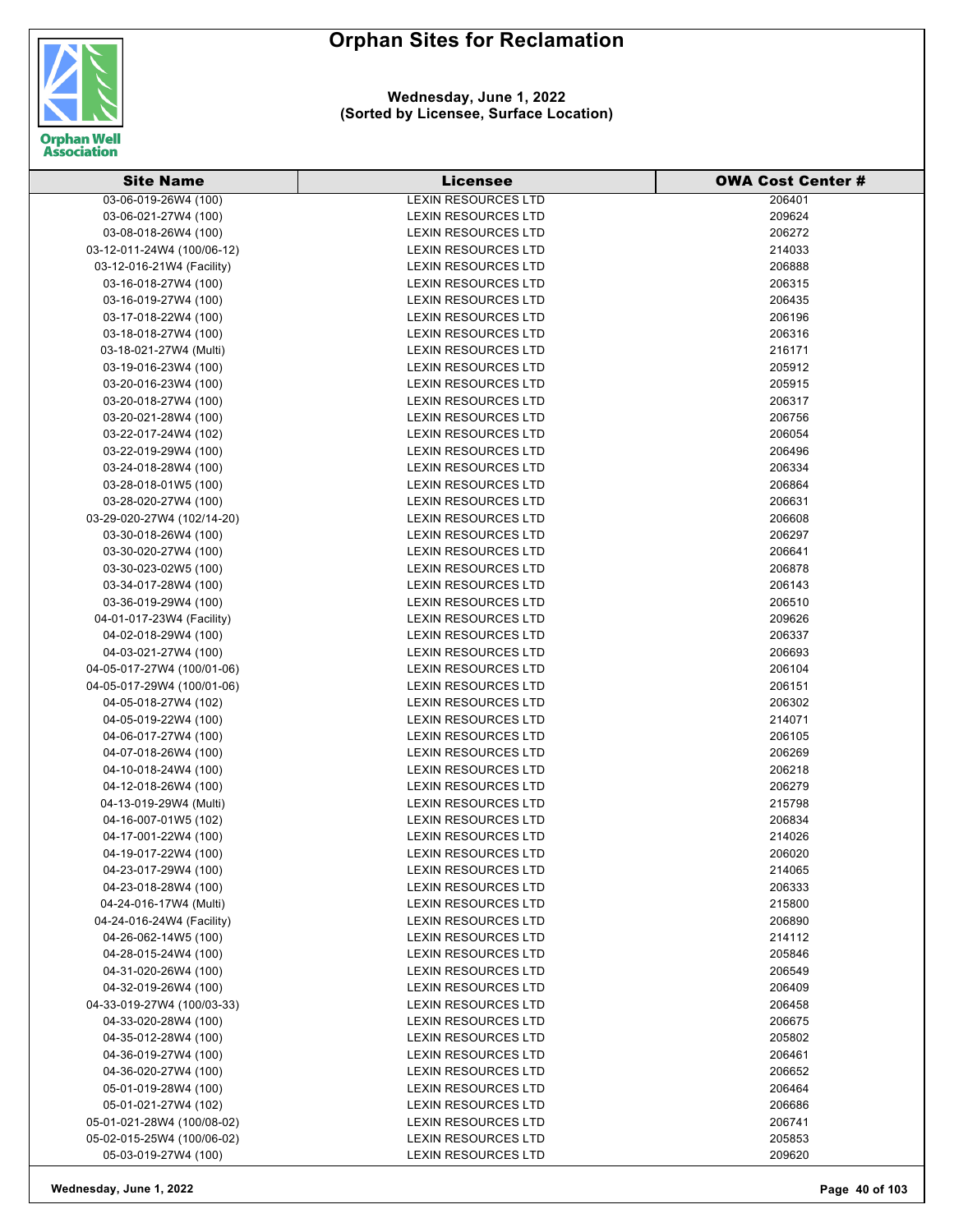

| <b>Site Name</b>                                   | <b>Licensee</b>                                   | <b>OWA Cost Center #</b> |
|----------------------------------------------------|---------------------------------------------------|--------------------------|
| 03-06-019-26W4 (100)                               | <b>LEXIN RESOURCES LTD</b>                        | 206401                   |
| 03-06-021-27W4 (100)                               | <b>LEXIN RESOURCES LTD</b>                        | 209624                   |
| 03-08-018-26W4 (100)                               | <b>LEXIN RESOURCES LTD</b>                        | 206272                   |
| 03-12-011-24W4 (100/06-12)                         | <b>LEXIN RESOURCES LTD</b>                        | 214033                   |
| 03-12-016-21W4 (Facility)                          | <b>LEXIN RESOURCES LTD</b>                        | 206888                   |
| 03-16-018-27W4 (100)                               | <b>LEXIN RESOURCES LTD</b>                        | 206315                   |
| 03-16-019-27W4 (100)                               | <b>LEXIN RESOURCES LTD</b>                        | 206435                   |
| 03-17-018-22W4 (100)                               | <b>LEXIN RESOURCES LTD</b>                        | 206196                   |
| 03-18-018-27W4 (100)                               | <b>LEXIN RESOURCES LTD</b>                        | 206316                   |
| 03-18-021-27W4 (Multi)                             | <b>LEXIN RESOURCES LTD</b>                        | 216171                   |
| 03-19-016-23W4 (100)                               | <b>LEXIN RESOURCES LTD</b>                        | 205912                   |
| 03-20-016-23W4 (100)                               | <b>LEXIN RESOURCES LTD</b>                        | 205915                   |
| 03-20-018-27W4 (100)                               | <b>LEXIN RESOURCES LTD</b>                        | 206317                   |
| 03-20-021-28W4 (100)                               | LEXIN RESOURCES LTD                               | 206756                   |
| 03-22-017-24W4 (102)                               | LEXIN RESOURCES LTD                               | 206054                   |
| 03-22-019-29W4 (100)                               | <b>LEXIN RESOURCES LTD</b>                        | 206496                   |
| 03-24-018-28W4 (100)                               | LEXIN RESOURCES LTD                               | 206334                   |
| 03-28-018-01W5 (100)                               | <b>LEXIN RESOURCES LTD</b>                        | 206864                   |
| 03-28-020-27W4 (100)                               | <b>LEXIN RESOURCES LTD</b>                        | 206631                   |
| 03-29-020-27W4 (102/14-20)                         | <b>LEXIN RESOURCES LTD</b>                        | 206608                   |
| 03-30-018-26W4 (100)                               | LEXIN RESOURCES LTD                               | 206297                   |
| 03-30-020-27W4 (100)                               | <b>LEXIN RESOURCES LTD</b>                        | 206641                   |
| 03-30-023-02W5 (100)                               | <b>LEXIN RESOURCES LTD</b>                        | 206878                   |
| 03-34-017-28W4 (100)                               | <b>LEXIN RESOURCES LTD</b>                        | 206143                   |
| 03-36-019-29W4 (100)                               | <b>LEXIN RESOURCES LTD</b>                        | 206510                   |
| 04-01-017-23W4 (Facility)                          | <b>LEXIN RESOURCES LTD</b>                        | 209626                   |
| 04-02-018-29W4 (100)                               | <b>LEXIN RESOURCES LTD</b>                        | 206337                   |
| 04-03-021-27W4 (100)                               | LEXIN RESOURCES LTD                               | 206693                   |
| 04-05-017-27W4 (100/01-06)                         | <b>LEXIN RESOURCES LTD</b>                        | 206104                   |
|                                                    | <b>LEXIN RESOURCES LTD</b>                        |                          |
| 04-05-017-29W4 (100/01-06)<br>04-05-018-27W4 (102) | <b>LEXIN RESOURCES LTD</b>                        | 206151<br>206302         |
|                                                    |                                                   |                          |
| 04-05-019-22W4 (100)<br>04-06-017-27W4 (100)       | LEXIN RESOURCES LTD<br><b>LEXIN RESOURCES LTD</b> | 214071<br>206105         |
| 04-07-018-26W4 (100)                               | <b>LEXIN RESOURCES LTD</b>                        | 206269                   |
| 04-10-018-24W4 (100)                               | <b>LEXIN RESOURCES LTD</b>                        |                          |
| 04-12-018-26W4 (100)                               | LEXIN RESOURCES LTD                               | 206218<br>206279         |
| 04-13-019-29W4 (Multi)                             | <b>LEXIN RESOURCES LTD</b>                        | 215798                   |
|                                                    |                                                   |                          |
| 04-16-007-01W5 (102)                               | <b>LEXIN RESOURCES LTD</b>                        | 206834                   |
| 04-17-001-22W4 (100)<br>04-19-017-22W4 (100)       | LEXIN RESOURCES LTD                               | 214026                   |
|                                                    | LEXIN RESOURCES LTD                               | 206020                   |
| 04-23-017-29W4 (100)<br>04-23-018-28W4 (100)       | LEXIN RESOURCES LTD<br><b>LEXIN RESOURCES LTD</b> | 214065                   |
| 04-24-016-17W4 (Multi)                             |                                                   | 206333                   |
|                                                    | LEXIN RESOURCES LTD                               | 215800                   |
| 04-24-016-24W4 (Facility)                          | LEXIN RESOURCES LTD                               | 206890                   |
| 04-26-062-14W5 (100)                               | <b>LEXIN RESOURCES LTD</b>                        | 214112                   |
| 04-28-015-24W4 (100)                               | LEXIN RESOURCES LTD                               | 205846                   |
| 04-31-020-26W4 (100)                               | <b>LEXIN RESOURCES LTD</b>                        | 206549                   |
| 04-32-019-26W4 (100)                               | LEXIN RESOURCES LTD                               | 206409                   |
| 04-33-019-27W4 (100/03-33)                         | <b>LEXIN RESOURCES LTD</b>                        | 206458                   |
| 04-33-020-28W4 (100)                               | <b>LEXIN RESOURCES LTD</b>                        | 206675                   |
| 04-35-012-28W4 (100)                               | LEXIN RESOURCES LTD                               | 205802                   |
| 04-36-019-27W4 (100)                               | LEXIN RESOURCES LTD                               | 206461                   |
| 04-36-020-27W4 (100)                               | LEXIN RESOURCES LTD                               | 206652                   |
| 05-01-019-28W4 (100)                               | <b>LEXIN RESOURCES LTD</b>                        | 206464                   |
| 05-01-021-27W4 (102)                               | LEXIN RESOURCES LTD                               | 206686                   |
| 05-01-021-28W4 (100/08-02)                         | LEXIN RESOURCES LTD                               | 206741                   |
| 05-02-015-25W4 (100/06-02)                         | <b>LEXIN RESOURCES LTD</b>                        | 205853                   |
| 05-03-019-27W4 (100)                               | LEXIN RESOURCES LTD                               | 209620                   |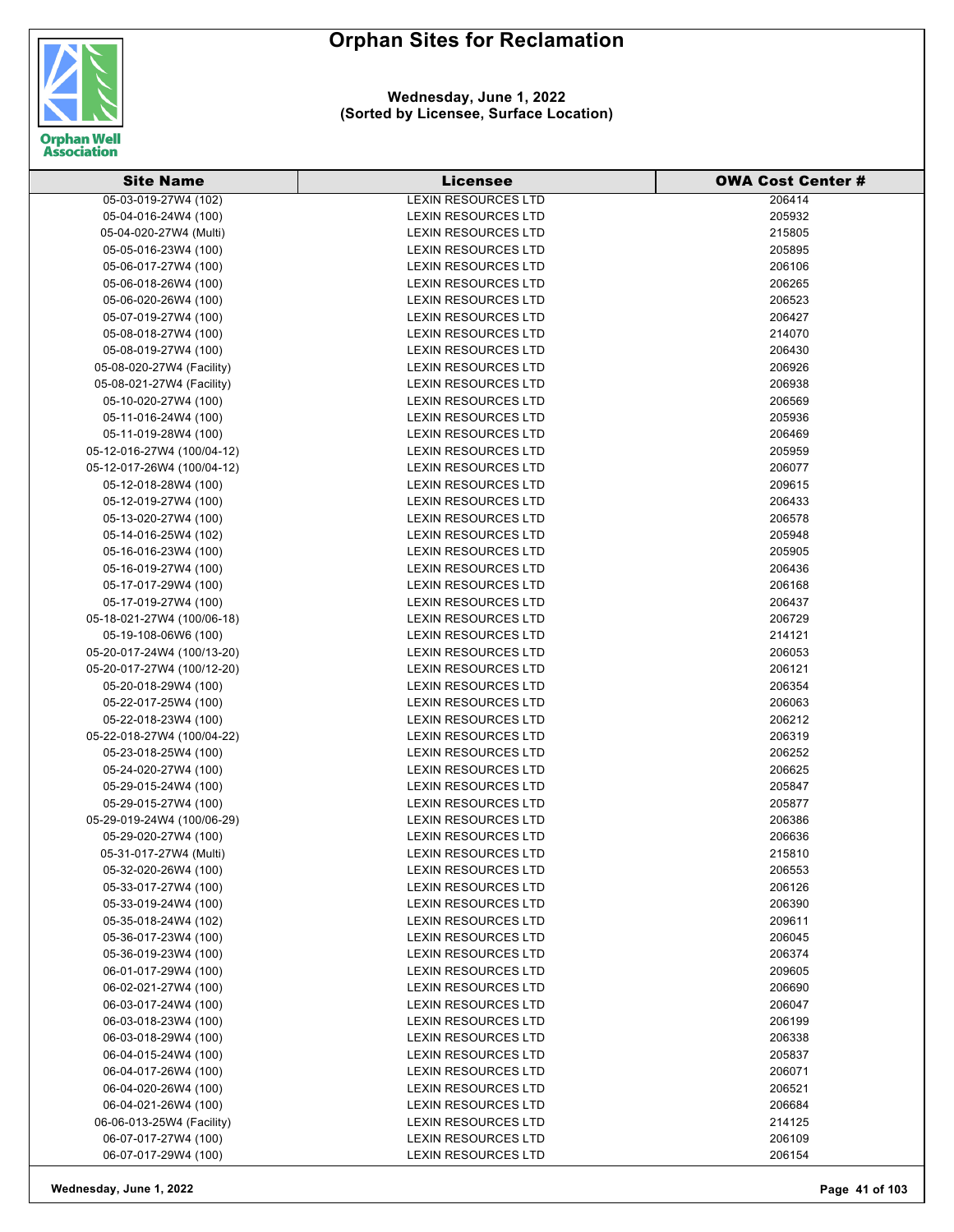

| <b>Site Name</b>           | <b>Licensee</b>            | <b>OWA Cost Center #</b> |
|----------------------------|----------------------------|--------------------------|
| 05-03-019-27W4 (102)       | <b>LEXIN RESOURCES LTD</b> | 206414                   |
| 05-04-016-24W4 (100)       | <b>LEXIN RESOURCES LTD</b> | 205932                   |
| 05-04-020-27W4 (Multi)     | LEXIN RESOURCES LTD        | 215805                   |
| 05-05-016-23W4 (100)       | <b>LEXIN RESOURCES LTD</b> | 205895                   |
| 05-06-017-27W4 (100)       | <b>LEXIN RESOURCES LTD</b> | 206106                   |
| 05-06-018-26W4 (100)       | <b>LEXIN RESOURCES LTD</b> | 206265                   |
| 05-06-020-26W4 (100)       | <b>LEXIN RESOURCES LTD</b> | 206523                   |
| 05-07-019-27W4 (100)       | <b>LEXIN RESOURCES LTD</b> | 206427                   |
| 05-08-018-27W4 (100)       | <b>LEXIN RESOURCES LTD</b> | 214070                   |
| 05-08-019-27W4 (100)       | <b>LEXIN RESOURCES LTD</b> | 206430                   |
| 05-08-020-27W4 (Facility)  | <b>LEXIN RESOURCES LTD</b> | 206926                   |
| 05-08-021-27W4 (Facility)  | <b>LEXIN RESOURCES LTD</b> | 206938                   |
| 05-10-020-27W4 (100)       | <b>LEXIN RESOURCES LTD</b> | 206569                   |
| 05-11-016-24W4 (100)       | <b>LEXIN RESOURCES LTD</b> | 205936                   |
| 05-11-019-28W4 (100)       | LEXIN RESOURCES LTD        | 206469                   |
| 05-12-016-27W4 (100/04-12) | LEXIN RESOURCES LTD        | 205959                   |
| 05-12-017-26W4 (100/04-12) | LEXIN RESOURCES LTD        | 206077                   |
| 05-12-018-28W4 (100)       | <b>LEXIN RESOURCES LTD</b> | 209615                   |
| 05-12-019-27W4 (100)       | LEXIN RESOURCES LTD        | 206433                   |
| 05-13-020-27W4 (100)       | <b>LEXIN RESOURCES LTD</b> | 206578                   |
| 05-14-016-25W4 (102)       | LEXIN RESOURCES LTD        | 205948                   |
| 05-16-016-23W4 (100)       | <b>LEXIN RESOURCES LTD</b> | 205905                   |
| 05-16-019-27W4 (100)       | <b>LEXIN RESOURCES LTD</b> | 206436                   |
| 05-17-017-29W4 (100)       | <b>LEXIN RESOURCES LTD</b> | 206168                   |
| 05-17-019-27W4 (100)       | <b>LEXIN RESOURCES LTD</b> | 206437                   |
| 05-18-021-27W4 (100/06-18) | <b>LEXIN RESOURCES LTD</b> | 206729                   |
| 05-19-108-06W6 (100)       | LEXIN RESOURCES LTD        | 214121                   |
| 05-20-017-24W4 (100/13-20) | LEXIN RESOURCES LTD        | 206053                   |
| 05-20-017-27W4 (100/12-20) | <b>LEXIN RESOURCES LTD</b> | 206121                   |
| 05-20-018-29W4 (100)       | <b>LEXIN RESOURCES LTD</b> | 206354                   |
| 05-22-017-25W4 (100)       | <b>LEXIN RESOURCES LTD</b> | 206063                   |
| 05-22-018-23W4 (100)       | LEXIN RESOURCES LTD        | 206212                   |
| 05-22-018-27W4 (100/04-22) | <b>LEXIN RESOURCES LTD</b> | 206319                   |
| 05-23-018-25W4 (100)       | LEXIN RESOURCES LTD        | 206252                   |
| 05-24-020-27W4 (100)       | <b>LEXIN RESOURCES LTD</b> | 206625                   |
| 05-29-015-24W4 (100)       | <b>LEXIN RESOURCES LTD</b> | 205847                   |
| 05-29-015-27W4 (100)       | <b>LEXIN RESOURCES LTD</b> | 205877                   |
| 05-29-019-24W4 (100/06-29) | <b>LEXIN RESOURCES LTD</b> | 206386                   |
| 05-29-020-27W4 (100)       | LEXIN RESOURCES LTD        | 206636                   |
| 05-31-017-27W4 (Multi)     | <b>LEXIN RESOURCES LTD</b> | 215810                   |
| 05-32-020-26W4 (100)       | LEXIN RESOURCES LTD        | 206553                   |
| 05-33-017-27W4 (100)       | LEXIN RESOURCES LTD        | 206126                   |
| 05-33-019-24W4 (100)       | LEXIN RESOURCES LTD        | 206390                   |
| 05-35-018-24W4 (102)       | LEXIN RESOURCES LTD        | 209611                   |
| 05-36-017-23W4 (100)       | LEXIN RESOURCES LTD        | 206045                   |
| 05-36-019-23W4 (100)       | LEXIN RESOURCES LTD        | 206374                   |
| 06-01-017-29W4 (100)       | <b>LEXIN RESOURCES LTD</b> | 209605                   |
| 06-02-021-27W4 (100)       | <b>LEXIN RESOURCES LTD</b> | 206690                   |
| 06-03-017-24W4 (100)       | <b>LEXIN RESOURCES LTD</b> | 206047                   |
| 06-03-018-23W4 (100)       | LEXIN RESOURCES LTD        | 206199                   |
| 06-03-018-29W4 (100)       | LEXIN RESOURCES LTD        | 206338                   |
| 06-04-015-24W4 (100)       | LEXIN RESOURCES LTD        | 205837                   |
| 06-04-017-26W4 (100)       | LEXIN RESOURCES LTD        | 206071                   |
| 06-04-020-26W4 (100)       | LEXIN RESOURCES LTD        | 206521                   |
| 06-04-021-26W4 (100)       | LEXIN RESOURCES LTD        | 206684                   |
| 06-06-013-25W4 (Facility)  | <b>LEXIN RESOURCES LTD</b> | 214125                   |
| 06-07-017-27W4 (100)       | LEXIN RESOURCES LTD        | 206109                   |
| 06-07-017-29W4 (100)       | LEXIN RESOURCES LTD        | 206154                   |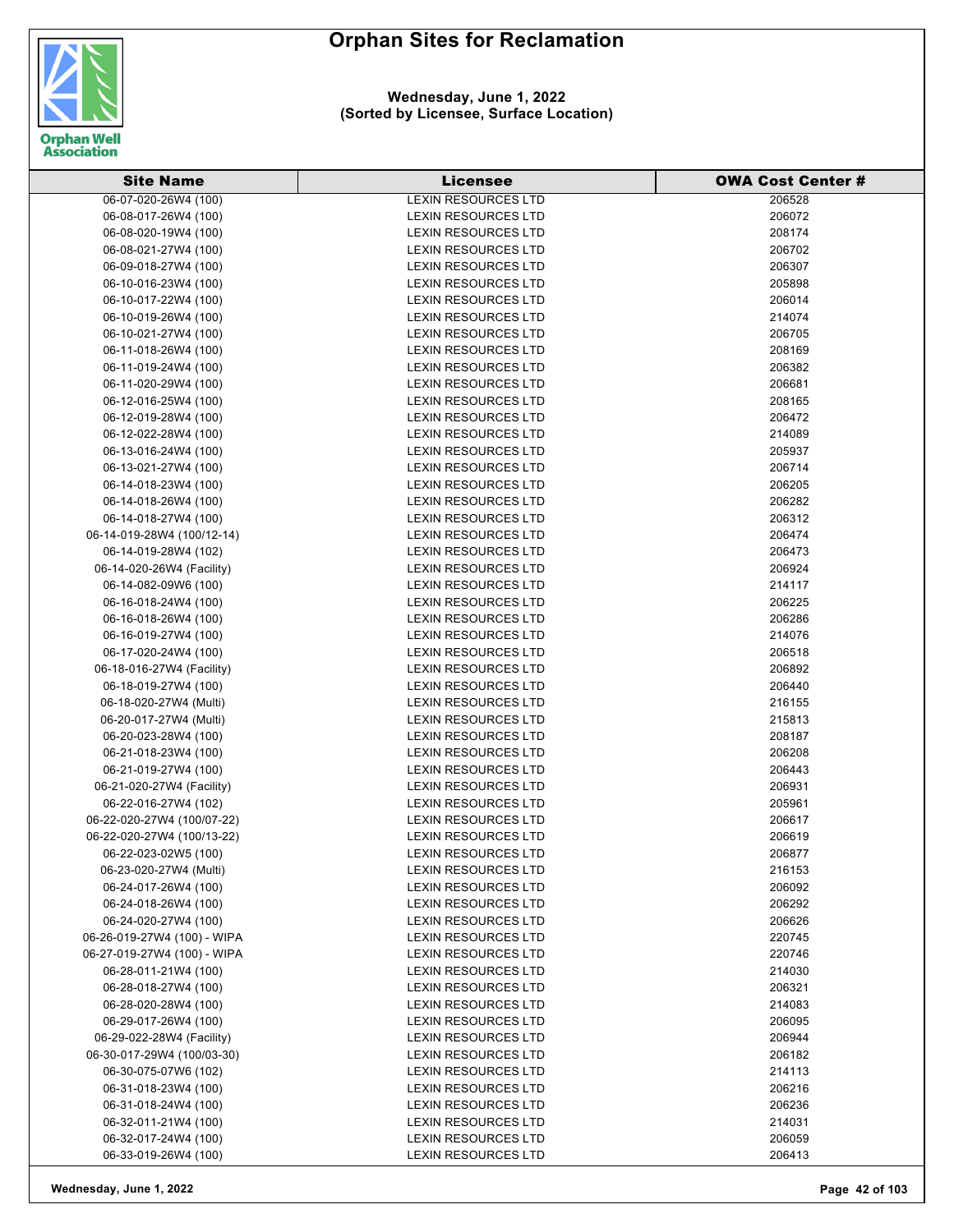

| <b>Site Name</b>            | <b>Licensee</b>            | <b>OWA Cost Center #</b> |
|-----------------------------|----------------------------|--------------------------|
| 06-07-020-26W4 (100)        | <b>LEXIN RESOURCES LTD</b> | 206528                   |
| 06-08-017-26W4 (100)        | <b>LEXIN RESOURCES LTD</b> | 206072                   |
| 06-08-020-19W4 (100)        | <b>LEXIN RESOURCES LTD</b> | 208174                   |
| 06-08-021-27W4 (100)        | <b>LEXIN RESOURCES LTD</b> | 206702                   |
| 06-09-018-27W4 (100)        | <b>LEXIN RESOURCES LTD</b> | 206307                   |
| 06-10-016-23W4 (100)        | <b>LEXIN RESOURCES LTD</b> | 205898                   |
| 06-10-017-22W4 (100)        | <b>LEXIN RESOURCES LTD</b> | 206014                   |
| 06-10-019-26W4 (100)        | <b>LEXIN RESOURCES LTD</b> | 214074                   |
| 06-10-021-27W4 (100)        | <b>LEXIN RESOURCES LTD</b> | 206705                   |
| 06-11-018-26W4 (100)        | <b>LEXIN RESOURCES LTD</b> | 208169                   |
| 06-11-019-24W4 (100)        | <b>LEXIN RESOURCES LTD</b> | 206382                   |
| 06-11-020-29W4 (100)        | <b>LEXIN RESOURCES LTD</b> | 206681                   |
| 06-12-016-25W4 (100)        | <b>LEXIN RESOURCES LTD</b> | 208165                   |
| 06-12-019-28W4 (100)        | <b>LEXIN RESOURCES LTD</b> | 206472                   |
| 06-12-022-28W4 (100)        | <b>LEXIN RESOURCES LTD</b> | 214089                   |
| 06-13-016-24W4 (100)        | <b>LEXIN RESOURCES LTD</b> | 205937                   |
| 06-13-021-27W4 (100)        | LEXIN RESOURCES LTD        | 206714                   |
| 06-14-018-23W4 (100)        | <b>LEXIN RESOURCES LTD</b> | 206205                   |
| 06-14-018-26W4 (100)        | <b>LEXIN RESOURCES LTD</b> | 206282                   |
| 06-14-018-27W4 (100)        | <b>LEXIN RESOURCES LTD</b> | 206312                   |
| 06-14-019-28W4 (100/12-14)  | <b>LEXIN RESOURCES LTD</b> |                          |
|                             |                            | 206474                   |
| 06-14-019-28W4 (102)        | <b>LEXIN RESOURCES LTD</b> | 206473                   |
| 06-14-020-26W4 (Facility)   | <b>LEXIN RESOURCES LTD</b> | 206924                   |
| 06-14-082-09W6 (100)        | <b>LEXIN RESOURCES LTD</b> | 214117                   |
| 06-16-018-24W4 (100)        | <b>LEXIN RESOURCES LTD</b> | 206225                   |
| 06-16-018-26W4 (100)        | <b>LEXIN RESOURCES LTD</b> | 206286                   |
| 06-16-019-27W4 (100)        | <b>LEXIN RESOURCES LTD</b> | 214076                   |
| 06-17-020-24W4 (100)        | LEXIN RESOURCES LTD        | 206518                   |
| 06-18-016-27W4 (Facility)   | <b>LEXIN RESOURCES LTD</b> | 206892                   |
| 06-18-019-27W4 (100)        | <b>LEXIN RESOURCES LTD</b> | 206440                   |
| 06-18-020-27W4 (Multi)      | <b>LEXIN RESOURCES LTD</b> | 216155                   |
| 06-20-017-27W4 (Multi)      | <b>LEXIN RESOURCES LTD</b> | 215813                   |
| 06-20-023-28W4 (100)        | <b>LEXIN RESOURCES LTD</b> | 208187                   |
| 06-21-018-23W4 (100)        | <b>LEXIN RESOURCES LTD</b> | 206208                   |
| 06-21-019-27W4 (100)        | <b>LEXIN RESOURCES LTD</b> | 206443                   |
| 06-21-020-27W4 (Facility)   | <b>LEXIN RESOURCES LTD</b> | 206931                   |
| 06-22-016-27W4 (102)        | <b>LEXIN RESOURCES LTD</b> | 205961                   |
| 06-22-020-27W4 (100/07-22)  | <b>LEXIN RESOURCES LTD</b> | 206617                   |
| 06-22-020-27W4 (100/13-22)  | <b>LEXIN RESOURCES LTD</b> | 206619                   |
| 06-22-023-02W5 (100)        | <b>LEXIN RESOURCES LTD</b> | 206877                   |
| 06-23-020-27W4 (Multi)      | <b>LEXIN RESOURCES LTD</b> | 216153                   |
| 06-24-017-26W4 (100)        | LEXIN RESOURCES LTD        | 206092                   |
| 06-24-018-26W4 (100)        | <b>LEXIN RESOURCES LTD</b> | 206292                   |
| 06-24-020-27W4 (100)        | LEXIN RESOURCES LTD        | 206626                   |
| 06-26-019-27W4 (100) - WIPA | <b>LEXIN RESOURCES LTD</b> | 220745                   |
| 06-27-019-27W4 (100) - WIPA | <b>LEXIN RESOURCES LTD</b> | 220746                   |
| 06-28-011-21W4 (100)        | <b>LEXIN RESOURCES LTD</b> | 214030                   |
| 06-28-018-27W4 (100)        | LEXIN RESOURCES LTD        | 206321                   |
| 06-28-020-28W4 (100)        | <b>LEXIN RESOURCES LTD</b> | 214083                   |
| 06-29-017-26W4 (100)        | <b>LEXIN RESOURCES LTD</b> | 206095                   |
| 06-29-022-28W4 (Facility)   | LEXIN RESOURCES LTD        | 206944                   |
| 06-30-017-29W4 (100/03-30)  | LEXIN RESOURCES LTD        | 206182                   |
| 06-30-075-07W6 (102)        | LEXIN RESOURCES LTD        | 214113                   |
| 06-31-018-23W4 (100)        | <b>LEXIN RESOURCES LTD</b> | 206216                   |
| 06-31-018-24W4 (100)        | LEXIN RESOURCES LTD        | 206236                   |
| 06-32-011-21W4 (100)        | <b>LEXIN RESOURCES LTD</b> | 214031                   |
| 06-32-017-24W4 (100)        | <b>LEXIN RESOURCES LTD</b> | 206059                   |
| 06-33-019-26W4 (100)        | LEXIN RESOURCES LTD        | 206413                   |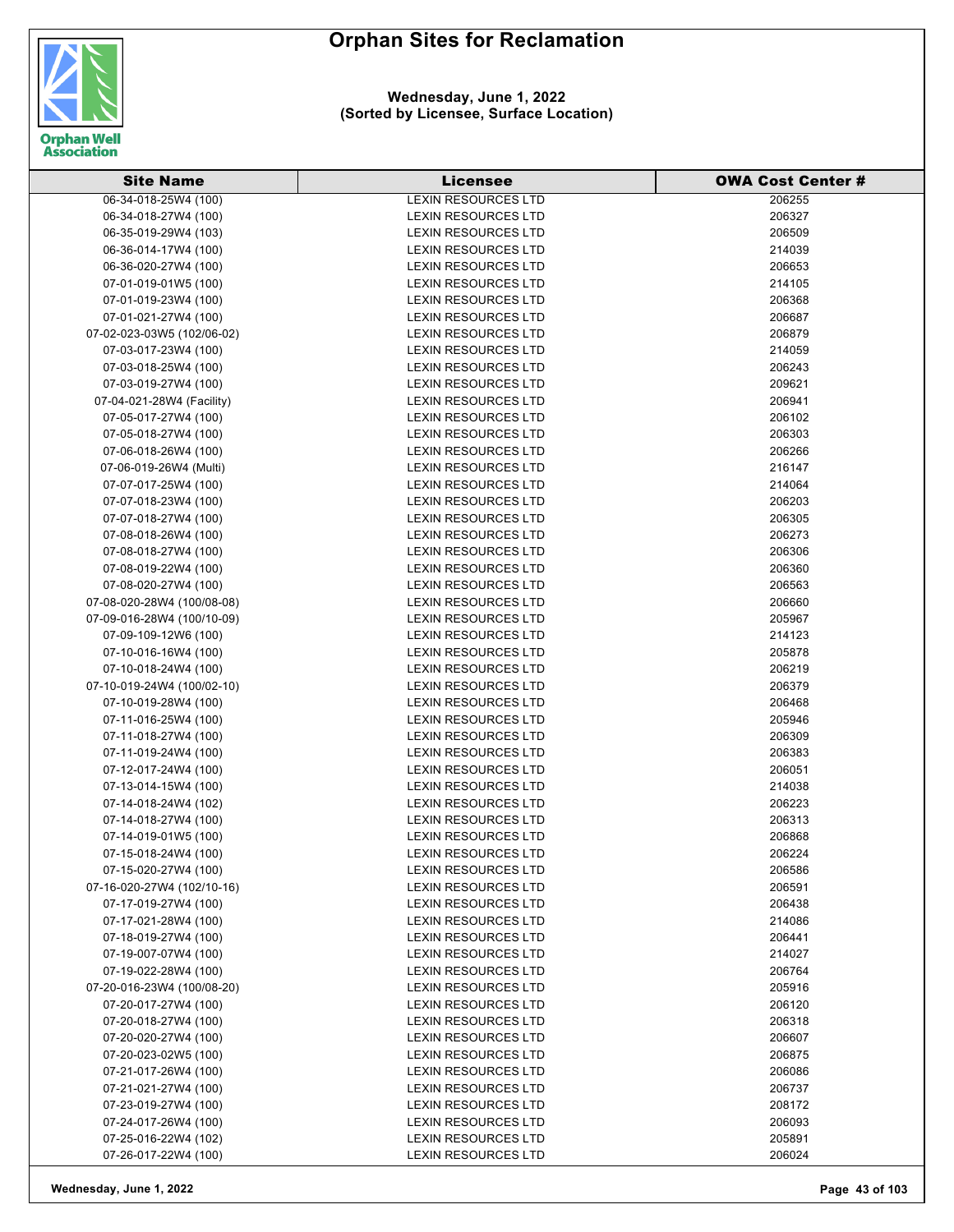

| <b>Site Name</b>           | <b>Licensee</b>            | <b>OWA Cost Center #</b> |
|----------------------------|----------------------------|--------------------------|
| 06-34-018-25W4 (100)       | <b>LEXIN RESOURCES LTD</b> | 206255                   |
| 06-34-018-27W4 (100)       | LEXIN RESOURCES LTD        | 206327                   |
| 06-35-019-29W4 (103)       | LEXIN RESOURCES LTD        | 206509                   |
| 06-36-014-17W4 (100)       | LEXIN RESOURCES LTD        | 214039                   |
| 06-36-020-27W4 (100)       | <b>LEXIN RESOURCES LTD</b> | 206653                   |
| 07-01-019-01W5 (100)       | LEXIN RESOURCES LTD        | 214105                   |
| 07-01-019-23W4 (100)       | <b>LEXIN RESOURCES LTD</b> | 206368                   |
| 07-01-021-27W4 (100)       | LEXIN RESOURCES LTD        | 206687                   |
| 07-02-023-03W5 (102/06-02) | <b>LEXIN RESOURCES LTD</b> | 206879                   |
| 07-03-017-23W4 (100)       | <b>LEXIN RESOURCES LTD</b> | 214059                   |
| 07-03-018-25W4 (100)       | <b>LEXIN RESOURCES LTD</b> | 206243                   |
| 07-03-019-27W4 (100)       | LEXIN RESOURCES LTD        | 209621                   |
| 07-04-021-28W4 (Facility)  | <b>LEXIN RESOURCES LTD</b> | 206941                   |
| 07-05-017-27W4 (100)       | LEXIN RESOURCES LTD        | 206102                   |
| 07-05-018-27W4 (100)       | LEXIN RESOURCES LTD        | 206303                   |
| 07-06-018-26W4 (100)       | LEXIN RESOURCES LTD        | 206266                   |
| 07-06-019-26W4 (Multi)     | LEXIN RESOURCES LTD        | 216147                   |
| 07-07-017-25W4 (100)       | <b>LEXIN RESOURCES LTD</b> | 214064                   |
| 07-07-018-23W4 (100)       | LEXIN RESOURCES LTD        | 206203                   |
| 07-07-018-27W4 (100)       | LEXIN RESOURCES LTD        | 206305                   |
| 07-08-018-26W4 (100)       | LEXIN RESOURCES LTD        | 206273                   |
| 07-08-018-27W4 (100)       | <b>LEXIN RESOURCES LTD</b> | 206306                   |
| 07-08-019-22W4 (100)       | LEXIN RESOURCES LTD        | 206360                   |
| 07-08-020-27W4 (100)       | LEXIN RESOURCES LTD        | 206563                   |
| 07-08-020-28W4 (100/08-08) | LEXIN RESOURCES LTD        | 206660                   |
| 07-09-016-28W4 (100/10-09) | <b>LEXIN RESOURCES LTD</b> | 205967                   |
| 07-09-109-12W6 (100)       | LEXIN RESOURCES LTD        | 214123                   |
| 07-10-016-16W4 (100)       | LEXIN RESOURCES LTD        | 205878                   |
| 07-10-018-24W4 (100)       | LEXIN RESOURCES LTD        | 206219                   |
| 07-10-019-24W4 (100/02-10) | LEXIN RESOURCES LTD        | 206379                   |
| 07-10-019-28W4 (100)       | LEXIN RESOURCES LTD        | 206468                   |
| 07-11-016-25W4 (100)       | LEXIN RESOURCES LTD        | 205946                   |
| 07-11-018-27W4 (100)       | LEXIN RESOURCES LTD        | 206309                   |
| 07-11-019-24W4 (100)       | <b>LEXIN RESOURCES LTD</b> | 206383                   |
| 07-12-017-24W4 (100)       | LEXIN RESOURCES LTD        | 206051                   |
| 07-13-014-15W4 (100)       | LEXIN RESOURCES LTD        | 214038                   |
| 07-14-018-24W4 (102)       | LEXIN RESOURCES LTD        | 206223                   |
| 07-14-018-27W4 (100)       | LEXIN RESOURCES LTD        | 206313                   |
| 07-14-019-01W5 (100)       | LEXIN RESOURCES LTD        | 206868                   |
| 07-15-018-24W4 (100)       | LEXIN RESOURCES LTD        | 206224                   |
| 07-15-020-27W4 (100)       | LEXIN RESOURCES LTD        | 206586                   |
| 07-16-020-27W4 (102/10-16) | <b>LEXIN RESOURCES LTD</b> | 206591                   |
| 07-17-019-27W4 (100)       | <b>LEXIN RESOURCES LTD</b> | 206438                   |
| 07-17-021-28W4 (100)       | LEXIN RESOURCES LTD        | 214086                   |
| 07-18-019-27W4 (100)       | LEXIN RESOURCES LTD        | 206441                   |
| 07-19-007-07W4 (100)       | LEXIN RESOURCES LTD        | 214027                   |
| 07-19-022-28W4 (100)       | LEXIN RESOURCES LTD        | 206764                   |
| 07-20-016-23W4 (100/08-20) | LEXIN RESOURCES LTD        | 205916                   |
| 07-20-017-27W4 (100)       | <b>LEXIN RESOURCES LTD</b> | 206120                   |
| 07-20-018-27W4 (100)       | <b>LEXIN RESOURCES LTD</b> | 206318                   |
| 07-20-020-27W4 (100)       | LEXIN RESOURCES LTD        | 206607                   |
| 07-20-023-02W5 (100)       | LEXIN RESOURCES LTD        | 206875                   |
| 07-21-017-26W4 (100)       | LEXIN RESOURCES LTD        | 206086                   |
| 07-21-021-27W4 (100)       | LEXIN RESOURCES LTD        | 206737                   |
| 07-23-019-27W4 (100)       | LEXIN RESOURCES LTD        | 208172                   |
| 07-24-017-26W4 (100)       | <b>LEXIN RESOURCES LTD</b> | 206093                   |
| 07-25-016-22W4 (102)       | <b>LEXIN RESOURCES LTD</b> | 205891                   |
| 07-26-017-22W4 (100)       | <b>LEXIN RESOURCES LTD</b> | 206024                   |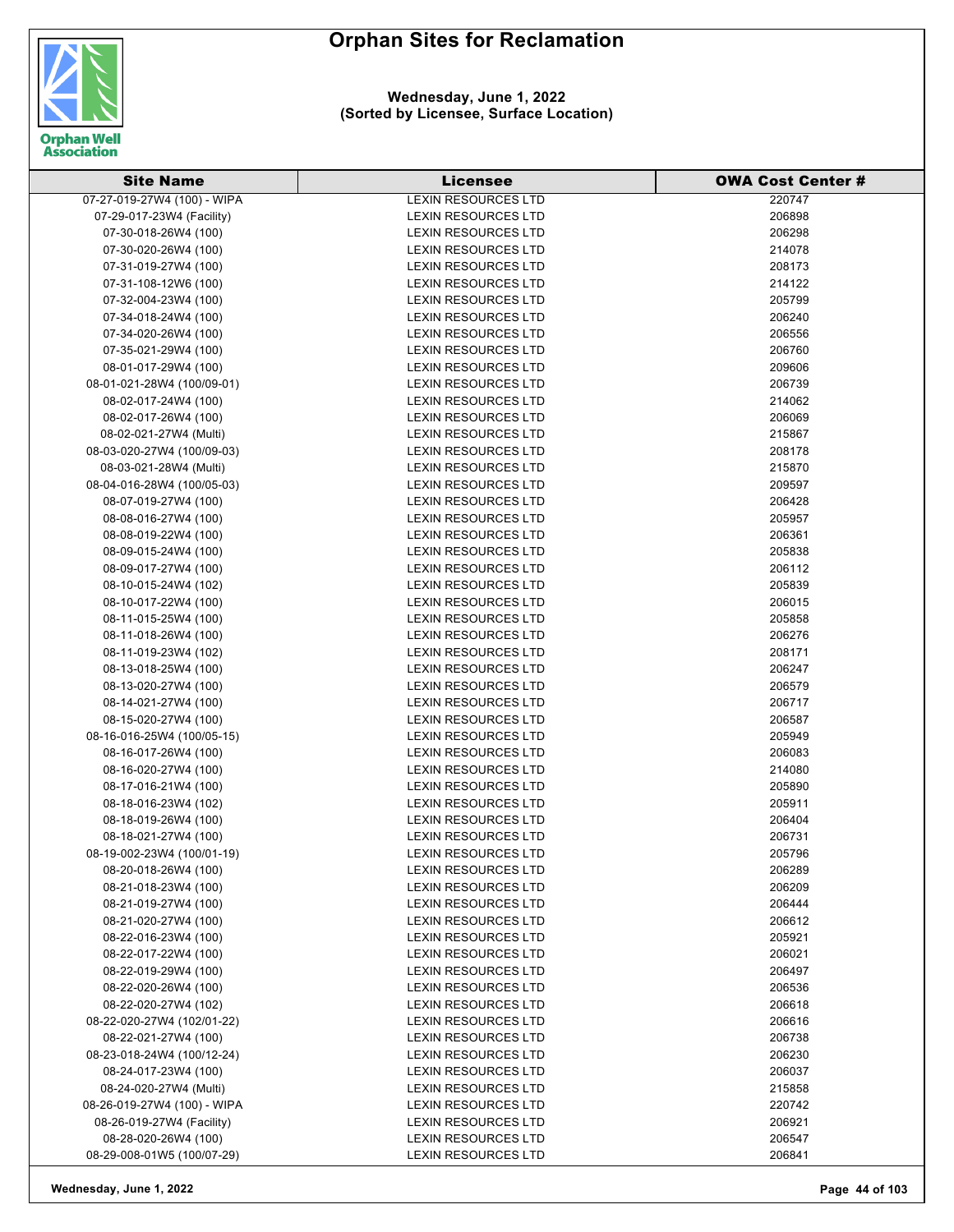

| <b>Site Name</b>            | <b>Licensee</b>            | <b>OWA Cost Center #</b> |
|-----------------------------|----------------------------|--------------------------|
| 07-27-019-27W4 (100) - WIPA | <b>LEXIN RESOURCES LTD</b> | 220747                   |
| 07-29-017-23W4 (Facility)   | <b>LEXIN RESOURCES LTD</b> | 206898                   |
| 07-30-018-26W4 (100)        | <b>LEXIN RESOURCES LTD</b> | 206298                   |
| 07-30-020-26W4 (100)        | <b>LEXIN RESOURCES LTD</b> | 214078                   |
| 07-31-019-27W4 (100)        | <b>LEXIN RESOURCES LTD</b> | 208173                   |
| 07-31-108-12W6 (100)        | <b>LEXIN RESOURCES LTD</b> | 214122                   |
| 07-32-004-23W4 (100)        | <b>LEXIN RESOURCES LTD</b> | 205799                   |
| 07-34-018-24W4 (100)        | <b>LEXIN RESOURCES LTD</b> | 206240                   |
| 07-34-020-26W4 (100)        | <b>LEXIN RESOURCES LTD</b> | 206556                   |
| 07-35-021-29W4 (100)        | <b>LEXIN RESOURCES LTD</b> | 206760                   |
| 08-01-017-29W4 (100)        | <b>LEXIN RESOURCES LTD</b> | 209606                   |
| 08-01-021-28W4 (100/09-01)  | <b>LEXIN RESOURCES LTD</b> | 206739                   |
| 08-02-017-24W4 (100)        | <b>LEXIN RESOURCES LTD</b> | 214062                   |
| 08-02-017-26W4 (100)        | <b>LEXIN RESOURCES LTD</b> | 206069                   |
| 08-02-021-27W4 (Multi)      | LEXIN RESOURCES LTD        | 215867                   |
| 08-03-020-27W4 (100/09-03)  | <b>LEXIN RESOURCES LTD</b> | 208178                   |
| 08-03-021-28W4 (Multi)      | <b>LEXIN RESOURCES LTD</b> | 215870                   |
| 08-04-016-28W4 (100/05-03)  | <b>LEXIN RESOURCES LTD</b> | 209597                   |
| 08-07-019-27W4 (100)        | <b>LEXIN RESOURCES LTD</b> | 206428                   |
| 08-08-016-27W4 (100)        | <b>LEXIN RESOURCES LTD</b> | 205957                   |
| 08-08-019-22W4 (100)        | <b>LEXIN RESOURCES LTD</b> | 206361                   |
| 08-09-015-24W4 (100)        | <b>LEXIN RESOURCES LTD</b> | 205838                   |
| 08-09-017-27W4 (100)        | <b>LEXIN RESOURCES LTD</b> | 206112                   |
| 08-10-015-24W4 (102)        | <b>LEXIN RESOURCES LTD</b> | 205839                   |
| 08-10-017-22W4 (100)        | <b>LEXIN RESOURCES LTD</b> | 206015                   |
| 08-11-015-25W4 (100)        | <b>LEXIN RESOURCES LTD</b> | 205858                   |
| 08-11-018-26W4 (100)        | LEXIN RESOURCES LTD        | 206276                   |
| 08-11-019-23W4 (102)        | <b>LEXIN RESOURCES LTD</b> | 208171                   |
| 08-13-018-25W4 (100)        | <b>LEXIN RESOURCES LTD</b> | 206247                   |
| 08-13-020-27W4 (100)        | <b>LEXIN RESOURCES LTD</b> | 206579                   |
| 08-14-021-27W4 (100)        | <b>LEXIN RESOURCES LTD</b> | 206717                   |
| 08-15-020-27W4 (100)        | <b>LEXIN RESOURCES LTD</b> | 206587                   |
| 08-16-016-25W4 (100/05-15)  | <b>LEXIN RESOURCES LTD</b> | 205949                   |
| 08-16-017-26W4 (100)        | <b>LEXIN RESOURCES LTD</b> | 206083                   |
| 08-16-020-27W4 (100)        | <b>LEXIN RESOURCES LTD</b> | 214080                   |
| 08-17-016-21W4 (100)        | <b>LEXIN RESOURCES LTD</b> | 205890                   |
| 08-18-016-23W4 (102)        | <b>LEXIN RESOURCES LTD</b> | 205911                   |
| 08-18-019-26W4 (100)        | <b>LEXIN RESOURCES LTD</b> | 206404                   |
| 08-18-021-27W4 (100)        | <b>LEXIN RESOURCES LTD</b> | 206731                   |
| 08-19-002-23W4 (100/01-19)  | <b>LEXIN RESOURCES LTD</b> | 205796                   |
| 08-20-018-26W4 (100)        | LEXIN RESOURCES LTD        | 206289                   |
| 08-21-018-23W4 (100)        | <b>LEXIN RESOURCES LTD</b> | 206209                   |
| 08-21-019-27W4 (100)        | <b>LEXIN RESOURCES LTD</b> | 206444                   |
| 08-21-020-27W4 (100)        | <b>LEXIN RESOURCES LTD</b> | 206612                   |
| 08-22-016-23W4 (100)        | <b>LEXIN RESOURCES LTD</b> | 205921                   |
| 08-22-017-22W4 (100)        | <b>LEXIN RESOURCES LTD</b> | 206021                   |
| 08-22-019-29W4 (100)        | <b>LEXIN RESOURCES LTD</b> | 206497                   |
| 08-22-020-26W4 (100)        | LEXIN RESOURCES LTD        | 206536                   |
| 08-22-020-27W4 (102)        | <b>LEXIN RESOURCES LTD</b> | 206618                   |
| 08-22-020-27W4 (102/01-22)  | LEXIN RESOURCES LTD        | 206616                   |
| 08-22-021-27W4 (100)        | LEXIN RESOURCES LTD        | 206738                   |
| 08-23-018-24W4 (100/12-24)  | LEXIN RESOURCES LTD        | 206230                   |
| 08-24-017-23W4 (100)        | LEXIN RESOURCES LTD        | 206037                   |
| 08-24-020-27W4 (Multi)      | LEXIN RESOURCES LTD        | 215858                   |
| 08-26-019-27W4 (100) - WIPA | <b>LEXIN RESOURCES LTD</b> | 220742                   |
| 08-26-019-27W4 (Facility)   | <b>LEXIN RESOURCES LTD</b> | 206921                   |
| 08-28-020-26W4 (100)        | LEXIN RESOURCES LTD        | 206547                   |
| 08-29-008-01W5 (100/07-29)  | LEXIN RESOURCES LTD        | 206841                   |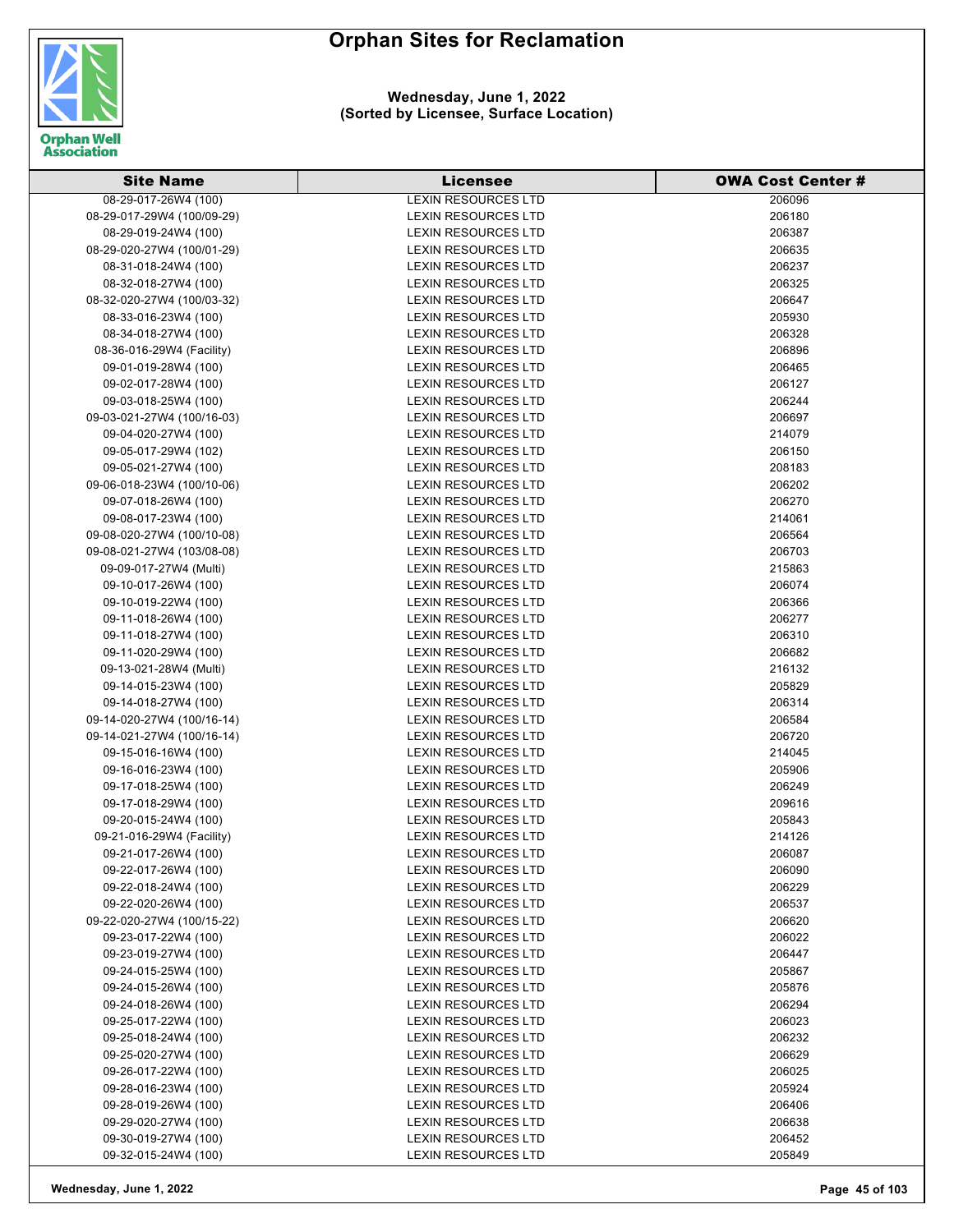

| <b>Site Name</b>           | <b>Licensee</b>            | <b>OWA Cost Center#</b> |
|----------------------------|----------------------------|-------------------------|
| 08-29-017-26W4 (100)       | <b>LEXIN RESOURCES LTD</b> | 206096                  |
| 08-29-017-29W4 (100/09-29) | <b>LEXIN RESOURCES LTD</b> | 206180                  |
| 08-29-019-24W4 (100)       | <b>LEXIN RESOURCES LTD</b> | 206387                  |
| 08-29-020-27W4 (100/01-29) | <b>LEXIN RESOURCES LTD</b> | 206635                  |
| 08-31-018-24W4 (100)       | <b>LEXIN RESOURCES LTD</b> | 206237                  |
| 08-32-018-27W4 (100)       | <b>LEXIN RESOURCES LTD</b> | 206325                  |
| 08-32-020-27W4 (100/03-32) | <b>LEXIN RESOURCES LTD</b> | 206647                  |
| 08-33-016-23W4 (100)       | <b>LEXIN RESOURCES LTD</b> | 205930                  |
| 08-34-018-27W4 (100)       | <b>LEXIN RESOURCES LTD</b> | 206328                  |
| 08-36-016-29W4 (Facility)  | <b>LEXIN RESOURCES LTD</b> | 206896                  |
| 09-01-019-28W4 (100)       | <b>LEXIN RESOURCES LTD</b> | 206465                  |
| 09-02-017-28W4 (100)       | <b>LEXIN RESOURCES LTD</b> | 206127                  |
| 09-03-018-25W4 (100)       | <b>LEXIN RESOURCES LTD</b> | 206244                  |
| 09-03-021-27W4 (100/16-03) | <b>LEXIN RESOURCES LTD</b> | 206697                  |
| 09-04-020-27W4 (100)       | <b>LEXIN RESOURCES LTD</b> | 214079                  |
| 09-05-017-29W4 (102)       | <b>LEXIN RESOURCES LTD</b> | 206150                  |
| 09-05-021-27W4 (100)       | <b>LEXIN RESOURCES LTD</b> | 208183                  |
| 09-06-018-23W4 (100/10-06) | <b>LEXIN RESOURCES LTD</b> | 206202                  |
| 09-07-018-26W4 (100)       | <b>LEXIN RESOURCES LTD</b> | 206270                  |
| 09-08-017-23W4 (100)       | <b>LEXIN RESOURCES LTD</b> | 214061                  |
| 09-08-020-27W4 (100/10-08) | <b>LEXIN RESOURCES LTD</b> | 206564                  |
| 09-08-021-27W4 (103/08-08) | <b>LEXIN RESOURCES LTD</b> | 206703                  |
| 09-09-017-27W4 (Multi)     | <b>LEXIN RESOURCES LTD</b> | 215863                  |
| 09-10-017-26W4 (100)       | <b>LEXIN RESOURCES LTD</b> | 206074                  |
| 09-10-019-22W4 (100)       | <b>LEXIN RESOURCES LTD</b> | 206366                  |
| 09-11-018-26W4 (100)       | <b>LEXIN RESOURCES LTD</b> | 206277                  |
| 09-11-018-27W4 (100)       | LEXIN RESOURCES LTD        | 206310                  |
| 09-11-020-29W4 (100)       | <b>LEXIN RESOURCES LTD</b> | 206682                  |
| 09-13-021-28W4 (Multi)     | <b>LEXIN RESOURCES LTD</b> | 216132                  |
| 09-14-015-23W4 (100)       | <b>LEXIN RESOURCES LTD</b> | 205829                  |
| 09-14-018-27W4 (100)       | <b>LEXIN RESOURCES LTD</b> | 206314                  |
| 09-14-020-27W4 (100/16-14) | <b>LEXIN RESOURCES LTD</b> | 206584                  |
| 09-14-021-27W4 (100/16-14) | <b>LEXIN RESOURCES LTD</b> | 206720                  |
| 09-15-016-16W4 (100)       | <b>LEXIN RESOURCES LTD</b> | 214045                  |
| 09-16-016-23W4 (100)       | <b>LEXIN RESOURCES LTD</b> | 205906                  |
| 09-17-018-25W4 (100)       | <b>LEXIN RESOURCES LTD</b> | 206249                  |
| 09-17-018-29W4 (100)       | <b>LEXIN RESOURCES LTD</b> | 209616                  |
| 09-20-015-24W4 (100)       | <b>LEXIN RESOURCES LTD</b> | 205843                  |
| 09-21-016-29W4 (Facility)  | <b>LEXIN RESOURCES LTD</b> | 214126                  |
| 09-21-017-26W4 (100)       | <b>LEXIN RESOURCES LTD</b> | 206087                  |
| 09-22-017-26W4 (100)       | <b>LEXIN RESOURCES LTD</b> | 206090                  |
| 09-22-018-24W4 (100)       | LEXIN RESOURCES LTD        | 206229                  |
| 09-22-020-26W4 (100)       | LEXIN RESOURCES LTD        | 206537                  |
| 09-22-020-27W4 (100/15-22) | <b>LEXIN RESOURCES LTD</b> | 206620                  |
| 09-23-017-22W4 (100)       | <b>LEXIN RESOURCES LTD</b> | 206022                  |
| 09-23-019-27W4 (100)       | <b>LEXIN RESOURCES LTD</b> | 206447                  |
| 09-24-015-25W4 (100)       | <b>LEXIN RESOURCES LTD</b> | 205867                  |
| 09-24-015-26W4 (100)       | <b>LEXIN RESOURCES LTD</b> | 205876                  |
| 09-24-018-26W4 (100)       | <b>LEXIN RESOURCES LTD</b> | 206294                  |
| 09-25-017-22W4 (100)       | <b>LEXIN RESOURCES LTD</b> | 206023                  |
| 09-25-018-24W4 (100)       | LEXIN RESOURCES LTD        | 206232                  |
| 09-25-020-27W4 (100)       | LEXIN RESOURCES LTD        | 206629                  |
| 09-26-017-22W4 (100)       | <b>LEXIN RESOURCES LTD</b> | 206025                  |
| 09-28-016-23W4 (100)       | LEXIN RESOURCES LTD        | 205924                  |
| 09-28-019-26W4 (100)       | <b>LEXIN RESOURCES LTD</b> | 206406                  |
| 09-29-020-27W4 (100)       | <b>LEXIN RESOURCES LTD</b> | 206638                  |
| 09-30-019-27W4 (100)       | <b>LEXIN RESOURCES LTD</b> | 206452                  |
| 09-32-015-24W4 (100)       | LEXIN RESOURCES LTD        | 205849                  |
|                            |                            |                         |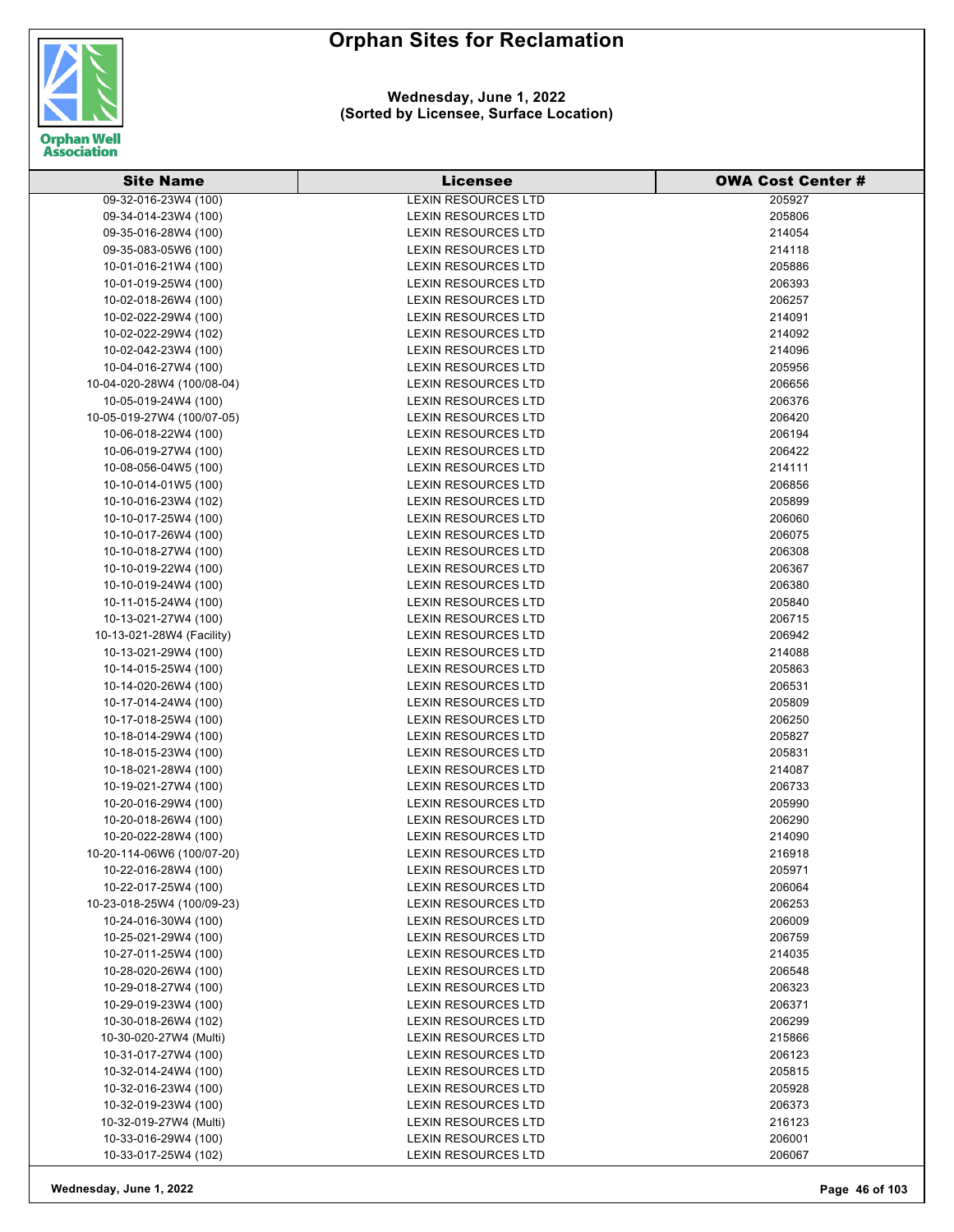

| <b>Site Name</b>           | <b>Licensee</b>                                           | <b>OWA Cost Center #</b> |
|----------------------------|-----------------------------------------------------------|--------------------------|
| 09-32-016-23W4 (100)       | <b>LEXIN RESOURCES LTD</b>                                | 205927                   |
| 09-34-014-23W4 (100)       | <b>LEXIN RESOURCES LTD</b>                                | 205806                   |
| 09-35-016-28W4 (100)       | <b>LEXIN RESOURCES LTD</b>                                | 214054                   |
| 09-35-083-05W6 (100)       | LEXIN RESOURCES LTD                                       | 214118                   |
| 10-01-016-21W4 (100)       | <b>LEXIN RESOURCES LTD</b>                                | 205886                   |
| 10-01-019-25W4 (100)       | <b>LEXIN RESOURCES LTD</b>                                | 206393                   |
| 10-02-018-26W4 (100)       | <b>LEXIN RESOURCES LTD</b>                                | 206257                   |
| 10-02-022-29W4 (100)       | <b>LEXIN RESOURCES LTD</b>                                | 214091                   |
| 10-02-022-29W4 (102)       | <b>LEXIN RESOURCES LTD</b>                                | 214092                   |
| 10-02-042-23W4 (100)       | <b>LEXIN RESOURCES LTD</b>                                | 214096                   |
| 10-04-016-27W4 (100)       | <b>LEXIN RESOURCES LTD</b>                                | 205956                   |
| 10-04-020-28W4 (100/08-04) | <b>LEXIN RESOURCES LTD</b>                                | 206656                   |
| 10-05-019-24W4 (100)       | <b>LEXIN RESOURCES LTD</b>                                | 206376                   |
| 10-05-019-27W4 (100/07-05) | <b>LEXIN RESOURCES LTD</b>                                | 206420                   |
| 10-06-018-22W4 (100)       | LEXIN RESOURCES LTD                                       | 206194                   |
| 10-06-019-27W4 (100)       | <b>LEXIN RESOURCES LTD</b>                                | 206422                   |
| 10-08-056-04W5 (100)       | <b>LEXIN RESOURCES LTD</b>                                | 214111                   |
| 10-10-014-01W5 (100)       | <b>LEXIN RESOURCES LTD</b>                                | 206856                   |
| 10-10-016-23W4 (102)       | <b>LEXIN RESOURCES LTD</b>                                | 205899                   |
| 10-10-017-25W4 (100)       | <b>LEXIN RESOURCES LTD</b>                                | 206060                   |
| 10-10-017-26W4 (100)       | <b>LEXIN RESOURCES LTD</b>                                | 206075                   |
|                            | <b>LEXIN RESOURCES LTD</b>                                | 206308                   |
| 10-10-018-27W4 (100)       |                                                           |                          |
| 10-10-019-22W4 (100)       | <b>LEXIN RESOURCES LTD</b>                                | 206367                   |
| 10-10-019-24W4 (100)       | <b>LEXIN RESOURCES LTD</b>                                | 206380                   |
| 10-11-015-24W4 (100)       | <b>LEXIN RESOURCES LTD</b>                                | 205840                   |
| 10-13-021-27W4 (100)       | <b>LEXIN RESOURCES LTD</b>                                | 206715                   |
| 10-13-021-28W4 (Facility)  | LEXIN RESOURCES LTD                                       | 206942                   |
| 10-13-021-29W4 (100)       | <b>LEXIN RESOURCES LTD</b>                                | 214088                   |
| 10-14-015-25W4 (100)       | <b>LEXIN RESOURCES LTD</b>                                | 205863                   |
| 10-14-020-26W4 (100)       | <b>LEXIN RESOURCES LTD</b>                                | 206531                   |
| 10-17-014-24W4 (100)       | <b>LEXIN RESOURCES LTD</b>                                | 205809                   |
| 10-17-018-25W4 (100)       | <b>LEXIN RESOURCES LTD</b>                                | 206250                   |
| 10-18-014-29W4 (100)       | <b>LEXIN RESOURCES LTD</b>                                | 205827                   |
| 10-18-015-23W4 (100)       | <b>LEXIN RESOURCES LTD</b>                                | 205831                   |
| 10-18-021-28W4 (100)       | LEXIN RESOURCES LTD                                       | 214087                   |
| 10-19-021-27W4 (100)       | <b>LEXIN RESOURCES LTD</b>                                | 206733                   |
| 10-20-016-29W4 (100)       | <b>LEXIN RESOURCES LTD</b>                                | 205990                   |
| 10-20-018-26W4 (100)       | <b>LEXIN RESOURCES LTD</b><br><b>I FXIN RESOURCES LTD</b> | 206290                   |
| 10-20-022-28W4 (100)       |                                                           | 214090                   |
| 10-20-114-06W6 (100/07-20) | <b>LEXIN RESOURCES LTD</b>                                | 216918                   |
| 10-22-016-28W4 (100)       | LEXIN RESOURCES LTD                                       | 205971                   |
| 10-22-017-25W4 (100)       | LEXIN RESOURCES LTD                                       | 206064                   |
| 10-23-018-25W4 (100/09-23) | <b>LEXIN RESOURCES LTD</b>                                | 206253                   |
| 10-24-016-30W4 (100)       | <b>LEXIN RESOURCES LTD</b>                                | 206009                   |
| 10-25-021-29W4 (100)       | <b>LEXIN RESOURCES LTD</b>                                | 206759                   |
| 10-27-011-25W4 (100)       | LEXIN RESOURCES LTD                                       | 214035                   |
| 10-28-020-26W4 (100)       | <b>LEXIN RESOURCES LTD</b>                                | 206548                   |
| 10-29-018-27W4 (100)       | <b>LEXIN RESOURCES LTD</b>                                | 206323                   |
| 10-29-019-23W4 (100)       | <b>LEXIN RESOURCES LTD</b>                                | 206371                   |
| 10-30-018-26W4 (102)       | <b>LEXIN RESOURCES LTD</b>                                | 206299                   |
| 10-30-020-27W4 (Multi)     | LEXIN RESOURCES LTD                                       | 215866                   |
| 10-31-017-27W4 (100)       | LEXIN RESOURCES LTD                                       | 206123                   |
| 10-32-014-24W4 (100)       | LEXIN RESOURCES LTD                                       | 205815                   |
| 10-32-016-23W4 (100)       | LEXIN RESOURCES LTD                                       | 205928                   |
| 10-32-019-23W4 (100)       | <b>LEXIN RESOURCES LTD</b>                                | 206373                   |
| 10-32-019-27W4 (Multi)     | <b>LEXIN RESOURCES LTD</b>                                | 216123                   |
| 10-33-016-29W4 (100)       | LEXIN RESOURCES LTD                                       | 206001                   |
| 10-33-017-25W4 (102)       | LEXIN RESOURCES LTD                                       | 206067                   |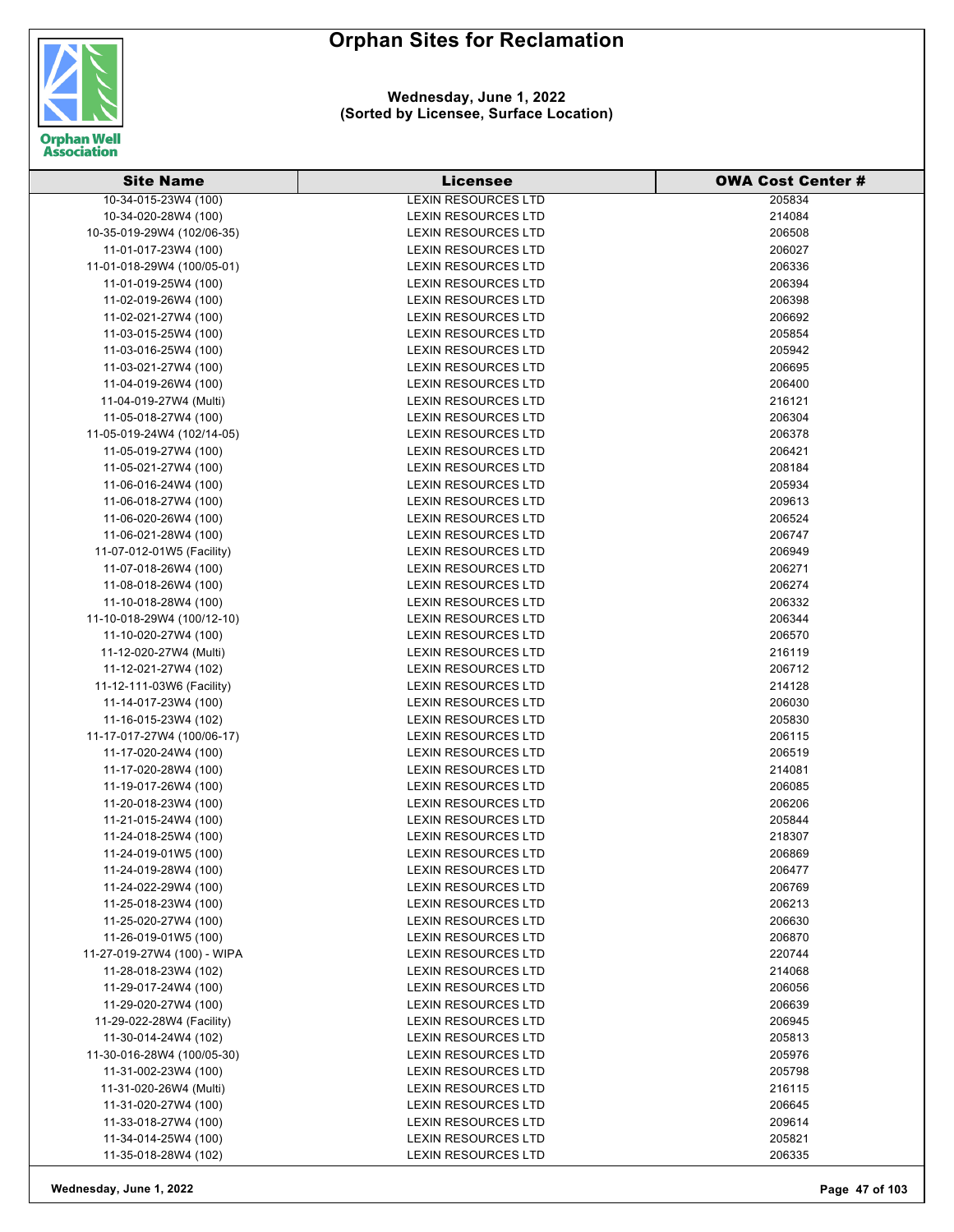

| <b>Site Name</b>                               | <b>Licensee</b>                                          | <b>OWA Cost Center #</b> |
|------------------------------------------------|----------------------------------------------------------|--------------------------|
| 10-34-015-23W4 (100)                           | <b>LEXIN RESOURCES LTD</b>                               | 205834                   |
| 10-34-020-28W4 (100)                           | <b>LEXIN RESOURCES LTD</b>                               | 214084                   |
| 10-35-019-29W4 (102/06-35)                     | LEXIN RESOURCES LTD                                      | 206508                   |
| 11-01-017-23W4 (100)                           | <b>LEXIN RESOURCES LTD</b>                               | 206027                   |
| 11-01-018-29W4 (100/05-01)                     | <b>LEXIN RESOURCES LTD</b>                               | 206336                   |
| 11-01-019-25W4 (100)                           | <b>LEXIN RESOURCES LTD</b>                               | 206394                   |
| 11-02-019-26W4 (100)                           | <b>LEXIN RESOURCES LTD</b>                               | 206398                   |
| 11-02-021-27W4 (100)                           | <b>LEXIN RESOURCES LTD</b>                               | 206692                   |
| 11-03-015-25W4 (100)                           | <b>LEXIN RESOURCES LTD</b>                               | 205854                   |
| 11-03-016-25W4 (100)                           | <b>LEXIN RESOURCES LTD</b>                               | 205942                   |
| 11-03-021-27W4 (100)                           | <b>LEXIN RESOURCES LTD</b>                               | 206695                   |
| 11-04-019-26W4 (100)                           | <b>LEXIN RESOURCES LTD</b>                               | 206400                   |
| 11-04-019-27W4 (Multi)                         | <b>LEXIN RESOURCES LTD</b>                               | 216121                   |
| 11-05-018-27W4 (100)                           | <b>LEXIN RESOURCES LTD</b>                               | 206304                   |
| 11-05-019-24W4 (102/14-05)                     | LEXIN RESOURCES LTD                                      | 206378                   |
| 11-05-019-27W4 (100)                           | <b>LEXIN RESOURCES LTD</b>                               | 206421                   |
| 11-05-021-27W4 (100)                           | <b>LEXIN RESOURCES LTD</b>                               | 208184                   |
| 11-06-016-24W4 (100)                           | <b>LEXIN RESOURCES LTD</b>                               | 205934                   |
| 11-06-018-27W4 (100)                           | LEXIN RESOURCES LTD                                      | 209613                   |
| 11-06-020-26W4 (100)                           | <b>LEXIN RESOURCES LTD</b>                               | 206524                   |
| 11-06-021-28W4 (100)                           | <b>LEXIN RESOURCES LTD</b>                               | 206747                   |
|                                                | <b>LEXIN RESOURCES LTD</b>                               | 206949                   |
| 11-07-012-01W5 (Facility)                      | <b>LEXIN RESOURCES LTD</b>                               | 206271                   |
| 11-07-018-26W4 (100)                           | <b>LEXIN RESOURCES LTD</b>                               |                          |
| 11-08-018-26W4 (100)                           |                                                          | 206274                   |
| 11-10-018-28W4 (100)                           | <b>LEXIN RESOURCES LTD</b>                               | 206332                   |
| 11-10-018-29W4 (100/12-10)                     | <b>LEXIN RESOURCES LTD</b>                               | 206344<br>206570         |
| 11-10-020-27W4 (100)                           | <b>LEXIN RESOURCES LTD</b>                               |                          |
| 11-12-020-27W4 (Multi)<br>11-12-021-27W4 (102) | <b>LEXIN RESOURCES LTD</b><br><b>LEXIN RESOURCES LTD</b> | 216119<br>206712         |
| 11-12-111-03W6 (Facility)                      | <b>LEXIN RESOURCES LTD</b>                               | 214128                   |
|                                                | <b>LEXIN RESOURCES LTD</b>                               | 206030                   |
| 11-14-017-23W4 (100)<br>11-16-015-23W4 (102)   | <b>LEXIN RESOURCES LTD</b>                               | 205830                   |
| 11-17-017-27W4 (100/06-17)                     | <b>LEXIN RESOURCES LTD</b>                               | 206115                   |
| 11-17-020-24W4 (100)                           | LEXIN RESOURCES LTD                                      | 206519                   |
| 11-17-020-28W4 (100)                           | <b>LEXIN RESOURCES LTD</b>                               | 214081                   |
| 11-19-017-26W4 (100)                           | <b>LEXIN RESOURCES LTD</b>                               | 206085                   |
| 11-20-018-23W4 (100)                           | <b>LEXIN RESOURCES LTD</b>                               | 206206                   |
| 11-21-015-24W4 (100)                           | <b>LEXIN RESOURCES LTD</b>                               | 205844                   |
| 11-24-018-25W4 (100)                           | <b>LEXIN RESOURCES LTD</b>                               | 218307                   |
| 11-24-019-01W5 (100)                           | LEXIN RESOURCES LTD                                      | 206869                   |
| 11-24-019-28W4 (100)                           | <b>LEXIN RESOURCES LTD</b>                               | 206477                   |
| 11-24-022-29W4 (100)                           | <b>LEXIN RESOURCES LTD</b>                               | 206769                   |
| 11-25-018-23W4 (100)                           | <b>LEXIN RESOURCES LTD</b>                               | 206213                   |
| 11-25-020-27W4 (100)                           | <b>LEXIN RESOURCES LTD</b>                               | 206630                   |
| 11-26-019-01W5 (100)                           | <b>LEXIN RESOURCES LTD</b>                               | 206870                   |
| 11-27-019-27W4 (100) - WIPA                    | <b>LEXIN RESOURCES LTD</b>                               | 220744                   |
| 11-28-018-23W4 (102)                           | <b>LEXIN RESOURCES LTD</b>                               | 214068                   |
| 11-29-017-24W4 (100)                           | <b>LEXIN RESOURCES LTD</b>                               | 206056                   |
| 11-29-020-27W4 (100)                           | <b>LEXIN RESOURCES LTD</b>                               | 206639                   |
| 11-29-022-28W4 (Facility)                      | <b>LEXIN RESOURCES LTD</b>                               | 206945                   |
| 11-30-014-24W4 (102)                           | <b>LEXIN RESOURCES LTD</b>                               | 205813                   |
| 11-30-016-28W4 (100/05-30)                     | <b>LEXIN RESOURCES LTD</b>                               | 205976                   |
| 11-31-002-23W4 (100)                           | <b>LEXIN RESOURCES LTD</b>                               | 205798                   |
| 11-31-020-26W4 (Multi)                         | <b>LEXIN RESOURCES LTD</b>                               | 216115                   |
| 11-31-020-27W4 (100)                           | <b>LEXIN RESOURCES LTD</b>                               | 206645                   |
| 11-33-018-27W4 (100)                           | <b>LEXIN RESOURCES LTD</b>                               | 209614                   |
| 11-34-014-25W4 (100)                           | <b>LEXIN RESOURCES LTD</b>                               | 205821                   |
| 11-35-018-28W4 (102)                           | LEXIN RESOURCES LTD                                      | 206335                   |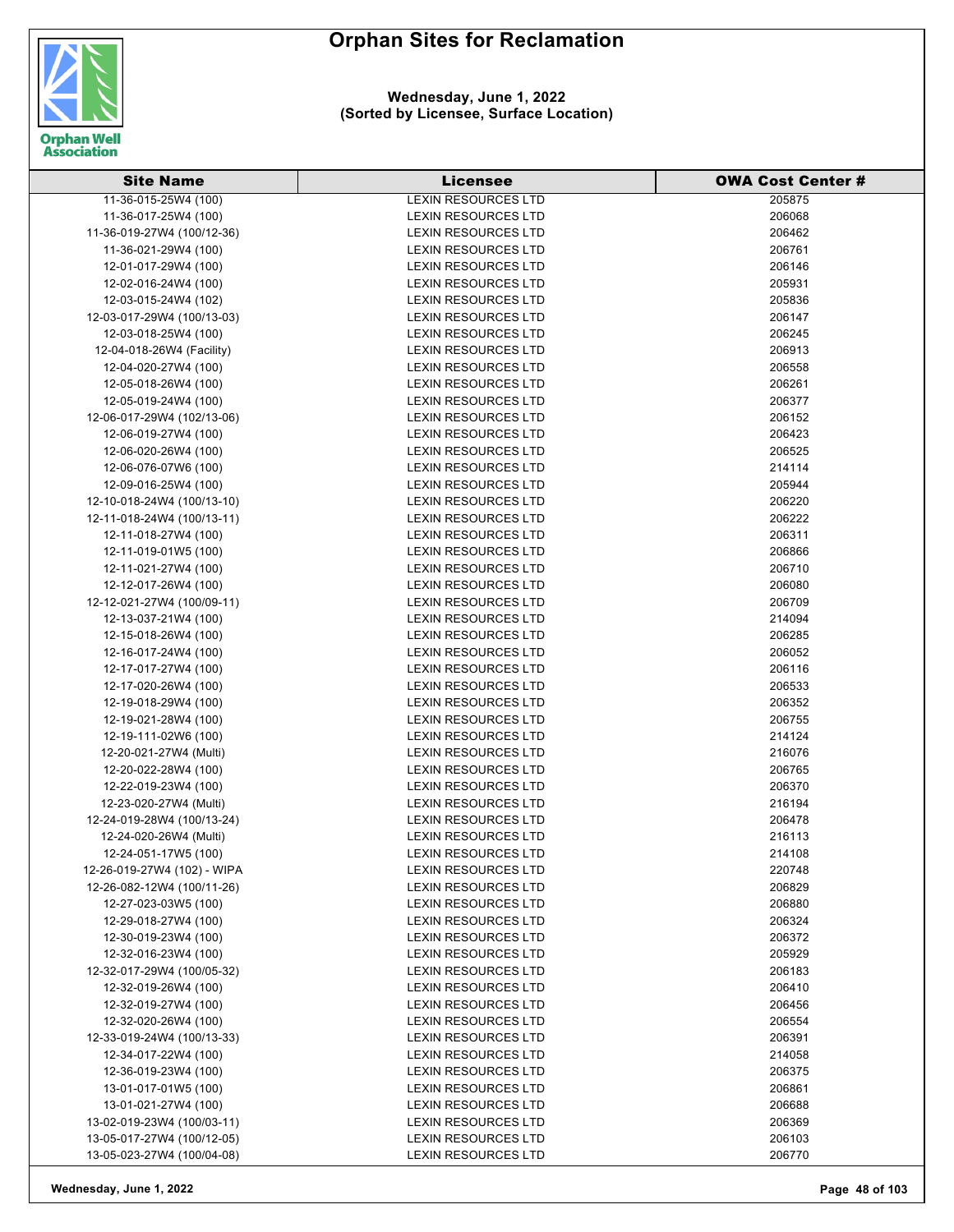

| <b>Site Name</b>                             | <b>Licensee</b>            | <b>OWA Cost Center #</b> |
|----------------------------------------------|----------------------------|--------------------------|
| 11-36-015-25W4 (100)                         | <b>LEXIN RESOURCES LTD</b> | 205875                   |
| 11-36-017-25W4 (100)                         | <b>LEXIN RESOURCES LTD</b> | 206068                   |
| 11-36-019-27W4 (100/12-36)                   | <b>LEXIN RESOURCES LTD</b> | 206462                   |
| 11-36-021-29W4 (100)                         | <b>LEXIN RESOURCES LTD</b> | 206761                   |
| 12-01-017-29W4 (100)                         | <b>LEXIN RESOURCES LTD</b> | 206146                   |
| 12-02-016-24W4 (100)                         | <b>LEXIN RESOURCES LTD</b> | 205931                   |
| 12-03-015-24W4 (102)                         | <b>LEXIN RESOURCES LTD</b> | 205836                   |
| 12-03-017-29W4 (100/13-03)                   | <b>LEXIN RESOURCES LTD</b> | 206147                   |
| 12-03-018-25W4 (100)                         | <b>LEXIN RESOURCES LTD</b> | 206245                   |
| 12-04-018-26W4 (Facility)                    | <b>LEXIN RESOURCES LTD</b> | 206913                   |
| 12-04-020-27W4 (100)                         | <b>LEXIN RESOURCES LTD</b> | 206558                   |
| 12-05-018-26W4 (100)                         | <b>LEXIN RESOURCES LTD</b> | 206261                   |
| 12-05-019-24W4 (100)                         | <b>LEXIN RESOURCES LTD</b> | 206377                   |
| 12-06-017-29W4 (102/13-06)                   | LEXIN RESOURCES LTD        | 206152                   |
| 12-06-019-27W4 (100)                         | <b>LEXIN RESOURCES LTD</b> | 206423                   |
| 12-06-020-26W4 (100)                         | <b>LEXIN RESOURCES LTD</b> | 206525                   |
| 12-06-076-07W6 (100)                         | <b>LEXIN RESOURCES LTD</b> | 214114                   |
| 12-09-016-25W4 (100)                         | <b>LEXIN RESOURCES LTD</b> | 205944                   |
| 12-10-018-24W4 (100/13-10)                   | <b>LEXIN RESOURCES LTD</b> | 206220                   |
| 12-11-018-24W4 (100/13-11)                   | <b>LEXIN RESOURCES LTD</b> | 206222                   |
| 12-11-018-27W4 (100)                         | <b>LEXIN RESOURCES LTD</b> | 206311                   |
| 12-11-019-01W5 (100)                         | <b>LEXIN RESOURCES LTD</b> | 206866                   |
| 12-11-021-27W4 (100)                         | <b>LEXIN RESOURCES LTD</b> | 206710                   |
| 12-12-017-26W4 (100)                         | <b>LEXIN RESOURCES LTD</b> | 206080                   |
| 12-12-021-27W4 (100/09-11)                   | <b>LEXIN RESOURCES LTD</b> | 206709                   |
| 12-13-037-21W4 (100)                         | <b>LEXIN RESOURCES LTD</b> | 214094                   |
| 12-15-018-26W4 (100)                         | <b>LEXIN RESOURCES LTD</b> | 206285                   |
| 12-16-017-24W4 (100)                         | <b>LEXIN RESOURCES LTD</b> | 206052                   |
| 12-17-017-27W4 (100)                         | <b>LEXIN RESOURCES LTD</b> | 206116                   |
| 12-17-020-26W4 (100)                         | <b>LEXIN RESOURCES LTD</b> | 206533                   |
|                                              | <b>LEXIN RESOURCES LTD</b> | 206352                   |
| 12-19-018-29W4 (100)<br>12-19-021-28W4 (100) | <b>LEXIN RESOURCES LTD</b> | 206755                   |
| 12-19-111-02W6 (100)                         | <b>LEXIN RESOURCES LTD</b> | 214124                   |
| 12-20-021-27W4 (Multi)                       | <b>LEXIN RESOURCES LTD</b> | 216076                   |
| 12-20-022-28W4 (100)                         | <b>LEXIN RESOURCES LTD</b> | 206765                   |
|                                              | <b>LEXIN RESOURCES LTD</b> | 206370                   |
| 12-22-019-23W4 (100)                         | <b>LEXIN RESOURCES LTD</b> |                          |
| 12-23-020-27W4 (Multi)                       |                            | 216194                   |
| 12-24-019-28W4 (100/13-24)                   | <b>LEXIN RESOURCES LTD</b> | 206478                   |
| 12-24-020-26W4 (Multi)                       | <b>LEXIN RESOURCES LTD</b> | 216113                   |
| 12-24-051-17W5 (100)                         | <b>LEXIN RESOURCES LTD</b> | 214108                   |
| 12-26-019-27W4 (102) - WIPA                  | <b>LEXIN RESOURCES LTD</b> | 220748                   |
| 12-26-082-12W4 (100/11-26)                   | <b>LEXIN RESOURCES LTD</b> | 206829                   |
| 12-27-023-03W5 (100)                         | <b>LEXIN RESOURCES LTD</b> | 206880                   |
| 12-29-018-27W4 (100)                         | <b>LEXIN RESOURCES LTD</b> | 206324                   |
| 12-30-019-23W4 (100)                         | <b>LEXIN RESOURCES LTD</b> | 206372                   |
| 12-32-016-23W4 (100)                         | <b>LEXIN RESOURCES LTD</b> | 205929                   |
| 12-32-017-29W4 (100/05-32)                   | <b>LEXIN RESOURCES LTD</b> | 206183                   |
| 12-32-019-26W4 (100)                         | <b>LEXIN RESOURCES LTD</b> | 206410                   |
| 12-32-019-27W4 (100)                         | <b>LEXIN RESOURCES LTD</b> | 206456                   |
| 12-32-020-26W4 (100)                         | <b>LEXIN RESOURCES LTD</b> | 206554                   |
| 12-33-019-24W4 (100/13-33)                   | <b>LEXIN RESOURCES LTD</b> | 206391                   |
| 12-34-017-22W4 (100)                         | LEXIN RESOURCES LTD        | 214058                   |
| 12-36-019-23W4 (100)                         | <b>LEXIN RESOURCES LTD</b> | 206375                   |
| 13-01-017-01W5 (100)                         | <b>LEXIN RESOURCES LTD</b> | 206861                   |
| 13-01-021-27W4 (100)                         | <b>LEXIN RESOURCES LTD</b> | 206688                   |
| 13-02-019-23W4 (100/03-11)                   | <b>LEXIN RESOURCES LTD</b> | 206369                   |
| 13-05-017-27W4 (100/12-05)                   | <b>LEXIN RESOURCES LTD</b> | 206103                   |
| 13-05-023-27W4 (100/04-08)                   | <b>LEXIN RESOURCES LTD</b> | 206770                   |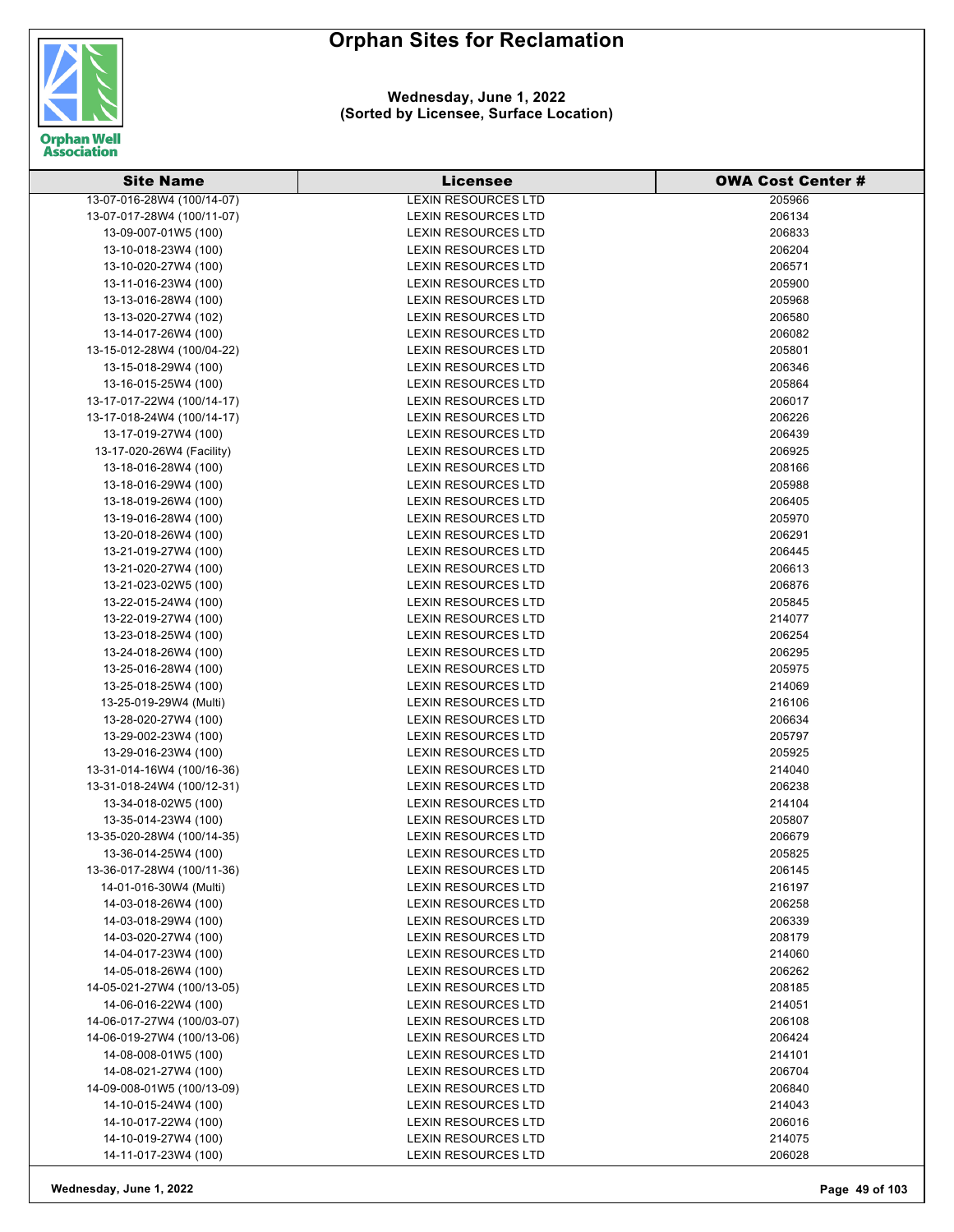

| <b>Site Name</b>                             | <b>Licensee</b>            | <b>OWA Cost Center #</b> |
|----------------------------------------------|----------------------------|--------------------------|
| 13-07-016-28W4 (100/14-07)                   | <b>LEXIN RESOURCES LTD</b> | 205966                   |
| 13-07-017-28W4 (100/11-07)                   | <b>LEXIN RESOURCES LTD</b> | 206134                   |
| 13-09-007-01W5 (100)                         | <b>LEXIN RESOURCES LTD</b> | 206833                   |
| 13-10-018-23W4 (100)                         | <b>LEXIN RESOURCES LTD</b> | 206204                   |
| 13-10-020-27W4 (100)                         | <b>LEXIN RESOURCES LTD</b> | 206571                   |
| 13-11-016-23W4 (100)                         | <b>LEXIN RESOURCES LTD</b> | 205900                   |
| 13-13-016-28W4 (100)                         | <b>LEXIN RESOURCES LTD</b> | 205968                   |
| 13-13-020-27W4 (102)                         | <b>LEXIN RESOURCES LTD</b> | 206580                   |
| 13-14-017-26W4 (100)                         | <b>LEXIN RESOURCES LTD</b> | 206082                   |
| 13-15-012-28W4 (100/04-22)                   | <b>LEXIN RESOURCES LTD</b> | 205801                   |
| 13-15-018-29W4 (100)                         | <b>LEXIN RESOURCES LTD</b> | 206346                   |
| 13-16-015-25W4 (100)                         | <b>LEXIN RESOURCES LTD</b> | 205864                   |
| 13-17-017-22W4 (100/14-17)                   | <b>LEXIN RESOURCES LTD</b> | 206017                   |
| 13-17-018-24W4 (100/14-17)                   | <b>LEXIN RESOURCES LTD</b> | 206226                   |
| 13-17-019-27W4 (100)                         | LEXIN RESOURCES LTD        | 206439                   |
| 13-17-020-26W4 (Facility)                    | <b>LEXIN RESOURCES LTD</b> | 206925                   |
| 13-18-016-28W4 (100)                         | <b>LEXIN RESOURCES LTD</b> | 208166                   |
| 13-18-016-29W4 (100)                         | <b>LEXIN RESOURCES LTD</b> | 205988                   |
| 13-18-019-26W4 (100)                         | LEXIN RESOURCES LTD        | 206405                   |
| 13-19-016-28W4 (100)                         | <b>LEXIN RESOURCES LTD</b> | 205970                   |
| 13-20-018-26W4 (100)                         | <b>LEXIN RESOURCES LTD</b> | 206291                   |
| 13-21-019-27W4 (100)                         | <b>LEXIN RESOURCES LTD</b> | 206445                   |
| 13-21-020-27W4 (100)                         | LEXIN RESOURCES LTD        | 206613                   |
| 13-21-023-02W5 (100)                         | <b>LEXIN RESOURCES LTD</b> | 206876                   |
| 13-22-015-24W4 (100)                         | <b>LEXIN RESOURCES LTD</b> | 205845                   |
| 13-22-019-27W4 (100)                         | <b>LEXIN RESOURCES LTD</b> | 214077                   |
| 13-23-018-25W4 (100)                         | <b>LEXIN RESOURCES LTD</b> | 206254                   |
| 13-24-018-26W4 (100)                         | <b>LEXIN RESOURCES LTD</b> | 206295                   |
| 13-25-016-28W4 (100)                         | <b>LEXIN RESOURCES LTD</b> | 205975                   |
| 13-25-018-25W4 (100)                         | <b>LEXIN RESOURCES LTD</b> | 214069                   |
| 13-25-019-29W4 (Multi)                       | <b>LEXIN RESOURCES LTD</b> | 216106                   |
| 13-28-020-27W4 (100)                         | <b>LEXIN RESOURCES LTD</b> | 206634                   |
| 13-29-002-23W4 (100)                         | <b>LEXIN RESOURCES LTD</b> | 205797                   |
| 13-29-016-23W4 (100)                         | <b>LEXIN RESOURCES LTD</b> | 205925                   |
| 13-31-014-16W4 (100/16-36)                   | <b>LEXIN RESOURCES LTD</b> | 214040                   |
| 13-31-018-24W4 (100/12-31)                   | <b>LEXIN RESOURCES LTD</b> | 206238                   |
| 13-34-018-02W5 (100)                         | <b>LEXIN RESOURCES LTD</b> | 214104                   |
| 13-35-014-23W4 (100)                         | <b>LEXIN RESOURCES LTD</b> | 205807                   |
| 13-35-020-28W4 (100/14-35)                   | LEXIN RESOURCES LTD        | 206679                   |
| 13-36-014-25W4 (100)                         | LEXIN RESOURCES LTD        | 205825                   |
| 13-36-017-28W4 (100/11-36)                   | <b>LEXIN RESOURCES LTD</b> | 206145                   |
| 14-01-016-30W4 (Multi)                       | <b>LEXIN RESOURCES LTD</b> | 216197                   |
| 14-03-018-26W4 (100)                         | <b>LEXIN RESOURCES LTD</b> | 206258                   |
| 14-03-018-29W4 (100)                         | <b>LEXIN RESOURCES LTD</b> | 206339                   |
| 14-03-020-27W4 (100)                         | <b>LEXIN RESOURCES LTD</b> | 208179                   |
| 14-04-017-23W4 (100)                         | <b>LEXIN RESOURCES LTD</b> | 214060                   |
| 14-05-018-26W4 (100)                         | <b>LEXIN RESOURCES LTD</b> | 206262                   |
| 14-05-021-27W4 (100/13-05)                   | <b>LEXIN RESOURCES LTD</b> | 208185                   |
| 14-06-016-22W4 (100)                         | <b>LEXIN RESOURCES LTD</b> | 214051                   |
| 14-06-017-27W4 (100/03-07)                   | <b>LEXIN RESOURCES LTD</b> | 206108                   |
| 14-06-019-27W4 (100/13-06)                   | LEXIN RESOURCES LTD        | 206424                   |
| 14-08-008-01W5 (100)                         | <b>LEXIN RESOURCES LTD</b> | 214101                   |
| 14-08-021-27W4 (100)                         | <b>LEXIN RESOURCES LTD</b> | 206704                   |
| 14-09-008-01W5 (100/13-09)                   | <b>LEXIN RESOURCES LTD</b> | 206840                   |
|                                              | <b>LEXIN RESOURCES LTD</b> |                          |
| 14-10-015-24W4 (100)<br>14-10-017-22W4 (100) |                            | 214043                   |
| 14-10-019-27W4 (100)                         | <b>LEXIN RESOURCES LTD</b> | 206016                   |
|                                              | <b>LEXIN RESOURCES LTD</b> | 214075                   |
| 14-11-017-23W4 (100)                         | LEXIN RESOURCES LTD        | 206028                   |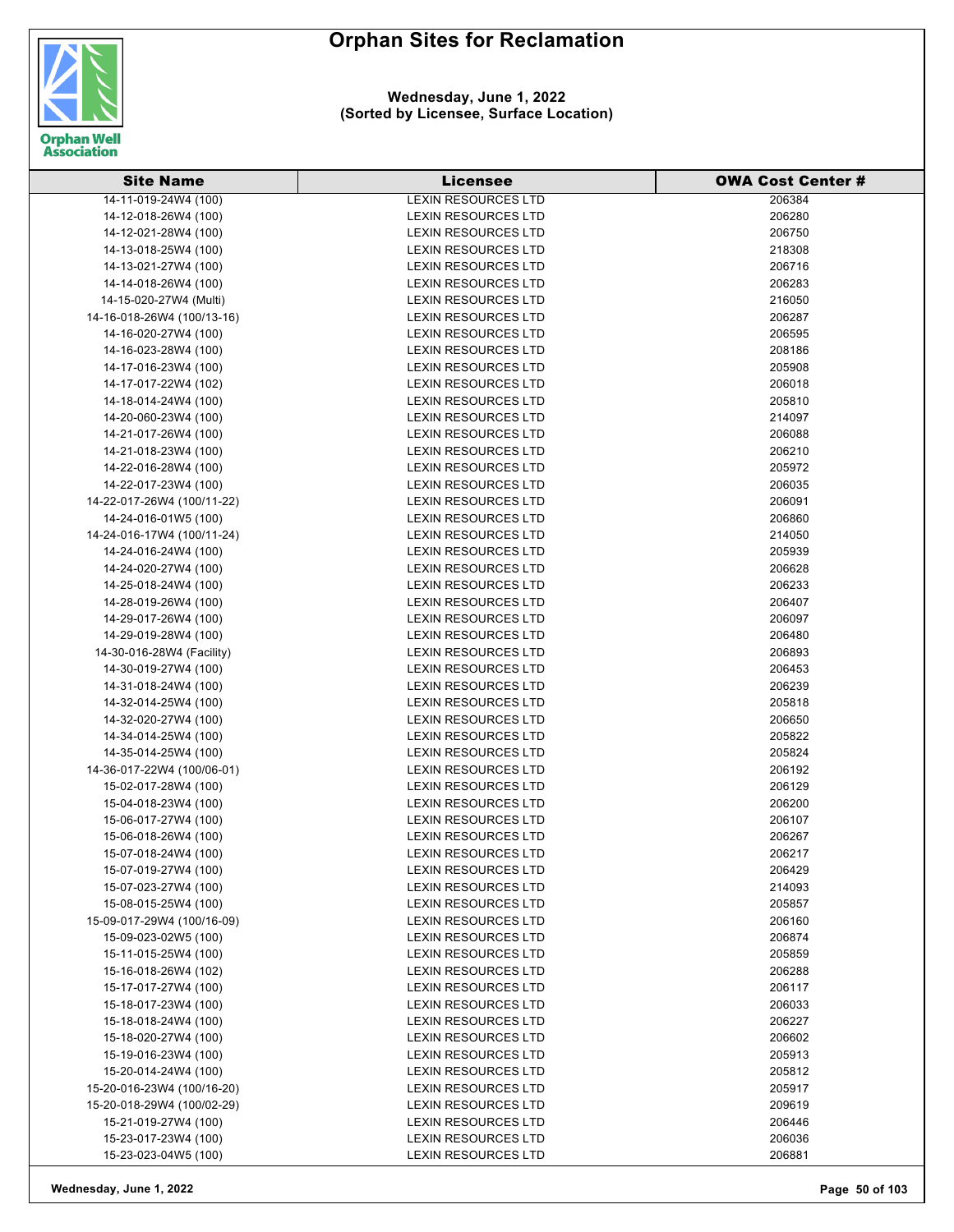

| <b>Site Name</b>           | Licensee                                          | <b>OWA Cost Center #</b> |
|----------------------------|---------------------------------------------------|--------------------------|
| 14-11-019-24W4 (100)       | <b>LEXIN RESOURCES LTD</b>                        | 206384                   |
| 14-12-018-26W4 (100)       | <b>LEXIN RESOURCES LTD</b>                        | 206280                   |
| 14-12-021-28W4 (100)       | <b>LEXIN RESOURCES LTD</b>                        | 206750                   |
| 14-13-018-25W4 (100)       | <b>LEXIN RESOURCES LTD</b>                        | 218308                   |
| 14-13-021-27W4 (100)       | <b>LEXIN RESOURCES LTD</b>                        | 206716                   |
| 14-14-018-26W4 (100)       | <b>LEXIN RESOURCES LTD</b>                        | 206283                   |
| 14-15-020-27W4 (Multi)     | <b>LEXIN RESOURCES LTD</b>                        | 216050                   |
| 14-16-018-26W4 (100/13-16) | <b>LEXIN RESOURCES LTD</b>                        | 206287                   |
| 14-16-020-27W4 (100)       | LEXIN RESOURCES LTD                               | 206595                   |
| 14-16-023-28W4 (100)       | <b>LEXIN RESOURCES LTD</b>                        | 208186                   |
| 14-17-016-23W4 (100)       | <b>LEXIN RESOURCES LTD</b>                        | 205908                   |
| 14-17-017-22W4 (102)       | <b>LEXIN RESOURCES LTD</b>                        | 206018                   |
| 14-18-014-24W4 (100)       | <b>LEXIN RESOURCES LTD</b>                        | 205810                   |
| 14-20-060-23W4 (100)       | LEXIN RESOURCES LTD                               | 214097                   |
| 14-21-017-26W4 (100)       | <b>LEXIN RESOURCES LTD</b>                        | 206088                   |
| 14-21-018-23W4 (100)       | <b>LEXIN RESOURCES LTD</b>                        | 206210                   |
| 14-22-016-28W4 (100)       | <b>LEXIN RESOURCES LTD</b>                        | 205972                   |
| 14-22-017-23W4 (100)       | <b>LEXIN RESOURCES LTD</b>                        | 206035                   |
| 14-22-017-26W4 (100/11-22) | <b>LEXIN RESOURCES LTD</b>                        | 206091                   |
| 14-24-016-01W5 (100)       | <b>LEXIN RESOURCES LTD</b>                        | 206860                   |
| 14-24-016-17W4 (100/11-24) | <b>LEXIN RESOURCES LTD</b>                        | 214050                   |
| 14-24-016-24W4 (100)       | <b>LEXIN RESOURCES LTD</b>                        | 205939                   |
| 14-24-020-27W4 (100)       | <b>LEXIN RESOURCES LTD</b>                        | 206628                   |
| 14-25-018-24W4 (100)       | <b>LEXIN RESOURCES LTD</b>                        | 206233                   |
| 14-28-019-26W4 (100)       | <b>LEXIN RESOURCES LTD</b>                        | 206407                   |
|                            | <b>LEXIN RESOURCES LTD</b>                        | 206097                   |
| 14-29-017-26W4 (100)       |                                                   |                          |
| 14-29-019-28W4 (100)       | LEXIN RESOURCES LTD                               | 206480<br>206893         |
| 14-30-016-28W4 (Facility)  | LEXIN RESOURCES LTD                               |                          |
| 14-30-019-27W4 (100)       | LEXIN RESOURCES LTD<br><b>LEXIN RESOURCES LTD</b> | 206453<br>206239         |
| 14-31-018-24W4 (100)       |                                                   |                          |
| 14-32-014-25W4 (100)       | <b>LEXIN RESOURCES LTD</b>                        | 205818                   |
| 14-32-020-27W4 (100)       | <b>LEXIN RESOURCES LTD</b>                        | 206650                   |
| 14-34-014-25W4 (100)       | <b>LEXIN RESOURCES LTD</b>                        | 205822                   |
| 14-35-014-25W4 (100)       | <b>LEXIN RESOURCES LTD</b>                        | 205824                   |
| 14-36-017-22W4 (100/06-01) | <b>LEXIN RESOURCES LTD</b>                        | 206192                   |
| 15-02-017-28W4 (100)       | <b>LEXIN RESOURCES LTD</b>                        | 206129                   |
| 15-04-018-23W4 (100)       | LEXIN RESOURCES LTD                               | 206200                   |
| 15-06-017-27W4 (100)       | <b>LEXIN RESOURCES LTD</b>                        | 206107                   |
| 15-06-018-26W4 (100)       | <b>LEXIN RESOURCES LTD</b>                        | 206267                   |
| 15-07-018-24W4 (100)       | LEXIN RESOURCES LTD                               | 206217                   |
| 15-07-019-27W4 (100)       | <b>LEXIN RESOURCES LTD</b>                        | 206429                   |
| 15-07-023-27W4 (100)       | <b>LEXIN RESOURCES LTD</b>                        | 214093                   |
| 15-08-015-25W4 (100)       | <b>LEXIN RESOURCES LTD</b>                        | 205857                   |
| 15-09-017-29W4 (100/16-09) | <b>LEXIN RESOURCES LTD</b>                        | 206160                   |
| 15-09-023-02W5 (100)       | <b>LEXIN RESOURCES LTD</b>                        | 206874                   |
| 15-11-015-25W4 (100)       | <b>LEXIN RESOURCES LTD</b>                        | 205859                   |
| 15-16-018-26W4 (102)       | LEXIN RESOURCES LTD                               | 206288                   |
| 15-17-017-27W4 (100)       | LEXIN RESOURCES LTD                               | 206117                   |
| 15-18-017-23W4 (100)       | <b>LEXIN RESOURCES LTD</b>                        | 206033                   |
| 15-18-018-24W4 (100)       | <b>LEXIN RESOURCES LTD</b>                        | 206227                   |
| 15-18-020-27W4 (100)       | LEXIN RESOURCES LTD                               | 206602                   |
| 15-19-016-23W4 (100)       | LEXIN RESOURCES LTD                               | 205913                   |
| 15-20-014-24W4 (100)       | <b>LEXIN RESOURCES LTD</b>                        | 205812                   |
| 15-20-016-23W4 (100/16-20) | <b>LEXIN RESOURCES LTD</b>                        | 205917                   |
| 15-20-018-29W4 (100/02-29) | <b>LEXIN RESOURCES LTD</b>                        | 209619                   |
| 15-21-019-27W4 (100)       | <b>LEXIN RESOURCES LTD</b>                        | 206446                   |
| 15-23-017-23W4 (100)       | <b>LEXIN RESOURCES LTD</b>                        | 206036                   |
| 15-23-023-04W5 (100)       | LEXIN RESOURCES LTD                               | 206881                   |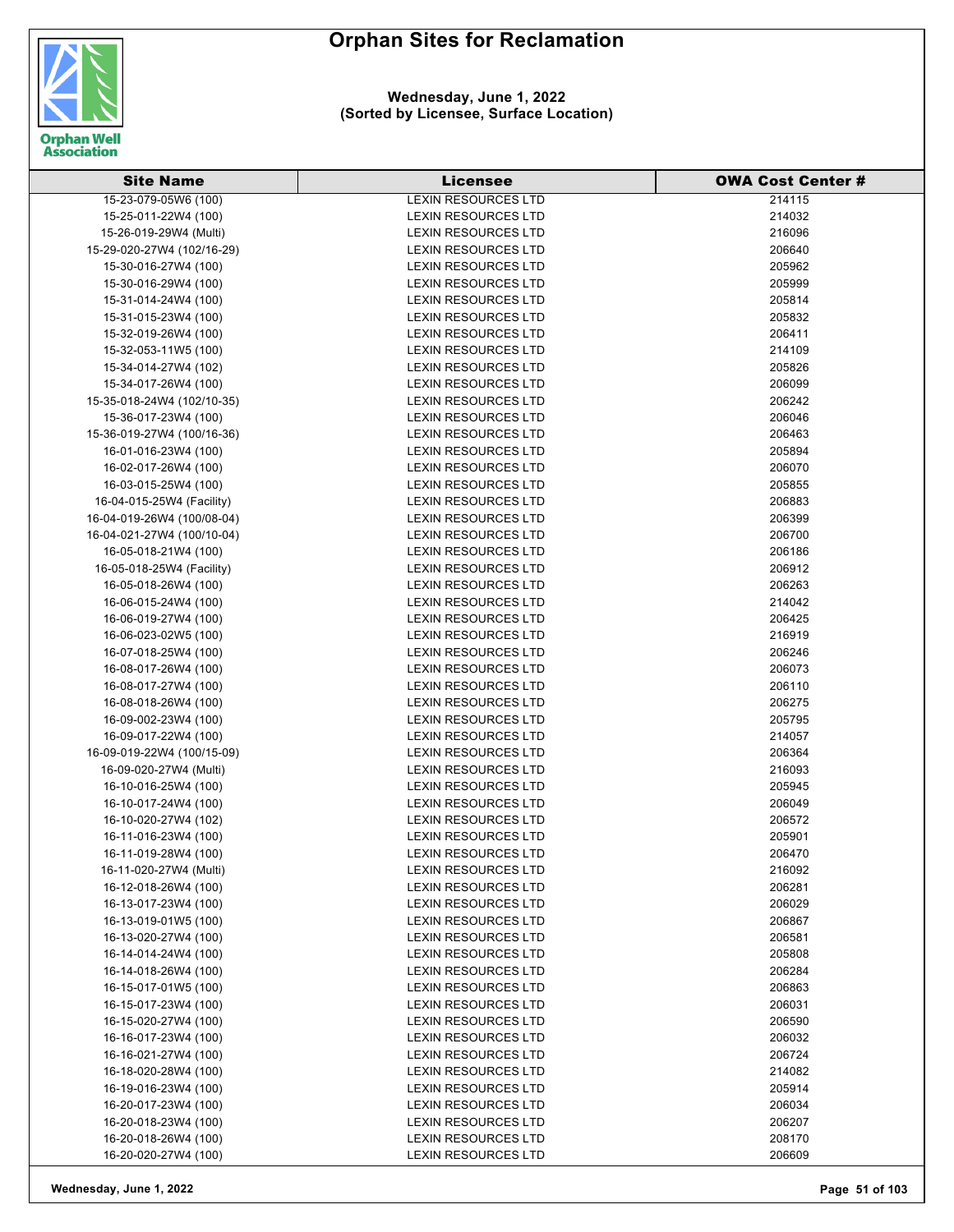

| <b>Site Name</b>           | <b>Licensee</b>            | <b>OWA Cost Center#</b> |
|----------------------------|----------------------------|-------------------------|
| 15-23-079-05W6 (100)       | <b>LEXIN RESOURCES LTD</b> | 214115                  |
| 15-25-011-22W4 (100)       | <b>LEXIN RESOURCES LTD</b> | 214032                  |
| 15-26-019-29W4 (Multi)     | <b>LEXIN RESOURCES LTD</b> | 216096                  |
| 15-29-020-27W4 (102/16-29) | <b>LEXIN RESOURCES LTD</b> | 206640                  |
| 15-30-016-27W4 (100)       | <b>LEXIN RESOURCES LTD</b> | 205962                  |
| 15-30-016-29W4 (100)       | <b>LEXIN RESOURCES LTD</b> | 205999                  |
| 15-31-014-24W4 (100)       | <b>LEXIN RESOURCES LTD</b> | 205814                  |
| 15-31-015-23W4 (100)       | <b>LEXIN RESOURCES LTD</b> | 205832                  |
| 15-32-019-26W4 (100)       | <b>LEXIN RESOURCES LTD</b> | 206411                  |
| 15-32-053-11W5 (100)       | <b>LEXIN RESOURCES LTD</b> | 214109                  |
| 15-34-014-27W4 (102)       | <b>LEXIN RESOURCES LTD</b> | 205826                  |
| 15-34-017-26W4 (100)       | <b>LEXIN RESOURCES LTD</b> | 206099                  |
| 15-35-018-24W4 (102/10-35) | <b>LEXIN RESOURCES LTD</b> | 206242                  |
| 15-36-017-23W4 (100)       | LEXIN RESOURCES LTD        | 206046                  |
| 15-36-019-27W4 (100/16-36) | <b>LEXIN RESOURCES LTD</b> | 206463                  |
| 16-01-016-23W4 (100)       | <b>LEXIN RESOURCES LTD</b> | 205894                  |
| 16-02-017-26W4 (100)       | <b>LEXIN RESOURCES LTD</b> | 206070                  |
| 16-03-015-25W4 (100)       | <b>LEXIN RESOURCES LTD</b> | 205855                  |
| 16-04-015-25W4 (Facility)  | <b>LEXIN RESOURCES LTD</b> | 206883                  |
| 16-04-019-26W4 (100/08-04) | <b>LEXIN RESOURCES LTD</b> | 206399                  |
| 16-04-021-27W4 (100/10-04) | <b>LEXIN RESOURCES LTD</b> | 206700                  |
| 16-05-018-21W4 (100)       | <b>LEXIN RESOURCES LTD</b> | 206186                  |
| 16-05-018-25W4 (Facility)  | <b>LEXIN RESOURCES LTD</b> | 206912                  |
| 16-05-018-26W4 (100)       | <b>LEXIN RESOURCES LTD</b> | 206263                  |
| 16-06-015-24W4 (100)       | <b>LEXIN RESOURCES LTD</b> | 214042                  |
| 16-06-019-27W4 (100)       | <b>LEXIN RESOURCES LTD</b> | 206425                  |
| 16-06-023-02W5 (100)       | <b>LEXIN RESOURCES LTD</b> | 216919                  |
| 16-07-018-25W4 (100)       | LEXIN RESOURCES LTD        | 206246                  |
| 16-08-017-26W4 (100)       | <b>LEXIN RESOURCES LTD</b> | 206073                  |
| 16-08-017-27W4 (100)       | <b>LEXIN RESOURCES LTD</b> | 206110                  |
| 16-08-018-26W4 (100)       | <b>LEXIN RESOURCES LTD</b> | 206275                  |
| 16-09-002-23W4 (100)       | <b>LEXIN RESOURCES LTD</b> | 205795                  |
| 16-09-017-22W4 (100)       | <b>LEXIN RESOURCES LTD</b> | 214057                  |
| 16-09-019-22W4 (100/15-09) | <b>LEXIN RESOURCES LTD</b> | 206364                  |
| 16-09-020-27W4 (Multi)     | <b>LEXIN RESOURCES LTD</b> | 216093                  |
| 16-10-016-25W4 (100)       | <b>LEXIN RESOURCES LTD</b> | 205945                  |
| 16-10-017-24W4 (100)       | <b>LEXIN RESOURCES LTD</b> | 206049                  |
| 16-10-020-27W4 (102)       | <b>LEXIN RESOURCES LTD</b> | 206572                  |
| 16-11-016-23W4 (100)       | <b>LEXIN RESOURCES LTD</b> | 205901                  |
| 16-11-019-28W4 (100)       | <b>LEXIN RESOURCES LTD</b> | 206470                  |
| 16-11-020-27W4 (Multi)     | LEXIN RESOURCES LTD        | 216092                  |
| 16-12-018-26W4 (100)       | LEXIN RESOURCES LTD        | 206281                  |
| 16-13-017-23W4 (100)       | LEXIN RESOURCES LTD        | 206029                  |
| 16-13-019-01W5 (100)       | <b>LEXIN RESOURCES LTD</b> | 206867                  |
| 16-13-020-27W4 (100)       | <b>LEXIN RESOURCES LTD</b> | 206581                  |
| 16-14-014-24W4 (100)       | <b>LEXIN RESOURCES LTD</b> | 205808                  |
| 16-14-018-26W4 (100)       | LEXIN RESOURCES LTD        | 206284                  |
| 16-15-017-01W5 (100)       | <b>LEXIN RESOURCES LTD</b> | 206863                  |
| 16-15-017-23W4 (100)       | <b>LEXIN RESOURCES LTD</b> | 206031                  |
| 16-15-020-27W4 (100)       | <b>LEXIN RESOURCES LTD</b> | 206590                  |
| 16-16-017-23W4 (100)       | LEXIN RESOURCES LTD        | 206032                  |
| 16-16-021-27W4 (100)       | LEXIN RESOURCES LTD        | 206724                  |
| 16-18-020-28W4 (100)       | LEXIN RESOURCES LTD        | 214082                  |
| 16-19-016-23W4 (100)       | <b>LEXIN RESOURCES LTD</b> | 205914                  |
| 16-20-017-23W4 (100)       | LEXIN RESOURCES LTD        | 206034                  |
| 16-20-018-23W4 (100)       | <b>LEXIN RESOURCES LTD</b> | 206207                  |
| 16-20-018-26W4 (100)       | <b>LEXIN RESOURCES LTD</b> | 208170                  |
| 16-20-020-27W4 (100)       | <b>LEXIN RESOURCES LTD</b> | 206609                  |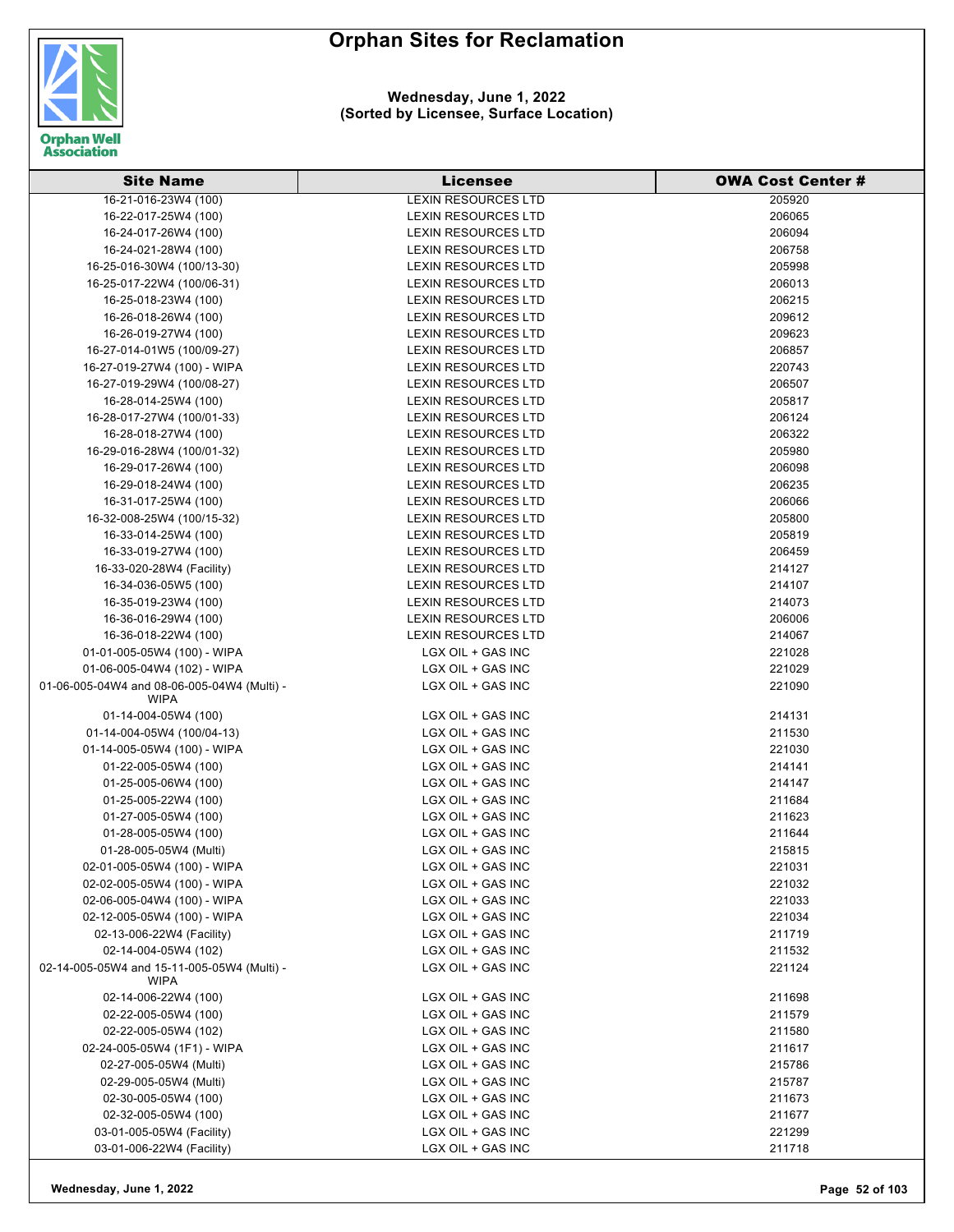

**Wednesday, June 1, 2022 (Sorted by Licensee, Surface Location)**

| <b>Site Name</b>                                           | <b>Licensee</b>            | <b>OWA Cost Center #</b> |
|------------------------------------------------------------|----------------------------|--------------------------|
| 16-21-016-23W4 (100)                                       | <b>LEXIN RESOURCES LTD</b> | 205920                   |
| 16-22-017-25W4 (100)                                       | <b>LEXIN RESOURCES LTD</b> | 206065                   |
| 16-24-017-26W4 (100)                                       | <b>LEXIN RESOURCES LTD</b> | 206094                   |
| 16-24-021-28W4 (100)                                       | <b>LEXIN RESOURCES LTD</b> | 206758                   |
| 16-25-016-30W4 (100/13-30)                                 | <b>LEXIN RESOURCES LTD</b> | 205998                   |
| 16-25-017-22W4 (100/06-31)                                 | <b>LEXIN RESOURCES LTD</b> | 206013                   |
| 16-25-018-23W4 (100)                                       | <b>LEXIN RESOURCES LTD</b> | 206215                   |
| 16-26-018-26W4 (100)                                       | <b>LEXIN RESOURCES LTD</b> | 209612                   |
| 16-26-019-27W4 (100)                                       | <b>LEXIN RESOURCES LTD</b> | 209623                   |
| 16-27-014-01W5 (100/09-27)                                 | <b>LEXIN RESOURCES LTD</b> | 206857                   |
| 16-27-019-27W4 (100) - WIPA                                | LEXIN RESOURCES LTD        | 220743                   |
| 16-27-019-29W4 (100/08-27)                                 | <b>LEXIN RESOURCES LTD</b> | 206507                   |
| 16-28-014-25W4 (100)                                       | <b>LEXIN RESOURCES LTD</b> | 205817                   |
| 16-28-017-27W4 (100/01-33)                                 | LEXIN RESOURCES LTD        | 206124                   |
| 16-28-018-27W4 (100)                                       | LEXIN RESOURCES LTD        | 206322                   |
| 16-29-016-28W4 (100/01-32)                                 | <b>LEXIN RESOURCES LTD</b> | 205980                   |
| 16-29-017-26W4 (100)                                       | <b>LEXIN RESOURCES LTD</b> | 206098                   |
| 16-29-018-24W4 (100)                                       | <b>LEXIN RESOURCES LTD</b> | 206235                   |
| 16-31-017-25W4 (100)                                       | LEXIN RESOURCES LTD        | 206066                   |
| 16-32-008-25W4 (100/15-32)                                 | <b>LEXIN RESOURCES LTD</b> | 205800                   |
| 16-33-014-25W4 (100)                                       | <b>LEXIN RESOURCES LTD</b> | 205819                   |
| 16-33-019-27W4 (100)                                       | <b>LEXIN RESOURCES LTD</b> | 206459                   |
| 16-33-020-28W4 (Facility)                                  | LEXIN RESOURCES LTD        | 214127                   |
| 16-34-036-05W5 (100)                                       | <b>LEXIN RESOURCES LTD</b> | 214107                   |
| 16-35-019-23W4 (100)                                       | <b>LEXIN RESOURCES LTD</b> | 214073                   |
| 16-36-016-29W4 (100)                                       | <b>LEXIN RESOURCES LTD</b> | 206006                   |
| 16-36-018-22W4 (100)                                       | LEXIN RESOURCES LTD        | 214067                   |
| 01-01-005-05W4 (100) - WIPA                                | LGX OIL + GAS INC          | 221028                   |
| 01-06-005-04W4 (102) - WIPA                                | LGX OIL + GAS INC          | 221029                   |
| 01-06-005-04W4 and 08-06-005-04W4 (Multi) -<br><b>WIPA</b> | LGX OIL + GAS INC          | 221090                   |
| 01-14-004-05W4 (100)                                       | LGX OIL + GAS INC          | 214131                   |
| 01-14-004-05W4 (100/04-13)                                 | LGX OIL + GAS INC          | 211530                   |
| 01-14-005-05W4 (100) - WIPA                                | LGX OIL + GAS INC          | 221030                   |
| 01-22-005-05W4 (100)                                       | LGX OIL + GAS INC          | 214141                   |
| 01-25-005-06W4 (100)                                       | LGX OIL + GAS INC          | 214147                   |
| 01-25-005-22W4 (100)                                       | LGX OIL + GAS INC          | 211684                   |
| 01-27-005-05W4 (100)                                       | LGX OIL + GAS INC          | 211623                   |
| 01-28-005-05W4 (100)                                       | LGX OIL + GAS INC          | 211644                   |
| 01-28-005-05W4 (Multi)                                     | LGX OIL + GAS INC          | 215815                   |
| 02-01-005-05W4 (100) - WIPA                                | LGX OIL + GAS INC          | 221031                   |
| 02-02-005-05W4 (100) - WIPA                                | LGX OIL + GAS INC          | 221032                   |
| 02-06-005-04W4 (100) - WIPA                                | LGX OIL + GAS INC          | 221033                   |
| 02-12-005-05W4 (100) - WIPA                                | LGX OIL + GAS INC          | 221034                   |
| 02-13-006-22W4 (Facility)                                  | LGX OIL + GAS INC          | 211719                   |
| 02-14-004-05W4 (102)                                       | LGX OIL + GAS INC          | 211532                   |
| 02-14-005-05W4 and 15-11-005-05W4 (Multi) -<br><b>WIPA</b> | LGX OIL + GAS INC          | 221124                   |
| 02-14-006-22W4 (100)                                       | LGX OIL + GAS INC          | 211698                   |
| 02-22-005-05W4 (100)                                       | LGX OIL + GAS INC          | 211579                   |
| 02-22-005-05W4 (102)                                       | LGX OIL + GAS INC          | 211580                   |
| 02-24-005-05W4 (1F1) - WIPA                                | LGX OIL + GAS INC          | 211617                   |
| 02-27-005-05W4 (Multi)                                     | LGX OIL + GAS INC          | 215786                   |
| 02-29-005-05W4 (Multi)                                     | LGX OIL + GAS INC          | 215787                   |
| 02-30-005-05W4 (100)                                       | LGX OIL + GAS INC          | 211673                   |
| 02-32-005-05W4 (100)                                       | LGX OIL + GAS INC          | 211677                   |
| 03-01-005-05W4 (Facility)                                  | LGX OIL + GAS INC          | 221299                   |
| 03-01-006-22W4 (Facility)                                  | LGX OIL + GAS INC          | 211718                   |

**Wednesday, June 1, 2022 Page 52 of 103**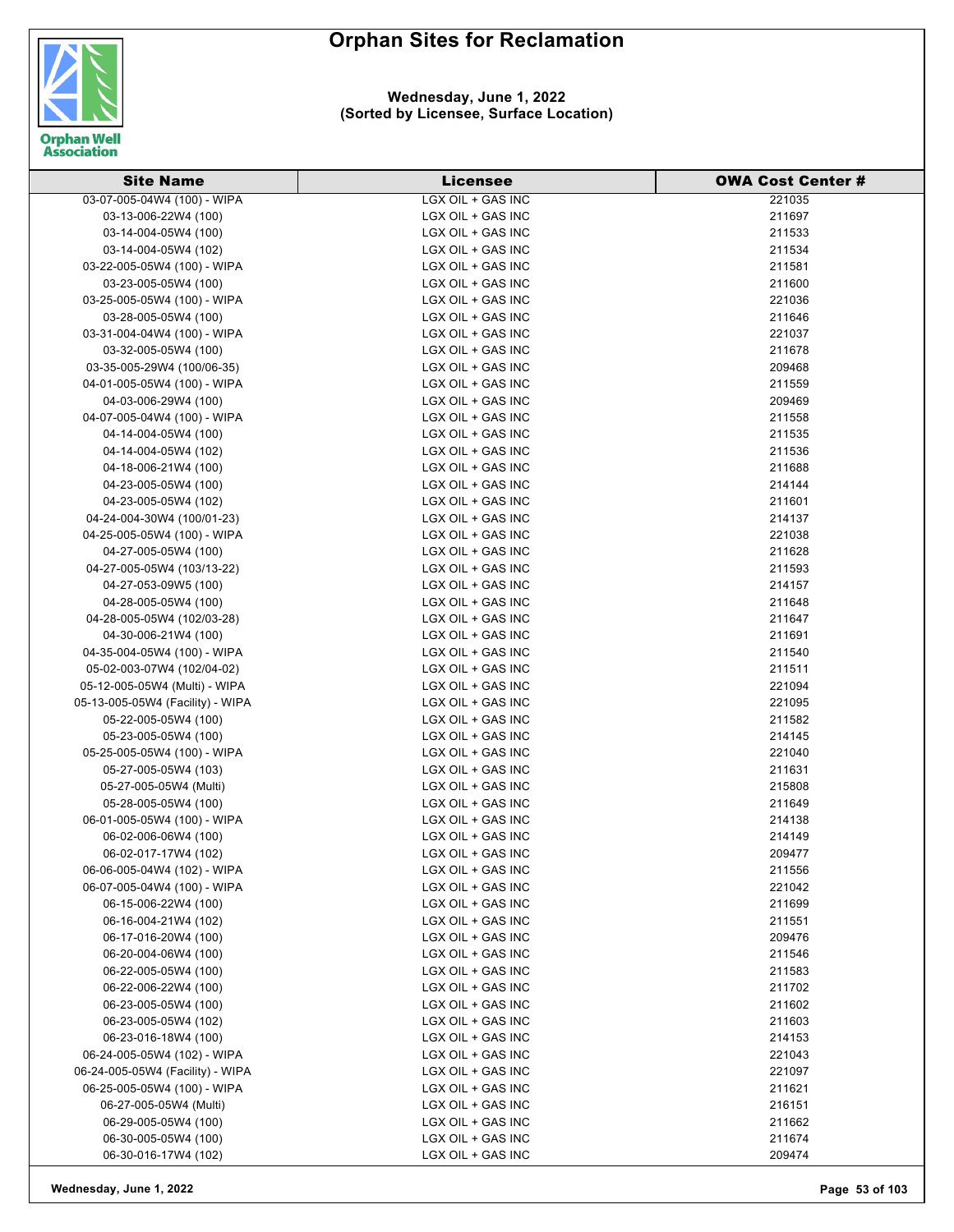



#### **Wednesday, June 1, 2022 (Sorted by Licensee, Surface Location)**

| <b>Site Name</b>                                      | <b>Licensee</b>                        | <b>OWA Cost Center #</b> |
|-------------------------------------------------------|----------------------------------------|--------------------------|
| 03-07-005-04W4 (100) - WIPA                           | LGX OIL + GAS INC                      | 221035                   |
| 03-13-006-22W4 (100)                                  | LGX OIL + GAS INC                      | 211697                   |
| 03-14-004-05W4 (100)                                  | LGX OIL + GAS INC                      | 211533                   |
| 03-14-004-05W4 (102)                                  | LGX OIL + GAS INC                      | 211534                   |
| 03-22-005-05W4 (100) - WIPA                           | LGX OIL + GAS INC                      | 211581                   |
| 03-23-005-05W4 (100)                                  | LGX OIL + GAS INC                      | 211600                   |
| 03-25-005-05W4 (100) - WIPA                           | LGX OIL + GAS INC                      | 221036                   |
| 03-28-005-05W4 (100)                                  | LGX OIL + GAS INC                      | 211646                   |
| 03-31-004-04W4 (100) - WIPA                           | LGX OIL + GAS INC                      | 221037                   |
| 03-32-005-05W4 (100)                                  | LGX OIL + GAS INC                      | 211678                   |
| 03-35-005-29W4 (100/06-35)                            | LGX OIL + GAS INC                      | 209468                   |
| 04-01-005-05W4 (100) - WIPA                           | LGX OIL + GAS INC                      | 211559                   |
| 04-03-006-29W4 (100)                                  | LGX OIL + GAS INC                      | 209469                   |
| 04-07-005-04W4 (100) - WIPA                           | LGX OIL + GAS INC                      | 211558                   |
| 04-14-004-05W4 (100)                                  | LGX OIL + GAS INC                      | 211535                   |
| 04-14-004-05W4 (102)                                  | LGX OIL + GAS INC                      | 211536                   |
| 04-18-006-21W4 (100)                                  | LGX OIL + GAS INC                      | 211688                   |
| 04-23-005-05W4 (100)                                  | LGX OIL + GAS INC                      | 214144                   |
| 04-23-005-05W4 (102)                                  | LGX OIL + GAS INC                      | 211601                   |
| 04-24-004-30W4 (100/01-23)                            | LGX OIL + GAS INC                      | 214137                   |
| 04-25-005-05W4 (100) - WIPA                           | LGX OIL + GAS INC                      | 221038                   |
| 04-27-005-05W4 (100)                                  | LGX OIL + GAS INC                      | 211628                   |
| 04-27-005-05W4 (103/13-22)                            | LGX OIL + GAS INC                      | 211593                   |
| 04-27-053-09W5 (100)                                  | LGX OIL + GAS INC                      | 214157                   |
| 04-28-005-05W4 (100)                                  | LGX OIL + GAS INC                      | 211648                   |
| 04-28-005-05W4 (102/03-28)                            | LGX OIL + GAS INC                      | 211647                   |
| 04-30-006-21W4 (100)                                  | LGX OIL + GAS INC                      | 211691                   |
| 04-35-004-05W4 (100) - WIPA                           | LGX OIL + GAS INC                      | 211540                   |
| 05-02-003-07W4 (102/04-02)                            | LGX OIL + GAS INC                      | 211511                   |
| 05-12-005-05W4 (Multi) - WIPA                         | LGX OIL + GAS INC                      | 221094                   |
| 05-13-005-05W4 (Facility) - WIPA                      | LGX OIL + GAS INC                      | 221095                   |
| 05-22-005-05W4 (100)                                  | LGX OIL + GAS INC                      | 211582                   |
| 05-23-005-05W4 (100)                                  | LGX OIL + GAS INC                      | 214145                   |
| 05-25-005-05W4 (100) - WIPA                           | LGX OIL + GAS INC                      | 221040                   |
| 05-27-005-05W4 (103)                                  | LGX OIL + GAS INC                      | 211631                   |
| 05-27-005-05W4 (Multi)                                | LGX OIL + GAS INC                      | 215808                   |
| 05-28-005-05W4 (100)                                  | LGX OIL + GAS INC                      | 211649                   |
| 06-01-005-05W4 (100) - WIPA                           | LGX OIL + GAS INC                      | 214138                   |
| 06-02-006-06W4 (100)                                  | LGX OIL + GAS INC                      | 214149                   |
| 06-02-017-17W4 (102)                                  | LGX OIL + GAS INC                      | 209477                   |
| 06-06-005-04W4 (102) - WIPA                           | LGX OIL + GAS INC                      | 211556                   |
| 06-07-005-04W4 (100) - WIPA                           | LGX OIL + GAS INC                      | 221042                   |
| 06-15-006-22W4 (100)                                  | LGX OIL + GAS INC                      | 211699                   |
| 06-16-004-21W4 (102)                                  | LGX OIL + GAS INC                      | 211551                   |
| 06-17-016-20W4 (100)                                  | LGX OIL + GAS INC                      | 209476                   |
| 06-20-004-06W4 (100)                                  | LGX OIL + GAS INC                      | 211546                   |
| 06-22-005-05W4 (100)                                  | LGX OIL + GAS INC                      | 211583                   |
| 06-22-006-22W4 (100)                                  | LGX OIL + GAS INC                      | 211702                   |
| 06-23-005-05W4 (100)                                  | LGX OIL + GAS INC                      | 211602                   |
| 06-23-005-05W4 (102)                                  | LGX OIL + GAS INC                      | 211603                   |
| 06-23-016-18W4 (100)                                  | LGX OIL + GAS INC                      | 214153                   |
| 06-24-005-05W4 (102) - WIPA                           | LGX OIL + GAS INC                      | 221043                   |
| 06-24-005-05W4 (Facility) - WIPA                      | LGX OIL + GAS INC                      | 221097                   |
| 06-25-005-05W4 (100) - WIPA<br>06-27-005-05W4 (Multi) | LGX OIL + GAS INC<br>LGX OIL + GAS INC | 211621<br>216151         |
| 06-29-005-05W4 (100)                                  | LGX OIL + GAS INC                      | 211662                   |
| 06-30-005-05W4 (100)                                  | LGX OIL + GAS INC                      | 211674                   |
| 06-30-016-17W4 (102)                                  | LGX OIL + GAS INC                      | 209474                   |
|                                                       |                                        |                          |

**Wednesday, June 1, 2022 Page 53 of 103**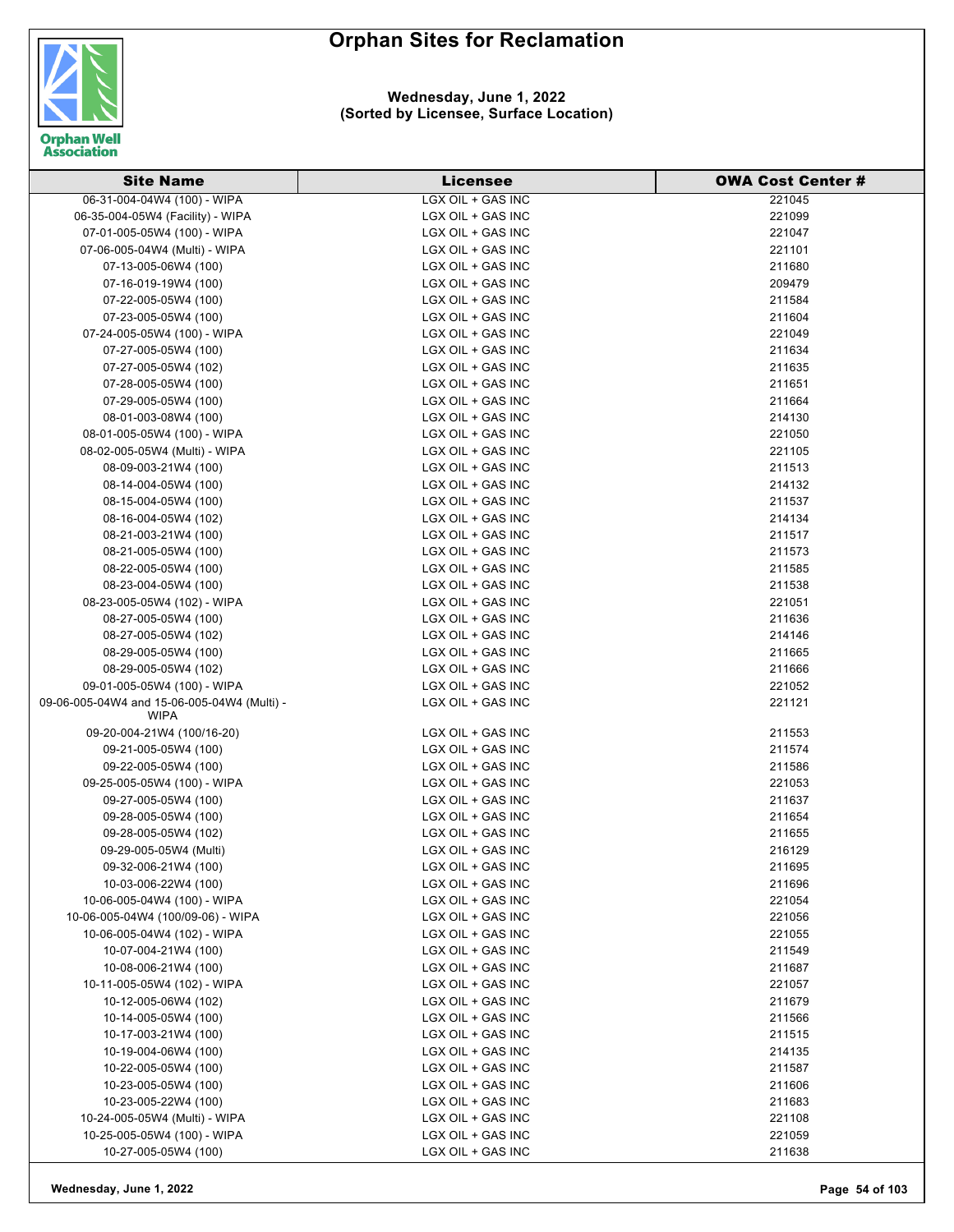

#### **Wednesday, June 1, 2022 (Sorted by Licensee, Surface Location)**

| <b>Site Name</b>                            | <b>Licensee</b>   | <b>OWA Cost Center #</b> |
|---------------------------------------------|-------------------|--------------------------|
| 06-31-004-04W4 (100) - WIPA                 | LGX OIL + GAS INC | 221045                   |
| 06-35-004-05W4 (Facility) - WIPA            | LGX OIL + GAS INC | 221099                   |
| 07-01-005-05W4 (100) - WIPA                 | LGX OIL + GAS INC | 221047                   |
| 07-06-005-04W4 (Multi) - WIPA               | LGX OIL + GAS INC | 221101                   |
| 07-13-005-06W4 (100)                        | LGX OIL + GAS INC | 211680                   |
| 07-16-019-19W4 (100)                        | LGX OIL + GAS INC | 209479                   |
| 07-22-005-05W4 (100)                        | LGX OIL + GAS INC | 211584                   |
| 07-23-005-05W4 (100)                        | LGX OIL + GAS INC | 211604                   |
| 07-24-005-05W4 (100) - WIPA                 | LGX OIL + GAS INC | 221049                   |
| 07-27-005-05W4 (100)                        | LGX OIL + GAS INC | 211634                   |
| 07-27-005-05W4 (102)                        | LGX OIL + GAS INC | 211635                   |
| 07-28-005-05W4 (100)                        | LGX OIL + GAS INC | 211651                   |
| 07-29-005-05W4 (100)                        | LGX OIL + GAS INC | 211664                   |
| 08-01-003-08W4 (100)                        | LGX OIL + GAS INC | 214130                   |
| 08-01-005-05W4 (100) - WIPA                 | LGX OIL + GAS INC | 221050                   |
| 08-02-005-05W4 (Multi) - WIPA               | LGX OIL + GAS INC | 221105                   |
| 08-09-003-21W4 (100)                        | LGX OIL + GAS INC | 211513                   |
| 08-14-004-05W4 (100)                        | LGX OIL + GAS INC | 214132                   |
| 08-15-004-05W4 (100)                        | LGX OIL + GAS INC | 211537                   |
| 08-16-004-05W4 (102)                        | LGX OIL + GAS INC | 214134                   |
| 08-21-003-21W4 (100)                        | LGX OIL + GAS INC | 211517                   |
| 08-21-005-05W4 (100)                        | LGX OIL + GAS INC | 211573                   |
| 08-22-005-05W4 (100)                        | LGX OIL + GAS INC | 211585                   |
| 08-23-004-05W4 (100)                        | LGX OIL + GAS INC | 211538                   |
| 08-23-005-05W4 (102) - WIPA                 | LGX OIL + GAS INC | 221051                   |
| 08-27-005-05W4 (100)                        | LGX OIL + GAS INC | 211636                   |
| 08-27-005-05W4 (102)                        | LGX OIL + GAS INC | 214146                   |
| 08-29-005-05W4 (100)                        | LGX OIL + GAS INC | 211665                   |
| 08-29-005-05W4 (102)                        | LGX OIL + GAS INC | 211666                   |
| 09-01-005-05W4 (100) - WIPA                 | LGX OIL + GAS INC | 221052                   |
| 09-06-005-04W4 and 15-06-005-04W4 (Multi) - | LGX OIL + GAS INC | 221121                   |
| WIPA                                        |                   |                          |
| 09-20-004-21W4 (100/16-20)                  | LGX OIL + GAS INC | 211553                   |
| 09-21-005-05W4 (100)                        | LGX OIL + GAS INC | 211574                   |
| 09-22-005-05W4 (100)                        | LGX OIL + GAS INC | 211586                   |
| 09-25-005-05W4 (100) - WIPA                 | LGX OIL + GAS INC | 221053                   |
| 09-27-005-05W4 (100)                        | LGX OIL + GAS INC | 211637                   |
| 09-28-005-05W4 (100)                        | LGX OIL + GAS INC | 211654                   |
| 09-28-005-05W4 (102)                        | LGX OIL + GAS INC | 211655                   |
| 09-29-005-05W4 (Multi)                      | LGX OIL + GAS INC | 216129                   |
| 09-32-006-21W4 (100)                        | LGX OIL + GAS INC | 211695                   |
| 10-03-006-22W4 (100)                        | LGX OIL + GAS INC | 211696                   |
| 10-06-005-04W4 (100) - WIPA                 | LGX OIL + GAS INC | 221054                   |
| 10-06-005-04W4 (100/09-06) - WIPA           | LGX OIL + GAS INC | 221056                   |
| 10-06-005-04W4 (102) - WIPA                 | LGX OIL + GAS INC | 221055                   |
| 10-07-004-21W4 (100)                        | LGX OIL + GAS INC | 211549                   |
| 10-08-006-21W4 (100)                        | LGX OIL + GAS INC | 211687                   |
| 10-11-005-05W4 (102) - WIPA                 | LGX OIL + GAS INC | 221057                   |
| 10-12-005-06W4 (102)                        | LGX OIL + GAS INC | 211679                   |
| 10-14-005-05W4 (100)                        | LGX OIL + GAS INC | 211566                   |
| 10-17-003-21W4 (100)                        | LGX OIL + GAS INC | 211515                   |
| 10-19-004-06W4 (100)                        | LGX OIL + GAS INC | 214135                   |
| 10-22-005-05W4 (100)                        | LGX OIL + GAS INC | 211587                   |
| 10-23-005-05W4 (100)                        | LGX OIL + GAS INC | 211606                   |
| 10-23-005-22W4 (100)                        | LGX OIL + GAS INC | 211683                   |
| 10-24-005-05W4 (Multi) - WIPA               | LGX OIL + GAS INC | 221108                   |
| 10-25-005-05W4 (100) - WIPA                 | LGX OIL + GAS INC | 221059                   |
| 10-27-005-05W4 (100)                        | LGX OIL + GAS INC | 211638                   |

**Wednesday, June 1, 2022 Page 54 of 103**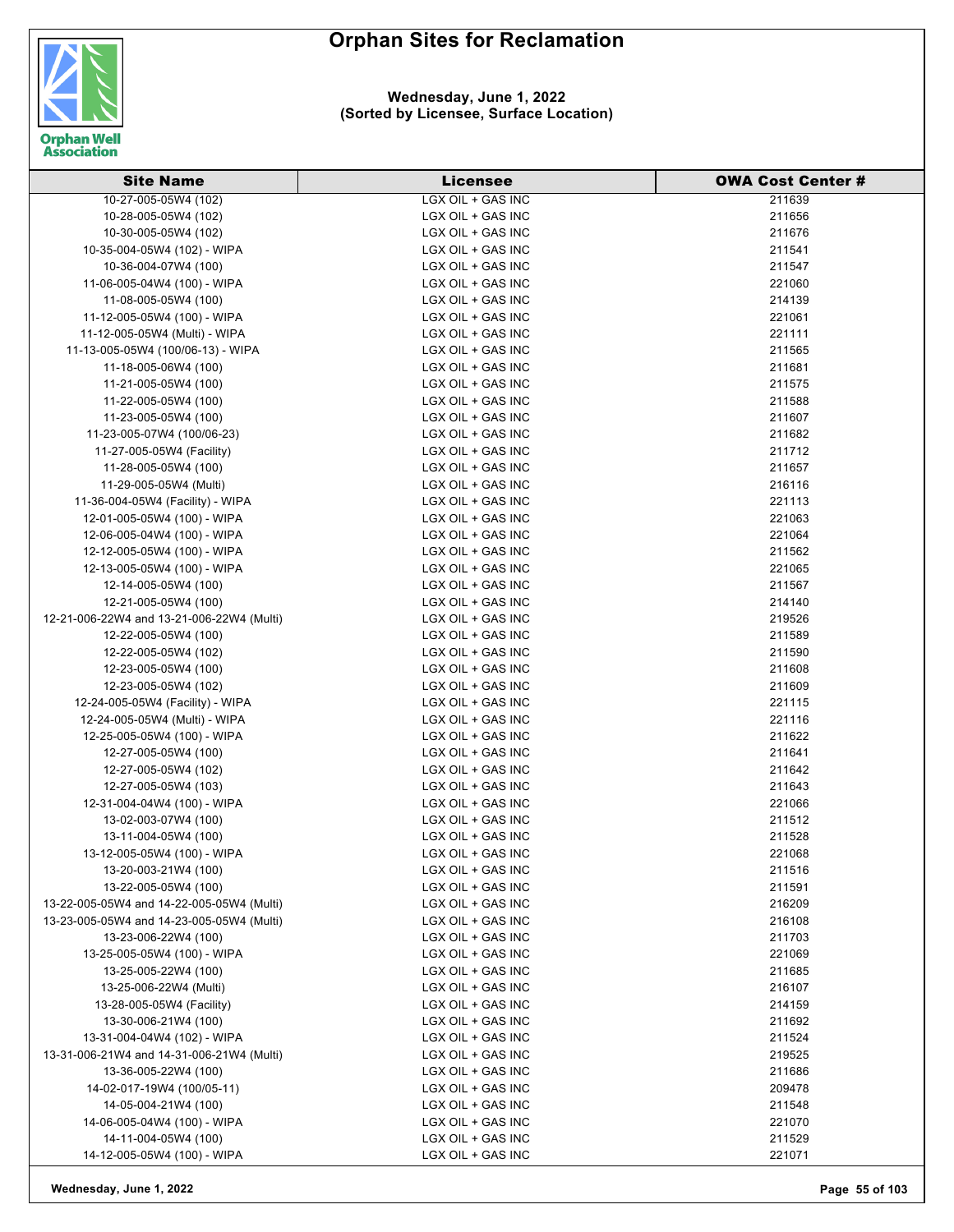



#### **Wednesday, June 1, 2022 (Sorted by Licensee, Surface Location)**

| <b>Site Name</b>                          | <b>Licensee</b>   | <b>OWA Cost Center#</b> |
|-------------------------------------------|-------------------|-------------------------|
| 10-27-005-05W4 (102)                      | LGX OIL + GAS INC | 211639                  |
| 10-28-005-05W4 (102)                      | LGX OIL + GAS INC | 211656                  |
| 10-30-005-05W4 (102)                      | LGX OIL + GAS INC | 211676                  |
| 10-35-004-05W4 (102) - WIPA               | LGX OIL + GAS INC | 211541                  |
| 10-36-004-07W4 (100)                      | LGX OIL + GAS INC | 211547                  |
| 11-06-005-04W4 (100) - WIPA               | LGX OIL + GAS INC | 221060                  |
| 11-08-005-05W4 (100)                      | LGX OIL + GAS INC | 214139                  |
| 11-12-005-05W4 (100) - WIPA               | LGX OIL + GAS INC | 221061                  |
| 11-12-005-05W4 (Multi) - WIPA             | LGX OIL + GAS INC | 221111                  |
| 11-13-005-05W4 (100/06-13) - WIPA         | LGX OIL + GAS INC | 211565                  |
| 11-18-005-06W4 (100)                      | LGX OIL + GAS INC | 211681                  |
| 11-21-005-05W4 (100)                      | LGX OIL + GAS INC | 211575                  |
| 11-22-005-05W4 (100)                      | LGX OIL + GAS INC | 211588                  |
| 11-23-005-05W4 (100)                      | LGX OIL + GAS INC | 211607                  |
| 11-23-005-07W4 (100/06-23)                | LGX OIL + GAS INC | 211682                  |
| 11-27-005-05W4 (Facility)                 | LGX OIL + GAS INC | 211712                  |
| 11-28-005-05W4 (100)                      | LGX OIL + GAS INC | 211657                  |
| 11-29-005-05W4 (Multi)                    | LGX OIL + GAS INC | 216116                  |
| 11-36-004-05W4 (Facility) - WIPA          | LGX OIL + GAS INC | 221113                  |
| 12-01-005-05W4 (100) - WIPA               | LGX OIL + GAS INC | 221063                  |
| 12-06-005-04W4 (100) - WIPA               | LGX OIL + GAS INC | 221064                  |
| 12-12-005-05W4 (100) - WIPA               | LGX OIL + GAS INC | 211562                  |
| 12-13-005-05W4 (100) - WIPA               | LGX OIL + GAS INC | 221065                  |
| 12-14-005-05W4 (100)                      | LGX OIL + GAS INC | 211567                  |
| 12-21-005-05W4 (100)                      | LGX OIL + GAS INC | 214140                  |
| 12-21-006-22W4 and 13-21-006-22W4 (Multi) | LGX OIL + GAS INC | 219526                  |
| 12-22-005-05W4 (100)                      | LGX OIL + GAS INC | 211589                  |
| 12-22-005-05W4 (102)                      | LGX OIL + GAS INC | 211590                  |
| 12-23-005-05W4 (100)                      | LGX OIL + GAS INC | 211608                  |
| 12-23-005-05W4 (102)                      | LGX OIL + GAS INC | 211609                  |
| 12-24-005-05W4 (Facility) - WIPA          | LGX OIL + GAS INC | 221115                  |
| 12-24-005-05W4 (Multi) - WIPA             | LGX OIL + GAS INC | 221116                  |
| 12-25-005-05W4 (100) - WIPA               | LGX OIL + GAS INC | 211622                  |
| 12-27-005-05W4 (100)                      | LGX OIL + GAS INC | 211641                  |
| 12-27-005-05W4 (102)                      | LGX OIL + GAS INC | 211642                  |
| 12-27-005-05W4 (103)                      | LGX OIL + GAS INC | 211643                  |
| 12-31-004-04W4 (100) - WIPA               | LGX OIL + GAS INC | 221066                  |
| 13-02-003-07W4 (100)                      | LGX OIL + GAS INC | 211512                  |
| 13-11-004-05W4 (100)                      | LGX OIL + GAS INC | 211528                  |
| 13-12-005-05W4 (100) - WIPA               | LGX OIL + GAS INC | 221068                  |
| 13-20-003-21W4 (100)                      | LGX OIL + GAS INC | 211516                  |
| 13-22-005-05W4 (100)                      | LGX OIL + GAS INC | 211591                  |
| 13-22-005-05W4 and 14-22-005-05W4 (Multi) | LGX OIL + GAS INC | 216209                  |
| 13-23-005-05W4 and 14-23-005-05W4 (Multi) | LGX OIL + GAS INC | 216108                  |
| 13-23-006-22W4 (100)                      | LGX OIL + GAS INC | 211703                  |
| 13-25-005-05W4 (100) - WIPA               | LGX OIL + GAS INC | 221069                  |
| 13-25-005-22W4 (100)                      | LGX OIL + GAS INC | 211685                  |
| 13-25-006-22W4 (Multi)                    | LGX OIL + GAS INC | 216107                  |
| 13-28-005-05W4 (Facility)                 | LGX OIL + GAS INC | 214159                  |
|                                           | LGX OIL + GAS INC |                         |
| 13-30-006-21W4 (100)                      |                   | 211692                  |
| 13-31-004-04W4 (102) - WIPA               | LGX OIL + GAS INC | 211524                  |
| 13-31-006-21W4 and 14-31-006-21W4 (Multi) | LGX OIL + GAS INC | 219525                  |
| 13-36-005-22W4 (100)                      | LGX OIL + GAS INC | 211686                  |
| 14-02-017-19W4 (100/05-11)                | LGX OIL + GAS INC | 209478                  |
| 14-05-004-21W4 (100)                      | LGX OIL + GAS INC | 211548                  |
| 14-06-005-04W4 (100) - WIPA               | LGX OIL + GAS INC | 221070                  |
| 14-11-004-05W4 (100)                      | LGX OIL + GAS INC | 211529                  |
| 14-12-005-05W4 (100) - WIPA               | LGX OIL + GAS INC | 221071                  |

**Wednesday, June 1, 2022 Page 55 of 103**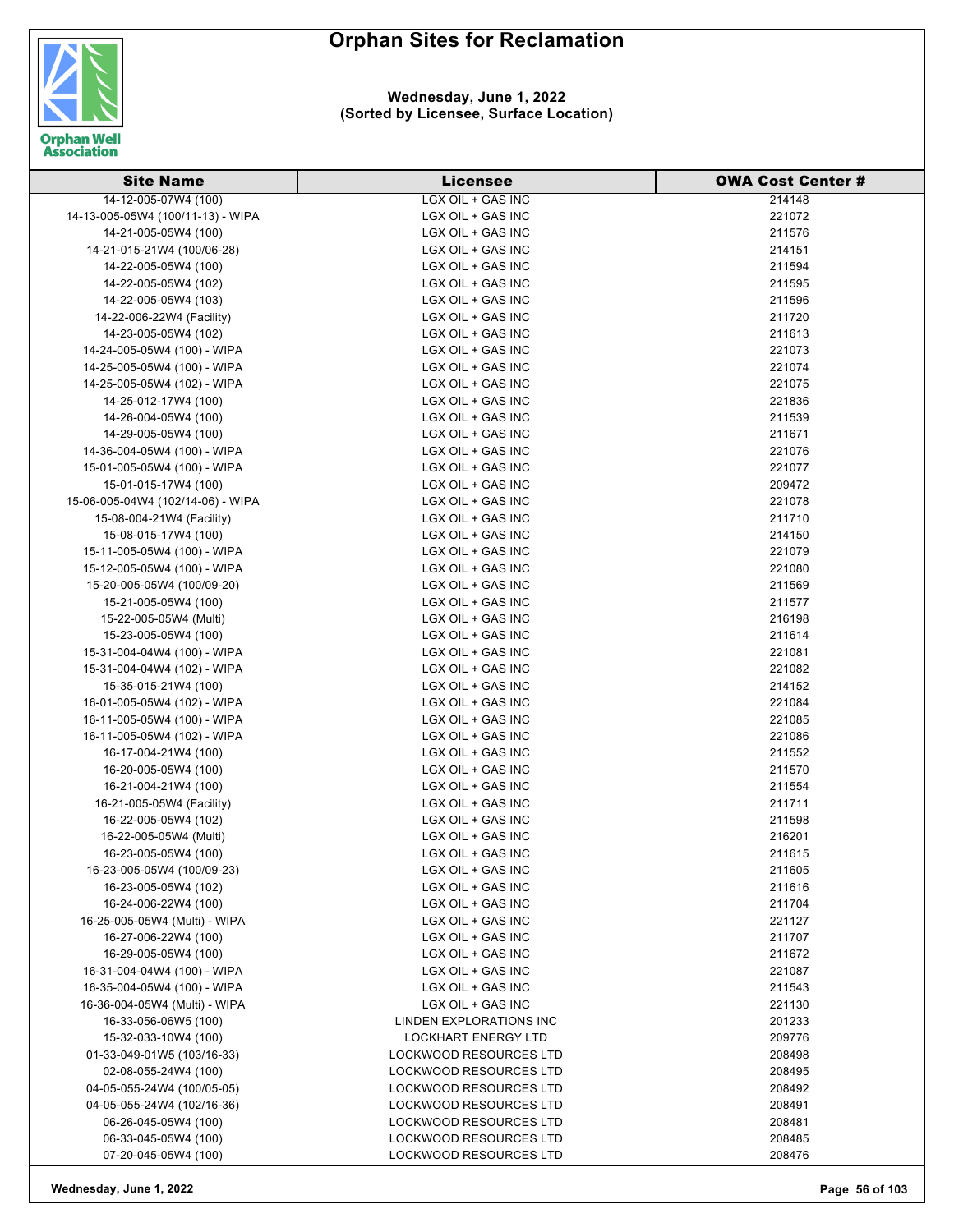

#### **Wednesday, June 1, 2022 (Sorted by Licensee, Surface Location)**

| <b>Site Name</b>                  | <b>Licensee</b>               | <b>OWA Cost Center#</b> |
|-----------------------------------|-------------------------------|-------------------------|
| 14-12-005-07W4 (100)              | LGX OIL + GAS INC             | 214148                  |
| 14-13-005-05W4 (100/11-13) - WIPA | LGX OIL + GAS INC             | 221072                  |
| 14-21-005-05W4 (100)              | LGX OIL + GAS INC             | 211576                  |
| 14-21-015-21W4 (100/06-28)        | LGX OIL + GAS INC             | 214151                  |
| 14-22-005-05W4 (100)              | LGX OIL + GAS INC             | 211594                  |
| 14-22-005-05W4 (102)              | LGX OIL + GAS INC             | 211595                  |
| 14-22-005-05W4 (103)              | LGX OIL + GAS INC             | 211596                  |
| 14-22-006-22W4 (Facility)         | LGX OIL + GAS INC             | 211720                  |
| 14-23-005-05W4 (102)              | LGX OIL + GAS INC             | 211613                  |
| 14-24-005-05W4 (100) - WIPA       | LGX OIL + GAS INC             | 221073                  |
| 14-25-005-05W4 (100) - WIPA       | LGX OIL + GAS INC             | 221074                  |
| 14-25-005-05W4 (102) - WIPA       | LGX OIL + GAS INC             | 221075                  |
| 14-25-012-17W4 (100)              | LGX OIL + GAS INC             | 221836                  |
| 14-26-004-05W4 (100)              | LGX OIL + GAS INC             | 211539                  |
| 14-29-005-05W4 (100)              | LGX OIL + GAS INC             | 211671                  |
| 14-36-004-05W4 (100) - WIPA       | LGX OIL + GAS INC             | 221076                  |
| 15-01-005-05W4 (100) - WIPA       | LGX OIL + GAS INC             | 221077                  |
| 15-01-015-17W4 (100)              | LGX OIL + GAS INC             | 209472                  |
| 15-06-005-04W4 (102/14-06) - WIPA | LGX OIL + GAS INC             | 221078                  |
| 15-08-004-21W4 (Facility)         | LGX OIL + GAS INC             | 211710                  |
| 15-08-015-17W4 (100)              | LGX OIL + GAS INC             | 214150                  |
| 15-11-005-05W4 (100) - WIPA       | LGX OIL + GAS INC             | 221079                  |
| 15-12-005-05W4 (100) - WIPA       | LGX OIL + GAS INC             | 221080                  |
| 15-20-005-05W4 (100/09-20)        | LGX OIL + GAS INC             | 211569                  |
| 15-21-005-05W4 (100)              | LGX OIL + GAS INC             | 211577                  |
| 15-22-005-05W4 (Multi)            | LGX OIL + GAS INC             | 216198                  |
| 15-23-005-05W4 (100)              | LGX OIL + GAS INC             | 211614                  |
| 15-31-004-04W4 (100) - WIPA       | LGX OIL + GAS INC             | 221081                  |
| 15-31-004-04W4 (102) - WIPA       | LGX OIL + GAS INC             | 221082                  |
| 15-35-015-21W4 (100)              | LGX OIL + GAS INC             | 214152                  |
| 16-01-005-05W4 (102) - WIPA       | LGX OIL + GAS INC             | 221084                  |
| 16-11-005-05W4 (100) - WIPA       | LGX OIL + GAS INC             | 221085                  |
| 16-11-005-05W4 (102) - WIPA       | LGX OIL + GAS INC             | 221086                  |
| 16-17-004-21W4 (100)              | LGX OIL + GAS INC             | 211552                  |
| 16-20-005-05W4 (100)              | LGX OIL + GAS INC             | 211570                  |
| 16-21-004-21W4 (100)              | LGX OIL + GAS INC             | 211554                  |
| 16-21-005-05W4 (Facility)         | LGX OIL + GAS INC             | 211711                  |
| 16-22-005-05W4 (102)              | LGX OIL + GAS INC             | 211598                  |
| 16-22-005-05W4 (Multi)            | LGX OIL + GAS INC             | 216201                  |
| 16-23-005-05W4 (100)              | LGX OIL + GAS INC             | 211615                  |
| 16-23-005-05W4 (100/09-23)        | LGX OIL + GAS INC             | 211605                  |
| 16-23-005-05W4 (102)              | LGX OIL + GAS INC             | 211616                  |
| 16-24-006-22W4 (100)              | LGX OIL + GAS INC             | 211704                  |
| 16-25-005-05W4 (Multi) - WIPA     | LGX OIL + GAS INC             | 221127                  |
| 16-27-006-22W4 (100)              | LGX OIL + GAS INC             | 211707                  |
| 16-29-005-05W4 (100)              | LGX OIL + GAS INC             | 211672                  |
| 16-31-004-04W4 (100) - WIPA       | LGX OIL + GAS INC             | 221087                  |
| 16-35-004-05W4 (100) - WIPA       | LGX OIL + GAS INC             | 211543                  |
| 16-36-004-05W4 (Multi) - WIPA     | LGX OIL + GAS INC             | 221130                  |
| 16-33-056-06W5 (100)              | LINDEN EXPLORATIONS INC       | 201233                  |
| 15-32-033-10W4 (100)              | <b>LOCKHART ENERGY LTD</b>    | 209776                  |
| 01-33-049-01W5 (103/16-33)        | LOCKWOOD RESOURCES LTD        | 208498                  |
| 02-08-055-24W4 (100)              | LOCKWOOD RESOURCES LTD        | 208495                  |
| 04-05-055-24W4 (100/05-05)        | LOCKWOOD RESOURCES LTD        | 208492                  |
| 04-05-055-24W4 (102/16-36)        | LOCKWOOD RESOURCES LTD        | 208491                  |
| 06-26-045-05W4 (100)              | LOCKWOOD RESOURCES LTD        | 208481                  |
| 06-33-045-05W4 (100)              | <b>LOCKWOOD RESOURCES LTD</b> | 208485                  |
| 07-20-045-05W4 (100)              | LOCKWOOD RESOURCES LTD        | 208476                  |

**Wednesday, June 1, 2022 Page 56 of 103**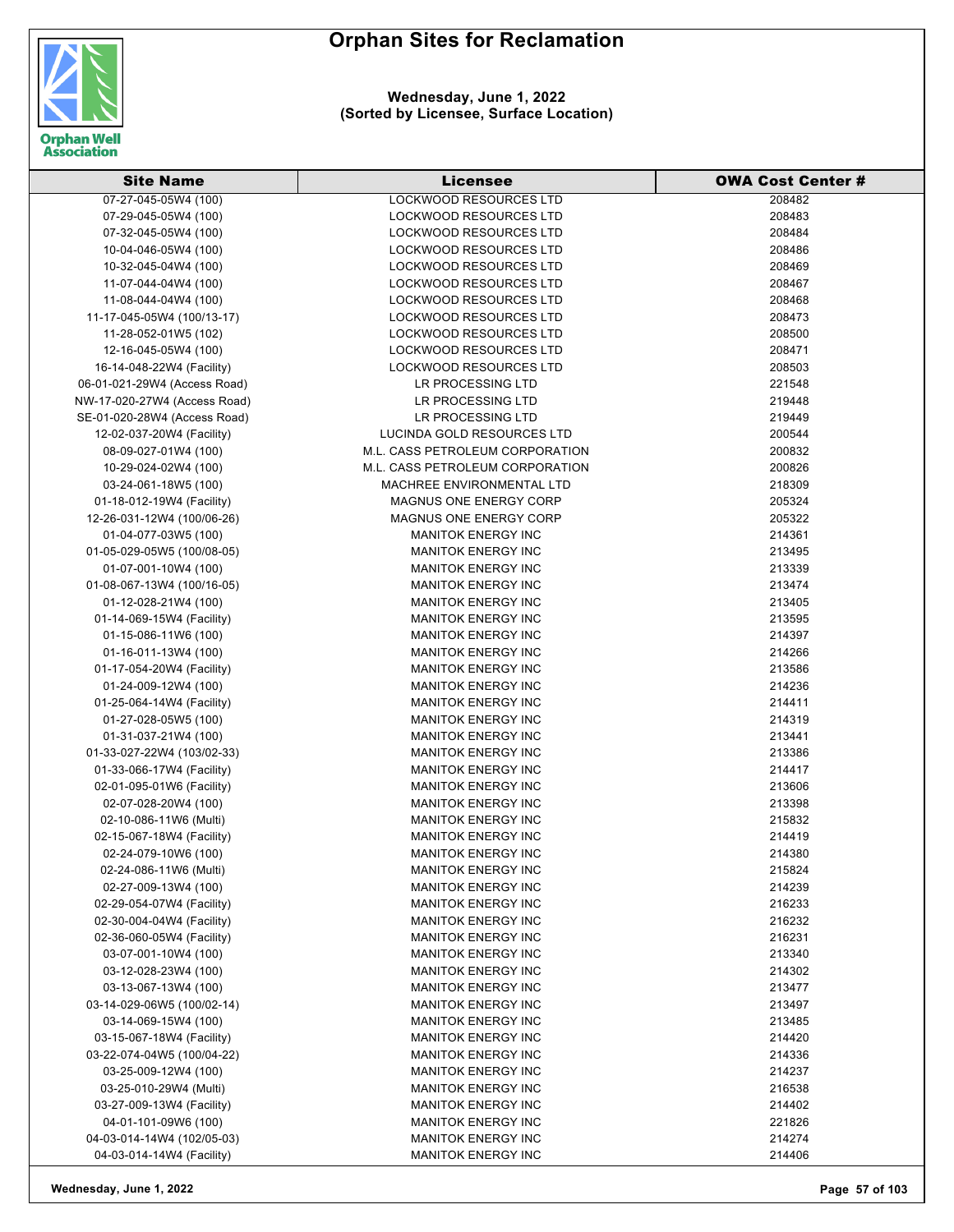

| <b>Site Name</b>                               | Licensee                        | <b>OWA Cost Center#</b> |
|------------------------------------------------|---------------------------------|-------------------------|
| 07-27-045-05W4 (100)                           | <b>LOCKWOOD RESOURCES LTD</b>   | 208482                  |
| 07-29-045-05W4 (100)                           | <b>LOCKWOOD RESOURCES LTD</b>   | 208483                  |
| 07-32-045-05W4 (100)                           | <b>LOCKWOOD RESOURCES LTD</b>   | 208484                  |
| 10-04-046-05W4 (100)                           | <b>LOCKWOOD RESOURCES LTD</b>   | 208486                  |
| 10-32-045-04W4 (100)                           | LOCKWOOD RESOURCES LTD          | 208469                  |
| 11-07-044-04W4 (100)                           | <b>LOCKWOOD RESOURCES LTD</b>   | 208467                  |
| 11-08-044-04W4 (100)                           | LOCKWOOD RESOURCES LTD          | 208468                  |
| 11-17-045-05W4 (100/13-17)                     | <b>LOCKWOOD RESOURCES LTD</b>   | 208473                  |
| 11-28-052-01W5 (102)                           | LOCKWOOD RESOURCES LTD          | 208500                  |
| 12-16-045-05W4 (100)                           | LOCKWOOD RESOURCES LTD          | 208471                  |
| 16-14-048-22W4 (Facility)                      | LOCKWOOD RESOURCES LTD          | 208503                  |
| 06-01-021-29W4 (Access Road)                   | LR PROCESSING LTD               | 221548                  |
| NW-17-020-27W4 (Access Road)                   | LR PROCESSING LTD               | 219448                  |
| SE-01-020-28W4 (Access Road)                   | LR PROCESSING LTD               | 219449                  |
| 12-02-037-20W4 (Facility)                      | LUCINDA GOLD RESOURCES LTD      | 200544                  |
| 08-09-027-01W4 (100)                           | M.L. CASS PETROLEUM CORPORATION | 200832                  |
| 10-29-024-02W4 (100)                           | M.L. CASS PETROLEUM CORPORATION | 200826                  |
| 03-24-061-18W5 (100)                           | MACHREE ENVIRONMENTAL LTD       | 218309                  |
| 01-18-012-19W4 (Facility)                      | MAGNUS ONE ENERGY CORP          | 205324                  |
| 12-26-031-12W4 (100/06-26)                     | MAGNUS ONE ENERGY CORP          | 205322                  |
| 01-04-077-03W5 (100)                           | <b>MANITOK ENERGY INC</b>       | 214361                  |
| 01-05-029-05W5 (100/08-05)                     | <b>MANITOK ENERGY INC</b>       | 213495                  |
| 01-07-001-10W4 (100)                           | <b>MANITOK ENERGY INC</b>       | 213339                  |
| 01-08-067-13W4 (100/16-05)                     | <b>MANITOK ENERGY INC</b>       | 213474                  |
| 01-12-028-21W4 (100)                           | <b>MANITOK ENERGY INC</b>       | 213405                  |
| 01-14-069-15W4 (Facility)                      | <b>MANITOK ENERGY INC</b>       | 213595                  |
| 01-15-086-11W6 (100)                           | <b>MANITOK ENERGY INC</b>       | 214397                  |
| 01-16-011-13W4 (100)                           | <b>MANITOK ENERGY INC</b>       | 214266                  |
| 01-17-054-20W4 (Facility)                      | <b>MANITOK ENERGY INC</b>       | 213586                  |
| 01-24-009-12W4 (100)                           | <b>MANITOK ENERGY INC</b>       | 214236                  |
| 01-25-064-14W4 (Facility)                      | <b>MANITOK ENERGY INC</b>       | 214411                  |
| 01-27-028-05W5 (100)                           | <b>MANITOK ENERGY INC</b>       | 214319                  |
| 01-31-037-21W4 (100)                           | <b>MANITOK ENERGY INC</b>       | 213441                  |
| 01-33-027-22W4 (103/02-33)                     | <b>MANITOK ENERGY INC</b>       | 213386                  |
| 01-33-066-17W4 (Facility)                      | <b>MANITOK ENERGY INC</b>       | 214417                  |
| 02-01-095-01W6 (Facility)                      | <b>MANITOK ENERGY INC</b>       | 213606                  |
| 02-07-028-20W4 (100)                           | <b>MANITOK ENERGY INC</b>       | 213398                  |
| 02-10-086-11W6 (Multi)                         | <b>MANITOK ENERGY INC</b>       |                         |
| 02-15-067-18W4 (Facility)                      | <b>MANITOK ENERGY INC</b>       | 215832<br>214419        |
|                                                |                                 |                         |
| 02-24-079-10W6 (100)<br>02-24-086-11W6 (Multi) | MANITOK ENERGY INC              | 214380<br>215824        |
|                                                | <b>MANITOK ENERGY INC</b>       |                         |
| 02-27-009-13W4 (100)                           | <b>MANITOK ENERGY INC</b>       | 214239                  |
| 02-29-054-07W4 (Facility)                      | <b>MANITOK ENERGY INC</b>       | 216233                  |
| 02-30-004-04W4 (Facility)                      | <b>MANITOK ENERGY INC</b>       | 216232                  |
| 02-36-060-05W4 (Facility)                      | <b>MANITOK ENERGY INC</b>       | 216231                  |
| 03-07-001-10W4 (100)                           | <b>MANITOK ENERGY INC</b>       | 213340                  |
| 03-12-028-23W4 (100)                           | <b>MANITOK ENERGY INC</b>       | 214302                  |
| 03-13-067-13W4 (100)                           | <b>MANITOK ENERGY INC</b>       | 213477                  |
| 03-14-029-06W5 (100/02-14)                     | <b>MANITOK ENERGY INC</b>       | 213497                  |
| 03-14-069-15W4 (100)                           | <b>MANITOK ENERGY INC</b>       | 213485                  |
| 03-15-067-18W4 (Facility)                      | <b>MANITOK ENERGY INC</b>       | 214420                  |
| 03-22-074-04W5 (100/04-22)                     | MANITOK ENERGY INC              | 214336                  |
| 03-25-009-12W4 (100)                           | <b>MANITOK ENERGY INC</b>       | 214237                  |
| 03-25-010-29W4 (Multi)                         | <b>MANITOK ENERGY INC</b>       | 216538                  |
| 03-27-009-13W4 (Facility)                      | <b>MANITOK ENERGY INC</b>       | 214402                  |
| 04-01-101-09W6 (100)                           | <b>MANITOK ENERGY INC</b>       | 221826                  |
| 04-03-014-14W4 (102/05-03)                     | <b>MANITOK ENERGY INC</b>       | 214274                  |
| 04-03-014-14W4 (Facility)                      | <b>MANITOK ENERGY INC</b>       | 214406                  |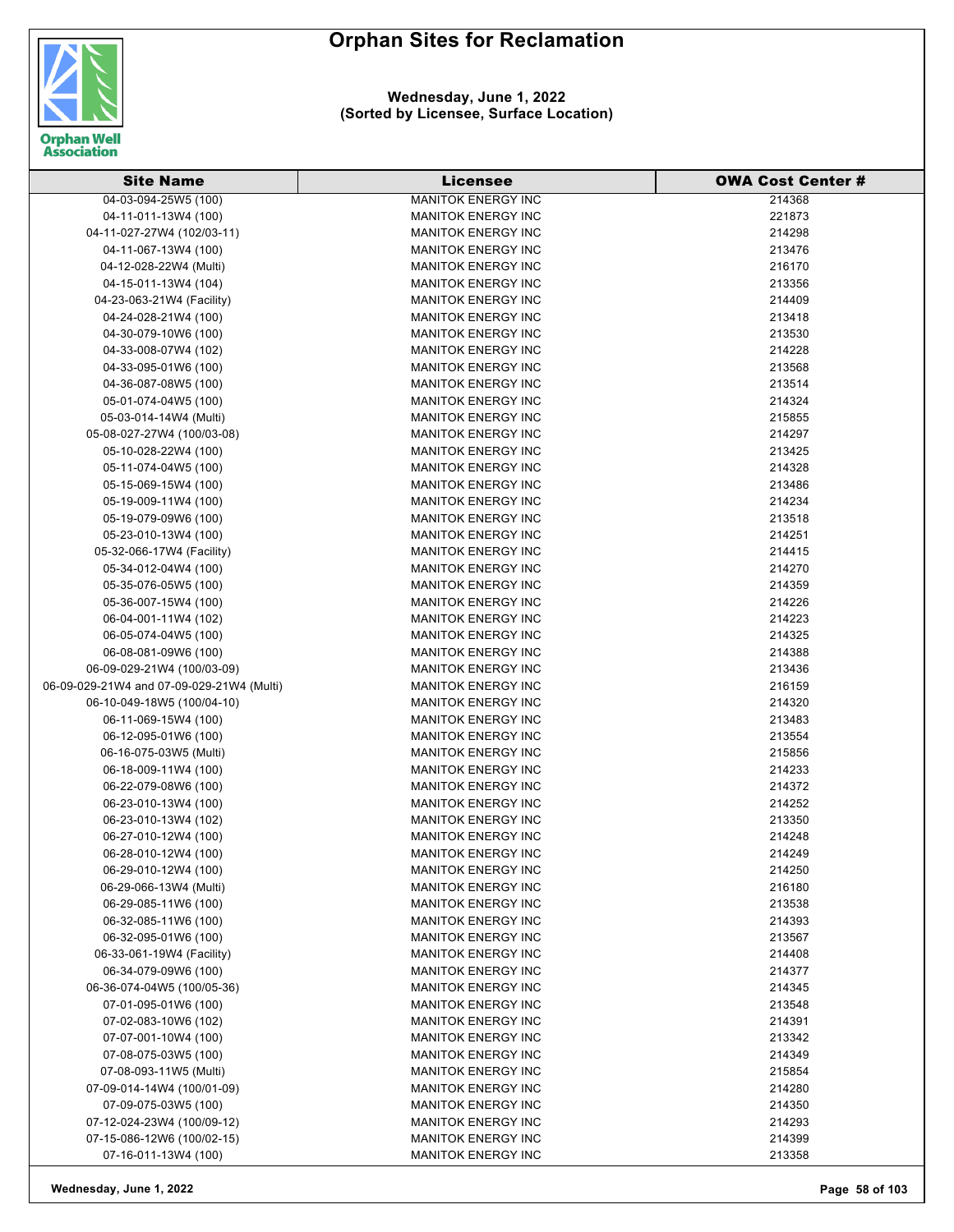

#### **Wednesday, June 1, 2022 (Sorted by Licensee, Surface Location)**

| <b>Site Name</b>                          | <b>Licensee</b>           | <b>OWA Cost Center #</b> |
|-------------------------------------------|---------------------------|--------------------------|
| 04-03-094-25W5 (100)                      | <b>MANITOK ENERGY INC</b> | 214368                   |
| 04-11-011-13W4 (100)                      | <b>MANITOK ENERGY INC</b> | 221873                   |
| 04-11-027-27W4 (102/03-11)                | <b>MANITOK ENERGY INC</b> | 214298                   |
| 04-11-067-13W4 (100)                      | <b>MANITOK ENERGY INC</b> | 213476                   |
| 04-12-028-22W4 (Multi)                    | <b>MANITOK ENERGY INC</b> | 216170                   |
| 04-15-011-13W4 (104)                      | <b>MANITOK ENERGY INC</b> | 213356                   |
| 04-23-063-21W4 (Facility)                 | <b>MANITOK ENERGY INC</b> | 214409                   |
| 04-24-028-21W4 (100)                      | <b>MANITOK ENERGY INC</b> | 213418                   |
| 04-30-079-10W6 (100)                      | <b>MANITOK ENERGY INC</b> | 213530                   |
| 04-33-008-07W4 (102)                      | <b>MANITOK ENERGY INC</b> | 214228                   |
| 04-33-095-01W6 (100)                      | <b>MANITOK ENERGY INC</b> | 213568                   |
| 04-36-087-08W5 (100)                      | <b>MANITOK ENERGY INC</b> | 213514                   |
| 05-01-074-04W5 (100)                      | <b>MANITOK ENERGY INC</b> | 214324                   |
| 05-03-014-14W4 (Multi)                    | <b>MANITOK ENERGY INC</b> | 215855                   |
| 05-08-027-27W4 (100/03-08)                | <b>MANITOK ENERGY INC</b> | 214297                   |
| 05-10-028-22W4 (100)                      | <b>MANITOK ENERGY INC</b> | 213425                   |
| 05-11-074-04W5 (100)                      | <b>MANITOK ENERGY INC</b> | 214328                   |
| 05-15-069-15W4 (100)                      | <b>MANITOK ENERGY INC</b> | 213486                   |
| 05-19-009-11W4 (100)                      | <b>MANITOK ENERGY INC</b> | 214234                   |
| 05-19-079-09W6 (100)                      | <b>MANITOK ENERGY INC</b> | 213518                   |
| 05-23-010-13W4 (100)                      | <b>MANITOK ENERGY INC</b> | 214251                   |
| 05-32-066-17W4 (Facility)                 | <b>MANITOK ENERGY INC</b> | 214415                   |
| 05-34-012-04W4 (100)                      | <b>MANITOK ENERGY INC</b> | 214270                   |
| 05-35-076-05W5 (100)                      | <b>MANITOK ENERGY INC</b> | 214359                   |
| 05-36-007-15W4 (100)                      | <b>MANITOK ENERGY INC</b> | 214226                   |
| 06-04-001-11W4 (102)                      | <b>MANITOK ENERGY INC</b> | 214223                   |
| 06-05-074-04W5 (100)                      | <b>MANITOK ENERGY INC</b> | 214325                   |
| 06-08-081-09W6 (100)                      | <b>MANITOK ENERGY INC</b> | 214388                   |
| 06-09-029-21W4 (100/03-09)                | <b>MANITOK ENERGY INC</b> | 213436                   |
| 06-09-029-21W4 and 07-09-029-21W4 (Multi) | <b>MANITOK ENERGY INC</b> | 216159                   |
| 06-10-049-18W5 (100/04-10)                | <b>MANITOK ENERGY INC</b> | 214320                   |
| 06-11-069-15W4 (100)                      | <b>MANITOK ENERGY INC</b> | 213483                   |
| 06-12-095-01W6 (100)                      | <b>MANITOK ENERGY INC</b> | 213554                   |
| 06-16-075-03W5 (Multi)                    | <b>MANITOK ENERGY INC</b> | 215856                   |
| 06-18-009-11W4 (100)                      | <b>MANITOK ENERGY INC</b> | 214233                   |
| 06-22-079-08W6 (100)                      | <b>MANITOK ENERGY INC</b> | 214372                   |
| 06-23-010-13W4 (100)                      | <b>MANITOK ENERGY INC</b> | 214252                   |
| 06-23-010-13W4 (102)                      | <b>MANITOK ENERGY INC</b> | 213350                   |
| 06-27-010-12W4 (100)                      | <b>MANITOK ENERGY INC</b> | 214248                   |
| 06-28-010-12W4 (100)                      | <b>MANITOK ENERGY INC</b> | 214249                   |
| 06-29-010-12W4 (100)                      | MANITOK ENERGY INC        | 214250                   |
| 06-29-066-13W4 (Multi)                    | <b>MANITOK ENERGY INC</b> | 216180                   |
| 06-29-085-11W6 (100)                      | <b>MANITOK ENERGY INC</b> | 213538                   |
| 06-32-085-11W6 (100)                      | <b>MANITOK ENERGY INC</b> | 214393                   |
| 06-32-095-01W6 (100)                      | <b>MANITOK ENERGY INC</b> | 213567                   |
| 06-33-061-19W4 (Facility)                 | <b>MANITOK ENERGY INC</b> | 214408                   |
| 06-34-079-09W6 (100)                      | <b>MANITOK ENERGY INC</b> | 214377                   |
| 06-36-074-04W5 (100/05-36)                | <b>MANITOK ENERGY INC</b> | 214345                   |
| 07-01-095-01W6 (100)                      | <b>MANITOK ENERGY INC</b> | 213548                   |
| 07-02-083-10W6 (102)                      | <b>MANITOK ENERGY INC</b> | 214391                   |
| 07-07-001-10W4 (100)                      | <b>MANITOK ENERGY INC</b> | 213342                   |
| 07-08-075-03W5 (100)                      | <b>MANITOK ENERGY INC</b> | 214349                   |
| 07-08-093-11W5 (Multi)                    | <b>MANITOK ENERGY INC</b> | 215854                   |
| 07-09-014-14W4 (100/01-09)                | <b>MANITOK ENERGY INC</b> | 214280                   |
| 07-09-075-03W5 (100)                      | <b>MANITOK ENERGY INC</b> | 214350                   |
| 07-12-024-23W4 (100/09-12)                | <b>MANITOK ENERGY INC</b> | 214293                   |
| 07-15-086-12W6 (100/02-15)                | <b>MANITOK ENERGY INC</b> | 214399                   |
| 07-16-011-13W4 (100)                      | MANITOK ENERGY INC        | 213358                   |

**Wednesday, June 1, 2022 Page 58 of 103**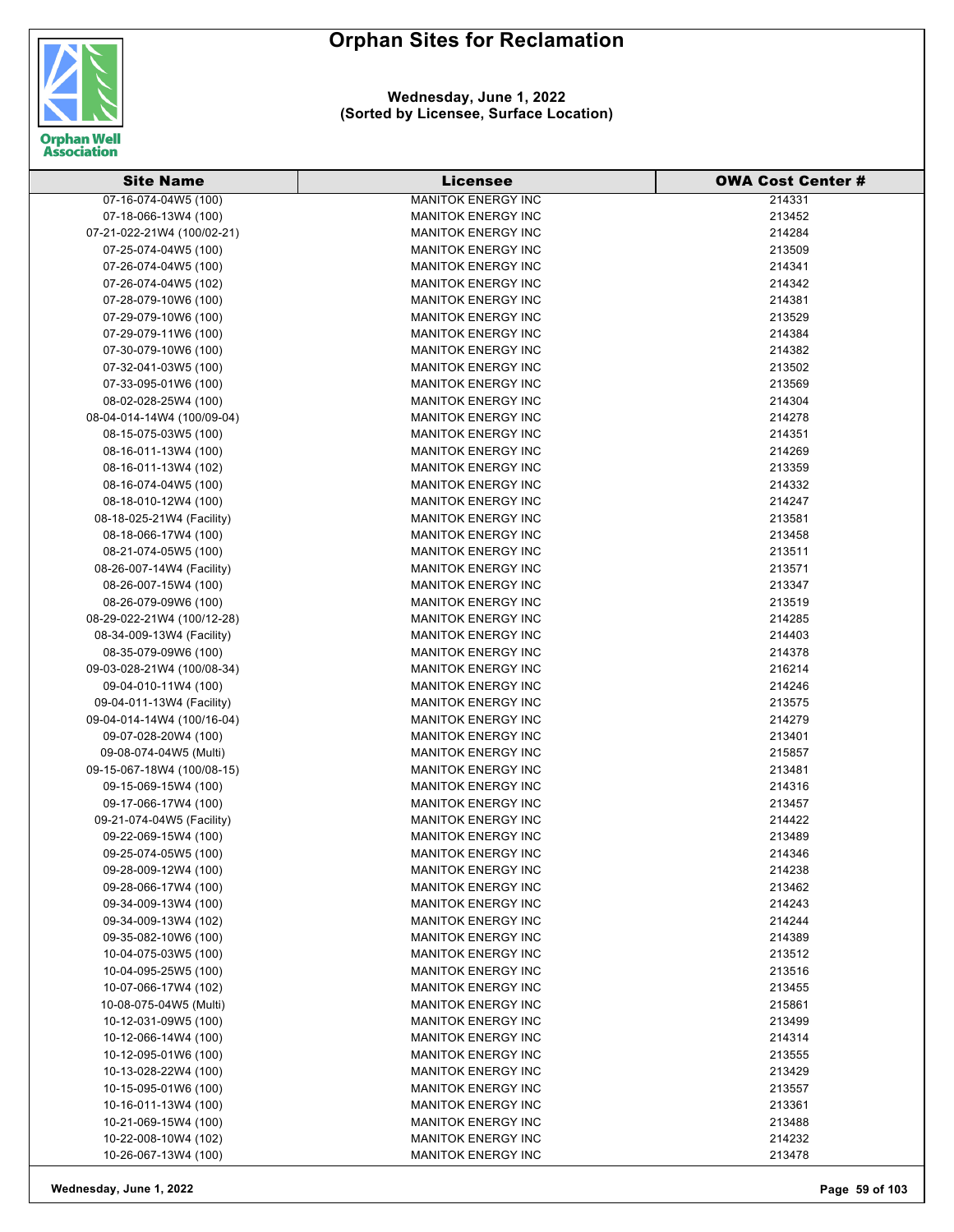

#### **Wednesday, June 1, 2022 (Sorted by Licensee, Surface Location)**

| <b>Site Name</b>           | <b>Licensee</b>           | <b>OWA Cost Center #</b> |
|----------------------------|---------------------------|--------------------------|
| 07-16-074-04W5 (100)       | <b>MANITOK ENERGY INC</b> | 214331                   |
| 07-18-066-13W4 (100)       | <b>MANITOK ENERGY INC</b> | 213452                   |
| 07-21-022-21W4 (100/02-21) | <b>MANITOK ENERGY INC</b> | 214284                   |
| 07-25-074-04W5 (100)       | <b>MANITOK ENERGY INC</b> | 213509                   |
| 07-26-074-04W5 (100)       | <b>MANITOK ENERGY INC</b> | 214341                   |
| 07-26-074-04W5 (102)       | <b>MANITOK ENERGY INC</b> | 214342                   |
| 07-28-079-10W6 (100)       | <b>MANITOK ENERGY INC</b> | 214381                   |
| 07-29-079-10W6 (100)       | <b>MANITOK ENERGY INC</b> | 213529                   |
| 07-29-079-11W6 (100)       | <b>MANITOK ENERGY INC</b> | 214384                   |
| 07-30-079-10W6 (100)       | <b>MANITOK ENERGY INC</b> | 214382                   |
| 07-32-041-03W5 (100)       | <b>MANITOK ENERGY INC</b> | 213502                   |
| 07-33-095-01W6 (100)       | <b>MANITOK ENERGY INC</b> | 213569                   |
| 08-02-028-25W4 (100)       | <b>MANITOK ENERGY INC</b> | 214304                   |
| 08-04-014-14W4 (100/09-04) | <b>MANITOK ENERGY INC</b> | 214278                   |
| 08-15-075-03W5 (100)       | <b>MANITOK ENERGY INC</b> | 214351                   |
| 08-16-011-13W4 (100)       | <b>MANITOK ENERGY INC</b> | 214269                   |
| 08-16-011-13W4 (102)       | <b>MANITOK ENERGY INC</b> | 213359                   |
| 08-16-074-04W5 (100)       | <b>MANITOK ENERGY INC</b> |                          |
|                            |                           | 214332                   |
| 08-18-010-12W4 (100)       | <b>MANITOK ENERGY INC</b> | 214247                   |
| 08-18-025-21W4 (Facility)  | <b>MANITOK ENERGY INC</b> | 213581                   |
| 08-18-066-17W4 (100)       | <b>MANITOK ENERGY INC</b> | 213458                   |
| 08-21-074-05W5 (100)       | <b>MANITOK ENERGY INC</b> | 213511                   |
| 08-26-007-14W4 (Facility)  | <b>MANITOK ENERGY INC</b> | 213571                   |
| 08-26-007-15W4 (100)       | <b>MANITOK ENERGY INC</b> | 213347                   |
| 08-26-079-09W6 (100)       | <b>MANITOK ENERGY INC</b> | 213519                   |
| 08-29-022-21W4 (100/12-28) | <b>MANITOK ENERGY INC</b> | 214285                   |
| 08-34-009-13W4 (Facility)  | <b>MANITOK ENERGY INC</b> | 214403                   |
| 08-35-079-09W6 (100)       | <b>MANITOK ENERGY INC</b> | 214378                   |
| 09-03-028-21W4 (100/08-34) | <b>MANITOK ENERGY INC</b> | 216214                   |
| 09-04-010-11W4 (100)       | <b>MANITOK ENERGY INC</b> | 214246                   |
| 09-04-011-13W4 (Facility)  | <b>MANITOK ENERGY INC</b> | 213575                   |
| 09-04-014-14W4 (100/16-04) | <b>MANITOK ENERGY INC</b> | 214279                   |
| 09-07-028-20W4 (100)       | <b>MANITOK ENERGY INC</b> | 213401                   |
| 09-08-074-04W5 (Multi)     | <b>MANITOK ENERGY INC</b> | 215857                   |
| 09-15-067-18W4 (100/08-15) | <b>MANITOK ENERGY INC</b> | 213481                   |
| 09-15-069-15W4 (100)       | <b>MANITOK ENERGY INC</b> | 214316                   |
| 09-17-066-17W4 (100)       | <b>MANITOK ENERGY INC</b> | 213457                   |
| 09-21-074-04W5 (Facility)  | <b>MANITOK ENERGY INC</b> | 214422                   |
| 09-22-069-15W4 (100)       | <b>MANITOK ENERGY INC</b> | 213489                   |
| 09-25-074-05W5 (100)       | <b>MANITOK ENERGY INC</b> | 214346                   |
| 09-28-009-12W4 (100)       | <b>MANITOK ENERGY INC</b> | 214238                   |
| 09-28-066-17W4 (100)       | <b>MANITOK ENERGY INC</b> | 213462                   |
| 09-34-009-13W4 (100)       | <b>MANITOK ENERGY INC</b> | 214243                   |
| 09-34-009-13W4 (102)       | <b>MANITOK ENERGY INC</b> | 214244                   |
| 09-35-082-10W6 (100)       | <b>MANITOK ENERGY INC</b> | 214389                   |
| 10-04-075-03W5 (100)       | <b>MANITOK ENERGY INC</b> | 213512                   |
| 10-04-095-25W5 (100)       | <b>MANITOK ENERGY INC</b> | 213516                   |
| 10-07-066-17W4 (102)       | <b>MANITOK ENERGY INC</b> | 213455                   |
| 10-08-075-04W5 (Multi)     | <b>MANITOK ENERGY INC</b> | 215861                   |
| 10-12-031-09W5 (100)       | <b>MANITOK ENERGY INC</b> | 213499                   |
| 10-12-066-14W4 (100)       | <b>MANITOK ENERGY INC</b> | 214314                   |
| 10-12-095-01W6 (100)       | <b>MANITOK ENERGY INC</b> | 213555                   |
| 10-13-028-22W4 (100)       | <b>MANITOK ENERGY INC</b> | 213429                   |
| 10-15-095-01W6 (100)       | <b>MANITOK ENERGY INC</b> | 213557                   |
| 10-16-011-13W4 (100)       | <b>MANITOK ENERGY INC</b> | 213361                   |
| 10-21-069-15W4 (100)       | <b>MANITOK ENERGY INC</b> | 213488                   |
| 10-22-008-10W4 (102)       | <b>MANITOK ENERGY INC</b> | 214232                   |
| 10-26-067-13W4 (100)       | <b>MANITOK ENERGY INC</b> | 213478                   |

**Wednesday, June 1, 2022 Page 59 of 103**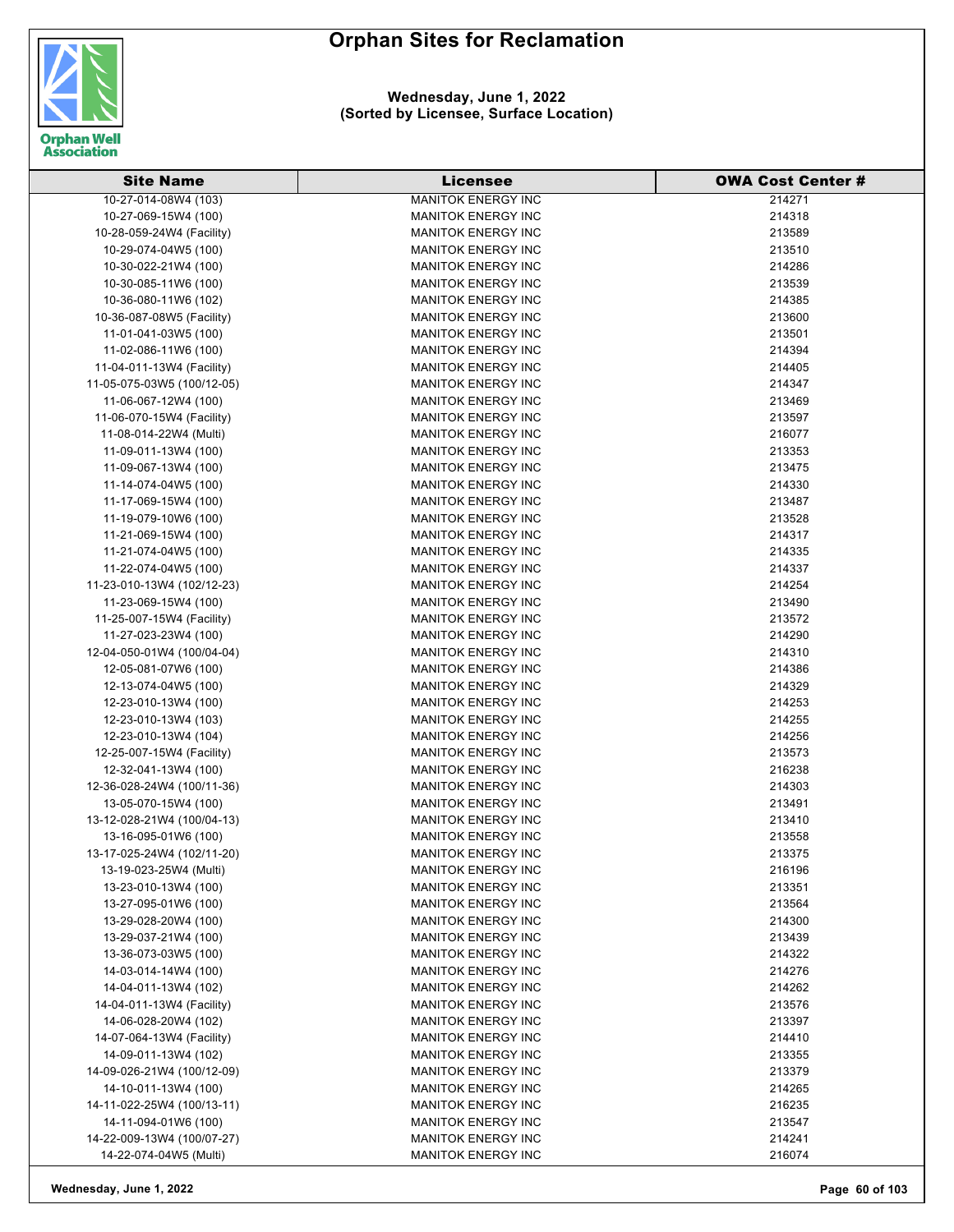

| <b>Site Name</b>                                     | <b>Licensee</b>           | <b>OWA Cost Center #</b> |
|------------------------------------------------------|---------------------------|--------------------------|
| 10-27-014-08W4 (103)                                 | <b>MANITOK ENERGY INC</b> | 214271                   |
| 10-27-069-15W4 (100)                                 | <b>MANITOK ENERGY INC</b> | 214318                   |
| 10-28-059-24W4 (Facility)                            | <b>MANITOK ENERGY INC</b> | 213589                   |
| 10-29-074-04W5 (100)                                 | <b>MANITOK ENERGY INC</b> | 213510                   |
| 10-30-022-21W4 (100)                                 | <b>MANITOK ENERGY INC</b> | 214286                   |
| 10-30-085-11W6 (100)                                 | <b>MANITOK ENERGY INC</b> | 213539                   |
| 10-36-080-11W6 (102)                                 | <b>MANITOK ENERGY INC</b> | 214385                   |
| 10-36-087-08W5 (Facility)                            | <b>MANITOK ENERGY INC</b> | 213600                   |
| 11-01-041-03W5 (100)                                 | <b>MANITOK ENERGY INC</b> | 213501                   |
| 11-02-086-11W6 (100)                                 | <b>MANITOK ENERGY INC</b> | 214394                   |
| 11-04-011-13W4 (Facility)                            | <b>MANITOK ENERGY INC</b> | 214405                   |
| 11-05-075-03W5 (100/12-05)                           | <b>MANITOK ENERGY INC</b> | 214347                   |
| 11-06-067-12W4 (100)                                 | <b>MANITOK ENERGY INC</b> | 213469                   |
| 11-06-070-15W4 (Facility)                            | <b>MANITOK ENERGY INC</b> | 213597                   |
| 11-08-014-22W4 (Multi)                               | <b>MANITOK ENERGY INC</b> | 216077                   |
| 11-09-011-13W4 (100)                                 | <b>MANITOK ENERGY INC</b> | 213353                   |
| 11-09-067-13W4 (100)                                 | <b>MANITOK ENERGY INC</b> | 213475                   |
| 11-14-074-04W5 (100)                                 | <b>MANITOK ENERGY INC</b> | 214330                   |
| 11-17-069-15W4 (100)                                 | <b>MANITOK ENERGY INC</b> | 213487                   |
| 11-19-079-10W6 (100)                                 | <b>MANITOK ENERGY INC</b> | 213528                   |
| 11-21-069-15W4 (100)                                 | <b>MANITOK ENERGY INC</b> | 214317                   |
| 11-21-074-04W5 (100)                                 | <b>MANITOK ENERGY INC</b> | 214335                   |
| 11-22-074-04W5 (100)                                 | <b>MANITOK ENERGY INC</b> | 214337                   |
| 11-23-010-13W4 (102/12-23)                           | <b>MANITOK ENERGY INC</b> | 214254                   |
| 11-23-069-15W4 (100)                                 | <b>MANITOK ENERGY INC</b> | 213490                   |
| 11-25-007-15W4 (Facility)                            | <b>MANITOK ENERGY INC</b> | 213572                   |
| 11-27-023-23W4 (100)                                 | <b>MANITOK ENERGY INC</b> | 214290                   |
| 12-04-050-01W4 (100/04-04)                           | <b>MANITOK ENERGY INC</b> | 214310                   |
| 12-05-081-07W6 (100)                                 | <b>MANITOK ENERGY INC</b> | 214386                   |
| 12-13-074-04W5 (100)                                 | <b>MANITOK ENERGY INC</b> | 214329                   |
| 12-23-010-13W4 (100)                                 | <b>MANITOK ENERGY INC</b> | 214253                   |
| 12-23-010-13W4 (103)                                 | <b>MANITOK ENERGY INC</b> | 214255                   |
| 12-23-010-13W4 (104)                                 | <b>MANITOK ENERGY INC</b> | 214256                   |
| 12-25-007-15W4 (Facility)                            | <b>MANITOK ENERGY INC</b> | 213573                   |
| 12-32-041-13W4 (100)                                 | <b>MANITOK ENERGY INC</b> | 216238                   |
| 12-36-028-24W4 (100/11-36)                           | <b>MANITOK ENERGY INC</b> | 214303                   |
| 13-05-070-15W4 (100)                                 | <b>MANITOK ENERGY INC</b> | 213491                   |
|                                                      | <b>MANITOK ENERGY INC</b> | 213410                   |
| 13-12-028-21W4 (100/04-13)<br>13-16-095-01W6 (100)   |                           |                          |
|                                                      | <b>MANITOK ENERGY INC</b> | 213558                   |
| 13-17-025-24W4 (102/11-20)<br>13-19-023-25W4 (Multi) | <b>MANITOK ENERGY INC</b> | 213375                   |
|                                                      | <b>MANITOK ENERGY INC</b> | 216196                   |
| 13-23-010-13W4 (100)                                 | <b>MANITOK ENERGY INC</b> | 213351                   |
| 13-27-095-01W6 (100)                                 | <b>MANITOK ENERGY INC</b> | 213564                   |
| 13-29-028-20W4 (100)                                 | <b>MANITOK ENERGY INC</b> | 214300                   |
| 13-29-037-21W4 (100)                                 | <b>MANITOK ENERGY INC</b> | 213439                   |
| 13-36-073-03W5 (100)                                 | <b>MANITOK ENERGY INC</b> | 214322                   |
| 14-03-014-14W4 (100)                                 | <b>MANITOK ENERGY INC</b> | 214276                   |
| 14-04-011-13W4 (102)                                 | <b>MANITOK ENERGY INC</b> | 214262                   |
| 14-04-011-13W4 (Facility)                            | <b>MANITOK ENERGY INC</b> | 213576                   |
| 14-06-028-20W4 (102)                                 | <b>MANITOK ENERGY INC</b> | 213397                   |
| 14-07-064-13W4 (Facility)                            | <b>MANITOK ENERGY INC</b> | 214410                   |
| 14-09-011-13W4 (102)                                 | <b>MANITOK ENERGY INC</b> | 213355                   |
| 14-09-026-21W4 (100/12-09)                           | MANITOK ENERGY INC        | 213379                   |
| 14-10-011-13W4 (100)                                 | <b>MANITOK ENERGY INC</b> | 214265                   |
| 14-11-022-25W4 (100/13-11)                           | <b>MANITOK ENERGY INC</b> | 216235                   |
| 14-11-094-01W6 (100)                                 | <b>MANITOK ENERGY INC</b> | 213547                   |
| 14-22-009-13W4 (100/07-27)                           | <b>MANITOK ENERGY INC</b> | 214241                   |
| 14-22-074-04W5 (Multi)                               | MANITOK ENERGY INC        | 216074                   |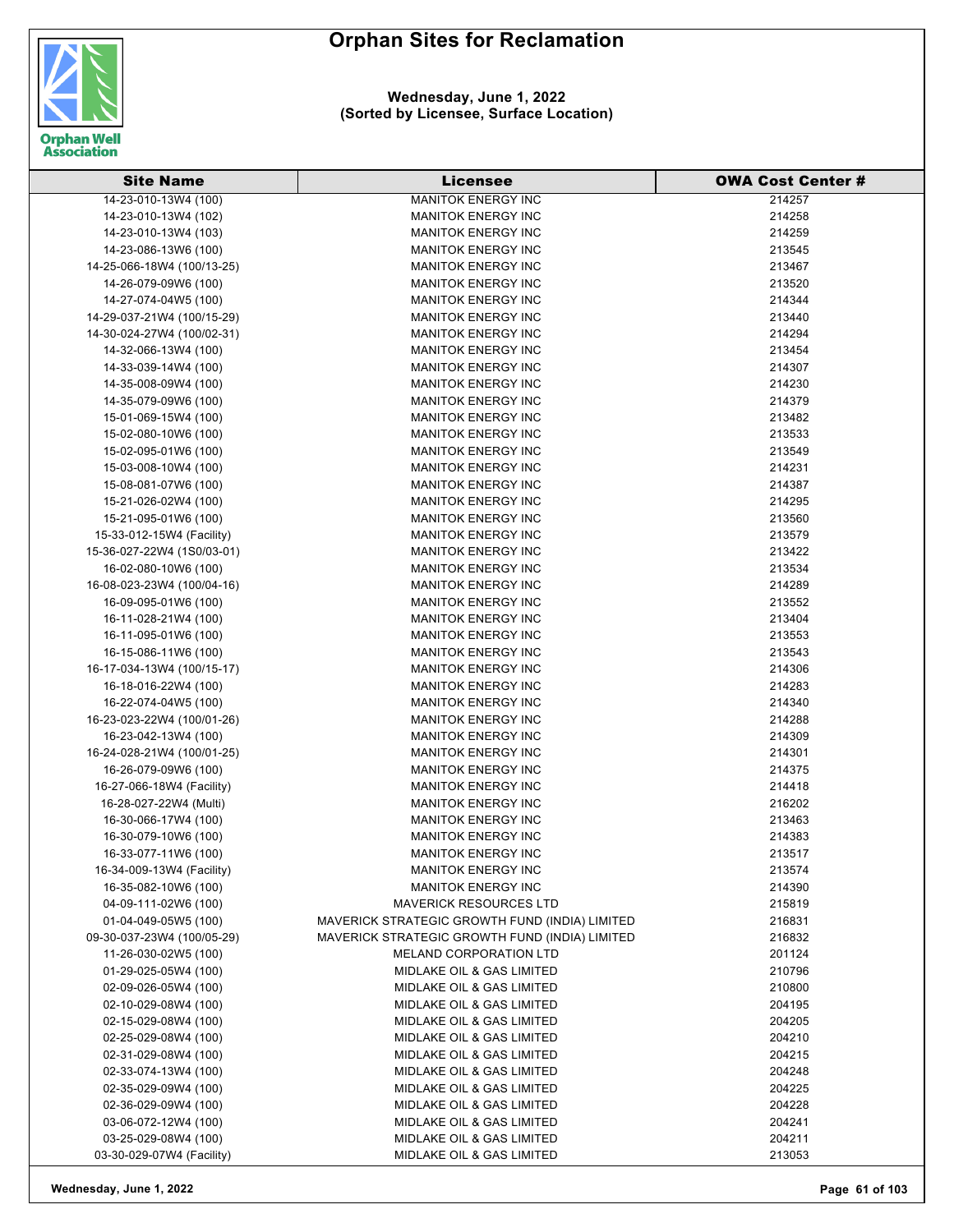

**Wednesday, June 1, 2022 (Sorted by Licensee, Surface Location)**

| <b>Site Name</b>           | <b>Licensee</b>                                | <b>OWA Cost Center #</b> |
|----------------------------|------------------------------------------------|--------------------------|
| 14-23-010-13W4 (100)       | <b>MANITOK ENERGY INC</b>                      | 214257                   |
| 14-23-010-13W4 (102)       | <b>MANITOK ENERGY INC</b>                      | 214258                   |
| 14-23-010-13W4 (103)       | <b>MANITOK ENERGY INC</b>                      | 214259                   |
| 14-23-086-13W6 (100)       | <b>MANITOK ENERGY INC</b>                      | 213545                   |
| 14-25-066-18W4 (100/13-25) | <b>MANITOK ENERGY INC</b>                      | 213467                   |
| 14-26-079-09W6 (100)       | <b>MANITOK ENERGY INC</b>                      | 213520                   |
| 14-27-074-04W5 (100)       | <b>MANITOK ENERGY INC</b>                      | 214344                   |
| 14-29-037-21W4 (100/15-29) | <b>MANITOK ENERGY INC</b>                      | 213440                   |
| 14-30-024-27W4 (100/02-31) | <b>MANITOK ENERGY INC</b>                      | 214294                   |
| 14-32-066-13W4 (100)       | <b>MANITOK ENERGY INC</b>                      | 213454                   |
| 14-33-039-14W4 (100)       | <b>MANITOK ENERGY INC</b>                      | 214307                   |
| 14-35-008-09W4 (100)       | <b>MANITOK ENERGY INC</b>                      | 214230                   |
| 14-35-079-09W6 (100)       | <b>MANITOK ENERGY INC</b>                      | 214379                   |
| 15-01-069-15W4 (100)       | <b>MANITOK ENERGY INC</b>                      | 213482                   |
| 15-02-080-10W6 (100)       | <b>MANITOK ENERGY INC</b>                      | 213533                   |
| 15-02-095-01W6 (100)       | <b>MANITOK ENERGY INC</b>                      | 213549                   |
| 15-03-008-10W4 (100)       | <b>MANITOK ENERGY INC</b>                      | 214231                   |
| 15-08-081-07W6 (100)       | <b>MANITOK ENERGY INC</b>                      | 214387                   |
| 15-21-026-02W4 (100)       | <b>MANITOK ENERGY INC</b>                      | 214295                   |
| 15-21-095-01W6 (100)       | <b>MANITOK ENERGY INC</b>                      | 213560                   |
| 15-33-012-15W4 (Facility)  | <b>MANITOK ENERGY INC</b>                      | 213579                   |
| 15-36-027-22W4 (1S0/03-01) | <b>MANITOK ENERGY INC</b>                      | 213422                   |
| 16-02-080-10W6 (100)       | <b>MANITOK ENERGY INC</b>                      | 213534                   |
| 16-08-023-23W4 (100/04-16) | <b>MANITOK ENERGY INC</b>                      | 214289                   |
| 16-09-095-01W6 (100)       | <b>MANITOK ENERGY INC</b>                      | 213552                   |
| 16-11-028-21W4 (100)       | <b>MANITOK ENERGY INC</b>                      | 213404                   |
| 16-11-095-01W6 (100)       | <b>MANITOK ENERGY INC</b>                      | 213553                   |
| 16-15-086-11W6 (100)       | <b>MANITOK ENERGY INC</b>                      | 213543                   |
| 16-17-034-13W4 (100/15-17) | <b>MANITOK ENERGY INC</b>                      | 214306                   |
| 16-18-016-22W4 (100)       | <b>MANITOK ENERGY INC</b>                      | 214283                   |
| 16-22-074-04W5 (100)       | <b>MANITOK ENERGY INC</b>                      | 214340                   |
| 16-23-023-22W4 (100/01-26) | <b>MANITOK ENERGY INC</b>                      | 214288                   |
| 16-23-042-13W4 (100)       | <b>MANITOK ENERGY INC</b>                      | 214309                   |
| 16-24-028-21W4 (100/01-25) | <b>MANITOK ENERGY INC</b>                      | 214301                   |
| 16-26-079-09W6 (100)       | <b>MANITOK ENERGY INC</b>                      | 214375                   |
| 16-27-066-18W4 (Facility)  | <b>MANITOK ENERGY INC</b>                      | 214418                   |
| 16-28-027-22W4 (Multi)     | <b>MANITOK ENERGY INC</b>                      | 216202                   |
| 16-30-066-17W4 (100)       | <b>MANITOK ENERGY INC</b>                      | 213463                   |
| 16-30-079-10W6 (100)       | <b>MANITOK ENERGY INC</b>                      | 214383                   |
| 16-33-077-11W6 (100)       | <b>MANITOK ENERGY INC</b>                      | 213517                   |
| 16-34-009-13W4 (Facility)  | <b>MANITOK ENERGY INC</b>                      | 213574                   |
| 16-35-082-10W6 (100)       | <b>MANITOK ENERGY INC</b>                      | 214390                   |
| 04-09-111-02W6 (100)       | <b>MAVERICK RESOURCES LTD</b>                  | 215819                   |
| 01-04-049-05W5 (100)       | MAVERICK STRATEGIC GROWTH FUND (INDIA) LIMITED | 216831                   |
| 09-30-037-23W4 (100/05-29) | MAVERICK STRATEGIC GROWTH FUND (INDIA) LIMITED | 216832                   |
| 11-26-030-02W5 (100)       | MELAND CORPORATION LTD                         | 201124                   |
| 01-29-025-05W4 (100)       | MIDLAKE OIL & GAS LIMITED                      | 210796                   |
| 02-09-026-05W4 (100)       | MIDLAKE OIL & GAS LIMITED                      | 210800                   |
| 02-10-029-08W4 (100)       | MIDLAKE OIL & GAS LIMITED                      | 204195                   |
| 02-15-029-08W4 (100)       | MIDLAKE OIL & GAS LIMITED                      | 204205                   |
| 02-25-029-08W4 (100)       | MIDLAKE OIL & GAS LIMITED                      | 204210                   |
| 02-31-029-08W4 (100)       | MIDLAKE OIL & GAS LIMITED                      | 204215                   |
| 02-33-074-13W4 (100)       | MIDLAKE OIL & GAS LIMITED                      | 204248                   |
| 02-35-029-09W4 (100)       | MIDLAKE OIL & GAS LIMITED                      | 204225                   |
| 02-36-029-09W4 (100)       | MIDLAKE OIL & GAS LIMITED                      | 204228                   |
| 03-06-072-12W4 (100)       | MIDLAKE OIL & GAS LIMITED                      | 204241                   |
| 03-25-029-08W4 (100)       | MIDLAKE OIL & GAS LIMITED                      | 204211                   |
| 03-30-029-07W4 (Facility)  | MIDLAKE OIL & GAS LIMITED                      | 213053                   |

**Wednesday, June 1, 2022 Page 61 of 103**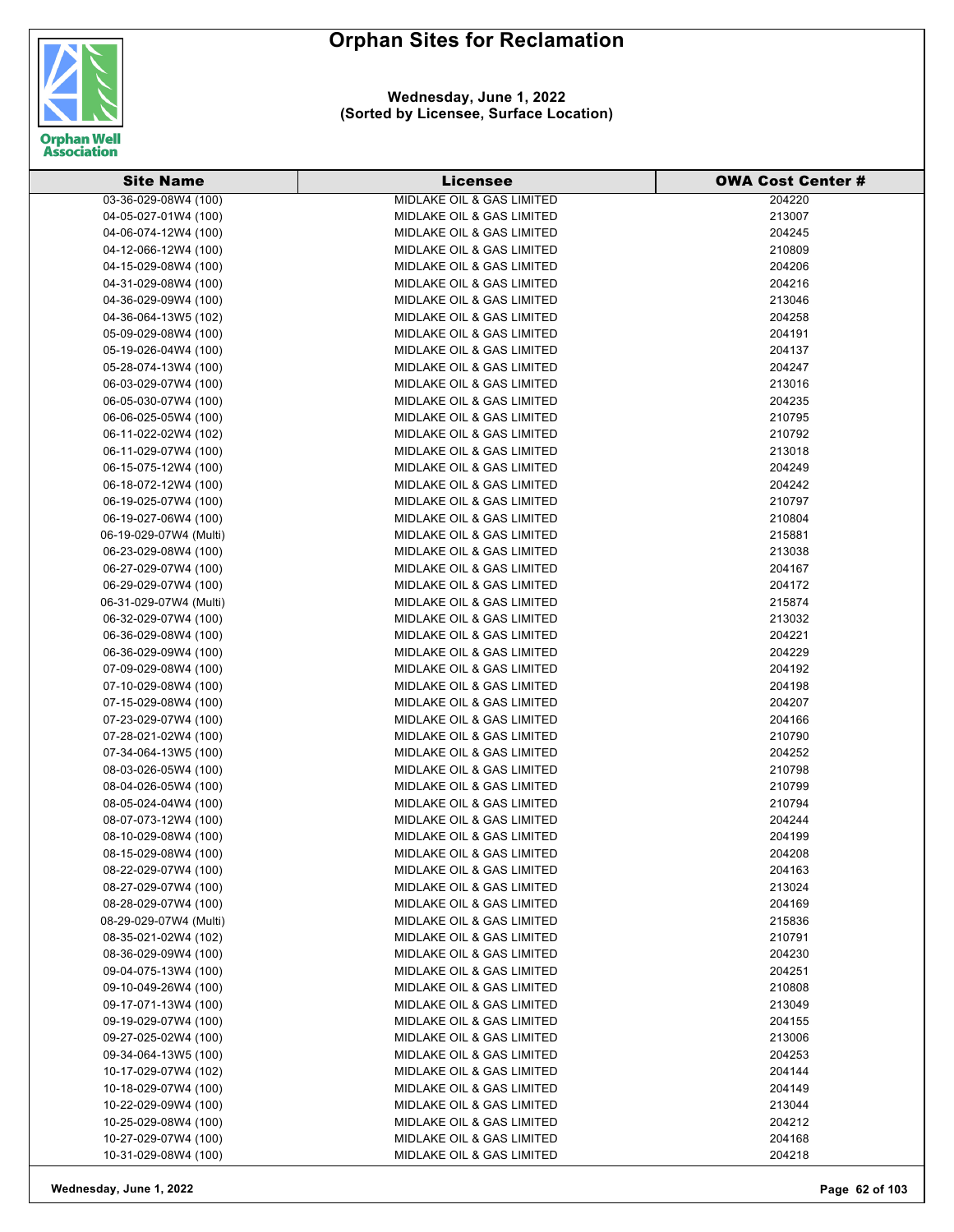

#### **Wednesday, June 1, 2022 (Sorted by Licensee, Surface Location)**

| <b>Site Name</b>       | <b>Licensee</b>                      | <b>OWA Cost Center #</b> |
|------------------------|--------------------------------------|--------------------------|
| 03-36-029-08W4 (100)   | <b>MIDLAKE OIL &amp; GAS LIMITED</b> | 204220                   |
| 04-05-027-01W4 (100)   | MIDLAKE OIL & GAS LIMITED            | 213007                   |
| 04-06-074-12W4 (100)   | MIDLAKE OIL & GAS LIMITED            | 204245                   |
| 04-12-066-12W4 (100)   | MIDLAKE OIL & GAS LIMITED            | 210809                   |
| 04-15-029-08W4 (100)   | MIDLAKE OIL & GAS LIMITED            | 204206                   |
| 04-31-029-08W4 (100)   | MIDLAKE OIL & GAS LIMITED            | 204216                   |
| 04-36-029-09W4 (100)   | MIDLAKE OIL & GAS LIMITED            | 213046                   |
| 04-36-064-13W5 (102)   | MIDLAKE OIL & GAS LIMITED            | 204258                   |
| 05-09-029-08W4 (100)   | MIDLAKE OIL & GAS LIMITED            | 204191                   |
| 05-19-026-04W4 (100)   | MIDLAKE OIL & GAS LIMITED            | 204137                   |
| 05-28-074-13W4 (100)   | MIDLAKE OIL & GAS LIMITED            | 204247                   |
| 06-03-029-07W4 (100)   | MIDLAKE OIL & GAS LIMITED            | 213016                   |
| 06-05-030-07W4 (100)   | MIDLAKE OIL & GAS LIMITED            | 204235                   |
| 06-06-025-05W4 (100)   | MIDLAKE OIL & GAS LIMITED            | 210795                   |
| 06-11-022-02W4 (102)   | MIDLAKE OIL & GAS LIMITED            | 210792                   |
| 06-11-029-07W4 (100)   | MIDLAKE OIL & GAS LIMITED            | 213018                   |
| 06-15-075-12W4 (100)   | <b>MIDLAKE OIL &amp; GAS LIMITED</b> | 204249                   |
|                        | MIDLAKE OIL & GAS LIMITED            | 204242                   |
| 06-18-072-12W4 (100)   |                                      | 210797                   |
| 06-19-025-07W4 (100)   | MIDLAKE OIL & GAS LIMITED            |                          |
| 06-19-027-06W4 (100)   | MIDLAKE OIL & GAS LIMITED            | 210804                   |
| 06-19-029-07W4 (Multi) | MIDLAKE OIL & GAS LIMITED            | 215881                   |
| 06-23-029-08W4 (100)   | MIDLAKE OIL & GAS LIMITED            | 213038                   |
| 06-27-029-07W4 (100)   | MIDLAKE OIL & GAS LIMITED            | 204167                   |
| 06-29-029-07W4 (100)   | MIDLAKE OIL & GAS LIMITED            | 204172                   |
| 06-31-029-07W4 (Multi) | MIDLAKE OIL & GAS LIMITED            | 215874                   |
| 06-32-029-07W4 (100)   | MIDLAKE OIL & GAS LIMITED            | 213032                   |
| 06-36-029-08W4 (100)   | MIDLAKE OIL & GAS LIMITED            | 204221                   |
| 06-36-029-09W4 (100)   | MIDLAKE OIL & GAS LIMITED            | 204229                   |
| 07-09-029-08W4 (100)   | MIDLAKE OIL & GAS LIMITED            | 204192                   |
| 07-10-029-08W4 (100)   | MIDLAKE OIL & GAS LIMITED            | 204198                   |
| 07-15-029-08W4 (100)   | MIDLAKE OIL & GAS LIMITED            | 204207                   |
| 07-23-029-07W4 (100)   | MIDLAKE OIL & GAS LIMITED            | 204166                   |
| 07-28-021-02W4 (100)   | MIDLAKE OIL & GAS LIMITED            | 210790                   |
| 07-34-064-13W5 (100)   | <b>MIDLAKE OIL &amp; GAS LIMITED</b> | 204252                   |
| 08-03-026-05W4 (100)   | MIDLAKE OIL & GAS LIMITED            | 210798                   |
| 08-04-026-05W4 (100)   | <b>MIDLAKE OIL &amp; GAS LIMITED</b> | 210799                   |
| 08-05-024-04W4 (100)   | MIDLAKE OIL & GAS LIMITED            | 210794                   |
| 08-07-073-12W4 (100)   | MIDLAKE OIL & GAS LIMITED            | 204244                   |
| 08-10-029-08W4 (100)   | MIDLAKE OIL & GAS LIMITED            | 204199                   |
| 08-15-029-08W4 (100)   | MIDLAKE OIL & GAS LIMITED            | 204208                   |
| 08-22-029-07W4 (100)   | MIDLAKE OIL & GAS LIMITED            | 204163                   |
| 08-27-029-07W4 (100)   | MIDLAKE OIL & GAS LIMITED            | 213024                   |
| 08-28-029-07W4 (100)   | MIDLAKE OIL & GAS LIMITED            | 204169                   |
| 08-29-029-07W4 (Multi) | <b>MIDLAKE OIL &amp; GAS LIMITED</b> | 215836                   |
| 08-35-021-02W4 (102)   | MIDLAKE OIL & GAS LIMITED            | 210791                   |
| 08-36-029-09W4 (100)   | MIDLAKE OIL & GAS LIMITED            | 204230                   |
| 09-04-075-13W4 (100)   | MIDLAKE OIL & GAS LIMITED            | 204251                   |
| 09-10-049-26W4 (100)   | MIDLAKE OIL & GAS LIMITED            | 210808                   |
| 09-17-071-13W4 (100)   | MIDLAKE OIL & GAS LIMITED            | 213049                   |
| 09-19-029-07W4 (100)   | MIDLAKE OIL & GAS LIMITED            | 204155                   |
| 09-27-025-02W4 (100)   | MIDLAKE OIL & GAS LIMITED            | 213006                   |
| 09-34-064-13W5 (100)   | MIDLAKE OIL & GAS LIMITED            | 204253                   |
| 10-17-029-07W4 (102)   | MIDLAKE OIL & GAS LIMITED            | 204144                   |
| 10-18-029-07W4 (100)   | MIDLAKE OIL & GAS LIMITED            | 204149                   |
| 10-22-029-09W4 (100)   | MIDLAKE OIL & GAS LIMITED            | 213044                   |
| 10-25-029-08W4 (100)   | MIDLAKE OIL & GAS LIMITED            | 204212                   |
| 10-27-029-07W4 (100)   | MIDLAKE OIL & GAS LIMITED            | 204168                   |
| 10-31-029-08W4 (100)   | MIDLAKE OIL & GAS LIMITED            | 204218                   |

**Wednesday, June 1, 2022 Page 62 of 103**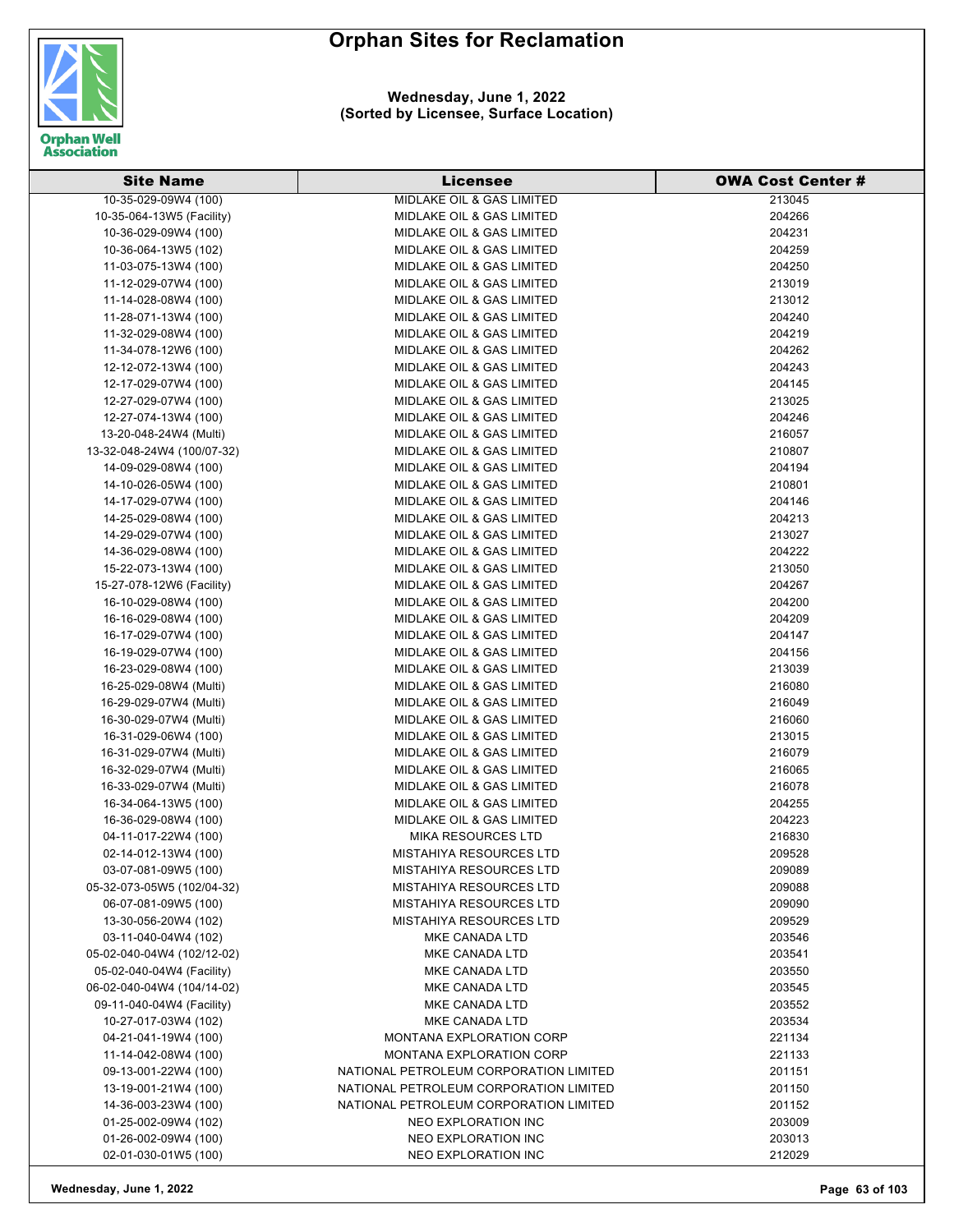

| <b>Site Name</b>           | Licensee                               | <b>OWA Cost Center#</b> |
|----------------------------|----------------------------------------|-------------------------|
| 10-35-029-09W4 (100)       | <b>MIDLAKE OIL &amp; GAS LIMITED</b>   | 213045                  |
| 10-35-064-13W5 (Facility)  | <b>MIDLAKE OIL &amp; GAS LIMITED</b>   | 204266                  |
| 10-36-029-09W4 (100)       | <b>MIDLAKE OIL &amp; GAS LIMITED</b>   | 204231                  |
| 10-36-064-13W5 (102)       | <b>MIDLAKE OIL &amp; GAS LIMITED</b>   | 204259                  |
| 11-03-075-13W4 (100)       | MIDLAKE OIL & GAS LIMITED              | 204250                  |
| 11-12-029-07W4 (100)       | MIDLAKE OIL & GAS LIMITED              | 213019                  |
| 11-14-028-08W4 (100)       | MIDLAKE OIL & GAS LIMITED              | 213012                  |
| 11-28-071-13W4 (100)       | <b>MIDLAKE OIL &amp; GAS LIMITED</b>   | 204240                  |
| 11-32-029-08W4 (100)       | <b>MIDLAKE OIL &amp; GAS LIMITED</b>   | 204219                  |
| 11-34-078-12W6 (100)       | MIDLAKE OIL & GAS LIMITED              | 204262                  |
| 12-12-072-13W4 (100)       | <b>MIDLAKE OIL &amp; GAS LIMITED</b>   | 204243                  |
| 12-17-029-07W4 (100)       | MIDLAKE OIL & GAS LIMITED              | 204145                  |
| 12-27-029-07W4 (100)       | MIDLAKE OIL & GAS LIMITED              | 213025                  |
| 12-27-074-13W4 (100)       | MIDLAKE OIL & GAS LIMITED              | 204246                  |
| 13-20-048-24W4 (Multi)     | MIDLAKE OIL & GAS LIMITED              | 216057                  |
| 13-32-048-24W4 (100/07-32) | <b>MIDLAKE OIL &amp; GAS LIMITED</b>   | 210807                  |
| 14-09-029-08W4 (100)       | MIDLAKE OIL & GAS LIMITED              | 204194                  |
| 14-10-026-05W4 (100)       | <b>MIDLAKE OIL &amp; GAS LIMITED</b>   | 210801                  |
| 14-17-029-07W4 (100)       | <b>MIDLAKE OIL &amp; GAS LIMITED</b>   | 204146                  |
| 14-25-029-08W4 (100)       | <b>MIDLAKE OIL &amp; GAS LIMITED</b>   | 204213                  |
| 14-29-029-07W4 (100)       | MIDLAKE OIL & GAS LIMITED              | 213027                  |
| 14-36-029-08W4 (100)       | <b>MIDLAKE OIL &amp; GAS LIMITED</b>   | 204222                  |
| 15-22-073-13W4 (100)       | <b>MIDLAKE OIL &amp; GAS LIMITED</b>   | 213050                  |
| 15-27-078-12W6 (Facility)  | <b>MIDLAKE OIL &amp; GAS LIMITED</b>   | 204267                  |
| 16-10-029-08W4 (100)       | MIDLAKE OIL & GAS LIMITED              | 204200                  |
| 16-16-029-08W4 (100)       | <b>MIDLAKE OIL &amp; GAS LIMITED</b>   | 204209                  |
| 16-17-029-07W4 (100)       | MIDLAKE OIL & GAS LIMITED              | 204147                  |
| 16-19-029-07W4 (100)       | MIDLAKE OIL & GAS LIMITED              | 204156                  |
| 16-23-029-08W4 (100)       | <b>MIDLAKE OIL &amp; GAS LIMITED</b>   | 213039                  |
| 16-25-029-08W4 (Multi)     | MIDLAKE OIL & GAS LIMITED              | 216080                  |
| 16-29-029-07W4 (Multi)     | <b>MIDLAKE OIL &amp; GAS LIMITED</b>   | 216049                  |
| 16-30-029-07W4 (Multi)     | MIDLAKE OIL & GAS LIMITED              | 216060                  |
| 16-31-029-06W4 (100)       | <b>MIDLAKE OIL &amp; GAS LIMITED</b>   | 213015                  |
| 16-31-029-07W4 (Multi)     | <b>MIDLAKE OIL &amp; GAS LIMITED</b>   | 216079                  |
| 16-32-029-07W4 (Multi)     | MIDLAKE OIL & GAS LIMITED              | 216065                  |
| 16-33-029-07W4 (Multi)     | MIDLAKE OIL & GAS LIMITED              | 216078                  |
| 16-34-064-13W5 (100)       | <b>MIDLAKE OIL &amp; GAS LIMITED</b>   | 204255                  |
| 16-36-029-08W4 (100)       | <b>MIDLAKE OIL &amp; GAS LIMITED</b>   | 204223                  |
| 04-11-017-22W4 (100)       | <b>MIKA RESOURCES LTD</b>              | 216830                  |
| 02-14-012-13W4 (100)       | <b>MISTAHIYA RESOURCES LTD</b>         | 209528                  |
| 03-07-081-09W5 (100)       | <b>MISTAHIYA RESOURCES LTD</b>         | 209089                  |
| 05-32-073-05W5 (102/04-32) | <b>MISTAHIYA RESOURCES LTD</b>         | 209088                  |
| 06-07-081-09W5 (100)       | <b>MISTAHIYA RESOURCES LTD</b>         | 209090                  |
| 13-30-056-20W4 (102)       | <b>MISTAHIYA RESOURCES LTD</b>         | 209529                  |
| 03-11-040-04W4 (102)       | MKE CANADA LTD                         | 203546                  |
| 05-02-040-04W4 (102/12-02) | MKE CANADA LTD                         | 203541                  |
| 05-02-040-04W4 (Facility)  | MKE CANADA LTD                         | 203550                  |
| 06-02-040-04W4 (104/14-02) | MKE CANADA LTD                         | 203545                  |
| 09-11-040-04W4 (Facility)  | <b>MKE CANADA LTD</b>                  | 203552                  |
| 10-27-017-03W4 (102)       | MKE CANADA LTD                         | 203534                  |
| 04-21-041-19W4 (100)       | <b>MONTANA EXPLORATION CORP</b>        | 221134                  |
| 11-14-042-08W4 (100)       | <b>MONTANA EXPLORATION CORP</b>        | 221133                  |
| 09-13-001-22W4 (100)       | NATIONAL PETROLEUM CORPORATION LIMITED | 201151                  |
| 13-19-001-21W4 (100)       | NATIONAL PETROLEUM CORPORATION LIMITED | 201150                  |
| 14-36-003-23W4 (100)       | NATIONAL PETROLEUM CORPORATION LIMITED | 201152                  |
| 01-25-002-09W4 (102)       | NEO EXPLORATION INC                    | 203009                  |
| 01-26-002-09W4 (100)       | NEO EXPLORATION INC                    | 203013                  |
| 02-01-030-01W5 (100)       | NEO EXPLORATION INC                    | 212029                  |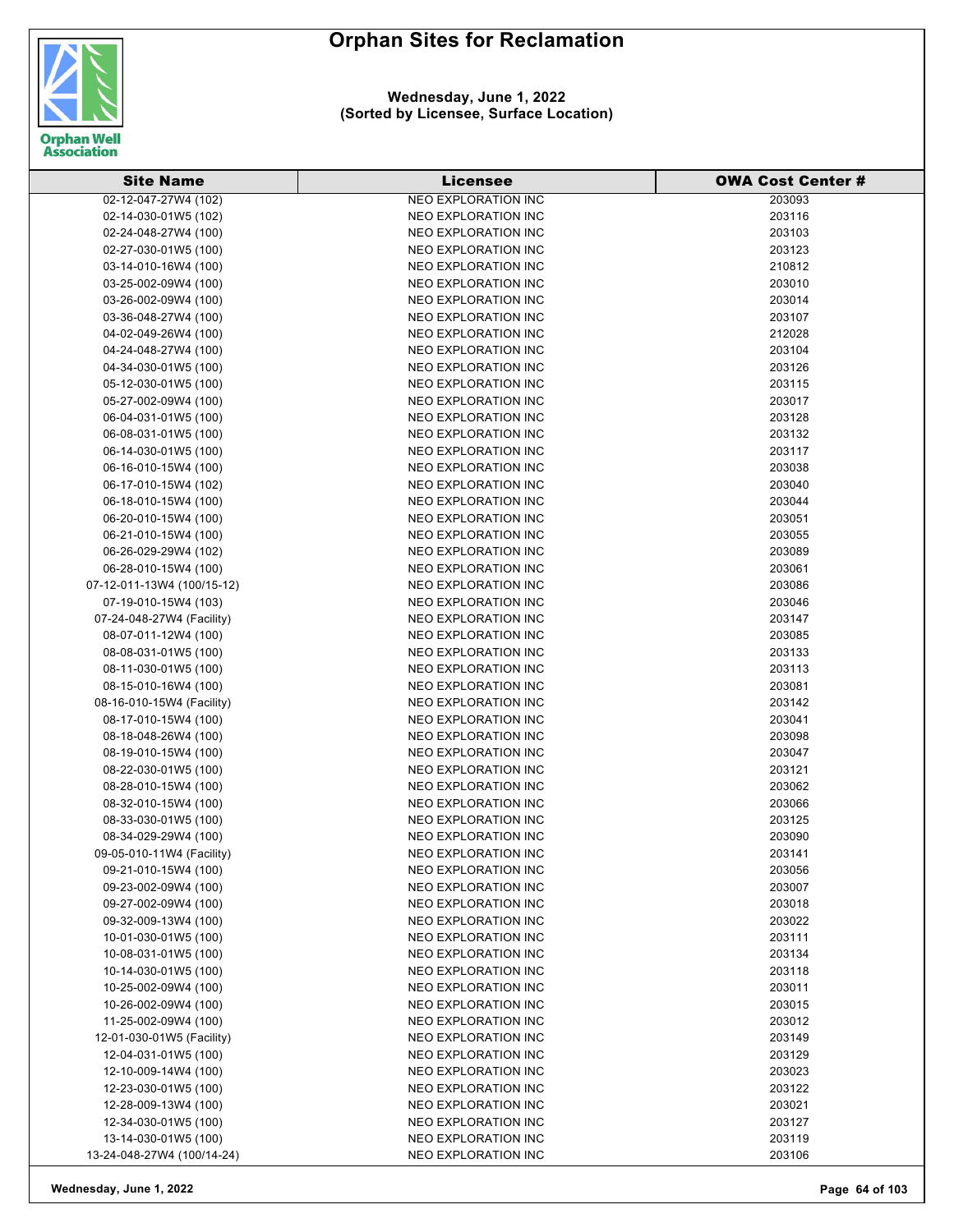

#### **Wednesday, June 1, 2022 (Sorted by Licensee, Surface Location)**

| <b>Site Name</b>           | <b>Licensee</b>            | <b>OWA Cost Center #</b> |
|----------------------------|----------------------------|--------------------------|
| 02-12-047-27W4 (102)       | <b>NEO EXPLORATION INC</b> | 203093                   |
| 02-14-030-01W5 (102)       | NEO EXPLORATION INC        | 203116                   |
| 02-24-048-27W4 (100)       | NEO EXPLORATION INC        | 203103                   |
| 02-27-030-01W5 (100)       | NEO EXPLORATION INC        | 203123                   |
| 03-14-010-16W4 (100)       | NEO EXPLORATION INC        | 210812                   |
| 03-25-002-09W4 (100)       | NEO EXPLORATION INC        | 203010                   |
| 03-26-002-09W4 (100)       | NEO EXPLORATION INC        | 203014                   |
| 03-36-048-27W4 (100)       | <b>NEO EXPLORATION INC</b> | 203107                   |
| 04-02-049-26W4 (100)       | <b>NEO EXPLORATION INC</b> | 212028                   |
| 04-24-048-27W4 (100)       | <b>NEO EXPLORATION INC</b> | 203104                   |
| 04-34-030-01W5 (100)       | NEO EXPLORATION INC        | 203126                   |
| 05-12-030-01W5 (100)       | NEO EXPLORATION INC        | 203115                   |
| 05-27-002-09W4 (100)       | NEO EXPLORATION INC        | 203017                   |
| 06-04-031-01W5 (100)       | NEO EXPLORATION INC        | 203128                   |
| 06-08-031-01W5 (100)       | NEO EXPLORATION INC        | 203132                   |
| 06-14-030-01W5 (100)       | NEO EXPLORATION INC        | 203117                   |
| 06-16-010-15W4 (100)       | NEO EXPLORATION INC        | 203038                   |
| 06-17-010-15W4 (102)       | NEO EXPLORATION INC        | 203040                   |
| 06-18-010-15W4 (100)       | NEO EXPLORATION INC        | 203044                   |
| 06-20-010-15W4 (100)       | <b>NEO EXPLORATION INC</b> | 203051                   |
| 06-21-010-15W4 (100)       | NEO EXPLORATION INC        | 203055                   |
| 06-26-029-29W4 (102)       | <b>NEO EXPLORATION INC</b> | 203089                   |
| 06-28-010-15W4 (100)       | <b>NEO EXPLORATION INC</b> | 203061                   |
| 07-12-011-13W4 (100/15-12) | NEO EXPLORATION INC        | 203086                   |
| 07-19-010-15W4 (103)       | NEO EXPLORATION INC        | 203046                   |
| 07-24-048-27W4 (Facility)  | NEO EXPLORATION INC        | 203147                   |
| 08-07-011-12W4 (100)       | NEO EXPLORATION INC        | 203085                   |
| 08-08-031-01W5 (100)       | NEO EXPLORATION INC        | 203133                   |
| 08-11-030-01W5 (100)       | NEO EXPLORATION INC        | 203113                   |
| 08-15-010-16W4 (100)       | NEO EXPLORATION INC        | 203081                   |
| 08-16-010-15W4 (Facility)  | NEO EXPLORATION INC        | 203142                   |
| 08-17-010-15W4 (100)       | NEO EXPLORATION INC        | 203041                   |
| 08-18-048-26W4 (100)       | NEO EXPLORATION INC        | 203098                   |
| 08-19-010-15W4 (100)       | NEO EXPLORATION INC        | 203047                   |
| 08-22-030-01W5 (100)       | NEO EXPLORATION INC        | 203121                   |
| 08-28-010-15W4 (100)       | NEO EXPLORATION INC        | 203062                   |
| 08-32-010-15W4 (100)       | NEO EXPLORATION INC        | 203066                   |
| 08-33-030-01W5 (100)       | NEO EXPLORATION INC        | 203125                   |
| 08-34-029-29W4 (100)       | <b>NEO EXPLORATION INC</b> | 203090                   |
| 09-05-010-11W4 (Facility)  | <b>NEO EXPLORATION INC</b> | 203141                   |
| 09-21-010-15W4 (100)       | NEO EXPLORATION INC        | 203056                   |
| 09-23-002-09W4 (100)       | NEO EXPLORATION INC        | 203007                   |
| 09-27-002-09W4 (100)       | NEO EXPLORATION INC        | 203018                   |
| 09-32-009-13W4 (100)       | NEO EXPLORATION INC        | 203022                   |
| 10-01-030-01W5 (100)       | NEO EXPLORATION INC        | 203111                   |
| 10-08-031-01W5 (100)       | NEO EXPLORATION INC        | 203134                   |
| 10-14-030-01W5 (100)       | <b>NEO EXPLORATION INC</b> | 203118                   |
| 10-25-002-09W4 (100)       | <b>NEO EXPLORATION INC</b> | 203011                   |
| 10-26-002-09W4 (100)       | NEO EXPLORATION INC        | 203015                   |
| 11-25-002-09W4 (100)       | NEO EXPLORATION INC        | 203012                   |
| 12-01-030-01W5 (Facility)  | NEO EXPLORATION INC        | 203149                   |
| 12-04-031-01W5 (100)       | NEO EXPLORATION INC        | 203129                   |
| 12-10-009-14W4 (100)       | NEO EXPLORATION INC        | 203023                   |
| 12-23-030-01W5 (100)       | NEO EXPLORATION INC        | 203122                   |
| 12-28-009-13W4 (100)       | NEO EXPLORATION INC        | 203021                   |
| 12-34-030-01W5 (100)       | NEO EXPLORATION INC        | 203127                   |
| 13-14-030-01W5 (100)       | NEO EXPLORATION INC        | 203119                   |
| 13-24-048-27W4 (100/14-24) | NEO EXPLORATION INC        | 203106                   |
|                            |                            |                          |

**Wednesday, June 1, 2022 Page 64 of 103**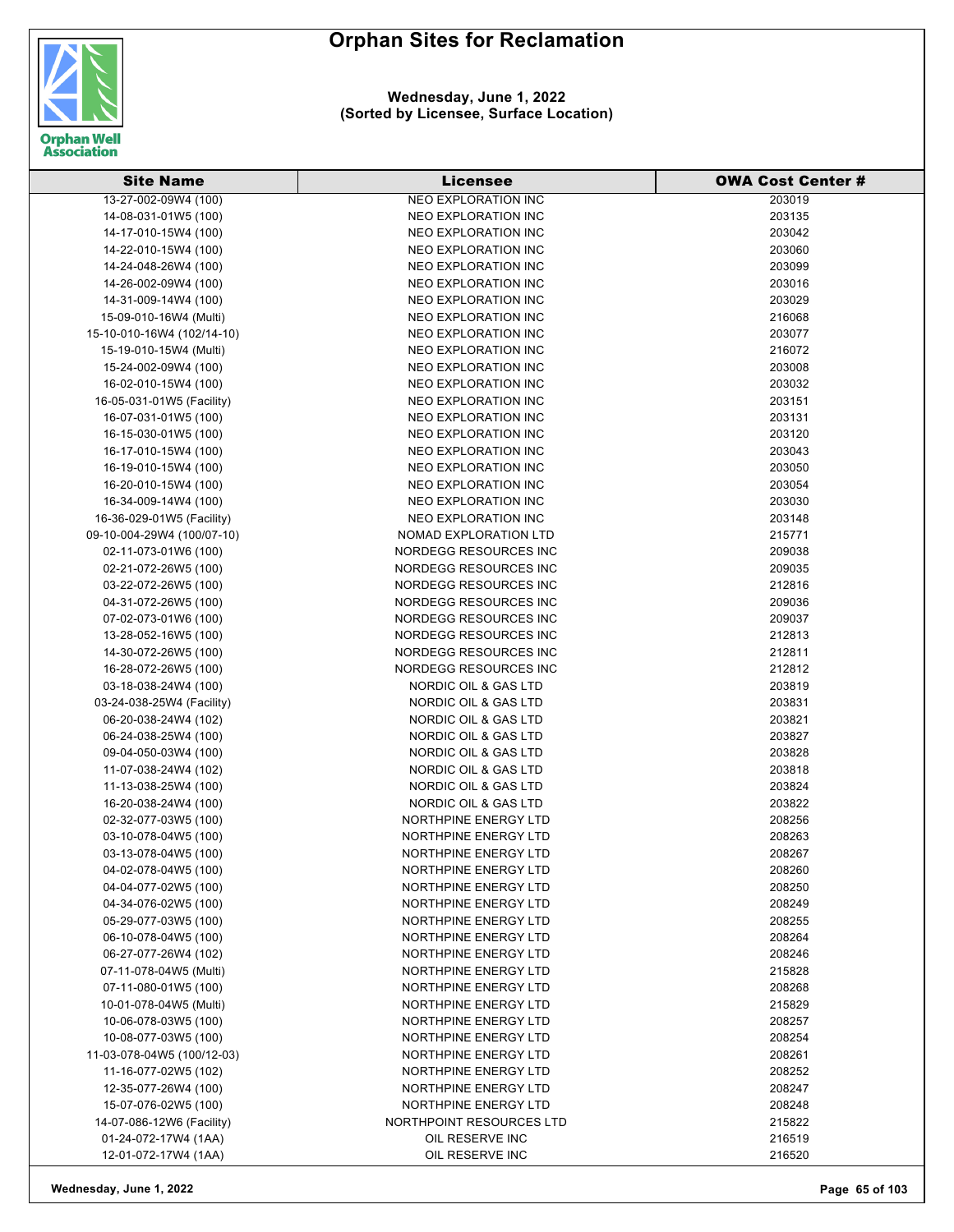

| <b>Site Name</b>           | <b>Licensee</b>                 | <b>OWA Cost Center #</b> |
|----------------------------|---------------------------------|--------------------------|
| 13-27-002-09W4 (100)       | <b>NEO EXPLORATION INC</b>      | 203019                   |
| 14-08-031-01W5 (100)       | NEO EXPLORATION INC             | 203135                   |
| 14-17-010-15W4 (100)       | NEO EXPLORATION INC             | 203042                   |
| 14-22-010-15W4 (100)       | NEO EXPLORATION INC             | 203060                   |
| 14-24-048-26W4 (100)       | <b>NEO EXPLORATION INC</b>      | 203099                   |
| 14-26-002-09W4 (100)       | NEO EXPLORATION INC             | 203016                   |
| 14-31-009-14W4 (100)       | <b>NEO EXPLORATION INC</b>      | 203029                   |
| 15-09-010-16W4 (Multi)     | <b>NEO EXPLORATION INC</b>      | 216068                   |
| 15-10-010-16W4 (102/14-10) | <b>NEO EXPLORATION INC</b>      | 203077                   |
| 15-19-010-15W4 (Multi)     | NEO EXPLORATION INC             | 216072                   |
| 15-24-002-09W4 (100)       | NEO EXPLORATION INC             | 203008                   |
| 16-02-010-15W4 (100)       | <b>NEO EXPLORATION INC</b>      | 203032                   |
| 16-05-031-01W5 (Facility)  | <b>NEO EXPLORATION INC</b>      | 203151                   |
| 16-07-031-01W5 (100)       | NEO EXPLORATION INC             | 203131                   |
| 16-15-030-01W5 (100)       | NEO EXPLORATION INC             | 203120                   |
| 16-17-010-15W4 (100)       | <b>NEO EXPLORATION INC</b>      | 203043                   |
| 16-19-010-15W4 (100)       | <b>NEO EXPLORATION INC</b>      | 203050                   |
| 16-20-010-15W4 (100)       | NEO EXPLORATION INC             | 203054                   |
| 16-34-009-14W4 (100)       | NEO EXPLORATION INC             | 203030                   |
| 16-36-029-01W5 (Facility)  | <b>NEO EXPLORATION INC</b>      | 203148                   |
| 09-10-004-29W4 (100/07-10) | NOMAD EXPLORATION LTD           | 215771                   |
| 02-11-073-01W6 (100)       | NORDEGG RESOURCES INC           | 209038                   |
| 02-21-072-26W5 (100)       | NORDEGG RESOURCES INC           | 209035                   |
| 03-22-072-26W5 (100)       | NORDEGG RESOURCES INC           | 212816                   |
| 04-31-072-26W5 (100)       | NORDEGG RESOURCES INC           | 209036                   |
| 07-02-073-01W6 (100)       | NORDEGG RESOURCES INC           | 209037                   |
| 13-28-052-16W5 (100)       | NORDEGG RESOURCES INC           | 212813                   |
| 14-30-072-26W5 (100)       | NORDEGG RESOURCES INC           | 212811                   |
| 16-28-072-26W5 (100)       | NORDEGG RESOURCES INC           | 212812                   |
| 03-18-038-24W4 (100)       | NORDIC OIL & GAS LTD            | 203819                   |
| 03-24-038-25W4 (Facility)  | NORDIC OIL & GAS LTD            | 203831                   |
| 06-20-038-24W4 (102)       | NORDIC OIL & GAS LTD            | 203821                   |
| 06-24-038-25W4 (100)       | NORDIC OIL & GAS LTD            | 203827                   |
| 09-04-050-03W4 (100)       | NORDIC OIL & GAS LTD            | 203828                   |
| 11-07-038-24W4 (102)       | NORDIC OIL & GAS LTD            | 203818                   |
| 11-13-038-25W4 (100)       | <b>NORDIC OIL &amp; GAS LTD</b> | 203824                   |
| 16-20-038-24W4 (100)       | NORDIC OIL & GAS LTD            | 203822                   |
| 02-32-077-03W5 (100)       | NORTHPINE ENERGY LTD            | 208256                   |
| 03-10-078-04W5 (100)       | NORTHPINE ENERGY LTD            | 208263                   |
| 03-13-078-04W5 (100)       | NORTHPINE ENERGY LTD            | 208267                   |
| 04-02-078-04W5 (100)       | NORTHPINE ENERGY LTD            | 208260                   |
| 04-04-077-02W5 (100)       | NORTHPINE ENERGY LTD            | 208250                   |
| 04-34-076-02W5 (100)       | NORTHPINE ENERGY LTD            | 208249                   |
| 05-29-077-03W5 (100)       | NORTHPINE ENERGY LTD            | 208255                   |
| 06-10-078-04W5 (100)       | NORTHPINE ENERGY LTD            | 208264                   |
| 06-27-077-26W4 (102)       | NORTHPINE ENERGY LTD            | 208246                   |
| 07-11-078-04W5 (Multi)     | NORTHPINE ENERGY LTD            | 215828                   |
| 07-11-080-01W5 (100)       | NORTHPINE ENERGY LTD            | 208268                   |
| 10-01-078-04W5 (Multi)     | NORTHPINE ENERGY LTD            | 215829                   |
| 10-06-078-03W5 (100)       | NORTHPINE ENERGY LTD            | 208257                   |
| 10-08-077-03W5 (100)       | NORTHPINE ENERGY LTD            | 208254                   |
| 11-03-078-04W5 (100/12-03) | NORTHPINE ENERGY LTD            | 208261                   |
| 11-16-077-02W5 (102)       | NORTHPINE ENERGY LTD            | 208252                   |
| 12-35-077-26W4 (100)       | NORTHPINE ENERGY LTD            | 208247                   |
| 15-07-076-02W5 (100)       | NORTHPINE ENERGY LTD            | 208248                   |
| 14-07-086-12W6 (Facility)  | NORTHPOINT RESOURCES LTD        | 215822                   |
| 01-24-072-17W4 (1AA)       | OIL RESERVE INC                 | 216519                   |
| 12-01-072-17W4 (1AA)       | OIL RESERVE INC                 | 216520                   |
|                            |                                 |                          |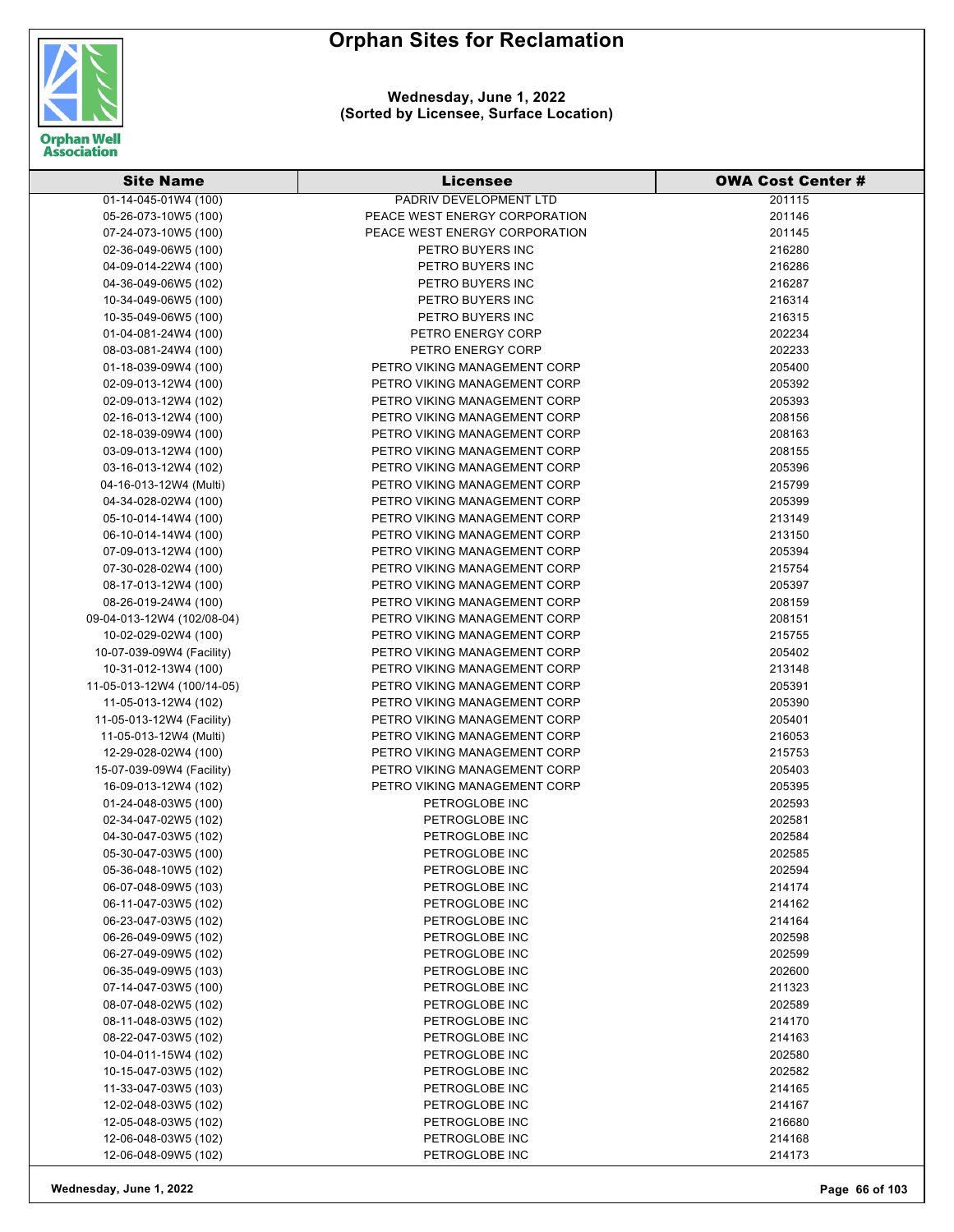

#### **Wednesday, June 1, 2022 (Sorted by Licensee, Surface Location)**

| <b>Site Name</b>                                   | <b>Licensee</b>                                              | <b>OWA Cost Center #</b> |
|----------------------------------------------------|--------------------------------------------------------------|--------------------------|
| 01-14-045-01W4 (100)                               | PADRIV DEVELOPMENT LTD                                       | 201115                   |
| 05-26-073-10W5 (100)                               | PEACE WEST ENERGY CORPORATION                                | 201146                   |
| 07-24-073-10W5 (100)                               | PEACE WEST ENERGY CORPORATION                                | 201145                   |
| 02-36-049-06W5 (100)                               | PETRO BUYERS INC                                             | 216280                   |
| 04-09-014-22W4 (100)                               | PETRO BUYERS INC                                             | 216286                   |
| 04-36-049-06W5 (102)                               | PETRO BUYERS INC                                             | 216287                   |
| 10-34-049-06W5 (100)                               | PETRO BUYERS INC                                             | 216314                   |
| 10-35-049-06W5 (100)                               | PETRO BUYERS INC                                             | 216315                   |
| 01-04-081-24W4 (100)                               | PETRO ENERGY CORP                                            | 202234                   |
| 08-03-081-24W4 (100)                               | PETRO ENERGY CORP                                            | 202233                   |
| 01-18-039-09W4 (100)                               | PETRO VIKING MANAGEMENT CORP                                 | 205400                   |
| 02-09-013-12W4 (100)                               | PETRO VIKING MANAGEMENT CORP                                 | 205392                   |
| 02-09-013-12W4 (102)                               | PETRO VIKING MANAGEMENT CORP                                 | 205393                   |
| 02-16-013-12W4 (100)                               | PETRO VIKING MANAGEMENT CORP                                 | 208156                   |
| 02-18-039-09W4 (100)                               | PETRO VIKING MANAGEMENT CORP                                 | 208163                   |
| 03-09-013-12W4 (100)                               | PETRO VIKING MANAGEMENT CORP                                 | 208155                   |
| 03-16-013-12W4 (102)                               | PETRO VIKING MANAGEMENT CORP                                 | 205396                   |
| 04-16-013-12W4 (Multi)                             | PETRO VIKING MANAGEMENT CORP                                 | 215799                   |
| 04-34-028-02W4 (100)                               | PETRO VIKING MANAGEMENT CORP                                 | 205399                   |
| 05-10-014-14W4 (100)                               | PETRO VIKING MANAGEMENT CORP                                 | 213149                   |
| 06-10-014-14W4 (100)                               | PETRO VIKING MANAGEMENT CORP                                 | 213150                   |
| 07-09-013-12W4 (100)                               | PETRO VIKING MANAGEMENT CORP                                 | 205394                   |
| 07-30-028-02W4 (100)                               | PETRO VIKING MANAGEMENT CORP                                 | 215754                   |
| 08-17-013-12W4 (100)                               | PETRO VIKING MANAGEMENT CORP                                 | 205397                   |
| 08-26-019-24W4 (100)                               | PETRO VIKING MANAGEMENT CORP                                 | 208159                   |
| 09-04-013-12W4 (102/08-04)                         | PETRO VIKING MANAGEMENT CORP                                 | 208151                   |
| 10-02-029-02W4 (100)                               | PETRO VIKING MANAGEMENT CORP                                 | 215755                   |
| 10-07-039-09W4 (Facility)                          | PETRO VIKING MANAGEMENT CORP                                 | 205402                   |
| 10-31-012-13W4 (100)                               | PETRO VIKING MANAGEMENT CORP                                 | 213148                   |
| 11-05-013-12W4 (100/14-05)<br>11-05-013-12W4 (102) | PETRO VIKING MANAGEMENT CORP<br>PETRO VIKING MANAGEMENT CORP | 205391<br>205390         |
| 11-05-013-12W4 (Facility)                          | PETRO VIKING MANAGEMENT CORP                                 | 205401                   |
| 11-05-013-12W4 (Multi)                             | PETRO VIKING MANAGEMENT CORP                                 | 216053                   |
| 12-29-028-02W4 (100)                               | PETRO VIKING MANAGEMENT CORP                                 | 215753                   |
| 15-07-039-09W4 (Facility)                          | PETRO VIKING MANAGEMENT CORP                                 | 205403                   |
| 16-09-013-12W4 (102)                               | PETRO VIKING MANAGEMENT CORP                                 | 205395                   |
| 01-24-048-03W5 (100)                               | PETROGLOBE INC                                               | 202593                   |
| 02-34-047-02W5 (102)                               | PETROGLOBE INC                                               | 202581                   |
| 04-30-047-03W5 (102)                               | PETROGLOBE INC                                               | 202584                   |
| 05-30-047-03W5 (100)                               | PETROGLOBE INC                                               | 202585                   |
| 05-36-048-10W5 (102)                               | PETROGLOBE INC                                               | 202594                   |
| 06-07-048-09W5 (103)                               | PETROGLOBE INC                                               | 214174                   |
| 06-11-047-03W5 (102)                               | PETROGLOBE INC                                               | 214162                   |
| 06-23-047-03W5 (102)                               | PETROGLOBE INC                                               | 214164                   |
| 06-26-049-09W5 (102)                               | PETROGLOBE INC                                               | 202598                   |
| 06-27-049-09W5 (102)                               | PETROGLOBE INC                                               | 202599                   |
| 06-35-049-09W5 (103)                               | PETROGLOBE INC                                               | 202600                   |
| 07-14-047-03W5 (100)                               | PETROGLOBE INC                                               | 211323                   |
| 08-07-048-02W5 (102)                               | PETROGLOBE INC                                               | 202589                   |
| 08-11-048-03W5 (102)                               | PETROGLOBE INC                                               | 214170                   |
| 08-22-047-03W5 (102)                               | PETROGLOBE INC                                               | 214163                   |
| 10-04-011-15W4 (102)                               | PETROGLOBE INC                                               | 202580                   |
| 10-15-047-03W5 (102)                               | PETROGLOBE INC                                               | 202582                   |
| 11-33-047-03W5 (103)                               | PETROGLOBE INC                                               | 214165                   |
| 12-02-048-03W5 (102)                               | PETROGLOBE INC                                               | 214167                   |
| 12-05-048-03W5 (102)                               | PETROGLOBE INC                                               | 216680                   |
| 12-06-048-03W5 (102)                               | PETROGLOBE INC                                               | 214168                   |
| 12-06-048-09W5 (102)                               | PETROGLOBE INC                                               | 214173                   |

**Wednesday, June 1, 2022 Page 66 of 103**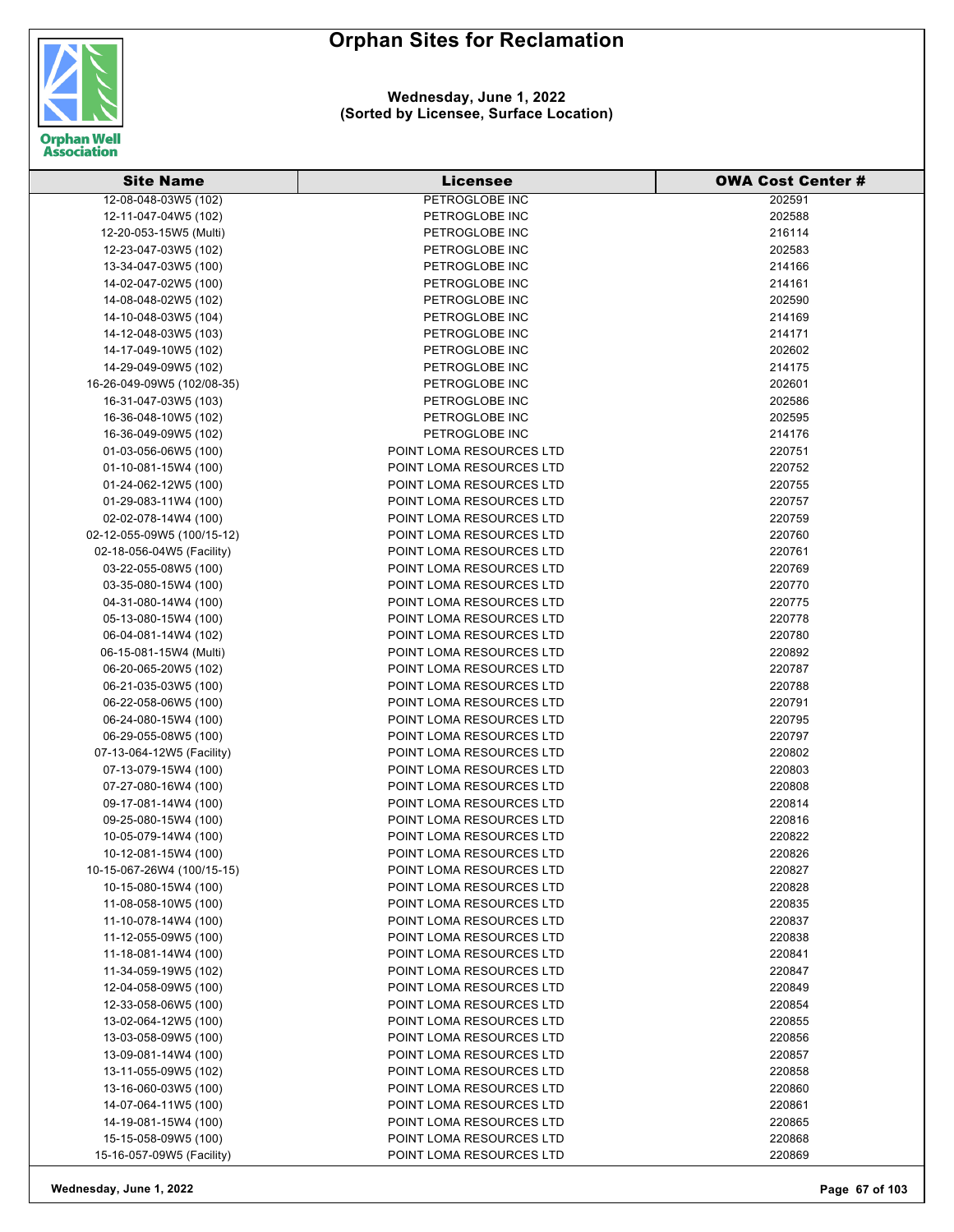

#### **Wednesday, June 1, 2022 (Sorted by Licensee, Surface Location)**

| <b>Site Name</b>           | <b>Licensee</b>          | <b>OWA Cost Center #</b> |
|----------------------------|--------------------------|--------------------------|
| 12-08-048-03W5 (102)       | PETROGLOBE INC           | 202591                   |
| 12-11-047-04W5 (102)       | PETROGLOBE INC           | 202588                   |
| 12-20-053-15W5 (Multi)     | PETROGLOBE INC           | 216114                   |
| 12-23-047-03W5 (102)       | PETROGLOBE INC           | 202583                   |
| 13-34-047-03W5 (100)       | PETROGLOBE INC           | 214166                   |
| 14-02-047-02W5 (100)       | PETROGLOBE INC           | 214161                   |
| 14-08-048-02W5 (102)       | PETROGLOBE INC           | 202590                   |
| 14-10-048-03W5 (104)       | PETROGLOBE INC           | 214169                   |
| 14-12-048-03W5 (103)       | PETROGLOBE INC           | 214171                   |
| 14-17-049-10W5 (102)       | PETROGLOBE INC           | 202602                   |
| 14-29-049-09W5 (102)       | PETROGLOBE INC           | 214175                   |
| 16-26-049-09W5 (102/08-35) | PETROGLOBE INC           | 202601                   |
| 16-31-047-03W5 (103)       | PETROGLOBE INC           | 202586                   |
| 16-36-048-10W5 (102)       | PETROGLOBE INC           | 202595                   |
| 16-36-049-09W5 (102)       | PETROGLOBE INC           | 214176                   |
| 01-03-056-06W5 (100)       | POINT LOMA RESOURCES LTD | 220751                   |
| 01-10-081-15W4 (100)       | POINT LOMA RESOURCES LTD | 220752                   |
|                            | POINT LOMA RESOURCES LTD | 220755                   |
| 01-24-062-12W5 (100)       | POINT LOMA RESOURCES LTD | 220757                   |
| 01-29-083-11W4 (100)       | POINT LOMA RESOURCES LTD | 220759                   |
| 02-02-078-14W4 (100)       |                          |                          |
| 02-12-055-09W5 (100/15-12) | POINT LOMA RESOURCES LTD | 220760                   |
| 02-18-056-04W5 (Facility)  | POINT LOMA RESOURCES LTD | 220761                   |
| 03-22-055-08W5 (100)       | POINT LOMA RESOURCES LTD | 220769                   |
| 03-35-080-15W4 (100)       | POINT LOMA RESOURCES LTD | 220770                   |
| 04-31-080-14W4 (100)       | POINT LOMA RESOURCES LTD | 220775                   |
| 05-13-080-15W4 (100)       | POINT LOMA RESOURCES LTD | 220778                   |
| 06-04-081-14W4 (102)       | POINT LOMA RESOURCES LTD | 220780                   |
| 06-15-081-15W4 (Multi)     | POINT LOMA RESOURCES LTD | 220892                   |
| 06-20-065-20W5 (102)       | POINT LOMA RESOURCES LTD | 220787                   |
| 06-21-035-03W5 (100)       | POINT LOMA RESOURCES LTD | 220788                   |
| 06-22-058-06W5 (100)       | POINT LOMA RESOURCES LTD | 220791                   |
| 06-24-080-15W4 (100)       | POINT LOMA RESOURCES LTD | 220795                   |
| 06-29-055-08W5 (100)       | POINT LOMA RESOURCES LTD | 220797                   |
| 07-13-064-12W5 (Facility)  | POINT LOMA RESOURCES LTD | 220802                   |
| 07-13-079-15W4 (100)       | POINT LOMA RESOURCES LTD | 220803                   |
| 07-27-080-16W4 (100)       | POINT LOMA RESOURCES LTD | 220808                   |
| 09-17-081-14W4 (100)       | POINT LOMA RESOURCES LTD | 220814                   |
| 09-25-080-15W4 (100)       | POINT LOMA RESOURCES LTD | 220816                   |
| 10-05-079-14W4 (100)       | POINT LOMA RESOURCES LTD | 220822                   |
| 10-12-081-15W4 (100)       | POINT LOMA RESOURCES LTD | 220826                   |
| 10-15-067-26W4 (100/15-15) | POINT LOMA RESOURCES LTD | 220827                   |
| 10-15-080-15W4 (100)       | POINT LOMA RESOURCES LTD | 220828                   |
| 11-08-058-10W5 (100)       | POINT LOMA RESOURCES LTD | 220835                   |
| 11-10-078-14W4 (100)       | POINT LOMA RESOURCES LTD | 220837                   |
| 11-12-055-09W5 (100)       | POINT LOMA RESOURCES LTD | 220838                   |
| 11-18-081-14W4 (100)       | POINT LOMA RESOURCES LTD | 220841                   |
| 11-34-059-19W5 (102)       | POINT LOMA RESOURCES LTD | 220847                   |
| 12-04-058-09W5 (100)       | POINT LOMA RESOURCES LTD | 220849                   |
| 12-33-058-06W5 (100)       | POINT LOMA RESOURCES LTD | 220854                   |
| 13-02-064-12W5 (100)       | POINT LOMA RESOURCES LTD | 220855                   |
| 13-03-058-09W5 (100)       | POINT LOMA RESOURCES LTD | 220856                   |
| 13-09-081-14W4 (100)       | POINT LOMA RESOURCES LTD | 220857                   |
| 13-11-055-09W5 (102)       | POINT LOMA RESOURCES LTD | 220858                   |
| 13-16-060-03W5 (100)       | POINT LOMA RESOURCES LTD | 220860                   |
| 14-07-064-11W5 (100)       | POINT LOMA RESOURCES LTD | 220861                   |
| 14-19-081-15W4 (100)       | POINT LOMA RESOURCES LTD | 220865                   |
| 15-15-058-09W5 (100)       | POINT LOMA RESOURCES LTD | 220868                   |
| 15-16-057-09W5 (Facility)  | POINT LOMA RESOURCES LTD | 220869                   |

**Wednesday, June 1, 2022 Page 67 of 103**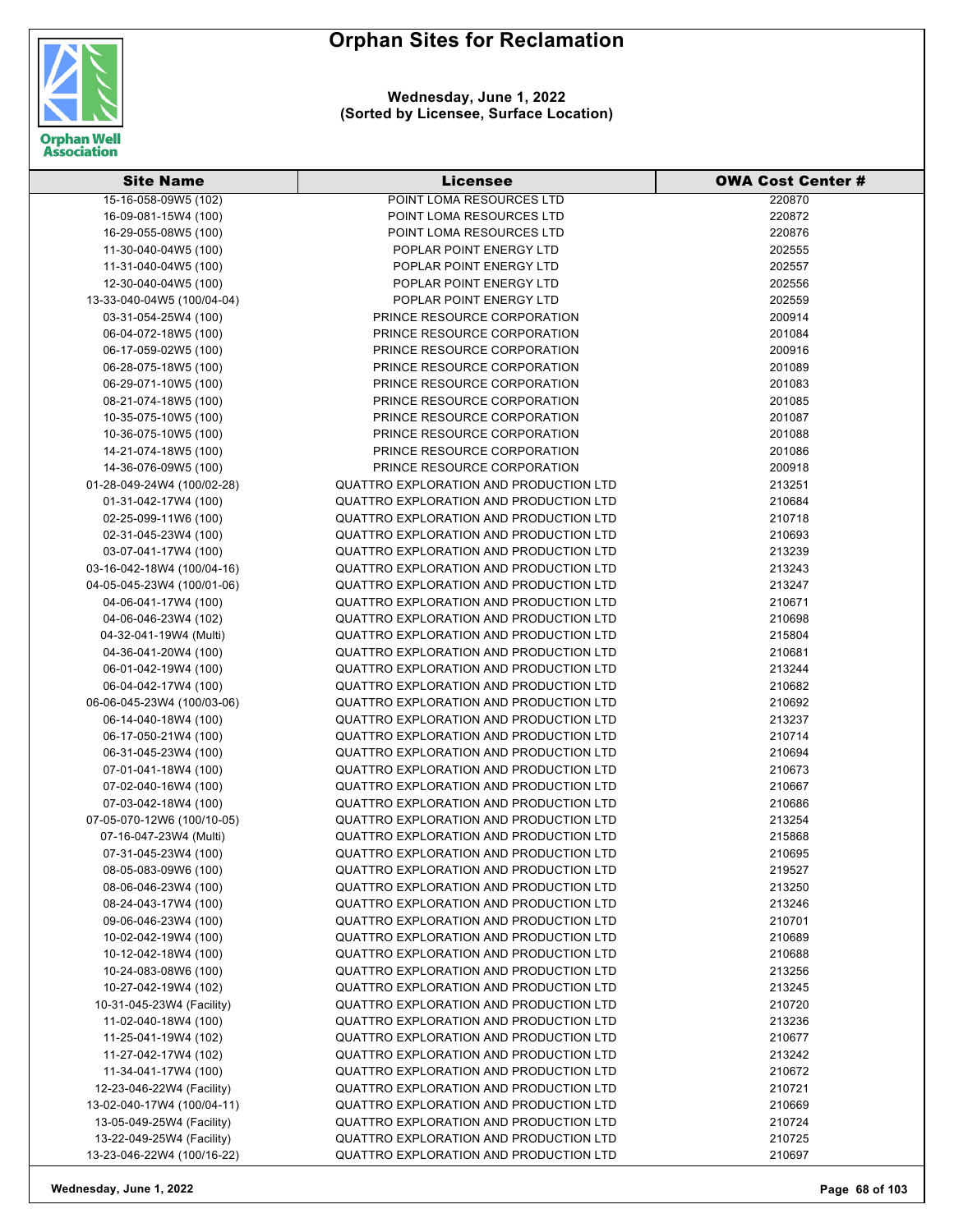**Wednesday, June 1, 2022 (Sorted by Licensee, Surface Location)**



| <b>Site Name</b>           | <b>Licensee</b>                        | <b>OWA Cost Center #</b> |
|----------------------------|----------------------------------------|--------------------------|
| 15-16-058-09W5 (102)       | POINT LOMA RESOURCES LTD               | 220870                   |
| 16-09-081-15W4 (100)       | POINT LOMA RESOURCES LTD               | 220872                   |
| 16-29-055-08W5 (100)       | POINT LOMA RESOURCES LTD               | 220876                   |
| 11-30-040-04W5 (100)       | POPLAR POINT ENERGY LTD                | 202555                   |
| 11-31-040-04W5 (100)       | POPLAR POINT ENERGY LTD                | 202557                   |
| 12-30-040-04W5 (100)       | POPLAR POINT ENERGY LTD                | 202556                   |
| 13-33-040-04W5 (100/04-04) | POPLAR POINT ENERGY LTD                | 202559                   |
| 03-31-054-25W4 (100)       | PRINCE RESOURCE CORPORATION            | 200914                   |
| 06-04-072-18W5 (100)       | PRINCE RESOURCE CORPORATION            | 201084                   |
| 06-17-059-02W5 (100)       | PRINCE RESOURCE CORPORATION            | 200916                   |
| 06-28-075-18W5 (100)       | PRINCE RESOURCE CORPORATION            | 201089                   |
| 06-29-071-10W5 (100)       | PRINCE RESOURCE CORPORATION            | 201083                   |
| 08-21-074-18W5 (100)       | PRINCE RESOURCE CORPORATION            | 201085                   |
| 10-35-075-10W5 (100)       | PRINCE RESOURCE CORPORATION            | 201087                   |
| 10-36-075-10W5 (100)       | PRINCE RESOURCE CORPORATION            | 201088                   |
| 14-21-074-18W5 (100)       | PRINCE RESOURCE CORPORATION            | 201086                   |
| 14-36-076-09W5 (100)       | PRINCE RESOURCE CORPORATION            | 200918                   |
| 01-28-049-24W4 (100/02-28) | QUATTRO EXPLORATION AND PRODUCTION LTD | 213251                   |
| 01-31-042-17W4 (100)       | QUATTRO EXPLORATION AND PRODUCTION LTD | 210684                   |
| 02-25-099-11W6 (100)       | QUATTRO EXPLORATION AND PRODUCTION LTD | 210718                   |
| 02-31-045-23W4 (100)       | QUATTRO EXPLORATION AND PRODUCTION LTD | 210693                   |
| 03-07-041-17W4 (100)       | QUATTRO EXPLORATION AND PRODUCTION LTD | 213239                   |
| 03-16-042-18W4 (100/04-16) | QUATTRO EXPLORATION AND PRODUCTION LTD | 213243                   |
| 04-05-045-23W4 (100/01-06) | QUATTRO EXPLORATION AND PRODUCTION LTD | 213247                   |
| 04-06-041-17W4 (100)       | QUATTRO EXPLORATION AND PRODUCTION LTD | 210671                   |
| 04-06-046-23W4 (102)       | QUATTRO EXPLORATION AND PRODUCTION LTD | 210698                   |
| 04-32-041-19W4 (Multi)     | QUATTRO EXPLORATION AND PRODUCTION LTD | 215804                   |
| 04-36-041-20W4 (100)       | QUATTRO EXPLORATION AND PRODUCTION LTD | 210681                   |
| 06-01-042-19W4 (100)       | QUATTRO EXPLORATION AND PRODUCTION LTD | 213244                   |
| 06-04-042-17W4 (100)       | QUATTRO EXPLORATION AND PRODUCTION LTD | 210682                   |
| 06-06-045-23W4 (100/03-06) | QUATTRO EXPLORATION AND PRODUCTION LTD | 210692                   |
| 06-14-040-18W4 (100)       | QUATTRO EXPLORATION AND PRODUCTION LTD | 213237                   |
| 06-17-050-21W4 (100)       | QUATTRO EXPLORATION AND PRODUCTION LTD | 210714                   |
| 06-31-045-23W4 (100)       | QUATTRO EXPLORATION AND PRODUCTION LTD | 210694                   |
| 07-01-041-18W4 (100)       | QUATTRO EXPLORATION AND PRODUCTION LTD | 210673                   |
| 07-02-040-16W4 (100)       | QUATTRO EXPLORATION AND PRODUCTION LTD | 210667                   |
| 07-03-042-18W4 (100)       | QUATTRO EXPLORATION AND PRODUCTION LTD | 210686                   |
| 07-05-070-12W6 (100/10-05) | QUATTRO EXPLORATION AND PRODUCTION LTD | 213254                   |
| 07-16-047-23W4 (Multi)     | QUATTRO EXPLORATION AND PRODUCTION LTD | 215868                   |
| 07-31-045-23W4 (100)       | QUATTRO EXPLORATION AND PRODUCTION LTD | 210695                   |
| 08-05-083-09W6 (100)       | QUATTRO EXPLORATION AND PRODUCTION LTD | 219527                   |
| 08-06-046-23W4 (100)       | QUATTRO EXPLORATION AND PRODUCTION LTD | 213250                   |
| 08-24-043-17W4 (100)       | QUATTRO EXPLORATION AND PRODUCTION LTD | 213246                   |
| 09-06-046-23W4 (100)       | QUATTRO EXPLORATION AND PRODUCTION LTD | 210701                   |
| 10-02-042-19W4 (100)       | QUATTRO EXPLORATION AND PRODUCTION LTD | 210689                   |
| 10-12-042-18W4 (100)       | QUATTRO EXPLORATION AND PRODUCTION LTD | 210688                   |
| 10-24-083-08W6 (100)       | QUATTRO EXPLORATION AND PRODUCTION LTD | 213256                   |
| 10-27-042-19W4 (102)       | QUATTRO EXPLORATION AND PRODUCTION LTD | 213245                   |
| 10-31-045-23W4 (Facility)  | QUATTRO EXPLORATION AND PRODUCTION LTD | 210720                   |
| 11-02-040-18W4 (100)       | QUATTRO EXPLORATION AND PRODUCTION LTD | 213236                   |
| 11-25-041-19W4 (102)       | QUATTRO EXPLORATION AND PRODUCTION LTD | 210677                   |
| 11-27-042-17W4 (102)       | QUATTRO EXPLORATION AND PRODUCTION LTD | 213242                   |
| 11-34-041-17W4 (100)       | QUATTRO EXPLORATION AND PRODUCTION LTD | 210672                   |
| 12-23-046-22W4 (Facility)  | QUATTRO EXPLORATION AND PRODUCTION LTD | 210721                   |
| 13-02-040-17W4 (100/04-11) | QUATTRO EXPLORATION AND PRODUCTION LTD | 210669                   |
| 13-05-049-25W4 (Facility)  | QUATTRO EXPLORATION AND PRODUCTION LTD | 210724                   |
| 13-22-049-25W4 (Facility)  | QUATTRO EXPLORATION AND PRODUCTION LTD | 210725                   |
| 13-23-046-22W4 (100/16-22) | QUATTRO EXPLORATION AND PRODUCTION LTD | 210697                   |

**Wednesday, June 1, 2022 Page 68 of 103**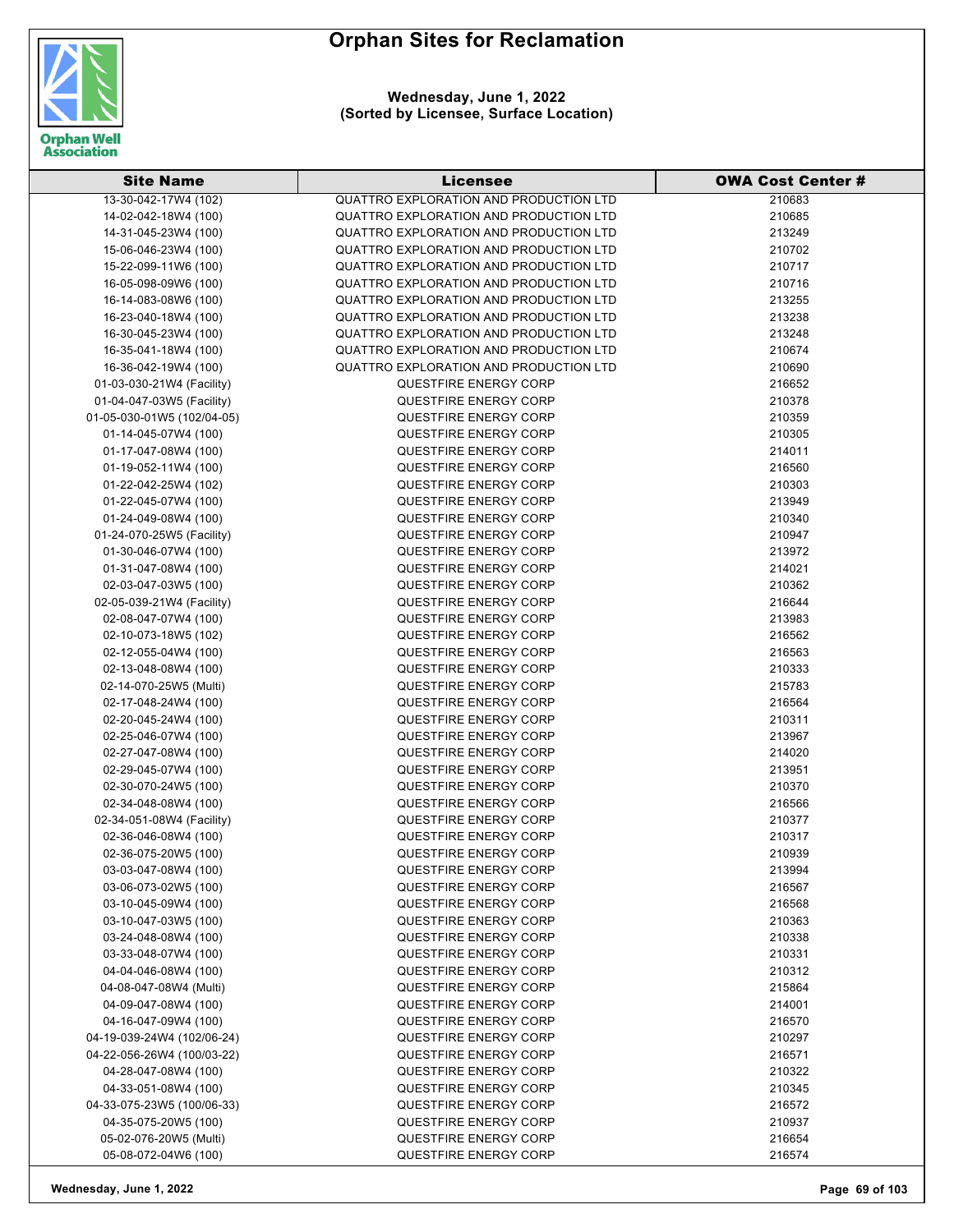

**Wednesday, June 1, 2022 (Sorted by Licensee, Surface Location)**

| <b>Site Name</b>           | Licensee                               | <b>OWA Cost Center #</b> |
|----------------------------|----------------------------------------|--------------------------|
| 13-30-042-17W4 (102)       | QUATTRO EXPLORATION AND PRODUCTION LTD | 210683                   |
| 14-02-042-18W4 (100)       | QUATTRO EXPLORATION AND PRODUCTION LTD | 210685                   |
| 14-31-045-23W4 (100)       | QUATTRO EXPLORATION AND PRODUCTION LTD | 213249                   |
| 15-06-046-23W4 (100)       | QUATTRO EXPLORATION AND PRODUCTION LTD | 210702                   |
| 15-22-099-11W6 (100)       | QUATTRO EXPLORATION AND PRODUCTION LTD | 210717                   |
| 16-05-098-09W6 (100)       | QUATTRO EXPLORATION AND PRODUCTION LTD | 210716                   |
| 16-14-083-08W6 (100)       | QUATTRO EXPLORATION AND PRODUCTION LTD | 213255                   |
| 16-23-040-18W4 (100)       | QUATTRO EXPLORATION AND PRODUCTION LTD | 213238                   |
| 16-30-045-23W4 (100)       | QUATTRO EXPLORATION AND PRODUCTION LTD | 213248                   |
| 16-35-041-18W4 (100)       | QUATTRO EXPLORATION AND PRODUCTION LTD | 210674                   |
| 16-36-042-19W4 (100)       | QUATTRO EXPLORATION AND PRODUCTION LTD | 210690                   |
| 01-03-030-21W4 (Facility)  | QUESTFIRE ENERGY CORP                  | 216652                   |
| 01-04-047-03W5 (Facility)  | QUESTFIRE ENERGY CORP                  | 210378                   |
| 01-05-030-01W5 (102/04-05) | <b>QUESTFIRE ENERGY CORP</b>           | 210359                   |
| 01-14-045-07W4 (100)       | QUESTFIRE ENERGY CORP                  | 210305                   |
| 01-17-047-08W4 (100)       | QUESTFIRE ENERGY CORP                  | 214011                   |
| 01-19-052-11W4 (100)       | QUESTFIRE ENERGY CORP                  | 216560                   |
| 01-22-042-25W4 (102)       | QUESTFIRE ENERGY CORP                  | 210303                   |
| 01-22-045-07W4 (100)       | QUESTFIRE ENERGY CORP                  | 213949                   |
| 01-24-049-08W4 (100)       | <b>QUESTFIRE ENERGY CORP</b>           | 210340                   |
| 01-24-070-25W5 (Facility)  | QUESTFIRE ENERGY CORP                  | 210947                   |
| 01-30-046-07W4 (100)       | QUESTFIRE ENERGY CORP                  | 213972                   |
| 01-31-047-08W4 (100)       | QUESTFIRE ENERGY CORP                  | 214021                   |
| 02-03-047-03W5 (100)       | <b>QUESTFIRE ENERGY CORP</b>           | 210362                   |
| 02-05-039-21W4 (Facility)  | QUESTFIRE ENERGY CORP                  | 216644                   |
| 02-08-047-07W4 (100)       | <b>QUESTFIRE ENERGY CORP</b>           | 213983                   |
| 02-10-073-18W5 (102)       | QUESTFIRE ENERGY CORP                  | 216562                   |
| 02-12-055-04W4 (100)       | QUESTFIRE ENERGY CORP                  | 216563                   |
| 02-13-048-08W4 (100)       | QUESTFIRE ENERGY CORP                  | 210333                   |
| 02-14-070-25W5 (Multi)     | QUESTFIRE ENERGY CORP                  | 215783                   |
| 02-17-048-24W4 (100)       | QUESTFIRE ENERGY CORP                  | 216564                   |
| 02-20-045-24W4 (100)       | QUESTFIRE ENERGY CORP                  | 210311                   |
| 02-25-046-07W4 (100)       | QUESTFIRE ENERGY CORP                  | 213967                   |
| 02-27-047-08W4 (100)       | QUESTFIRE ENERGY CORP                  | 214020                   |
| 02-29-045-07W4 (100)       | <b>QUESTFIRE ENERGY CORP</b>           | 213951                   |
| 02-30-070-24W5 (100)       | QUESTFIRE ENERGY CORP                  | 210370                   |
| 02-34-048-08W4 (100)       | QUESTFIRE ENERGY CORP                  | 216566                   |
| 02-34-051-08W4 (Facility)  | QUESTFIRE ENERGY CORP                  | 210377                   |
| 02-36-046-08W4 (100)       | QUESTFIRE ENERGY CORP                  | 210317                   |
| 02-36-075-20W5 (100)       | <b>QUESTFIRE ENERGY CORP</b>           | 210939                   |
| 03-03-047-08W4 (100)       | <b>QUESTFIRE ENERGY CORP</b>           | 213994                   |
| 03-06-073-02W5 (100)       | QUESTFIRE ENERGY CORP                  | 216567                   |
| 03-10-045-09W4 (100)       | <b>QUESTFIRE ENERGY CORP</b>           | 216568                   |
| 03-10-047-03W5 (100)       | QUESTFIRE ENERGY CORP                  | 210363                   |
| 03-24-048-08W4 (100)       | QUESTFIRE ENERGY CORP                  | 210338                   |
| 03-33-048-07W4 (100)       | QUESTFIRE ENERGY CORP                  | 210331                   |
| 04-04-046-08W4 (100)       | <b>QUESTFIRE ENERGY CORP</b>           | 210312                   |
| 04-08-047-08W4 (Multi)     | QUESTFIRE ENERGY CORP                  | 215864                   |
| 04-09-047-08W4 (100)       | <b>QUESTFIRE ENERGY CORP</b>           | 214001                   |
| 04-16-047-09W4 (100)       | QUESTFIRE ENERGY CORP                  | 216570                   |
| 04-19-039-24W4 (102/06-24) | QUESTFIRE ENERGY CORP                  | 210297                   |
| 04-22-056-26W4 (100/03-22) | QUESTFIRE ENERGY CORP                  | 216571                   |
| 04-28-047-08W4 (100)       | QUESTFIRE ENERGY CORP                  | 210322                   |
| 04-33-051-08W4 (100)       | QUESTFIRE ENERGY CORP                  | 210345                   |
| 04-33-075-23W5 (100/06-33) | QUESTFIRE ENERGY CORP                  | 216572                   |
| 04-35-075-20W5 (100)       | <b>QUESTFIRE ENERGY CORP</b>           | 210937                   |
| 05-02-076-20W5 (Multi)     | <b>QUESTFIRE ENERGY CORP</b>           | 216654                   |
| 05-08-072-04W6 (100)       | QUESTFIRE ENERGY CORP                  | 216574                   |
|                            |                                        |                          |

**Wednesday, June 1, 2022 Page 69 of 103**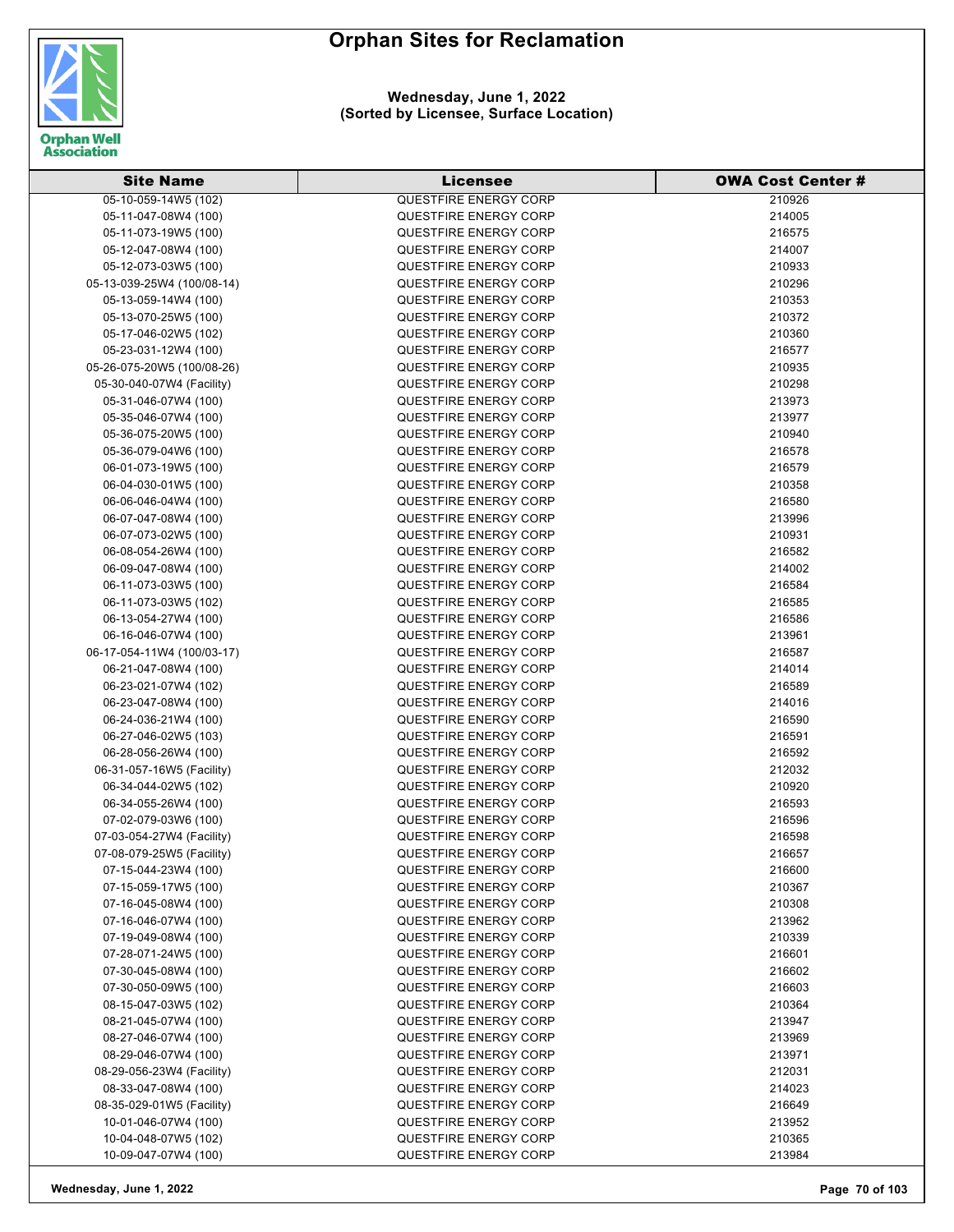

**Wednesday, June 1, 2022 (Sorted by Licensee, Surface Location)**

| <b>Site Name</b>                             | <b>Licensee</b>              | <b>OWA Cost Center #</b> |
|----------------------------------------------|------------------------------|--------------------------|
| 05-10-059-14W5 (102)                         | <b>QUESTFIRE ENERGY CORP</b> | 210926                   |
| 05-11-047-08W4 (100)                         | <b>QUESTFIRE ENERGY CORP</b> | 214005                   |
| 05-11-073-19W5 (100)                         | <b>QUESTFIRE ENERGY CORP</b> | 216575                   |
| 05-12-047-08W4 (100)                         | QUESTFIRE ENERGY CORP        | 214007                   |
| 05-12-073-03W5 (100)                         | <b>QUESTFIRE ENERGY CORP</b> | 210933                   |
| 05-13-039-25W4 (100/08-14)                   | <b>QUESTFIRE ENERGY CORP</b> | 210296                   |
| 05-13-059-14W4 (100)                         | <b>QUESTFIRE ENERGY CORP</b> | 210353                   |
| 05-13-070-25W5 (100)                         | <b>QUESTFIRE ENERGY CORP</b> | 210372                   |
| 05-17-046-02W5 (102)                         | QUESTFIRE ENERGY CORP        | 210360                   |
| 05-23-031-12W4 (100)                         | <b>QUESTFIRE ENERGY CORP</b> | 216577                   |
| 05-26-075-20W5 (100/08-26)                   | QUESTFIRE ENERGY CORP        | 210935                   |
| 05-30-040-07W4 (Facility)                    | <b>QUESTFIRE ENERGY CORP</b> | 210298                   |
| 05-31-046-07W4 (100)                         | QUESTFIRE ENERGY CORP        | 213973                   |
| 05-35-046-07W4 (100)                         | <b>QUESTFIRE ENERGY CORP</b> | 213977                   |
| 05-36-075-20W5 (100)                         | <b>QUESTFIRE ENERGY CORP</b> | 210940                   |
| 05-36-079-04W6 (100)                         | QUESTFIRE ENERGY CORP        | 216578                   |
| 06-01-073-19W5 (100)                         | QUESTFIRE ENERGY CORP        | 216579                   |
| 06-04-030-01W5 (100)                         | <b>QUESTFIRE ENERGY CORP</b> | 210358                   |
| 06-06-046-04W4 (100)                         | <b>QUESTFIRE ENERGY CORP</b> | 216580                   |
| 06-07-047-08W4 (100)                         | <b>QUESTFIRE ENERGY CORP</b> | 213996                   |
| 06-07-073-02W5 (100)                         | QUESTFIRE ENERGY CORP        | 210931                   |
| 06-08-054-26W4 (100)                         | QUESTFIRE ENERGY CORP        | 216582                   |
| 06-09-047-08W4 (100)                         | <b>QUESTFIRE ENERGY CORP</b> | 214002                   |
|                                              | QUESTFIRE ENERGY CORP        | 216584                   |
| 06-11-073-03W5 (100)<br>06-11-073-03W5 (102) | QUESTFIRE ENERGY CORP        | 216585                   |
| 06-13-054-27W4 (100)                         | <b>QUESTFIRE ENERGY CORP</b> | 216586                   |
| 06-16-046-07W4 (100)                         | <b>QUESTFIRE ENERGY CORP</b> | 213961                   |
| 06-17-054-11W4 (100/03-17)                   | <b>QUESTFIRE ENERGY CORP</b> | 216587                   |
| 06-21-047-08W4 (100)                         | <b>QUESTFIRE ENERGY CORP</b> | 214014                   |
| 06-23-021-07W4 (102)                         | <b>QUESTFIRE ENERGY CORP</b> | 216589                   |
| 06-23-047-08W4 (100)                         | <b>QUESTFIRE ENERGY CORP</b> | 214016                   |
| 06-24-036-21W4 (100)                         | QUESTFIRE ENERGY CORP        | 216590                   |
| 06-27-046-02W5 (103)                         | <b>QUESTFIRE ENERGY CORP</b> | 216591                   |
| 06-28-056-26W4 (100)                         | <b>QUESTFIRE ENERGY CORP</b> | 216592                   |
| 06-31-057-16W5 (Facility)                    | <b>QUESTFIRE ENERGY CORP</b> | 212032                   |
| 06-34-044-02W5 (102)                         | <b>QUESTFIRE ENERGY CORP</b> | 210920                   |
| 06-34-055-26W4 (100)                         | <b>QUESTFIRE ENERGY CORP</b> | 216593                   |
| 07-02-079-03W6 (100)                         | <b>QUESTFIRE ENERGY CORP</b> | 216596                   |
| 07-03-054-27W4 (Facility)                    | <b>QUESTFIRE ENERGY CORP</b> | 216598                   |
| 07-08-079-25W5 (Facility)                    | QUESTFIRE ENERGY CORP        | 216657                   |
| 07-15-044-23W4 (100)                         | <b>QUESTFIRE ENERGY CORP</b> | 216600                   |
| 07-15-059-17W5 (100)                         | <b>QUESTFIRE ENERGY CORP</b> | 210367                   |
| 07-16-045-08W4 (100)                         | <b>QUESTFIRE ENERGY CORP</b> | 210308                   |
| 07-16-046-07W4 (100)                         | QUESTFIRE ENERGY CORP        | 213962                   |
| 07-19-049-08W4 (100)                         | QUESTFIRE ENERGY CORP        | 210339                   |
| 07-28-071-24W5 (100)                         | QUESTFIRE ENERGY CORP        | 216601                   |
| 07-30-045-08W4 (100)                         | <b>QUESTFIRE ENERGY CORP</b> | 216602                   |
| 07-30-050-09W5 (100)                         | QUESTFIRE ENERGY CORP        | 216603                   |
| 08-15-047-03W5 (102)                         | <b>QUESTFIRE ENERGY CORP</b> | 210364                   |
| 08-21-045-07W4 (100)                         | <b>QUESTFIRE ENERGY CORP</b> | 213947                   |
| 08-27-046-07W4 (100)                         | QUESTFIRE ENERGY CORP        | 213969                   |
| 08-29-046-07W4 (100)                         | QUESTFIRE ENERGY CORP        | 213971                   |
| 08-29-056-23W4 (Facility)                    | QUESTFIRE ENERGY CORP        | 212031                   |
| 08-33-047-08W4 (100)                         | <b>QUESTFIRE ENERGY CORP</b> | 214023                   |
| 08-35-029-01W5 (Facility)                    | <b>QUESTFIRE ENERGY CORP</b> | 216649                   |
| 10-01-046-07W4 (100)                         | <b>QUESTFIRE ENERGY CORP</b> | 213952                   |
| 10-04-048-07W5 (102)                         | QUESTFIRE ENERGY CORP        | 210365                   |
| 10-09-047-07W4 (100)                         | QUESTFIRE ENERGY CORP        | 213984                   |

**Wednesday, June 1, 2022 Page 70 of 103**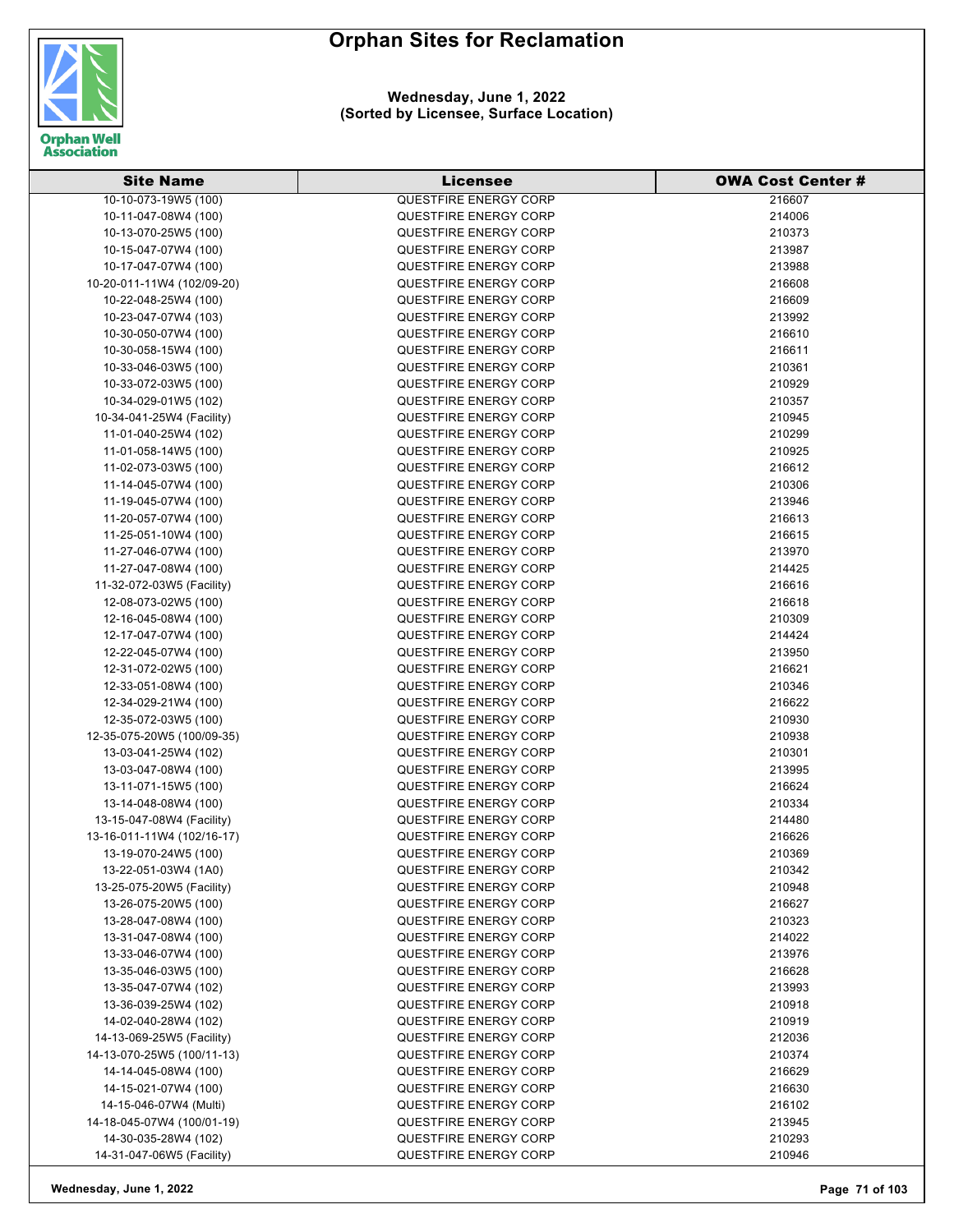

| <b>Site Name</b>                             | Licensee                     | <b>OWA Cost Center #</b> |
|----------------------------------------------|------------------------------|--------------------------|
| 10-10-073-19W5 (100)                         | <b>QUESTFIRE ENERGY CORP</b> | 216607                   |
| 10-11-047-08W4 (100)                         | QUESTFIRE ENERGY CORP        | 214006                   |
| 10-13-070-25W5 (100)                         | <b>QUESTFIRE ENERGY CORP</b> | 210373                   |
| 10-15-047-07W4 (100)                         | <b>QUESTFIRE ENERGY CORP</b> | 213987                   |
| 10-17-047-07W4 (100)                         | <b>QUESTFIRE ENERGY CORP</b> | 213988                   |
| 10-20-011-11W4 (102/09-20)                   | <b>QUESTFIRE ENERGY CORP</b> | 216608                   |
| 10-22-048-25W4 (100)                         | <b>QUESTFIRE ENERGY CORP</b> | 216609                   |
| 10-23-047-07W4 (103)                         | <b>QUESTFIRE ENERGY CORP</b> | 213992                   |
| 10-30-050-07W4 (100)                         | <b>QUESTFIRE ENERGY CORP</b> | 216610                   |
| 10-30-058-15W4 (100)                         | QUESTFIRE ENERGY CORP        | 216611                   |
| 10-33-046-03W5 (100)                         | <b>QUESTFIRE ENERGY CORP</b> | 210361                   |
| 10-33-072-03W5 (100)                         | <b>QUESTFIRE ENERGY CORP</b> | 210929                   |
| 10-34-029-01W5 (102)                         | <b>QUESTFIRE ENERGY CORP</b> | 210357                   |
| 10-34-041-25W4 (Facility)                    | <b>QUESTFIRE ENERGY CORP</b> | 210945                   |
| 11-01-040-25W4 (102)                         | <b>QUESTFIRE ENERGY CORP</b> | 210299                   |
| 11-01-058-14W5 (100)                         | <b>QUESTFIRE ENERGY CORP</b> | 210925                   |
| 11-02-073-03W5 (100)                         | <b>QUESTFIRE ENERGY CORP</b> | 216612                   |
| 11-14-045-07W4 (100)                         | <b>QUESTFIRE ENERGY CORP</b> | 210306                   |
| 11-19-045-07W4 (100)                         | <b>QUESTFIRE ENERGY CORP</b> | 213946                   |
| 11-20-057-07W4 (100)                         | <b>QUESTFIRE ENERGY CORP</b> | 216613                   |
| 11-25-051-10W4 (100)                         | QUESTFIRE ENERGY CORP        | 216615                   |
| 11-27-046-07W4 (100)                         | QUESTFIRE ENERGY CORP        | 213970                   |
| 11-27-047-08W4 (100)                         | <b>QUESTFIRE ENERGY CORP</b> | 214425                   |
| 11-32-072-03W5 (Facility)                    | <b>QUESTFIRE ENERGY CORP</b> | 216616                   |
| 12-08-073-02W5 (100)                         | QUESTFIRE ENERGY CORP        | 216618                   |
| 12-16-045-08W4 (100)                         | <b>QUESTFIRE ENERGY CORP</b> | 210309                   |
| 12-17-047-07W4 (100)                         | <b>QUESTFIRE ENERGY CORP</b> | 214424                   |
|                                              | <b>QUESTFIRE ENERGY CORP</b> | 213950                   |
| 12-22-045-07W4 (100)<br>12-31-072-02W5 (100) | QUESTFIRE ENERGY CORP        | 216621                   |
| 12-33-051-08W4 (100)                         | <b>QUESTFIRE ENERGY CORP</b> | 210346                   |
| 12-34-029-21W4 (100)                         | <b>QUESTFIRE ENERGY CORP</b> | 216622                   |
| 12-35-072-03W5 (100)                         | <b>QUESTFIRE ENERGY CORP</b> | 210930                   |
| 12-35-075-20W5 (100/09-35)                   | <b>QUESTFIRE ENERGY CORP</b> | 210938                   |
| 13-03-041-25W4 (102)                         | <b>QUESTFIRE ENERGY CORP</b> | 210301                   |
| 13-03-047-08W4 (100)                         | <b>QUESTFIRE ENERGY CORP</b> | 213995                   |
| 13-11-071-15W5 (100)                         | <b>QUESTFIRE ENERGY CORP</b> | 216624                   |
| 13-14-048-08W4 (100)                         | QUESTFIRE ENERGY CORP        | 210334                   |
| 13-15-047-08W4 (Facility)                    | <b>QUESTFIRE ENERGY CORP</b> | 214480                   |
| 13-16-011-11W4 (102/16-17)                   | QUESTFIRE ENERGY CORP        | 216626                   |
| 13-19-070-24W5 (100)                         | <b>QUESTFIRE ENERGY CORP</b> | 210369                   |
| 13-22-051-03W4 (1A0)                         | QUESTFIRE ENERGY CORP        | 210342                   |
| 13-25-075-20W5 (Facility)                    | <b>QUESTFIRE ENERGY CORP</b> | 210948                   |
| 13-26-075-20W5 (100)                         | QUESTFIRE ENERGY CORP        | 216627                   |
| 13-28-047-08W4 (100)                         | QUESTFIRE ENERGY CORP        | 210323                   |
| 13-31-047-08W4 (100)                         | <b>QUESTFIRE ENERGY CORP</b> | 214022                   |
| 13-33-046-07W4 (100)                         | <b>QUESTFIRE ENERGY CORP</b> | 213976                   |
| 13-35-046-03W5 (100)                         | <b>QUESTFIRE ENERGY CORP</b> | 216628                   |
| 13-35-047-07W4 (102)                         | <b>QUESTFIRE ENERGY CORP</b> | 213993                   |
| 13-36-039-25W4 (102)                         | <b>QUESTFIRE ENERGY CORP</b> | 210918                   |
| 14-02-040-28W4 (102)                         | <b>QUESTFIRE ENERGY CORP</b> |                          |
| 14-13-069-25W5 (Facility)                    | QUESTFIRE ENERGY CORP        | 210919<br>212036         |
| 14-13-070-25W5 (100/11-13)                   | <b>QUESTFIRE ENERGY CORP</b> | 210374                   |
| 14-14-045-08W4 (100)                         | <b>QUESTFIRE ENERGY CORP</b> | 216629                   |
| 14-15-021-07W4 (100)                         | <b>QUESTFIRE ENERGY CORP</b> | 216630                   |
| 14-15-046-07W4 (Multi)                       | <b>QUESTFIRE ENERGY CORP</b> | 216102                   |
| 14-18-045-07W4 (100/01-19)                   | <b>QUESTFIRE ENERGY CORP</b> | 213945                   |
| 14-30-035-28W4 (102)                         | <b>QUESTFIRE ENERGY CORP</b> | 210293                   |
| 14-31-047-06W5 (Facility)                    | QUESTFIRE ENERGY CORP        | 210946                   |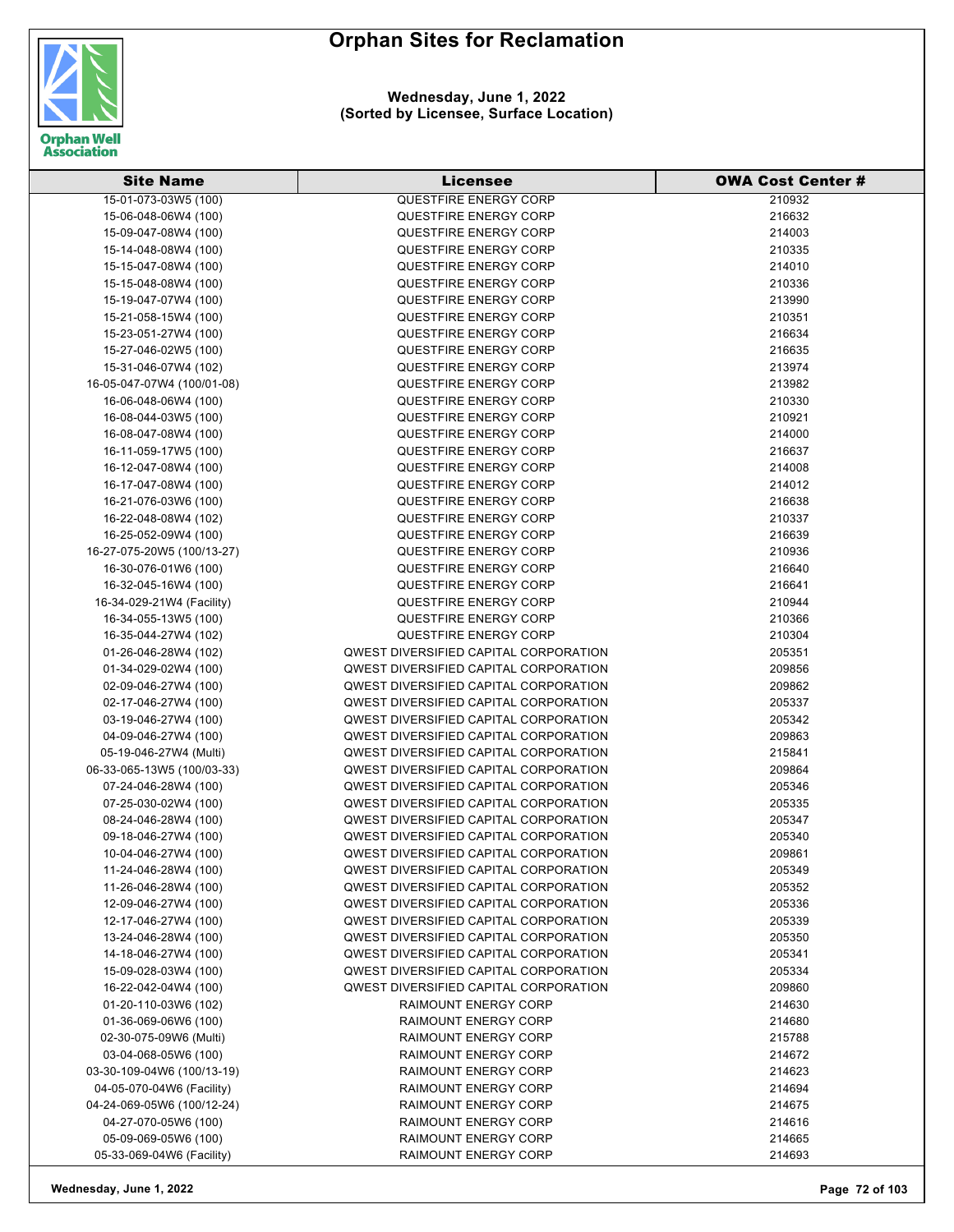

**Wednesday, June 1, 2022 (Sorted by Licensee, Surface Location)**

| <b>Site Name</b>                                     | Licensee                                                                                     | <b>OWA Cost Center #</b> |
|------------------------------------------------------|----------------------------------------------------------------------------------------------|--------------------------|
| 15-01-073-03W5 (100)                                 | <b>QUESTFIRE ENERGY CORP</b>                                                                 | 210932                   |
| 15-06-048-06W4 (100)                                 | QUESTFIRE ENERGY CORP                                                                        | 216632                   |
| 15-09-047-08W4 (100)                                 | <b>QUESTFIRE ENERGY CORP</b>                                                                 | 214003                   |
| 15-14-048-08W4 (100)                                 | QUESTFIRE ENERGY CORP                                                                        | 210335                   |
| 15-15-047-08W4 (100)                                 | QUESTFIRE ENERGY CORP                                                                        | 214010                   |
| 15-15-048-08W4 (100)                                 | QUESTFIRE ENERGY CORP                                                                        | 210336                   |
| 15-19-047-07W4 (100)                                 | <b>QUESTFIRE ENERGY CORP</b>                                                                 | 213990                   |
| 15-21-058-15W4 (100)                                 | QUESTFIRE ENERGY CORP                                                                        | 210351                   |
| 15-23-051-27W4 (100)                                 | QUESTFIRE ENERGY CORP                                                                        | 216634                   |
| 15-27-046-02W5 (100)                                 | QUESTFIRE ENERGY CORP                                                                        | 216635                   |
| 15-31-046-07W4 (102)                                 | QUESTFIRE ENERGY CORP                                                                        | 213974                   |
| 16-05-047-07W4 (100/01-08)                           | QUESTFIRE ENERGY CORP                                                                        | 213982                   |
| 16-06-048-06W4 (100)                                 | <b>QUESTFIRE ENERGY CORP</b>                                                                 | 210330                   |
| 16-08-044-03W5 (100)                                 | QUESTFIRE ENERGY CORP                                                                        | 210921                   |
| 16-08-047-08W4 (100)                                 | QUESTFIRE ENERGY CORP                                                                        | 214000                   |
| 16-11-059-17W5 (100)                                 | QUESTFIRE ENERGY CORP                                                                        | 216637                   |
| 16-12-047-08W4 (100)                                 | QUESTFIRE ENERGY CORP                                                                        | 214008                   |
| 16-17-047-08W4 (100)                                 | QUESTFIRE ENERGY CORP                                                                        | 214012                   |
| 16-21-076-03W6 (100)                                 | QUESTFIRE ENERGY CORP                                                                        | 216638                   |
| 16-22-048-08W4 (102)                                 | QUESTFIRE ENERGY CORP                                                                        | 210337                   |
| 16-25-052-09W4 (100)                                 | QUESTFIRE ENERGY CORP                                                                        | 216639                   |
| 16-27-075-20W5 (100/13-27)                           | QUESTFIRE ENERGY CORP                                                                        | 210936                   |
| 16-30-076-01W6 (100)                                 | QUESTFIRE ENERGY CORP                                                                        | 216640                   |
| 16-32-045-16W4 (100)                                 | QUESTFIRE ENERGY CORP                                                                        | 216641                   |
| 16-34-029-21W4 (Facility)                            | QUESTFIRE ENERGY CORP                                                                        | 210944                   |
| 16-34-055-13W5 (100)                                 | QUESTFIRE ENERGY CORP                                                                        | 210366                   |
| 16-35-044-27W4 (102)                                 | QUESTFIRE ENERGY CORP                                                                        | 210304                   |
|                                                      | QWEST DIVERSIFIED CAPITAL CORPORATION                                                        | 205351                   |
| 01-26-046-28W4 (102)                                 | QWEST DIVERSIFIED CAPITAL CORPORATION                                                        | 209856                   |
| 01-34-029-02W4 (100)                                 | QWEST DIVERSIFIED CAPITAL CORPORATION                                                        | 209862                   |
| 02-09-046-27W4 (100)<br>02-17-046-27W4 (100)         | QWEST DIVERSIFIED CAPITAL CORPORATION                                                        | 205337                   |
|                                                      | QWEST DIVERSIFIED CAPITAL CORPORATION                                                        |                          |
| 03-19-046-27W4 (100)<br>04-09-046-27W4 (100)         | QWEST DIVERSIFIED CAPITAL CORPORATION                                                        | 205342<br>209863         |
|                                                      | QWEST DIVERSIFIED CAPITAL CORPORATION                                                        |                          |
| 05-19-046-27W4 (Multi)<br>06-33-065-13W5 (100/03-33) | QWEST DIVERSIFIED CAPITAL CORPORATION                                                        | 215841<br>209864         |
|                                                      | QWEST DIVERSIFIED CAPITAL CORPORATION                                                        |                          |
| 07-24-046-28W4 (100)<br>07-25-030-02W4 (100)         | <b>QWEST DIVERSIFIED CAPITAL CORPORATION</b>                                                 | 205346<br>205335         |
| 08-24-046-28W4 (100)                                 | QWEST DIVERSIFIED CAPITAL CORPORATION                                                        | 205347                   |
|                                                      |                                                                                              |                          |
| 09-18-046-27W4 (100)<br>10-04-046-27W4 (100)         | QWEST DIVERSIFIED CAPITAL CORPORATION<br>QWEST DIVERSIFIED CAPITAL CORPORATION               | 205340<br>209861         |
| 11-24-046-28W4 (100)                                 | <b>QWEST DIVERSIFIED CAPITAL CORPORATION</b>                                                 | 205349                   |
|                                                      |                                                                                              | 205352                   |
| 11-26-046-28W4 (100)                                 | <b>QWEST DIVERSIFIED CAPITAL CORPORATION</b>                                                 |                          |
| 12-09-046-27W4 (100)                                 | <b>QWEST DIVERSIFIED CAPITAL CORPORATION</b><br><b>QWEST DIVERSIFIED CAPITAL CORPORATION</b> | 205336<br>205339         |
| 12-17-046-27W4 (100)                                 |                                                                                              |                          |
| 13-24-046-28W4 (100)<br>14-18-046-27W4 (100)         | <b>QWEST DIVERSIFIED CAPITAL CORPORATION</b><br>QWEST DIVERSIFIED CAPITAL CORPORATION        | 205350<br>205341         |
|                                                      |                                                                                              |                          |
| 15-09-028-03W4 (100)                                 | QWEST DIVERSIFIED CAPITAL CORPORATION                                                        | 205334                   |
| 16-22-042-04W4 (100)                                 | QWEST DIVERSIFIED CAPITAL CORPORATION                                                        | 209860                   |
| 01-20-110-03W6 (102)                                 | <b>RAIMOUNT ENERGY CORP</b>                                                                  | 214630                   |
| 01-36-069-06W6 (100)                                 | <b>RAIMOUNT ENERGY CORP</b>                                                                  | 214680                   |
| 02-30-075-09W6 (Multi)                               | <b>RAIMOUNT ENERGY CORP</b>                                                                  | 215788                   |
| 03-04-068-05W6 (100)                                 | <b>RAIMOUNT ENERGY CORP</b>                                                                  | 214672                   |
| 03-30-109-04W6 (100/13-19)                           | <b>RAIMOUNT ENERGY CORP</b>                                                                  | 214623                   |
| 04-05-070-04W6 (Facility)                            | <b>RAIMOUNT ENERGY CORP</b>                                                                  | 214694                   |
| 04-24-069-05W6 (100/12-24)                           | <b>RAIMOUNT ENERGY CORP</b>                                                                  | 214675                   |
| 04-27-070-05W6 (100)                                 | <b>RAIMOUNT ENERGY CORP</b>                                                                  | 214616                   |
| 05-09-069-05W6 (100)                                 | <b>RAIMOUNT ENERGY CORP</b>                                                                  | 214665                   |
| 05-33-069-04W6 (Facility)                            | <b>RAIMOUNT ENERGY CORP</b>                                                                  | 214693                   |

**Wednesday, June 1, 2022 Page 72 of 103**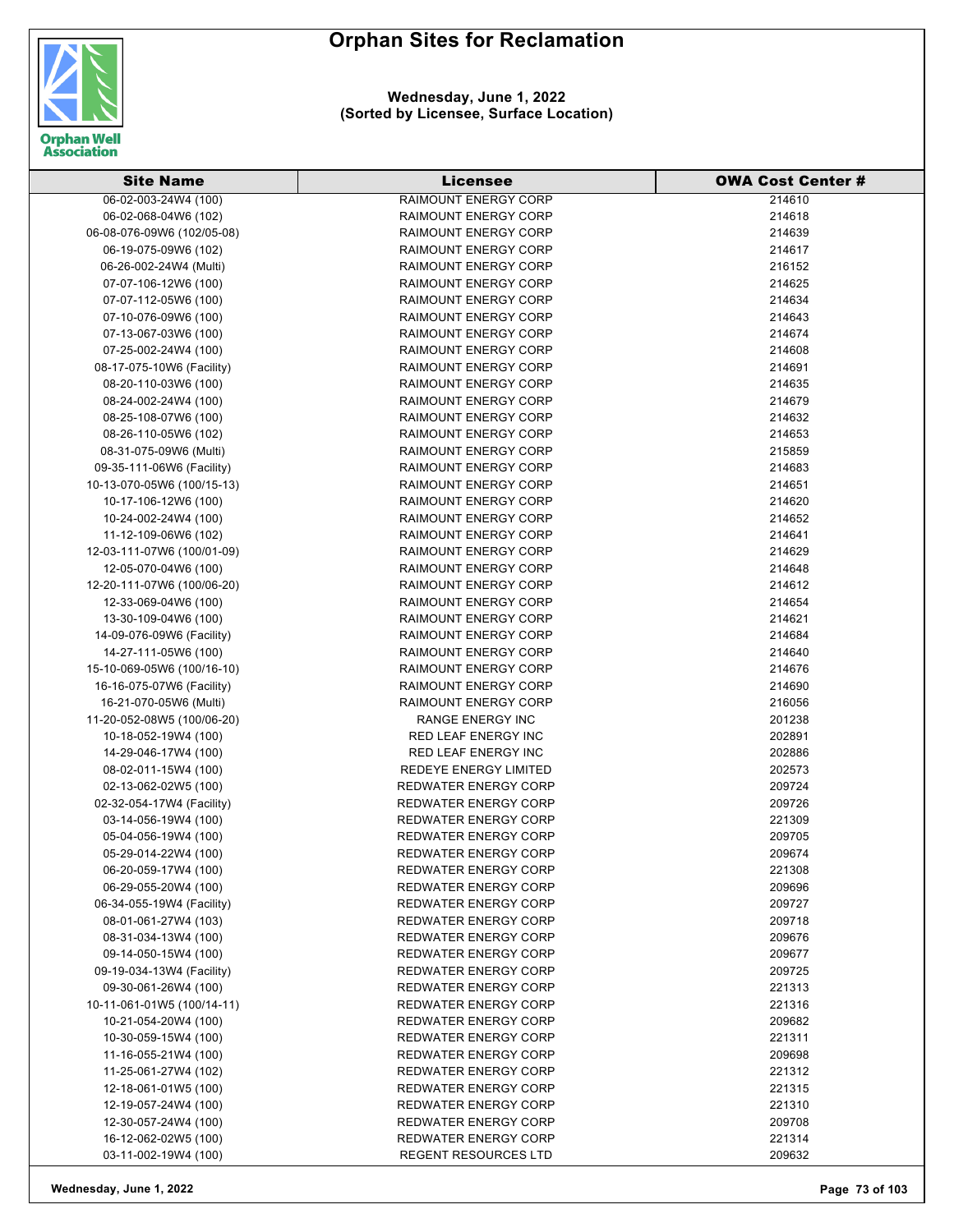

#### **Wednesday, June 1, 2022 (Sorted by Licensee, Surface Location)**

| <b>Site Name</b>           | <b>Licensee</b>              | <b>OWA Cost Center #</b> |
|----------------------------|------------------------------|--------------------------|
| 06-02-003-24W4 (100)       | <b>RAIMOUNT ENERGY CORP</b>  | 214610                   |
| 06-02-068-04W6 (102)       | <b>RAIMOUNT ENERGY CORP</b>  | 214618                   |
| 06-08-076-09W6 (102/05-08) | <b>RAIMOUNT ENERGY CORP</b>  | 214639                   |
| 06-19-075-09W6 (102)       | <b>RAIMOUNT ENERGY CORP</b>  | 214617                   |
| 06-26-002-24W4 (Multi)     | <b>RAIMOUNT ENERGY CORP</b>  | 216152                   |
| 07-07-106-12W6 (100)       | <b>RAIMOUNT ENERGY CORP</b>  | 214625                   |
| 07-07-112-05W6 (100)       | <b>RAIMOUNT ENERGY CORP</b>  | 214634                   |
| 07-10-076-09W6 (100)       | <b>RAIMOUNT ENERGY CORP</b>  | 214643                   |
| 07-13-067-03W6 (100)       | <b>RAIMOUNT ENERGY CORP</b>  | 214674                   |
| 07-25-002-24W4 (100)       | <b>RAIMOUNT ENERGY CORP</b>  | 214608                   |
| 08-17-075-10W6 (Facility)  | <b>RAIMOUNT ENERGY CORP</b>  | 214691                   |
| 08-20-110-03W6 (100)       | <b>RAIMOUNT ENERGY CORP</b>  | 214635                   |
| 08-24-002-24W4 (100)       | <b>RAIMOUNT ENERGY CORP</b>  | 214679                   |
| 08-25-108-07W6 (100)       | <b>RAIMOUNT ENERGY CORP</b>  | 214632                   |
| 08-26-110-05W6 (102)       | <b>RAIMOUNT ENERGY CORP</b>  | 214653                   |
| 08-31-075-09W6 (Multi)     | <b>RAIMOUNT ENERGY CORP</b>  | 215859                   |
| 09-35-111-06W6 (Facility)  | <b>RAIMOUNT ENERGY CORP</b>  | 214683                   |
| 10-13-070-05W6 (100/15-13) | <b>RAIMOUNT ENERGY CORP</b>  | 214651                   |
| 10-17-106-12W6 (100)       | <b>RAIMOUNT ENERGY CORP</b>  | 214620                   |
| 10-24-002-24W4 (100)       | <b>RAIMOUNT ENERGY CORP</b>  | 214652                   |
| 11-12-109-06W6 (102)       | <b>RAIMOUNT ENERGY CORP</b>  | 214641                   |
| 12-03-111-07W6 (100/01-09) | <b>RAIMOUNT ENERGY CORP</b>  | 214629                   |
| 12-05-070-04W6 (100)       | <b>RAIMOUNT ENERGY CORP</b>  | 214648                   |
| 12-20-111-07W6 (100/06-20) | <b>RAIMOUNT ENERGY CORP</b>  | 214612                   |
| 12-33-069-04W6 (100)       | <b>RAIMOUNT ENERGY CORP</b>  | 214654                   |
| 13-30-109-04W6 (100)       | <b>RAIMOUNT ENERGY CORP</b>  | 214621                   |
| 14-09-076-09W6 (Facility)  | <b>RAIMOUNT ENERGY CORP</b>  | 214684                   |
| 14-27-111-05W6 (100)       | <b>RAIMOUNT ENERGY CORP</b>  | 214640                   |
| 15-10-069-05W6 (100/16-10) | <b>RAIMOUNT ENERGY CORP</b>  | 214676                   |
| 16-16-075-07W6 (Facility)  | <b>RAIMOUNT ENERGY CORP</b>  | 214690                   |
| 16-21-070-05W6 (Multi)     | <b>RAIMOUNT ENERGY CORP</b>  | 216056                   |
| 11-20-052-08W5 (100/06-20) | <b>RANGE ENERGY INC</b>      | 201238                   |
| 10-18-052-19W4 (100)       | RED LEAF ENERGY INC          | 202891                   |
| 14-29-046-17W4 (100)       | RED LEAF ENERGY INC          | 202886                   |
| 08-02-011-15W4 (100)       | <b>REDEYE ENERGY LIMITED</b> | 202573                   |
| 02-13-062-02W5 (100)       | <b>REDWATER ENERGY CORP</b>  | 209724                   |
| 02-32-054-17W4 (Facility)  | <b>REDWATER ENERGY CORP</b>  | 209726                   |
| 03-14-056-19W4 (100)       | <b>REDWATER ENERGY CORP</b>  | 221309                   |
| 05-04-056-19W4 (100)       | REDWATER ENERGY CORP         | 209705                   |
| 05-29-014-22W4 (100)       | <b>REDWATER ENERGY CORP</b>  | 209674                   |
| 06-20-059-17W4 (100)       | REDWATER ENERGY CORP         | 221308                   |
| 06-29-055-20W4 (100)       | REDWATER ENERGY CORP         | 209696                   |
| 06-34-055-19W4 (Facility)  | REDWATER ENERGY CORP         | 209727                   |
| 08-01-061-27W4 (103)       | <b>REDWATER ENERGY CORP</b>  | 209718                   |
| 08-31-034-13W4 (100)       | REDWATER ENERGY CORP         | 209676                   |
| 09-14-050-15W4 (100)       | <b>REDWATER ENERGY CORP</b>  | 209677                   |
| 09-19-034-13W4 (Facility)  | REDWATER ENERGY CORP         | 209725                   |
| 09-30-061-26W4 (100)       | <b>REDWATER ENERGY CORP</b>  | 221313                   |
| 10-11-061-01W5 (100/14-11) | REDWATER ENERGY CORP         | 221316                   |
| 10-21-054-20W4 (100)       | REDWATER ENERGY CORP         | 209682                   |
| 10-30-059-15W4 (100)       | REDWATER ENERGY CORP         | 221311                   |
| 11-16-055-21W4 (100)       | REDWATER ENERGY CORP         | 209698                   |
| 11-25-061-27W4 (102)       | REDWATER ENERGY CORP         | 221312                   |
| 12-18-061-01W5 (100)       | REDWATER ENERGY CORP         | 221315                   |
| 12-19-057-24W4 (100)       | <b>REDWATER ENERGY CORP</b>  | 221310                   |
| 12-30-057-24W4 (100)       | REDWATER ENERGY CORP         | 209708                   |
| 16-12-062-02W5 (100)       | REDWATER ENERGY CORP         | 221314                   |
| 03-11-002-19W4 (100)       | <b>REGENT RESOURCES LTD</b>  | 209632                   |

**Wednesday, June 1, 2022 Page 73 of 103**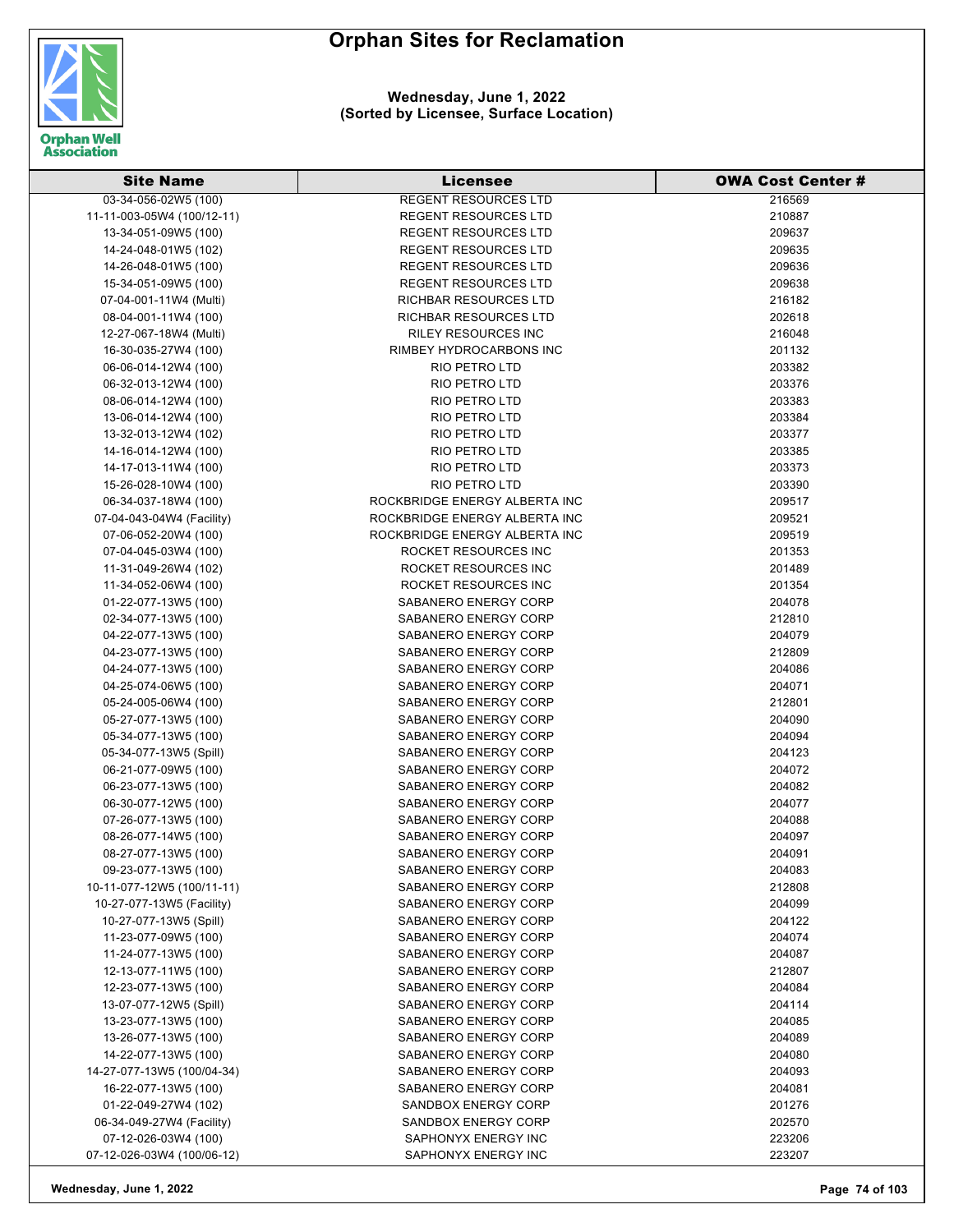

#### **Wednesday, June 1, 2022 (Sorted by Licensee, Surface Location)**

| <b>Site Name</b>           | <b>Licensee</b>               | <b>OWA Cost Center #</b> |
|----------------------------|-------------------------------|--------------------------|
| 03-34-056-02W5 (100)       | <b>REGENT RESOURCES LTD</b>   | 216569                   |
| 11-11-003-05W4 (100/12-11) | <b>REGENT RESOURCES LTD</b>   | 210887                   |
| 13-34-051-09W5 (100)       | <b>REGENT RESOURCES LTD</b>   | 209637                   |
| 14-24-048-01W5 (102)       | <b>REGENT RESOURCES LTD</b>   | 209635                   |
| 14-26-048-01W5 (100)       | <b>REGENT RESOURCES LTD</b>   | 209636                   |
| 15-34-051-09W5 (100)       | REGENT RESOURCES LTD          | 209638                   |
| 07-04-001-11W4 (Multi)     | RICHBAR RESOURCES LTD         | 216182                   |
| 08-04-001-11W4 (100)       | RICHBAR RESOURCES LTD         | 202618                   |
| 12-27-067-18W4 (Multi)     | <b>RILEY RESOURCES INC</b>    | 216048                   |
| 16-30-035-27W4 (100)       | RIMBEY HYDROCARBONS INC       | 201132                   |
| 06-06-014-12W4 (100)       | <b>RIO PETRO LTD</b>          | 203382                   |
| 06-32-013-12W4 (100)       | RIO PETRO LTD                 | 203376                   |
| 08-06-014-12W4 (100)       | RIO PETRO LTD                 | 203383                   |
| 13-06-014-12W4 (100)       | RIO PETRO LTD                 | 203384                   |
| 13-32-013-12W4 (102)       | RIO PETRO LTD                 | 203377                   |
| 14-16-014-12W4 (100)       | RIO PETRO LTD                 | 203385                   |
| 14-17-013-11W4 (100)       | RIO PETRO LTD                 | 203373                   |
| 15-26-028-10W4 (100)       | RIO PETRO LTD                 | 203390                   |
| 06-34-037-18W4 (100)       | ROCKBRIDGE ENERGY ALBERTA INC | 209517                   |
| 07-04-043-04W4 (Facility)  | ROCKBRIDGE ENERGY ALBERTA INC | 209521                   |
| 07-06-052-20W4 (100)       | ROCKBRIDGE ENERGY ALBERTA INC | 209519                   |
| 07-04-045-03W4 (100)       | ROCKET RESOURCES INC          | 201353                   |
| 11-31-049-26W4 (102)       | ROCKET RESOURCES INC          | 201489                   |
| 11-34-052-06W4 (100)       | ROCKET RESOURCES INC          | 201354                   |
| 01-22-077-13W5 (100)       | SABANERO ENERGY CORP          | 204078                   |
| 02-34-077-13W5 (100)       | SABANERO ENERGY CORP          | 212810                   |
| 04-22-077-13W5 (100)       | SABANERO ENERGY CORP          | 204079                   |
| 04-23-077-13W5 (100)       | SABANERO ENERGY CORP          | 212809                   |
| 04-24-077-13W5 (100)       | SABANERO ENERGY CORP          | 204086                   |
|                            |                               | 204071                   |
| 04-25-074-06W5 (100)       | SABANERO ENERGY CORP          |                          |
| 05-24-005-06W4 (100)       | SABANERO ENERGY CORP          | 212801                   |
| 05-27-077-13W5 (100)       | SABANERO ENERGY CORP          | 204090                   |
| 05-34-077-13W5 (100)       | SABANERO ENERGY CORP          | 204094                   |
| 05-34-077-13W5 (Spill)     | SABANERO ENERGY CORP          | 204123                   |
| 06-21-077-09W5 (100)       | SABANERO ENERGY CORP          | 204072                   |
| 06-23-077-13W5 (100)       | SABANERO ENERGY CORP          | 204082                   |
| 06-30-077-12W5 (100)       | SABANERO ENERGY CORP          | 204077                   |
| 07-26-077-13W5 (100)       | <b>SABANERO ENERGY CORP</b>   | 204088                   |
| 08-26-077-14W5 (100)       | SABANERO ENERGY CORP          | 204097                   |
| 08-27-077-13W5 (100)       | SABANERO ENERGY CORP          | 204091                   |
| 09-23-077-13W5 (100)       | SABANERO ENERGY CORP          | 204083                   |
| 10-11-077-12W5 (100/11-11) | SABANERO ENERGY CORP          | 212808                   |
| 10-27-077-13W5 (Facility)  | SABANERO ENERGY CORP          | 204099                   |
| 10-27-077-13W5 (Spill)     | SABANERO ENERGY CORP          | 204122                   |
| 11-23-077-09W5 (100)       | SABANERO ENERGY CORP          | 204074                   |
| 11-24-077-13W5 (100)       | SABANERO ENERGY CORP          | 204087                   |
| 12-13-077-11W5 (100)       | SABANERO ENERGY CORP          | 212807                   |
| 12-23-077-13W5 (100)       | SABANERO ENERGY CORP          | 204084                   |
| 13-07-077-12W5 (Spill)     | SABANERO ENERGY CORP          | 204114                   |
| 13-23-077-13W5 (100)       | SABANERO ENERGY CORP          | 204085                   |
| 13-26-077-13W5 (100)       | SABANERO ENERGY CORP          | 204089                   |
| 14-22-077-13W5 (100)       | SABANERO ENERGY CORP          | 204080                   |
| 14-27-077-13W5 (100/04-34) | SABANERO ENERGY CORP          | 204093                   |
| 16-22-077-13W5 (100)       | SABANERO ENERGY CORP          | 204081                   |
| 01-22-049-27W4 (102)       | <b>SANDBOX ENERGY CORP</b>    | 201276                   |
| 06-34-049-27W4 (Facility)  | <b>SANDBOX ENERGY CORP</b>    | 202570                   |
| 07-12-026-03W4 (100)       | SAPHONYX ENERGY INC           | 223206                   |
| 07-12-026-03W4 (100/06-12) | SAPHONYX ENERGY INC           | 223207                   |

**Wednesday, June 1, 2022 Page 74 of 103**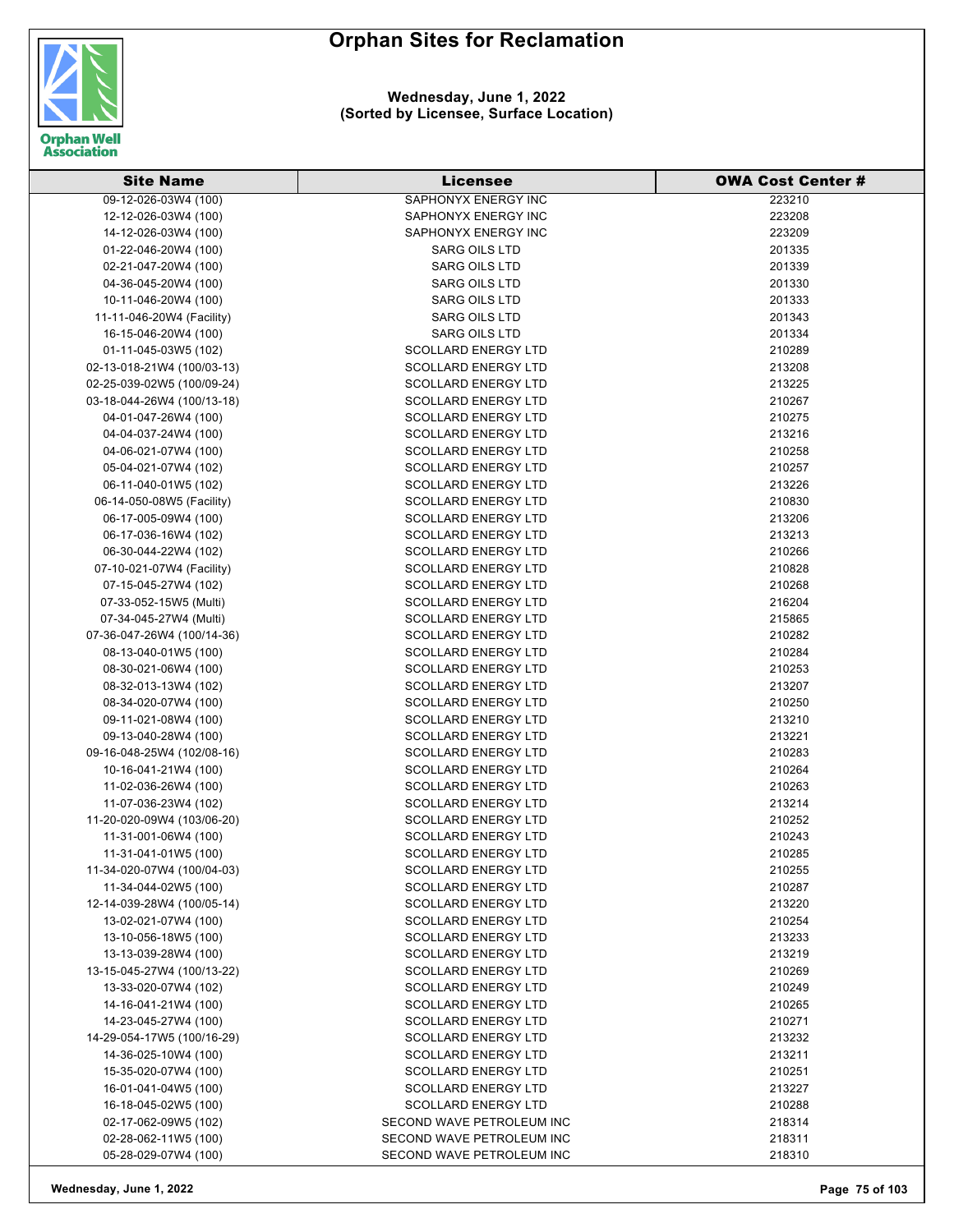

#### **Wednesday, June 1, 2022 (Sorted by Licensee, Surface Location)**

| <b>Site Name</b>           | <b>Licensee</b>            | <b>OWA Cost Center#</b> |
|----------------------------|----------------------------|-------------------------|
| 09-12-026-03W4 (100)       | <b>SAPHONYX ENERGY INC</b> | 223210                  |
| 12-12-026-03W4 (100)       | SAPHONYX ENERGY INC        | 223208                  |
| 14-12-026-03W4 (100)       | SAPHONYX ENERGY INC        | 223209                  |
| 01-22-046-20W4 (100)       | <b>SARG OILS LTD</b>       | 201335                  |
| 02-21-047-20W4 (100)       | <b>SARG OILS LTD</b>       | 201339                  |
| 04-36-045-20W4 (100)       | <b>SARG OILS LTD</b>       | 201330                  |
| 10-11-046-20W4 (100)       | <b>SARG OILS LTD</b>       | 201333                  |
| 11-11-046-20W4 (Facility)  | <b>SARG OILS LTD</b>       | 201343                  |
| 16-15-046-20W4 (100)       | <b>SARG OILS LTD</b>       | 201334                  |
| 01-11-045-03W5 (102)       | <b>SCOLLARD ENERGY LTD</b> | 210289                  |
| 02-13-018-21W4 (100/03-13) | <b>SCOLLARD ENERGY LTD</b> | 213208                  |
| 02-25-039-02W5 (100/09-24) | <b>SCOLLARD ENERGY LTD</b> | 213225                  |
| 03-18-044-26W4 (100/13-18) | <b>SCOLLARD ENERGY LTD</b> | 210267                  |
| 04-01-047-26W4 (100)       | <b>SCOLLARD ENERGY LTD</b> | 210275                  |
| 04-04-037-24W4 (100)       | <b>SCOLLARD ENERGY LTD</b> | 213216                  |
| 04-06-021-07W4 (100)       | <b>SCOLLARD ENERGY LTD</b> | 210258                  |
| 05-04-021-07W4 (102)       | <b>SCOLLARD ENERGY LTD</b> | 210257                  |
| 06-11-040-01W5 (102)       | <b>SCOLLARD ENERGY LTD</b> | 213226                  |
| 06-14-050-08W5 (Facility)  | <b>SCOLLARD ENERGY LTD</b> | 210830                  |
| 06-17-005-09W4 (100)       | <b>SCOLLARD ENERGY LTD</b> | 213206                  |
| 06-17-036-16W4 (102)       | <b>SCOLLARD ENERGY LTD</b> | 213213                  |
| 06-30-044-22W4 (102)       | <b>SCOLLARD ENERGY LTD</b> | 210266                  |
| 07-10-021-07W4 (Facility)  | <b>SCOLLARD ENERGY LTD</b> | 210828                  |
| 07-15-045-27W4 (102)       | <b>SCOLLARD ENERGY LTD</b> | 210268                  |
| 07-33-052-15W5 (Multi)     | <b>SCOLLARD ENERGY LTD</b> | 216204                  |
| 07-34-045-27W4 (Multi)     | <b>SCOLLARD ENERGY LTD</b> | 215865                  |
| 07-36-047-26W4 (100/14-36) | <b>SCOLLARD ENERGY LTD</b> | 210282                  |
| 08-13-040-01W5 (100)       | <b>SCOLLARD ENERGY LTD</b> | 210284                  |
| 08-30-021-06W4 (100)       | <b>SCOLLARD ENERGY LTD</b> | 210253                  |
| 08-32-013-13W4 (102)       | <b>SCOLLARD ENERGY LTD</b> | 213207                  |
| 08-34-020-07W4 (100)       | <b>SCOLLARD ENERGY LTD</b> | 210250                  |
| 09-11-021-08W4 (100)       | <b>SCOLLARD ENERGY LTD</b> | 213210                  |
| 09-13-040-28W4 (100)       | <b>SCOLLARD ENERGY LTD</b> | 213221                  |
| 09-16-048-25W4 (102/08-16) | <b>SCOLLARD ENERGY LTD</b> | 210283                  |
| 10-16-041-21W4 (100)       | SCOLLARD ENERGY LTD        | 210264                  |
| 11-02-036-26W4 (100)       | <b>SCOLLARD ENERGY LTD</b> | 210263                  |
| 11-07-036-23W4 (102)       | <b>SCOLLARD ENERGY LTD</b> | 213214                  |
| 11-20-020-09W4 (103/06-20) | <b>SCOLLARD ENERGY LTD</b> | 210252                  |
| 11-31-001-06W4 (100)       | SCOLLARD ENERGY LTD        | 210243                  |
| 11-31-041-01W5 (100)       | <b>SCOLLARD ENERGY LTD</b> | 210285                  |
| 11-34-020-07W4 (100/04-03) | <b>SCOLLARD ENERGY LTD</b> | 210255                  |
| 11-34-044-02W5 (100)       | <b>SCOLLARD ENERGY LTD</b> | 210287                  |
| 12-14-039-28W4 (100/05-14) | <b>SCOLLARD ENERGY LTD</b> | 213220                  |
| 13-02-021-07W4 (100)       | <b>SCOLLARD ENERGY LTD</b> | 210254                  |
| 13-10-056-18W5 (100)       | <b>SCOLLARD ENERGY LTD</b> | 213233                  |
| 13-13-039-28W4 (100)       | <b>SCOLLARD ENERGY LTD</b> | 213219                  |
| 13-15-045-27W4 (100/13-22) | <b>SCOLLARD ENERGY LTD</b> | 210269                  |
| 13-33-020-07W4 (102)       | <b>SCOLLARD ENERGY LTD</b> | 210249                  |
| 14-16-041-21W4 (100)       | <b>SCOLLARD ENERGY LTD</b> | 210265                  |
| 14-23-045-27W4 (100)       | <b>SCOLLARD ENERGY LTD</b> | 210271                  |
| 14-29-054-17W5 (100/16-29) | <b>SCOLLARD ENERGY LTD</b> | 213232                  |
| 14-36-025-10W4 (100)       | <b>SCOLLARD ENERGY LTD</b> | 213211                  |
| 15-35-020-07W4 (100)       | <b>SCOLLARD ENERGY LTD</b> | 210251                  |
| 16-01-041-04W5 (100)       | <b>SCOLLARD ENERGY LTD</b> | 213227                  |
| 16-18-045-02W5 (100)       | <b>SCOLLARD ENERGY LTD</b> | 210288                  |
| 02-17-062-09W5 (102)       | SECOND WAVE PETROLEUM INC  | 218314                  |
| 02-28-062-11W5 (100)       | SECOND WAVE PETROLEUM INC  | 218311                  |
| 05-28-029-07W4 (100)       | SECOND WAVE PETROLEUM INC  | 218310                  |

**Wednesday, June 1, 2022 Page 75 of 103**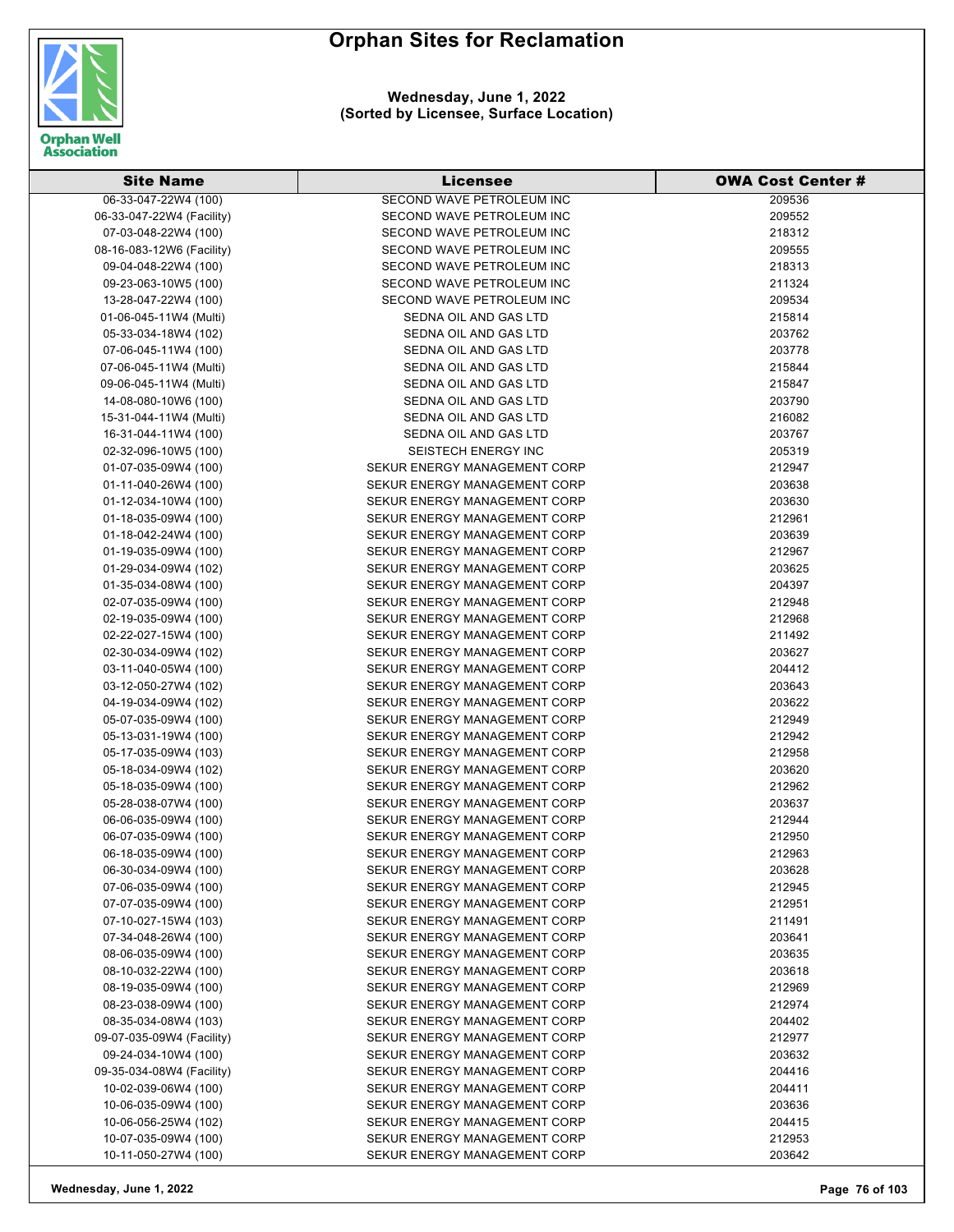

**Wednesday, June 1, 2022 (Sorted by Licensee, Surface Location)**

| <b>Site Name</b>          | <b>Licensee</b>              | <b>OWA Cost Center #</b> |
|---------------------------|------------------------------|--------------------------|
| 06-33-047-22W4 (100)      | SECOND WAVE PETROLEUM INC    | 209536                   |
| 06-33-047-22W4 (Facility) | SECOND WAVE PETROLEUM INC    | 209552                   |
| 07-03-048-22W4 (100)      | SECOND WAVE PETROLEUM INC    | 218312                   |
| 08-16-083-12W6 (Facility) | SECOND WAVE PETROLEUM INC    | 209555                   |
| 09-04-048-22W4 (100)      | SECOND WAVE PETROLEUM INC    | 218313                   |
| 09-23-063-10W5 (100)      | SECOND WAVE PETROLEUM INC    | 211324                   |
| 13-28-047-22W4 (100)      | SECOND WAVE PETROLEUM INC    | 209534                   |
| 01-06-045-11W4 (Multi)    | SEDNA OIL AND GAS LTD        | 215814                   |
| 05-33-034-18W4 (102)      | SEDNA OIL AND GAS LTD        | 203762                   |
| 07-06-045-11W4 (100)      | SEDNA OIL AND GAS LTD        | 203778                   |
| 07-06-045-11W4 (Multi)    | SEDNA OIL AND GAS LTD        | 215844                   |
| 09-06-045-11W4 (Multi)    | SEDNA OIL AND GAS LTD        | 215847                   |
| 14-08-080-10W6 (100)      | SEDNA OIL AND GAS LTD        | 203790                   |
| 15-31-044-11W4 (Multi)    | SEDNA OIL AND GAS LTD        | 216082                   |
| 16-31-044-11W4 (100)      | SEDNA OIL AND GAS LTD        | 203767                   |
| 02-32-096-10W5 (100)      | <b>SEISTECH ENERGY INC</b>   | 205319                   |
| 01-07-035-09W4 (100)      | SEKUR ENERGY MANAGEMENT CORP | 212947                   |
| 01-11-040-26W4 (100)      | SEKUR ENERGY MANAGEMENT CORP | 203638                   |
| 01-12-034-10W4 (100)      | SEKUR ENERGY MANAGEMENT CORP | 203630                   |
| 01-18-035-09W4 (100)      | SEKUR ENERGY MANAGEMENT CORP | 212961                   |
| 01-18-042-24W4 (100)      | SEKUR ENERGY MANAGEMENT CORP | 203639                   |
| 01-19-035-09W4 (100)      | SEKUR ENERGY MANAGEMENT CORP | 212967                   |
| 01-29-034-09W4 (102)      | SEKUR ENERGY MANAGEMENT CORP | 203625                   |
| 01-35-034-08W4 (100)      | SEKUR ENERGY MANAGEMENT CORP | 204397                   |
| 02-07-035-09W4 (100)      | SEKUR ENERGY MANAGEMENT CORP | 212948                   |
| 02-19-035-09W4 (100)      | SEKUR ENERGY MANAGEMENT CORP | 212968                   |
| 02-22-027-15W4 (100)      | SEKUR ENERGY MANAGEMENT CORP | 211492                   |
| 02-30-034-09W4 (102)      | SEKUR ENERGY MANAGEMENT CORP | 203627                   |
| 03-11-040-05W4 (100)      | SEKUR ENERGY MANAGEMENT CORP | 204412                   |
| 03-12-050-27W4 (102)      | SEKUR ENERGY MANAGEMENT CORP | 203643                   |
| 04-19-034-09W4 (102)      | SEKUR ENERGY MANAGEMENT CORP | 203622                   |
| 05-07-035-09W4 (100)      | SEKUR ENERGY MANAGEMENT CORP | 212949                   |
| 05-13-031-19W4 (100)      | SEKUR ENERGY MANAGEMENT CORP | 212942                   |
| 05-17-035-09W4 (103)      | SEKUR ENERGY MANAGEMENT CORP | 212958                   |
| 05-18-034-09W4 (102)      | SEKUR ENERGY MANAGEMENT CORP | 203620                   |
| 05-18-035-09W4 (100)      | SEKUR ENERGY MANAGEMENT CORP | 212962                   |
| 05-28-038-07W4 (100)      | SEKUR ENERGY MANAGEMENT CORP | 203637                   |
| 06-06-035-09W4 (100)      | SEKUR ENERGY MANAGEMENT CORP | 212944                   |
| 06-07-035-09W4 (100)      | SEKUR ENERGY MANAGEMENT CORP | 212950                   |
| 06-18-035-09W4 (100)      | SEKUR ENERGY MANAGEMENT CORP | 212963                   |
| 06-30-034-09W4 (100)      | SEKUR ENERGY MANAGEMENT CORP | 203628                   |
| 07-06-035-09W4 (100)      | SEKUR ENERGY MANAGEMENT CORP | 212945                   |
| 07-07-035-09W4 (100)      | SEKUR ENERGY MANAGEMENT CORP | 212951                   |
| 07-10-027-15W4 (103)      | SEKUR ENERGY MANAGEMENT CORP | 211491                   |
| 07-34-048-26W4 (100)      | SEKUR ENERGY MANAGEMENT CORP | 203641                   |
| 08-06-035-09W4 (100)      | SEKUR ENERGY MANAGEMENT CORP | 203635                   |
| 08-10-032-22W4 (100)      | SEKUR ENERGY MANAGEMENT CORP | 203618                   |
| 08-19-035-09W4 (100)      | SEKUR ENERGY MANAGEMENT CORP | 212969                   |
| 08-23-038-09W4 (100)      | SEKUR ENERGY MANAGEMENT CORP | 212974                   |
| 08-35-034-08W4 (103)      | SEKUR ENERGY MANAGEMENT CORP | 204402                   |
| 09-07-035-09W4 (Facility) | SEKUR ENERGY MANAGEMENT CORP | 212977                   |
| 09-24-034-10W4 (100)      | SEKUR ENERGY MANAGEMENT CORP | 203632                   |
| 09-35-034-08W4 (Facility) | SEKUR ENERGY MANAGEMENT CORP | 204416                   |
| 10-02-039-06W4 (100)      | SEKUR ENERGY MANAGEMENT CORP | 204411                   |
| 10-06-035-09W4 (100)      | SEKUR ENERGY MANAGEMENT CORP | 203636                   |
| 10-06-056-25W4 (102)      | SEKUR ENERGY MANAGEMENT CORP | 204415                   |
| 10-07-035-09W4 (100)      | SEKUR ENERGY MANAGEMENT CORP | 212953                   |
| 10-11-050-27W4 (100)      | SEKUR ENERGY MANAGEMENT CORP | 203642                   |

**Wednesday, June 1, 2022 Page 76 of 103**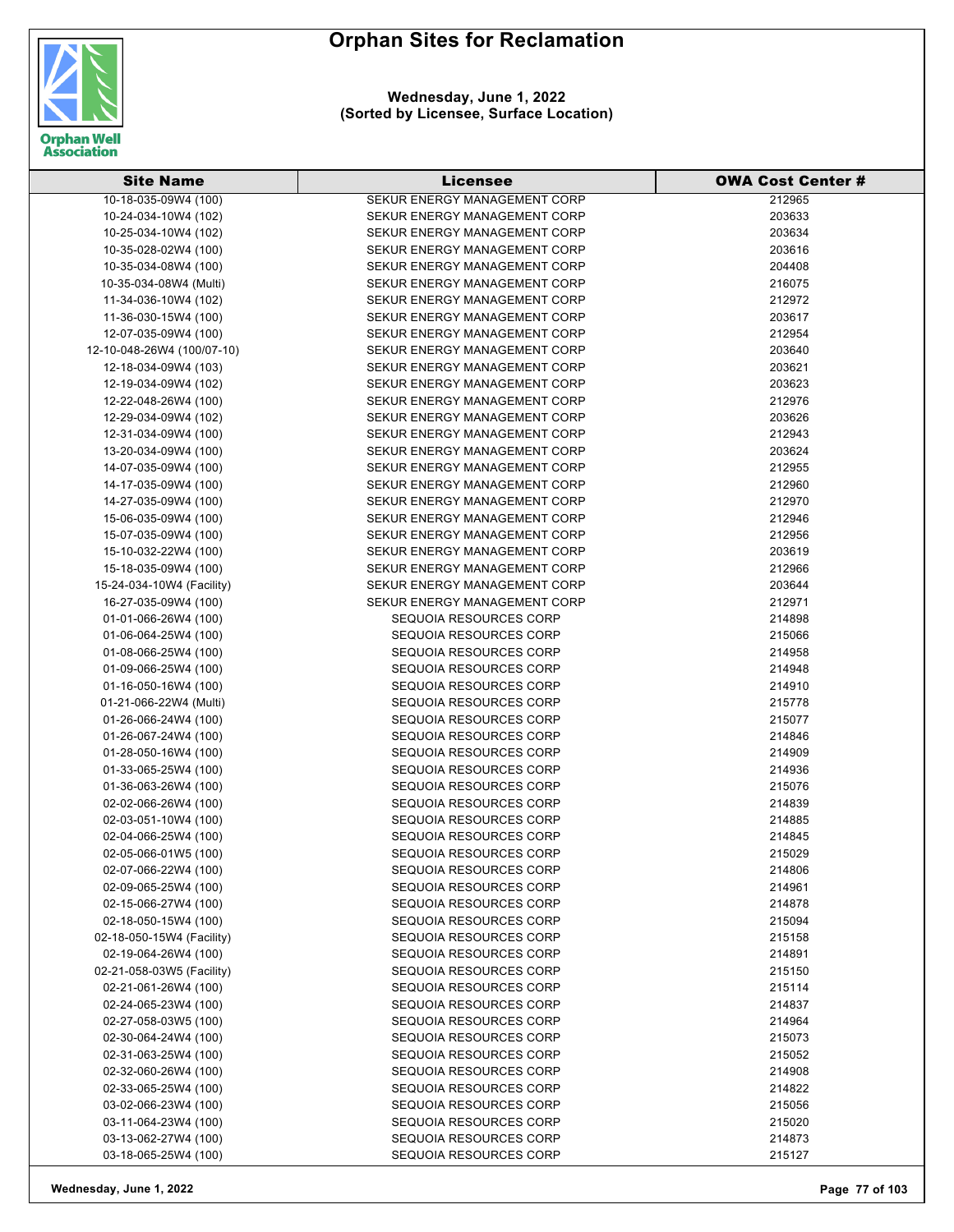

| <b>Site Name</b>                               | <b>Licensee</b>                                         | <b>OWA Cost Center #</b> |
|------------------------------------------------|---------------------------------------------------------|--------------------------|
| 10-18-035-09W4 (100)                           | SEKUR ENERGY MANAGEMENT CORP                            | 212965                   |
| 10-24-034-10W4 (102)                           | SEKUR ENERGY MANAGEMENT CORP                            | 203633                   |
| 10-25-034-10W4 (102)                           | SEKUR ENERGY MANAGEMENT CORP                            | 203634                   |
| 10-35-028-02W4 (100)                           | SEKUR ENERGY MANAGEMENT CORP                            | 203616                   |
| 10-35-034-08W4 (100)                           | SEKUR ENERGY MANAGEMENT CORP                            | 204408                   |
| 10-35-034-08W4 (Multi)                         | SEKUR ENERGY MANAGEMENT CORP                            | 216075                   |
| 11-34-036-10W4 (102)                           | SEKUR ENERGY MANAGEMENT CORP                            | 212972                   |
| 11-36-030-15W4 (100)                           | SEKUR ENERGY MANAGEMENT CORP                            | 203617                   |
| 12-07-035-09W4 (100)                           | SEKUR ENERGY MANAGEMENT CORP                            | 212954                   |
| 12-10-048-26W4 (100/07-10)                     | SEKUR ENERGY MANAGEMENT CORP                            | 203640                   |
| 12-18-034-09W4 (103)                           | SEKUR ENERGY MANAGEMENT CORP                            | 203621                   |
| 12-19-034-09W4 (102)                           | SEKUR ENERGY MANAGEMENT CORP                            | 203623                   |
| 12-22-048-26W4 (100)                           | SEKUR ENERGY MANAGEMENT CORP                            | 212976                   |
| 12-29-034-09W4 (102)                           | SEKUR ENERGY MANAGEMENT CORP                            | 203626                   |
| 12-31-034-09W4 (100)                           | SEKUR ENERGY MANAGEMENT CORP                            | 212943                   |
| 13-20-034-09W4 (100)                           | SEKUR ENERGY MANAGEMENT CORP                            | 203624                   |
| 14-07-035-09W4 (100)                           | SEKUR ENERGY MANAGEMENT CORP                            | 212955                   |
| 14-17-035-09W4 (100)                           | SEKUR ENERGY MANAGEMENT CORP                            | 212960                   |
| 14-27-035-09W4 (100)                           | SEKUR ENERGY MANAGEMENT CORP                            | 212970                   |
| 15-06-035-09W4 (100)                           | SEKUR ENERGY MANAGEMENT CORP                            | 212946                   |
|                                                |                                                         |                          |
| 15-07-035-09W4 (100)                           | SEKUR ENERGY MANAGEMENT CORP                            | 212956                   |
| 15-10-032-22W4 (100)                           | SEKUR ENERGY MANAGEMENT CORP                            | 203619                   |
| 15-18-035-09W4 (100)                           | SEKUR ENERGY MANAGEMENT CORP                            | 212966                   |
| 15-24-034-10W4 (Facility)                      | SEKUR ENERGY MANAGEMENT CORP                            | 203644                   |
| 16-27-035-09W4 (100)                           | SEKUR ENERGY MANAGEMENT CORP                            | 212971                   |
| 01-01-066-26W4 (100)<br>01-06-064-25W4 (100)   | SEQUOIA RESOURCES CORP                                  | 214898                   |
| 01-08-066-25W4 (100)                           | <b>SEQUOIA RESOURCES CORP</b>                           | 215066                   |
|                                                | <b>SEQUOIA RESOURCES CORP</b>                           | 214958<br>214948         |
| 01-09-066-25W4 (100)                           | <b>SEQUOIA RESOURCES CORP</b><br>SEQUOIA RESOURCES CORP | 214910                   |
| 01-16-050-16W4 (100)<br>01-21-066-22W4 (Multi) | SEQUOIA RESOURCES CORP                                  | 215778                   |
| 01-26-066-24W4 (100)                           | SEQUOIA RESOURCES CORP                                  | 215077                   |
| 01-26-067-24W4 (100)                           | <b>SEQUOIA RESOURCES CORP</b>                           | 214846                   |
| 01-28-050-16W4 (100)                           | SEQUOIA RESOURCES CORP                                  | 214909                   |
| 01-33-065-25W4 (100)                           | <b>SEQUOIA RESOURCES CORP</b>                           | 214936                   |
| 01-36-063-26W4 (100)                           | <b>SEQUOIA RESOURCES CORP</b>                           | 215076                   |
| 02-02-066-26W4 (100)                           | <b>SEQUOIA RESOURCES CORP</b>                           | 214839                   |
| 02-03-051-10W4 (100)                           | SEQUOIA RESOURCES CORP                                  | 214885                   |
| 02-04-066-25W4 (100)                           | <b>SEQUOIA RESOURCES CORP</b>                           | 214845                   |
| 02-05-066-01W5 (100)                           | <b>SEQUOIA RESOURCES CORP</b>                           | 215029                   |
| 02-07-066-22W4 (100)                           | SEQUOIA RESOURCES CORP                                  | 214806                   |
| 02-09-065-25W4 (100)                           | <b>SEQUOIA RESOURCES CORP</b>                           | 214961                   |
| 02-15-066-27W4 (100)                           | SEQUOIA RESOURCES CORP                                  | 214878                   |
| 02-18-050-15W4 (100)                           | <b>SEQUOIA RESOURCES CORP</b>                           | 215094                   |
| 02-18-050-15W4 (Facility)                      | <b>SEQUOIA RESOURCES CORP</b>                           | 215158                   |
| 02-19-064-26W4 (100)                           | SEQUOIA RESOURCES CORP                                  | 214891                   |
| 02-21-058-03W5 (Facility)                      | SEQUOIA RESOURCES CORP                                  | 215150                   |
| 02-21-061-26W4 (100)                           | <b>SEQUOIA RESOURCES CORP</b>                           | 215114                   |
| 02-24-065-23W4 (100)                           | <b>SEQUOIA RESOURCES CORP</b>                           | 214837                   |
| 02-27-058-03W5 (100)                           | <b>SEQUOIA RESOURCES CORP</b>                           | 214964                   |
| 02-30-064-24W4 (100)                           | <b>SEQUOIA RESOURCES CORP</b>                           | 215073                   |
|                                                | SEQUOIA RESOURCES CORP                                  | 215052                   |
| 02-31-063-25W4 (100)<br>02-32-060-26W4 (100)   | SEQUOIA RESOURCES CORP                                  | 214908                   |
| 02-33-065-25W4 (100)                           | SEQUOIA RESOURCES CORP                                  | 214822                   |
| 03-02-066-23W4 (100)                           | SEQUOIA RESOURCES CORP                                  | 215056                   |
| 03-11-064-23W4 (100)                           | <b>SEQUOIA RESOURCES CORP</b>                           | 215020                   |
| 03-13-062-27W4 (100)                           | <b>SEQUOIA RESOURCES CORP</b>                           | 214873                   |
| 03-18-065-25W4 (100)                           | <b>SEQUOIA RESOURCES CORP</b>                           | 215127                   |
|                                                |                                                         |                          |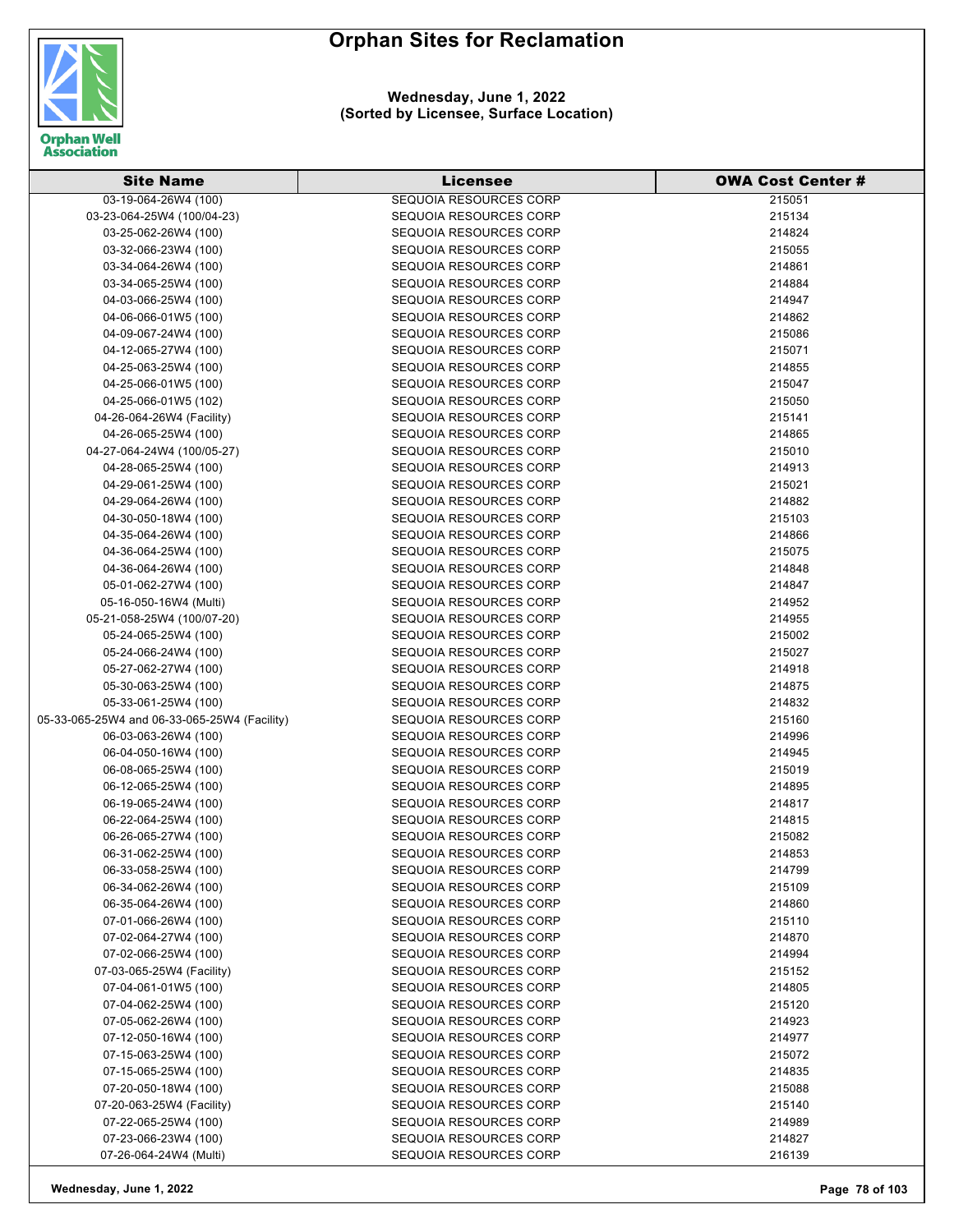

#### **Wednesday, June 1, 2022 (Sorted by Licensee, Surface Location)**

| <b>Site Name</b>                             | <b>Licensee</b>                                  | <b>OWA Cost Center #</b> |
|----------------------------------------------|--------------------------------------------------|--------------------------|
| 03-19-064-26W4 (100)                         | <b>SEQUOIA RESOURCES CORP</b>                    | 215051                   |
| 03-23-064-25W4 (100/04-23)                   | <b>SEQUOIA RESOURCES CORP</b>                    | 215134                   |
| 03-25-062-26W4 (100)                         | SEQUOIA RESOURCES CORP                           | 214824                   |
| 03-32-066-23W4 (100)                         | SEQUOIA RESOURCES CORP                           | 215055                   |
| 03-34-064-26W4 (100)                         | SEQUOIA RESOURCES CORP                           | 214861                   |
| 03-34-065-25W4 (100)                         | SEQUOIA RESOURCES CORP                           | 214884                   |
| 04-03-066-25W4 (100)                         | SEQUOIA RESOURCES CORP                           | 214947                   |
| 04-06-066-01W5 (100)                         | SEQUOIA RESOURCES CORP                           | 214862                   |
| 04-09-067-24W4 (100)                         | SEQUOIA RESOURCES CORP                           | 215086                   |
| 04-12-065-27W4 (100)                         | <b>SEQUOIA RESOURCES CORP</b>                    | 215071                   |
| 04-25-063-25W4 (100)                         | SEQUOIA RESOURCES CORP                           | 214855                   |
| 04-25-066-01W5 (100)                         | <b>SEQUOIA RESOURCES CORP</b>                    | 215047                   |
| 04-25-066-01W5 (102)                         | SEQUOIA RESOURCES CORP                           | 215050                   |
| 04-26-064-26W4 (Facility)                    | <b>SEQUOIA RESOURCES CORP</b>                    | 215141                   |
| 04-26-065-25W4 (100)                         | SEQUOIA RESOURCES CORP                           | 214865                   |
| 04-27-064-24W4 (100/05-27)                   | <b>SEQUOIA RESOURCES CORP</b>                    | 215010                   |
| 04-28-065-25W4 (100)                         | <b>SEQUOIA RESOURCES CORP</b>                    | 214913                   |
| 04-29-061-25W4 (100)                         | <b>SEQUOIA RESOURCES CORP</b>                    | 215021                   |
| 04-29-064-26W4 (100)                         | SEQUOIA RESOURCES CORP                           | 214882                   |
| 04-30-050-18W4 (100)                         | <b>SEQUOIA RESOURCES CORP</b>                    | 215103                   |
| 04-35-064-26W4 (100)                         | SEQUOIA RESOURCES CORP                           | 214866                   |
| 04-36-064-25W4 (100)                         | SEQUOIA RESOURCES CORP                           | 215075                   |
| 04-36-064-26W4 (100)                         | <b>SEQUOIA RESOURCES CORP</b>                    | 214848                   |
| 05-01-062-27W4 (100)                         | SEQUOIA RESOURCES CORP                           | 214847                   |
| 05-16-050-16W4 (Multi)                       | SEQUOIA RESOURCES CORP                           | 214952                   |
| 05-21-058-25W4 (100/07-20)                   | SEQUOIA RESOURCES CORP                           | 214955                   |
| 05-24-065-25W4 (100)                         | <b>SEQUOIA RESOURCES CORP</b>                    | 215002                   |
| 05-24-066-24W4 (100)                         | SEQUOIA RESOURCES CORP                           | 215027                   |
| 05-27-062-27W4 (100)                         | SEQUOIA RESOURCES CORP                           | 214918                   |
| 05-30-063-25W4 (100)                         | SEQUOIA RESOURCES CORP                           | 214875                   |
| 05-33-061-25W4 (100)                         | <b>SEQUOIA RESOURCES CORP</b>                    | 214832                   |
| 05-33-065-25W4 and 06-33-065-25W4 (Facility) | SEQUOIA RESOURCES CORP                           | 215160                   |
| 06-03-063-26W4 (100)                         | <b>SEQUOIA RESOURCES CORP</b>                    | 214996                   |
| 06-04-050-16W4 (100)                         | SEQUOIA RESOURCES CORP<br>SEQUOIA RESOURCES CORP | 214945                   |
| 06-08-065-25W4 (100)<br>06-12-065-25W4 (100) | SEQUOIA RESOURCES CORP                           | 215019<br>214895         |
| 06-19-065-24W4 (100)                         | SEQUOIA RESOURCES CORP                           | 214817                   |
| 06-22-064-25W4 (100)                         | <b>SEQUOIA RESOURCES CORP</b>                    | 214815                   |
| 06-26-065-27W4 (100)                         | SEQUOIA RESOURCES CORP                           | 215082                   |
| 06-31-062-25W4 (100)                         | <b>SEQUOIA RESOURCES CORP</b>                    | 214853                   |
| 06-33-058-25W4 (100)                         | SEQUOIA RESOURCES CORP                           | 214799                   |
| 06-34-062-26W4 (100)                         | SEQUOIA RESOURCES CORP                           | 215109                   |
| 06-35-064-26W4 (100)                         | <b>SEQUOIA RESOURCES CORP</b>                    | 214860                   |
| 07-01-066-26W4 (100)                         | <b>SEQUOIA RESOURCES CORP</b>                    | 215110                   |
| 07-02-064-27W4 (100)                         | <b>SEQUOIA RESOURCES CORP</b>                    | 214870                   |
| 07-02-066-25W4 (100)                         | SEQUOIA RESOURCES CORP                           | 214994                   |
| 07-03-065-25W4 (Facility)                    | <b>SEQUOIA RESOURCES CORP</b>                    | 215152                   |
| 07-04-061-01W5 (100)                         | SEQUOIA RESOURCES CORP                           | 214805                   |
| 07-04-062-25W4 (100)                         | <b>SEQUOIA RESOURCES CORP</b>                    | 215120                   |
| 07-05-062-26W4 (100)                         | SEQUOIA RESOURCES CORP                           | 214923                   |
| 07-12-050-16W4 (100)                         | <b>SEQUOIA RESOURCES CORP</b>                    | 214977                   |
| 07-15-063-25W4 (100)                         | <b>SEQUOIA RESOURCES CORP</b>                    | 215072                   |
| 07-15-065-25W4 (100)                         | <b>SEQUOIA RESOURCES CORP</b>                    | 214835                   |
| 07-20-050-18W4 (100)                         | <b>SEQUOIA RESOURCES CORP</b>                    | 215088                   |
| 07-20-063-25W4 (Facility)                    | SEQUOIA RESOURCES CORP                           | 215140                   |
| 07-22-065-25W4 (100)                         | <b>SEQUOIA RESOURCES CORP</b>                    | 214989                   |
| 07-23-066-23W4 (100)                         | <b>SEQUOIA RESOURCES CORP</b>                    | 214827                   |
| 07-26-064-24W4 (Multi)                       | <b>SEQUOIA RESOURCES CORP</b>                    | 216139                   |

**Wednesday, June 1, 2022 Page 78 of 103**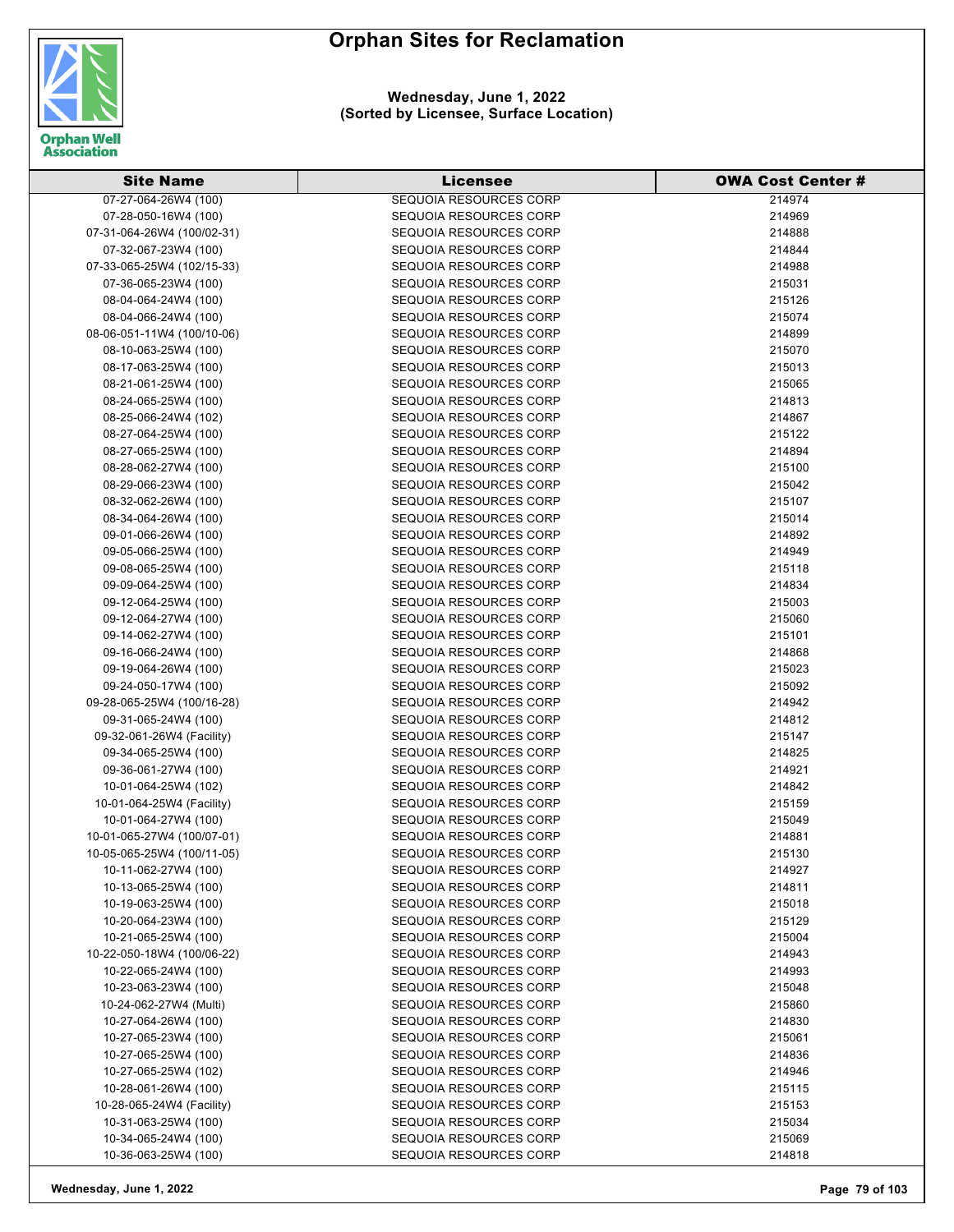

**Wednesday, June 1, 2022 (Sorted by Licensee, Surface Location)**

| <b>Site Name</b>                                   | <b>Licensee</b>                                         | <b>OWA Cost Center #</b> |
|----------------------------------------------------|---------------------------------------------------------|--------------------------|
| 07-27-064-26W4 (100)                               | <b>SEQUOIA RESOURCES CORP</b>                           | 214974                   |
| 07-28-050-16W4 (100)                               | SEQUOIA RESOURCES CORP                                  | 214969                   |
| 07-31-064-26W4 (100/02-31)                         | SEQUOIA RESOURCES CORP                                  | 214888                   |
| 07-32-067-23W4 (100)                               | SEQUOIA RESOURCES CORP                                  | 214844                   |
| 07-33-065-25W4 (102/15-33)                         | SEQUOIA RESOURCES CORP                                  | 214988                   |
| 07-36-065-23W4 (100)                               | SEQUOIA RESOURCES CORP                                  | 215031                   |
| 08-04-064-24W4 (100)                               | SEQUOIA RESOURCES CORP                                  | 215126                   |
| 08-04-066-24W4 (100)                               | SEQUOIA RESOURCES CORP                                  | 215074                   |
| 08-06-051-11W4 (100/10-06)                         | SEQUOIA RESOURCES CORP                                  | 214899                   |
| 08-10-063-25W4 (100)                               | SEQUOIA RESOURCES CORP                                  | 215070                   |
| 08-17-063-25W4 (100)                               | SEQUOIA RESOURCES CORP                                  | 215013                   |
| 08-21-061-25W4 (100)                               | SEQUOIA RESOURCES CORP                                  | 215065                   |
| 08-24-065-25W4 (100)                               | SEQUOIA RESOURCES CORP                                  | 214813                   |
| 08-25-066-24W4 (102)                               | <b>SEQUOIA RESOURCES CORP</b>                           | 214867                   |
| 08-27-064-25W4 (100)                               | SEQUOIA RESOURCES CORP                                  | 215122                   |
| 08-27-065-25W4 (100)                               | SEQUOIA RESOURCES CORP                                  | 214894                   |
| 08-28-062-27W4 (100)                               | SEQUOIA RESOURCES CORP                                  | 215100                   |
| 08-29-066-23W4 (100)                               | SEQUOIA RESOURCES CORP                                  | 215042                   |
| 08-32-062-26W4 (100)                               | SEQUOIA RESOURCES CORP                                  | 215107                   |
| 08-34-064-26W4 (100)                               | SEQUOIA RESOURCES CORP                                  | 215014                   |
| 09-01-066-26W4 (100)                               | SEQUOIA RESOURCES CORP                                  | 214892                   |
| 09-05-066-25W4 (100)                               | SEQUOIA RESOURCES CORP                                  | 214949                   |
| 09-08-065-25W4 (100)                               | SEQUOIA RESOURCES CORP                                  | 215118                   |
| 09-09-064-25W4 (100)                               | SEQUOIA RESOURCES CORP                                  | 214834                   |
| 09-12-064-25W4 (100)                               | SEQUOIA RESOURCES CORP                                  | 215003                   |
| 09-12-064-27W4 (100)                               | SEQUOIA RESOURCES CORP                                  |                          |
| 09-14-062-27W4 (100)                               | <b>SEQUOIA RESOURCES CORP</b>                           | 215060<br>215101         |
| 09-16-066-24W4 (100)                               | <b>SEQUOIA RESOURCES CORP</b>                           | 214868                   |
|                                                    | SEQUOIA RESOURCES CORP                                  | 215023                   |
| 09-19-064-26W4 (100)                               | SEQUOIA RESOURCES CORP                                  | 215092                   |
| 09-24-050-17W4 (100)<br>09-28-065-25W4 (100/16-28) | SEQUOIA RESOURCES CORP                                  | 214942                   |
| 09-31-065-24W4 (100)                               | SEQUOIA RESOURCES CORP                                  | 214812                   |
| 09-32-061-26W4 (Facility)                          | SEQUOIA RESOURCES CORP                                  | 215147                   |
| 09-34-065-25W4 (100)                               | SEQUOIA RESOURCES CORP                                  | 214825                   |
| 09-36-061-27W4 (100)                               | SEQUOIA RESOURCES CORP                                  | 214921                   |
| 10-01-064-25W4 (102)                               | SEQUOIA RESOURCES CORP                                  | 214842                   |
| 10-01-064-25W4 (Facility)                          | SEQUOIA RESOURCES CORP                                  | 215159                   |
| 10-01-064-27W4 (100)                               | SEQUOIA RESOURCES CORP                                  | 215049                   |
| 10-01-065-27W4 (100/07-01)                         | SEQUOIA RESOURCES CORP                                  | 214881                   |
| 10-05-065-25W4 (100/11-05)                         | SEQUOIA RESOURCES CORP                                  | 215130                   |
| 10-11-062-27W4 (100)                               | <b>SEQUOIA RESOURCES CORP</b>                           | 214927                   |
| 10-13-065-25W4 (100)                               | SEQUOIA RESOURCES CORP                                  | 214811                   |
| 10-19-063-25W4 (100)                               | <b>SEQUOIA RESOURCES CORP</b>                           | 215018                   |
| 10-20-064-23W4 (100)                               | SEQUOIA RESOURCES CORP                                  | 215129                   |
| 10-21-065-25W4 (100)                               | <b>SEQUOIA RESOURCES CORP</b>                           | 215004                   |
| 10-22-050-18W4 (100/06-22)                         | SEQUOIA RESOURCES CORP                                  | 214943                   |
| 10-22-065-24W4 (100)                               | <b>SEQUOIA RESOURCES CORP</b>                           | 214993                   |
| 10-23-063-23W4 (100)                               | SEQUOIA RESOURCES CORP                                  | 215048                   |
| 10-24-062-27W4 (Multi)                             | SEQUOIA RESOURCES CORP                                  | 215860                   |
| 10-27-064-26W4 (100)                               | SEQUOIA RESOURCES CORP                                  |                          |
| 10-27-065-23W4 (100)                               | <b>SEQUOIA RESOURCES CORP</b>                           | 214830<br>215061         |
| 10-27-065-25W4 (100)                               | <b>SEQUOIA RESOURCES CORP</b>                           | 214836                   |
| 10-27-065-25W4 (102)                               | <b>SEQUOIA RESOURCES CORP</b>                           | 214946                   |
|                                                    | SEQUOIA RESOURCES CORP                                  |                          |
| 10-28-061-26W4 (100)<br>10-28-065-24W4 (Facility)  | SEQUOIA RESOURCES CORP                                  | 215115                   |
|                                                    |                                                         | 215153                   |
| 10-31-063-25W4 (100)<br>10-34-065-24W4 (100)       | <b>SEQUOIA RESOURCES CORP</b><br>SEQUOIA RESOURCES CORP | 215034<br>215069         |
| 10-36-063-25W4 (100)                               | <b>SEQUOIA RESOURCES CORP</b>                           | 214818                   |
|                                                    |                                                         |                          |

**Wednesday, June 1, 2022 Page 79 of 103**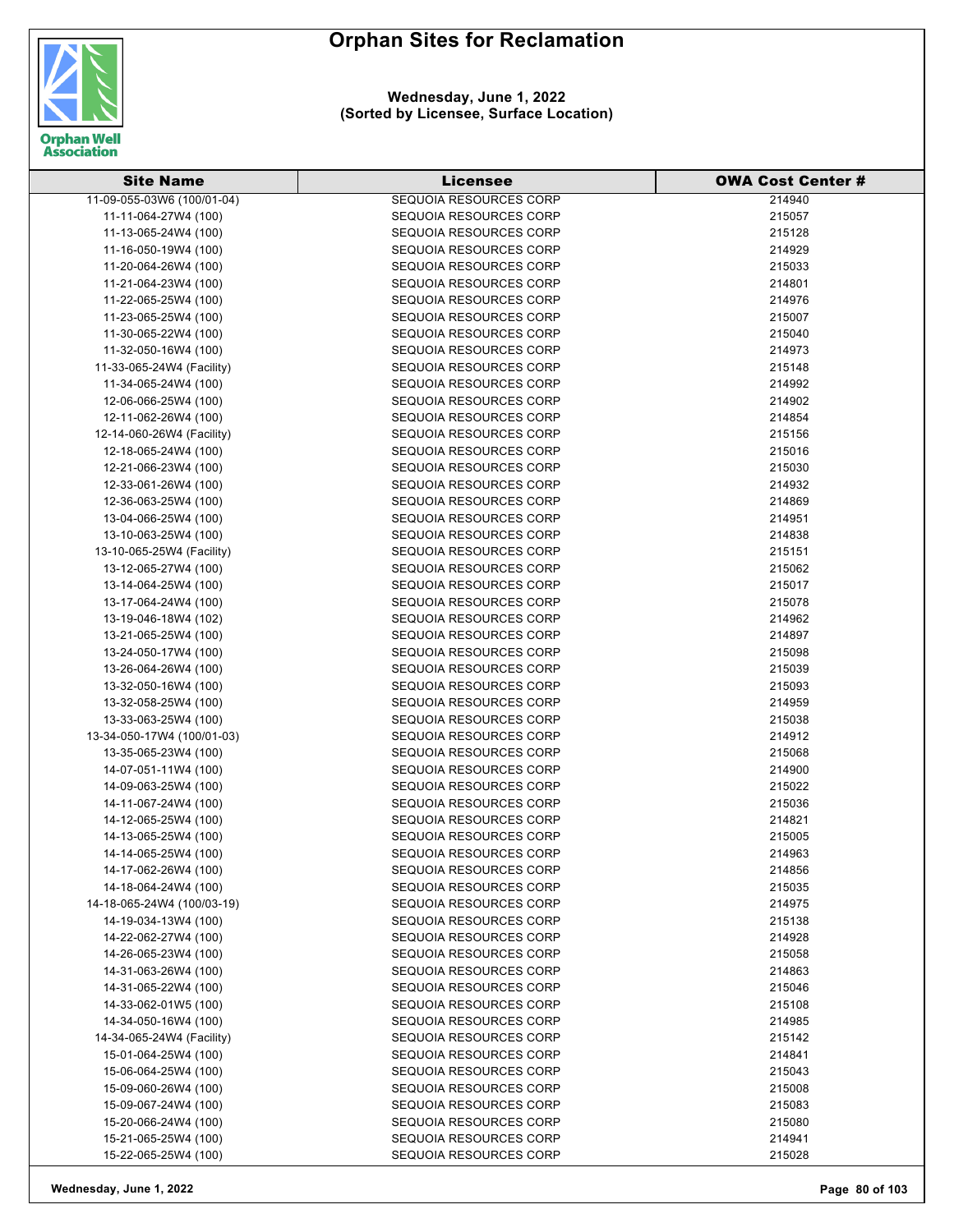

**Wednesday, June 1, 2022 (Sorted by Licensee, Surface Location)**

| <b>Site Name</b>           | Licensee                      | <b>OWA Cost Center #</b> |
|----------------------------|-------------------------------|--------------------------|
| 11-09-055-03W6 (100/01-04) | <b>SEQUOIA RESOURCES CORP</b> | 214940                   |
| 11-11-064-27W4 (100)       | SEQUOIA RESOURCES CORP        | 215057                   |
| 11-13-065-24W4 (100)       | <b>SEQUOIA RESOURCES CORP</b> | 215128                   |
| 11-16-050-19W4 (100)       | <b>SEQUOIA RESOURCES CORP</b> | 214929                   |
| 11-20-064-26W4 (100)       | SEQUOIA RESOURCES CORP        | 215033                   |
| 11-21-064-23W4 (100)       | SEQUOIA RESOURCES CORP        | 214801                   |
| 11-22-065-25W4 (100)       | SEQUOIA RESOURCES CORP        | 214976                   |
| 11-23-065-25W4 (100)       | SEQUOIA RESOURCES CORP        | 215007                   |
| 11-30-065-22W4 (100)       | SEQUOIA RESOURCES CORP        | 215040                   |
| 11-32-050-16W4 (100)       | SEQUOIA RESOURCES CORP        | 214973                   |
| 11-33-065-24W4 (Facility)  | SEQUOIA RESOURCES CORP        | 215148                   |
| 11-34-065-24W4 (100)       | SEQUOIA RESOURCES CORP        | 214992                   |
| 12-06-066-25W4 (100)       | SEQUOIA RESOURCES CORP        | 214902                   |
| 12-11-062-26W4 (100)       | <b>SEQUOIA RESOURCES CORP</b> | 214854                   |
| 12-14-060-26W4 (Facility)  | SEQUOIA RESOURCES CORP        | 215156                   |
| 12-18-065-24W4 (100)       | <b>SEQUOIA RESOURCES CORP</b> | 215016                   |
| 12-21-066-23W4 (100)       | SEQUOIA RESOURCES CORP        | 215030                   |
| 12-33-061-26W4 (100)       | SEQUOIA RESOURCES CORP        | 214932                   |
| 12-36-063-25W4 (100)       | SEQUOIA RESOURCES CORP        | 214869                   |
| 13-04-066-25W4 (100)       | <b>SEQUOIA RESOURCES CORP</b> | 214951                   |
| 13-10-063-25W4 (100)       | SEQUOIA RESOURCES CORP        | 214838                   |
| 13-10-065-25W4 (Facility)  | SEQUOIA RESOURCES CORP        | 215151                   |
| 13-12-065-27W4 (100)       | SEQUOIA RESOURCES CORP        | 215062                   |
| 13-14-064-25W4 (100)       | SEQUOIA RESOURCES CORP        | 215017                   |
| 13-17-064-24W4 (100)       | SEQUOIA RESOURCES CORP        | 215078                   |
| 13-19-046-18W4 (102)       | SEQUOIA RESOURCES CORP        | 214962                   |
| 13-21-065-25W4 (100)       | <b>SEQUOIA RESOURCES CORP</b> | 214897                   |
| 13-24-050-17W4 (100)       | <b>SEQUOIA RESOURCES CORP</b> | 215098                   |
| 13-26-064-26W4 (100)       | <b>SEQUOIA RESOURCES CORP</b> | 215039                   |
| 13-32-050-16W4 (100)       | <b>SEQUOIA RESOURCES CORP</b> | 215093                   |
| 13-32-058-25W4 (100)       | <b>SEQUOIA RESOURCES CORP</b> | 214959                   |
| 13-33-063-25W4 (100)       | SEQUOIA RESOURCES CORP        | 215038                   |
| 13-34-050-17W4 (100/01-03) | <b>SEQUOIA RESOURCES CORP</b> | 214912                   |
| 13-35-065-23W4 (100)       | <b>SEQUOIA RESOURCES CORP</b> | 215068                   |
| 14-07-051-11W4 (100)       | SEQUOIA RESOURCES CORP        | 214900                   |
| 14-09-063-25W4 (100)       | <b>SEQUOIA RESOURCES CORP</b> | 215022                   |
| 14-11-067-24W4 (100)       | <b>SEQUOIA RESOURCES CORP</b> | 215036                   |
| 14-12-065-25W4 (100)       | SEQUOIA RESOURCES CORP        | 214821                   |
| 14-13-065-25W4 (100)       | <b>SEQUOIA RESOURCES CORP</b> | 215005                   |
| 14-14-065-25W4 (100)       | SEQUOIA RESOURCES CORP        | 214963                   |
| 14-17-062-26W4 (100)       | SEQUOIA RESOURCES CORP        | 214856                   |
| 14-18-064-24W4 (100)       | SEQUOIA RESOURCES CORP        | 215035                   |
| 14-18-065-24W4 (100/03-19) | <b>SEQUOIA RESOURCES CORP</b> | 214975                   |
| 14-19-034-13W4 (100)       | <b>SEQUOIA RESOURCES CORP</b> | 215138                   |
| 14-22-062-27W4 (100)       | <b>SEQUOIA RESOURCES CORP</b> | 214928                   |
| 14-26-065-23W4 (100)       | SEQUOIA RESOURCES CORP        | 215058                   |
| 14-31-063-26W4 (100)       |                               |                          |
| 14-31-065-22W4 (100)       | <b>SEQUOIA RESOURCES CORP</b> | 214863                   |
|                            | <b>SEQUOIA RESOURCES CORP</b> | 215046                   |
| 14-33-062-01W5 (100)       | <b>SEQUOIA RESOURCES CORP</b> | 215108                   |
| 14-34-050-16W4 (100)       | <b>SEQUOIA RESOURCES CORP</b> | 214985                   |
| 14-34-065-24W4 (Facility)  | <b>SEQUOIA RESOURCES CORP</b> | 215142                   |
| 15-01-064-25W4 (100)       | <b>SEQUOIA RESOURCES CORP</b> | 214841                   |
| 15-06-064-25W4 (100)       | <b>SEQUOIA RESOURCES CORP</b> | 215043                   |
| 15-09-060-26W4 (100)       | <b>SEQUOIA RESOURCES CORP</b> | 215008                   |
| 15-09-067-24W4 (100)       | SEQUOIA RESOURCES CORP        | 215083                   |
| 15-20-066-24W4 (100)       | <b>SEQUOIA RESOURCES CORP</b> | 215080                   |
| 15-21-065-25W4 (100)       | SEQUOIA RESOURCES CORP        | 214941                   |
| 15-22-065-25W4 (100)       | <b>SEQUOIA RESOURCES CORP</b> | 215028                   |

**Wednesday, June 1, 2022 Page 80 of 103**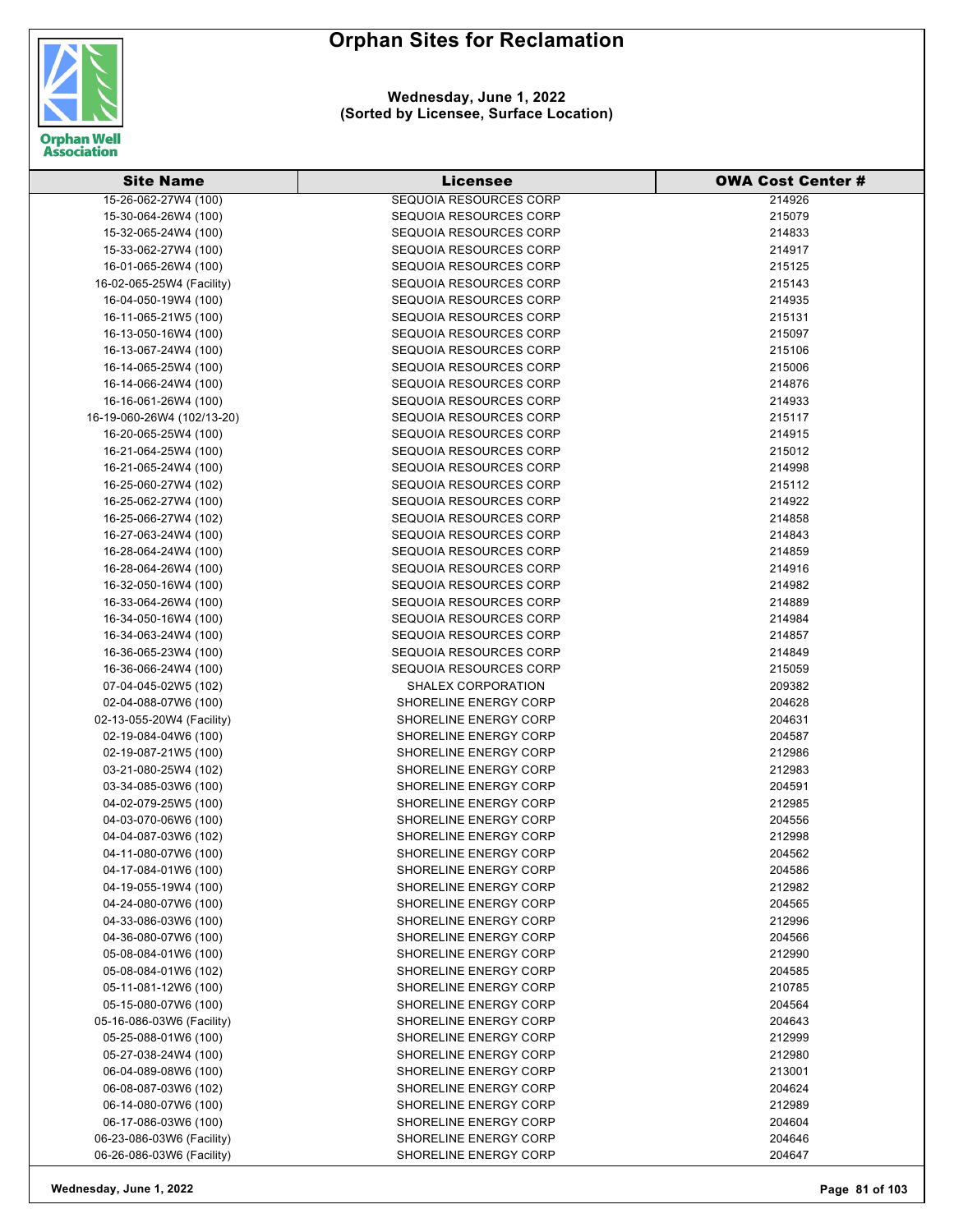

**Wednesday, June 1, 2022 (Sorted by Licensee, Surface Location)**

| <b>Site Name</b>           | Licensee                      | <b>OWA Cost Center #</b> |
|----------------------------|-------------------------------|--------------------------|
| 15-26-062-27W4 (100)       | <b>SEQUOIA RESOURCES CORP</b> | 214926                   |
| 15-30-064-26W4 (100)       | <b>SEQUOIA RESOURCES CORP</b> | 215079                   |
| 15-32-065-24W4 (100)       | <b>SEQUOIA RESOURCES CORP</b> | 214833                   |
| 15-33-062-27W4 (100)       | <b>SEQUOIA RESOURCES CORP</b> | 214917                   |
| 16-01-065-26W4 (100)       | SEQUOIA RESOURCES CORP        | 215125                   |
| 16-02-065-25W4 (Facility)  | <b>SEQUOIA RESOURCES CORP</b> | 215143                   |
| 16-04-050-19W4 (100)       | SEQUOIA RESOURCES CORP        | 214935                   |
| 16-11-065-21W5 (100)       | SEQUOIA RESOURCES CORP        | 215131                   |
| 16-13-050-16W4 (100)       | SEQUOIA RESOURCES CORP        | 215097                   |
| 16-13-067-24W4 (100)       | SEQUOIA RESOURCES CORP        | 215106                   |
| 16-14-065-25W4 (100)       | SEQUOIA RESOURCES CORP        | 215006                   |
| 16-14-066-24W4 (100)       | SEQUOIA RESOURCES CORP        | 214876                   |
| 16-16-061-26W4 (100)       | SEQUOIA RESOURCES CORP        | 214933                   |
| 16-19-060-26W4 (102/13-20) | <b>SEQUOIA RESOURCES CORP</b> | 215117                   |
| 16-20-065-25W4 (100)       | <b>SEQUOIA RESOURCES CORP</b> | 214915                   |
| 16-21-064-25W4 (100)       | SEQUOIA RESOURCES CORP        | 215012                   |
| 16-21-065-24W4 (100)       | <b>SEQUOIA RESOURCES CORP</b> | 214998                   |
| 16-25-060-27W4 (102)       | <b>SEQUOIA RESOURCES CORP</b> | 215112                   |
| 16-25-062-27W4 (100)       | <b>SEQUOIA RESOURCES CORP</b> | 214922                   |
| 16-25-066-27W4 (102)       | SEQUOIA RESOURCES CORP        | 214858                   |
| 16-27-063-24W4 (100)       | <b>SEQUOIA RESOURCES CORP</b> | 214843                   |
| 16-28-064-24W4 (100)       | SEQUOIA RESOURCES CORP        | 214859                   |
| 16-28-064-26W4 (100)       | SEQUOIA RESOURCES CORP        | 214916                   |
| 16-32-050-16W4 (100)       | SEQUOIA RESOURCES CORP        | 214982                   |
| 16-33-064-26W4 (100)       | <b>SEQUOIA RESOURCES CORP</b> | 214889                   |
| 16-34-050-16W4 (100)       | SEQUOIA RESOURCES CORP        | 214984                   |
| 16-34-063-24W4 (100)       | <b>SEQUOIA RESOURCES CORP</b> | 214857                   |
| 16-36-065-23W4 (100)       | <b>SEQUOIA RESOURCES CORP</b> | 214849                   |
| 16-36-066-24W4 (100)       | <b>SEQUOIA RESOURCES CORP</b> | 215059                   |
| 07-04-045-02W5 (102)       | SHALEX CORPORATION            | 209382                   |
| 02-04-088-07W6 (100)       | SHORELINE ENERGY CORP         | 204628                   |
| 02-13-055-20W4 (Facility)  | SHORELINE ENERGY CORP         | 204631                   |
| 02-19-084-04W6 (100)       | <b>SHORELINE ENERGY CORP</b>  | 204587                   |
| 02-19-087-21W5 (100)       | SHORELINE ENERGY CORP         | 212986                   |
| 03-21-080-25W4 (102)       | <b>SHORELINE ENERGY CORP</b>  | 212983                   |
| 03-34-085-03W6 (100)       | SHORELINE ENERGY CORP         | 204591                   |
| 04-02-079-25W5 (100)       | <b>SHORELINE ENERGY CORP</b>  | 212985                   |
| 04-03-070-06W6 (100)       | SHORELINE ENERGY CORP         | 204556                   |
| 04-04-087-03W6 (102)       | SHORELINE ENERGY CORP         | 212998                   |
| 04-11-080-07W6 (100)       | SHORELINE ENERGY CORP         | 204562                   |
| 04-17-084-01W6 (100)       | <b>SHORELINE ENERGY CORP</b>  | 204586                   |
| 04-19-055-19W4 (100)       | <b>SHORELINE ENERGY CORP</b>  | 212982                   |
| 04-24-080-07W6 (100)       | <b>SHORELINE ENERGY CORP</b>  | 204565                   |
| 04-33-086-03W6 (100)       | <b>SHORELINE ENERGY CORP</b>  | 212996                   |
| 04-36-080-07W6 (100)       | <b>SHORELINE ENERGY CORP</b>  | 204566                   |
| 05-08-084-01W6 (100)       | <b>SHORELINE ENERGY CORP</b>  | 212990                   |
| 05-08-084-01W6 (102)       | SHORELINE ENERGY CORP         | 204585                   |
| 05-11-081-12W6 (100)       | <b>SHORELINE ENERGY CORP</b>  | 210785                   |
| 05-15-080-07W6 (100)       | SHORELINE ENERGY CORP         | 204564                   |
| 05-16-086-03W6 (Facility)  | <b>SHORELINE ENERGY CORP</b>  | 204643                   |
| 05-25-088-01W6 (100)       | SHORELINE ENERGY CORP         | 212999                   |
| 05-27-038-24W4 (100)       | SHORELINE ENERGY CORP         | 212980                   |
| 06-04-089-08W6 (100)       | <b>SHORELINE ENERGY CORP</b>  | 213001                   |
| 06-08-087-03W6 (102)       | <b>SHORELINE ENERGY CORP</b>  | 204624                   |
| 06-14-080-07W6 (100)       | SHORELINE ENERGY CORP         | 212989                   |
| 06-17-086-03W6 (100)       | <b>SHORELINE ENERGY CORP</b>  | 204604                   |
| 06-23-086-03W6 (Facility)  | <b>SHORELINE ENERGY CORP</b>  | 204646                   |
| 06-26-086-03W6 (Facility)  | SHORELINE ENERGY CORP         | 204647                   |

**Wednesday, June 1, 2022 Page 81 of 103**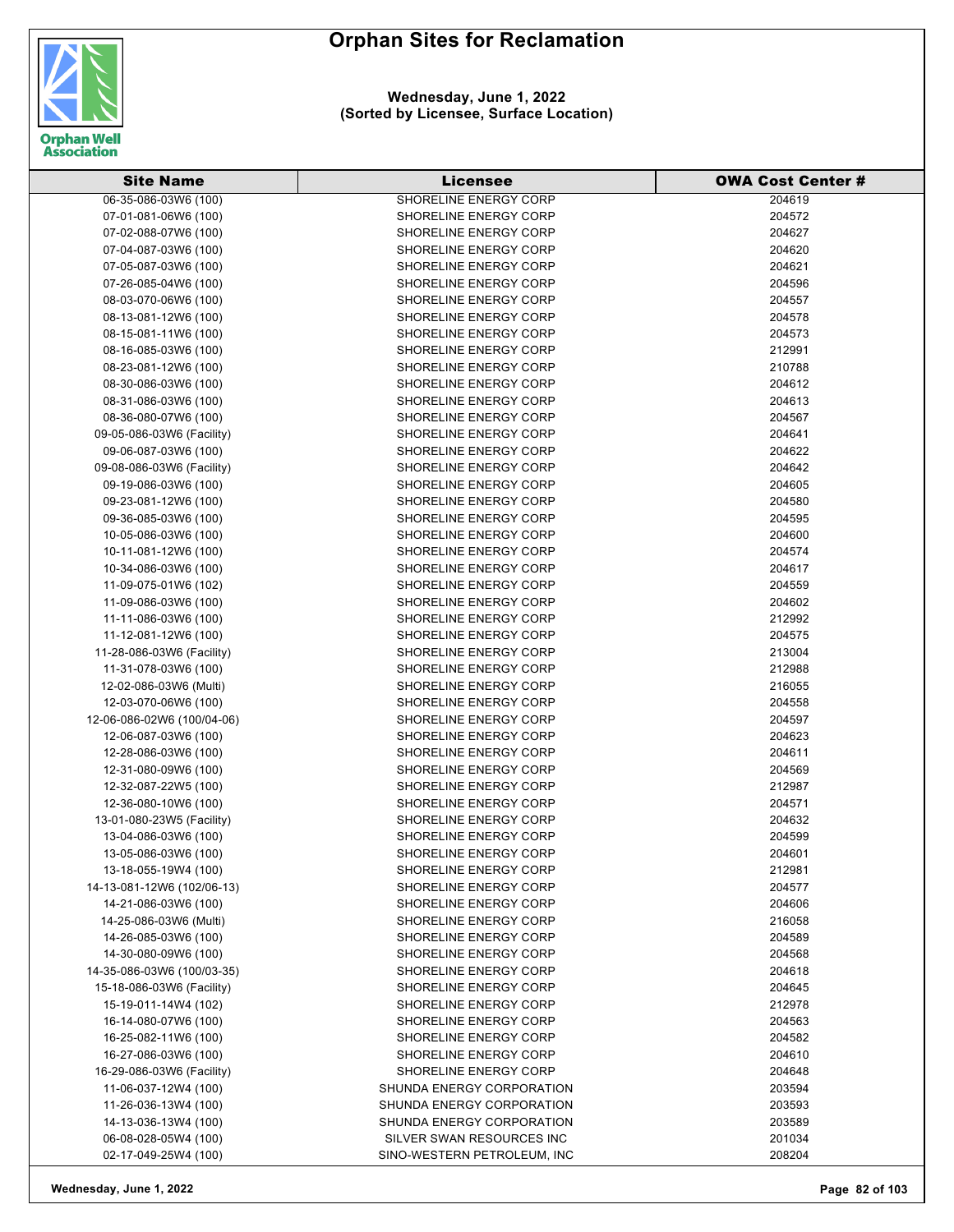

**Wednesday, June 1, 2022 (Sorted by Licensee, Surface Location)**

| 06-35-086-03W6 (100)<br>SHORELINE ENERGY CORP<br>204619<br>07-01-081-06W6 (100)<br>SHORELINE ENERGY CORP<br>204572<br>204627<br>SHORELINE ENERGY CORP<br>07-02-088-07W6 (100)<br>204620<br>07-04-087-03W6 (100)<br>SHORELINE ENERGY CORP<br>204621<br>07-05-087-03W6 (100)<br>SHORELINE ENERGY CORP<br>07-26-085-04W6 (100)<br>SHORELINE ENERGY CORP<br>204596<br>SHORELINE ENERGY CORP<br>204557<br>08-03-070-06W6 (100)<br>204578<br>08-13-081-12W6 (100)<br>SHORELINE ENERGY CORP<br>SHORELINE ENERGY CORP<br>204573<br>08-15-081-11W6 (100)<br>SHORELINE ENERGY CORP<br>08-16-085-03W6 (100)<br>212991<br>SHORELINE ENERGY CORP<br>08-23-081-12W6 (100)<br>210788<br>08-30-086-03W6 (100)<br>SHORELINE ENERGY CORP<br>204612<br>SHORELINE ENERGY CORP<br>08-31-086-03W6 (100)<br>204613<br>204567<br>08-36-080-07W6 (100)<br>SHORELINE ENERGY CORP<br>204641<br>09-05-086-03W6 (Facility)<br>SHORELINE ENERGY CORP<br>204622<br>09-06-087-03W6 (100)<br>SHORELINE ENERGY CORP<br>SHORELINE ENERGY CORP<br>204642<br>09-08-086-03W6 (Facility)<br>09-19-086-03W6 (100)<br>SHORELINE ENERGY CORP<br>204605<br>SHORELINE ENERGY CORP<br>204580<br>09-23-081-12W6 (100)<br>204595<br>09-36-085-03W6 (100)<br>SHORELINE ENERGY CORP<br>SHORELINE ENERGY CORP<br>10-05-086-03W6 (100)<br>204600<br>10-11-081-12W6 (100)<br>SHORELINE ENERGY CORP<br>204574<br>SHORELINE ENERGY CORP<br>204617<br>10-34-086-03W6 (100)<br>SHORELINE ENERGY CORP<br>11-09-075-01W6 (102)<br>204559<br>11-09-086-03W6 (100)<br>SHORELINE ENERGY CORP<br>204602<br>11-11-086-03W6 (100)<br>SHORELINE ENERGY CORP<br>212992<br>11-12-081-12W6 (100)<br>SHORELINE ENERGY CORP<br>204575<br>213004<br>11-28-086-03W6 (Facility)<br>SHORELINE ENERGY CORP<br>11-31-078-03W6 (100)<br>SHORELINE ENERGY CORP<br>212988<br>SHORELINE ENERGY CORP<br>216055<br>12-02-086-03W6 (Multi)<br>12-03-070-06W6 (100)<br>SHORELINE ENERGY CORP<br>204558<br>SHORELINE ENERGY CORP<br>204597<br>12-06-086-02W6 (100/04-06)<br>12-06-087-03W6 (100)<br>SHORELINE ENERGY CORP<br>204623<br>SHORELINE ENERGY CORP<br>12-28-086-03W6 (100)<br>204611<br>12-31-080-09W6 (100)<br>SHORELINE ENERGY CORP<br>204569<br>SHORELINE ENERGY CORP<br>12-32-087-22W5 (100)<br>212987<br>12-36-080-10W6 (100)<br>SHORELINE ENERGY CORP<br>204571<br>SHORELINE ENERGY CORP<br>204632<br>13-01-080-23W5 (Facility)<br>204599<br><b>SHORELINE ENERGY CORP</b><br>13-04-086-03W6 (100)<br>13-05-086-03W6 (100)<br>SHORELINE ENERGY CORP<br>204601<br>13-18-055-19W4 (100)<br>SHORELINE ENERGY CORP<br>212981<br>14-13-081-12W6 (102/06-13)<br>SHORELINE ENERGY CORP<br>204577<br>14-21-086-03W6 (100)<br><b>SHORELINE ENERGY CORP</b><br>204606<br>14-25-086-03W6 (Multi)<br>SHORELINE ENERGY CORP<br>216058<br>14-26-085-03W6 (100)<br>SHORELINE ENERGY CORP<br>204589<br>14-30-080-09W6 (100)<br>SHORELINE ENERGY CORP<br>204568<br>14-35-086-03W6 (100/03-35)<br>SHORELINE ENERGY CORP<br>204618<br>15-18-086-03W6 (Facility)<br>SHORELINE ENERGY CORP<br>204645<br>15-19-011-14W4 (102)<br><b>SHORELINE ENERGY CORP</b><br>212978<br>16-14-080-07W6 (100)<br>SHORELINE ENERGY CORP<br>204563<br>16-25-082-11W6 (100)<br>SHORELINE ENERGY CORP<br>204582<br>16-27-086-03W6 (100)<br>SHORELINE ENERGY CORP<br>204610<br>16-29-086-03W6 (Facility)<br>SHORELINE ENERGY CORP<br>204648 | <b>Site Name</b>     | <b>Licensee</b>           | <b>OWA Cost Center #</b> |
|------------------------------------------------------------------------------------------------------------------------------------------------------------------------------------------------------------------------------------------------------------------------------------------------------------------------------------------------------------------------------------------------------------------------------------------------------------------------------------------------------------------------------------------------------------------------------------------------------------------------------------------------------------------------------------------------------------------------------------------------------------------------------------------------------------------------------------------------------------------------------------------------------------------------------------------------------------------------------------------------------------------------------------------------------------------------------------------------------------------------------------------------------------------------------------------------------------------------------------------------------------------------------------------------------------------------------------------------------------------------------------------------------------------------------------------------------------------------------------------------------------------------------------------------------------------------------------------------------------------------------------------------------------------------------------------------------------------------------------------------------------------------------------------------------------------------------------------------------------------------------------------------------------------------------------------------------------------------------------------------------------------------------------------------------------------------------------------------------------------------------------------------------------------------------------------------------------------------------------------------------------------------------------------------------------------------------------------------------------------------------------------------------------------------------------------------------------------------------------------------------------------------------------------------------------------------------------------------------------------------------------------------------------------------------------------------------------------------------------------------------------------------------------------------------------------------------------------------------------------------------------------------------------------------------------------------------------------------------------------------------------------------------------------------------------------------------------------------------------------------------------------------------------------------------------------------------------------------------------------------------------------------------------------------------------------------------|----------------------|---------------------------|--------------------------|
|                                                                                                                                                                                                                                                                                                                                                                                                                                                                                                                                                                                                                                                                                                                                                                                                                                                                                                                                                                                                                                                                                                                                                                                                                                                                                                                                                                                                                                                                                                                                                                                                                                                                                                                                                                                                                                                                                                                                                                                                                                                                                                                                                                                                                                                                                                                                                                                                                                                                                                                                                                                                                                                                                                                                                                                                                                                                                                                                                                                                                                                                                                                                                                                                                                                                                                                              |                      |                           |                          |
|                                                                                                                                                                                                                                                                                                                                                                                                                                                                                                                                                                                                                                                                                                                                                                                                                                                                                                                                                                                                                                                                                                                                                                                                                                                                                                                                                                                                                                                                                                                                                                                                                                                                                                                                                                                                                                                                                                                                                                                                                                                                                                                                                                                                                                                                                                                                                                                                                                                                                                                                                                                                                                                                                                                                                                                                                                                                                                                                                                                                                                                                                                                                                                                                                                                                                                                              |                      |                           |                          |
|                                                                                                                                                                                                                                                                                                                                                                                                                                                                                                                                                                                                                                                                                                                                                                                                                                                                                                                                                                                                                                                                                                                                                                                                                                                                                                                                                                                                                                                                                                                                                                                                                                                                                                                                                                                                                                                                                                                                                                                                                                                                                                                                                                                                                                                                                                                                                                                                                                                                                                                                                                                                                                                                                                                                                                                                                                                                                                                                                                                                                                                                                                                                                                                                                                                                                                                              |                      |                           |                          |
|                                                                                                                                                                                                                                                                                                                                                                                                                                                                                                                                                                                                                                                                                                                                                                                                                                                                                                                                                                                                                                                                                                                                                                                                                                                                                                                                                                                                                                                                                                                                                                                                                                                                                                                                                                                                                                                                                                                                                                                                                                                                                                                                                                                                                                                                                                                                                                                                                                                                                                                                                                                                                                                                                                                                                                                                                                                                                                                                                                                                                                                                                                                                                                                                                                                                                                                              |                      |                           |                          |
|                                                                                                                                                                                                                                                                                                                                                                                                                                                                                                                                                                                                                                                                                                                                                                                                                                                                                                                                                                                                                                                                                                                                                                                                                                                                                                                                                                                                                                                                                                                                                                                                                                                                                                                                                                                                                                                                                                                                                                                                                                                                                                                                                                                                                                                                                                                                                                                                                                                                                                                                                                                                                                                                                                                                                                                                                                                                                                                                                                                                                                                                                                                                                                                                                                                                                                                              |                      |                           |                          |
|                                                                                                                                                                                                                                                                                                                                                                                                                                                                                                                                                                                                                                                                                                                                                                                                                                                                                                                                                                                                                                                                                                                                                                                                                                                                                                                                                                                                                                                                                                                                                                                                                                                                                                                                                                                                                                                                                                                                                                                                                                                                                                                                                                                                                                                                                                                                                                                                                                                                                                                                                                                                                                                                                                                                                                                                                                                                                                                                                                                                                                                                                                                                                                                                                                                                                                                              |                      |                           |                          |
|                                                                                                                                                                                                                                                                                                                                                                                                                                                                                                                                                                                                                                                                                                                                                                                                                                                                                                                                                                                                                                                                                                                                                                                                                                                                                                                                                                                                                                                                                                                                                                                                                                                                                                                                                                                                                                                                                                                                                                                                                                                                                                                                                                                                                                                                                                                                                                                                                                                                                                                                                                                                                                                                                                                                                                                                                                                                                                                                                                                                                                                                                                                                                                                                                                                                                                                              |                      |                           |                          |
|                                                                                                                                                                                                                                                                                                                                                                                                                                                                                                                                                                                                                                                                                                                                                                                                                                                                                                                                                                                                                                                                                                                                                                                                                                                                                                                                                                                                                                                                                                                                                                                                                                                                                                                                                                                                                                                                                                                                                                                                                                                                                                                                                                                                                                                                                                                                                                                                                                                                                                                                                                                                                                                                                                                                                                                                                                                                                                                                                                                                                                                                                                                                                                                                                                                                                                                              |                      |                           |                          |
|                                                                                                                                                                                                                                                                                                                                                                                                                                                                                                                                                                                                                                                                                                                                                                                                                                                                                                                                                                                                                                                                                                                                                                                                                                                                                                                                                                                                                                                                                                                                                                                                                                                                                                                                                                                                                                                                                                                                                                                                                                                                                                                                                                                                                                                                                                                                                                                                                                                                                                                                                                                                                                                                                                                                                                                                                                                                                                                                                                                                                                                                                                                                                                                                                                                                                                                              |                      |                           |                          |
|                                                                                                                                                                                                                                                                                                                                                                                                                                                                                                                                                                                                                                                                                                                                                                                                                                                                                                                                                                                                                                                                                                                                                                                                                                                                                                                                                                                                                                                                                                                                                                                                                                                                                                                                                                                                                                                                                                                                                                                                                                                                                                                                                                                                                                                                                                                                                                                                                                                                                                                                                                                                                                                                                                                                                                                                                                                                                                                                                                                                                                                                                                                                                                                                                                                                                                                              |                      |                           |                          |
|                                                                                                                                                                                                                                                                                                                                                                                                                                                                                                                                                                                                                                                                                                                                                                                                                                                                                                                                                                                                                                                                                                                                                                                                                                                                                                                                                                                                                                                                                                                                                                                                                                                                                                                                                                                                                                                                                                                                                                                                                                                                                                                                                                                                                                                                                                                                                                                                                                                                                                                                                                                                                                                                                                                                                                                                                                                                                                                                                                                                                                                                                                                                                                                                                                                                                                                              |                      |                           |                          |
|                                                                                                                                                                                                                                                                                                                                                                                                                                                                                                                                                                                                                                                                                                                                                                                                                                                                                                                                                                                                                                                                                                                                                                                                                                                                                                                                                                                                                                                                                                                                                                                                                                                                                                                                                                                                                                                                                                                                                                                                                                                                                                                                                                                                                                                                                                                                                                                                                                                                                                                                                                                                                                                                                                                                                                                                                                                                                                                                                                                                                                                                                                                                                                                                                                                                                                                              |                      |                           |                          |
|                                                                                                                                                                                                                                                                                                                                                                                                                                                                                                                                                                                                                                                                                                                                                                                                                                                                                                                                                                                                                                                                                                                                                                                                                                                                                                                                                                                                                                                                                                                                                                                                                                                                                                                                                                                                                                                                                                                                                                                                                                                                                                                                                                                                                                                                                                                                                                                                                                                                                                                                                                                                                                                                                                                                                                                                                                                                                                                                                                                                                                                                                                                                                                                                                                                                                                                              |                      |                           |                          |
|                                                                                                                                                                                                                                                                                                                                                                                                                                                                                                                                                                                                                                                                                                                                                                                                                                                                                                                                                                                                                                                                                                                                                                                                                                                                                                                                                                                                                                                                                                                                                                                                                                                                                                                                                                                                                                                                                                                                                                                                                                                                                                                                                                                                                                                                                                                                                                                                                                                                                                                                                                                                                                                                                                                                                                                                                                                                                                                                                                                                                                                                                                                                                                                                                                                                                                                              |                      |                           |                          |
|                                                                                                                                                                                                                                                                                                                                                                                                                                                                                                                                                                                                                                                                                                                                                                                                                                                                                                                                                                                                                                                                                                                                                                                                                                                                                                                                                                                                                                                                                                                                                                                                                                                                                                                                                                                                                                                                                                                                                                                                                                                                                                                                                                                                                                                                                                                                                                                                                                                                                                                                                                                                                                                                                                                                                                                                                                                                                                                                                                                                                                                                                                                                                                                                                                                                                                                              |                      |                           |                          |
|                                                                                                                                                                                                                                                                                                                                                                                                                                                                                                                                                                                                                                                                                                                                                                                                                                                                                                                                                                                                                                                                                                                                                                                                                                                                                                                                                                                                                                                                                                                                                                                                                                                                                                                                                                                                                                                                                                                                                                                                                                                                                                                                                                                                                                                                                                                                                                                                                                                                                                                                                                                                                                                                                                                                                                                                                                                                                                                                                                                                                                                                                                                                                                                                                                                                                                                              |                      |                           |                          |
|                                                                                                                                                                                                                                                                                                                                                                                                                                                                                                                                                                                                                                                                                                                                                                                                                                                                                                                                                                                                                                                                                                                                                                                                                                                                                                                                                                                                                                                                                                                                                                                                                                                                                                                                                                                                                                                                                                                                                                                                                                                                                                                                                                                                                                                                                                                                                                                                                                                                                                                                                                                                                                                                                                                                                                                                                                                                                                                                                                                                                                                                                                                                                                                                                                                                                                                              |                      |                           |                          |
|                                                                                                                                                                                                                                                                                                                                                                                                                                                                                                                                                                                                                                                                                                                                                                                                                                                                                                                                                                                                                                                                                                                                                                                                                                                                                                                                                                                                                                                                                                                                                                                                                                                                                                                                                                                                                                                                                                                                                                                                                                                                                                                                                                                                                                                                                                                                                                                                                                                                                                                                                                                                                                                                                                                                                                                                                                                                                                                                                                                                                                                                                                                                                                                                                                                                                                                              |                      |                           |                          |
|                                                                                                                                                                                                                                                                                                                                                                                                                                                                                                                                                                                                                                                                                                                                                                                                                                                                                                                                                                                                                                                                                                                                                                                                                                                                                                                                                                                                                                                                                                                                                                                                                                                                                                                                                                                                                                                                                                                                                                                                                                                                                                                                                                                                                                                                                                                                                                                                                                                                                                                                                                                                                                                                                                                                                                                                                                                                                                                                                                                                                                                                                                                                                                                                                                                                                                                              |                      |                           |                          |
|                                                                                                                                                                                                                                                                                                                                                                                                                                                                                                                                                                                                                                                                                                                                                                                                                                                                                                                                                                                                                                                                                                                                                                                                                                                                                                                                                                                                                                                                                                                                                                                                                                                                                                                                                                                                                                                                                                                                                                                                                                                                                                                                                                                                                                                                                                                                                                                                                                                                                                                                                                                                                                                                                                                                                                                                                                                                                                                                                                                                                                                                                                                                                                                                                                                                                                                              |                      |                           |                          |
|                                                                                                                                                                                                                                                                                                                                                                                                                                                                                                                                                                                                                                                                                                                                                                                                                                                                                                                                                                                                                                                                                                                                                                                                                                                                                                                                                                                                                                                                                                                                                                                                                                                                                                                                                                                                                                                                                                                                                                                                                                                                                                                                                                                                                                                                                                                                                                                                                                                                                                                                                                                                                                                                                                                                                                                                                                                                                                                                                                                                                                                                                                                                                                                                                                                                                                                              |                      |                           |                          |
|                                                                                                                                                                                                                                                                                                                                                                                                                                                                                                                                                                                                                                                                                                                                                                                                                                                                                                                                                                                                                                                                                                                                                                                                                                                                                                                                                                                                                                                                                                                                                                                                                                                                                                                                                                                                                                                                                                                                                                                                                                                                                                                                                                                                                                                                                                                                                                                                                                                                                                                                                                                                                                                                                                                                                                                                                                                                                                                                                                                                                                                                                                                                                                                                                                                                                                                              |                      |                           |                          |
|                                                                                                                                                                                                                                                                                                                                                                                                                                                                                                                                                                                                                                                                                                                                                                                                                                                                                                                                                                                                                                                                                                                                                                                                                                                                                                                                                                                                                                                                                                                                                                                                                                                                                                                                                                                                                                                                                                                                                                                                                                                                                                                                                                                                                                                                                                                                                                                                                                                                                                                                                                                                                                                                                                                                                                                                                                                                                                                                                                                                                                                                                                                                                                                                                                                                                                                              |                      |                           |                          |
|                                                                                                                                                                                                                                                                                                                                                                                                                                                                                                                                                                                                                                                                                                                                                                                                                                                                                                                                                                                                                                                                                                                                                                                                                                                                                                                                                                                                                                                                                                                                                                                                                                                                                                                                                                                                                                                                                                                                                                                                                                                                                                                                                                                                                                                                                                                                                                                                                                                                                                                                                                                                                                                                                                                                                                                                                                                                                                                                                                                                                                                                                                                                                                                                                                                                                                                              |                      |                           |                          |
|                                                                                                                                                                                                                                                                                                                                                                                                                                                                                                                                                                                                                                                                                                                                                                                                                                                                                                                                                                                                                                                                                                                                                                                                                                                                                                                                                                                                                                                                                                                                                                                                                                                                                                                                                                                                                                                                                                                                                                                                                                                                                                                                                                                                                                                                                                                                                                                                                                                                                                                                                                                                                                                                                                                                                                                                                                                                                                                                                                                                                                                                                                                                                                                                                                                                                                                              |                      |                           |                          |
|                                                                                                                                                                                                                                                                                                                                                                                                                                                                                                                                                                                                                                                                                                                                                                                                                                                                                                                                                                                                                                                                                                                                                                                                                                                                                                                                                                                                                                                                                                                                                                                                                                                                                                                                                                                                                                                                                                                                                                                                                                                                                                                                                                                                                                                                                                                                                                                                                                                                                                                                                                                                                                                                                                                                                                                                                                                                                                                                                                                                                                                                                                                                                                                                                                                                                                                              |                      |                           |                          |
|                                                                                                                                                                                                                                                                                                                                                                                                                                                                                                                                                                                                                                                                                                                                                                                                                                                                                                                                                                                                                                                                                                                                                                                                                                                                                                                                                                                                                                                                                                                                                                                                                                                                                                                                                                                                                                                                                                                                                                                                                                                                                                                                                                                                                                                                                                                                                                                                                                                                                                                                                                                                                                                                                                                                                                                                                                                                                                                                                                                                                                                                                                                                                                                                                                                                                                                              |                      |                           |                          |
|                                                                                                                                                                                                                                                                                                                                                                                                                                                                                                                                                                                                                                                                                                                                                                                                                                                                                                                                                                                                                                                                                                                                                                                                                                                                                                                                                                                                                                                                                                                                                                                                                                                                                                                                                                                                                                                                                                                                                                                                                                                                                                                                                                                                                                                                                                                                                                                                                                                                                                                                                                                                                                                                                                                                                                                                                                                                                                                                                                                                                                                                                                                                                                                                                                                                                                                              |                      |                           |                          |
|                                                                                                                                                                                                                                                                                                                                                                                                                                                                                                                                                                                                                                                                                                                                                                                                                                                                                                                                                                                                                                                                                                                                                                                                                                                                                                                                                                                                                                                                                                                                                                                                                                                                                                                                                                                                                                                                                                                                                                                                                                                                                                                                                                                                                                                                                                                                                                                                                                                                                                                                                                                                                                                                                                                                                                                                                                                                                                                                                                                                                                                                                                                                                                                                                                                                                                                              |                      |                           |                          |
|                                                                                                                                                                                                                                                                                                                                                                                                                                                                                                                                                                                                                                                                                                                                                                                                                                                                                                                                                                                                                                                                                                                                                                                                                                                                                                                                                                                                                                                                                                                                                                                                                                                                                                                                                                                                                                                                                                                                                                                                                                                                                                                                                                                                                                                                                                                                                                                                                                                                                                                                                                                                                                                                                                                                                                                                                                                                                                                                                                                                                                                                                                                                                                                                                                                                                                                              |                      |                           |                          |
|                                                                                                                                                                                                                                                                                                                                                                                                                                                                                                                                                                                                                                                                                                                                                                                                                                                                                                                                                                                                                                                                                                                                                                                                                                                                                                                                                                                                                                                                                                                                                                                                                                                                                                                                                                                                                                                                                                                                                                                                                                                                                                                                                                                                                                                                                                                                                                                                                                                                                                                                                                                                                                                                                                                                                                                                                                                                                                                                                                                                                                                                                                                                                                                                                                                                                                                              |                      |                           |                          |
|                                                                                                                                                                                                                                                                                                                                                                                                                                                                                                                                                                                                                                                                                                                                                                                                                                                                                                                                                                                                                                                                                                                                                                                                                                                                                                                                                                                                                                                                                                                                                                                                                                                                                                                                                                                                                                                                                                                                                                                                                                                                                                                                                                                                                                                                                                                                                                                                                                                                                                                                                                                                                                                                                                                                                                                                                                                                                                                                                                                                                                                                                                                                                                                                                                                                                                                              |                      |                           |                          |
|                                                                                                                                                                                                                                                                                                                                                                                                                                                                                                                                                                                                                                                                                                                                                                                                                                                                                                                                                                                                                                                                                                                                                                                                                                                                                                                                                                                                                                                                                                                                                                                                                                                                                                                                                                                                                                                                                                                                                                                                                                                                                                                                                                                                                                                                                                                                                                                                                                                                                                                                                                                                                                                                                                                                                                                                                                                                                                                                                                                                                                                                                                                                                                                                                                                                                                                              |                      |                           |                          |
|                                                                                                                                                                                                                                                                                                                                                                                                                                                                                                                                                                                                                                                                                                                                                                                                                                                                                                                                                                                                                                                                                                                                                                                                                                                                                                                                                                                                                                                                                                                                                                                                                                                                                                                                                                                                                                                                                                                                                                                                                                                                                                                                                                                                                                                                                                                                                                                                                                                                                                                                                                                                                                                                                                                                                                                                                                                                                                                                                                                                                                                                                                                                                                                                                                                                                                                              |                      |                           |                          |
|                                                                                                                                                                                                                                                                                                                                                                                                                                                                                                                                                                                                                                                                                                                                                                                                                                                                                                                                                                                                                                                                                                                                                                                                                                                                                                                                                                                                                                                                                                                                                                                                                                                                                                                                                                                                                                                                                                                                                                                                                                                                                                                                                                                                                                                                                                                                                                                                                                                                                                                                                                                                                                                                                                                                                                                                                                                                                                                                                                                                                                                                                                                                                                                                                                                                                                                              |                      |                           |                          |
|                                                                                                                                                                                                                                                                                                                                                                                                                                                                                                                                                                                                                                                                                                                                                                                                                                                                                                                                                                                                                                                                                                                                                                                                                                                                                                                                                                                                                                                                                                                                                                                                                                                                                                                                                                                                                                                                                                                                                                                                                                                                                                                                                                                                                                                                                                                                                                                                                                                                                                                                                                                                                                                                                                                                                                                                                                                                                                                                                                                                                                                                                                                                                                                                                                                                                                                              |                      |                           |                          |
|                                                                                                                                                                                                                                                                                                                                                                                                                                                                                                                                                                                                                                                                                                                                                                                                                                                                                                                                                                                                                                                                                                                                                                                                                                                                                                                                                                                                                                                                                                                                                                                                                                                                                                                                                                                                                                                                                                                                                                                                                                                                                                                                                                                                                                                                                                                                                                                                                                                                                                                                                                                                                                                                                                                                                                                                                                                                                                                                                                                                                                                                                                                                                                                                                                                                                                                              |                      |                           |                          |
|                                                                                                                                                                                                                                                                                                                                                                                                                                                                                                                                                                                                                                                                                                                                                                                                                                                                                                                                                                                                                                                                                                                                                                                                                                                                                                                                                                                                                                                                                                                                                                                                                                                                                                                                                                                                                                                                                                                                                                                                                                                                                                                                                                                                                                                                                                                                                                                                                                                                                                                                                                                                                                                                                                                                                                                                                                                                                                                                                                                                                                                                                                                                                                                                                                                                                                                              |                      |                           |                          |
|                                                                                                                                                                                                                                                                                                                                                                                                                                                                                                                                                                                                                                                                                                                                                                                                                                                                                                                                                                                                                                                                                                                                                                                                                                                                                                                                                                                                                                                                                                                                                                                                                                                                                                                                                                                                                                                                                                                                                                                                                                                                                                                                                                                                                                                                                                                                                                                                                                                                                                                                                                                                                                                                                                                                                                                                                                                                                                                                                                                                                                                                                                                                                                                                                                                                                                                              |                      |                           |                          |
|                                                                                                                                                                                                                                                                                                                                                                                                                                                                                                                                                                                                                                                                                                                                                                                                                                                                                                                                                                                                                                                                                                                                                                                                                                                                                                                                                                                                                                                                                                                                                                                                                                                                                                                                                                                                                                                                                                                                                                                                                                                                                                                                                                                                                                                                                                                                                                                                                                                                                                                                                                                                                                                                                                                                                                                                                                                                                                                                                                                                                                                                                                                                                                                                                                                                                                                              |                      |                           |                          |
|                                                                                                                                                                                                                                                                                                                                                                                                                                                                                                                                                                                                                                                                                                                                                                                                                                                                                                                                                                                                                                                                                                                                                                                                                                                                                                                                                                                                                                                                                                                                                                                                                                                                                                                                                                                                                                                                                                                                                                                                                                                                                                                                                                                                                                                                                                                                                                                                                                                                                                                                                                                                                                                                                                                                                                                                                                                                                                                                                                                                                                                                                                                                                                                                                                                                                                                              |                      |                           |                          |
|                                                                                                                                                                                                                                                                                                                                                                                                                                                                                                                                                                                                                                                                                                                                                                                                                                                                                                                                                                                                                                                                                                                                                                                                                                                                                                                                                                                                                                                                                                                                                                                                                                                                                                                                                                                                                                                                                                                                                                                                                                                                                                                                                                                                                                                                                                                                                                                                                                                                                                                                                                                                                                                                                                                                                                                                                                                                                                                                                                                                                                                                                                                                                                                                                                                                                                                              |                      |                           |                          |
|                                                                                                                                                                                                                                                                                                                                                                                                                                                                                                                                                                                                                                                                                                                                                                                                                                                                                                                                                                                                                                                                                                                                                                                                                                                                                                                                                                                                                                                                                                                                                                                                                                                                                                                                                                                                                                                                                                                                                                                                                                                                                                                                                                                                                                                                                                                                                                                                                                                                                                                                                                                                                                                                                                                                                                                                                                                                                                                                                                                                                                                                                                                                                                                                                                                                                                                              |                      |                           |                          |
|                                                                                                                                                                                                                                                                                                                                                                                                                                                                                                                                                                                                                                                                                                                                                                                                                                                                                                                                                                                                                                                                                                                                                                                                                                                                                                                                                                                                                                                                                                                                                                                                                                                                                                                                                                                                                                                                                                                                                                                                                                                                                                                                                                                                                                                                                                                                                                                                                                                                                                                                                                                                                                                                                                                                                                                                                                                                                                                                                                                                                                                                                                                                                                                                                                                                                                                              |                      |                           |                          |
|                                                                                                                                                                                                                                                                                                                                                                                                                                                                                                                                                                                                                                                                                                                                                                                                                                                                                                                                                                                                                                                                                                                                                                                                                                                                                                                                                                                                                                                                                                                                                                                                                                                                                                                                                                                                                                                                                                                                                                                                                                                                                                                                                                                                                                                                                                                                                                                                                                                                                                                                                                                                                                                                                                                                                                                                                                                                                                                                                                                                                                                                                                                                                                                                                                                                                                                              |                      |                           |                          |
|                                                                                                                                                                                                                                                                                                                                                                                                                                                                                                                                                                                                                                                                                                                                                                                                                                                                                                                                                                                                                                                                                                                                                                                                                                                                                                                                                                                                                                                                                                                                                                                                                                                                                                                                                                                                                                                                                                                                                                                                                                                                                                                                                                                                                                                                                                                                                                                                                                                                                                                                                                                                                                                                                                                                                                                                                                                                                                                                                                                                                                                                                                                                                                                                                                                                                                                              |                      |                           |                          |
|                                                                                                                                                                                                                                                                                                                                                                                                                                                                                                                                                                                                                                                                                                                                                                                                                                                                                                                                                                                                                                                                                                                                                                                                                                                                                                                                                                                                                                                                                                                                                                                                                                                                                                                                                                                                                                                                                                                                                                                                                                                                                                                                                                                                                                                                                                                                                                                                                                                                                                                                                                                                                                                                                                                                                                                                                                                                                                                                                                                                                                                                                                                                                                                                                                                                                                                              |                      |                           |                          |
|                                                                                                                                                                                                                                                                                                                                                                                                                                                                                                                                                                                                                                                                                                                                                                                                                                                                                                                                                                                                                                                                                                                                                                                                                                                                                                                                                                                                                                                                                                                                                                                                                                                                                                                                                                                                                                                                                                                                                                                                                                                                                                                                                                                                                                                                                                                                                                                                                                                                                                                                                                                                                                                                                                                                                                                                                                                                                                                                                                                                                                                                                                                                                                                                                                                                                                                              |                      |                           |                          |
|                                                                                                                                                                                                                                                                                                                                                                                                                                                                                                                                                                                                                                                                                                                                                                                                                                                                                                                                                                                                                                                                                                                                                                                                                                                                                                                                                                                                                                                                                                                                                                                                                                                                                                                                                                                                                                                                                                                                                                                                                                                                                                                                                                                                                                                                                                                                                                                                                                                                                                                                                                                                                                                                                                                                                                                                                                                                                                                                                                                                                                                                                                                                                                                                                                                                                                                              |                      |                           |                          |
|                                                                                                                                                                                                                                                                                                                                                                                                                                                                                                                                                                                                                                                                                                                                                                                                                                                                                                                                                                                                                                                                                                                                                                                                                                                                                                                                                                                                                                                                                                                                                                                                                                                                                                                                                                                                                                                                                                                                                                                                                                                                                                                                                                                                                                                                                                                                                                                                                                                                                                                                                                                                                                                                                                                                                                                                                                                                                                                                                                                                                                                                                                                                                                                                                                                                                                                              |                      |                           |                          |
|                                                                                                                                                                                                                                                                                                                                                                                                                                                                                                                                                                                                                                                                                                                                                                                                                                                                                                                                                                                                                                                                                                                                                                                                                                                                                                                                                                                                                                                                                                                                                                                                                                                                                                                                                                                                                                                                                                                                                                                                                                                                                                                                                                                                                                                                                                                                                                                                                                                                                                                                                                                                                                                                                                                                                                                                                                                                                                                                                                                                                                                                                                                                                                                                                                                                                                                              |                      |                           |                          |
|                                                                                                                                                                                                                                                                                                                                                                                                                                                                                                                                                                                                                                                                                                                                                                                                                                                                                                                                                                                                                                                                                                                                                                                                                                                                                                                                                                                                                                                                                                                                                                                                                                                                                                                                                                                                                                                                                                                                                                                                                                                                                                                                                                                                                                                                                                                                                                                                                                                                                                                                                                                                                                                                                                                                                                                                                                                                                                                                                                                                                                                                                                                                                                                                                                                                                                                              |                      |                           |                          |
|                                                                                                                                                                                                                                                                                                                                                                                                                                                                                                                                                                                                                                                                                                                                                                                                                                                                                                                                                                                                                                                                                                                                                                                                                                                                                                                                                                                                                                                                                                                                                                                                                                                                                                                                                                                                                                                                                                                                                                                                                                                                                                                                                                                                                                                                                                                                                                                                                                                                                                                                                                                                                                                                                                                                                                                                                                                                                                                                                                                                                                                                                                                                                                                                                                                                                                                              |                      |                           |                          |
|                                                                                                                                                                                                                                                                                                                                                                                                                                                                                                                                                                                                                                                                                                                                                                                                                                                                                                                                                                                                                                                                                                                                                                                                                                                                                                                                                                                                                                                                                                                                                                                                                                                                                                                                                                                                                                                                                                                                                                                                                                                                                                                                                                                                                                                                                                                                                                                                                                                                                                                                                                                                                                                                                                                                                                                                                                                                                                                                                                                                                                                                                                                                                                                                                                                                                                                              | 11-06-037-12W4 (100) | SHUNDA ENERGY CORPORATION | 203594                   |
| 11-26-036-13W4 (100)<br>SHUNDA ENERGY CORPORATION<br>203593                                                                                                                                                                                                                                                                                                                                                                                                                                                                                                                                                                                                                                                                                                                                                                                                                                                                                                                                                                                                                                                                                                                                                                                                                                                                                                                                                                                                                                                                                                                                                                                                                                                                                                                                                                                                                                                                                                                                                                                                                                                                                                                                                                                                                                                                                                                                                                                                                                                                                                                                                                                                                                                                                                                                                                                                                                                                                                                                                                                                                                                                                                                                                                                                                                                                  |                      |                           |                          |
| 14-13-036-13W4 (100)<br>SHUNDA ENERGY CORPORATION<br>203589                                                                                                                                                                                                                                                                                                                                                                                                                                                                                                                                                                                                                                                                                                                                                                                                                                                                                                                                                                                                                                                                                                                                                                                                                                                                                                                                                                                                                                                                                                                                                                                                                                                                                                                                                                                                                                                                                                                                                                                                                                                                                                                                                                                                                                                                                                                                                                                                                                                                                                                                                                                                                                                                                                                                                                                                                                                                                                                                                                                                                                                                                                                                                                                                                                                                  |                      |                           |                          |
| 06-08-028-05W4 (100)<br>SILVER SWAN RESOURCES INC<br>201034                                                                                                                                                                                                                                                                                                                                                                                                                                                                                                                                                                                                                                                                                                                                                                                                                                                                                                                                                                                                                                                                                                                                                                                                                                                                                                                                                                                                                                                                                                                                                                                                                                                                                                                                                                                                                                                                                                                                                                                                                                                                                                                                                                                                                                                                                                                                                                                                                                                                                                                                                                                                                                                                                                                                                                                                                                                                                                                                                                                                                                                                                                                                                                                                                                                                  |                      |                           |                          |
| 02-17-049-25W4 (100)<br>SINO-WESTERN PETROLEUM, INC<br>208204                                                                                                                                                                                                                                                                                                                                                                                                                                                                                                                                                                                                                                                                                                                                                                                                                                                                                                                                                                                                                                                                                                                                                                                                                                                                                                                                                                                                                                                                                                                                                                                                                                                                                                                                                                                                                                                                                                                                                                                                                                                                                                                                                                                                                                                                                                                                                                                                                                                                                                                                                                                                                                                                                                                                                                                                                                                                                                                                                                                                                                                                                                                                                                                                                                                                |                      |                           |                          |

**Wednesday, June 1, 2022 Page 82 of 103**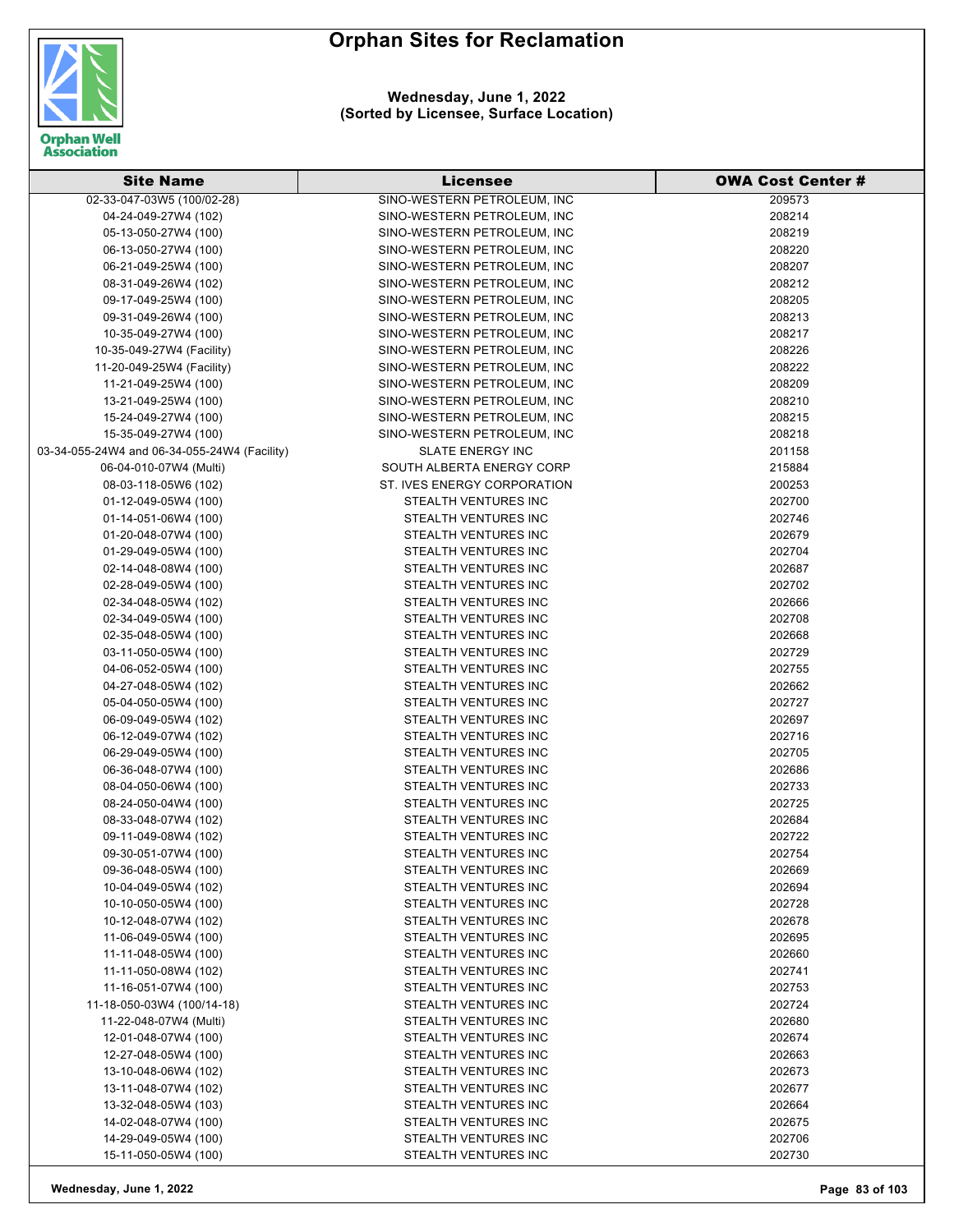

**Wednesday, June 1, 2022 (Sorted by Licensee, Surface Location)**

| <b>Site Name</b>                             | <b>Licensee</b>             | <b>OWA Cost Center #</b> |
|----------------------------------------------|-----------------------------|--------------------------|
| 02-33-047-03W5 (100/02-28)                   | SINO-WESTERN PETROLEUM, INC | 209573                   |
| 04-24-049-27W4 (102)                         | SINO-WESTERN PETROLEUM, INC | 208214                   |
| 05-13-050-27W4 (100)                         | SINO-WESTERN PETROLEUM, INC | 208219                   |
| 06-13-050-27W4 (100)                         | SINO-WESTERN PETROLEUM, INC | 208220                   |
| 06-21-049-25W4 (100)                         | SINO-WESTERN PETROLEUM, INC | 208207                   |
| 08-31-049-26W4 (102)                         | SINO-WESTERN PETROLEUM, INC | 208212                   |
| 09-17-049-25W4 (100)                         | SINO-WESTERN PETROLEUM, INC | 208205                   |
| 09-31-049-26W4 (100)                         | SINO-WESTERN PETROLEUM, INC | 208213                   |
| 10-35-049-27W4 (100)                         | SINO-WESTERN PETROLEUM, INC | 208217                   |
| 10-35-049-27W4 (Facility)                    | SINO-WESTERN PETROLEUM, INC | 208226                   |
| 11-20-049-25W4 (Facility)                    | SINO-WESTERN PETROLEUM, INC | 208222                   |
| 11-21-049-25W4 (100)                         | SINO-WESTERN PETROLEUM, INC | 208209                   |
| 13-21-049-25W4 (100)                         | SINO-WESTERN PETROLEUM, INC | 208210                   |
| 15-24-049-27W4 (100)                         | SINO-WESTERN PETROLEUM, INC | 208215                   |
| 15-35-049-27W4 (100)                         | SINO-WESTERN PETROLEUM, INC | 208218                   |
| 03-34-055-24W4 and 06-34-055-24W4 (Facility) | <b>SLATE ENERGY INC</b>     | 201158                   |
| 06-04-010-07W4 (Multi)                       | SOUTH ALBERTA ENERGY CORP   | 215884                   |
| 08-03-118-05W6 (102)                         | ST. IVES ENERGY CORPORATION | 200253                   |
| 01-12-049-05W4 (100)                         | STEALTH VENTURES INC        | 202700                   |
| 01-14-051-06W4 (100)                         | <b>STEALTH VENTURES INC</b> | 202746                   |
| 01-20-048-07W4 (100)                         | <b>STEALTH VENTURES INC</b> | 202679                   |
|                                              | STEALTH VENTURES INC        |                          |
| 01-29-049-05W4 (100)                         |                             | 202704                   |
| 02-14-048-08W4 (100)                         | STEALTH VENTURES INC        | 202687                   |
| 02-28-049-05W4 (100)                         | STEALTH VENTURES INC        | 202702                   |
| 02-34-048-05W4 (102)                         | STEALTH VENTURES INC        | 202666                   |
| 02-34-049-05W4 (100)                         | STEALTH VENTURES INC        | 202708                   |
| 02-35-048-05W4 (100)                         | STEALTH VENTURES INC        | 202668                   |
| 03-11-050-05W4 (100)                         | STEALTH VENTURES INC        | 202729                   |
| 04-06-052-05W4 (100)                         | STEALTH VENTURES INC        | 202755                   |
| 04-27-048-05W4 (102)                         | STEALTH VENTURES INC        | 202662                   |
| 05-04-050-05W4 (100)                         | STEALTH VENTURES INC        | 202727                   |
| 06-09-049-05W4 (102)                         | STEALTH VENTURES INC        | 202697                   |
| 06-12-049-07W4 (102)                         | STEALTH VENTURES INC        | 202716                   |
| 06-29-049-05W4 (100)                         | STEALTH VENTURES INC        | 202705                   |
| 06-36-048-07W4 (100)                         | <b>STEALTH VENTURES INC</b> | 202686                   |
| 08-04-050-06W4 (100)                         | STEALTH VENTURES INC        | 202733                   |
| 08-24-050-04W4 (100)                         | STEALTH VENTURES INC        | 202725                   |
| 08-33-048-07W4 (102)                         | STEALTH VENTURES INC        | 202684                   |
| 09-11-049-08W4 (102)                         | STEALTH VENTURES INC        | 202722                   |
| 09-30-051-07W4 (100)                         | STEALTH VENTURES INC        | 202754                   |
| 09-36-048-05W4 (100)                         | STEALTH VENTURES INC        | 202669                   |
| 10-04-049-05W4 (102)                         | STEALTH VENTURES INC        | 202694                   |
| 10-10-050-05W4 (100)                         | STEALTH VENTURES INC        | 202728                   |
| 10-12-048-07W4 (102)                         | STEALTH VENTURES INC        | 202678                   |
| 11-06-049-05W4 (100)                         | STEALTH VENTURES INC        | 202695                   |
| 11-11-048-05W4 (100)                         | STEALTH VENTURES INC        | 202660                   |
| 11-11-050-08W4 (102)                         | STEALTH VENTURES INC        | 202741                   |
| 11-16-051-07W4 (100)                         | STEALTH VENTURES INC        | 202753                   |
| 11-18-050-03W4 (100/14-18)                   | STEALTH VENTURES INC        | 202724                   |
| 11-22-048-07W4 (Multi)                       | STEALTH VENTURES INC        | 202680                   |
| 12-01-048-07W4 (100)                         | STEALTH VENTURES INC        | 202674                   |
| 12-27-048-05W4 (100)                         | STEALTH VENTURES INC        | 202663                   |
| 13-10-048-06W4 (102)                         | STEALTH VENTURES INC        | 202673                   |
| 13-11-048-07W4 (102)                         | STEALTH VENTURES INC        | 202677                   |
| 13-32-048-05W4 (103)                         | STEALTH VENTURES INC        | 202664                   |
| 14-02-048-07W4 (100)                         | STEALTH VENTURES INC        | 202675                   |
| 14-29-049-05W4 (100)                         | STEALTH VENTURES INC        | 202706                   |
| 15-11-050-05W4 (100)                         | STEALTH VENTURES INC        | 202730                   |

**Wednesday, June 1, 2022 Page 83 of 103**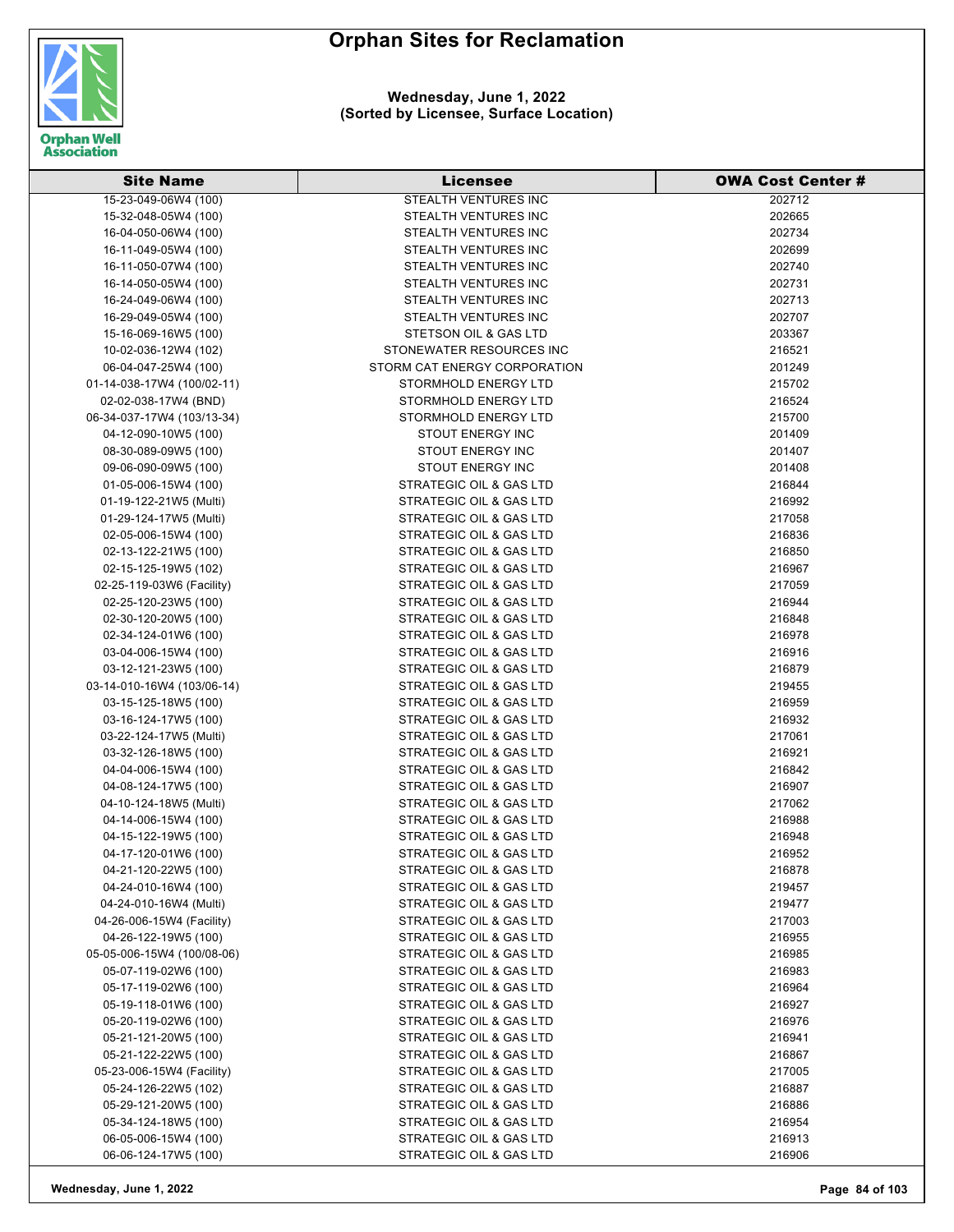

#### **Wednesday, June 1, 2022 (Sorted by Licensee, Surface Location)**

| <b>Site Name</b>           | <b>Licensee</b>              | <b>OWA Cost Center #</b> |
|----------------------------|------------------------------|--------------------------|
| 15-23-049-06W4 (100)       | <b>STEALTH VENTURES INC</b>  | 202712                   |
| 15-32-048-05W4 (100)       | STEALTH VENTURES INC         | 202665                   |
| 16-04-050-06W4 (100)       | STEALTH VENTURES INC         | 202734                   |
| 16-11-049-05W4 (100)       | STEALTH VENTURES INC         | 202699                   |
| 16-11-050-07W4 (100)       | STEALTH VENTURES INC         | 202740                   |
| 16-14-050-05W4 (100)       | STEALTH VENTURES INC         | 202731                   |
| 16-24-049-06W4 (100)       | STEALTH VENTURES INC         | 202713                   |
| 16-29-049-05W4 (100)       | STEALTH VENTURES INC         | 202707                   |
| 15-16-069-16W5 (100)       | STETSON OIL & GAS LTD        | 203367                   |
| 10-02-036-12W4 (102)       | STONEWATER RESOURCES INC     | 216521                   |
| 06-04-047-25W4 (100)       | STORM CAT ENERGY CORPORATION | 201249                   |
| 01-14-038-17W4 (100/02-11) | STORMHOLD ENERGY LTD         | 215702                   |
| 02-02-038-17W4 (BND)       | STORMHOLD ENERGY LTD         | 216524                   |
| 06-34-037-17W4 (103/13-34) | STORMHOLD ENERGY LTD         | 215700                   |
| 04-12-090-10W5 (100)       | <b>STOUT ENERGY INC</b>      | 201409                   |
| 08-30-089-09W5 (100)       | STOUT ENERGY INC             | 201407                   |
| 09-06-090-09W5 (100)       | STOUT ENERGY INC             | 201408                   |
| 01-05-006-15W4 (100)       | STRATEGIC OIL & GAS LTD      | 216844                   |
| 01-19-122-21W5 (Multi)     | STRATEGIC OIL & GAS LTD      | 216992                   |
| 01-29-124-17W5 (Multi)     | STRATEGIC OIL & GAS LTD      | 217058                   |
| 02-05-006-15W4 (100)       | STRATEGIC OIL & GAS LTD      | 216836                   |
| 02-13-122-21W5 (100)       | STRATEGIC OIL & GAS LTD      | 216850                   |
| 02-15-125-19W5 (102)       | STRATEGIC OIL & GAS LTD      | 216967                   |
| 02-25-119-03W6 (Facility)  | STRATEGIC OIL & GAS LTD      | 217059                   |
| 02-25-120-23W5 (100)       | STRATEGIC OIL & GAS LTD      | 216944                   |
| 02-30-120-20W5 (100)       | STRATEGIC OIL & GAS LTD      | 216848                   |
| 02-34-124-01W6 (100)       | STRATEGIC OIL & GAS LTD      | 216978                   |
| 03-04-006-15W4 (100)       | STRATEGIC OIL & GAS LTD      | 216916                   |
| 03-12-121-23W5 (100)       | STRATEGIC OIL & GAS LTD      | 216879                   |
| 03-14-010-16W4 (103/06-14) | STRATEGIC OIL & GAS LTD      | 219455                   |
| 03-15-125-18W5 (100)       | STRATEGIC OIL & GAS LTD      | 216959                   |
| 03-16-124-17W5 (100)       | STRATEGIC OIL & GAS LTD      | 216932                   |
| 03-22-124-17W5 (Multi)     | STRATEGIC OIL & GAS LTD      | 217061                   |
| 03-32-126-18W5 (100)       | STRATEGIC OIL & GAS LTD      | 216921                   |
| 04-04-006-15W4 (100)       | STRATEGIC OIL & GAS LTD      | 216842                   |
| 04-08-124-17W5 (100)       | STRATEGIC OIL & GAS LTD      | 216907                   |
| 04-10-124-18W5 (Multi)     | STRATEGIC OIL & GAS LTD      | 217062                   |
| 04-14-006-15W4 (100)       | STRATEGIC OIL & GAS LTD      | 216988                   |
| 04-15-122-19W5 (100)       | STRATEGIC OIL & GAS LTD      | 216948                   |
| 04-17-120-01W6 (100)       | STRATEGIC OIL & GAS LTD      | 216952                   |
| 04-21-120-22W5 (100)       | STRATEGIC OIL & GAS LTD      | 216878                   |
| 04-24-010-16W4 (100)       | STRATEGIC OIL & GAS LTD      | 219457                   |
| 04-24-010-16W4 (Multi)     | STRATEGIC OIL & GAS LTD      | 219477                   |
| 04-26-006-15W4 (Facility)  | STRATEGIC OIL & GAS LTD      | 217003                   |
| 04-26-122-19W5 (100)       | STRATEGIC OIL & GAS LTD      | 216955                   |
| 05-05-006-15W4 (100/08-06) | STRATEGIC OIL & GAS LTD      | 216985                   |
| 05-07-119-02W6 (100)       | STRATEGIC OIL & GAS LTD      | 216983                   |
| 05-17-119-02W6 (100)       | STRATEGIC OIL & GAS LTD      | 216964                   |
| 05-19-118-01W6 (100)       | STRATEGIC OIL & GAS LTD      | 216927                   |
| 05-20-119-02W6 (100)       | STRATEGIC OIL & GAS LTD      | 216976                   |
| 05-21-121-20W5 (100)       | STRATEGIC OIL & GAS LTD      | 216941                   |
| 05-21-122-22W5 (100)       | STRATEGIC OIL & GAS LTD      | 216867                   |
| 05-23-006-15W4 (Facility)  | STRATEGIC OIL & GAS LTD      | 217005                   |
| 05-24-126-22W5 (102)       | STRATEGIC OIL & GAS LTD      | 216887                   |
| 05-29-121-20W5 (100)       | STRATEGIC OIL & GAS LTD      | 216886                   |
| 05-34-124-18W5 (100)       | STRATEGIC OIL & GAS LTD      | 216954                   |
| 06-05-006-15W4 (100)       | STRATEGIC OIL & GAS LTD      | 216913                   |
| 06-06-124-17W5 (100)       | STRATEGIC OIL & GAS LTD      | 216906                   |

**Wednesday, June 1, 2022 Page 84 of 103**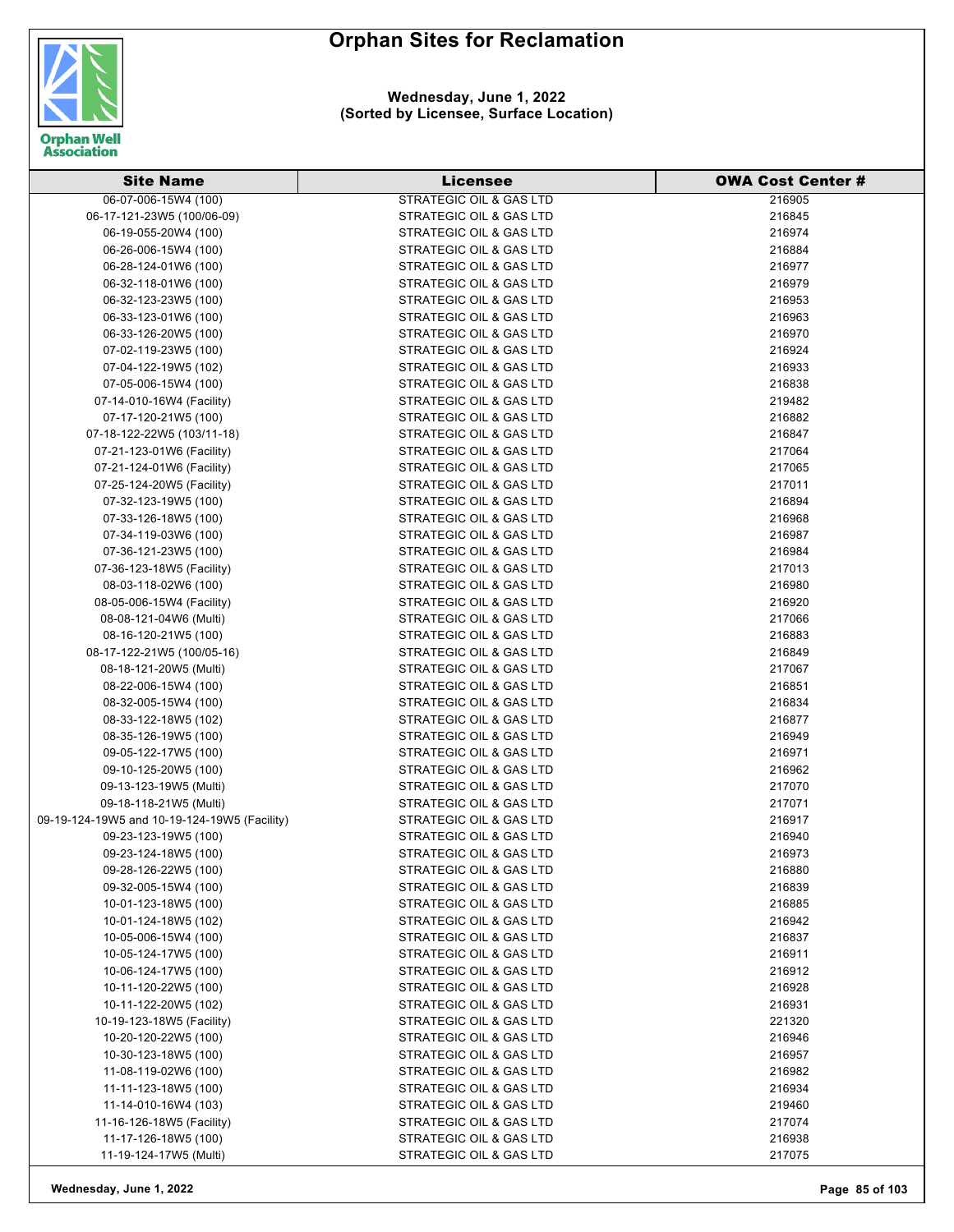



| <b>Site Name</b>                                  | Licensee                                           | <b>OWA Cost Center #</b> |
|---------------------------------------------------|----------------------------------------------------|--------------------------|
| 06-07-006-15W4 (100)                              | <b>STRATEGIC OIL &amp; GAS LTD</b>                 | 216905                   |
| 06-17-121-23W5 (100/06-09)                        | STRATEGIC OIL & GAS LTD                            | 216845                   |
| 06-19-055-20W4 (100)                              | STRATEGIC OIL & GAS LTD                            | 216974                   |
| 06-26-006-15W4 (100)                              | STRATEGIC OIL & GAS LTD                            | 216884                   |
| 06-28-124-01W6 (100)                              | STRATEGIC OIL & GAS LTD                            | 216977                   |
| 06-32-118-01W6 (100)                              | STRATEGIC OIL & GAS LTD                            | 216979                   |
| 06-32-123-23W5 (100)                              | STRATEGIC OIL & GAS LTD                            | 216953                   |
| 06-33-123-01W6 (100)                              | <b>STRATEGIC OIL &amp; GAS LTD</b>                 | 216963                   |
| 06-33-126-20W5 (100)                              | STRATEGIC OIL & GAS LTD                            | 216970                   |
| 07-02-119-23W5 (100)                              | STRATEGIC OIL & GAS LTD                            | 216924                   |
| 07-04-122-19W5 (102)                              | STRATEGIC OIL & GAS LTD                            | 216933                   |
| 07-05-006-15W4 (100)                              | STRATEGIC OIL & GAS LTD                            | 216838                   |
| 07-14-010-16W4 (Facility)                         | STRATEGIC OIL & GAS LTD                            | 219482                   |
| 07-17-120-21W5 (100)                              | STRATEGIC OIL & GAS LTD                            | 216882                   |
| 07-18-122-22W5 (103/11-18)                        | STRATEGIC OIL & GAS LTD                            | 216847                   |
| 07-21-123-01W6 (Facility)                         | STRATEGIC OIL & GAS LTD                            | 217064                   |
| 07-21-124-01W6 (Facility)                         | STRATEGIC OIL & GAS LTD                            | 217065                   |
| 07-25-124-20W5 (Facility)                         | STRATEGIC OIL & GAS LTD                            | 217011                   |
| 07-32-123-19W5 (100)                              | <b>STRATEGIC OIL &amp; GAS LTD</b>                 | 216894                   |
| 07-33-126-18W5 (100)                              | STRATEGIC OIL & GAS LTD                            | 216968                   |
| 07-34-119-03W6 (100)                              | STRATEGIC OIL & GAS LTD                            | 216987                   |
| 07-36-121-23W5 (100)                              | STRATEGIC OIL & GAS LTD                            | 216984                   |
| 07-36-123-18W5 (Facility)                         | STRATEGIC OIL & GAS LTD                            | 217013                   |
| 08-03-118-02W6 (100)                              | STRATEGIC OIL & GAS LTD                            | 216980                   |
| 08-05-006-15W4 (Facility)                         | STRATEGIC OIL & GAS LTD                            | 216920                   |
| 08-08-121-04W6 (Multi)                            | STRATEGIC OIL & GAS LTD                            | 217066                   |
| 08-16-120-21W5 (100)                              | STRATEGIC OIL & GAS LTD                            | 216883                   |
| 08-17-122-21W5 (100/05-16)                        | STRATEGIC OIL & GAS LTD                            | 216849                   |
| 08-18-121-20W5 (Multi)                            | STRATEGIC OIL & GAS LTD                            | 217067                   |
| 08-22-006-15W4 (100)                              | STRATEGIC OIL & GAS LTD                            | 216851                   |
| 08-32-005-15W4 (100)                              | STRATEGIC OIL & GAS LTD                            | 216834                   |
| 08-33-122-18W5 (102)                              | STRATEGIC OIL & GAS LTD                            | 216877                   |
| 08-35-126-19W5 (100)                              | STRATEGIC OIL & GAS LTD                            | 216949                   |
| 09-05-122-17W5 (100)                              | STRATEGIC OIL & GAS LTD                            | 216971                   |
| 09-10-125-20W5 (100)                              | STRATEGIC OIL & GAS LTD                            | 216962                   |
| 09-13-123-19W5 (Multi)                            | STRATEGIC OIL & GAS LTD                            | 217070                   |
| 09-18-118-21W5 (Multi)                            | STRATEGIC OIL & GAS LTD                            | 217071                   |
| 09-19-124-19W5 and 10-19-124-19W5 (Facility)      | STRATEGIC OIL & GAS LTD                            | 216917                   |
| 09-23-123-19W5 (100)                              | STRATEGIC OIL & GAS LTD                            | 216940                   |
| 09-23-124-18W5 (100)                              | STRATEGIC OIL & GAS LTD                            | 216973                   |
| 09-28-126-22W5 (100)                              | STRATEGIC OIL & GAS LTD                            | 216880                   |
| 09-32-005-15W4 (100)                              | STRATEGIC OIL & GAS LTD                            | 216839                   |
| 10-01-123-18W5 (100)                              | STRATEGIC OIL & GAS LTD                            | 216885                   |
| 10-01-124-18W5 (102)                              | STRATEGIC OIL & GAS LTD                            | 216942                   |
| 10-05-006-15W4 (100)                              | STRATEGIC OIL & GAS LTD                            | 216837                   |
| 10-05-124-17W5 (100)                              | STRATEGIC OIL & GAS LTD                            | 216911                   |
| 10-06-124-17W5 (100)                              | STRATEGIC OIL & GAS LTD                            | 216912                   |
| 10-11-120-22W5 (100)                              | STRATEGIC OIL & GAS LTD                            | 216928                   |
| 10-11-122-20W5 (102)<br>10-19-123-18W5 (Facility) | STRATEGIC OIL & GAS LTD<br>STRATEGIC OIL & GAS LTD | 216931<br>221320         |
| 10-20-120-22W5 (100)                              | STRATEGIC OIL & GAS LTD                            | 216946                   |
| 10-30-123-18W5 (100)                              | STRATEGIC OIL & GAS LTD                            | 216957                   |
| 11-08-119-02W6 (100)                              | STRATEGIC OIL & GAS LTD                            | 216982                   |
| 11-11-123-18W5 (100)                              | STRATEGIC OIL & GAS LTD                            | 216934                   |
| 11-14-010-16W4 (103)                              | STRATEGIC OIL & GAS LTD                            | 219460                   |
| 11-16-126-18W5 (Facility)                         | STRATEGIC OIL & GAS LTD                            | 217074                   |
| 11-17-126-18W5 (100)                              | STRATEGIC OIL & GAS LTD                            | 216938                   |
| 11-19-124-17W5 (Multi)                            | STRATEGIC OIL & GAS LTD                            | 217075                   |
|                                                   |                                                    |                          |

**Wednesday, June 1, 2022 Page 85 of 103**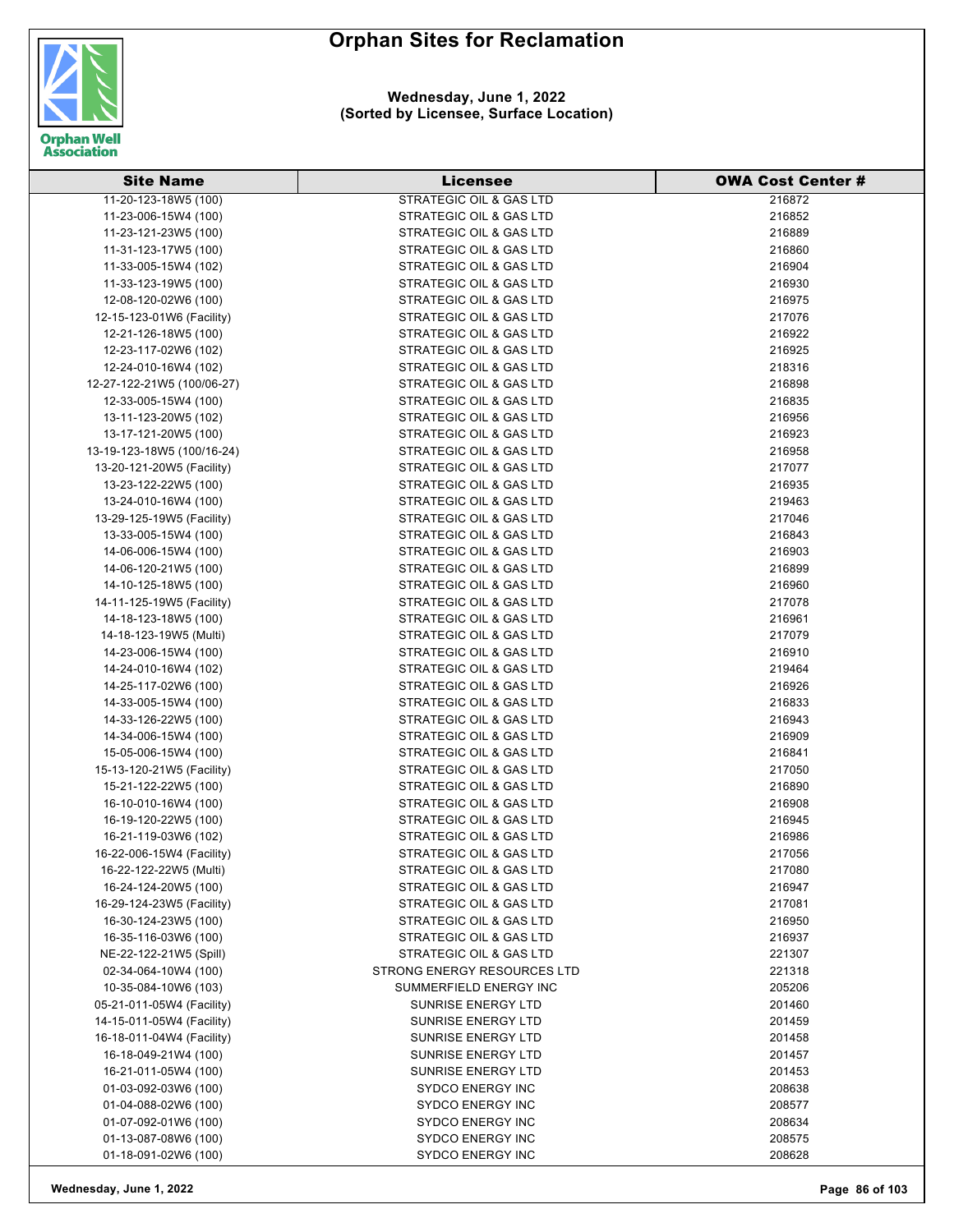

| <b>Site Name</b>                                  | <b>Licensee</b>                    | <b>OWA Cost Center #</b> |
|---------------------------------------------------|------------------------------------|--------------------------|
| 11-20-123-18W5 (100)                              | <b>STRATEGIC OIL &amp; GAS LTD</b> | 216872                   |
| 11-23-006-15W4 (100)                              | STRATEGIC OIL & GAS LTD            | 216852                   |
| 11-23-121-23W5 (100)                              | STRATEGIC OIL & GAS LTD            | 216889                   |
| 11-31-123-17W5 (100)                              | STRATEGIC OIL & GAS LTD            | 216860                   |
| 11-33-005-15W4 (102)                              | STRATEGIC OIL & GAS LTD            | 216904                   |
| 11-33-123-19W5 (100)                              | STRATEGIC OIL & GAS LTD            | 216930                   |
| 12-08-120-02W6 (100)                              | STRATEGIC OIL & GAS LTD            | 216975                   |
| 12-15-123-01W6 (Facility)                         | STRATEGIC OIL & GAS LTD            | 217076                   |
| 12-21-126-18W5 (100)                              | STRATEGIC OIL & GAS LTD            | 216922                   |
| 12-23-117-02W6 (102)                              | STRATEGIC OIL & GAS LTD            | 216925                   |
| 12-24-010-16W4 (102)                              | <b>STRATEGIC OIL &amp; GAS LTD</b> | 218316                   |
| 12-27-122-21W5 (100/06-27)                        | STRATEGIC OIL & GAS LTD            | 216898                   |
| 12-33-005-15W4 (100)                              | STRATEGIC OIL & GAS LTD            | 216835                   |
| 13-11-123-20W5 (102)                              | STRATEGIC OIL & GAS LTD            | 216956                   |
| 13-17-121-20W5 (100)                              | STRATEGIC OIL & GAS LTD            | 216923                   |
| 13-19-123-18W5 (100/16-24)                        | STRATEGIC OIL & GAS LTD            | 216958                   |
| 13-20-121-20W5 (Facility)                         | STRATEGIC OIL & GAS LTD            | 217077                   |
| 13-23-122-22W5 (100)                              | STRATEGIC OIL & GAS LTD            | 216935                   |
| 13-24-010-16W4 (100)                              | STRATEGIC OIL & GAS LTD            | 219463                   |
| 13-29-125-19W5 (Facility)                         | <b>STRATEGIC OIL &amp; GAS LTD</b> | 217046                   |
| 13-33-005-15W4 (100)                              | STRATEGIC OIL & GAS LTD            | 216843                   |
| 14-06-006-15W4 (100)                              | STRATEGIC OIL & GAS LTD            | 216903                   |
| 14-06-120-21W5 (100)                              | STRATEGIC OIL & GAS LTD            | 216899                   |
| 14-10-125-18W5 (100)                              | STRATEGIC OIL & GAS LTD            | 216960                   |
| 14-11-125-19W5 (Facility)                         | STRATEGIC OIL & GAS LTD            | 217078                   |
| 14-18-123-18W5 (100)                              | STRATEGIC OIL & GAS LTD            | 216961                   |
|                                                   | STRATEGIC OIL & GAS LTD            | 217079                   |
| 14-18-123-19W5 (Multi)                            | STRATEGIC OIL & GAS LTD            | 216910                   |
| 14-23-006-15W4 (100)                              | STRATEGIC OIL & GAS LTD            | 219464                   |
| 14-24-010-16W4 (102)<br>14-25-117-02W6 (100)      | STRATEGIC OIL & GAS LTD            | 216926                   |
| 14-33-005-15W4 (100)                              | STRATEGIC OIL & GAS LTD            | 216833                   |
| 14-33-126-22W5 (100)                              | STRATEGIC OIL & GAS LTD            | 216943                   |
| 14-34-006-15W4 (100)                              | STRATEGIC OIL & GAS LTD            | 216909                   |
| 15-05-006-15W4 (100)                              | STRATEGIC OIL & GAS LTD            | 216841                   |
|                                                   | STRATEGIC OIL & GAS LTD            | 217050                   |
| 15-13-120-21W5 (Facility)<br>15-21-122-22W5 (100) | STRATEGIC OIL & GAS LTD            | 216890                   |
| 16-10-010-16W4 (100)                              | STRATEGIC OIL & GAS LTD            | 216908                   |
| 16-19-120-22W5 (100)                              | STRATEGIC OIL & GAS LTD            | 216945                   |
| 16-21-119-03W6 (102)                              | STRATEGIC OIL & GAS LTD            | 216986                   |
| 16-22-006-15W4 (Facility)                         | STRATEGIC OIL & GAS LTD            | 217056                   |
| 16-22-122-22W5 (Multi)                            | <b>STRATEGIC OIL &amp; GAS LTD</b> | 217080                   |
| 16-24-124-20W5 (100)                              | STRATEGIC OIL & GAS LTD            | 216947                   |
| 16-29-124-23W5 (Facility)                         | STRATEGIC OIL & GAS LTD            | 217081                   |
| 16-30-124-23W5 (100)                              | STRATEGIC OIL & GAS LTD            |                          |
|                                                   | STRATEGIC OIL & GAS LTD            | 216950                   |
| 16-35-116-03W6 (100)                              |                                    | 216937                   |
| NE-22-122-21W5 (Spill)<br>02-34-064-10W4 (100)    | STRATEGIC OIL & GAS LTD            | 221307                   |
|                                                   | <b>STRONG ENERGY RESOURCES LTD</b> | 221318                   |
| 10-35-084-10W6 (103)                              | SUMMERFIELD ENERGY INC             | 205206                   |
| 05-21-011-05W4 (Facility)                         | SUNRISE ENERGY LTD                 | 201460                   |
| 14-15-011-05W4 (Facility)                         | <b>SUNRISE ENERGY LTD</b>          | 201459                   |
| 16-18-011-04W4 (Facility)                         | SUNRISE ENERGY LTD                 | 201458                   |
| 16-18-049-21W4 (100)                              | SUNRISE ENERGY LTD                 | 201457                   |
| 16-21-011-05W4 (100)                              | <b>SUNRISE ENERGY LTD</b>          | 201453                   |
| 01-03-092-03W6 (100)                              | <b>SYDCO ENERGY INC</b>            | 208638                   |
| 01-04-088-02W6 (100)                              | <b>SYDCO ENERGY INC</b>            | 208577                   |
| 01-07-092-01W6 (100)                              | <b>SYDCO ENERGY INC</b>            | 208634                   |
| 01-13-087-08W6 (100)                              | <b>SYDCO ENERGY INC</b>            | 208575                   |
| 01-18-091-02W6 (100)                              | SYDCO ENERGY INC                   | 208628                   |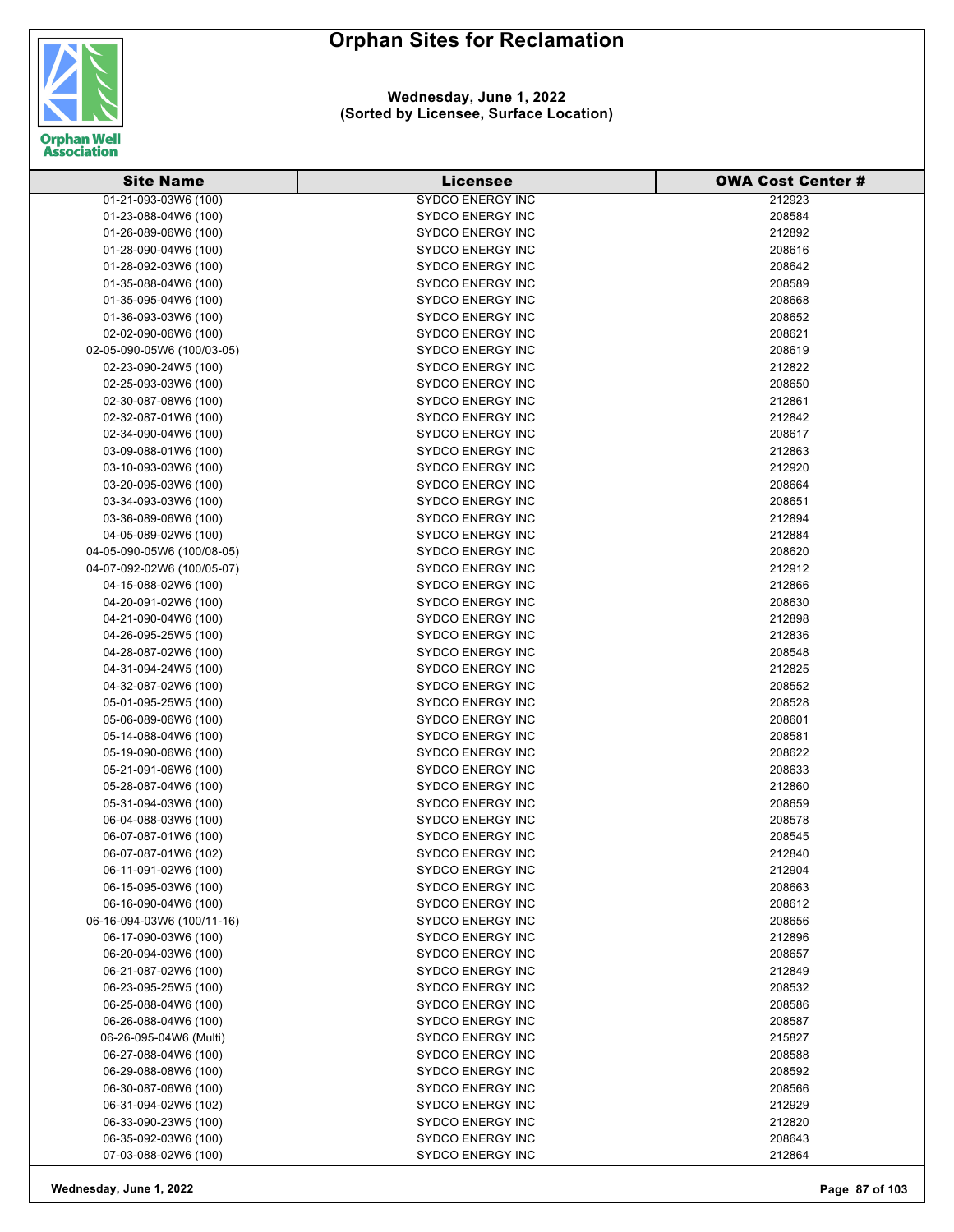

#### **Wednesday, June 1, 2022 (Sorted by Licensee, Surface Location)**

| <b>Site Name</b>           | <b>Licensee</b>         | <b>OWA Cost Center #</b> |
|----------------------------|-------------------------|--------------------------|
| 01-21-093-03W6 (100)       | <b>SYDCO ENERGY INC</b> | 212923                   |
| 01-23-088-04W6 (100)       | <b>SYDCO ENERGY INC</b> | 208584                   |
| 01-26-089-06W6 (100)       | <b>SYDCO ENERGY INC</b> | 212892                   |
| 01-28-090-04W6 (100)       | <b>SYDCO ENERGY INC</b> | 208616                   |
| 01-28-092-03W6 (100)       | <b>SYDCO ENERGY INC</b> | 208642                   |
| 01-35-088-04W6 (100)       | <b>SYDCO ENERGY INC</b> | 208589                   |
| 01-35-095-04W6 (100)       | <b>SYDCO ENERGY INC</b> | 208668                   |
| 01-36-093-03W6 (100)       | <b>SYDCO ENERGY INC</b> | 208652                   |
| 02-02-090-06W6 (100)       | <b>SYDCO ENERGY INC</b> | 208621                   |
| 02-05-090-05W6 (100/03-05) | <b>SYDCO ENERGY INC</b> | 208619                   |
| 02-23-090-24W5 (100)       | <b>SYDCO ENERGY INC</b> | 212822                   |
| 02-25-093-03W6 (100)       | <b>SYDCO ENERGY INC</b> | 208650                   |
| 02-30-087-08W6 (100)       | <b>SYDCO ENERGY INC</b> | 212861                   |
| 02-32-087-01W6 (100)       | <b>SYDCO ENERGY INC</b> | 212842                   |
| 02-34-090-04W6 (100)       | <b>SYDCO ENERGY INC</b> | 208617                   |
| 03-09-088-01W6 (100)       | <b>SYDCO ENERGY INC</b> | 212863                   |
| 03-10-093-03W6 (100)       | <b>SYDCO ENERGY INC</b> | 212920                   |
| 03-20-095-03W6 (100)       | <b>SYDCO ENERGY INC</b> | 208664                   |
| 03-34-093-03W6 (100)       | <b>SYDCO ENERGY INC</b> | 208651                   |
| 03-36-089-06W6 (100)       | <b>SYDCO ENERGY INC</b> | 212894                   |
| 04-05-089-02W6 (100)       | <b>SYDCO ENERGY INC</b> | 212884                   |
| 04-05-090-05W6 (100/08-05) | <b>SYDCO ENERGY INC</b> | 208620                   |
| 04-07-092-02W6 (100/05-07) | <b>SYDCO ENERGY INC</b> | 212912                   |
| 04-15-088-02W6 (100)       | <b>SYDCO ENERGY INC</b> | 212866                   |
| 04-20-091-02W6 (100)       | <b>SYDCO ENERGY INC</b> | 208630                   |
| 04-21-090-04W6 (100)       | <b>SYDCO ENERGY INC</b> | 212898                   |
| 04-26-095-25W5 (100)       | <b>SYDCO ENERGY INC</b> | 212836                   |
| 04-28-087-02W6 (100)       | <b>SYDCO ENERGY INC</b> | 208548                   |
| 04-31-094-24W5 (100)       | <b>SYDCO ENERGY INC</b> | 212825                   |
| 04-32-087-02W6 (100)       | <b>SYDCO ENERGY INC</b> | 208552                   |
| 05-01-095-25W5 (100)       | <b>SYDCO ENERGY INC</b> | 208528                   |
| 05-06-089-06W6 (100)       | <b>SYDCO ENERGY INC</b> | 208601                   |
| 05-14-088-04W6 (100)       | <b>SYDCO ENERGY INC</b> | 208581                   |
| 05-19-090-06W6 (100)       | <b>SYDCO ENERGY INC</b> | 208622                   |
| 05-21-091-06W6 (100)       | <b>SYDCO ENERGY INC</b> | 208633                   |
| 05-28-087-04W6 (100)       | <b>SYDCO ENERGY INC</b> | 212860                   |
| 05-31-094-03W6 (100)       | <b>SYDCO ENERGY INC</b> | 208659                   |
| 06-04-088-03W6 (100)       | <b>SYDCO ENERGY INC</b> | 208578                   |
| 06-07-087-01W6 (100)       | SYDCO ENERGY INC        | 208545                   |
| 06-07-087-01W6 (102)       | SYDCO ENERGY INC        | 212840                   |
| 06-11-091-02W6 (100)       | <b>SYDCO ENERGY INC</b> | 212904                   |
| 06-15-095-03W6 (100)       | <b>SYDCO ENERGY INC</b> | 208663                   |
| 06-16-090-04W6 (100)       | <b>SYDCO ENERGY INC</b> | 208612                   |
| 06-16-094-03W6 (100/11-16) | <b>SYDCO ENERGY INC</b> | 208656                   |
| 06-17-090-03W6 (100)       | <b>SYDCO ENERGY INC</b> | 212896                   |
| 06-20-094-03W6 (100)       | <b>SYDCO ENERGY INC</b> | 208657                   |
| 06-21-087-02W6 (100)       | <b>SYDCO ENERGY INC</b> | 212849                   |
| 06-23-095-25W5 (100)       | <b>SYDCO ENERGY INC</b> | 208532                   |
| 06-25-088-04W6 (100)       | <b>SYDCO ENERGY INC</b> | 208586                   |
| 06-26-088-04W6 (100)       | <b>SYDCO ENERGY INC</b> | 208587                   |
| 06-26-095-04W6 (Multi)     | <b>SYDCO ENERGY INC</b> | 215827                   |
| 06-27-088-04W6 (100)       | <b>SYDCO ENERGY INC</b> | 208588                   |
| 06-29-088-08W6 (100)       | <b>SYDCO ENERGY INC</b> | 208592                   |
| 06-30-087-06W6 (100)       | <b>SYDCO ENERGY INC</b> | 208566                   |
| 06-31-094-02W6 (102)       | <b>SYDCO ENERGY INC</b> | 212929                   |
| 06-33-090-23W5 (100)       | <b>SYDCO ENERGY INC</b> | 212820                   |
| 06-35-092-03W6 (100)       | <b>SYDCO ENERGY INC</b> | 208643                   |
| 07-03-088-02W6 (100)       | <b>SYDCO ENERGY INC</b> | 212864                   |
|                            |                         |                          |

**Wednesday, June 1, 2022 Page 87 of 103**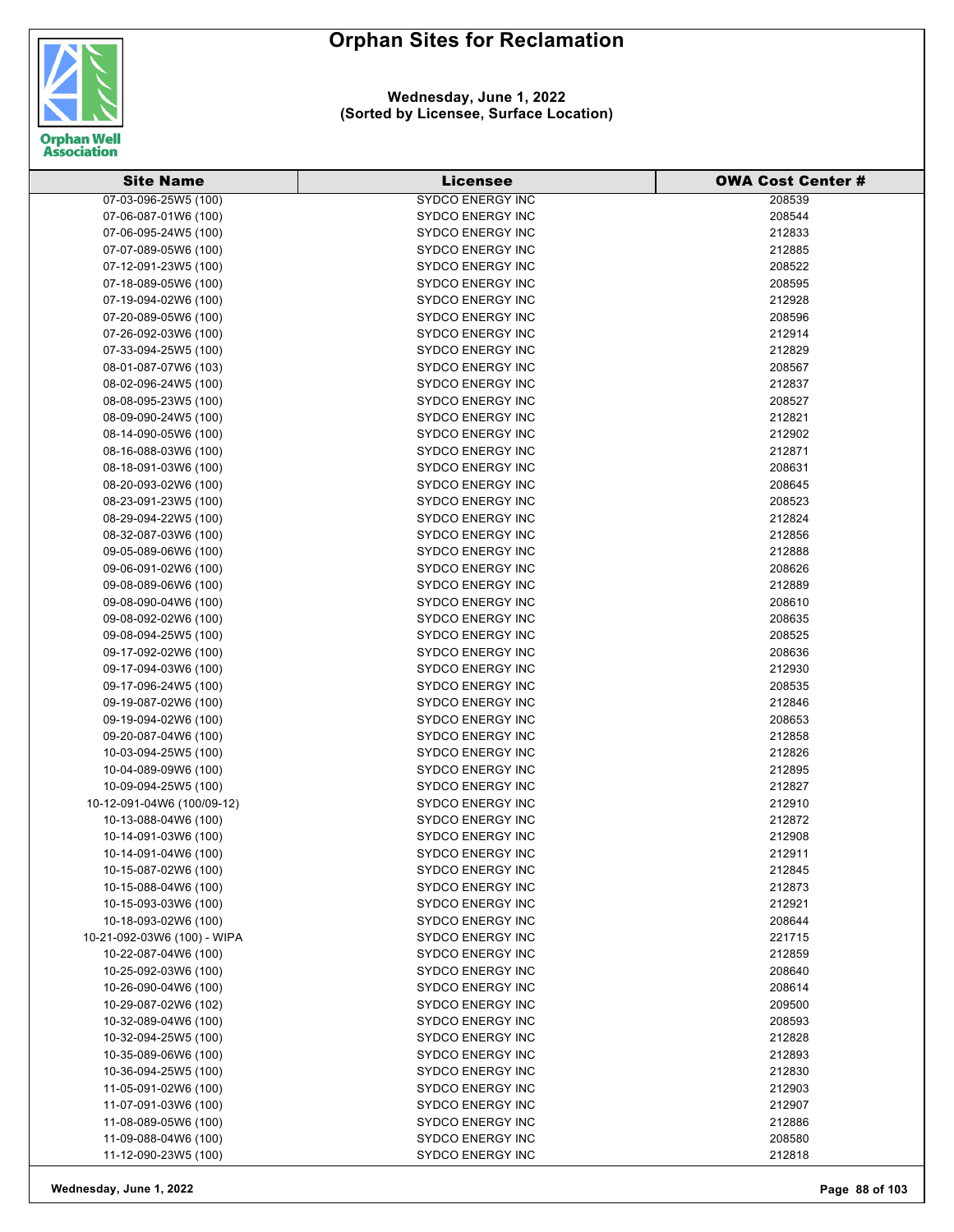

#### **Wednesday, June 1, 2022 (Sorted by Licensee, Surface Location)**

| <b>Site Name</b>                             | Licensee                                           | <b>OWA Cost Center #</b> |
|----------------------------------------------|----------------------------------------------------|--------------------------|
| 07-03-096-25W5 (100)                         | <b>SYDCO ENERGY INC</b>                            | 208539                   |
| 07-06-087-01W6 (100)                         | <b>SYDCO ENERGY INC</b>                            | 208544                   |
| 07-06-095-24W5 (100)                         | <b>SYDCO ENERGY INC</b>                            | 212833                   |
| 07-07-089-05W6 (100)                         | <b>SYDCO ENERGY INC</b>                            | 212885                   |
| 07-12-091-23W5 (100)                         | <b>SYDCO ENERGY INC</b>                            | 208522                   |
| 07-18-089-05W6 (100)                         | <b>SYDCO ENERGY INC</b>                            | 208595                   |
| 07-19-094-02W6 (100)                         | <b>SYDCO ENERGY INC</b>                            | 212928                   |
| 07-20-089-05W6 (100)                         | <b>SYDCO ENERGY INC</b>                            | 208596                   |
| 07-26-092-03W6 (100)                         | <b>SYDCO ENERGY INC</b>                            | 212914                   |
| 07-33-094-25W5 (100)                         | <b>SYDCO ENERGY INC</b>                            | 212829                   |
| 08-01-087-07W6 (103)                         | <b>SYDCO ENERGY INC</b>                            | 208567                   |
| 08-02-096-24W5 (100)                         | <b>SYDCO ENERGY INC</b>                            | 212837                   |
| 08-08-095-23W5 (100)                         | <b>SYDCO ENERGY INC</b>                            | 208527                   |
| 08-09-090-24W5 (100)                         | <b>SYDCO ENERGY INC</b>                            | 212821                   |
| 08-14-090-05W6 (100)                         | <b>SYDCO ENERGY INC</b>                            | 212902                   |
| 08-16-088-03W6 (100)                         | <b>SYDCO ENERGY INC</b>                            | 212871                   |
| 08-18-091-03W6 (100)                         | <b>SYDCO ENERGY INC</b>                            | 208631                   |
| 08-20-093-02W6 (100)                         | <b>SYDCO ENERGY INC</b>                            | 208645                   |
| 08-23-091-23W5 (100)                         | <b>SYDCO ENERGY INC</b>                            | 208523                   |
| 08-29-094-22W5 (100)                         | <b>SYDCO ENERGY INC</b>                            | 212824                   |
| 08-32-087-03W6 (100)                         | <b>SYDCO ENERGY INC</b>                            | 212856                   |
| 09-05-089-06W6 (100)                         | <b>SYDCO ENERGY INC</b>                            | 212888                   |
| 09-06-091-02W6 (100)                         | <b>SYDCO ENERGY INC</b>                            | 208626                   |
| 09-08-089-06W6 (100)                         | <b>SYDCO ENERGY INC</b>                            | 212889                   |
| 09-08-090-04W6 (100)                         | <b>SYDCO ENERGY INC</b>                            | 208610                   |
| 09-08-092-02W6 (100)                         | <b>SYDCO ENERGY INC</b>                            | 208635                   |
| 09-08-094-25W5 (100)                         | <b>SYDCO ENERGY INC</b>                            | 208525                   |
| 09-17-092-02W6 (100)                         | <b>SYDCO ENERGY INC</b>                            | 208636                   |
| 09-17-094-03W6 (100)                         | <b>SYDCO ENERGY INC</b>                            | 212930                   |
| 09-17-096-24W5 (100)                         | <b>SYDCO ENERGY INC</b>                            | 208535                   |
| 09-19-087-02W6 (100)                         | <b>SYDCO ENERGY INC</b>                            | 212846                   |
| 09-19-094-02W6 (100)                         | <b>SYDCO ENERGY INC</b>                            | 208653                   |
| 09-20-087-04W6 (100)                         | <b>SYDCO ENERGY INC</b>                            | 212858                   |
| 10-03-094-25W5 (100)                         | <b>SYDCO ENERGY INC</b>                            | 212826                   |
| 10-04-089-09W6 (100)                         | <b>SYDCO ENERGY INC</b>                            | 212895                   |
| 10-09-094-25W5 (100)                         | <b>SYDCO ENERGY INC</b>                            | 212827                   |
| 10-12-091-04W6 (100/09-12)                   | <b>SYDCO ENERGY INC</b>                            | 212910                   |
| 10-13-088-04W6 (100)                         | <b>SYDCO ENERGY INC</b>                            | 212872                   |
| 10-14-091-03W6 (100)                         | <b>SYDCO ENERGY INC</b><br><b>SYDCO ENERGY INC</b> | 212908                   |
| 10-14-091-04W6 (100)                         |                                                    | 212911                   |
| 10-15-087-02W6 (100)<br>10-15-088-04W6 (100) | <b>SYDCO ENERGY INC</b><br><b>SYDCO ENERGY INC</b> | 212845                   |
| 10-15-093-03W6 (100)                         | <b>SYDCO ENERGY INC</b>                            | 212873<br>212921         |
| 10-18-093-02W6 (100)                         | <b>SYDCO ENERGY INC</b>                            | 208644                   |
| 10-21-092-03W6 (100) - WIPA                  | <b>SYDCO ENERGY INC</b>                            | 221715                   |
| 10-22-087-04W6 (100)                         | <b>SYDCO ENERGY INC</b>                            | 212859                   |
| 10-25-092-03W6 (100)                         | <b>SYDCO ENERGY INC</b>                            | 208640                   |
| 10-26-090-04W6 (100)                         | <b>SYDCO ENERGY INC</b>                            | 208614                   |
| 10-29-087-02W6 (102)                         | <b>SYDCO ENERGY INC</b>                            | 209500                   |
| 10-32-089-04W6 (100)                         | <b>SYDCO ENERGY INC</b>                            | 208593                   |
| 10-32-094-25W5 (100)                         | <b>SYDCO ENERGY INC</b>                            | 212828                   |
| 10-35-089-06W6 (100)                         | <b>SYDCO ENERGY INC</b>                            | 212893                   |
| 10-36-094-25W5 (100)                         | <b>SYDCO ENERGY INC</b>                            | 212830                   |
| 11-05-091-02W6 (100)                         | <b>SYDCO ENERGY INC</b>                            | 212903                   |
| 11-07-091-03W6 (100)                         | SYDCO ENERGY INC                                   | 212907                   |
| 11-08-089-05W6 (100)                         | <b>SYDCO ENERGY INC</b>                            | 212886                   |
| 11-09-088-04W6 (100)                         | <b>SYDCO ENERGY INC</b>                            | 208580                   |
| 11-12-090-23W5 (100)                         | <b>SYDCO ENERGY INC</b>                            | 212818                   |

**Wednesday, June 1, 2022 Page 88 of 103**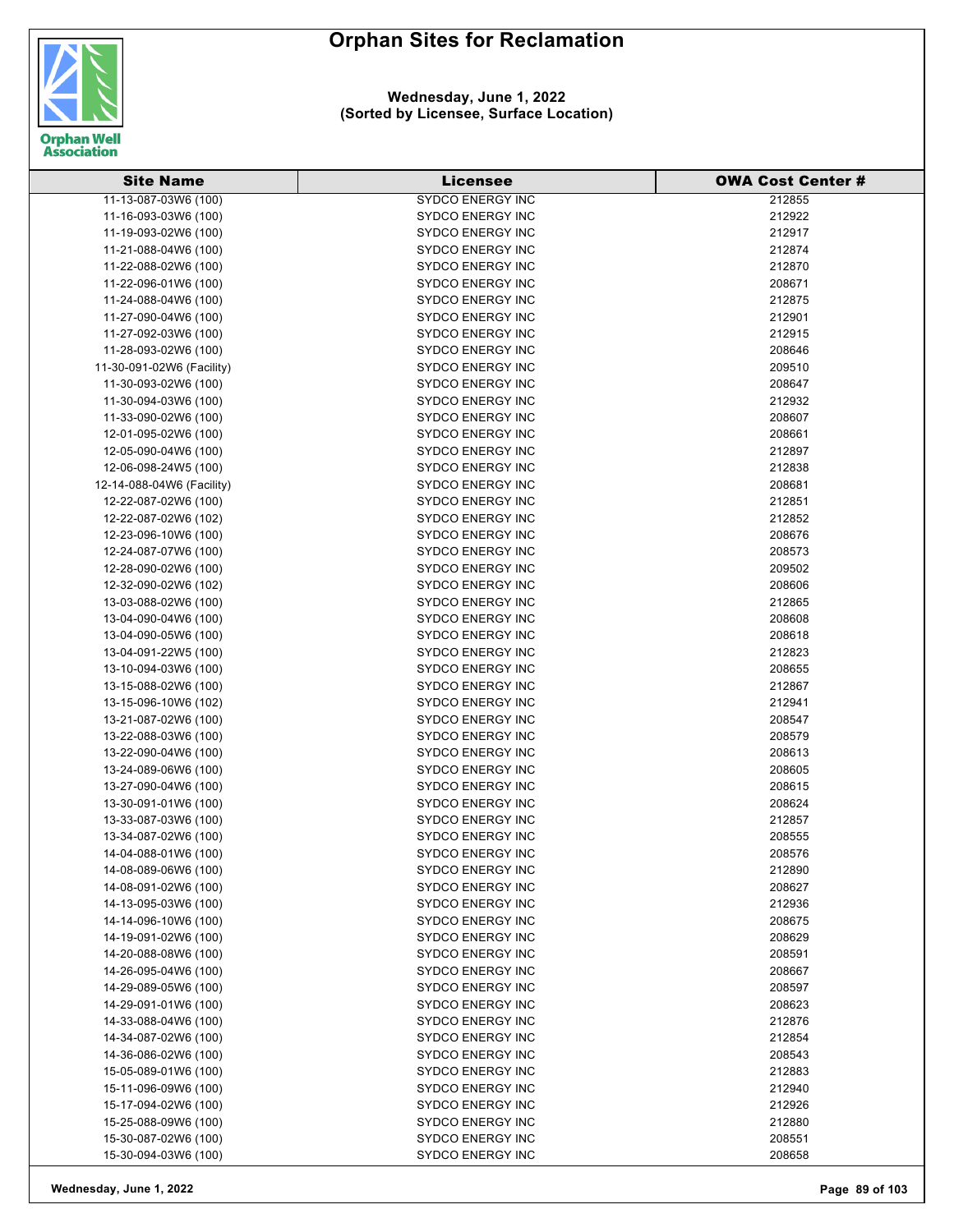

| <b>Site Name</b>          | <b>Licensee</b>         | <b>OWA Cost Center #</b> |
|---------------------------|-------------------------|--------------------------|
| 11-13-087-03W6 (100)      | <b>SYDCO ENERGY INC</b> | 212855                   |
| 11-16-093-03W6 (100)      | <b>SYDCO ENERGY INC</b> | 212922                   |
| 11-19-093-02W6 (100)      | <b>SYDCO ENERGY INC</b> | 212917                   |
| 11-21-088-04W6 (100)      | <b>SYDCO ENERGY INC</b> | 212874                   |
| 11-22-088-02W6 (100)      | <b>SYDCO ENERGY INC</b> | 212870                   |
| 11-22-096-01W6 (100)      | <b>SYDCO ENERGY INC</b> | 208671                   |
| 11-24-088-04W6 (100)      | <b>SYDCO ENERGY INC</b> | 212875                   |
| 11-27-090-04W6 (100)      | <b>SYDCO ENERGY INC</b> | 212901                   |
| 11-27-092-03W6 (100)      | <b>SYDCO ENERGY INC</b> | 212915                   |
| 11-28-093-02W6 (100)      | <b>SYDCO ENERGY INC</b> | 208646                   |
| 11-30-091-02W6 (Facility) | <b>SYDCO ENERGY INC</b> | 209510                   |
| 11-30-093-02W6 (100)      | <b>SYDCO ENERGY INC</b> | 208647                   |
| 11-30-094-03W6 (100)      | <b>SYDCO ENERGY INC</b> | 212932                   |
| 11-33-090-02W6 (100)      | <b>SYDCO ENERGY INC</b> | 208607                   |
| 12-01-095-02W6 (100)      | <b>SYDCO ENERGY INC</b> | 208661                   |
| 12-05-090-04W6 (100)      | <b>SYDCO ENERGY INC</b> | 212897                   |
| 12-06-098-24W5 (100)      | <b>SYDCO ENERGY INC</b> | 212838                   |
| 12-14-088-04W6 (Facility) | <b>SYDCO ENERGY INC</b> | 208681                   |
| 12-22-087-02W6 (100)      | <b>SYDCO ENERGY INC</b> | 212851                   |
| 12-22-087-02W6 (102)      | <b>SYDCO ENERGY INC</b> | 212852                   |
| 12-23-096-10W6 (100)      | <b>SYDCO ENERGY INC</b> | 208676                   |
| 12-24-087-07W6 (100)      | <b>SYDCO ENERGY INC</b> | 208573                   |
| 12-28-090-02W6 (100)      | <b>SYDCO ENERGY INC</b> | 209502                   |
| 12-32-090-02W6 (102)      | <b>SYDCO ENERGY INC</b> | 208606                   |
| 13-03-088-02W6 (100)      | <b>SYDCO ENERGY INC</b> | 212865                   |
| 13-04-090-04W6 (100)      | <b>SYDCO ENERGY INC</b> | 208608                   |
| 13-04-090-05W6 (100)      | <b>SYDCO ENERGY INC</b> | 208618                   |
| 13-04-091-22W5 (100)      | <b>SYDCO ENERGY INC</b> | 212823                   |
| 13-10-094-03W6 (100)      | <b>SYDCO ENERGY INC</b> | 208655                   |
| 13-15-088-02W6 (100)      | <b>SYDCO ENERGY INC</b> | 212867                   |
| 13-15-096-10W6 (102)      | <b>SYDCO ENERGY INC</b> | 212941                   |
| 13-21-087-02W6 (100)      | <b>SYDCO ENERGY INC</b> | 208547                   |
| 13-22-088-03W6 (100)      | <b>SYDCO ENERGY INC</b> | 208579                   |
| 13-22-090-04W6 (100)      | <b>SYDCO ENERGY INC</b> | 208613                   |
| 13-24-089-06W6 (100)      | <b>SYDCO ENERGY INC</b> | 208605                   |
| 13-27-090-04W6 (100)      | <b>SYDCO ENERGY INC</b> | 208615                   |
| 13-30-091-01W6 (100)      | <b>SYDCO ENERGY INC</b> | 208624                   |
| 13-33-087-03W6 (100)      | <b>SYDCO ENERGY INC</b> | 212857                   |
| 13-34-087-02W6 (100)      | <b>SYDCO ENERGY INC</b> | 208555                   |
| 14-04-088-01W6 (100)      | <b>SYDCO ENERGY INC</b> | 208576                   |
| 14-08-089-06W6 (100)      | <b>SYDCO ENERGY INC</b> | 212890                   |
| 14-08-091-02W6 (100)      | <b>SYDCO ENERGY INC</b> | 208627                   |
| 14-13-095-03W6 (100)      | <b>SYDCO ENERGY INC</b> | 212936                   |
| 14-14-096-10W6 (100)      | <b>SYDCO ENERGY INC</b> | 208675                   |
| 14-19-091-02W6 (100)      | <b>SYDCO ENERGY INC</b> | 208629                   |
| 14-20-088-08W6 (100)      | <b>SYDCO ENERGY INC</b> | 208591                   |
| 14-26-095-04W6 (100)      | <b>SYDCO ENERGY INC</b> | 208667                   |
| 14-29-089-05W6 (100)      | <b>SYDCO ENERGY INC</b> | 208597                   |
| 14-29-091-01W6 (100)      | <b>SYDCO ENERGY INC</b> | 208623                   |
| 14-33-088-04W6 (100)      | <b>SYDCO ENERGY INC</b> | 212876                   |
| 14-34-087-02W6 (100)      | <b>SYDCO ENERGY INC</b> | 212854                   |
| 14-36-086-02W6 (100)      | <b>SYDCO ENERGY INC</b> | 208543                   |
| 15-05-089-01W6 (100)      | <b>SYDCO ENERGY INC</b> | 212883                   |
| 15-11-096-09W6 (100)      | <b>SYDCO ENERGY INC</b> | 212940                   |
| 15-17-094-02W6 (100)      | <b>SYDCO ENERGY INC</b> | 212926                   |
| 15-25-088-09W6 (100)      | <b>SYDCO ENERGY INC</b> | 212880                   |
| 15-30-087-02W6 (100)      | <b>SYDCO ENERGY INC</b> | 208551                   |
| 15-30-094-03W6 (100)      | <b>SYDCO ENERGY INC</b> | 208658                   |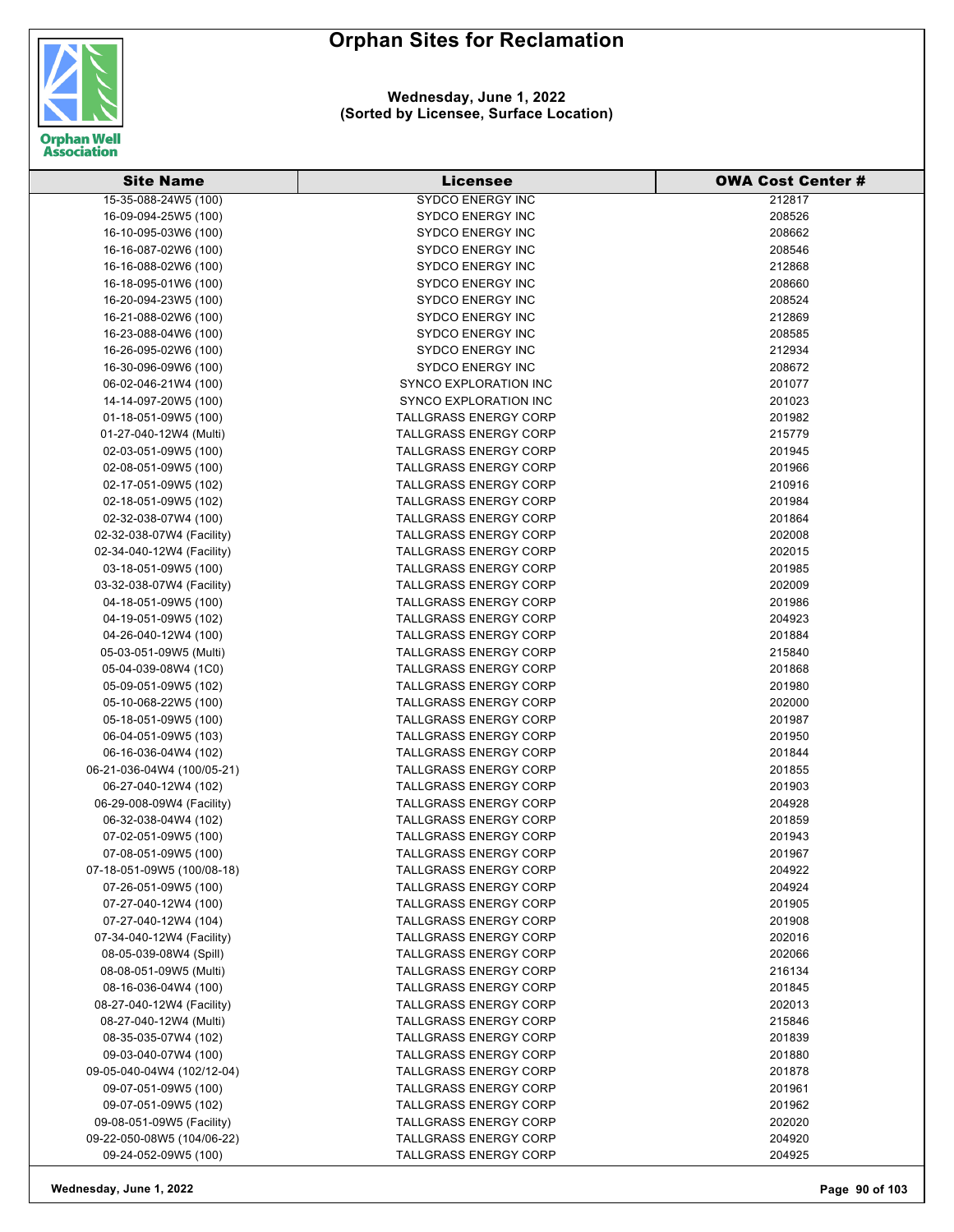

| <b>Site Name</b>           | <b>Licensee</b>              | <b>OWA Cost Center #</b> |
|----------------------------|------------------------------|--------------------------|
| 15-35-088-24W5 (100)       | <b>SYDCO ENERGY INC</b>      | 212817                   |
| 16-09-094-25W5 (100)       | <b>SYDCO ENERGY INC</b>      | 208526                   |
| 16-10-095-03W6 (100)       | <b>SYDCO ENERGY INC</b>      | 208662                   |
| 16-16-087-02W6 (100)       | <b>SYDCO ENERGY INC</b>      | 208546                   |
| 16-16-088-02W6 (100)       | <b>SYDCO ENERGY INC</b>      | 212868                   |
| 16-18-095-01W6 (100)       | SYDCO ENERGY INC             | 208660                   |
| 16-20-094-23W5 (100)       | <b>SYDCO ENERGY INC</b>      | 208524                   |
| 16-21-088-02W6 (100)       | <b>SYDCO ENERGY INC</b>      | 212869                   |
| 16-23-088-04W6 (100)       | <b>SYDCO ENERGY INC</b>      | 208585                   |
| 16-26-095-02W6 (100)       | <b>SYDCO ENERGY INC</b>      | 212934                   |
| 16-30-096-09W6 (100)       | <b>SYDCO ENERGY INC</b>      | 208672                   |
| 06-02-046-21W4 (100)       | SYNCO EXPLORATION INC        | 201077                   |
| 14-14-097-20W5 (100)       | SYNCO EXPLORATION INC        | 201023                   |
| 01-18-051-09W5 (100)       | <b>TALLGRASS ENERGY CORP</b> | 201982                   |
| 01-27-040-12W4 (Multi)     | <b>TALLGRASS ENERGY CORP</b> | 215779                   |
| 02-03-051-09W5 (100)       | <b>TALLGRASS ENERGY CORP</b> | 201945                   |
| 02-08-051-09W5 (100)       | <b>TALLGRASS ENERGY CORP</b> | 201966                   |
| 02-17-051-09W5 (102)       | <b>TALLGRASS ENERGY CORP</b> | 210916                   |
| 02-18-051-09W5 (102)       | <b>TALLGRASS ENERGY CORP</b> | 201984                   |
| 02-32-038-07W4 (100)       | <b>TALLGRASS ENERGY CORP</b> | 201864                   |
| 02-32-038-07W4 (Facility)  | <b>TALLGRASS ENERGY CORP</b> | 202008                   |
| 02-34-040-12W4 (Facility)  | <b>TALLGRASS ENERGY CORP</b> | 202015                   |
| 03-18-051-09W5 (100)       | <b>TALLGRASS ENERGY CORP</b> | 201985                   |
| 03-32-038-07W4 (Facility)  | <b>TALLGRASS ENERGY CORP</b> | 202009                   |
| 04-18-051-09W5 (100)       | <b>TALLGRASS ENERGY CORP</b> | 201986                   |
| 04-19-051-09W5 (102)       | <b>TALLGRASS ENERGY CORP</b> | 204923                   |
| 04-26-040-12W4 (100)       | <b>TALLGRASS ENERGY CORP</b> | 201884                   |
| 05-03-051-09W5 (Multi)     | <b>TALLGRASS ENERGY CORP</b> | 215840                   |
| 05-04-039-08W4 (1C0)       | <b>TALLGRASS ENERGY CORP</b> | 201868                   |
| 05-09-051-09W5 (102)       | <b>TALLGRASS ENERGY CORP</b> | 201980                   |
| 05-10-068-22W5 (100)       | <b>TALLGRASS ENERGY CORP</b> | 202000                   |
| 05-18-051-09W5 (100)       | <b>TALLGRASS ENERGY CORP</b> | 201987                   |
| 06-04-051-09W5 (103)       | <b>TALLGRASS ENERGY CORP</b> | 201950                   |
| 06-16-036-04W4 (102)       | <b>TALLGRASS ENERGY CORP</b> | 201844                   |
| 06-21-036-04W4 (100/05-21) | <b>TALLGRASS ENERGY CORP</b> | 201855                   |
| 06-27-040-12W4 (102)       | <b>TALLGRASS ENERGY CORP</b> | 201903                   |
| 06-29-008-09W4 (Facility)  | <b>TALLGRASS ENERGY CORP</b> | 204928                   |
| 06-32-038-04W4 (102)       | <b>TALLGRASS ENERGY CORP</b> | 201859                   |
| 07-02-051-09W5 (100)       | TALLGRASS ENERGY CORP        | 201943                   |
| 07-08-051-09W5 (100)       | <b>TALLGRASS ENERGY CORP</b> | 201967                   |
| 07-18-051-09W5 (100/08-18) | TALLGRASS ENERGY CORP        | 204922                   |
| 07-26-051-09W5 (100)       | <b>TALLGRASS ENERGY CORP</b> | 204924                   |
| 07-27-040-12W4 (100)       | <b>TALLGRASS ENERGY CORP</b> | 201905                   |
| 07-27-040-12W4 (104)       | <b>TALLGRASS ENERGY CORP</b> | 201908                   |
| 07-34-040-12W4 (Facility)  | <b>TALLGRASS ENERGY CORP</b> | 202016                   |
| 08-05-039-08W4 (Spill)     | <b>TALLGRASS ENERGY CORP</b> | 202066                   |
| 08-08-051-09W5 (Multi)     | <b>TALLGRASS ENERGY CORP</b> | 216134                   |
| 08-16-036-04W4 (100)       | <b>TALLGRASS ENERGY CORP</b> | 201845                   |
| 08-27-040-12W4 (Facility)  | <b>TALLGRASS ENERGY CORP</b> | 202013                   |
| 08-27-040-12W4 (Multi)     | <b>TALLGRASS ENERGY CORP</b> | 215846                   |
| 08-35-035-07W4 (102)       | <b>TALLGRASS ENERGY CORP</b> | 201839                   |
| 09-03-040-07W4 (100)       | <b>TALLGRASS ENERGY CORP</b> | 201880                   |
| 09-05-040-04W4 (102/12-04) | <b>TALLGRASS ENERGY CORP</b> | 201878                   |
| 09-07-051-09W5 (100)       | TALLGRASS ENERGY CORP        | 201961                   |
| 09-07-051-09W5 (102)       | <b>TALLGRASS ENERGY CORP</b> | 201962                   |
| 09-08-051-09W5 (Facility)  | TALLGRASS ENERGY CORP        | 202020                   |
| 09-22-050-08W5 (104/06-22) | <b>TALLGRASS ENERGY CORP</b> | 204920                   |
| 09-24-052-09W5 (100)       | TALLGRASS ENERGY CORP        | 204925                   |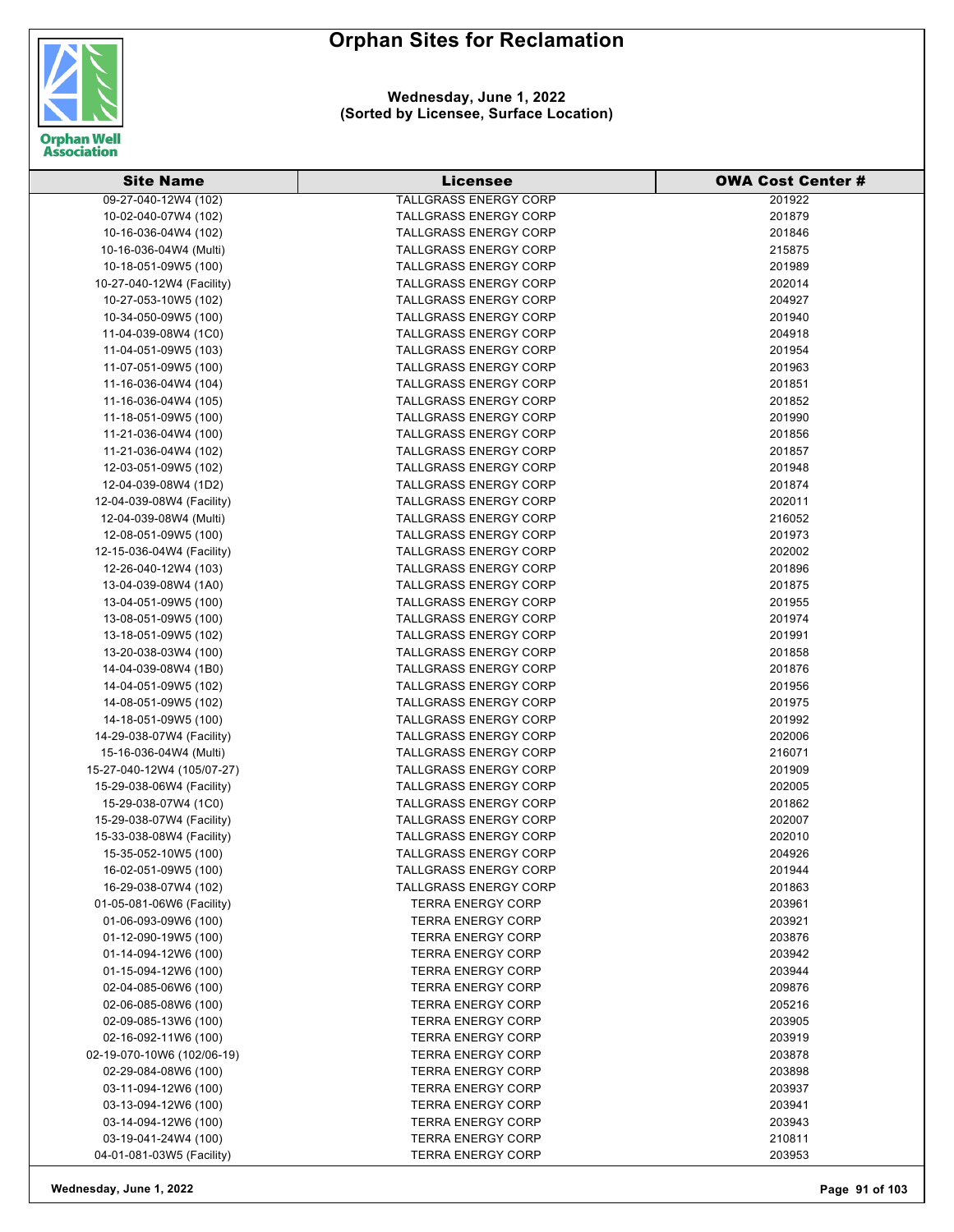

**Wednesday, June 1, 2022 (Sorted by Licensee, Surface Location)**

| <b>Site Name</b>                             | <b>Licensee</b>                                      | <b>OWA Cost Center #</b> |
|----------------------------------------------|------------------------------------------------------|--------------------------|
| 09-27-040-12W4 (102)                         | <b>TALLGRASS ENERGY CORP</b>                         | 201922                   |
| 10-02-040-07W4 (102)                         | <b>TALLGRASS ENERGY CORP</b>                         | 201879                   |
| 10-16-036-04W4 (102)                         | <b>TALLGRASS ENERGY CORP</b>                         | 201846                   |
| 10-16-036-04W4 (Multi)                       | <b>TALLGRASS ENERGY CORP</b>                         | 215875                   |
| 10-18-051-09W5 (100)                         | <b>TALLGRASS ENERGY CORP</b>                         | 201989                   |
| 10-27-040-12W4 (Facility)                    | <b>TALLGRASS ENERGY CORP</b>                         | 202014                   |
| 10-27-053-10W5 (102)                         | <b>TALLGRASS ENERGY CORP</b>                         | 204927                   |
| 10-34-050-09W5 (100)                         | <b>TALLGRASS ENERGY CORP</b>                         | 201940                   |
| 11-04-039-08W4 (1C0)                         | <b>TALLGRASS ENERGY CORP</b>                         | 204918                   |
| 11-04-051-09W5 (103)                         | TALLGRASS ENERGY CORP                                | 201954                   |
| 11-07-051-09W5 (100)                         | <b>TALLGRASS ENERGY CORP</b>                         | 201963                   |
| 11-16-036-04W4 (104)                         | <b>TALLGRASS ENERGY CORP</b>                         | 201851                   |
| 11-16-036-04W4 (105)                         | <b>TALLGRASS ENERGY CORP</b>                         | 201852                   |
| 11-18-051-09W5 (100)                         | TALLGRASS ENERGY CORP                                | 201990                   |
| 11-21-036-04W4 (100)                         | <b>TALLGRASS ENERGY CORP</b>                         | 201856                   |
| 11-21-036-04W4 (102)                         | <b>TALLGRASS ENERGY CORP</b>                         | 201857                   |
| 12-03-051-09W5 (102)                         | TALLGRASS ENERGY CORP                                | 201948                   |
| 12-04-039-08W4 (1D2)                         | <b>TALLGRASS ENERGY CORP</b>                         | 201874                   |
| 12-04-039-08W4 (Facility)                    | <b>TALLGRASS ENERGY CORP</b>                         | 202011                   |
| 12-04-039-08W4 (Multi)                       | <b>TALLGRASS ENERGY CORP</b>                         | 216052                   |
| 12-08-051-09W5 (100)                         | <b>TALLGRASS ENERGY CORP</b>                         | 201973                   |
| 12-15-036-04W4 (Facility)                    | <b>TALLGRASS ENERGY CORP</b>                         | 202002                   |
| 12-26-040-12W4 (103)                         | <b>TALLGRASS ENERGY CORP</b>                         | 201896                   |
| 13-04-039-08W4 (1A0)                         | <b>TALLGRASS ENERGY CORP</b>                         | 201875                   |
| 13-04-051-09W5 (100)                         | <b>TALLGRASS ENERGY CORP</b>                         | 201955                   |
| 13-08-051-09W5 (100)                         | <b>TALLGRASS ENERGY CORP</b>                         | 201974                   |
| 13-18-051-09W5 (102)                         | <b>TALLGRASS ENERGY CORP</b>                         | 201991                   |
| 13-20-038-03W4 (100)                         | <b>TALLGRASS ENERGY CORP</b>                         | 201858                   |
| 14-04-039-08W4 (1B0)                         | TALLGRASS ENERGY CORP                                | 201876                   |
| 14-04-051-09W5 (102)                         | <b>TALLGRASS ENERGY CORP</b>                         | 201956                   |
| 14-08-051-09W5 (102)                         | <b>TALLGRASS ENERGY CORP</b>                         | 201975                   |
| 14-18-051-09W5 (100)                         | <b>TALLGRASS ENERGY CORP</b>                         | 201992                   |
| 14-29-038-07W4 (Facility)                    | <b>TALLGRASS ENERGY CORP</b>                         | 202006                   |
| 15-16-036-04W4 (Multi)                       | <b>TALLGRASS ENERGY CORP</b>                         | 216071                   |
| 15-27-040-12W4 (105/07-27)                   | <b>TALLGRASS ENERGY CORP</b>                         | 201909                   |
| 15-29-038-06W4 (Facility)                    | <b>TALLGRASS ENERGY CORP</b>                         | 202005                   |
| 15-29-038-07W4 (1C0)                         | <b>TALLGRASS ENERGY CORP</b>                         | 201862                   |
| 15-29-038-07W4 (Facility)                    | <b>TALLGRASS ENERGY CORP</b>                         | 202007                   |
| 15-33-038-08W4 (Facility)                    | TALLGRASS ENERGY CORP                                | 202010                   |
| 15-35-052-10W5 (100)                         | <b>TALLGRASS ENERGY CORP</b>                         | 204926                   |
| 16-02-051-09W5 (100)                         | <b>TALLGRASS ENERGY CORP</b>                         | 201944                   |
| 16-29-038-07W4 (102)                         | <b>TALLGRASS ENERGY CORP</b>                         | 201863                   |
| 01-05-081-06W6 (Facility)                    | <b>TERRA ENERGY CORP</b>                             | 203961                   |
| 01-06-093-09W6 (100)                         | <b>TERRA ENERGY CORP</b><br><b>TERRA ENERGY CORP</b> | 203921<br>203876         |
| 01-12-090-19W5 (100)                         |                                                      |                          |
| 01-14-094-12W6 (100)<br>01-15-094-12W6 (100) | <b>TERRA ENERGY CORP</b><br><b>TERRA ENERGY CORP</b> | 203942<br>203944         |
|                                              | <b>TERRA ENERGY CORP</b>                             |                          |
| 02-04-085-06W6 (100)<br>02-06-085-08W6 (100) | <b>TERRA ENERGY CORP</b>                             | 209876<br>205216         |
| 02-09-085-13W6 (100)                         | <b>TERRA ENERGY CORP</b>                             | 203905                   |
| 02-16-092-11W6 (100)                         | <b>TERRA ENERGY CORP</b>                             | 203919                   |
| 02-19-070-10W6 (102/06-19)                   | <b>TERRA ENERGY CORP</b>                             | 203878                   |
| 02-29-084-08W6 (100)                         | <b>TERRA ENERGY CORP</b>                             | 203898                   |
| 03-11-094-12W6 (100)                         | <b>TERRA ENERGY CORP</b>                             | 203937                   |
| 03-13-094-12W6 (100)                         | <b>TERRA ENERGY CORP</b>                             | 203941                   |
| 03-14-094-12W6 (100)                         | <b>TERRA ENERGY CORP</b>                             | 203943                   |
| 03-19-041-24W4 (100)                         | <b>TERRA ENERGY CORP</b>                             | 210811                   |
| 04-01-081-03W5 (Facility)                    | <b>TERRA ENERGY CORP</b>                             | 203953                   |

**Wednesday, June 1, 2022 Page 91 of 103**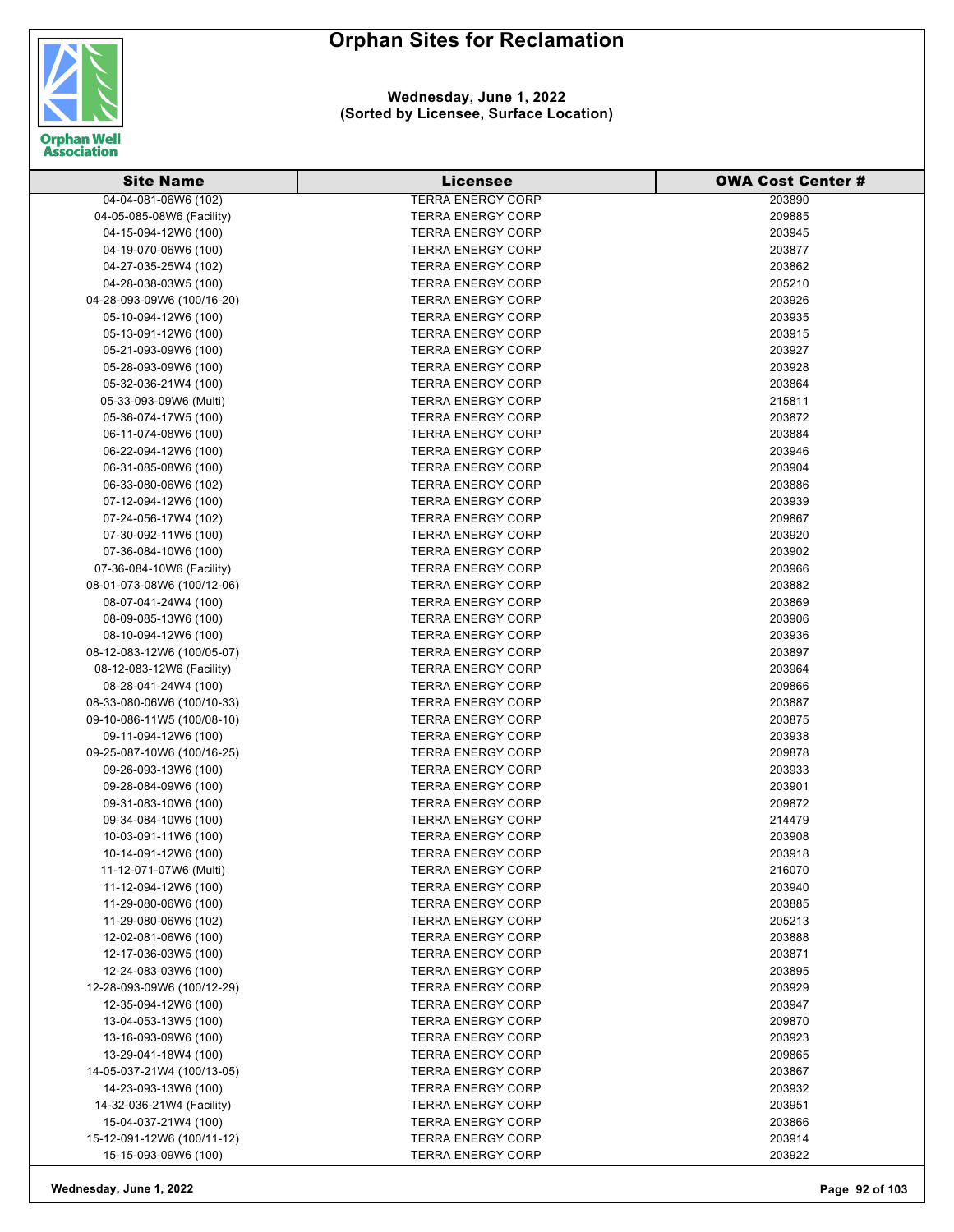

#### **Wednesday, June 1, 2022 (Sorted by Licensee, Surface Location)**

| <b>Site Name</b>           | <b>Licensee</b>          | <b>OWA Cost Center #</b> |
|----------------------------|--------------------------|--------------------------|
| 04-04-081-06W6 (102)       | <b>TERRA ENERGY CORP</b> | 203890                   |
| 04-05-085-08W6 (Facility)  | <b>TERRA ENERGY CORP</b> | 209885                   |
| 04-15-094-12W6 (100)       | <b>TERRA ENERGY CORP</b> | 203945                   |
| 04-19-070-06W6 (100)       | <b>TERRA ENERGY CORP</b> | 203877                   |
| 04-27-035-25W4 (102)       | <b>TERRA ENERGY CORP</b> | 203862                   |
| 04-28-038-03W5 (100)       | <b>TERRA ENERGY CORP</b> | 205210                   |
| 04-28-093-09W6 (100/16-20) | <b>TERRA ENERGY CORP</b> | 203926                   |
| 05-10-094-12W6 (100)       | <b>TERRA ENERGY CORP</b> | 203935                   |
| 05-13-091-12W6 (100)       | <b>TERRA ENERGY CORP</b> | 203915                   |
| 05-21-093-09W6 (100)       | <b>TERRA ENERGY CORP</b> | 203927                   |
| 05-28-093-09W6 (100)       | <b>TERRA ENERGY CORP</b> | 203928                   |
| 05-32-036-21W4 (100)       | <b>TERRA ENERGY CORP</b> | 203864                   |
| 05-33-093-09W6 (Multi)     | <b>TERRA ENERGY CORP</b> | 215811                   |
| 05-36-074-17W5 (100)       | <b>TERRA ENERGY CORP</b> | 203872                   |
| 06-11-074-08W6 (100)       | <b>TERRA ENERGY CORP</b> | 203884                   |
| 06-22-094-12W6 (100)       | <b>TERRA ENERGY CORP</b> | 203946                   |
| 06-31-085-08W6 (100)       | <b>TERRA ENERGY CORP</b> | 203904                   |
| 06-33-080-06W6 (102)       | <b>TERRA ENERGY CORP</b> | 203886                   |
| 07-12-094-12W6 (100)       | <b>TERRA ENERGY CORP</b> | 203939                   |
| 07-24-056-17W4 (102)       | <b>TERRA ENERGY CORP</b> | 209867                   |
| 07-30-092-11W6 (100)       | <b>TERRA ENERGY CORP</b> | 203920                   |
| 07-36-084-10W6 (100)       | <b>TERRA ENERGY CORP</b> | 203902                   |
| 07-36-084-10W6 (Facility)  | <b>TERRA ENERGY CORP</b> | 203966                   |
| 08-01-073-08W6 (100/12-06) | <b>TERRA ENERGY CORP</b> | 203882                   |
| 08-07-041-24W4 (100)       | <b>TERRA ENERGY CORP</b> | 203869                   |
| 08-09-085-13W6 (100)       | <b>TERRA ENERGY CORP</b> | 203906                   |
| 08-10-094-12W6 (100)       | <b>TERRA ENERGY CORP</b> | 203936                   |
| 08-12-083-12W6 (100/05-07) | <b>TERRA ENERGY CORP</b> | 203897                   |
| 08-12-083-12W6 (Facility)  | <b>TERRA ENERGY CORP</b> | 203964                   |
| 08-28-041-24W4 (100)       | <b>TERRA ENERGY CORP</b> | 209866                   |
| 08-33-080-06W6 (100/10-33) | <b>TERRA ENERGY CORP</b> | 203887                   |
| 09-10-086-11W5 (100/08-10) | <b>TERRA ENERGY CORP</b> | 203875                   |
| 09-11-094-12W6 (100)       | <b>TERRA ENERGY CORP</b> | 203938                   |
| 09-25-087-10W6 (100/16-25) | <b>TERRA ENERGY CORP</b> | 209878                   |
| 09-26-093-13W6 (100)       | <b>TERRA ENERGY CORP</b> | 203933                   |
| 09-28-084-09W6 (100)       | <b>TERRA ENERGY CORP</b> | 203901                   |
| 09-31-083-10W6 (100)       | <b>TERRA ENERGY CORP</b> | 209872                   |
| 09-34-084-10W6 (100)       | <b>TERRA ENERGY CORP</b> | 214479                   |
| 10-03-091-11W6 (100)       | <b>TERRA ENERGY CORP</b> | 203908                   |
| 10-14-091-12W6 (100)       | <b>TERRA ENERGY CORP</b> | 203918                   |
| 11-12-071-07W6 (Multi)     | <b>TERRA ENERGY CORP</b> | 216070                   |
| 11-12-094-12W6 (100)       | <b>TERRA ENERGY CORP</b> | 203940                   |
| 11-29-080-06W6 (100)       | <b>TERRA ENERGY CORP</b> | 203885                   |
| 11-29-080-06W6 (102)       | <b>TERRA ENERGY CORP</b> | 205213                   |
| 12-02-081-06W6 (100)       | <b>TERRA ENERGY CORP</b> | 203888                   |
| 12-17-036-03W5 (100)       | <b>TERRA ENERGY CORP</b> | 203871                   |
| 12-24-083-03W6 (100)       | <b>TERRA ENERGY CORP</b> | 203895                   |
| 12-28-093-09W6 (100/12-29) | <b>TERRA ENERGY CORP</b> | 203929                   |
| 12-35-094-12W6 (100)       | <b>TERRA ENERGY CORP</b> | 203947                   |
| 13-04-053-13W5 (100)       | <b>TERRA ENERGY CORP</b> | 209870                   |
| 13-16-093-09W6 (100)       | <b>TERRA ENERGY CORP</b> | 203923                   |
| 13-29-041-18W4 (100)       | <b>TERRA ENERGY CORP</b> | 209865                   |
| 14-05-037-21W4 (100/13-05) | <b>TERRA ENERGY CORP</b> | 203867                   |
| 14-23-093-13W6 (100)       | <b>TERRA ENERGY CORP</b> | 203932                   |
| 14-32-036-21W4 (Facility)  | <b>TERRA ENERGY CORP</b> | 203951                   |
| 15-04-037-21W4 (100)       | <b>TERRA ENERGY CORP</b> | 203866                   |
| 15-12-091-12W6 (100/11-12) | <b>TERRA ENERGY CORP</b> | 203914                   |
| 15-15-093-09W6 (100)       | <b>TERRA ENERGY CORP</b> | 203922                   |
|                            |                          |                          |

**Wednesday, June 1, 2022 Page 92 of 103**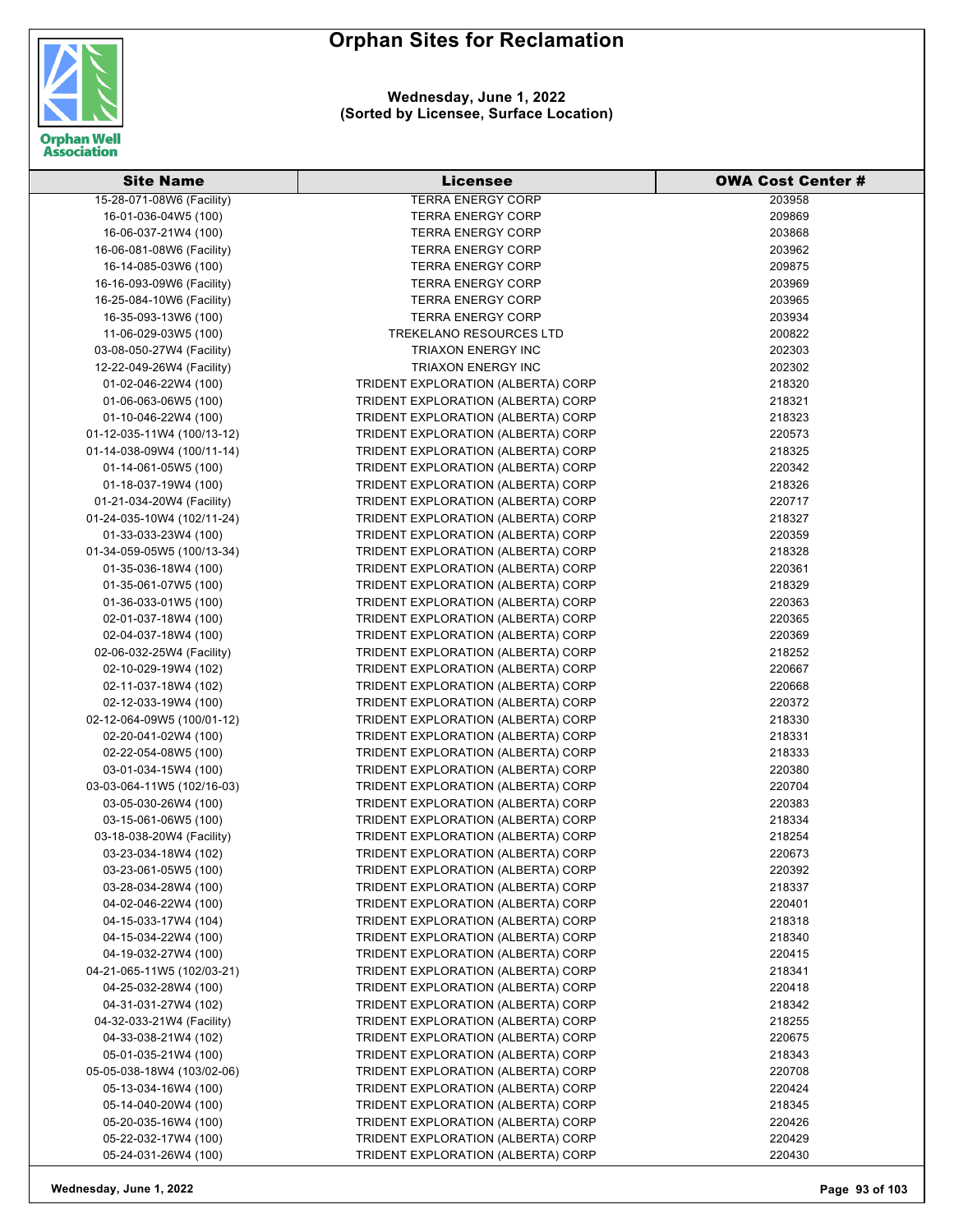

**Wednesday, June 1, 2022 (Sorted by Licensee, Surface Location)**

| <b>Site Name</b>           | Licensee                           | <b>OWA Cost Center #</b> |
|----------------------------|------------------------------------|--------------------------|
| 15-28-071-08W6 (Facility)  | <b>TERRA ENERGY CORP</b>           | 203958                   |
| 16-01-036-04W5 (100)       | <b>TERRA ENERGY CORP</b>           | 209869                   |
| 16-06-037-21W4 (100)       | <b>TERRA ENERGY CORP</b>           | 203868                   |
| 16-06-081-08W6 (Facility)  | <b>TERRA ENERGY CORP</b>           | 203962                   |
| 16-14-085-03W6 (100)       | <b>TERRA ENERGY CORP</b>           | 209875                   |
| 16-16-093-09W6 (Facility)  | <b>TERRA ENERGY CORP</b>           | 203969                   |
| 16-25-084-10W6 (Facility)  | <b>TERRA ENERGY CORP</b>           | 203965                   |
| 16-35-093-13W6 (100)       | <b>TERRA ENERGY CORP</b>           | 203934                   |
| 11-06-029-03W5 (100)       | <b>TREKELANO RESOURCES LTD</b>     | 200822                   |
| 03-08-050-27W4 (Facility)  | <b>TRIAXON ENERGY INC</b>          | 202303                   |
| 12-22-049-26W4 (Facility)  | TRIAXON ENERGY INC                 | 202302                   |
| 01-02-046-22W4 (100)       | TRIDENT EXPLORATION (ALBERTA) CORP | 218320                   |
| 01-06-063-06W5 (100)       | TRIDENT EXPLORATION (ALBERTA) CORP | 218321                   |
| 01-10-046-22W4 (100)       | TRIDENT EXPLORATION (ALBERTA) CORP | 218323                   |
| 01-12-035-11W4 (100/13-12) | TRIDENT EXPLORATION (ALBERTA) CORP | 220573                   |
| 01-14-038-09W4 (100/11-14) | TRIDENT EXPLORATION (ALBERTA) CORP | 218325                   |
| 01-14-061-05W5 (100)       | TRIDENT EXPLORATION (ALBERTA) CORP | 220342                   |
| 01-18-037-19W4 (100)       | TRIDENT EXPLORATION (ALBERTA) CORP | 218326                   |
| 01-21-034-20W4 (Facility)  | TRIDENT EXPLORATION (ALBERTA) CORP | 220717                   |
| 01-24-035-10W4 (102/11-24) | TRIDENT EXPLORATION (ALBERTA) CORP | 218327                   |
| 01-33-033-23W4 (100)       | TRIDENT EXPLORATION (ALBERTA) CORP | 220359                   |
| 01-34-059-05W5 (100/13-34) | TRIDENT EXPLORATION (ALBERTA) CORP | 218328                   |
| 01-35-036-18W4 (100)       | TRIDENT EXPLORATION (ALBERTA) CORP | 220361                   |
| 01-35-061-07W5 (100)       | TRIDENT EXPLORATION (ALBERTA) CORP | 218329                   |
| 01-36-033-01W5 (100)       | TRIDENT EXPLORATION (ALBERTA) CORP | 220363                   |
|                            | TRIDENT EXPLORATION (ALBERTA) CORP |                          |
| 02-01-037-18W4 (100)       |                                    | 220365                   |
| 02-04-037-18W4 (100)       | TRIDENT EXPLORATION (ALBERTA) CORP | 220369                   |
| 02-06-032-25W4 (Facility)  | TRIDENT EXPLORATION (ALBERTA) CORP | 218252                   |
| 02-10-029-19W4 (102)       | TRIDENT EXPLORATION (ALBERTA) CORP | 220667                   |
| 02-11-037-18W4 (102)       | TRIDENT EXPLORATION (ALBERTA) CORP | 220668                   |
| 02-12-033-19W4 (100)       | TRIDENT EXPLORATION (ALBERTA) CORP | 220372                   |
| 02-12-064-09W5 (100/01-12) | TRIDENT EXPLORATION (ALBERTA) CORP | 218330                   |
| 02-20-041-02W4 (100)       | TRIDENT EXPLORATION (ALBERTA) CORP | 218331                   |
| 02-22-054-08W5 (100)       | TRIDENT EXPLORATION (ALBERTA) CORP | 218333                   |
| 03-01-034-15W4 (100)       | TRIDENT EXPLORATION (ALBERTA) CORP | 220380                   |
| 03-03-064-11W5 (102/16-03) | TRIDENT EXPLORATION (ALBERTA) CORP | 220704                   |
| 03-05-030-26W4 (100)       | TRIDENT EXPLORATION (ALBERTA) CORP | 220383                   |
| 03-15-061-06W5 (100)       | TRIDENT EXPLORATION (ALBERTA) CORP | 218334                   |
| 03-18-038-20W4 (Facility)  | TRIDENT EXPLORATION (ALBERTA) CORP | 218254                   |
| 03-23-034-18W4 (102)       | TRIDENT EXPLORATION (ALBERTA) CORP | 220673                   |
| 03-23-061-05W5 (100)       | TRIDENT EXPLORATION (ALBERTA) CORP | 220392                   |
| 03-28-034-28W4 (100)       | TRIDENT EXPLORATION (ALBERTA) CORP | 218337                   |
| 04-02-046-22W4 (100)       | TRIDENT EXPLORATION (ALBERTA) CORP | 220401                   |
| 04-15-033-17W4 (104)       | TRIDENT EXPLORATION (ALBERTA) CORP | 218318                   |
| 04-15-034-22W4 (100)       | TRIDENT EXPLORATION (ALBERTA) CORP | 218340                   |
| 04-19-032-27W4 (100)       | TRIDENT EXPLORATION (ALBERTA) CORP | 220415                   |
| 04-21-065-11W5 (102/03-21) | TRIDENT EXPLORATION (ALBERTA) CORP | 218341                   |
| 04-25-032-28W4 (100)       | TRIDENT EXPLORATION (ALBERTA) CORP | 220418                   |
| 04-31-031-27W4 (102)       | TRIDENT EXPLORATION (ALBERTA) CORP | 218342                   |
| 04-32-033-21W4 (Facility)  | TRIDENT EXPLORATION (ALBERTA) CORP | 218255                   |
| 04-33-038-21W4 (102)       | TRIDENT EXPLORATION (ALBERTA) CORP | 220675                   |
| 05-01-035-21W4 (100)       | TRIDENT EXPLORATION (ALBERTA) CORP | 218343                   |
| 05-05-038-18W4 (103/02-06) | TRIDENT EXPLORATION (ALBERTA) CORP | 220708                   |
| 05-13-034-16W4 (100)       | TRIDENT EXPLORATION (ALBERTA) CORP | 220424                   |
| 05-14-040-20W4 (100)       | TRIDENT EXPLORATION (ALBERTA) CORP | 218345                   |
| 05-20-035-16W4 (100)       | TRIDENT EXPLORATION (ALBERTA) CORP | 220426                   |
| 05-22-032-17W4 (100)       | TRIDENT EXPLORATION (ALBERTA) CORP | 220429                   |
| 05-24-031-26W4 (100)       | TRIDENT EXPLORATION (ALBERTA) CORP | 220430                   |

**Wednesday, June 1, 2022 Page 93 of 103**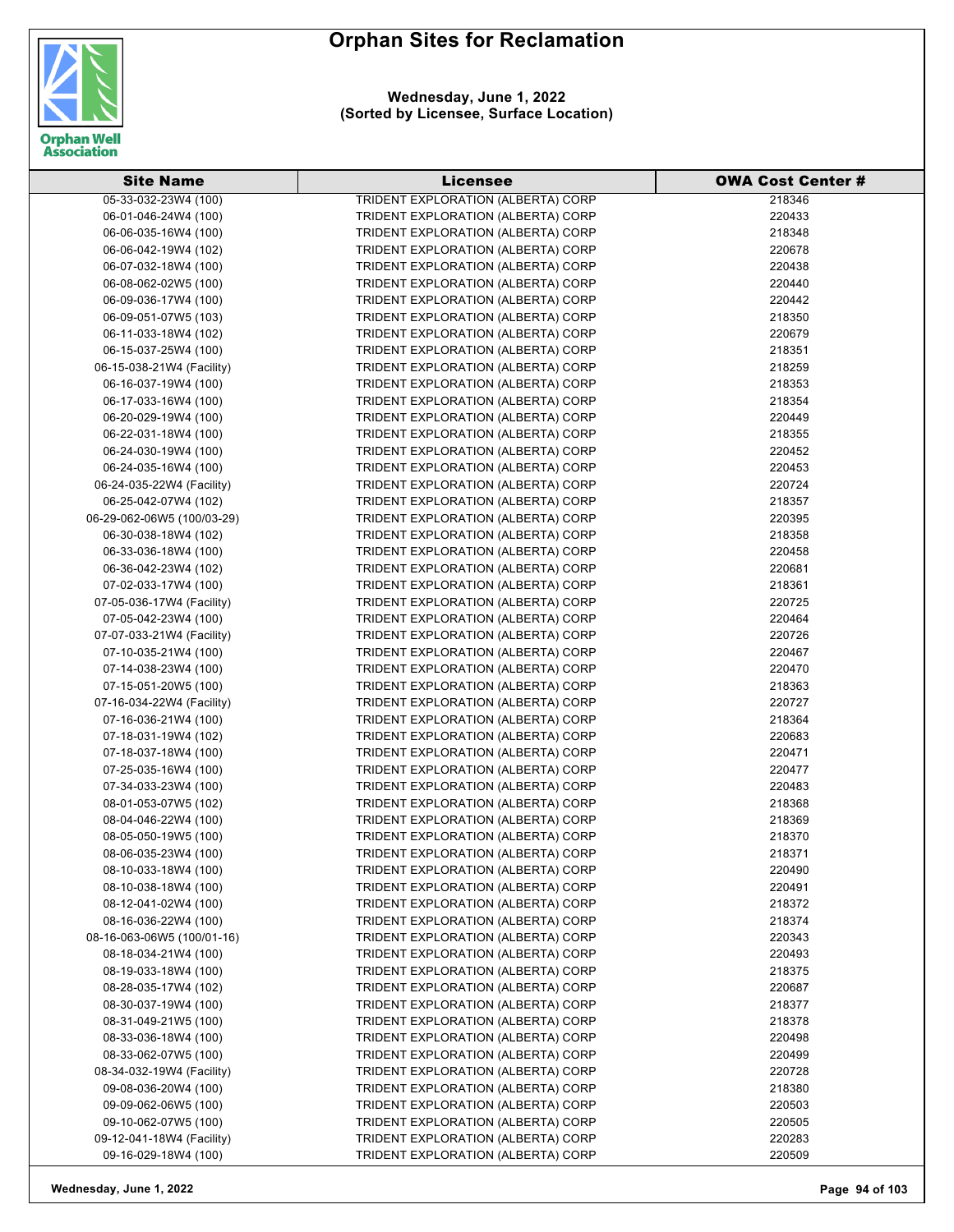



| <b>Site Name</b>           | <b>Licensee</b>                    | <b>OWA Cost Center #</b> |
|----------------------------|------------------------------------|--------------------------|
| 05-33-032-23W4 (100)       | TRIDENT EXPLORATION (ALBERTA) CORP | 218346                   |
| 06-01-046-24W4 (100)       | TRIDENT EXPLORATION (ALBERTA) CORP | 220433                   |
| 06-06-035-16W4 (100)       | TRIDENT EXPLORATION (ALBERTA) CORP | 218348                   |
| 06-06-042-19W4 (102)       | TRIDENT EXPLORATION (ALBERTA) CORP | 220678                   |
| 06-07-032-18W4 (100)       | TRIDENT EXPLORATION (ALBERTA) CORP | 220438                   |
| 06-08-062-02W5 (100)       | TRIDENT EXPLORATION (ALBERTA) CORP | 220440                   |
| 06-09-036-17W4 (100)       | TRIDENT EXPLORATION (ALBERTA) CORP | 220442                   |
| 06-09-051-07W5 (103)       | TRIDENT EXPLORATION (ALBERTA) CORP | 218350                   |
| 06-11-033-18W4 (102)       | TRIDENT EXPLORATION (ALBERTA) CORP | 220679                   |
| 06-15-037-25W4 (100)       | TRIDENT EXPLORATION (ALBERTA) CORP | 218351                   |
| 06-15-038-21W4 (Facility)  | TRIDENT EXPLORATION (ALBERTA) CORP | 218259                   |
| 06-16-037-19W4 (100)       | TRIDENT EXPLORATION (ALBERTA) CORP | 218353                   |
| 06-17-033-16W4 (100)       | TRIDENT EXPLORATION (ALBERTA) CORP | 218354                   |
| 06-20-029-19W4 (100)       | TRIDENT EXPLORATION (ALBERTA) CORP | 220449                   |
| 06-22-031-18W4 (100)       | TRIDENT EXPLORATION (ALBERTA) CORP | 218355                   |
| 06-24-030-19W4 (100)       | TRIDENT EXPLORATION (ALBERTA) CORP | 220452                   |
| 06-24-035-16W4 (100)       | TRIDENT EXPLORATION (ALBERTA) CORP | 220453                   |
| 06-24-035-22W4 (Facility)  | TRIDENT EXPLORATION (ALBERTA) CORP | 220724                   |
| 06-25-042-07W4 (102)       | TRIDENT EXPLORATION (ALBERTA) CORP | 218357                   |
|                            | TRIDENT EXPLORATION (ALBERTA) CORP | 220395                   |
| 06-29-062-06W5 (100/03-29) |                                    |                          |
| 06-30-038-18W4 (102)       | TRIDENT EXPLORATION (ALBERTA) CORP | 218358                   |
| 06-33-036-18W4 (100)       | TRIDENT EXPLORATION (ALBERTA) CORP | 220458                   |
| 06-36-042-23W4 (102)       | TRIDENT EXPLORATION (ALBERTA) CORP | 220681                   |
| 07-02-033-17W4 (100)       | TRIDENT EXPLORATION (ALBERTA) CORP | 218361                   |
| 07-05-036-17W4 (Facility)  | TRIDENT EXPLORATION (ALBERTA) CORP | 220725                   |
| 07-05-042-23W4 (100)       | TRIDENT EXPLORATION (ALBERTA) CORP | 220464                   |
| 07-07-033-21W4 (Facility)  | TRIDENT EXPLORATION (ALBERTA) CORP | 220726                   |
| 07-10-035-21W4 (100)       | TRIDENT EXPLORATION (ALBERTA) CORP | 220467                   |
| 07-14-038-23W4 (100)       | TRIDENT EXPLORATION (ALBERTA) CORP | 220470                   |
| 07-15-051-20W5 (100)       | TRIDENT EXPLORATION (ALBERTA) CORP | 218363                   |
| 07-16-034-22W4 (Facility)  | TRIDENT EXPLORATION (ALBERTA) CORP | 220727                   |
| 07-16-036-21W4 (100)       | TRIDENT EXPLORATION (ALBERTA) CORP | 218364                   |
| 07-18-031-19W4 (102)       | TRIDENT EXPLORATION (ALBERTA) CORP | 220683                   |
| 07-18-037-18W4 (100)       | TRIDENT EXPLORATION (ALBERTA) CORP | 220471                   |
| 07-25-035-16W4 (100)       | TRIDENT EXPLORATION (ALBERTA) CORP | 220477                   |
| 07-34-033-23W4 (100)       | TRIDENT EXPLORATION (ALBERTA) CORP | 220483                   |
| 08-01-053-07W5 (102)       | TRIDENT EXPLORATION (ALBERTA) CORP | 218368                   |
| 08-04-046-22W4 (100)       | TRIDENT EXPLORATION (ALBERTA) CORP | 218369                   |
| 08-05-050-19W5 (100)       | TRIDENT EXPLORATION (ALBERTA) CORP | 218370                   |
| 08-06-035-23W4 (100)       | TRIDENT EXPLORATION (ALBERTA) CORP | 218371                   |
| 08-10-033-18W4 (100)       | TRIDENT EXPLORATION (ALBERTA) CORP | 220490                   |
| 08-10-038-18W4 (100)       | TRIDENT EXPLORATION (ALBERTA) CORP | 220491                   |
| 08-12-041-02W4 (100)       | TRIDENT EXPLORATION (ALBERTA) CORP | 218372                   |
| 08-16-036-22W4 (100)       | TRIDENT EXPLORATION (ALBERTA) CORP | 218374                   |
| 08-16-063-06W5 (100/01-16) | TRIDENT EXPLORATION (ALBERTA) CORP | 220343                   |
| 08-18-034-21W4 (100)       | TRIDENT EXPLORATION (ALBERTA) CORP | 220493                   |
| 08-19-033-18W4 (100)       | TRIDENT EXPLORATION (ALBERTA) CORP | 218375                   |
| 08-28-035-17W4 (102)       | TRIDENT EXPLORATION (ALBERTA) CORP | 220687                   |
| 08-30-037-19W4 (100)       | TRIDENT EXPLORATION (ALBERTA) CORP | 218377                   |
| 08-31-049-21W5 (100)       | TRIDENT EXPLORATION (ALBERTA) CORP | 218378                   |
| 08-33-036-18W4 (100)       | TRIDENT EXPLORATION (ALBERTA) CORP | 220498                   |
| 08-33-062-07W5 (100)       | TRIDENT EXPLORATION (ALBERTA) CORP | 220499                   |
| 08-34-032-19W4 (Facility)  | TRIDENT EXPLORATION (ALBERTA) CORP | 220728                   |
| 09-08-036-20W4 (100)       | TRIDENT EXPLORATION (ALBERTA) CORP | 218380                   |
| 09-09-062-06W5 (100)       | TRIDENT EXPLORATION (ALBERTA) CORP | 220503                   |
| 09-10-062-07W5 (100)       | TRIDENT EXPLORATION (ALBERTA) CORP | 220505                   |
| 09-12-041-18W4 (Facility)  | TRIDENT EXPLORATION (ALBERTA) CORP | 220283                   |
| 09-16-029-18W4 (100)       | TRIDENT EXPLORATION (ALBERTA) CORP | 220509                   |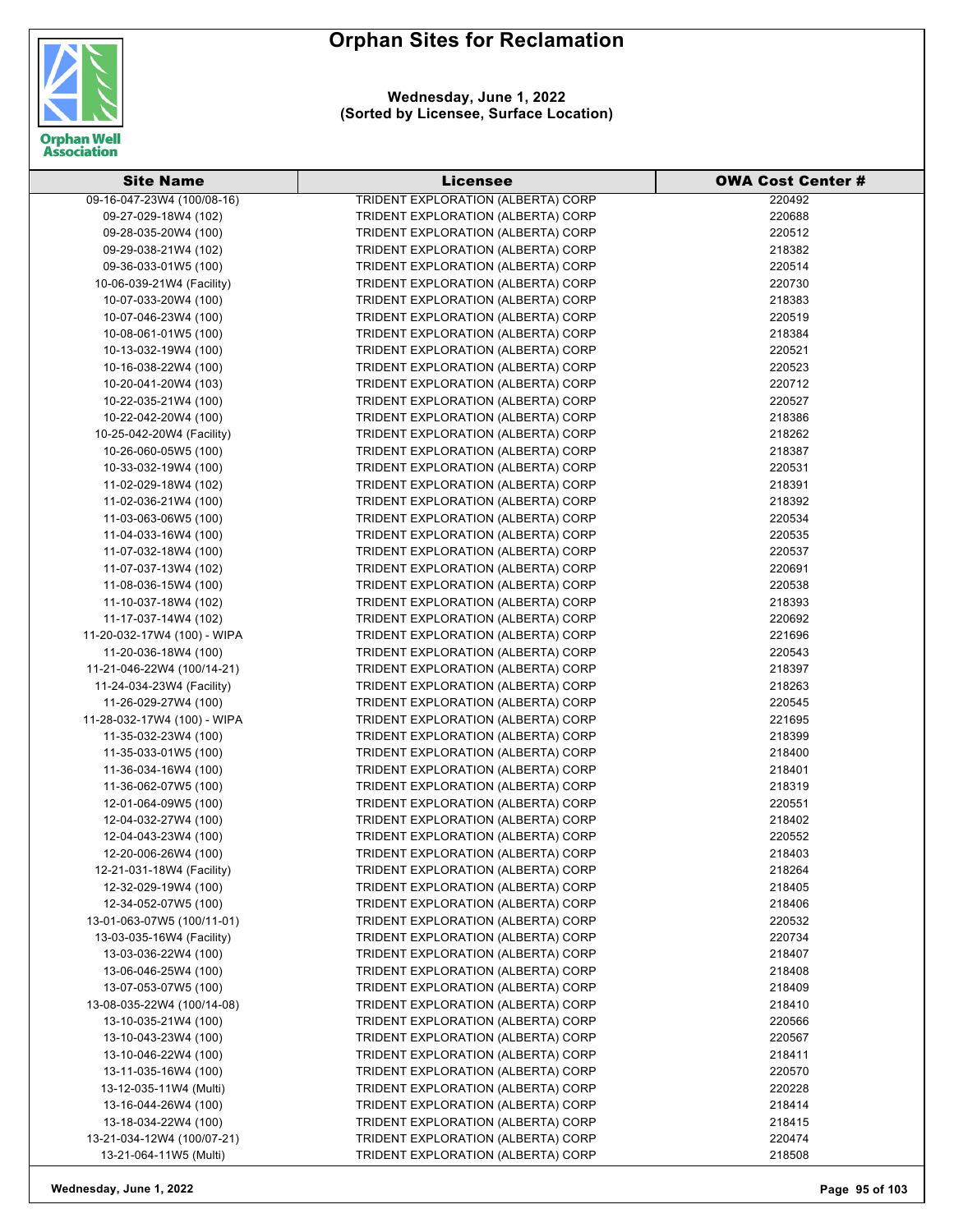



| <b>Site Name</b>            | <b>Licensee</b>                    | <b>OWA Cost Center #</b> |
|-----------------------------|------------------------------------|--------------------------|
| 09-16-047-23W4 (100/08-16)  | TRIDENT EXPLORATION (ALBERTA) CORP | 220492                   |
| 09-27-029-18W4 (102)        | TRIDENT EXPLORATION (ALBERTA) CORP | 220688                   |
| 09-28-035-20W4 (100)        | TRIDENT EXPLORATION (ALBERTA) CORP | 220512                   |
| 09-29-038-21W4 (102)        | TRIDENT EXPLORATION (ALBERTA) CORP | 218382                   |
| 09-36-033-01W5 (100)        | TRIDENT EXPLORATION (ALBERTA) CORP | 220514                   |
| 10-06-039-21W4 (Facility)   | TRIDENT EXPLORATION (ALBERTA) CORP | 220730                   |
| 10-07-033-20W4 (100)        | TRIDENT EXPLORATION (ALBERTA) CORP | 218383                   |
| 10-07-046-23W4 (100)        | TRIDENT EXPLORATION (ALBERTA) CORP | 220519                   |
| 10-08-061-01W5 (100)        | TRIDENT EXPLORATION (ALBERTA) CORP | 218384                   |
| 10-13-032-19W4 (100)        | TRIDENT EXPLORATION (ALBERTA) CORP | 220521                   |
| 10-16-038-22W4 (100)        | TRIDENT EXPLORATION (ALBERTA) CORP | 220523                   |
| 10-20-041-20W4 (103)        | TRIDENT EXPLORATION (ALBERTA) CORP | 220712                   |
| 10-22-035-21W4 (100)        | TRIDENT EXPLORATION (ALBERTA) CORP | 220527                   |
| 10-22-042-20W4 (100)        | TRIDENT EXPLORATION (ALBERTA) CORP | 218386                   |
| 10-25-042-20W4 (Facility)   | TRIDENT EXPLORATION (ALBERTA) CORP | 218262                   |
| 10-26-060-05W5 (100)        | TRIDENT EXPLORATION (ALBERTA) CORP | 218387                   |
| 10-33-032-19W4 (100)        | TRIDENT EXPLORATION (ALBERTA) CORP | 220531                   |
| 11-02-029-18W4 (102)        | TRIDENT EXPLORATION (ALBERTA) CORP | 218391                   |
| 11-02-036-21W4 (100)        | TRIDENT EXPLORATION (ALBERTA) CORP | 218392                   |
| 11-03-063-06W5 (100)        | TRIDENT EXPLORATION (ALBERTA) CORP | 220534                   |
| 11-04-033-16W4 (100)        | TRIDENT EXPLORATION (ALBERTA) CORP | 220535                   |
| 11-07-032-18W4 (100)        | TRIDENT EXPLORATION (ALBERTA) CORP | 220537                   |
| 11-07-037-13W4 (102)        | TRIDENT EXPLORATION (ALBERTA) CORP | 220691                   |
| 11-08-036-15W4 (100)        | TRIDENT EXPLORATION (ALBERTA) CORP | 220538                   |
| 11-10-037-18W4 (102)        | TRIDENT EXPLORATION (ALBERTA) CORP | 218393                   |
| 11-17-037-14W4 (102)        | TRIDENT EXPLORATION (ALBERTA) CORP | 220692                   |
| 11-20-032-17W4 (100) - WIPA | TRIDENT EXPLORATION (ALBERTA) CORP | 221696                   |
| 11-20-036-18W4 (100)        | TRIDENT EXPLORATION (ALBERTA) CORP | 220543                   |
| 11-21-046-22W4 (100/14-21)  | TRIDENT EXPLORATION (ALBERTA) CORP | 218397                   |
| 11-24-034-23W4 (Facility)   | TRIDENT EXPLORATION (ALBERTA) CORP | 218263                   |
| 11-26-029-27W4 (100)        | TRIDENT EXPLORATION (ALBERTA) CORP | 220545                   |
| 11-28-032-17W4 (100) - WIPA | TRIDENT EXPLORATION (ALBERTA) CORP | 221695                   |
| 11-35-032-23W4 (100)        | TRIDENT EXPLORATION (ALBERTA) CORP | 218399                   |
| 11-35-033-01W5 (100)        | TRIDENT EXPLORATION (ALBERTA) CORP | 218400                   |
| 11-36-034-16W4 (100)        | TRIDENT EXPLORATION (ALBERTA) CORP | 218401                   |
| 11-36-062-07W5 (100)        | TRIDENT EXPLORATION (ALBERTA) CORP | 218319                   |
| 12-01-064-09W5 (100)        | TRIDENT EXPLORATION (ALBERTA) CORP | 220551                   |
| 12-04-032-27W4 (100)        | TRIDENT EXPLORATION (ALBERTA) CORP | 218402                   |
| 12-04-043-23W4 (100)        | TRIDENT EXPLORATION (ALBERTA) CORP | 220552                   |
| 12-20-006-26W4 (100)        | TRIDENT EXPLORATION (ALBERTA) CORP | 218403                   |
| 12-21-031-18W4 (Facility)   | TRIDENT EXPLORATION (ALBERTA) CORP | 218264                   |
| 12-32-029-19W4 (100)        | TRIDENT EXPLORATION (ALBERTA) CORP | 218405                   |
| 12-34-052-07W5 (100)        | TRIDENT EXPLORATION (ALBERTA) CORP | 218406                   |
| 13-01-063-07W5 (100/11-01)  | TRIDENT EXPLORATION (ALBERTA) CORP | 220532                   |
| 13-03-035-16W4 (Facility)   | TRIDENT EXPLORATION (ALBERTA) CORP | 220734                   |
| 13-03-036-22W4 (100)        | TRIDENT EXPLORATION (ALBERTA) CORP | 218407                   |
| 13-06-046-25W4 (100)        | TRIDENT EXPLORATION (ALBERTA) CORP | 218408                   |
| 13-07-053-07W5 (100)        | TRIDENT EXPLORATION (ALBERTA) CORP | 218409                   |
| 13-08-035-22W4 (100/14-08)  | TRIDENT EXPLORATION (ALBERTA) CORP | 218410                   |
| 13-10-035-21W4 (100)        | TRIDENT EXPLORATION (ALBERTA) CORP | 220566                   |
| 13-10-043-23W4 (100)        | TRIDENT EXPLORATION (ALBERTA) CORP | 220567                   |
| 13-10-046-22W4 (100)        | TRIDENT EXPLORATION (ALBERTA) CORP | 218411                   |
| 13-11-035-16W4 (100)        | TRIDENT EXPLORATION (ALBERTA) CORP | 220570                   |
| 13-12-035-11W4 (Multi)      | TRIDENT EXPLORATION (ALBERTA) CORP | 220228                   |
| 13-16-044-26W4 (100)        | TRIDENT EXPLORATION (ALBERTA) CORP | 218414                   |
| 13-18-034-22W4 (100)        | TRIDENT EXPLORATION (ALBERTA) CORP | 218415                   |
| 13-21-034-12W4 (100/07-21)  | TRIDENT EXPLORATION (ALBERTA) CORP | 220474                   |
| 13-21-064-11W5 (Multi)      | TRIDENT EXPLORATION (ALBERTA) CORP | 218508                   |

**Wednesday, June 1, 2022 Page 95 of 103**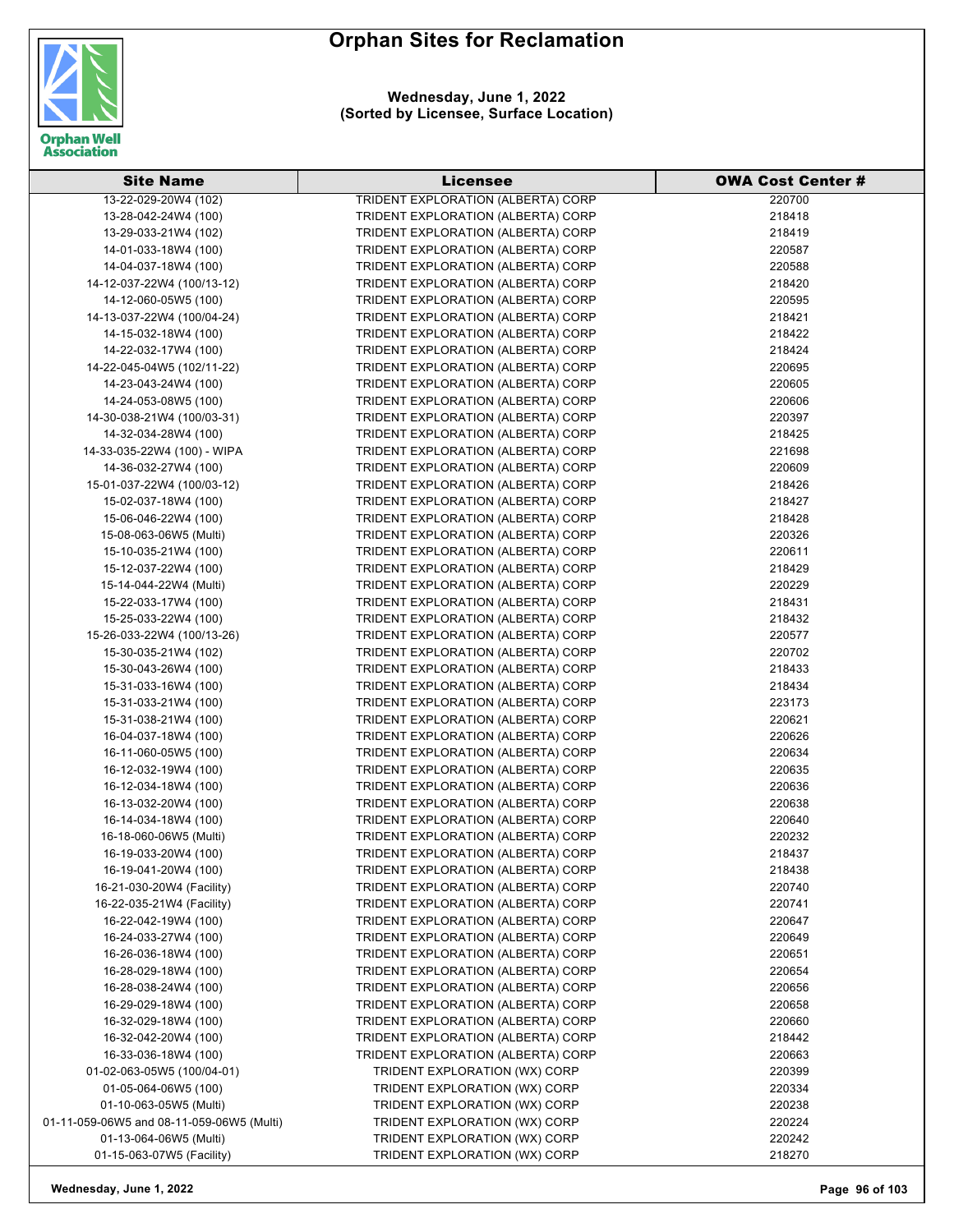



| <b>Site Name</b>                          | Licensee                           | <b>OWA Cost Center #</b> |
|-------------------------------------------|------------------------------------|--------------------------|
| 13-22-029-20W4 (102)                      | TRIDENT EXPLORATION (ALBERTA) CORP | 220700                   |
| 13-28-042-24W4 (100)                      | TRIDENT EXPLORATION (ALBERTA) CORP | 218418                   |
| 13-29-033-21W4 (102)                      | TRIDENT EXPLORATION (ALBERTA) CORP | 218419                   |
| 14-01-033-18W4 (100)                      | TRIDENT EXPLORATION (ALBERTA) CORP | 220587                   |
| 14-04-037-18W4 (100)                      | TRIDENT EXPLORATION (ALBERTA) CORP | 220588                   |
| 14-12-037-22W4 (100/13-12)                | TRIDENT EXPLORATION (ALBERTA) CORP | 218420                   |
| 14-12-060-05W5 (100)                      | TRIDENT EXPLORATION (ALBERTA) CORP | 220595                   |
| 14-13-037-22W4 (100/04-24)                | TRIDENT EXPLORATION (ALBERTA) CORP | 218421                   |
| 14-15-032-18W4 (100)                      | TRIDENT EXPLORATION (ALBERTA) CORP | 218422                   |
| 14-22-032-17W4 (100)                      | TRIDENT EXPLORATION (ALBERTA) CORP | 218424                   |
| 14-22-045-04W5 (102/11-22)                | TRIDENT EXPLORATION (ALBERTA) CORP | 220695                   |
| 14-23-043-24W4 (100)                      | TRIDENT EXPLORATION (ALBERTA) CORP | 220605                   |
| 14-24-053-08W5 (100)                      | TRIDENT EXPLORATION (ALBERTA) CORP | 220606                   |
| 14-30-038-21W4 (100/03-31)                | TRIDENT EXPLORATION (ALBERTA) CORP | 220397                   |
| 14-32-034-28W4 (100)                      | TRIDENT EXPLORATION (ALBERTA) CORP | 218425                   |
| 14-33-035-22W4 (100) - WIPA               | TRIDENT EXPLORATION (ALBERTA) CORP | 221698                   |
| 14-36-032-27W4 (100)                      | TRIDENT EXPLORATION (ALBERTA) CORP | 220609                   |
| 15-01-037-22W4 (100/03-12)                | TRIDENT EXPLORATION (ALBERTA) CORP | 218426                   |
| 15-02-037-18W4 (100)                      | TRIDENT EXPLORATION (ALBERTA) CORP | 218427                   |
| 15-06-046-22W4 (100)                      | TRIDENT EXPLORATION (ALBERTA) CORP | 218428                   |
| 15-08-063-06W5 (Multi)                    | TRIDENT EXPLORATION (ALBERTA) CORP | 220326                   |
| 15-10-035-21W4 (100)                      | TRIDENT EXPLORATION (ALBERTA) CORP | 220611                   |
| 15-12-037-22W4 (100)                      | TRIDENT EXPLORATION (ALBERTA) CORP | 218429                   |
| 15-14-044-22W4 (Multi)                    | TRIDENT EXPLORATION (ALBERTA) CORP | 220229                   |
| 15-22-033-17W4 (100)                      | TRIDENT EXPLORATION (ALBERTA) CORP | 218431                   |
| 15-25-033-22W4 (100)                      | TRIDENT EXPLORATION (ALBERTA) CORP | 218432                   |
| 15-26-033-22W4 (100/13-26)                | TRIDENT EXPLORATION (ALBERTA) CORP | 220577                   |
| 15-30-035-21W4 (102)                      | TRIDENT EXPLORATION (ALBERTA) CORP | 220702                   |
| 15-30-043-26W4 (100)                      | TRIDENT EXPLORATION (ALBERTA) CORP | 218433                   |
| 15-31-033-16W4 (100)                      | TRIDENT EXPLORATION (ALBERTA) CORP | 218434                   |
| 15-31-033-21W4 (100)                      | TRIDENT EXPLORATION (ALBERTA) CORP | 223173                   |
| 15-31-038-21W4 (100)                      | TRIDENT EXPLORATION (ALBERTA) CORP | 220621                   |
| 16-04-037-18W4 (100)                      | TRIDENT EXPLORATION (ALBERTA) CORP | 220626                   |
| 16-11-060-05W5 (100)                      | TRIDENT EXPLORATION (ALBERTA) CORP | 220634                   |
| 16-12-032-19W4 (100)                      | TRIDENT EXPLORATION (ALBERTA) CORP | 220635                   |
| 16-12-034-18W4 (100)                      | TRIDENT EXPLORATION (ALBERTA) CORP | 220636                   |
| 16-13-032-20W4 (100)                      | TRIDENT EXPLORATION (ALBERTA) CORP | 220638                   |
| 16-14-034-18W4 (100)                      | TRIDENT EXPLORATION (ALBERTA) CORP | 220640                   |
| 16-18-060-06W5 (Multi)                    | TRIDENT EXPLORATION (ALBERTA) CORP | 220232                   |
| 16-19-033-20W4 (100)                      | TRIDENT EXPLORATION (ALBERTA) CORP | 218437                   |
| 16-19-041-20W4 (100)                      | TRIDENT EXPLORATION (ALBERTA) CORP | 218438                   |
| 16-21-030-20W4 (Facility)                 | TRIDENT EXPLORATION (ALBERTA) CORP | 220740                   |
| 16-22-035-21W4 (Facility)                 | TRIDENT EXPLORATION (ALBERTA) CORP | 220741                   |
| 16-22-042-19W4 (100)                      | TRIDENT EXPLORATION (ALBERTA) CORP | 220647                   |
| 16-24-033-27W4 (100)                      | TRIDENT EXPLORATION (ALBERTA) CORP | 220649                   |
| 16-26-036-18W4 (100)                      | TRIDENT EXPLORATION (ALBERTA) CORP | 220651                   |
| 16-28-029-18W4 (100)                      | TRIDENT EXPLORATION (ALBERTA) CORP | 220654                   |
| 16-28-038-24W4 (100)                      | TRIDENT EXPLORATION (ALBERTA) CORP | 220656                   |
| 16-29-029-18W4 (100)                      | TRIDENT EXPLORATION (ALBERTA) CORP | 220658                   |
| 16-32-029-18W4 (100)                      | TRIDENT EXPLORATION (ALBERTA) CORP | 220660                   |
| 16-32-042-20W4 (100)                      | TRIDENT EXPLORATION (ALBERTA) CORP | 218442                   |
| 16-33-036-18W4 (100)                      | TRIDENT EXPLORATION (ALBERTA) CORP | 220663                   |
| 01-02-063-05W5 (100/04-01)                | TRIDENT EXPLORATION (WX) CORP      | 220399                   |
| 01-05-064-06W5 (100)                      | TRIDENT EXPLORATION (WX) CORP      | 220334                   |
| 01-10-063-05W5 (Multi)                    | TRIDENT EXPLORATION (WX) CORP      | 220238                   |
| 01-11-059-06W5 and 08-11-059-06W5 (Multi) | TRIDENT EXPLORATION (WX) CORP      | 220224                   |
| 01-13-064-06W5 (Multi)                    | TRIDENT EXPLORATION (WX) CORP      | 220242                   |
| 01-15-063-07W5 (Facility)                 | TRIDENT EXPLORATION (WX) CORP      | 218270                   |

**Wednesday, June 1, 2022 Page 96 of 103**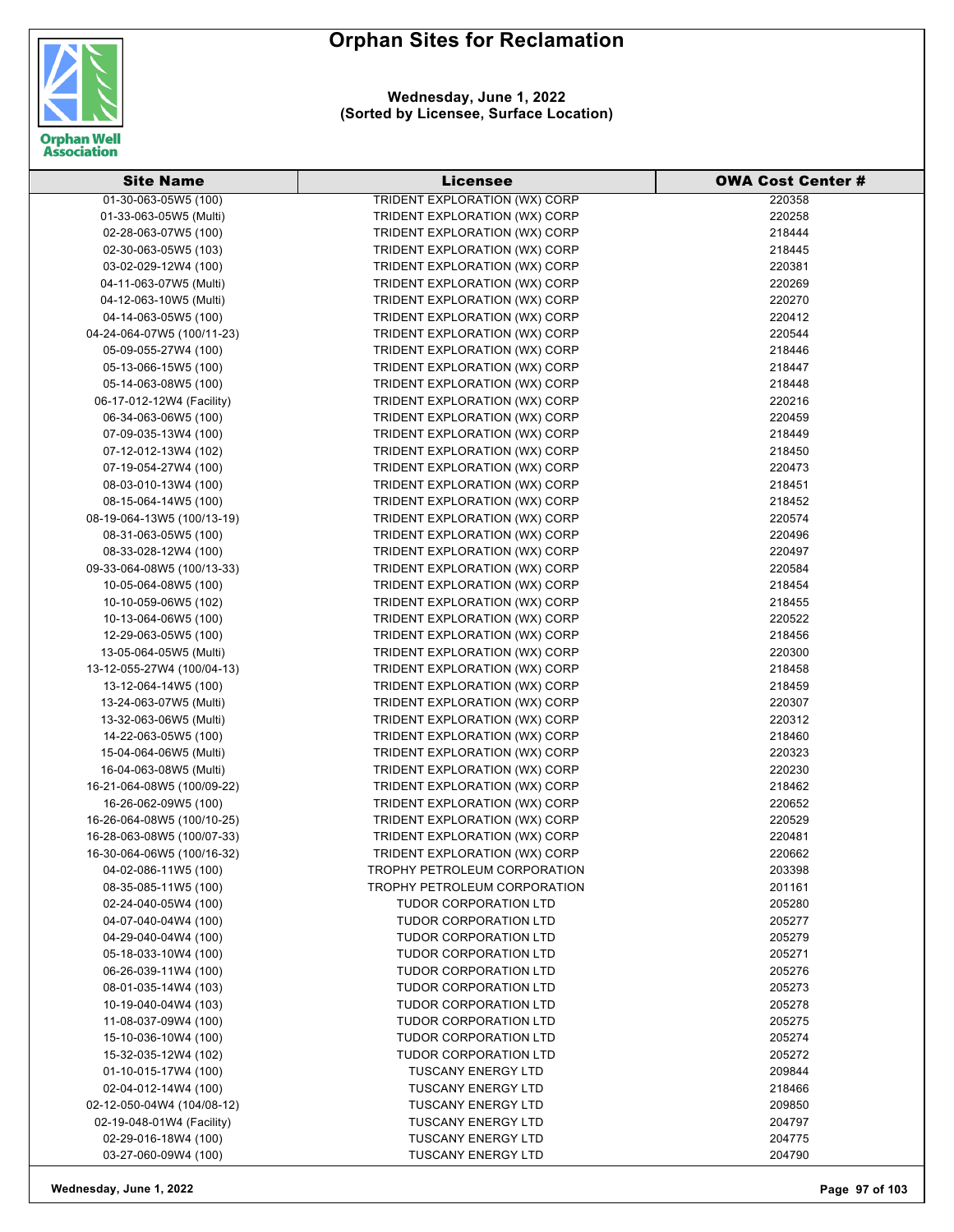

| <b>Site Name</b>           | <b>Licensee</b>                      | <b>OWA Cost Center #</b> |
|----------------------------|--------------------------------------|--------------------------|
| 01-30-063-05W5 (100)       | <b>TRIDENT EXPLORATION (WX) CORP</b> | 220358                   |
| 01-33-063-05W5 (Multi)     | TRIDENT EXPLORATION (WX) CORP        | 220258                   |
| 02-28-063-07W5 (100)       | TRIDENT EXPLORATION (WX) CORP        | 218444                   |
| 02-30-063-05W5 (103)       | TRIDENT EXPLORATION (WX) CORP        | 218445                   |
| 03-02-029-12W4 (100)       | TRIDENT EXPLORATION (WX) CORP        | 220381                   |
| 04-11-063-07W5 (Multi)     | TRIDENT EXPLORATION (WX) CORP        | 220269                   |
| 04-12-063-10W5 (Multi)     | TRIDENT EXPLORATION (WX) CORP        | 220270                   |
| 04-14-063-05W5 (100)       | TRIDENT EXPLORATION (WX) CORP        | 220412                   |
| 04-24-064-07W5 (100/11-23) | TRIDENT EXPLORATION (WX) CORP        | 220544                   |
| 05-09-055-27W4 (100)       | TRIDENT EXPLORATION (WX) CORP        | 218446                   |
| 05-13-066-15W5 (100)       | TRIDENT EXPLORATION (WX) CORP        | 218447                   |
| 05-14-063-08W5 (100)       | TRIDENT EXPLORATION (WX) CORP        | 218448                   |
| 06-17-012-12W4 (Facility)  | TRIDENT EXPLORATION (WX) CORP        | 220216                   |
| 06-34-063-06W5 (100)       | TRIDENT EXPLORATION (WX) CORP        | 220459                   |
| 07-09-035-13W4 (100)       | TRIDENT EXPLORATION (WX) CORP        | 218449                   |
| 07-12-012-13W4 (102)       | TRIDENT EXPLORATION (WX) CORP        | 218450                   |
| 07-19-054-27W4 (100)       | TRIDENT EXPLORATION (WX) CORP        | 220473                   |
| 08-03-010-13W4 (100)       | TRIDENT EXPLORATION (WX) CORP        | 218451                   |
| 08-15-064-14W5 (100)       | TRIDENT EXPLORATION (WX) CORP        | 218452                   |
| 08-19-064-13W5 (100/13-19) | TRIDENT EXPLORATION (WX) CORP        | 220574                   |
| 08-31-063-05W5 (100)       | TRIDENT EXPLORATION (WX) CORP        | 220496                   |
| 08-33-028-12W4 (100)       | TRIDENT EXPLORATION (WX) CORP        | 220497                   |
| 09-33-064-08W5 (100/13-33) | TRIDENT EXPLORATION (WX) CORP        | 220584                   |
| 10-05-064-08W5 (100)       | TRIDENT EXPLORATION (WX) CORP        | 218454                   |
| 10-10-059-06W5 (102)       | TRIDENT EXPLORATION (WX) CORP        | 218455                   |
| 10-13-064-06W5 (100)       | TRIDENT EXPLORATION (WX) CORP        | 220522                   |
| 12-29-063-05W5 (100)       | TRIDENT EXPLORATION (WX) CORP        | 218456                   |
| 13-05-064-05W5 (Multi)     | TRIDENT EXPLORATION (WX) CORP        | 220300                   |
| 13-12-055-27W4 (100/04-13) | TRIDENT EXPLORATION (WX) CORP        | 218458                   |
| 13-12-064-14W5 (100)       | TRIDENT EXPLORATION (WX) CORP        | 218459                   |
| 13-24-063-07W5 (Multi)     | TRIDENT EXPLORATION (WX) CORP        | 220307                   |
| 13-32-063-06W5 (Multi)     | TRIDENT EXPLORATION (WX) CORP        | 220312                   |
| 14-22-063-05W5 (100)       | TRIDENT EXPLORATION (WX) CORP        | 218460                   |
| 15-04-064-06W5 (Multi)     | TRIDENT EXPLORATION (WX) CORP        | 220323                   |
| 16-04-063-08W5 (Multi)     | TRIDENT EXPLORATION (WX) CORP        | 220230                   |
| 16-21-064-08W5 (100/09-22) | TRIDENT EXPLORATION (WX) CORP        | 218462                   |
| 16-26-062-09W5 (100)       | TRIDENT EXPLORATION (WX) CORP        | 220652                   |
| 16-26-064-08W5 (100/10-25) | TRIDENT EXPLORATION (WX) CORP        | 220529                   |
| 16-28-063-08W5 (100/07-33) | TRIDENT EXPLORATION (WX) CORP        | 220481                   |
| 16-30-064-06W5 (100/16-32) | TRIDENT EXPLORATION (WX) CORP        | 220662                   |
| 04-02-086-11W5 (100)       | TROPHY PETROLEUM CORPORATION         | 203398                   |
| 08-35-085-11W5 (100)       | TROPHY PETROLEUM CORPORATION         | 201161                   |
| 02-24-040-05W4 (100)       | <b>TUDOR CORPORATION LTD</b>         | 205280                   |
| 04-07-040-04W4 (100)       | <b>TUDOR CORPORATION LTD</b>         | 205277                   |
| 04-29-040-04W4 (100)       | <b>TUDOR CORPORATION LTD</b>         | 205279                   |
| 05-18-033-10W4 (100)       | <b>TUDOR CORPORATION LTD</b>         | 205271                   |
| 06-26-039-11W4 (100)       | <b>TUDOR CORPORATION LTD</b>         | 205276                   |
| 08-01-035-14W4 (103)       | <b>TUDOR CORPORATION LTD</b>         | 205273                   |
| 10-19-040-04W4 (103)       | <b>TUDOR CORPORATION LTD</b>         | 205278                   |
| 11-08-037-09W4 (100)       | <b>TUDOR CORPORATION LTD</b>         | 205275                   |
| 15-10-036-10W4 (100)       | <b>TUDOR CORPORATION LTD</b>         | 205274                   |
| 15-32-035-12W4 (102)       | <b>TUDOR CORPORATION LTD</b>         | 205272                   |
| 01-10-015-17W4 (100)       | <b>TUSCANY ENERGY LTD</b>            | 209844                   |
| 02-04-012-14W4 (100)       | <b>TUSCANY ENERGY LTD</b>            | 218466                   |
| 02-12-050-04W4 (104/08-12) | <b>TUSCANY ENERGY LTD</b>            | 209850                   |
| 02-19-048-01W4 (Facility)  | <b>TUSCANY ENERGY LTD</b>            | 204797                   |
| 02-29-016-18W4 (100)       | <b>TUSCANY ENERGY LTD</b>            | 204775                   |
| 03-27-060-09W4 (100)       | <b>TUSCANY ENERGY LTD</b>            | 204790                   |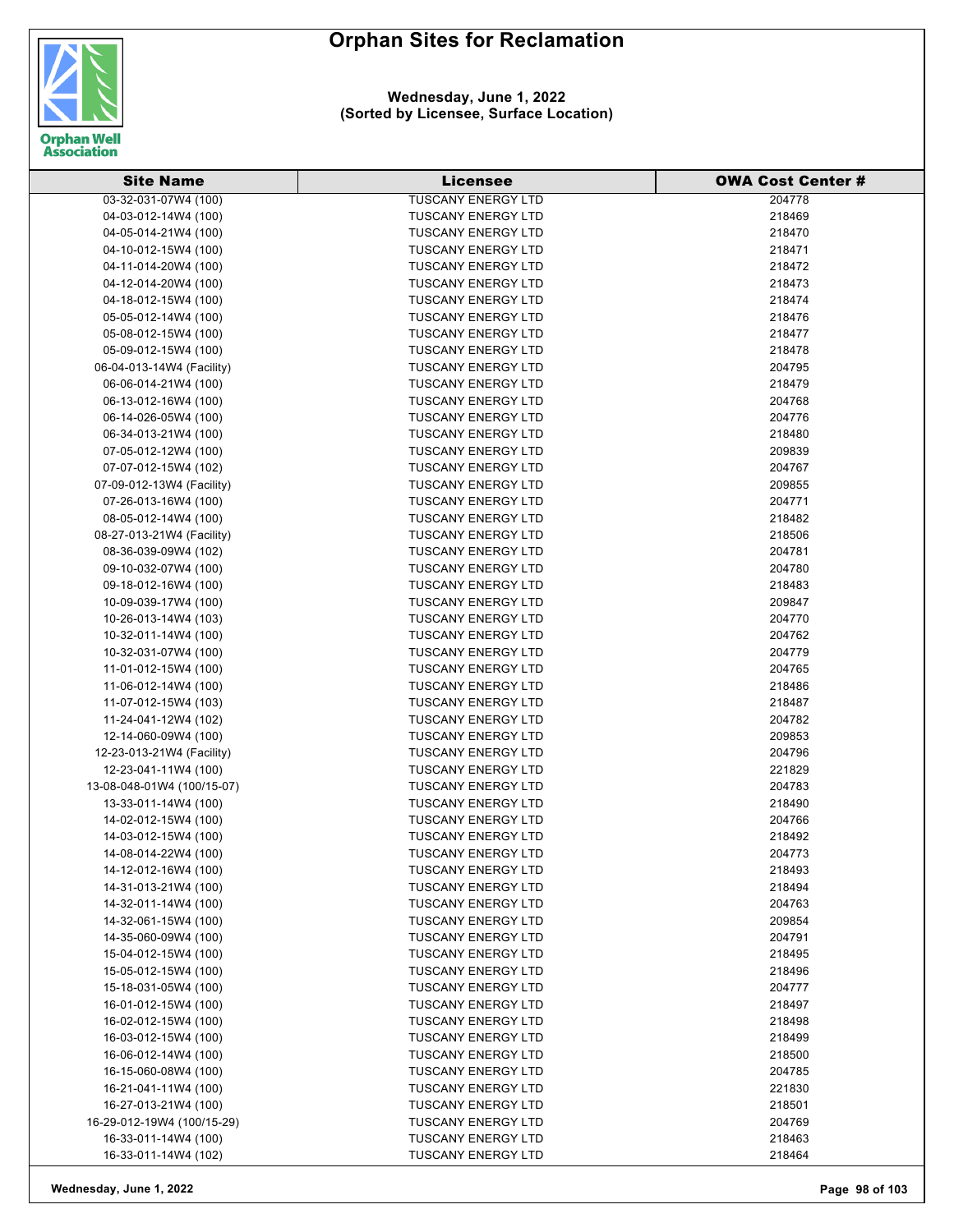

| <b>Site Name</b>                             | Licensee                                               | <b>OWA Cost Center #</b> |
|----------------------------------------------|--------------------------------------------------------|--------------------------|
| 03-32-031-07W4 (100)                         | <b>TUSCANY ENERGY LTD</b>                              | 204778                   |
| 04-03-012-14W4 (100)                         | <b>TUSCANY ENERGY LTD</b>                              | 218469                   |
| 04-05-014-21W4 (100)                         | <b>TUSCANY ENERGY LTD</b>                              | 218470                   |
| 04-10-012-15W4 (100)                         | <b>TUSCANY ENERGY LTD</b>                              | 218471                   |
| 04-11-014-20W4 (100)                         | <b>TUSCANY ENERGY LTD</b>                              | 218472                   |
| 04-12-014-20W4 (100)                         | <b>TUSCANY ENERGY LTD</b>                              | 218473                   |
| 04-18-012-15W4 (100)                         | <b>TUSCANY ENERGY LTD</b>                              | 218474                   |
| 05-05-012-14W4 (100)                         | <b>TUSCANY ENERGY LTD</b>                              | 218476                   |
| 05-08-012-15W4 (100)                         | <b>TUSCANY ENERGY LTD</b>                              | 218477                   |
| 05-09-012-15W4 (100)                         | <b>TUSCANY ENERGY LTD</b>                              | 218478                   |
| 06-04-013-14W4 (Facility)                    | <b>TUSCANY ENERGY LTD</b>                              | 204795                   |
| 06-06-014-21W4 (100)                         | <b>TUSCANY ENERGY LTD</b>                              | 218479                   |
| 06-13-012-16W4 (100)                         | <b>TUSCANY ENERGY LTD</b>                              | 204768                   |
| 06-14-026-05W4 (100)                         | <b>TUSCANY ENERGY LTD</b>                              | 204776                   |
| 06-34-013-21W4 (100)                         | <b>TUSCANY ENERGY LTD</b>                              | 218480                   |
| 07-05-012-12W4 (100)                         | <b>TUSCANY ENERGY LTD</b>                              | 209839                   |
| 07-07-012-15W4 (102)                         | <b>TUSCANY ENERGY LTD</b>                              | 204767                   |
| 07-09-012-13W4 (Facility)                    | <b>TUSCANY ENERGY LTD</b>                              | 209855                   |
| 07-26-013-16W4 (100)                         | <b>TUSCANY ENERGY LTD</b>                              | 204771                   |
| 08-05-012-14W4 (100)                         | <b>TUSCANY ENERGY LTD</b>                              | 218482                   |
| 08-27-013-21W4 (Facility)                    | <b>TUSCANY ENERGY LTD</b>                              | 218506                   |
| 08-36-039-09W4 (102)                         | <b>TUSCANY ENERGY LTD</b>                              | 204781                   |
| 09-10-032-07W4 (100)                         | <b>TUSCANY ENERGY LTD</b>                              | 204780                   |
| 09-18-012-16W4 (100)                         | <b>TUSCANY ENERGY LTD</b>                              | 218483                   |
| 10-09-039-17W4 (100)                         | <b>TUSCANY ENERGY LTD</b>                              | 209847                   |
| 10-26-013-14W4 (103)                         | <b>TUSCANY ENERGY LTD</b>                              | 204770                   |
| 10-32-011-14W4 (100)                         | <b>TUSCANY ENERGY LTD</b>                              | 204762                   |
| 10-32-031-07W4 (100)                         | <b>TUSCANY ENERGY LTD</b>                              | 204779                   |
| 11-01-012-15W4 (100)                         | <b>TUSCANY ENERGY LTD</b>                              | 204765                   |
| 11-06-012-14W4 (100)                         | <b>TUSCANY ENERGY LTD</b>                              | 218486                   |
| 11-07-012-15W4 (103)                         | <b>TUSCANY ENERGY LTD</b>                              | 218487                   |
| 11-24-041-12W4 (102)                         | <b>TUSCANY ENERGY LTD</b>                              | 204782                   |
| 12-14-060-09W4 (100)                         | <b>TUSCANY ENERGY LTD</b>                              | 209853                   |
| 12-23-013-21W4 (Facility)                    | <b>TUSCANY ENERGY LTD</b>                              | 204796                   |
| 12-23-041-11W4 (100)                         | <b>TUSCANY ENERGY LTD</b>                              | 221829                   |
| 13-08-048-01W4 (100/15-07)                   | <b>TUSCANY ENERGY LTD</b>                              | 204783                   |
| 13-33-011-14W4 (100)                         | <b>TUSCANY ENERGY LTD</b>                              | 218490                   |
| 14-02-012-15W4 (100)                         | <b>TUSCANY ENERGY LTD</b>                              | 204766                   |
| 14-03-012-15W4 (100)                         | <b>TUSCANY ENERGY LTD</b>                              | 218492                   |
| 14-08-014-22W4 (100)                         | <b>TUSCANY ENERGY LTD</b>                              | 204773                   |
| 14-12-012-16W4 (100)                         | <b>TUSCANY ENERGY LTD</b>                              | 218493                   |
| 14-31-013-21W4 (100)                         | <b>TUSCANY ENERGY LTD</b>                              | 218494                   |
| 14-32-011-14W4 (100)                         | <b>TUSCANY ENERGY LTD</b>                              | 204763                   |
| 14-32-061-15W4 (100)                         | <b>TUSCANY ENERGY LTD</b>                              | 209854                   |
| 14-35-060-09W4 (100)                         | <b>TUSCANY ENERGY LTD</b>                              | 204791                   |
| 15-04-012-15W4 (100)                         | <b>TUSCANY ENERGY LTD</b>                              | 218495                   |
| 15-05-012-15W4 (100)                         | <b>TUSCANY ENERGY LTD</b>                              | 218496                   |
| 15-18-031-05W4 (100)                         | <b>TUSCANY ENERGY LTD</b>                              | 204777                   |
| 16-01-012-15W4 (100)                         | <b>TUSCANY ENERGY LTD</b>                              | 218497                   |
| 16-02-012-15W4 (100)                         | <b>TUSCANY ENERGY LTD</b>                              | 218498                   |
| 16-03-012-15W4 (100)                         | <b>TUSCANY ENERGY LTD</b>                              | 218499                   |
| 16-06-012-14W4 (100)<br>16-15-060-08W4 (100) | <b>TUSCANY ENERGY LTD</b><br><b>TUSCANY ENERGY LTD</b> | 218500<br>204785         |
| 16-21-041-11W4 (100)                         | <b>TUSCANY ENERGY LTD</b>                              | 221830                   |
| 16-27-013-21W4 (100)                         | <b>TUSCANY ENERGY LTD</b>                              | 218501                   |
| 16-29-012-19W4 (100/15-29)                   | <b>TUSCANY ENERGY LTD</b>                              | 204769                   |
| 16-33-011-14W4 (100)                         | <b>TUSCANY ENERGY LTD</b>                              | 218463                   |
| 16-33-011-14W4 (102)                         | <b>TUSCANY ENERGY LTD</b>                              | 218464                   |
|                                              |                                                        |                          |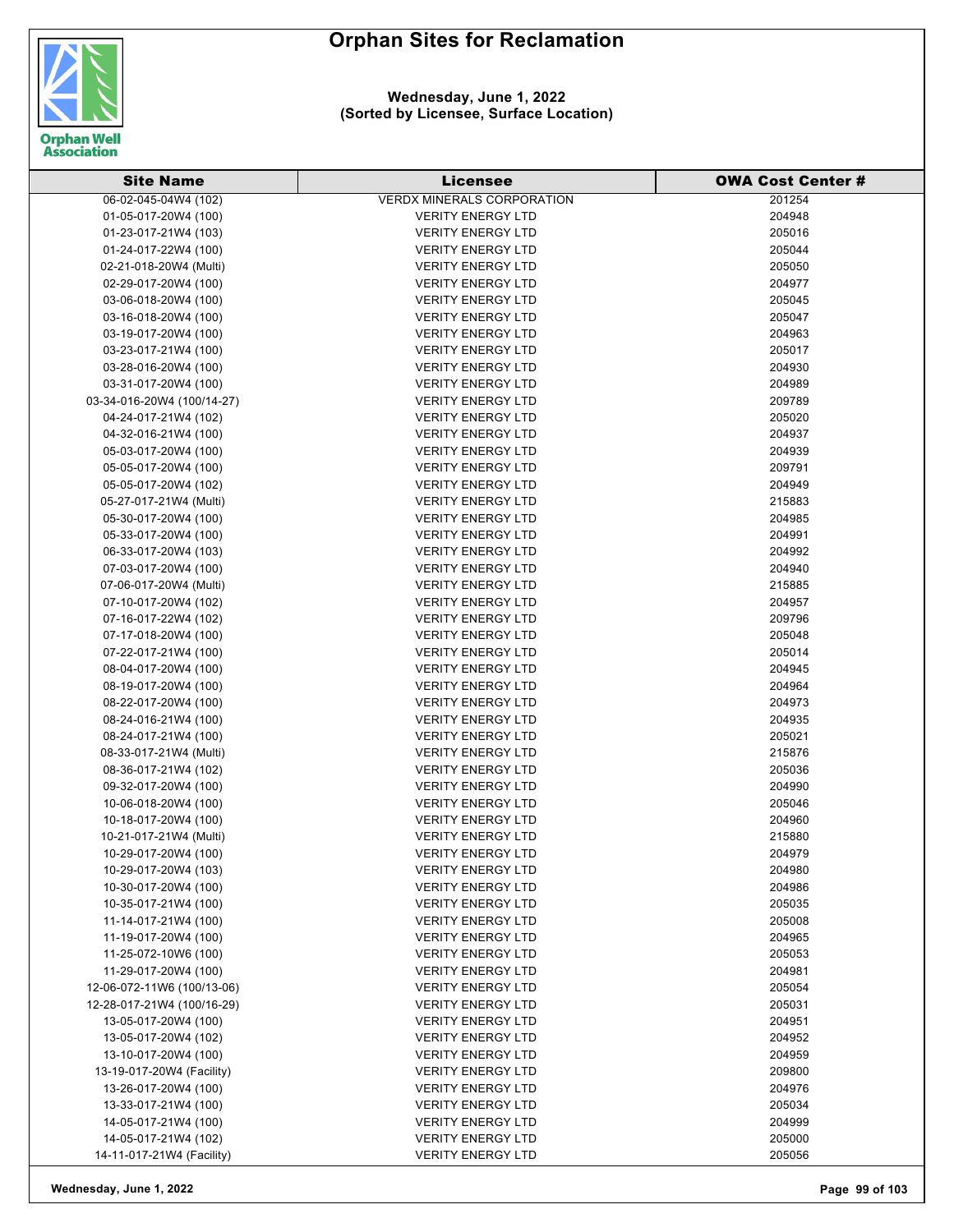

| <b>Site Name</b>           | Licensee                          | <b>OWA Cost Center #</b> |
|----------------------------|-----------------------------------|--------------------------|
| 06-02-045-04W4 (102)       | <b>VERDX MINERALS CORPORATION</b> | 201254                   |
| 01-05-017-20W4 (100)       | <b>VERITY ENERGY LTD</b>          | 204948                   |
| 01-23-017-21W4 (103)       | <b>VERITY ENERGY LTD</b>          | 205016                   |
| 01-24-017-22W4 (100)       | <b>VERITY ENERGY LTD</b>          | 205044                   |
| 02-21-018-20W4 (Multi)     | <b>VERITY ENERGY LTD</b>          | 205050                   |
| 02-29-017-20W4 (100)       | <b>VERITY ENERGY LTD</b>          | 204977                   |
| 03-06-018-20W4 (100)       | <b>VERITY ENERGY LTD</b>          | 205045                   |
| 03-16-018-20W4 (100)       | <b>VERITY ENERGY LTD</b>          | 205047                   |
| 03-19-017-20W4 (100)       | <b>VERITY ENERGY LTD</b>          | 204963                   |
| 03-23-017-21W4 (100)       | <b>VERITY ENERGY LTD</b>          | 205017                   |
| 03-28-016-20W4 (100)       | <b>VERITY ENERGY LTD</b>          | 204930                   |
| 03-31-017-20W4 (100)       | <b>VERITY ENERGY LTD</b>          | 204989                   |
| 03-34-016-20W4 (100/14-27) | <b>VERITY ENERGY LTD</b>          | 209789                   |
| 04-24-017-21W4 (102)       | <b>VERITY ENERGY LTD</b>          | 205020                   |
| 04-32-016-21W4 (100)       | <b>VERITY ENERGY LTD</b>          | 204937                   |
| 05-03-017-20W4 (100)       | <b>VERITY ENERGY LTD</b>          | 204939                   |
| 05-05-017-20W4 (100)       | <b>VERITY ENERGY LTD</b>          | 209791                   |
| 05-05-017-20W4 (102)       | <b>VERITY ENERGY LTD</b>          | 204949                   |
| 05-27-017-21W4 (Multi)     | <b>VERITY ENERGY LTD</b>          | 215883                   |
| 05-30-017-20W4 (100)       | <b>VERITY ENERGY LTD</b>          | 204985                   |
| 05-33-017-20W4 (100)       | <b>VERITY ENERGY LTD</b>          | 204991                   |
| 06-33-017-20W4 (103)       | <b>VERITY ENERGY LTD</b>          | 204992                   |
| 07-03-017-20W4 (100)       | <b>VERITY ENERGY LTD</b>          | 204940                   |
| 07-06-017-20W4 (Multi)     | <b>VERITY ENERGY LTD</b>          | 215885                   |
| 07-10-017-20W4 (102)       | <b>VERITY ENERGY LTD</b>          | 204957                   |
| 07-16-017-22W4 (102)       | <b>VERITY ENERGY LTD</b>          | 209796                   |
| 07-17-018-20W4 (100)       | <b>VERITY ENERGY LTD</b>          | 205048                   |
| 07-22-017-21W4 (100)       | <b>VERITY ENERGY LTD</b>          | 205014                   |
| 08-04-017-20W4 (100)       | <b>VERITY ENERGY LTD</b>          | 204945                   |
| 08-19-017-20W4 (100)       | <b>VERITY ENERGY LTD</b>          | 204964                   |
| 08-22-017-20W4 (100)       | <b>VERITY ENERGY LTD</b>          | 204973                   |
| 08-24-016-21W4 (100)       | <b>VERITY ENERGY LTD</b>          | 204935                   |
| 08-24-017-21W4 (100)       | <b>VERITY ENERGY LTD</b>          | 205021                   |
| 08-33-017-21W4 (Multi)     | <b>VERITY ENERGY LTD</b>          | 215876                   |
| 08-36-017-21W4 (102)       | <b>VERITY ENERGY LTD</b>          | 205036                   |
| 09-32-017-20W4 (100)       | <b>VERITY ENERGY LTD</b>          | 204990                   |
| 10-06-018-20W4 (100)       | <b>VERITY ENERGY LTD</b>          | 205046                   |
| 10-18-017-20W4 (100)       | <b>VERITY ENERGY LTD</b>          | 204960                   |
| 10-21-017-21W4 (Multi)     | <b>VERITY ENERGY LTD</b>          | 215880                   |
| 10-29-017-20W4 (100)       | <b>VERITY ENERGY LTD</b>          | 204979                   |
| 10-29-017-20W4 (103)       | <b>VERITY ENERGY LTD</b>          | 204980                   |
| 10-30-017-20W4 (100)       | <b>VERITY ENERGY LTD</b>          | 204986                   |
| 10-35-017-21W4 (100)       | <b>VERITY ENERGY LTD</b>          | 205035                   |
| 11-14-017-21W4 (100)       | <b>VERITY ENERGY LTD</b>          | 205008                   |
| 11-19-017-20W4 (100)       | <b>VERITY ENERGY LTD</b>          | 204965                   |
| 11-25-072-10W6 (100)       | <b>VERITY ENERGY LTD</b>          | 205053                   |
| 11-29-017-20W4 (100)       | <b>VERITY ENERGY LTD</b>          | 204981                   |
| 12-06-072-11W6 (100/13-06) | <b>VERITY ENERGY LTD</b>          | 205054                   |
| 12-28-017-21W4 (100/16-29) | <b>VERITY ENERGY LTD</b>          | 205031                   |
| 13-05-017-20W4 (100)       | <b>VERITY ENERGY LTD</b>          | 204951                   |
| 13-05-017-20W4 (102)       | <b>VERITY ENERGY LTD</b>          | 204952                   |
| 13-10-017-20W4 (100)       | <b>VERITY ENERGY LTD</b>          | 204959                   |
| 13-19-017-20W4 (Facility)  | <b>VERITY ENERGY LTD</b>          | 209800                   |
| 13-26-017-20W4 (100)       | <b>VERITY ENERGY LTD</b>          | 204976                   |
| 13-33-017-21W4 (100)       | <b>VERITY ENERGY LTD</b>          | 205034                   |
| 14-05-017-21W4 (100)       | <b>VERITY ENERGY LTD</b>          | 204999                   |
| 14-05-017-21W4 (102)       | <b>VERITY ENERGY LTD</b>          | 205000                   |
| 14-11-017-21W4 (Facility)  | <b>VERITY ENERGY LTD</b>          | 205056                   |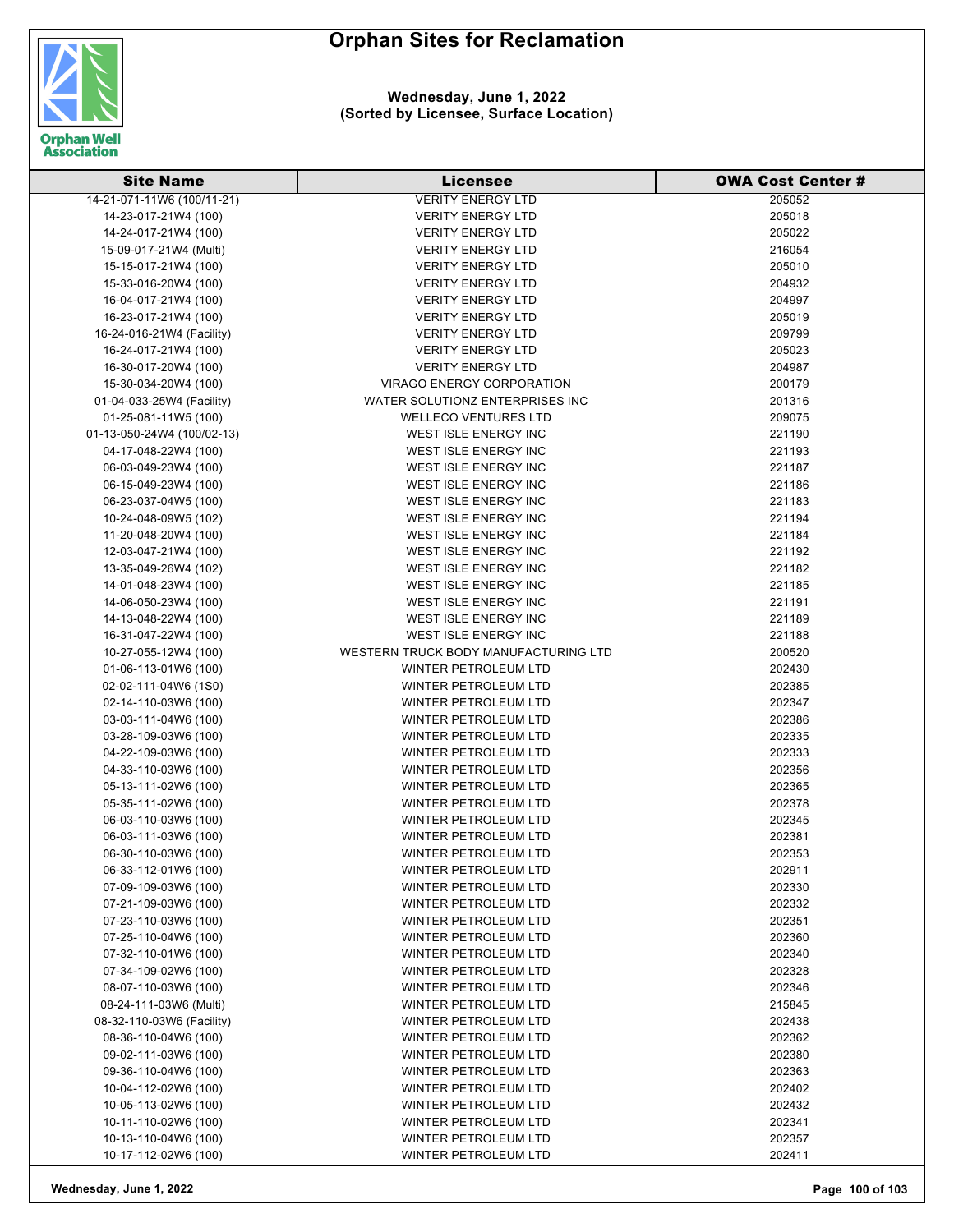

| <b>Site Name</b>                             | <b>Licensee</b>                              | <b>OWA Cost Center #</b> |
|----------------------------------------------|----------------------------------------------|--------------------------|
| 14-21-071-11W6 (100/11-21)                   | <b>VERITY ENERGY LTD</b>                     | 205052                   |
| 14-23-017-21W4 (100)                         | <b>VERITY ENERGY LTD</b>                     | 205018                   |
| 14-24-017-21W4 (100)                         | <b>VERITY ENERGY LTD</b>                     | 205022                   |
| 15-09-017-21W4 (Multi)                       | <b>VERITY ENERGY LTD</b>                     | 216054                   |
| 15-15-017-21W4 (100)                         | <b>VERITY ENERGY LTD</b>                     | 205010                   |
| 15-33-016-20W4 (100)                         | <b>VERITY ENERGY LTD</b>                     | 204932                   |
| 16-04-017-21W4 (100)                         | <b>VERITY ENERGY LTD</b>                     | 204997                   |
| 16-23-017-21W4 (100)                         | <b>VERITY ENERGY LTD</b>                     | 205019                   |
| 16-24-016-21W4 (Facility)                    | <b>VERITY ENERGY LTD</b>                     | 209799                   |
| 16-24-017-21W4 (100)                         | <b>VERITY ENERGY LTD</b>                     | 205023                   |
| 16-30-017-20W4 (100)                         | <b>VERITY ENERGY LTD</b>                     | 204987                   |
| 15-30-034-20W4 (100)                         | VIRAGO ENERGY CORPORATION                    | 200179                   |
| 01-04-033-25W4 (Facility)                    | WATER SOLUTIONZ ENTERPRISES INC              | 201316                   |
| 01-25-081-11W5 (100)                         | <b>WELLECO VENTURES LTD</b>                  | 209075                   |
| 01-13-050-24W4 (100/02-13)                   | WEST ISLE ENERGY INC                         | 221190                   |
| 04-17-048-22W4 (100)                         | WEST ISLE ENERGY INC                         | 221193                   |
| 06-03-049-23W4 (100)                         | WEST ISLE ENERGY INC                         | 221187                   |
| 06-15-049-23W4 (100)                         | WEST ISLE ENERGY INC                         | 221186                   |
| 06-23-037-04W5 (100)                         | WEST ISLE ENERGY INC                         | 221183                   |
| 10-24-048-09W5 (102)                         | WEST ISLE ENERGY INC                         | 221194                   |
| 11-20-048-20W4 (100)                         | WEST ISLE ENERGY INC                         | 221184                   |
| 12-03-047-21W4 (100)                         | WEST ISLE ENERGY INC                         | 221192                   |
| 13-35-049-26W4 (102)                         | WEST ISLE ENERGY INC                         | 221182                   |
| 14-01-048-23W4 (100)                         | WEST ISLE ENERGY INC                         | 221185                   |
| 14-06-050-23W4 (100)                         | WEST ISLE ENERGY INC                         | 221191                   |
| 14-13-048-22W4 (100)                         | WEST ISLE ENERGY INC                         | 221189                   |
| 16-31-047-22W4 (100)                         | WEST ISLE ENERGY INC                         | 221188                   |
|                                              | WESTERN TRUCK BODY MANUFACTURING LTD         | 200520                   |
| 10-27-055-12W4 (100)<br>01-06-113-01W6 (100) | WINTER PETROLEUM LTD                         | 202430                   |
|                                              | WINTER PETROLEUM LTD                         | 202385                   |
| 02-02-111-04W6 (1S0)<br>02-14-110-03W6 (100) | WINTER PETROLEUM LTD                         | 202347                   |
|                                              | WINTER PETROLEUM LTD                         | 202386                   |
| 03-03-111-04W6 (100)                         |                                              |                          |
| 03-28-109-03W6 (100)                         | WINTER PETROLEUM LTD<br>WINTER PETROLEUM LTD | 202335<br>202333         |
| 04-22-109-03W6 (100)                         |                                              |                          |
| 04-33-110-03W6 (100)                         | WINTER PETROLEUM LTD                         | 202356                   |
| 05-13-111-02W6 (100)                         | WINTER PETROLEUM LTD                         | 202365                   |
| 05-35-111-02W6 (100)                         | WINTER PETROLEUM LTD                         | 202378                   |
| 06-03-110-03W6 (100)                         | WINTER PETROLEUM LTD                         | 202345                   |
| 06-03-111-03W6 (100)                         | <b>WINTER PETROLEUM LTD</b>                  | 202381                   |
| 06-30-110-03W6 (100)                         | WINTER PETROLEUM LTD                         | 202353                   |
| 06-33-112-01W6 (100)                         | WINTER PETROLEUM LTD                         | 202911                   |
| 07-09-109-03W6 (100)                         | <b>WINTER PETROLEUM LTD</b>                  | 202330                   |
| 07-21-109-03W6 (100)                         | WINTER PETROLEUM LTD                         | 202332                   |
| 07-23-110-03W6 (100)                         | WINTER PETROLEUM LTD                         | 202351                   |
| 07-25-110-04W6 (100)                         | WINTER PETROLEUM LTD                         | 202360                   |
| 07-32-110-01W6 (100)                         | <b>WINTER PETROLEUM LTD</b>                  | 202340                   |
| 07-34-109-02W6 (100)                         | <b>WINTER PETROLEUM LTD</b>                  | 202328                   |
| 08-07-110-03W6 (100)                         | <b>WINTER PETROLEUM LTD</b>                  | 202346                   |
| 08-24-111-03W6 (Multi)                       | <b>WINTER PETROLEUM LTD</b>                  | 215845                   |
| 08-32-110-03W6 (Facility)                    | WINTER PETROLEUM LTD                         | 202438                   |
| 08-36-110-04W6 (100)                         | WINTER PETROLEUM LTD                         | 202362                   |
| 09-02-111-03W6 (100)                         | WINTER PETROLEUM LTD                         | 202380                   |
| 09-36-110-04W6 (100)                         | WINTER PETROLEUM LTD                         | 202363                   |
| 10-04-112-02W6 (100)                         | WINTER PETROLEUM LTD                         | 202402                   |
| 10-05-113-02W6 (100)                         | WINTER PETROLEUM LTD                         | 202432                   |
| 10-11-110-02W6 (100)                         | WINTER PETROLEUM LTD                         | 202341                   |
| 10-13-110-04W6 (100)                         | WINTER PETROLEUM LTD                         | 202357                   |
| 10-17-112-02W6 (100)                         | WINTER PETROLEUM LTD                         | 202411                   |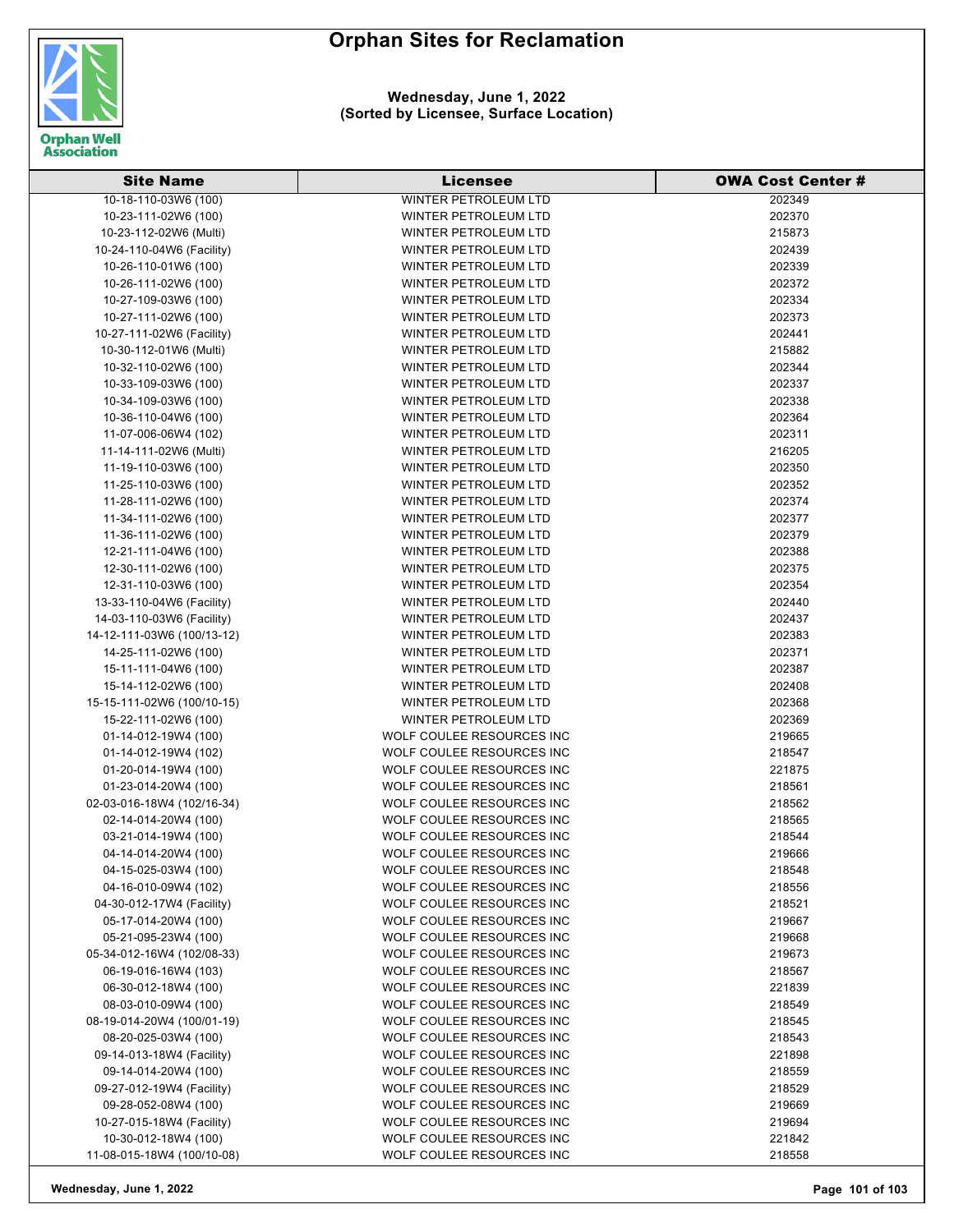

**Wednesday, June 1, 2022 (Sorted by Licensee, Surface Location)**

| <b>Site Name</b>           | Licensee                    | <b>OWA Cost Center #</b> |
|----------------------------|-----------------------------|--------------------------|
| 10-18-110-03W6 (100)       | <b>WINTER PETROLEUM LTD</b> | 202349                   |
| 10-23-111-02W6 (100)       | <b>WINTER PETROLEUM LTD</b> | 202370                   |
| 10-23-112-02W6 (Multi)     | WINTER PETROLEUM LTD        | 215873                   |
| 10-24-110-04W6 (Facility)  | WINTER PETROLEUM LTD        | 202439                   |
| 10-26-110-01W6 (100)       | WINTER PETROLEUM LTD        | 202339                   |
| 10-26-111-02W6 (100)       | WINTER PETROLEUM LTD        | 202372                   |
| 10-27-109-03W6 (100)       | WINTER PETROLEUM LTD        | 202334                   |
| 10-27-111-02W6 (100)       | WINTER PETROLEUM LTD        | 202373                   |
| 10-27-111-02W6 (Facility)  | WINTER PETROLEUM LTD        | 202441                   |
| 10-30-112-01W6 (Multi)     | <b>WINTER PETROLEUM LTD</b> | 215882                   |
| 10-32-110-02W6 (100)       | WINTER PETROLEUM LTD        | 202344                   |
| 10-33-109-03W6 (100)       | WINTER PETROLEUM LTD        | 202337                   |
| 10-34-109-03W6 (100)       | WINTER PETROLEUM LTD        | 202338                   |
| 10-36-110-04W6 (100)       | WINTER PETROLEUM LTD        | 202364                   |
| 11-07-006-06W4 (102)       | WINTER PETROLEUM LTD        | 202311                   |
| 11-14-111-02W6 (Multi)     | WINTER PETROLEUM LTD        | 216205                   |
| 11-19-110-03W6 (100)       | <b>WINTER PETROLEUM LTD</b> | 202350                   |
| 11-25-110-03W6 (100)       | <b>WINTER PETROLEUM LTD</b> | 202352                   |
| 11-28-111-02W6 (100)       | <b>WINTER PETROLEUM LTD</b> | 202374                   |
| 11-34-111-02W6 (100)       | WINTER PETROLEUM LTD        | 202377                   |
| 11-36-111-02W6 (100)       | WINTER PETROLEUM LTD        | 202379                   |
| 12-21-111-04W6 (100)       | WINTER PETROLEUM LTD        | 202388                   |
| 12-30-111-02W6 (100)       | WINTER PETROLEUM LTD        | 202375                   |
| 12-31-110-03W6 (100)       | WINTER PETROLEUM LTD        | 202354                   |
| 13-33-110-04W6 (Facility)  | <b>WINTER PETROLEUM LTD</b> | 202440                   |
|                            | WINTER PETROLEUM LTD        | 202437                   |
| 14-03-110-03W6 (Facility)  |                             | 202383                   |
| 14-12-111-03W6 (100/13-12) | WINTER PETROLEUM LTD        | 202371                   |
| 14-25-111-02W6 (100)       | WINTER PETROLEUM LTD        |                          |
| 15-11-111-04W6 (100)       | WINTER PETROLEUM LTD        | 202387                   |
| 15-14-112-02W6 (100)       | WINTER PETROLEUM LTD        | 202408                   |
| 15-15-111-02W6 (100/10-15) | WINTER PETROLEUM LTD        | 202368                   |
| 15-22-111-02W6 (100)       | WINTER PETROLEUM LTD        | 202369                   |
| 01-14-012-19W4 (100)       | WOLF COULEE RESOURCES INC   | 219665                   |
| 01-14-012-19W4 (102)       | WOLF COULEE RESOURCES INC   | 218547                   |
| 01-20-014-19W4 (100)       | WOLF COULEE RESOURCES INC   | 221875                   |
| 01-23-014-20W4 (100)       | WOLF COULEE RESOURCES INC   | 218561                   |
| 02-03-016-18W4 (102/16-34) | WOLF COULEE RESOURCES INC   | 218562                   |
| 02-14-014-20W4 (100)       | WOLF COULEE RESOURCES INC   | 218565                   |
| 03-21-014-19W4 (100)       | WOLF COULEE RESOURCES INC   | 218544                   |
| 04-14-014-20W4 (100)       | WOLF COULEE RESOURCES INC   | 219666                   |
| 04-15-025-03W4 (100)       | WOLF COULEE RESOURCES INC   | 218548                   |
| 04-16-010-09W4 (102)       | WOLF COULEE RESOURCES INC   | 218556                   |
| 04-30-012-17W4 (Facility)  | WOLF COULEE RESOURCES INC   | 218521                   |
| 05-17-014-20W4 (100)       | WOLF COULEE RESOURCES INC   | 219667                   |
| 05-21-095-23W4 (100)       | WOLF COULEE RESOURCES INC   | 219668                   |
| 05-34-012-16W4 (102/08-33) | WOLF COULEE RESOURCES INC   | 219673                   |
| 06-19-016-16W4 (103)       | WOLF COULEE RESOURCES INC   | 218567                   |
| 06-30-012-18W4 (100)       | WOLF COULEE RESOURCES INC   | 221839                   |
| 08-03-010-09W4 (100)       | WOLF COULEE RESOURCES INC   | 218549                   |
| 08-19-014-20W4 (100/01-19) | WOLF COULEE RESOURCES INC   | 218545                   |
| 08-20-025-03W4 (100)       | WOLF COULEE RESOURCES INC   | 218543                   |
| 09-14-013-18W4 (Facility)  | WOLF COULEE RESOURCES INC   | 221898                   |
| 09-14-014-20W4 (100)       | WOLF COULEE RESOURCES INC   | 218559                   |
| 09-27-012-19W4 (Facility)  | WOLF COULEE RESOURCES INC   | 218529                   |
| 09-28-052-08W4 (100)       | WOLF COULEE RESOURCES INC   | 219669                   |
| 10-27-015-18W4 (Facility)  | WOLF COULEE RESOURCES INC   | 219694                   |
| 10-30-012-18W4 (100)       | WOLF COULEE RESOURCES INC   | 221842                   |
| 11-08-015-18W4 (100/10-08) | WOLF COULEE RESOURCES INC   | 218558                   |

**Wednesday, June 1, 2022 Page 101 of 103**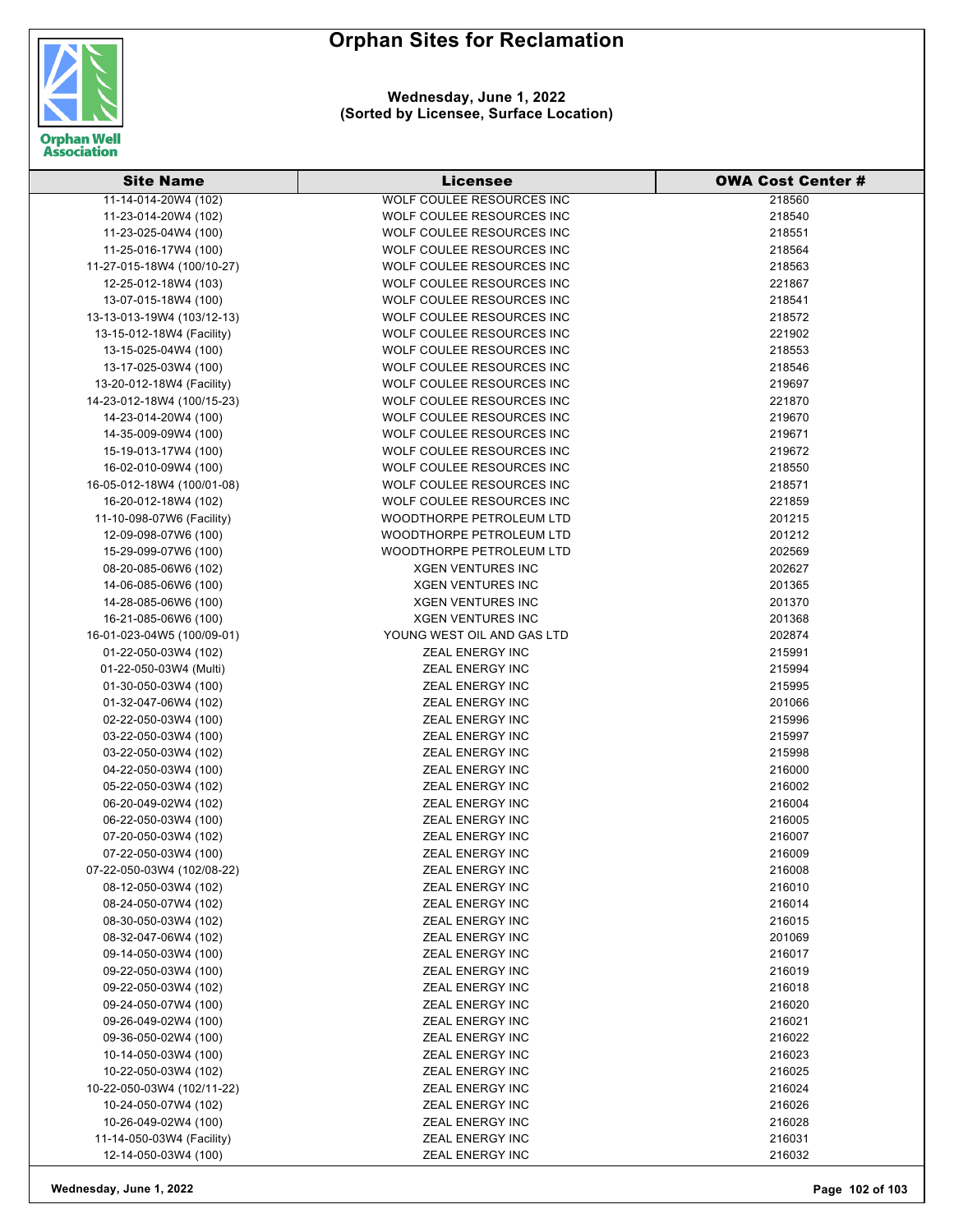

| <b>Site Name</b>           | <b>Licensee</b>                                      | <b>OWA Cost Center #</b> |
|----------------------------|------------------------------------------------------|--------------------------|
| 11-14-014-20W4 (102)       | <b>WOLF COULEE RESOURCES INC</b>                     | 218560                   |
| 11-23-014-20W4 (102)       | WOLF COULEE RESOURCES INC                            | 218540                   |
| 11-23-025-04W4 (100)       | WOLF COULEE RESOURCES INC                            | 218551                   |
| 11-25-016-17W4 (100)       | WOLF COULEE RESOURCES INC                            | 218564                   |
| 11-27-015-18W4 (100/10-27) | WOLF COULEE RESOURCES INC                            | 218563                   |
| 12-25-012-18W4 (103)       | WOLF COULEE RESOURCES INC                            | 221867                   |
| 13-07-015-18W4 (100)       | WOLF COULEE RESOURCES INC                            | 218541                   |
| 13-13-013-19W4 (103/12-13) | WOLF COULEE RESOURCES INC                            | 218572                   |
| 13-15-012-18W4 (Facility)  | WOLF COULEE RESOURCES INC                            | 221902                   |
| 13-15-025-04W4 (100)       | WOLF COULEE RESOURCES INC                            | 218553                   |
| 13-17-025-03W4 (100)       | WOLF COULEE RESOURCES INC                            | 218546                   |
| 13-20-012-18W4 (Facility)  | WOLF COULEE RESOURCES INC                            | 219697                   |
| 14-23-012-18W4 (100/15-23) | WOLF COULEE RESOURCES INC                            | 221870                   |
| 14-23-014-20W4 (100)       | WOLF COULEE RESOURCES INC                            | 219670                   |
| 14-35-009-09W4 (100)       | WOLF COULEE RESOURCES INC                            | 219671                   |
| 15-19-013-17W4 (100)       | WOLF COULEE RESOURCES INC                            | 219672                   |
| 16-02-010-09W4 (100)       | WOLF COULEE RESOURCES INC                            | 218550                   |
| 16-05-012-18W4 (100/01-08) | WOLF COULEE RESOURCES INC                            | 218571                   |
| 16-20-012-18W4 (102)       | WOLF COULEE RESOURCES INC                            | 221859                   |
| 11-10-098-07W6 (Facility)  |                                                      |                          |
| 12-09-098-07W6 (100)       | WOODTHORPE PETROLEUM LTD<br>WOODTHORPE PETROLEUM LTD | 201215<br>201212         |
|                            |                                                      |                          |
| 15-29-099-07W6 (100)       | WOODTHORPE PETROLEUM LTD                             | 202569                   |
| 08-20-085-06W6 (102)       | <b>XGEN VENTURES INC</b>                             | 202627                   |
| 14-06-085-06W6 (100)       | <b>XGEN VENTURES INC</b>                             | 201365                   |
| 14-28-085-06W6 (100)       | <b>XGEN VENTURES INC</b>                             | 201370                   |
| 16-21-085-06W6 (100)       | <b>XGEN VENTURES INC</b>                             | 201368                   |
| 16-01-023-04W5 (100/09-01) | YOUNG WEST OIL AND GAS LTD                           | 202874                   |
| 01-22-050-03W4 (102)       | ZEAL ENERGY INC                                      | 215991                   |
| 01-22-050-03W4 (Multi)     | ZEAL ENERGY INC                                      | 215994                   |
| 01-30-050-03W4 (100)       | ZEAL ENERGY INC                                      | 215995                   |
| 01-32-047-06W4 (102)       | ZEAL ENERGY INC                                      | 201066                   |
| 02-22-050-03W4 (100)       | ZEAL ENERGY INC                                      | 215996                   |
| 03-22-050-03W4 (100)       | ZEAL ENERGY INC                                      | 215997                   |
| 03-22-050-03W4 (102)       | <b>ZEAL ENERGY INC</b>                               | 215998                   |
| 04-22-050-03W4 (100)       | ZEAL ENERGY INC                                      | 216000                   |
| 05-22-050-03W4 (102)       | ZEAL ENERGY INC                                      | 216002                   |
| 06-20-049-02W4 (102)       | <b>ZEAL ENERGY INC</b>                               | 216004                   |
| 06-22-050-03W4 (100)       | ZEAL ENERGY INC                                      | 216005                   |
| 07-20-050-03W4 (102)       | ZEAL ENERGY INC                                      | 216007                   |
| 07-22-050-03W4 (100)       | <b>ZEAL ENERGY INC</b>                               | 216009                   |
| 07-22-050-03W4 (102/08-22) | ZEAL ENERGY INC                                      | 216008                   |
| 08-12-050-03W4 (102)       | ZEAL ENERGY INC                                      | 216010                   |
| 08-24-050-07W4 (102)       | ZEAL ENERGY INC                                      | 216014                   |
| 08-30-050-03W4 (102)       | ZEAL ENERGY INC                                      | 216015                   |
| 08-32-047-06W4 (102)       | ZEAL ENERGY INC                                      | 201069                   |
| 09-14-050-03W4 (100)       | ZEAL ENERGY INC                                      | 216017                   |
| 09-22-050-03W4 (100)       | ZEAL ENERGY INC                                      | 216019                   |
| 09-22-050-03W4 (102)       | ZEAL ENERGY INC                                      | 216018                   |
| 09-24-050-07W4 (100)       | ZEAL ENERGY INC                                      | 216020                   |
| 09-26-049-02W4 (100)       | <b>ZEAL ENERGY INC</b>                               | 216021                   |
| 09-36-050-02W4 (100)       | ZEAL ENERGY INC                                      | 216022                   |
| 10-14-050-03W4 (100)       | ZEAL ENERGY INC                                      | 216023                   |
| 10-22-050-03W4 (102)       | ZEAL ENERGY INC                                      | 216025                   |
| 10-22-050-03W4 (102/11-22) | <b>ZEAL ENERGY INC</b>                               | 216024                   |
| 10-24-050-07W4 (102)       | ZEAL ENERGY INC                                      | 216026                   |
| 10-26-049-02W4 (100)       | ZEAL ENERGY INC                                      | 216028                   |
| 11-14-050-03W4 (Facility)  | ZEAL ENERGY INC                                      | 216031                   |
| 12-14-050-03W4 (100)       | ZEAL ENERGY INC                                      | 216032                   |